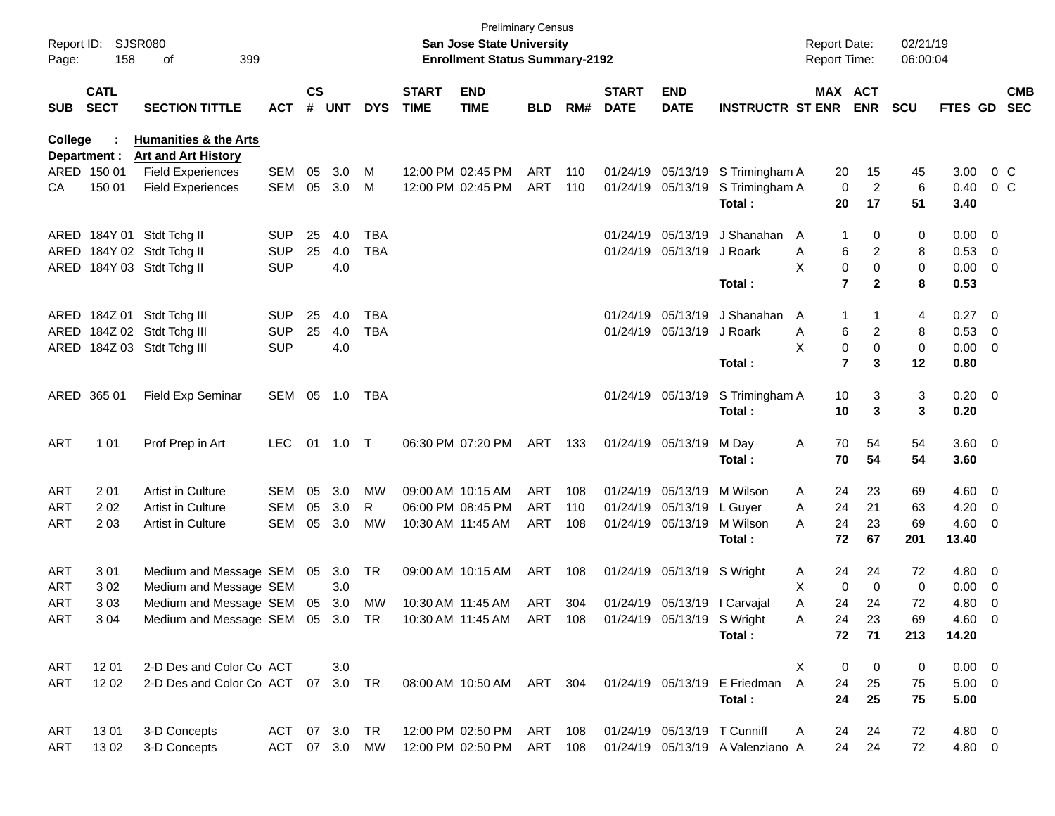| Report ID:<br>Page: | 158                        | <b>SJSR080</b><br>399<br>of                                                           |            |               |           |            |                             | <b>Preliminary Census</b><br><b>San Jose State University</b><br><b>Enrollment Status Summary-2192</b> |            |     |                             |                              |                                  | <b>Report Date:</b><br><b>Report Time:</b> |                         |                | 02/21/19<br>06:00:04 |                     |                          |                          |
|---------------------|----------------------------|---------------------------------------------------------------------------------------|------------|---------------|-----------|------------|-----------------------------|--------------------------------------------------------------------------------------------------------|------------|-----|-----------------------------|------------------------------|----------------------------------|--------------------------------------------|-------------------------|----------------|----------------------|---------------------|--------------------------|--------------------------|
| <b>SUB</b>          | <b>CATL</b><br><b>SECT</b> | <b>SECTION TITTLE</b>                                                                 | <b>ACT</b> | $\mathsf{cs}$ | # UNT     | <b>DYS</b> | <b>START</b><br><b>TIME</b> | <b>END</b><br><b>TIME</b>                                                                              | <b>BLD</b> | RM# | <b>START</b><br><b>DATE</b> | <b>END</b><br><b>DATE</b>    | <b>INSTRUCTR ST ENR ENR</b>      |                                            | MAX ACT                 |                | <b>SCU</b>           | <b>FTES GD</b>      |                          | <b>CMB</b><br><b>SEC</b> |
| College             | Department :               | <b>Humanities &amp; the Arts</b><br><b>Art and Art History</b>                        |            |               |           |            |                             |                                                                                                        |            |     |                             |                              |                                  |                                            |                         |                |                      |                     |                          |                          |
|                     | ARED 150 01                | <b>Field Experiences</b>                                                              | SEM        | 05            | 3.0       | м          |                             | 12:00 PM 02:45 PM                                                                                      | ART        | 110 |                             |                              | 01/24/19 05/13/19 S Trimingham A |                                            | 20                      | 15             | 45                   | 3.00                | 0 <sup>o</sup>           |                          |
| CA                  | 150 01                     | <b>Field Experiences</b>                                                              | SEM        | 05            | 3.0       | м          |                             | 12:00 PM 02:45 PM                                                                                      | ART        | 110 |                             | 01/24/19 05/13/19            | S Trimingham A                   |                                            | $\mathbf 0$             | $\overline{2}$ | 6                    | 0.40                | 0 <sup>o</sup>           |                          |
|                     |                            |                                                                                       |            |               |           |            |                             |                                                                                                        |            |     |                             |                              | Total:                           |                                            | 20                      | 17             | 51                   | 3.40                |                          |                          |
|                     |                            | ARED 184Y 01 Stdt Tchg II                                                             | <b>SUP</b> | 25            | 4.0       | <b>TBA</b> |                             |                                                                                                        |            |     |                             | 01/24/19 05/13/19            | J Shanahan                       | A                                          | -1                      | 0              | 0                    | $0.00 \quad 0$      |                          |                          |
|                     |                            | ARED 184Y 02 Stdt Tchg II                                                             | <b>SUP</b> | 25            | 4.0       | <b>TBA</b> |                             |                                                                                                        |            |     |                             | 01/24/19 05/13/19            | J Roark                          | Α                                          | 6                       | $\overline{c}$ | 8                    | $0.53$ 0            |                          |                          |
|                     |                            | ARED 184Y 03 Stdt Tchg II                                                             | <b>SUP</b> |               | 4.0       |            |                             |                                                                                                        |            |     |                             |                              |                                  | X                                          | 0                       | $\mathbf 0$    | 0                    | $0.00 \t 0$         |                          |                          |
|                     |                            |                                                                                       |            |               |           |            |                             |                                                                                                        |            |     |                             |                              | Total:                           |                                            | $\overline{7}$          | $\mathbf{2}$   | 8                    | 0.53                |                          |                          |
|                     |                            | ARED 184Z 01 Stdt Tchg III                                                            | <b>SUP</b> | 25            | 4.0       | <b>TBA</b> |                             |                                                                                                        |            |     |                             | 01/24/19 05/13/19            | J Shanahan                       | A                                          | 1                       |                | 4                    | 0.27 0              |                          |                          |
|                     |                            | ARED 184Z 02 Stdt Tchg III                                                            | <b>SUP</b> | 25            | 4.0       | <b>TBA</b> |                             |                                                                                                        |            |     |                             | 01/24/19 05/13/19            | J Roark                          | Α                                          | 6                       | 2              | 8                    | $0.53$ 0            |                          |                          |
|                     |                            | ARED 184Z 03 Stdt Tchg III                                                            | <b>SUP</b> |               | 4.0       |            |                             |                                                                                                        |            |     |                             |                              |                                  | X                                          | $\mathsf 0$             | $\mathbf 0$    | $\mathbf 0$          | $0.00 \t 0$         |                          |                          |
|                     |                            |                                                                                       |            |               |           |            |                             |                                                                                                        |            |     |                             |                              | Total:                           |                                            | $\overline{\mathbf{r}}$ | 3              | 12                   | 0.80                |                          |                          |
|                     | ARED 365 01                | Field Exp Seminar                                                                     | SEM 05     |               | 1.0       | TBA        |                             |                                                                                                        |            |     |                             | 01/24/19 05/13/19            | S Trimingham A                   |                                            | 10                      | 3              | 3                    | $0.20 \ 0$          |                          |                          |
|                     |                            |                                                                                       |            |               |           |            |                             |                                                                                                        |            |     |                             |                              | Total:                           |                                            | 10                      | 3              | 3                    | 0.20                |                          |                          |
| <b>ART</b>          | 101                        | Prof Prep in Art                                                                      | <b>LEC</b> | 01            | 1.0       | $\top$     |                             | 06:30 PM 07:20 PM                                                                                      | ART 133    |     |                             | 01/24/19 05/13/19            | M Day                            | A                                          | 70                      | 54             | 54                   | 3.60 0              |                          |                          |
|                     |                            |                                                                                       |            |               |           |            |                             |                                                                                                        |            |     |                             |                              | Total:                           |                                            | 70                      | 54             | 54                   | 3.60                |                          |                          |
| <b>ART</b>          | 201                        | Artist in Culture                                                                     | SEM        | 05            | 3.0       | МW         |                             | 09:00 AM 10:15 AM                                                                                      | ART        | 108 |                             | 01/24/19 05/13/19            | M Wilson                         | A                                          | 24                      | 23             | 69                   | $4.60$ 0            |                          |                          |
| <b>ART</b>          | 202                        | Artist in Culture                                                                     | <b>SEM</b> | 05            | 3.0       | R          |                             | 06:00 PM 08:45 PM                                                                                      | ART        | 110 |                             | 01/24/19 05/13/19            | L Guyer                          | Α                                          | 24                      | 21             | 63                   | $4.20 \ 0$          |                          |                          |
| <b>ART</b>          | 2 0 3                      | Artist in Culture                                                                     | SEM        | 05            | 3.0       | <b>MW</b>  |                             | 10:30 AM 11:45 AM                                                                                      | ART        | 108 |                             | 01/24/19 05/13/19            | M Wilson                         | A                                          | 24                      | 23             | 69                   | $4.60$ 0            |                          |                          |
|                     |                            |                                                                                       |            |               |           |            |                             |                                                                                                        |            |     |                             |                              | Total:                           |                                            | 72                      | 67             | 201                  | 13.40               |                          |                          |
| <b>ART</b>          | 301                        | Medium and Message SEM 05                                                             |            |               | 3.0       | TR         |                             | 09:00 AM 10:15 AM                                                                                      | ART        | 108 |                             | 01/24/19 05/13/19 S Wright   |                                  | A                                          | 24                      | 24             | 72                   | 4.80 0              |                          |                          |
| <b>ART</b>          | 302                        | Medium and Message SEM                                                                |            |               | 3.0       |            |                             |                                                                                                        |            |     |                             |                              |                                  | X                                          | 0                       | $\Omega$       | 0                    | 0.00                | $\overline{\phantom{0}}$ |                          |
| <b>ART</b>          | 303                        | Medium and Message SEM 05                                                             |            |               | 3.0       | MW         |                             | 10:30 AM 11:45 AM                                                                                      | ART 304    |     |                             | 01/24/19 05/13/19   Carvajal |                                  | Α                                          | 24                      | 24             | 72                   | 4.80                | $\overline{\phantom{0}}$ |                          |
| ART                 | 3 0 4                      | Medium and Message SEM 05 3.0 TR 10:30 AM 11:45 AM ART 108 01/24/19 05/13/19 S Wright |            |               |           |            |                             |                                                                                                        |            |     |                             |                              | Total:                           | Α                                          | 24<br>72                | 23<br>71       | 69<br>213            | $4.60 \ 0$<br>14.20 |                          |                          |
|                     |                            |                                                                                       |            |               |           |            |                             |                                                                                                        |            |     |                             |                              |                                  |                                            |                         |                |                      |                     |                          |                          |
| ART                 | 1201                       | 2-D Des and Color Co ACT                                                              |            |               | 3.0       |            |                             |                                                                                                        |            |     |                             |                              |                                  | X                                          | 0                       | 0              | 0                    | $0.00 \t 0$         |                          |                          |
| ART                 | 12 02                      | 2-D Des and Color Co ACT 07 3.0 TR                                                    |            |               |           |            |                             | 08:00 AM 10:50 AM ART 304                                                                              |            |     |                             |                              | 01/24/19 05/13/19 E Friedman     | $\mathsf{A}$                               | 24                      | 25             | 75                   | $5.00 \t 0$         |                          |                          |
|                     |                            |                                                                                       |            |               |           |            |                             |                                                                                                        |            |     |                             |                              | Total:                           |                                            | 24                      | 25             | 75                   | 5.00                |                          |                          |
| ART                 | 1301                       | 3-D Concepts                                                                          | ACT        |               | 07 3.0    | TR         |                             | 12:00 PM 02:50 PM                                                                                      | ART 108    |     |                             | 01/24/19 05/13/19 T Cunniff  |                                  | A                                          | 24                      | 24             | 72                   | 4.80 0              |                          |                          |
| ART                 | 1302                       | 3-D Concepts                                                                          | ACT        |               | 07 3.0 MW |            |                             | 12:00 PM 02:50 PM                                                                                      | ART 108    |     |                             |                              | 01/24/19 05/13/19 A Valenziano A |                                            | 24                      | 24             | 72                   | 4.80 0              |                          |                          |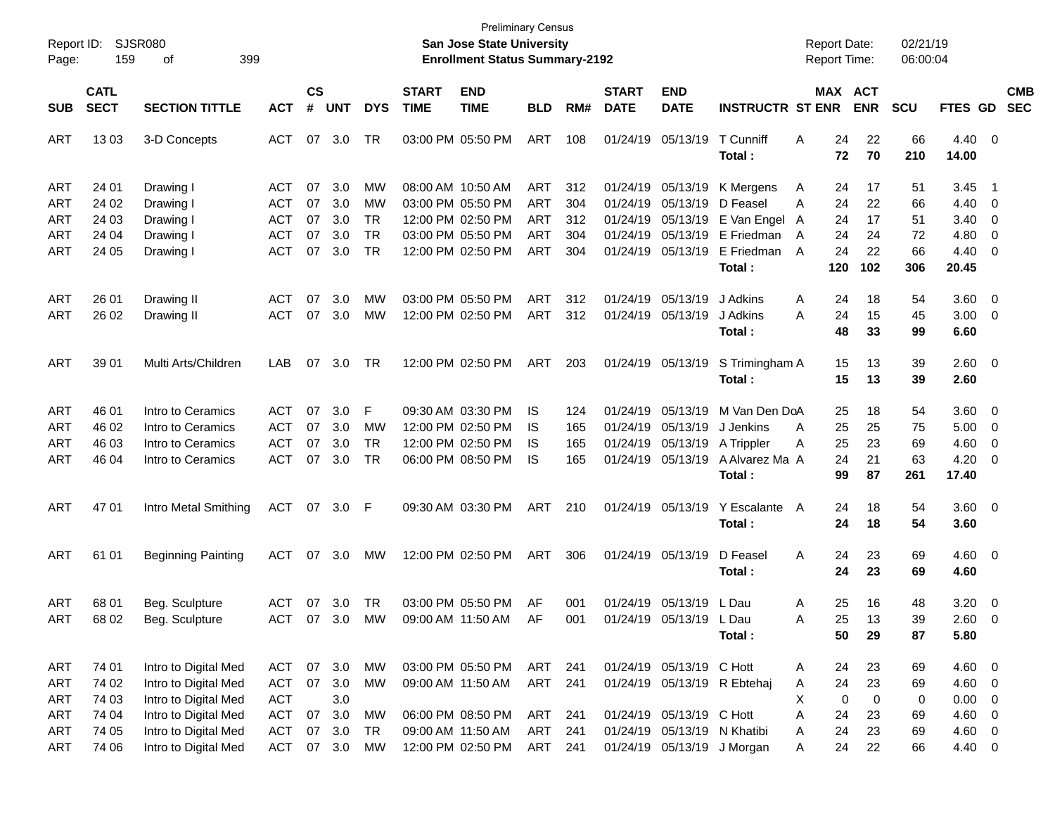| <b>SJSR080</b><br>Report ID:<br><b>San Jose State University</b><br><b>Report Date:</b><br><b>Enrollment Status Summary-2192</b><br><b>Report Time:</b><br>159<br>399<br>Page:<br>οf                                                                                                                                                                                                                                                                                                                                    | 02/21/19<br>06:00:04                                                |
|-------------------------------------------------------------------------------------------------------------------------------------------------------------------------------------------------------------------------------------------------------------------------------------------------------------------------------------------------------------------------------------------------------------------------------------------------------------------------------------------------------------------------|---------------------------------------------------------------------|
| <b>CATL</b><br>$\mathbf{c}\mathbf{s}$<br><b>END</b><br><b>START</b><br><b>END</b><br>MAX ACT<br><b>START</b><br><b>SECT</b><br>#<br><b>UNT</b><br><b>DATE</b><br><b>DATE</b><br><b>INSTRUCTR ST ENR</b><br><b>ENR</b><br><b>SECTION TITTLE</b><br><b>ACT</b><br><b>DYS</b><br><b>TIME</b><br><b>TIME</b><br><b>BLD</b><br>RM#<br><b>SCU</b><br><b>SUB</b>                                                                                                                                                               | <b>CMB</b><br><b>SEC</b><br><b>FTES GD</b>                          |
| <b>ACT</b><br>07<br>TR<br>03:00 PM 05:50 PM<br>ART<br>01/24/19 05/13/19<br>T Cunniff<br>22<br>ART<br>1303<br>3-D Concepts<br>3.0<br>108<br>Α<br>24<br>66<br>72<br>70<br>210<br>Total:                                                                                                                                                                                                                                                                                                                                   | $4.40 \quad 0$<br>14.00                                             |
| 07<br>ART<br>24 01<br><b>ACT</b><br>3.0<br>MW<br>08:00 AM 10:50 AM<br>ART<br>312<br>01/24/19<br>05/13/19<br>K Mergens<br>17<br>51<br>Drawing I<br>A<br>24                                                                                                                                                                                                                                                                                                                                                               | 3.45<br>$\overline{1}$                                              |
| <b>ACT</b><br>07<br>3.0<br>03:00 PM 05:50 PM<br><b>ART</b><br>304<br>ART<br>24 02<br>Drawing I<br>MW<br>01/24/19<br>05/13/19<br>D Feasel<br>24<br>22<br>66<br>A<br><b>ACT</b><br>07<br>3.0<br><b>TR</b><br>12:00 PM 02:50 PM<br><b>ART</b><br>ART<br>24 03<br>Drawing I<br>312<br>01/24/19<br>05/13/19<br>E Van Engel<br>24<br>17<br>51<br>A                                                                                                                                                                            | 4.40<br>- 0<br>3.40<br>$\overline{\mathbf{0}}$                      |
| 07<br><b>ACT</b><br>3.0<br><b>TR</b><br>03:00 PM 05:50 PM<br><b>ART</b><br>304<br>01/24/19<br>05/13/19<br>E Friedman<br>ART<br>24 04<br>Drawing I<br>24<br>24<br>72<br>A<br>07<br><b>TR</b><br><b>ACT</b><br>3.0<br>12:00 PM 02:50 PM<br><b>ART</b><br>304<br>01/24/19<br>E Friedman<br>24<br>ART<br>24 05<br>Drawing I<br>05/13/19<br>A<br>22<br>66<br>Total:<br>120<br>102<br>306                                                                                                                                     | 4.80<br>0<br>4.40<br>$\overline{\mathbf{0}}$<br>20.45               |
| 07<br>03:00 PM 05:50 PM<br>ART<br>01/24/19<br>05/13/19<br>ART<br>26 01<br><b>ACT</b><br>3.0<br>МW<br>312<br>J Adkins<br>24<br>18<br>54<br>Drawing II<br>A<br><b>ACT</b><br>07<br>12:00 PM 02:50 PM<br><b>ART</b><br>312<br>J Adkins<br>24<br>ART<br>26 02<br>Drawing II<br>3.0<br>МW<br>01/24/19<br>05/13/19<br>Α<br>15<br>45                                                                                                                                                                                           | 3.60<br>$\overline{\phantom{0}}$<br>3.00<br>$\overline{\mathbf{0}}$ |
| Total:<br>48<br>33<br>99                                                                                                                                                                                                                                                                                                                                                                                                                                                                                                | 6.60                                                                |
| Multi Arts/Children<br>07<br>TR<br>12:00 PM 02:50 PM<br>ART<br>S Trimingham A<br>ART<br>39 01<br>LAB<br>3.0<br>203<br>01/24/19 05/13/19<br>15<br>13<br>39<br>15<br>Total:<br>13<br>39                                                                                                                                                                                                                                                                                                                                   | $2.60 \t 0$<br>2.60                                                 |
| Intro to Ceramics<br><b>ACT</b><br>07<br>3.0<br>F<br>09:30 AM 03:30 PM<br>05/13/19<br>M Van Den DoA<br>ART<br>46 01<br>IS<br>124<br>01/24/19<br>18<br>54<br>25                                                                                                                                                                                                                                                                                                                                                          | 3.60<br>$\overline{\phantom{0}}$                                    |
| Intro to Ceramics<br><b>ACT</b><br>07<br>12:00 PM 02:50 PM<br>ART<br>46 02<br>3.0<br>MW<br>01/24/19<br>05/13/19<br>J Jenkins<br>25<br>25<br>75<br>IS<br>165<br>A<br>07<br>Intro to Ceramics<br><b>ACT</b><br>3.0<br><b>TR</b><br>12:00 PM 02:50 PM<br>ART<br>46 03<br>IS.<br>165<br>01/24/19<br>05/13/19<br>A Trippler<br>25<br>23<br>69<br>Α                                                                                                                                                                           | 5.00<br>$\overline{\mathbf{0}}$<br>4.60<br>0                        |
| 07<br><b>ACT</b><br>3.0<br><b>TR</b><br>06:00 PM 08:50 PM<br>A Alvarez Ma A<br>24<br>ART<br>46 04<br>Intro to Ceramics<br>IS<br>165<br>01/24/19 05/13/19<br>21<br>63<br>99<br>Total:<br>87<br>261                                                                                                                                                                                                                                                                                                                       | 4.20<br>0<br>17.40                                                  |
| ART<br>4701<br>ACT<br>07 3.0<br>09:30 AM 03:30 PM<br>01/24/19 05/13/19<br>Y Escalante<br>ART<br>Intro Metal Smithing<br>210<br>A<br>24<br>18<br>54<br>-F<br>24<br>Total:<br>18<br>54                                                                                                                                                                                                                                                                                                                                    | 3.60 0<br>3.60                                                      |
| 07<br>12:00 PM 02:50 PM<br>ART<br>306<br>01/24/19 05/13/19<br>D Feasel<br>ART<br>61 01<br>ACT<br>3.0<br>МW<br>A<br>24<br>23<br>69<br><b>Beginning Painting</b><br>24<br>Total:<br>23<br>69                                                                                                                                                                                                                                                                                                                              | $4.60 \quad 0$<br>4.60                                              |
| 07<br><b>TR</b><br>03:00 PM 05:50 PM<br>AF<br>01/24/19 05/13/19<br>25<br>16<br>ART<br>68 01<br>Beg. Sculpture<br><b>ACT</b><br>3.0<br>001<br>L Dau<br>Α<br>48<br>ART<br>ACT<br>07 3.0<br>01/24/19 05/13/19 L Dau<br>39<br>68 02<br>Beg. Sculpture<br>MW<br>09:00 AM 11:50 AM<br>AF<br>001<br>25.<br>13<br>Α<br>50<br>29<br>87<br>Total:                                                                                                                                                                                 | 3.20<br>$\overline{\phantom{0}}$<br>$2.60 \t 0$<br>5.80             |
| 74 01<br>03:00 PM 05:50 PM<br><b>ART</b><br>Intro to Digital Med<br>07 3.0<br><b>MW</b><br>ART<br>01/24/19 05/13/19 C Hott<br>ACT<br>241<br>24<br>23<br>69<br>A                                                                                                                                                                                                                                                                                                                                                         | $4.60$ 0                                                            |
| 07<br>ART<br>Intro to Digital Med<br><b>ACT</b><br>3.0<br>241<br>24<br><b>ART</b><br>74 02<br>MW<br>09:00 AM 11:50 AM<br>01/24/19 05/13/19 R Ebtehaj<br>23<br>Α<br>69<br><b>ACT</b><br>3.0<br>74 03<br>Intro to Digital Med<br>0<br>0<br><b>ART</b><br>Χ<br>0                                                                                                                                                                                                                                                           | $4.60$ 0<br>0.00<br>$\overline{\phantom{0}}$                        |
| Intro to Digital Med<br><b>ACT</b><br>07<br>3.0<br>ART<br><b>ART</b><br>74 04<br>06:00 PM 08:50 PM<br>01/24/19 05/13/19 C Hott<br>24<br>MW<br>241<br>Α<br>23<br>69<br>Intro to Digital Med<br><b>ACT</b><br>07<br>3.0<br><b>TR</b><br>ART<br><b>ART</b><br>74 05<br>09:00 AM 11:50 AM<br>241<br>01/24/19 05/13/19 N Khatibi<br>24<br>Α<br>23<br>69<br>Intro to Digital Med<br>ACT<br>07 3.0<br>12:00 PM 02:50 PM<br>ART<br>241<br>01/24/19 05/13/19 J Morgan<br><b>ART</b><br>74 06<br><b>MW</b><br>24<br>22<br>A<br>66 | 4.60<br>$\overline{\phantom{0}}$<br>4.60 0<br>4.40 0                |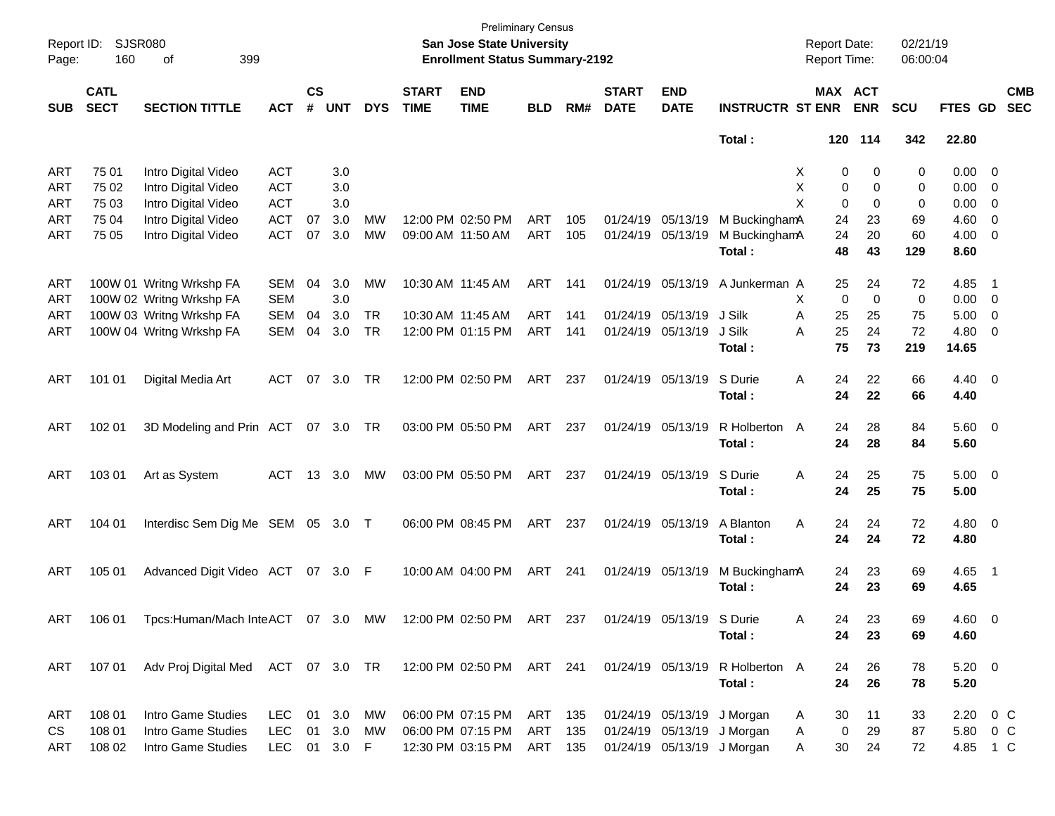| Page:      | Report ID: SJSR080<br>160  | 399<br>οf                                                    |              |                    |            |            |                             | <b>Preliminary Census</b><br>San Jose State University<br><b>Enrollment Status Summary-2192</b> |            |     |                             |                           |                                 | <b>Report Date:</b><br><b>Report Time:</b> |             | 02/21/19<br>06:00:04 |                     |                          |                          |
|------------|----------------------------|--------------------------------------------------------------|--------------|--------------------|------------|------------|-----------------------------|-------------------------------------------------------------------------------------------------|------------|-----|-----------------------------|---------------------------|---------------------------------|--------------------------------------------|-------------|----------------------|---------------------|--------------------------|--------------------------|
| <b>SUB</b> | <b>CATL</b><br><b>SECT</b> | <b>SECTION TITTLE</b>                                        | <b>ACT</b>   | $\mathsf{cs}$<br># | <b>UNT</b> | <b>DYS</b> | <b>START</b><br><b>TIME</b> | <b>END</b><br><b>TIME</b>                                                                       | <b>BLD</b> | RM# | <b>START</b><br><b>DATE</b> | <b>END</b><br><b>DATE</b> | <b>INSTRUCTR ST ENR</b>         | MAX ACT                                    | <b>ENR</b>  | <b>SCU</b>           | FTES GD             |                          | <b>CMB</b><br><b>SEC</b> |
|            |                            |                                                              |              |                    |            |            |                             |                                                                                                 |            |     |                             |                           | Total:                          |                                            | 120 114     | 342                  | 22.80               |                          |                          |
| ART        | 75 01                      | Intro Digital Video                                          | <b>ACT</b>   |                    | 3.0        |            |                             |                                                                                                 |            |     |                             |                           |                                 | 0<br>X                                     | 0           | 0                    | $0.00 \t 0$         |                          |                          |
| ART        | 75 02                      | Intro Digital Video                                          | <b>ACT</b>   |                    | 3.0        |            |                             |                                                                                                 |            |     |                             |                           |                                 | X<br>0                                     | 0           | 0                    | $0.00 \t 0$         |                          |                          |
| ART        | 75 03                      | Intro Digital Video                                          | <b>ACT</b>   |                    | 3.0        |            |                             |                                                                                                 |            |     |                             |                           |                                 | X<br>0                                     | 0           | 0                    | $0.00 \t 0$         |                          |                          |
| ART        | 75 04                      | Intro Digital Video                                          | <b>ACT</b>   | 07                 | 3.0        | MW         | 12:00 PM 02:50 PM           |                                                                                                 | ART        | 105 | 01/24/19 05/13/19           |                           | M BuckinghamA                   | 24                                         | 23          | 69                   | $4.60$ 0            |                          |                          |
| ART        | 75 05                      | Intro Digital Video                                          | <b>ACT</b>   | 07                 | 3.0        | <b>MW</b>  | 09:00 AM 11:50 AM           |                                                                                                 | ART        | 105 | 01/24/19 05/13/19           |                           | M BuckinghamA                   | 24                                         | 20          | 60                   | $4.00 \ 0$          |                          |                          |
|            |                            |                                                              |              |                    |            |            |                             |                                                                                                 |            |     |                             |                           | Total:                          | 48                                         | 43          | 129                  | 8.60                |                          |                          |
| ART        |                            | 100W 01 Writng Wrkshp FA                                     | <b>SEM</b>   | 04                 | 3.0        | MW         | 10:30 AM 11:45 AM           |                                                                                                 | ART        | 141 |                             | 01/24/19 05/13/19         | A Junkerman A                   | 25                                         | 24          | 72                   | 4.85                | $\blacksquare$ 1         |                          |
| ART        |                            | 100W 02 Writng Wrkshp FA                                     | <b>SEM</b>   |                    | 3.0        |            |                             |                                                                                                 |            |     |                             |                           |                                 | 0<br>X                                     | $\mathbf 0$ | 0                    | $0.00 \t 0$         |                          |                          |
| ART        |                            | 100W 03 Writng Wrkshp FA                                     | <b>SEM</b>   | 04                 | 3.0        | <b>TR</b>  | 10:30 AM 11:45 AM           |                                                                                                 | ART        | 141 |                             | 01/24/19 05/13/19         | J Silk                          | A<br>25                                    | 25          | 75                   | 5.00                | $\overline{\phantom{0}}$ |                          |
| ART        |                            | 100W 04 Writng Wrkshp FA                                     | SEM          | 04                 | 3.0        | TR         |                             | 12:00 PM 01:15 PM                                                                               | ART        | 141 | 01/24/19 05/13/19           |                           | J Silk                          | 25<br>Α                                    | 24          | 72                   | 4.80 0              |                          |                          |
|            |                            |                                                              |              |                    |            |            |                             |                                                                                                 |            |     |                             |                           | Total :                         | 75                                         | 73          | 219                  | 14.65               |                          |                          |
| ART        | 101 01                     | Digital Media Art                                            | ACT          | 07                 | 3.0        | TR         |                             | 12:00 PM 02:50 PM                                                                               | ART        | 237 | 01/24/19 05/13/19           |                           | S Durie                         | 24<br>Α                                    | 22          | 66                   | $4.40 \quad 0$      |                          |                          |
|            |                            |                                                              |              |                    |            |            |                             |                                                                                                 |            |     |                             |                           | Total:                          | 24                                         | 22          | 66                   | 4.40                |                          |                          |
| ART        | 102 01                     | 3D Modeling and Prin ACT 07 3.0 TR                           |              |                    |            |            | 03:00 PM 05:50 PM           |                                                                                                 | ART        | 237 | 01/24/19 05/13/19           |                           | R Holberton A                   | 24                                         | 28          | 84                   | 5.60 0              |                          |                          |
|            |                            |                                                              |              |                    |            |            |                             |                                                                                                 |            |     |                             |                           | Total:                          | 24                                         | 28          | 84                   | 5.60                |                          |                          |
|            |                            |                                                              |              |                    |            |            |                             |                                                                                                 |            |     |                             |                           |                                 |                                            |             |                      |                     |                          |                          |
| ART        | 103 01                     | Art as System                                                | ACT          |                    | 13 3.0     | МW         |                             | 03:00 PM 05:50 PM                                                                               | ART        | 237 | 01/24/19 05/13/19           |                           | S Durie<br>Total:               | 24<br>Α<br>24                              | 25<br>25    | 75<br>75             | $5.00 \t 0$<br>5.00 |                          |                          |
|            |                            |                                                              |              |                    |            |            |                             |                                                                                                 |            |     |                             |                           |                                 |                                            |             |                      |                     |                          |                          |
| ART        | 104 01                     | Interdisc Sem Dig Me SEM 05 3.0 T                            |              |                    |            |            |                             | 06:00 PM 08:45 PM                                                                               | ART        | 237 | 01/24/19 05/13/19           |                           | A Blanton                       | 24<br>Α                                    | 24          | 72                   | $4.80\ 0$           |                          |                          |
|            |                            |                                                              |              |                    |            |            |                             |                                                                                                 |            |     |                             |                           | Total :                         | 24                                         | 24          | 72                   | 4.80                |                          |                          |
| ART        | 105 01                     | Advanced Digit Video ACT 07 3.0 F                            |              |                    |            |            |                             | 10:00 AM 04:00 PM                                                                               | ART        | 241 | 01/24/19 05/13/19           |                           | M BuckinghamA                   | 24                                         | 23          | 69                   | 4.65 1              |                          |                          |
|            |                            |                                                              |              |                    |            |            |                             |                                                                                                 |            |     |                             |                           | Total:                          | 24                                         | 23          | 69                   | 4.65                |                          |                          |
| ART        | 106 01                     | Tpcs:Human/Mach InteACT 07 3.0 MW                            |              |                    |            |            |                             | 12:00 PM 02:50 PM                                                                               | ART        | 237 |                             | 01/24/19 05/13/19 S Durie |                                 | 24<br>A                                    | 23          | 69                   | $4.60 \quad 0$      |                          |                          |
|            |                            |                                                              |              |                    |            |            |                             |                                                                                                 |            |     |                             |                           | Total:                          | 24                                         | 23          | 69                   | 4.60                |                          |                          |
| ART        | 107 01                     | Adv Proj Digital Med ACT 07 3.0 TR 12:00 PM 02:50 PM ART 241 |              |                    |            |            |                             |                                                                                                 |            |     |                             |                           | 01/24/19 05/13/19 R Holberton A | 24                                         | 26          | 78                   | $5.20 \t 0$         |                          |                          |
|            |                            |                                                              |              |                    |            |            |                             |                                                                                                 |            |     |                             |                           | Total:                          | 24                                         | 26          | 78                   | 5.20                |                          |                          |
|            |                            |                                                              |              |                    |            |            |                             |                                                                                                 |            |     |                             |                           |                                 |                                            |             |                      |                     |                          |                          |
| ART        | 108 01                     | Intro Game Studies                                           | LEC 01 3.0   |                    |            | MW         |                             | 06:00 PM 07:15 PM ART 135                                                                       |            |     |                             |                           | 01/24/19 05/13/19 J Morgan      | 30<br>A                                    | 11          | 33                   | $2.20 \t 0 C$       |                          |                          |
| CS         | 108 01                     | Intro Game Studies                                           | <b>LEC</b>   | 01                 | 3.0        | MW         |                             | 06:00 PM 07:15 PM                                                                               | ART        | 135 |                             |                           | 01/24/19 05/13/19 J Morgan      | $\mathbf 0$<br>A                           | 29          | 87                   | 5.80 0 C            |                          |                          |
| <b>ART</b> | 108 02                     | Intro Game Studies                                           | LEC 01 3.0 F |                    |            |            |                             | 12:30 PM 03:15 PM                                                                               | ART 135    |     |                             |                           | 01/24/19 05/13/19 J Morgan      | 30<br>A                                    | 24          | 72                   | 4.85 1 C            |                          |                          |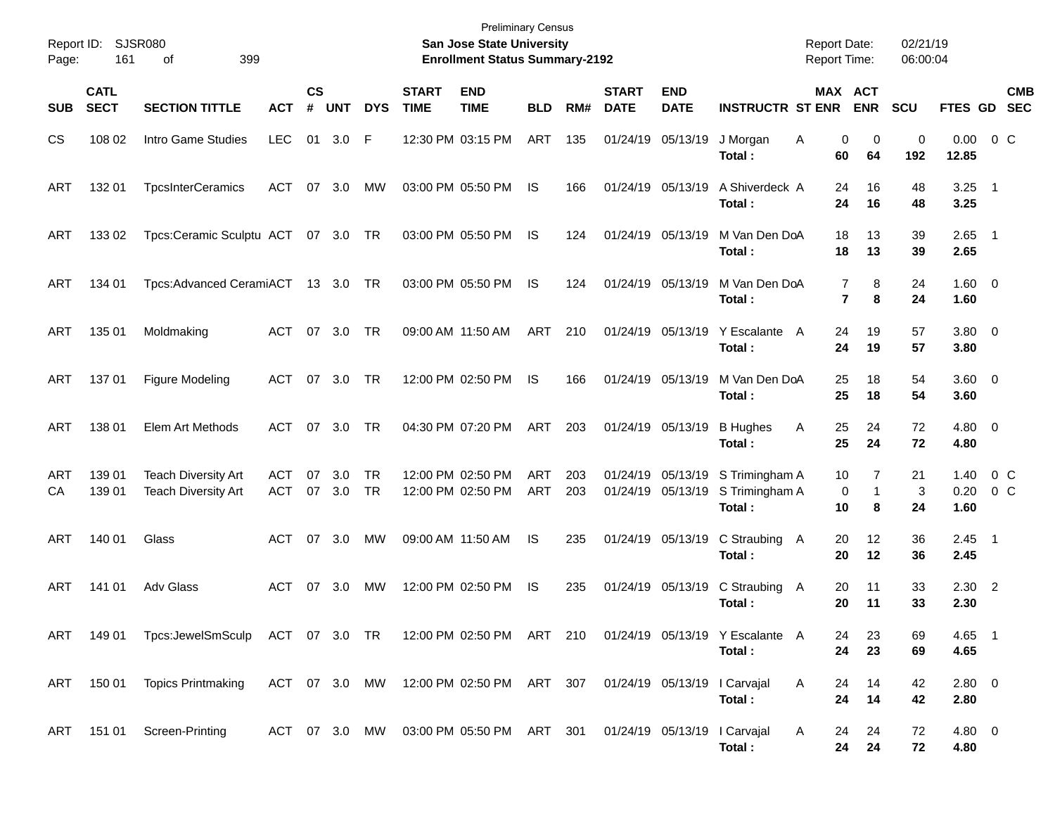| Report ID:<br>Page: | 161                        | SJSR080<br>399<br>οf                                      |                          |                |            |                        |                             | <b>Preliminary Census</b><br>San Jose State University<br><b>Enrollment Status Summary-2192</b> |                   |            |                             |                                        |                                             | <b>Report Date:</b><br><b>Report Time:</b> |                               | 02/21/19<br>06:00:04 |                        |                           |
|---------------------|----------------------------|-----------------------------------------------------------|--------------------------|----------------|------------|------------------------|-----------------------------|-------------------------------------------------------------------------------------------------|-------------------|------------|-----------------------------|----------------------------------------|---------------------------------------------|--------------------------------------------|-------------------------------|----------------------|------------------------|---------------------------|
| <b>SUB</b>          | <b>CATL</b><br><b>SECT</b> | <b>SECTION TITTLE</b>                                     | <b>ACT</b>               | <b>CS</b><br># | <b>UNT</b> | <b>DYS</b>             | <b>START</b><br><b>TIME</b> | <b>END</b><br><b>TIME</b>                                                                       | <b>BLD</b>        | RM#        | <b>START</b><br><b>DATE</b> | <b>END</b><br><b>DATE</b>              | <b>INSTRUCTR ST ENR</b>                     |                                            | <b>MAX ACT</b><br><b>ENR</b>  | <b>SCU</b>           | FTES GD                | <b>CMB</b><br><b>SEC</b>  |
| CS                  | 108 02                     | Intro Game Studies                                        | <b>LEC</b>               |                | 01 3.0     | F                      |                             | 12:30 PM 03:15 PM                                                                               | ART               | 135        |                             | 01/24/19 05/13/19                      | J Morgan<br>Total:                          | Α<br>60                                    | 0<br>0<br>64                  | 0<br>192             | 0.00<br>12.85          | $0\,$ C                   |
| ART                 | 132 01                     | <b>TpcsInterCeramics</b>                                  | ACT                      | 07             | 3.0        | MW                     |                             | 03:00 PM 05:50 PM                                                                               | IS                | 166        |                             | 01/24/19 05/13/19                      | A Shiverdeck A<br>Total :                   | 24<br>24                                   | 16<br>16                      | 48<br>48             | $3.25 \quad 1$<br>3.25 |                           |
| ART                 | 133 02                     | Tpcs:Ceramic Sculptu ACT 07 3.0 TR                        |                          |                |            |                        |                             | 03:00 PM 05:50 PM                                                                               | IS                | 124        |                             | 01/24/19 05/13/19                      | M Van Den DoA<br>Total :                    | 18<br>18                                   | 13<br>13                      | 39<br>39             | $2.65$ 1<br>2.65       |                           |
| ART                 | 134 01                     | Tpcs:Advanced CeramiACT                                   |                          |                | 13 3.0     | TR                     |                             | 03:00 PM 05:50 PM                                                                               | IS                | 124        |                             | 01/24/19 05/13/19                      | M Van Den DoA<br>Total :                    |                                            | 7<br>8<br>$\overline{7}$<br>8 | 24<br>24             | $1.60 \ 0$<br>1.60     |                           |
| ART                 | 135 01                     | Moldmaking                                                | <b>ACT</b>               | 07             | 3.0        | TR                     |                             | 09:00 AM 11:50 AM                                                                               | <b>ART</b>        | 210        |                             | 01/24/19 05/13/19                      | Y Escalante A<br>Total :                    | 24<br>24                                   | 19<br>19                      | 57<br>57             | 3.80 0<br>3.80         |                           |
| ART                 | 137 01                     | <b>Figure Modeling</b>                                    | ACT                      | 07             | 3.0        | TR                     |                             | 12:00 PM 02:50 PM                                                                               | IS                | 166        |                             | 01/24/19 05/13/19                      | M Van Den DoA<br>Total:                     | 25<br>25                                   | 18<br>18                      | 54<br>54             | 3.60 0<br>3.60         |                           |
| ART                 | 138 01                     | Elem Art Methods                                          | ACT                      | 07             | 3.0        | <b>TR</b>              |                             | 04:30 PM 07:20 PM                                                                               | ART               | 203        |                             | 01/24/19 05/13/19                      | <b>B</b> Hughes<br>Total:                   | 25<br>Α<br>25                              | 24<br>24                      | 72<br>72             | $4.80\ 0$<br>4.80      |                           |
| ART<br>CA           | 139 01<br>139 01           | <b>Teach Diversity Art</b><br><b>Teach Diversity Art</b>  | <b>ACT</b><br><b>ACT</b> | 07<br>07       | 3.0<br>3.0 | <b>TR</b><br><b>TR</b> |                             | 12:00 PM 02:50 PM<br>12:00 PM 02:50 PM                                                          | ART<br><b>ART</b> | 203<br>203 |                             | 01/24/19 05/13/19<br>01/24/19 05/13/19 | S Trimingham A<br>S Trimingham A<br>Total : | 10<br>10                                   | 7<br>0<br>$\mathbf 1$<br>8    | 21<br>3<br>24        | 1.40<br>0.20<br>1.60   | 0 <sup>o</sup><br>$0\,$ C |
| ART                 | 140 01                     | Glass                                                     | <b>ACT</b>               | 07             | 3.0        | МW                     |                             | 09:00 AM 11:50 AM                                                                               | IS                | 235        |                             | 01/24/19 05/13/19                      | C Straubing<br>Total :                      | 20<br>A<br>20                              | 12<br>12                      | 36<br>36             | $2.45$ 1<br>2.45       |                           |
| ART                 | 141 01                     | <b>Adv Glass</b>                                          | <b>ACT</b>               | 07             | 3.0        | МW                     |                             | 12:00 PM 02:50 PM                                                                               | IS                | 235        |                             | 01/24/19 05/13/19                      | C Straubing<br>Total :                      | 20<br>A<br>20                              | 11<br>11                      | 33<br>33             | $2.30$ 2<br>2.30       |                           |
| ART                 | 149 01                     | Tpcs:JewelSmSculp ACT 07 3.0 TR 12:00 PM 02:50 PM ART 210 |                          |                |            |                        |                             |                                                                                                 |                   |            |                             |                                        | 01/24/19 05/13/19 Y Escalante A<br>Total:   | 24<br>24                                   | 23<br>23                      | 69<br>69             | 4.65 1<br>4.65         |                           |
| ART                 | 150 01                     | <b>Topics Printmaking</b>                                 |                          |                |            |                        |                             | ACT 07 3.0 MW 12:00 PM 02:50 PM ART 307 01/24/19 05/13/19 I Carvajal                            |                   |            |                             |                                        | Total:                                      | A<br>24<br>24                              | 14<br>14                      | 42<br>42             | 2.80 0<br>2.80         |                           |
|                     |                            | ART 151 01 Screen-Printing                                |                          |                |            |                        |                             | ACT 07 3.0 MW 03:00 PM 05:50 PM ART 301 01/24/19 05/13/19 I Carvajal                            |                   |            |                             |                                        | Total:                                      | A<br>24<br>24                              | 24<br>24                      | 72<br>72             | $4.80\ 0$<br>4.80      |                           |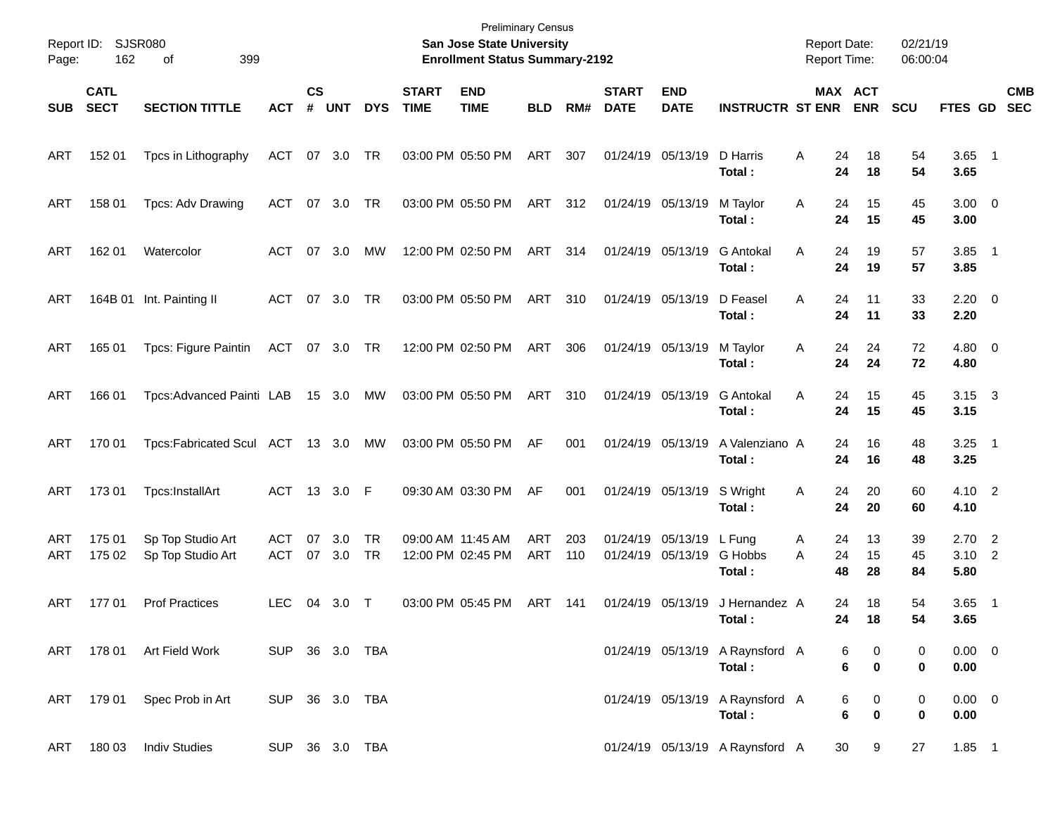| Page:      | Report ID: SJSR080<br>162  | 399<br>οf                              |                   |                             |               |            |                             | <b>Preliminary Census</b><br>San Jose State University<br><b>Enrollment Status Summary-2192</b> |            |            |                             |                                        |                                           | <b>Report Date:</b><br><b>Report Time:</b> |                       | 02/21/19<br>06:00:04 |                              |            |
|------------|----------------------------|----------------------------------------|-------------------|-----------------------------|---------------|------------|-----------------------------|-------------------------------------------------------------------------------------------------|------------|------------|-----------------------------|----------------------------------------|-------------------------------------------|--------------------------------------------|-----------------------|----------------------|------------------------------|------------|
| <b>SUB</b> | <b>CATL</b><br><b>SECT</b> | <b>SECTION TITTLE</b>                  | <b>ACT</b>        | $\mathsf{cs}$<br>$\pmb{\#}$ | <b>UNT</b>    | <b>DYS</b> | <b>START</b><br><b>TIME</b> | <b>END</b><br><b>TIME</b>                                                                       | <b>BLD</b> | RM#        | <b>START</b><br><b>DATE</b> | <b>END</b><br><b>DATE</b>              | <b>INSTRUCTR ST ENR</b>                   |                                            | MAX ACT<br><b>ENR</b> | <b>SCU</b>           | FTES GD SEC                  | <b>CMB</b> |
| ART        | 152 01                     | Tpcs in Lithography                    | ACT               |                             | 07 3.0        | TR         |                             | 03:00 PM 05:50 PM                                                                               | ART        | 307        |                             | 01/24/19 05/13/19                      | D Harris<br>Total:                        | 24<br>A                                    | 18<br>24<br>18        | 54<br>54             | $3.65$ 1<br>3.65             |            |
| ART        | 158 01                     | Tpcs: Adv Drawing                      | ACT               | 07                          | 3.0           | TR         |                             | 03:00 PM 05:50 PM                                                                               | ART        | 312        |                             | 01/24/19 05/13/19                      | M Taylor<br>Total:                        | 24<br>A                                    | 15<br>15<br>24        | 45<br>45             | $3.00 \ 0$<br>3.00           |            |
| ART        | 162 01                     | Watercolor                             | ACT               | 07                          | 3.0           | МW         |                             | 12:00 PM 02:50 PM                                                                               | ART        | 314        |                             | 01/24/19 05/13/19                      | <b>G</b> Antokal<br>Total:                | 24<br>A<br>24                              | 19<br>19              | 57<br>57             | $3.85$ 1<br>3.85             |            |
| ART        |                            | 164B 01 Int. Painting II               | ACT               | 07                          | 3.0           | TR         |                             | 03:00 PM 05:50 PM                                                                               | ART        | 310        |                             | 01/24/19 05/13/19                      | D Feasel<br>Total:                        | Α<br>24<br>24                              | 11<br>11              | 33<br>33             | $2.20 \t 0$<br>2.20          |            |
| ART        | 165 01                     | Tpcs: Figure Paintin                   | ACT 07 3.0        |                             |               | TR         |                             | 12:00 PM 02:50 PM                                                                               | ART        | 306        |                             | 01/24/19 05/13/19                      | M Taylor<br>Total:                        | A                                          | 24<br>24<br>24<br>24  | 72<br>72             | $4.80\ 0$<br>4.80            |            |
| ART        | 166 01                     | Tpcs: Advanced Painti LAB              |                   |                             | 15 3.0        | МW         |                             | 03:00 PM 05:50 PM                                                                               | ART        | 310        |                             | 01/24/19 05/13/19                      | <b>G</b> Antokal<br>Total:                | Α<br>24                                    | 15<br>24<br>15        | 45<br>45             | $3.15 \quad 3$<br>3.15       |            |
| ART        | 170 01                     | Tpcs:Fabricated Scul ACT 13 3.0        |                   |                             |               | MW         |                             | 03:00 PM 05:50 PM                                                                               | AF         | 001        |                             | 01/24/19 05/13/19                      | A Valenziano A<br>Total:                  | 24<br>24                                   | 16<br>16              | 48<br>48             | $3.25$ 1<br>3.25             |            |
| ART        | 173 01                     | Tpcs:InstallArt                        | ACT 13 3.0        |                             |               | - F        |                             | 09:30 AM 03:30 PM                                                                               | AF         | 001        |                             | 01/24/19 05/13/19                      | S Wright<br>Total:                        | 24<br>A<br>24                              | 20<br>20              | 60<br>60             | 4.10 2<br>4.10               |            |
| ART<br>ART | 175 01<br>175 02           | Sp Top Studio Art<br>Sp Top Studio Art | ACT<br><b>ACT</b> | 07                          | 3.0<br>07 3.0 | TR<br>TR   |                             | 09:00 AM 11:45 AM<br>12:00 PM 02:45 PM                                                          | ART<br>ART | 203<br>110 |                             | 01/24/19 05/13/19<br>01/24/19 05/13/19 | L Fung<br>G Hobbs<br>Total :              | 24<br>A<br>24<br>A<br>48                   | 13<br>15<br>28        | 39<br>45<br>84       | $2.70$ 2<br>$3.10$ 2<br>5.80 |            |
| ART        | 17701                      | <b>Prof Practices</b>                  | <b>LEC</b>        | 04                          | 3.0           | $\top$     |                             | 03:00 PM 05:45 PM                                                                               | ART        | 141        |                             | 01/24/19 05/13/19                      | J Hernandez A<br>Total:                   | 24                                         | 18<br>24<br>18        | 54<br>54             | $3.65$ 1<br>3.65             |            |
|            |                            | ART 178 01 Art Field Work              | SUP 36 3.0 TBA    |                             |               |            |                             |                                                                                                 |            |            |                             |                                        | 01/24/19 05/13/19 A Raynsford A<br>Total: |                                            | 0<br>6<br>6<br>0      | 0<br>0               | $0.00 \t 0$<br>0.00          |            |
| ART        |                            | 179 01 Spec Prob in Art                | SUP 36 3.0 TBA    |                             |               |            |                             |                                                                                                 |            |            |                             |                                        | 01/24/19 05/13/19 A Raynsford A<br>Total: |                                            | 6<br>0<br>6<br>0      | 0<br>0               | $0.00 \t 0$<br>0.00          |            |
| ART        |                            | 180 03 Indiv Studies                   | SUP 36 3.0 TBA    |                             |               |            |                             |                                                                                                 |            |            |                             |                                        | 01/24/19 05/13/19 A Raynsford A           |                                            | 30<br>9               | 27                   | $1.85$ 1                     |            |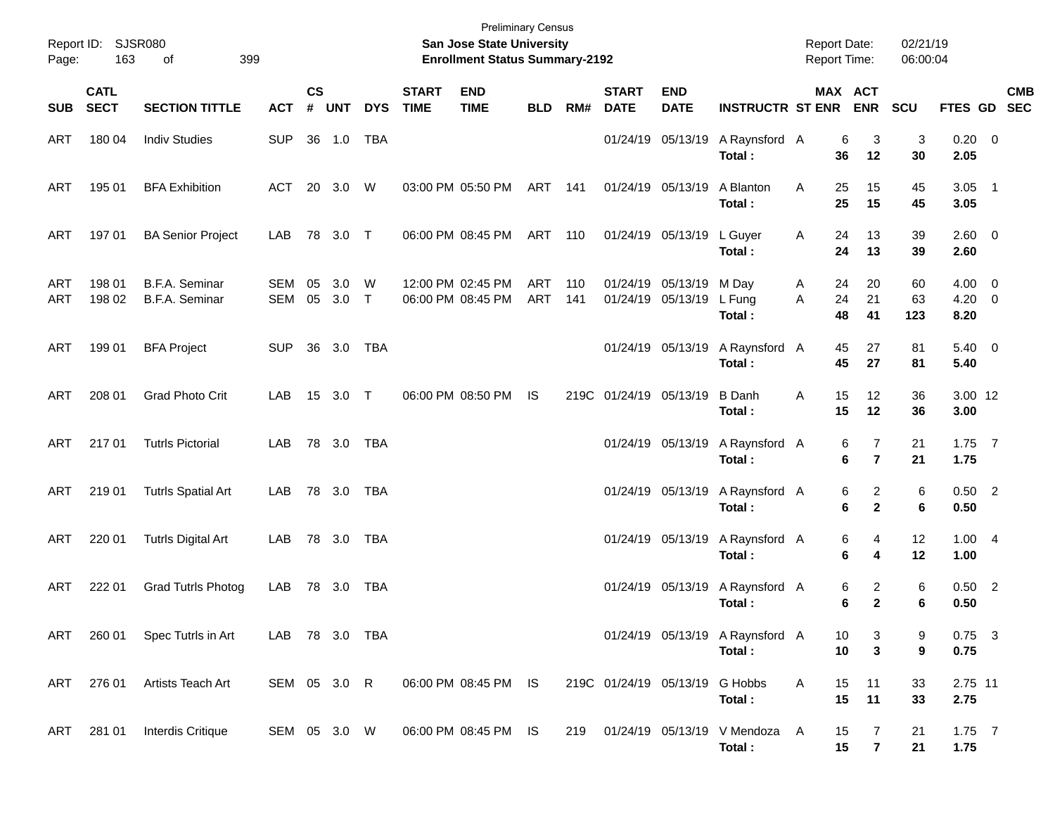| Page:      | Report ID: SJSR080<br>163  | 399<br>οf                               |                |                             |                |            |                             | <b>Preliminary Census</b><br>San Jose State University<br><b>Enrollment Status Summary-2192</b> |            |            |                             |                                        |                                           | <b>Report Date:</b><br><b>Report Time:</b> |                                            | 02/21/19<br>06:00:04 |                                  |            |
|------------|----------------------------|-----------------------------------------|----------------|-----------------------------|----------------|------------|-----------------------------|-------------------------------------------------------------------------------------------------|------------|------------|-----------------------------|----------------------------------------|-------------------------------------------|--------------------------------------------|--------------------------------------------|----------------------|----------------------------------|------------|
| <b>SUB</b> | <b>CATL</b><br><b>SECT</b> | <b>SECTION TITTLE</b>                   | <b>ACT</b>     | $\mathsf{cs}$<br>$\pmb{\#}$ | <b>UNT</b>     | <b>DYS</b> | <b>START</b><br><b>TIME</b> | <b>END</b><br><b>TIME</b>                                                                       | <b>BLD</b> | RM#        | <b>START</b><br><b>DATE</b> | <b>END</b><br><b>DATE</b>              | <b>INSTRUCTR ST ENR</b>                   |                                            | MAX ACT<br><b>ENR</b>                      | SCU                  | FTES GD SEC                      | <b>CMB</b> |
| ART        | 180 04                     | <b>Indiv Studies</b>                    | <b>SUP</b>     | 36                          | 1.0            | <b>TBA</b> |                             |                                                                                                 |            |            |                             | 01/24/19 05/13/19                      | A Raynsford A<br>Total:                   |                                            | 3<br>6<br>12<br>36                         | 3<br>30              | $0.20 \ 0$<br>2.05               |            |
| ART        | 195 01                     | <b>BFA Exhibition</b>                   | <b>ACT</b>     |                             | 20 3.0         | W          |                             | 03:00 PM 05:50 PM                                                                               | ART 141    |            |                             | 01/24/19 05/13/19                      | A Blanton<br>Total:                       | A                                          | 25<br>15<br>25<br>15                       | 45<br>45             | $3.05$ 1<br>3.05                 |            |
| ART        | 197 01                     | <b>BA Senior Project</b>                | LAB            | 78                          | 3.0 T          |            |                             | 06:00 PM 08:45 PM                                                                               | ART 110    |            |                             | 01/24/19 05/13/19                      | L Guyer<br>Total:                         | Α                                          | 24<br>13<br>24<br>13                       | 39<br>39             | 2.60 0<br>2.60                   |            |
| ART<br>ART | 198 01<br>198 02           | B.F.A. Seminar<br><b>B.F.A. Seminar</b> | SEM<br>SEM     | 05<br>05                    | 3.0<br>$3.0$ T | W          |                             | 12:00 PM 02:45 PM<br>06:00 PM 08:45 PM                                                          | ART<br>ART | 110<br>141 |                             | 01/24/19 05/13/19<br>01/24/19 05/13/19 | M Day<br>L Fung<br>Total:                 | A<br>A                                     | 20<br>24<br>24<br>21<br>48<br>41           | 60<br>63<br>123      | $4.00 \ 0$<br>$4.20 \ 0$<br>8.20 |            |
| ART        | 199 01                     | <b>BFA Project</b>                      | <b>SUP</b>     | 36                          | 3.0            | <b>TBA</b> |                             |                                                                                                 |            |            |                             | 01/24/19 05/13/19                      | A Raynsford A<br>Total:                   |                                            | 27<br>45<br>45<br>27                       | 81<br>81             | $5.40 \ 0$<br>5.40               |            |
| ART        | 208 01                     | <b>Grad Photo Crit</b>                  | LAB            |                             | 15 3.0 T       |            |                             | 06:00 PM 08:50 PM                                                                               | IS         |            | 219C 01/24/19 05/13/19      |                                        | <b>B</b> Danh<br>Total:                   | Α                                          | 15<br>12<br>15<br>12                       | 36<br>36             | 3.00 12<br>3.00                  |            |
| ART        | 21701                      | <b>Tutrls Pictorial</b>                 | LAB            |                             | 78 3.0         | <b>TBA</b> |                             |                                                                                                 |            |            |                             | 01/24/19 05/13/19                      | A Raynsford A<br>Total:                   |                                            | 7<br>6<br>$\overline{\mathbf{r}}$<br>6     | 21<br>21             | $1.75$ 7<br>1.75                 |            |
| ART        | 219 01                     | <b>Tutrls Spatial Art</b>               | LAB            |                             | 78 3.0         | TBA        |                             |                                                                                                 |            |            |                             | 01/24/19 05/13/19                      | A Raynsford A<br>Total:                   |                                            | $\overline{c}$<br>6<br>6<br>$\overline{2}$ | 6<br>6               | $0.50$ 2<br>0.50                 |            |
| ART        | 220 01                     | <b>Tutrls Digital Art</b>               | LAB            |                             | 78 3.0         | TBA        |                             |                                                                                                 |            |            |                             | 01/24/19 05/13/19                      | A Raynsford A<br>Total:                   |                                            | 6<br>4<br>6<br>4                           | 12<br>12             | 1.004<br>1.00                    |            |
| ART        | 222 01                     | <b>Grad Tutrls Photog</b>               | LAB            |                             | 78 3.0         | TBA        |                             |                                                                                                 |            |            |                             | 01/24/19 05/13/19                      | A Raynsford A<br>Total:                   |                                            | $\overline{c}$<br>6<br>6<br>$\overline{2}$ | 6<br>6               | $0.50$ 2<br>0.50                 |            |
| ART        | 260 01                     | Spec Tutrls in Art                      | LAB 78 3.0 TBA |                             |                |            |                             |                                                                                                 |            |            |                             |                                        | 01/24/19 05/13/19 A Raynsford A<br>Total: |                                            | 10<br>3<br>10<br>3                         | 9<br>9               | $0.75$ 3<br>0.75                 |            |
| ART        | 276 01                     | Artists Teach Art                       | SEM 05 3.0 R   |                             |                |            |                             | 06:00 PM 08:45 PM IS                                                                            |            |            |                             | 219C 01/24/19 05/13/19 G Hobbs         | Total:                                    | A                                          | 15<br>11<br>15<br>11                       | 33<br>33             | 2.75 11<br>2.75                  |            |
| ART        | 281 01                     | <b>Interdis Critique</b>                | SEM 05 3.0 W   |                             |                |            |                             | 06:00 PM 08:45 PM IS                                                                            |            | 219        |                             |                                        | 01/24/19 05/13/19 V Mendoza A<br>Total:   |                                            | 15<br>7<br>15<br>$\overline{7}$            | 21<br>21             | $1.75$ 7<br>1.75                 |            |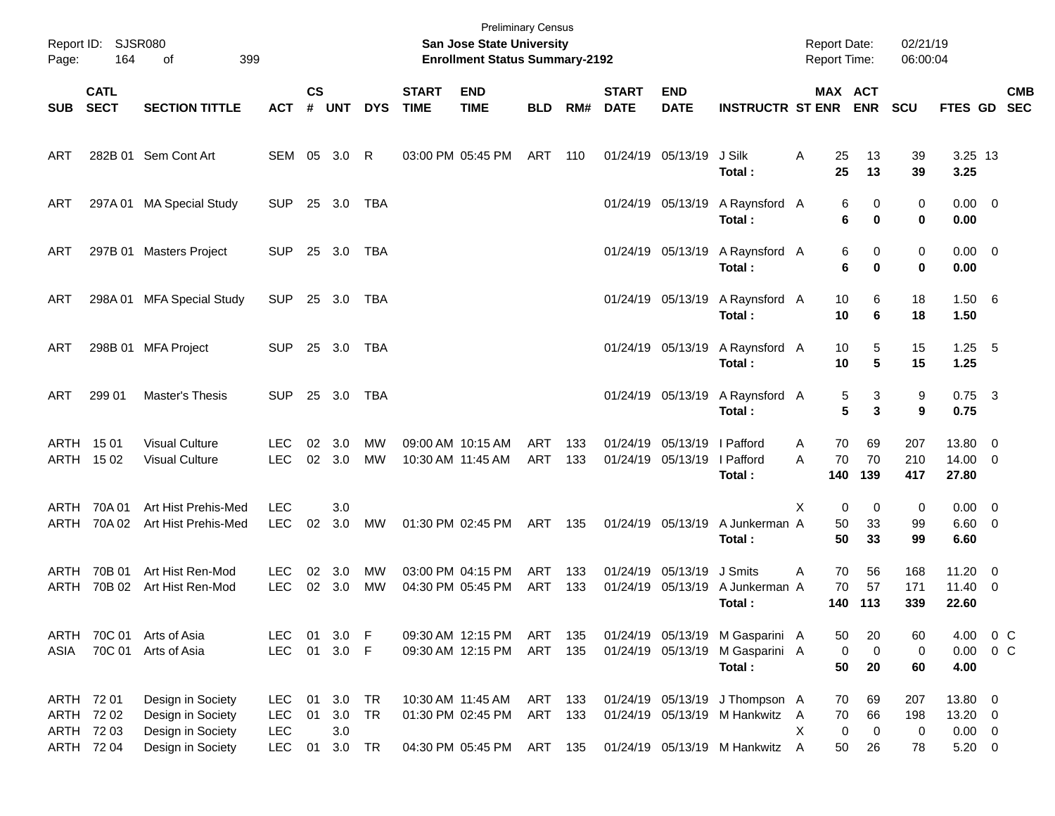| Page:               | Report ID: SJSR080<br>164                       | 399<br>οf                                                                        |                                                  |                    |                             |                        |                             | <b>Preliminary Census</b><br>San Jose State University<br><b>Enrollment Status Summary-2192</b> |                   |              |                             |                                        |                                                                                                    |        | <b>Report Date:</b><br><b>Report Time:</b> |                               | 02/21/19<br>06:00:04  |                                                  |                                                    |            |
|---------------------|-------------------------------------------------|----------------------------------------------------------------------------------|--------------------------------------------------|--------------------|-----------------------------|------------------------|-----------------------------|-------------------------------------------------------------------------------------------------|-------------------|--------------|-----------------------------|----------------------------------------|----------------------------------------------------------------------------------------------------|--------|--------------------------------------------|-------------------------------|-----------------------|--------------------------------------------------|----------------------------------------------------|------------|
| <b>SUB</b>          | <b>CATL</b><br><b>SECT</b>                      | <b>SECTION TITTLE</b>                                                            | <b>ACT</b>                                       | $\mathsf{cs}$<br># | <b>UNT</b>                  | <b>DYS</b>             | <b>START</b><br><b>TIME</b> | <b>END</b><br><b>TIME</b>                                                                       | <b>BLD</b>        | RM#          | <b>START</b><br><b>DATE</b> | <b>END</b><br><b>DATE</b>              | <b>INSTRUCTR ST ENR</b>                                                                            |        | <b>MAX ACT</b>                             | <b>ENR</b>                    | <b>SCU</b>            | FTES GD SEC                                      |                                                    | <b>CMB</b> |
| ART                 |                                                 | 282B 01 Sem Cont Art                                                             | SEM 05                                           |                    | 3.0                         | R                      |                             | 03:00 PM 05:45 PM                                                                               | ART               | 110          |                             | 01/24/19 05/13/19                      | J Silk<br>Total :                                                                                  | Α      | 25<br>25                                   | 13<br>13                      | 39<br>39              | 3.25 13<br>3.25                                  |                                                    |            |
| ART                 | 297A01                                          | <b>MA Special Study</b>                                                          | <b>SUP</b>                                       |                    | 25 3.0                      | TBA                    |                             |                                                                                                 |                   |              |                             | 01/24/19 05/13/19                      | A Raynsford A<br>Total:                                                                            |        | 6<br>6                                     | 0<br>$\mathbf 0$              | 0<br>$\mathbf 0$      | $0.00 \t 0$<br>0.00                              |                                                    |            |
| ART                 |                                                 | 297B 01 Masters Project                                                          | <b>SUP</b>                                       |                    | 25 3.0                      | TBA                    |                             |                                                                                                 |                   |              |                             | 01/24/19 05/13/19                      | A Raynsford A<br>Total:                                                                            |        | 6<br>6                                     | 0<br>0                        | 0<br>$\mathbf 0$      | $0.00 \t 0$<br>0.00                              |                                                    |            |
| ART                 | 298A01                                          | <b>MFA Special Study</b>                                                         | <b>SUP</b>                                       |                    | 25 3.0                      | TBA                    |                             |                                                                                                 |                   |              |                             | 01/24/19 05/13/19                      | A Raynsford A<br>Total:                                                                            |        | 10<br>10                                   | 6<br>6                        | 18<br>18              | $1.50\quad 6$<br>1.50                            |                                                    |            |
| ART                 |                                                 | 298B 01 MFA Project                                                              | <b>SUP</b>                                       |                    | 25 3.0                      | TBA                    |                             |                                                                                                 |                   |              |                             | 01/24/19 05/13/19                      | A Raynsford A<br>Total :                                                                           |        | 10<br>10                                   | 5<br>5                        | 15<br>15              | $1.25$ 5<br>1.25                                 |                                                    |            |
| ART                 | 299 01                                          | Master's Thesis                                                                  | <b>SUP</b>                                       |                    | 25 3.0                      | TBA                    |                             |                                                                                                 |                   |              |                             | 01/24/19 05/13/19                      | A Raynsford A<br>Total:                                                                            |        | 5<br>5                                     | 3<br>3                        | 9<br>9                | $0.75$ 3<br>0.75                                 |                                                    |            |
| <b>ARTH</b><br>ARTH | 15 01<br>15 02                                  | <b>Visual Culture</b><br><b>Visual Culture</b>                                   | LEC.<br><b>LEC</b>                               | 02                 | 3.0<br>02 3.0               | <b>MW</b><br><b>MW</b> |                             | 09:00 AM 10:15 AM<br>10:30 AM 11:45 AM                                                          | <b>ART</b><br>ART | 133<br>133   |                             | 01/24/19 05/13/19<br>01/24/19 05/13/19 | I Pafford<br>I Pafford<br>Total:                                                                   | A<br>A | 70<br>70<br>140                            | 69<br>70<br>139               | 207<br>210<br>417     | 13.80<br>14.00<br>27.80                          | $\overline{\mathbf{0}}$<br>$\overline{\mathbf{0}}$ |            |
| ARTH<br>ARTH        | 70A 01<br>70A 02                                | Art Hist Prehis-Med<br>Art Hist Prehis-Med                                       | <b>LEC</b><br><b>LEC</b>                         | 02                 | 3.0<br>3.0                  | MW                     |                             | 01:30 PM 02:45 PM                                                                               | ART               | 135          |                             | 01/24/19 05/13/19                      | A Junkerman A<br>Total:                                                                            | X      | 0<br>50<br>50                              | 0<br>33<br>33                 | 0<br>99<br>99         | $0.00 \t 0$<br>6.60<br>6.60                      | $\overline{\mathbf{0}}$                            |            |
| ARTH<br>ARTH        | 70B 01<br>70B 02                                | Art Hist Ren-Mod<br>Art Hist Ren-Mod                                             | <b>LEC</b><br><b>LEC</b>                         | 02                 | 3.0<br>02 3.0               | МW<br><b>MW</b>        |                             | 03:00 PM 04:15 PM<br>04:30 PM 05:45 PM                                                          | ART<br>ART        | 133<br>133   |                             | 01/24/19 05/13/19<br>01/24/19 05/13/19 | J Smits<br>A Junkerman A<br>Total :                                                                | Α      | 70<br>70<br>140                            | 56<br>57<br>113               | 168<br>171<br>339     | 11.20<br>11.40<br>22.60                          | $\overline{\mathbf{0}}$<br>$\overline{\mathbf{0}}$ |            |
| ARTH<br>ASIA        | 70C 01                                          | 70C 01 Arts of Asia<br>Arts of Asia                                              | LEC.<br><b>LEC</b>                               | 01<br>01           | 3.0<br>$3.0$ F              | - F                    |                             | 09:30 AM 12:15 PM<br>09:30 AM 12:15 PM                                                          | ART<br>ART        | - 135<br>135 |                             | 01/24/19 05/13/19                      | 01/24/19 05/13/19 M Gasparini A<br>M Gasparini A<br>Total:                                         |        | 50<br>0<br>50                              | 20<br>0<br>20                 | 60<br>0<br>60         | 4.00<br>0.00<br>4.00                             | 0 <sup>o</sup><br>$0\,C$                           |            |
| ARTH                | ARTH 72 01<br>72 02<br>ARTH 72 03<br>ARTH 72 04 | Design in Society<br>Design in Society<br>Design in Society<br>Design in Society | <b>LEC</b><br><b>LEC</b><br><b>LEC</b><br>LEC 01 | 01<br>01           | 3.0<br>3.0<br>3.0<br>3.0 TR | TR<br><b>TR</b>        |                             | 10:30 AM 11:45 AM<br>01:30 PM 02:45 PM<br>04:30 PM 05:45 PM ART 135                             | ART 133<br>ART    | 133          |                             |                                        | 01/24/19 05/13/19 J Thompson A<br>01/24/19 05/13/19 M Hankwitz A<br>01/24/19 05/13/19 M Hankwitz A | X      | 70<br>70<br>0<br>50                        | 69<br>66<br>$\mathbf 0$<br>26 | 207<br>198<br>0<br>78 | 13.80 0<br>13.20 0<br>$0.00 \t 0$<br>$5.20 \t 0$ |                                                    |            |
|                     |                                                 |                                                                                  |                                                  |                    |                             |                        |                             |                                                                                                 |                   |              |                             |                                        |                                                                                                    |        |                                            |                               |                       |                                                  |                                                    |            |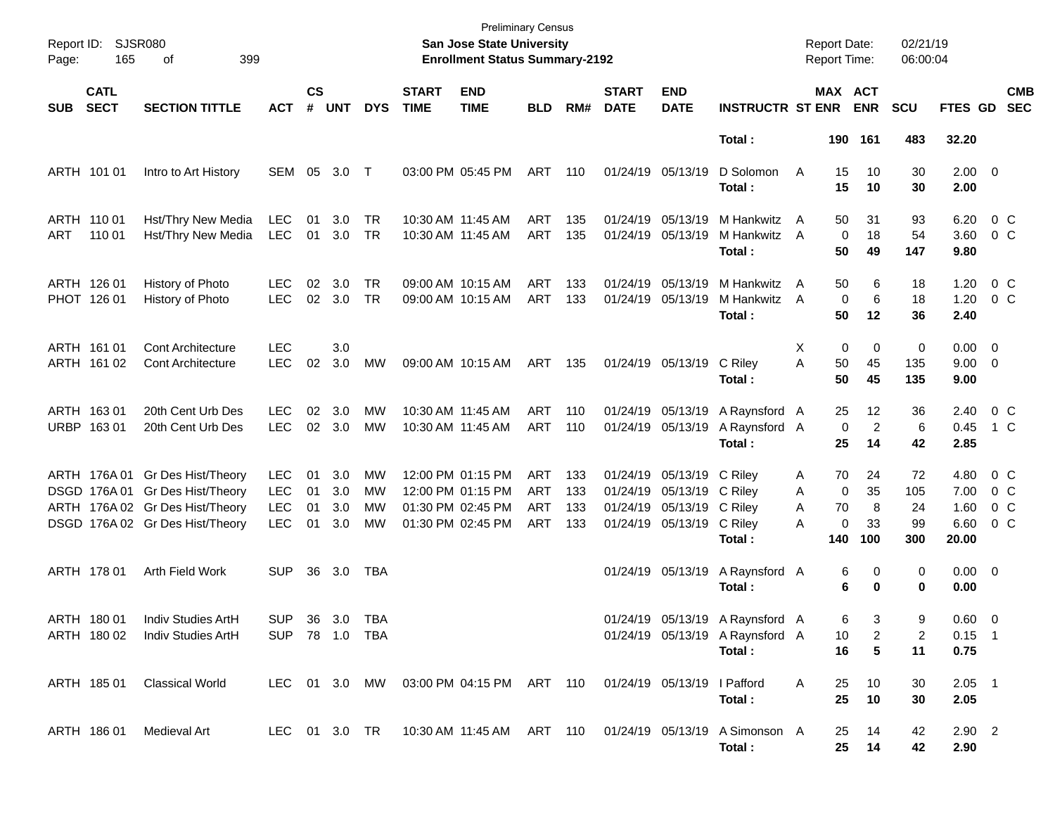| Report ID:<br>Page: | <b>SJSR080</b><br>165      | 399<br>οf                                                                                                                                |                                                      |                      |                          |                        |                             | <b>Preliminary Census</b><br>San Jose State University<br><b>Enrollment Status Summary-2192</b> |                                 |                          |                                        |                                                                                                  |                                                                              | <b>Report Date:</b><br>Report Time: |                           |                                   | 02/21/19<br>06:00:04         |                                       |                                               |                          |
|---------------------|----------------------------|------------------------------------------------------------------------------------------------------------------------------------------|------------------------------------------------------|----------------------|--------------------------|------------------------|-----------------------------|-------------------------------------------------------------------------------------------------|---------------------------------|--------------------------|----------------------------------------|--------------------------------------------------------------------------------------------------|------------------------------------------------------------------------------|-------------------------------------|---------------------------|-----------------------------------|------------------------------|---------------------------------------|-----------------------------------------------|--------------------------|
| <b>SUB</b>          | <b>CATL</b><br><b>SECT</b> | <b>SECTION TITTLE</b>                                                                                                                    | ACT                                                  | $\mathsf{cs}$<br>#   | <b>UNT</b>               | <b>DYS</b>             | <b>START</b><br><b>TIME</b> | <b>END</b><br><b>TIME</b>                                                                       | <b>BLD</b>                      | RM#                      | <b>START</b><br><b>DATE</b>            | <b>END</b><br><b>DATE</b>                                                                        | <b>INSTRUCTR ST ENR</b>                                                      |                                     |                           | <b>MAX ACT</b><br><b>ENR</b>      | <b>SCU</b>                   | FTES GD                               |                                               | <b>CMB</b><br><b>SEC</b> |
|                     |                            |                                                                                                                                          |                                                      |                      |                          |                        |                             |                                                                                                 |                                 |                          |                                        |                                                                                                  | Total:                                                                       |                                     |                           | 190 161                           | 483                          | 32.20                                 |                                               |                          |
|                     | ARTH 101 01                | Intro to Art History                                                                                                                     | SEM                                                  | 05                   | 3.0                      | $\top$                 |                             | 03:00 PM 05:45 PM                                                                               | ART                             | - 110                    | 01/24/19 05/13/19                      |                                                                                                  | D Solomon<br>Total:                                                          | A                                   | 15<br>15                  | 10<br>10                          | 30<br>30                     | $2.00 \t 0$<br>2.00                   |                                               |                          |
| ART                 | ARTH 110 01<br>110 01      | Hst/Thry New Media<br>Hst/Thry New Media                                                                                                 | <b>LEC</b><br><b>LEC</b>                             | 01<br>01             | 3.0<br>3.0               | TR<br><b>TR</b>        |                             | 10:30 AM 11:45 AM<br>10:30 AM 11:45 AM                                                          | ART<br>ART                      | 135<br>135               | 01/24/19 05/13/19                      | 01/24/19 05/13/19                                                                                | M Hankwitz<br>M Hankwitz<br>Total:                                           | A<br>A                              | 50<br>$\mathbf 0$<br>50   | 31<br>18<br>49                    | 93<br>54<br>147              | 6.20<br>3.60<br>9.80                  | $0\,C$<br>$0\,C$                              |                          |
|                     | ARTH 126 01<br>PHOT 126 01 | History of Photo<br>History of Photo                                                                                                     | LEC.<br><b>LEC</b>                                   | 02<br>02             | 3.0<br>3.0               | TR.<br><b>TR</b>       |                             | 09:00 AM 10:15 AM<br>09:00 AM 10:15 AM                                                          | ART<br>ART                      | 133<br>133               | 01/24/19 05/13/19                      | 01/24/19 05/13/19                                                                                | M Hankwitz<br>M Hankwitz<br>Total:                                           | A<br>A                              | 50<br>$\Omega$<br>50      | 6<br>6<br>12                      | 18<br>18<br>36               | 1.20<br>1.20<br>2.40                  | $0\,C$<br>$0\,C$                              |                          |
|                     | ARTH 161 01<br>ARTH 161 02 | <b>Cont Architecture</b><br><b>Cont Architecture</b>                                                                                     | <b>LEC</b><br><b>LEC</b>                             | 02                   | 3.0<br>3.0               | МW                     |                             | 09:00 AM 10:15 AM                                                                               | ART                             | 135                      |                                        | 01/24/19 05/13/19                                                                                | C Riley<br>Total:                                                            | X<br>A                              | 0<br>50<br>50             | 0<br>45<br>45                     | 0<br>135<br>135              | $0.00 \t 0$<br>$9.00 \t 0$<br>9.00    |                                               |                          |
|                     | ARTH 163 01<br>URBP 16301  | 20th Cent Urb Des<br>20th Cent Urb Des                                                                                                   | LEC.<br><b>LEC</b>                                   | 02<br>02             | 3.0<br>3.0               | <b>MW</b><br><b>MW</b> |                             | 10:30 AM 11:45 AM<br>10:30 AM 11:45 AM                                                          | ART<br>ART                      | 110<br>110               | 01/24/19 05/13/19<br>01/24/19 05/13/19 |                                                                                                  | A Raynsford A<br>A Raynsford A<br>Total:                                     |                                     | 25<br>$\mathbf 0$<br>25   | 12<br>$\overline{c}$<br>14        | 36<br>6<br>42                | 2.40<br>0.45<br>2.85                  | $0\,$ C<br>1 C                                |                          |
|                     |                            | ARTH 176A 01 Gr Des Hist/Theory<br>DSGD 176A 01 Gr Des Hist/Theory<br>ARTH 176A 02 Gr Des Hist/Theory<br>DSGD 176A 02 Gr Des Hist/Theory | <b>LEC</b><br><b>LEC</b><br><b>LEC</b><br><b>LEC</b> | 01<br>01<br>01<br>01 | 3.0<br>3.0<br>3.0<br>3.0 | MW<br>MW<br>MW<br>MW   |                             | 12:00 PM 01:15 PM<br>12:00 PM 01:15 PM<br>01:30 PM 02:45 PM<br>01:30 PM 02:45 PM                | ART<br>ART<br><b>ART</b><br>ART | 133<br>133<br>133<br>133 |                                        | 01/24/19 05/13/19 C Riley<br>01/24/19 05/13/19<br>01/24/19 05/13/19<br>01/24/19 05/13/19 C Riley | C Riley<br>C Riley<br>Total:                                                 | Α<br>A<br>A<br>А                    | 70<br>0<br>70<br>0<br>140 | 24<br>35<br>8<br>33<br>100        | 72<br>105<br>24<br>99<br>300 | 4.80<br>7.00<br>1.60<br>6.60<br>20.00 | $0\,C$<br>$0\,C$<br>$0\,$ C<br>0 <sup>o</sup> |                          |
|                     | ARTH 178 01                | Arth Field Work                                                                                                                          | <b>SUP</b>                                           | 36                   | 3.0                      | TBA                    |                             |                                                                                                 |                                 |                          | 01/24/19 05/13/19                      |                                                                                                  | A Raynsford A<br>Total:                                                      |                                     | 6<br>6                    | 0<br>0                            | 0<br>0                       | $0.00 \t 0$<br>0.00                   |                                               |                          |
|                     | ARTH 180 01<br>ARTH 180 02 | Indiv Studies ArtH<br>Indiv Studies ArtH                                                                                                 | SUP<br>SUP 78 1.0 TBA                                |                      | 36 3.0 TBA               |                        |                             |                                                                                                 |                                 |                          |                                        |                                                                                                  | 01/24/19 05/13/19 A Raynsford A<br>01/24/19 05/13/19 A Raynsford A<br>Total: |                                     | 6<br>10<br>16             | 3<br>$\overline{\mathbf{c}}$<br>5 | 9<br>2<br>11                 | $0.60 \t 0$<br>$0.15$ 1<br>0.75       |                                               |                          |
|                     | ARTH 185 01                | <b>Classical World</b>                                                                                                                   | LEC 01 3.0 MW                                        |                      |                          |                        |                             | 03:00 PM 04:15 PM ART 110                                                                       |                                 |                          | 01/24/19 05/13/19                      |                                                                                                  | I Pafford<br>Total:                                                          | Α                                   | 25<br>25                  | 10<br>10                          | 30<br>30                     | $2.05$ 1<br>2.05                      |                                               |                          |
|                     | ARTH 186 01                | Medieval Art                                                                                                                             | LEC 01 3.0 TR                                        |                      |                          |                        |                             | 10:30 AM 11:45 AM ART 110                                                                       |                                 |                          | 01/24/19 05/13/19                      |                                                                                                  | A Simonson A<br>Total:                                                       |                                     | 25<br>25                  | 14<br>14                          | 42<br>42                     | $2.90$ 2<br>2.90                      |                                               |                          |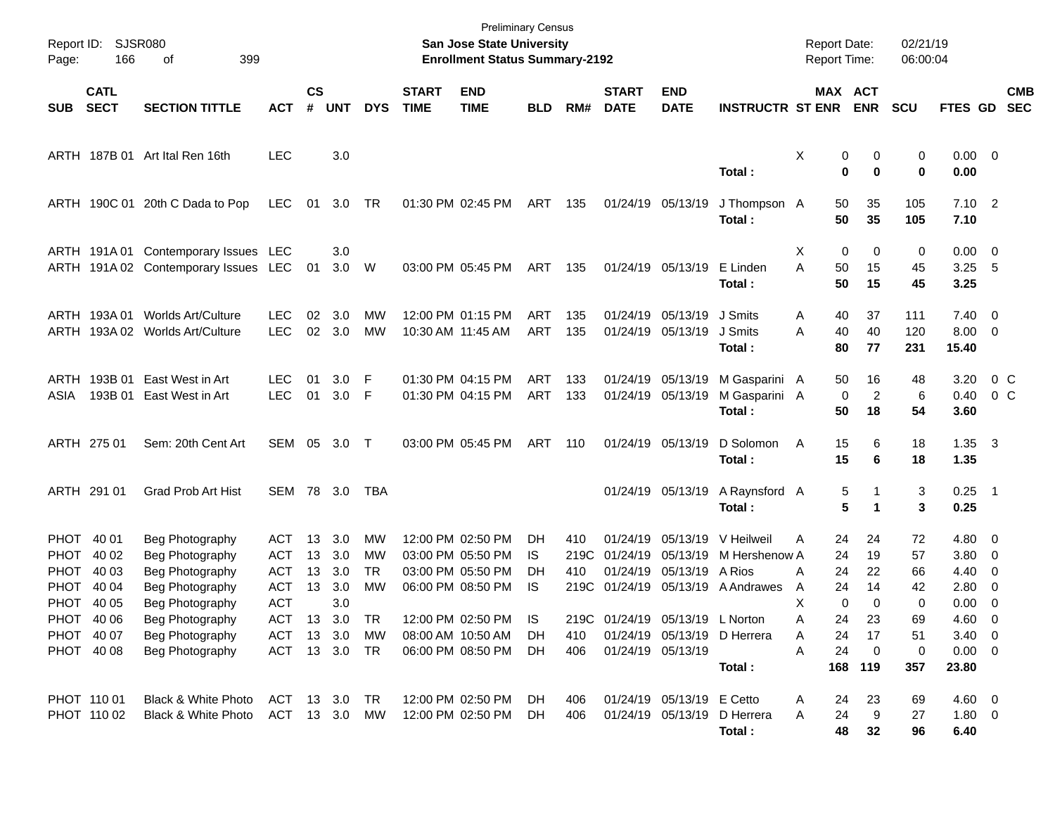| Page:      | <b>SJSR080</b><br>Report ID:<br>166<br>of<br>399<br><b>CATL</b> |                                      |               |                    |                         |            |                             | <b>Preliminary Census</b><br>San Jose State University<br><b>Enrollment Status Summary-2192</b> |                 |            |                             |                                        |                                       | <b>Report Date:</b><br>Report Time: |                                   | 02/21/19<br>06:00:04 |                               |                          |                          |
|------------|-----------------------------------------------------------------|--------------------------------------|---------------|--------------------|-------------------------|------------|-----------------------------|-------------------------------------------------------------------------------------------------|-----------------|------------|-----------------------------|----------------------------------------|---------------------------------------|-------------------------------------|-----------------------------------|----------------------|-------------------------------|--------------------------|--------------------------|
| <b>SUB</b> | <b>SECT</b>                                                     | <b>SECTION TITTLE</b>                | <b>ACT</b>    | $\mathsf{cs}$<br># | <b>UNT</b>              | <b>DYS</b> | <b>START</b><br><b>TIME</b> | <b>END</b><br><b>TIME</b>                                                                       | <b>BLD</b>      | RM#        | <b>START</b><br><b>DATE</b> | <b>END</b><br><b>DATE</b>              | <b>INSTRUCTR ST ENR</b>               |                                     | MAX ACT<br><b>ENR</b>             | <b>SCU</b>           | FTES GD                       |                          | <b>CMB</b><br><b>SEC</b> |
|            |                                                                 | ARTH 187B 01 Art Ital Ren 16th       | <b>LEC</b>    |                    | 3.0                     |            |                             |                                                                                                 |                 |            |                             |                                        | Total:                                | Χ                                   | 0<br>0<br>$\mathbf 0$<br>$\bf{0}$ | 0<br>0               | $0.00 \t 0$<br>0.00           |                          |                          |
|            |                                                                 | ARTH 190C 01 20th C Dada to Pop      | <b>LEC</b>    | 01                 | 3.0 TR                  |            |                             | 01:30 PM 02:45 PM                                                                               | ART 135         |            | 01/24/19 05/13/19           |                                        | J Thompson A<br>Total:                | 50<br>50                            | 35<br>35                          | 105<br>105           | $7.10$ 2<br>7.10              |                          |                          |
|            |                                                                 | ARTH 191A 01 Contemporary Issues LEC |               |                    | 3.0                     |            |                             |                                                                                                 |                 |            |                             |                                        |                                       | X                                   | 0<br>0                            | 0                    | $0.00 \t 0$                   |                          |                          |
|            |                                                                 | ARTH 191A 02 Contemporary Issues LEC |               | 01                 | 3.0 W                   |            |                             | 03:00 PM 05:45 PM                                                                               | ART 135         |            |                             | 01/24/19 05/13/19                      | E Linden<br>Total:                    | A<br>50<br>50                       | 15<br>15                          | 45<br>45             | $3.25$ 5<br>3.25              |                          |                          |
|            | ARTH 193A 01                                                    | Worlds Art/Culture                   | <b>LEC</b>    | 02                 | 3.0                     | MW         |                             | 12:00 PM 01:15 PM                                                                               | ART             | 135        |                             | 01/24/19 05/13/19                      | J Smits                               | Α<br>40                             | 37                                | 111                  | $7.40 \quad 0$                |                          |                          |
|            |                                                                 | ARTH 193A 02 Worlds Art/Culture      | <b>LEC</b>    | 02                 | 3.0                     | MW         |                             | 10:30 AM 11:45 AM                                                                               | ART             | 135        |                             | 01/24/19 05/13/19                      | J Smits<br>Total:                     | 40<br>A<br>80                       | 40<br>77                          | 120<br>231           | $8.00 \t 0$<br>15.40          |                          |                          |
|            | ARTH 193B 01                                                    | East West in Art                     | <b>LEC</b>    | 01                 | 3.0                     | -F         |                             | 01:30 PM 04:15 PM                                                                               | ART             | 133        |                             | 01/24/19 05/13/19                      | M Gasparini A                         | 50                                  | 16                                | 48                   | 3.20                          | 0 C                      |                          |
| ASIA       | 193B 01                                                         | East West in Art                     | <b>LEC</b>    | 01                 | 3.0                     | - F        |                             | 01:30 PM 04:15 PM                                                                               | ART             | 133        |                             | 01/24/19 05/13/19                      | M Gasparini A<br>Total :              | 50                                  | $\overline{c}$<br>0<br>18         | 6<br>54              | 0.40<br>3.60                  | $0\,$ C                  |                          |
|            | ARTH 275 01                                                     | Sem: 20th Cent Art                   |               |                    | SEM 05 3.0 T            |            |                             | 03:00 PM 05:45 PM                                                                               | ART             | - 110      |                             | 01/24/19 05/13/19                      | D Solomon<br>Total:                   | 15<br>A<br>15                       | 6<br>6                            | 18<br>18             | $1.35 \quad 3$<br>1.35        |                          |                          |
|            | ARTH 291 01                                                     | <b>Grad Prob Art Hist</b>            | SEM 78 3.0    |                    |                         | TBA        |                             |                                                                                                 |                 |            |                             | 01/24/19 05/13/19                      | A Raynsford A<br>Total:               |                                     | 5<br>5<br>$\mathbf 1$             | 3<br>3               | $0.25$ 1<br>0.25              |                          |                          |
|            | PHOT 40 01                                                      | Beg Photography                      | ACT           | 13                 | 3.0                     | MW         |                             | 12:00 PM 02:50 PM                                                                               | DH              | 410        |                             | 01/24/19 05/13/19                      | V Heilweil                            | Α<br>24                             | 24                                | 72                   | $4.80\ 0$                     |                          |                          |
| PHOT       | 40 02                                                           | Beg Photography                      | <b>ACT</b>    | 13                 | 3.0                     | <b>MW</b>  |                             | 03:00 PM 05:50 PM                                                                               | IS              | 219C       | 01/24/19 05/13/19           |                                        | M Hershenow A                         | 24                                  | 19                                | 57                   | $3.80 \ 0$                    |                          |                          |
|            | PHOT 40 03                                                      | Beg Photography                      | <b>ACT</b>    | 13                 | 3.0                     | <b>TR</b>  |                             | 03:00 PM 05:50 PM                                                                               | DH              | 410        |                             | 01/24/19 05/13/19                      | A Rios                                | 24<br>Α                             | 22                                | 66                   | $4.40 \quad 0$                |                          |                          |
| PHOT       | 40 04                                                           | Beg Photography                      | <b>ACT</b>    | 13                 | 3.0                     | <b>MW</b>  |                             | 06:00 PM 08:50 PM                                                                               | IS              |            |                             |                                        | 219C 01/24/19 05/13/19 A Andrawes     | 24<br>A                             | 14                                | 42                   | 2.80                          | $\overline{\phantom{0}}$ |                          |
|            | PHOT 40 05                                                      | Beg Photography                      | <b>ACT</b>    |                    | 3.0                     |            |                             |                                                                                                 |                 |            |                             |                                        |                                       | X                                   | 0<br>$\Omega$                     | 0                    | 0.00                          | - 0                      |                          |
|            | PHOT 40 06                                                      | Beg Photography                      | ACT           |                    | 13 3.0                  | <b>TR</b>  |                             | 12:00 PM 02:50 PM IS                                                                            |                 | 219C       |                             | 01/24/19 05/13/19 L Norton             |                                       | Α<br>24                             | 23                                | 69                   | $4.60\quad 0$                 |                          |                          |
|            | PHOT 40 07<br>PHOT 40 08                                        | Beg Photography<br>Beg Photography   | <b>ACT</b>    |                    | 13 3.0<br>ACT 13 3.0 TR | МW         |                             | 08:00 AM 10:50 AM<br>06:00 PM 08:50 PM                                                          | <b>DH</b><br>DH | 410<br>406 |                             | 01/24/19 05/13/19<br>01/24/19 05/13/19 | D Herrera                             | 24<br>Α<br>24<br>Α                  | 17<br>$\mathbf 0$                 | 51                   | $3.40 \quad 0$<br>$0.00 \t 0$ |                          |                          |
|            |                                                                 |                                      |               |                    |                         |            |                             |                                                                                                 |                 |            |                             |                                        | Total:                                |                                     | 168 119                           | 0<br>357             | 23.80                         |                          |                          |
|            | PHOT 110 01                                                     | Black & White Photo                  | ACT 13 3.0    |                    |                         | TR.        |                             | 12:00 PM 02:50 PM                                                                               | DH.             | 406        |                             | 01/24/19 05/13/19 E Cetto              |                                       | 24<br>Α                             | 23                                | 69                   | $4.60$ 0                      |                          |                          |
|            | PHOT 110 02                                                     | Black & White Photo                  | ACT 13 3.0 MW |                    |                         |            |                             | 12:00 PM 02:50 PM                                                                               | DH              | 406        |                             |                                        | 01/24/19 05/13/19 D Herrera<br>Total: | 24<br>Α<br>48                       | 9<br>32                           | 27<br>96             | 1.80 0<br>6.40                |                          |                          |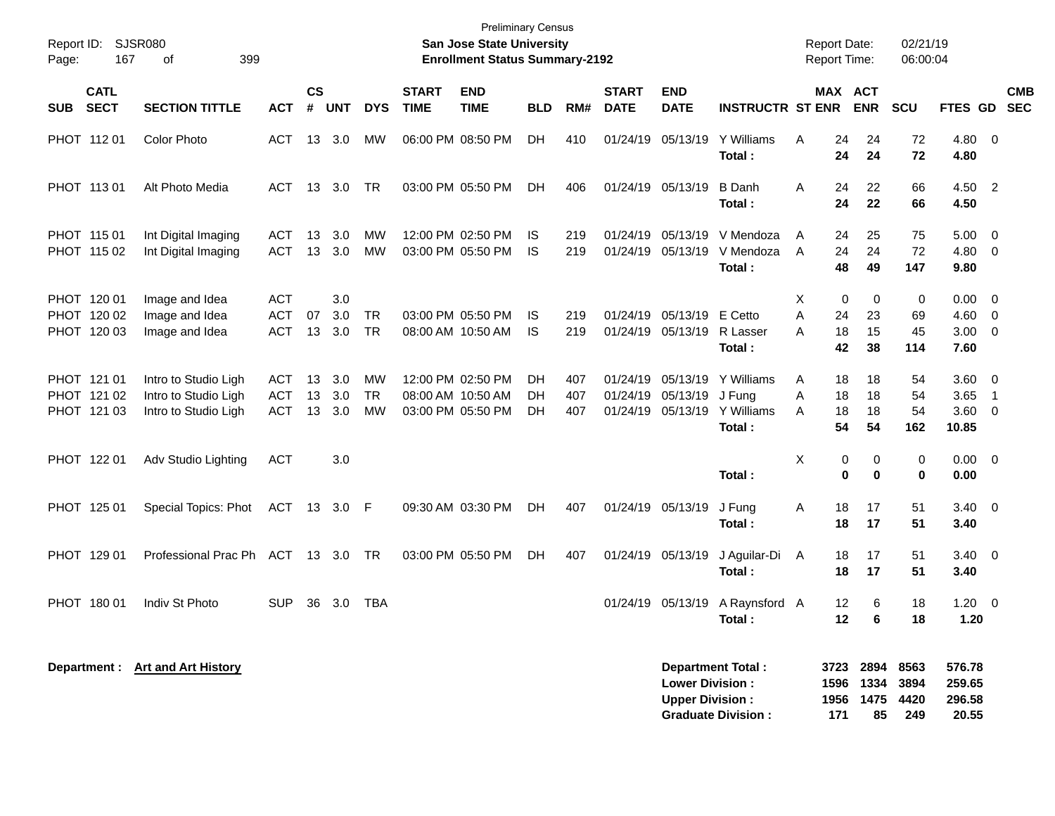| Report ID:<br>167<br>Page:                | SJSR080<br>399<br>οf                                                 |                                        |                    |                   |                        |                             | <b>Preliminary Census</b><br><b>San Jose State University</b><br><b>Enrollment Status Summary-2192</b> |                |                   |                                  |                                                  |                                                       | <b>Report Date:</b><br><b>Report Time:</b> |                      |                                                | 02/21/19<br>06:00:04  |                                       |                                                                                 |  |
|-------------------------------------------|----------------------------------------------------------------------|----------------------------------------|--------------------|-------------------|------------------------|-----------------------------|--------------------------------------------------------------------------------------------------------|----------------|-------------------|----------------------------------|--------------------------------------------------|-------------------------------------------------------|--------------------------------------------|----------------------|------------------------------------------------|-----------------------|---------------------------------------|---------------------------------------------------------------------------------|--|
| <b>CATL</b><br><b>SECT</b><br><b>SUB</b>  | <b>SECTION TITTLE</b>                                                | <b>ACT</b>                             | $\mathsf{cs}$<br># | <b>UNT</b>        | <b>DYS</b>             | <b>START</b><br><b>TIME</b> | <b>END</b><br><b>TIME</b>                                                                              | <b>BLD</b>     | RM#               | <b>START</b><br><b>DATE</b>      | <b>END</b><br><b>DATE</b>                        | <b>INSTRUCTR ST ENR</b>                               |                                            |                      | MAX ACT<br><b>ENR</b>                          | <b>SCU</b>            | FTES GD                               | <b>CMB</b><br><b>SEC</b>                                                        |  |
| PHOT 112 01                               | <b>Color Photo</b>                                                   | <b>ACT</b>                             | 13                 | 3.0               | МW                     |                             | 06:00 PM 08:50 PM                                                                                      | DH             | 410               | 01/24/19                         | 05/13/19                                         | Y Williams<br>Total:                                  | A                                          | 24<br>24             | 24<br>24                                       | 72<br>72              | 4.80 0<br>4.80                        |                                                                                 |  |
| PHOT 113 01                               | Alt Photo Media                                                      | <b>ACT</b>                             | 13                 | 3.0               | <b>TR</b>              |                             | 03:00 PM 05:50 PM                                                                                      | DH             | 406               |                                  | 01/24/19 05/13/19                                | <b>B</b> Danh<br>Total:                               | A                                          | 24<br>24             | 22<br>22                                       | 66<br>66              | 4.50 2<br>4.50                        |                                                                                 |  |
| PHOT 115 01<br>PHOT 115 02                | Int Digital Imaging<br>Int Digital Imaging                           | <b>ACT</b><br><b>ACT</b>               | 13<br>13           | 3.0<br>3.0        | MW<br>МW               |                             | 12:00 PM 02:50 PM<br>03:00 PM 05:50 PM                                                                 | IS.<br>IS      | 219<br>219        | 01/24/19<br>01/24/19             | 05/13/19<br>05/13/19                             | V Mendoza<br>V Mendoza<br>Total:                      | Α<br>A                                     | 24<br>24<br>48       | 25<br>24<br>49                                 | 75<br>72<br>147       | 5.00<br>4.80<br>9.80                  | $\overline{\mathbf{0}}$<br>$\overline{\mathbf{0}}$                              |  |
| PHOT 120 01<br>PHOT 120 02<br>PHOT 120 03 | Image and Idea<br>Image and Idea<br>Image and Idea                   | <b>ACT</b><br><b>ACT</b><br><b>ACT</b> | 07<br>13           | 3.0<br>3.0<br>3.0 | <b>TR</b><br><b>TR</b> |                             | 03:00 PM 05:50 PM<br>08:00 AM 10:50 AM                                                                 | IS.<br>IS.     | 219<br>219        | 01/24/19                         | 05/13/19<br>01/24/19 05/13/19                    | E Cetto<br>R Lasser<br>Total:                         | X<br>A<br>Α                                | 0<br>24<br>18<br>42  | 0<br>23<br>15<br>38                            | 0<br>69<br>45<br>114  | 0.00<br>4.60<br>3.00<br>7.60          | $\overline{\phantom{0}}$<br>$\overline{\mathbf{0}}$<br>$\overline{\phantom{0}}$ |  |
| PHOT 121 01<br>PHOT 121 02<br>PHOT 121 03 | Intro to Studio Ligh<br>Intro to Studio Ligh<br>Intro to Studio Ligh | <b>ACT</b><br><b>ACT</b><br><b>ACT</b> | 13<br>13<br>13     | 3.0<br>3.0<br>3.0 | MW<br><b>TR</b><br>MW  |                             | 12:00 PM 02:50 PM<br>08:00 AM 10:50 AM<br>03:00 PM 05:50 PM                                            | DН<br>DН<br>DH | 407<br>407<br>407 | 01/24/19<br>01/24/19<br>01/24/19 | 05/13/19<br>05/13/19<br>05/13/19                 | Y Williams<br>J Fung<br>Y Williams<br>Total:          | Α<br>Α<br>A                                | 18<br>18<br>18<br>54 | 18<br>18<br>18<br>54                           | 54<br>54<br>54<br>162 | 3.60 0<br>3.65<br>$3.60 \ 0$<br>10.85 | $\overline{1}$                                                                  |  |
| PHOT 122 01                               | Adv Studio Lighting                                                  | <b>ACT</b>                             |                    | 3.0               |                        |                             |                                                                                                        |                |                   |                                  |                                                  | Total:                                                | X                                          | 0<br>0               | 0<br>0                                         | 0<br>0                | $0.00 \t 0$<br>0.00                   |                                                                                 |  |
| PHOT 125 01                               | Special Topics: Phot                                                 | ACT                                    |                    | 13 3.0 F          |                        |                             | 09:30 AM 03:30 PM                                                                                      | DH             | 407               |                                  | 01/24/19 05/13/19                                | J Fung<br>Total:                                      | Α                                          | 18<br>18             | 17<br>17                                       | 51<br>51              | $3.40 \ 0$<br>3.40                    |                                                                                 |  |
| PHOT 129 01                               | Professional Prac Ph ACT                                             |                                        |                    | 13 3.0            | <b>TR</b>              |                             | 03:00 PM 05:50 PM                                                                                      | <b>DH</b>      | 407               |                                  | 01/24/19 05/13/19                                | J Aguilar-Di<br>Total:                                | A                                          | 18<br>18             | 17<br>17                                       | 51<br>51              | $3.40 \quad 0$<br>3.40                |                                                                                 |  |
| PHOT 180 01                               | Indiv St Photo                                                       | <b>SUP</b>                             | 36                 | 3.0               | TBA                    |                             |                                                                                                        |                |                   |                                  | 01/24/19 05/13/19                                | A Raynsford A<br>Total:                               |                                            | 12<br>12             | 6<br>6                                         | 18<br>18              | $1.20 \ 0$<br>1.20                    |                                                                                 |  |
|                                           | Department : Art and Art History                                     |                                        |                    |                   |                        |                             |                                                                                                        |                |                   |                                  | <b>Lower Division:</b><br><b>Upper Division:</b> | <b>Department Total:</b><br><b>Graduate Division:</b> |                                            | 171                  | 3723 2894 8563<br>1596 1334<br>1956 1475<br>85 | 3894<br>4420<br>249   | 576.78<br>259.65<br>296.58<br>20.55   |                                                                                 |  |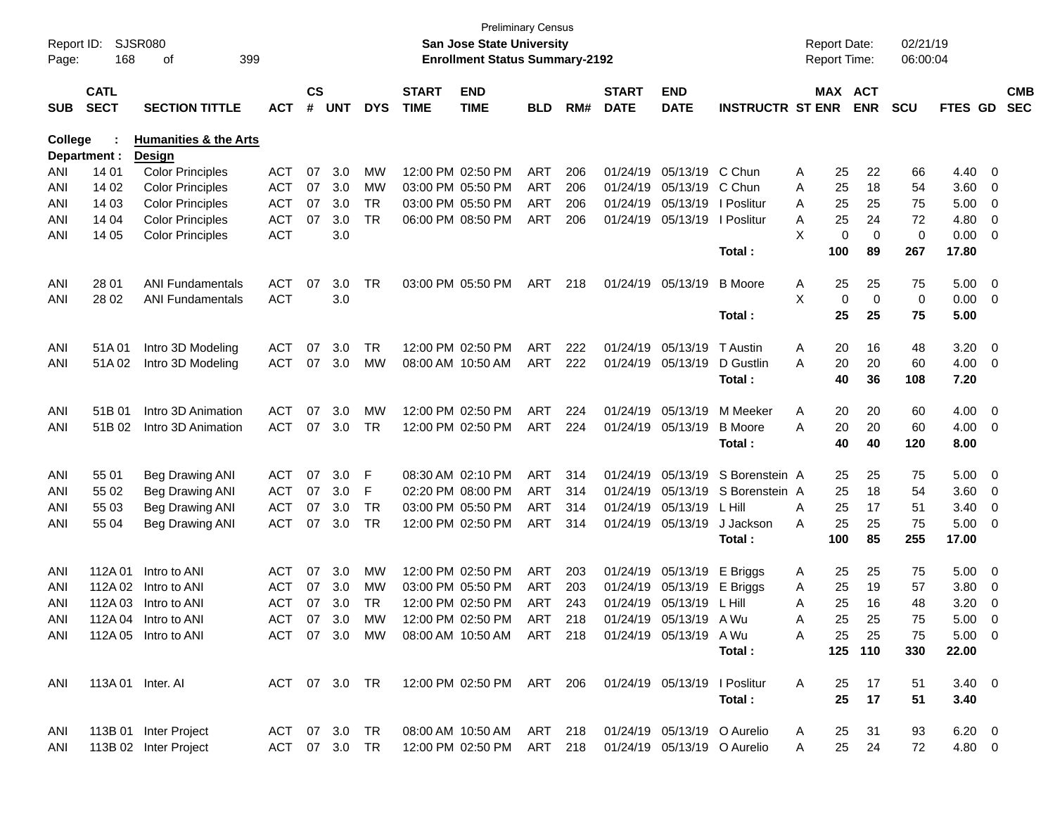| Report ID:<br>Page: | 168                        | SJSR080<br>399<br>οf             |            |                    |            |               |                             | <b>Preliminary Census</b><br><b>San Jose State University</b><br><b>Enrollment Status Summary-2192</b> |            |     |                             |                           |                             |   | <b>Report Date:</b><br>Report Time: |             | 02/21/19<br>06:00:04 |                |                         |                          |
|---------------------|----------------------------|----------------------------------|------------|--------------------|------------|---------------|-----------------------------|--------------------------------------------------------------------------------------------------------|------------|-----|-----------------------------|---------------------------|-----------------------------|---|-------------------------------------|-------------|----------------------|----------------|-------------------------|--------------------------|
| <b>SUB</b>          | <b>CATL</b><br><b>SECT</b> | <b>SECTION TITTLE</b>            | <b>ACT</b> | $\mathsf{cs}$<br># | <b>UNT</b> | <b>DYS</b>    | <b>START</b><br><b>TIME</b> | <b>END</b><br><b>TIME</b>                                                                              | <b>BLD</b> | RM# | <b>START</b><br><b>DATE</b> | <b>END</b><br><b>DATE</b> | <b>INSTRUCTR ST ENR</b>     |   | MAX ACT                             | <b>ENR</b>  | <b>SCU</b>           | <b>FTES GD</b> |                         | <b>CMB</b><br><b>SEC</b> |
| <b>College</b>      |                            | <b>Humanities &amp; the Arts</b> |            |                    |            |               |                             |                                                                                                        |            |     |                             |                           |                             |   |                                     |             |                      |                |                         |                          |
|                     | Department :               | <b>Design</b>                    |            |                    |            |               |                             |                                                                                                        |            |     |                             |                           |                             |   |                                     |             |                      |                |                         |                          |
| ANI                 | 14 01                      | <b>Color Principles</b>          | <b>ACT</b> | 07                 | 3.0        | MW            |                             | 12:00 PM 02:50 PM                                                                                      | <b>ART</b> | 206 | 01/24/19                    | 05/13/19                  | C Chun                      | A | 25                                  | 22          | 66                   | 4.40           | $\overline{0}$          |                          |
| ANI                 | 14 02                      | <b>Color Principles</b>          | <b>ACT</b> | 07                 | 3.0        | MW            |                             | 03:00 PM 05:50 PM                                                                                      | <b>ART</b> | 206 |                             | 01/24/19 05/13/19         | C Chun                      | Α | 25                                  | 18          | 54                   | 3.60           | 0                       |                          |
| ANI                 | 14 03                      | <b>Color Principles</b>          | <b>ACT</b> | 07                 | 3.0        | TR            |                             | 03:00 PM 05:50 PM                                                                                      | ART        | 206 | 01/24/19                    | 05/13/19                  | I Poslitur                  | Α | 25                                  | 25          | 75                   | 5.00           | 0                       |                          |
| ANI                 | 14 04                      | <b>Color Principles</b>          | <b>ACT</b> | 07                 | 3.0        | <b>TR</b>     |                             | 06:00 PM 08:50 PM                                                                                      | ART        | 206 | 01/24/19                    | 05/13/19                  | I Poslitur                  | Α | 25                                  | 24          | 72                   | 4.80           | 0                       |                          |
| ANI                 | 14 05                      | <b>Color Principles</b>          | <b>ACT</b> |                    | 3.0        |               |                             |                                                                                                        |            |     |                             |                           |                             | X | $\mathbf 0$                         | $\mathbf 0$ | 0                    | 0.00           | 0                       |                          |
|                     |                            |                                  |            |                    |            |               |                             |                                                                                                        |            |     |                             |                           | Total:                      |   | 100                                 | 89          | 267                  | 17.80          |                         |                          |
| ANI                 | 28 01                      | <b>ANI Fundamentals</b>          | <b>ACT</b> | 07                 | 3.0        | <b>TR</b>     |                             | 03:00 PM 05:50 PM                                                                                      | ART        | 218 |                             | 01/24/19 05/13/19         | <b>B</b> Moore              | Α | 25                                  | 25          | 75                   | 5.00           | $\overline{\mathbf{0}}$ |                          |
| ANI                 | 28 02                      | <b>ANI Fundamentals</b>          | <b>ACT</b> |                    | 3.0        |               |                             |                                                                                                        |            |     |                             |                           |                             | X | $\mathbf 0$                         | 0           | 0                    | 0.00           | $\overline{\mathbf{0}}$ |                          |
|                     |                            |                                  |            |                    |            |               |                             |                                                                                                        |            |     |                             |                           | Total:                      |   | 25                                  | 25          | 75                   | 5.00           |                         |                          |
| ANI                 | 51A01                      | Intro 3D Modeling                | <b>ACT</b> | 07                 | 3.0        | TR            |                             | 12:00 PM 02:50 PM                                                                                      | ART        | 222 |                             | 01/24/19 05/13/19         | T Austin                    | Α | 20                                  | 16          | 48                   | 3.20           | $\overline{0}$          |                          |
| ANI                 | 51A02                      | Intro 3D Modeling                | <b>ACT</b> | 07                 | 3.0        | MW            |                             | 08:00 AM 10:50 AM                                                                                      | ART        | 222 |                             | 01/24/19 05/13/19         | D Gustlin                   | A | 20                                  | 20          | 60                   | 4.00           | $\overline{0}$          |                          |
|                     |                            |                                  |            |                    |            |               |                             |                                                                                                        |            |     |                             |                           | Total:                      |   | 40                                  | 36          | 108                  | 7.20           |                         |                          |
| ANI                 | 51B 01                     | Intro 3D Animation               | <b>ACT</b> | 07                 | 3.0        | МW            |                             | 12:00 PM 02:50 PM                                                                                      | ART        | 224 | 01/24/19                    | 05/13/19                  | M Meeker                    | Α | 20                                  | 20          | 60                   | 4.00           | - 0                     |                          |
| ANI                 | 51B 02                     | Intro 3D Animation               | <b>ACT</b> | 07                 | 3.0        | TR            |                             | 12:00 PM 02:50 PM                                                                                      | <b>ART</b> | 224 |                             | 01/24/19 05/13/19         | <b>B</b> Moore              | A | 20                                  | 20          | 60                   | 4.00           | $\overline{0}$          |                          |
|                     |                            |                                  |            |                    |            |               |                             |                                                                                                        |            |     |                             |                           | Total:                      |   | 40                                  | 40          | 120                  | 8.00           |                         |                          |
| ANI                 | 55 01                      | Beg Drawing ANI                  | <b>ACT</b> | 07                 | 3.0        | F             |                             | 08:30 AM 02:10 PM                                                                                      | ART        | 314 |                             | 01/24/19 05/13/19         | S Borenstein A              |   | 25                                  | 25          | 75                   | 5.00           | - 0                     |                          |
| ANI                 | 55 02                      | Beg Drawing ANI                  | <b>ACT</b> | 07                 | 3.0        | F             |                             | 02:20 PM 08:00 PM                                                                                      | <b>ART</b> | 314 | 01/24/19                    | 05/13/19                  | S Borenstein A              |   | 25                                  | 18          | 54                   | 3.60           | $\overline{0}$          |                          |
| ANI                 | 55 03                      | Beg Drawing ANI                  | <b>ACT</b> | 07                 | 3.0        | TR            |                             | 03:00 PM 05:50 PM                                                                                      | ART        | 314 | 01/24/19                    | 05/13/19                  | L Hill                      | Α | 25                                  | 17          | 51                   | 3.40           | 0                       |                          |
| ANI                 | 55 04                      | Beg Drawing ANI                  | <b>ACT</b> | 07                 | 3.0        | TR            |                             | 12:00 PM 02:50 PM                                                                                      | <b>ART</b> | 314 |                             | 01/24/19 05/13/19         | J Jackson                   | A | 25                                  | 25          | 75                   | 5.00           | $\overline{0}$          |                          |
|                     |                            |                                  |            |                    |            |               |                             |                                                                                                        |            |     |                             |                           | Total:                      |   | 100                                 | 85          | 255                  | 17.00          |                         |                          |
| ANI                 | 112A 01                    | Intro to ANI                     | <b>ACT</b> | 07                 | 3.0        | MW            |                             | 12:00 PM 02:50 PM                                                                                      | ART        | 203 |                             | 01/24/19 05/13/19         | E Briggs                    | A | 25                                  | 25          | 75                   | 5.00           | $\overline{0}$          |                          |
| ANI                 | 112A 02                    | Intro to ANI                     | <b>ACT</b> | 07                 | 3.0        | МW            |                             | 03:00 PM 05:50 PM                                                                                      | ART        | 203 | 01/24/19                    | 05/13/19                  | E Briggs                    | Α | 25                                  | 19          | 57                   | 3.80           | 0                       |                          |
| ANI                 | 112A 03                    | Intro to ANI                     | <b>ACT</b> | 07                 | 3.0        | TR            |                             | 12:00 PM 02:50 PM                                                                                      | <b>ART</b> | 243 |                             | 01/24/19 05/13/19         | L Hill                      | Α | 25                                  | 16          | 48                   | 3.20           | 0                       |                          |
| ANI                 |                            | 112A 04 Intro to ANI             | ACT        |                    | 07 3.0     | МW            |                             | 12:00 PM 02:50 PM                                                                                      | <b>ART</b> | 218 |                             | 01/24/19 05/13/19 A Wu    |                             | А | 25                                  | 25          | 75                   | 5.00           | $\Omega$                |                          |
| ANI                 |                            | 112A 05 Intro to ANI             |            |                    |            | ACT 07 3.0 MW |                             | 08:00 AM 10:50 AM ART 218 01/24/19 05/13/19 A Wu                                                       |            |     |                             |                           |                             | A | 25                                  | 25          | 75                   | $5.00 \t 0$    |                         |                          |
|                     |                            |                                  |            |                    |            |               |                             |                                                                                                        |            |     |                             |                           | Total:                      |   |                                     | 125 110     | 330                  | 22.00          |                         |                          |
| ANI                 |                            | 113A 01 Inter. AI                |            |                    |            |               |                             | ACT 07 3.0 TR 12:00 PM 02:50 PM ART 206 01/24/19 05/13/19 I Poslitur                                   |            |     |                             |                           |                             | A | 25                                  | 17          | 51                   | $3.40 \quad 0$ |                         |                          |
|                     |                            |                                  |            |                    |            |               |                             |                                                                                                        |            |     |                             |                           | Total:                      |   | 25                                  | 17          | 51                   | 3.40           |                         |                          |
| ANI                 |                            | 113B 01 Inter Project            |            |                    |            | ACT 07 3.0 TR |                             | 08:00 AM 10:50 AM ART 218                                                                              |            |     |                             |                           | 01/24/19 05/13/19 O Aurelio | A | 25                                  | 31          | 93                   | $6.20 \quad 0$ |                         |                          |
| ANI                 |                            | 113B 02 Inter Project            |            |                    |            |               |                             | ACT 07 3.0 TR 12:00 PM 02:50 PM ART 218                                                                |            |     |                             |                           | 01/24/19 05/13/19 O Aurelio | A | 25                                  | 24          | 72                   | 4.80 0         |                         |                          |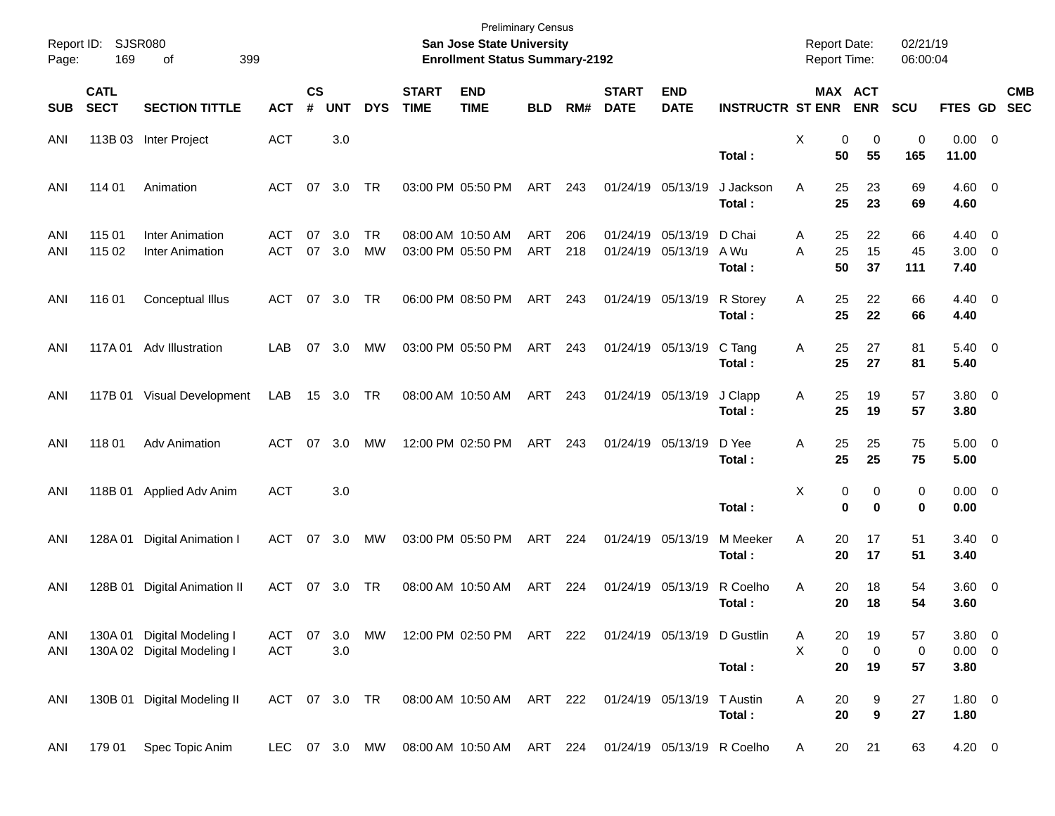| Report ID:<br>Page: | 169                        | SJSR080<br>399<br>οf                                     |                   |                |               |                  |                             | <b>Preliminary Census</b><br>San Jose State University<br><b>Enrollment Status Summary-2192</b> |                   |            |                             |                               |                          | <b>Report Date:</b><br><b>Report Time:</b> |                                | 02/21/19<br>06:00:04 |                                      |            |
|---------------------|----------------------------|----------------------------------------------------------|-------------------|----------------|---------------|------------------|-----------------------------|-------------------------------------------------------------------------------------------------|-------------------|------------|-----------------------------|-------------------------------|--------------------------|--------------------------------------------|--------------------------------|----------------------|--------------------------------------|------------|
| <b>SUB</b>          | <b>CATL</b><br><b>SECT</b> | <b>SECTION TITTLE</b>                                    | <b>ACT</b>        | <b>CS</b><br># | <b>UNT</b>    | <b>DYS</b>       | <b>START</b><br><b>TIME</b> | <b>END</b><br><b>TIME</b>                                                                       | <b>BLD</b>        | RM#        | <b>START</b><br><b>DATE</b> | <b>END</b><br><b>DATE</b>     | <b>INSTRUCTR ST ENR</b>  |                                            | MAX ACT<br><b>ENR</b>          | <b>SCU</b>           | FTES GD SEC                          | <b>CMB</b> |
| ANI                 |                            | 113B 03 Inter Project                                    | <b>ACT</b>        |                | 3.0           |                  |                             |                                                                                                 |                   |            |                             |                               | Total:                   | X<br>50                                    | 0<br>0<br>55                   | 0<br>165             | $0.00 \t 0$<br>11.00                 |            |
| ANI                 | 114 01                     | Animation                                                | ACT               | 07             | 3.0           | TR               |                             | 03:00 PM 05:50 PM                                                                               | ART               | 243        |                             | 01/24/19 05/13/19             | J Jackson<br>Total:      | 25<br>Α<br>25                              | 23<br>23                       | 69<br>69             | $4.60 \ 0$<br>4.60                   |            |
| ANI<br>ANI          | 115 01<br>115 02           | <b>Inter Animation</b><br>Inter Animation                | <b>ACT</b><br>ACT | 07<br>07       | 3.0<br>3.0    | TR.<br><b>MW</b> |                             | 08:00 AM 10:50 AM<br>03:00 PM 05:50 PM                                                          | <b>ART</b><br>ART | 206<br>218 | 01/24/19                    | 05/13/19<br>01/24/19 05/13/19 | D Chai<br>A Wu<br>Total: | 25<br>A<br>25<br>A<br>50                   | 22<br>15<br>37                 | 66<br>45<br>111      | $4.40 \quad 0$<br>$3.00 \ 0$<br>7.40 |            |
| ANI                 | 116 01                     | Conceptual Illus                                         | ACT               |                | 07 3.0        | TR               |                             | 06:00 PM 08:50 PM                                                                               | ART               | 243        |                             | 01/24/19 05/13/19             | R Storey<br>Total:       | 25<br>Α<br>25                              | 22<br>22                       | 66<br>66             | $4.40 \ 0$<br>4.40                   |            |
| ANI                 |                            | 117A 01 Adv Illustration                                 | LAB               | 07             | 3.0           | МW               |                             | 03:00 PM 05:50 PM                                                                               | ART               | 243        |                             | 01/24/19 05/13/19             | C Tang<br>Total:         | 25<br>Α<br>25                              | 27<br>27                       | 81<br>81             | $5.40 \ 0$<br>5.40                   |            |
| ANI                 |                            | 117B 01 Visual Development                               | LAB               |                | 15 3.0        | TR               |                             | 08:00 AM 10:50 AM                                                                               | ART               | 243        |                             | 01/24/19 05/13/19             | J Clapp<br>Total:        | 25<br>Α<br>25                              | 19<br>19                       | 57<br>57             | 3.80 0<br>3.80                       |            |
| ANI                 | 118 01                     | <b>Adv Animation</b>                                     | ACT               | 07             | 3.0           | МW               |                             | 12:00 PM 02:50 PM                                                                               | ART               | 243        |                             | 01/24/19 05/13/19             | D Yee<br>Total:          | 25<br>Α<br>25                              | 25<br>25                       | 75<br>75             | $5.00 \t 0$<br>5.00                  |            |
| ANI                 | 118B 01                    | Applied Adv Anim                                         | <b>ACT</b>        |                | 3.0           |                  |                             |                                                                                                 |                   |            |                             |                               | Total:                   | X                                          | 0<br>0<br>$\bf{0}$<br>$\bf{0}$ | 0<br>0               | $0.00 \t 0$<br>0.00                  |            |
| ANI                 | 128A01                     | Digital Animation I                                      | ACT               | 07             | 3.0           | МW               |                             | 03:00 PM 05:50 PM                                                                               | ART               | 224        |                             | 01/24/19 05/13/19             | M Meeker<br>Total:       | Α<br>20<br>20                              | 17<br>17                       | 51<br>51             | $3.40 \quad 0$<br>3.40               |            |
| ANI                 | 128B 01                    | <b>Digital Animation II</b>                              | ACT               | 07             | 3.0           | TR               |                             | 08:00 AM 10:50 AM                                                                               | ART               | 224        |                             | 01/24/19 05/13/19             | R Coelho<br>Total:       | Α<br>20<br>20                              | 18<br>18                       | 54<br>54             | 3.60 0<br>3.60                       |            |
| ANI<br>ANI          |                            | 130A 01 Digital Modeling I<br>130A 02 Digital Modeling I | ACT<br><b>ACT</b> | 07             | 3.0<br>3.0    | MW               |                             | 12:00 PM 02:50 PM ART 222 01/24/19 05/13/19 D Gustlin                                           |                   |            |                             |                               | Total:                   | 20<br>A<br>X<br>20                         | 19<br>0<br>0<br>19             | 57<br>0<br>57        | $3.80\ 0$<br>$0.00 \t 0$<br>3.80     |            |
| ANI                 |                            | 130B 01 Digital Modeling II                              |                   |                | ACT 07 3.0 TR |                  |                             | 08:00 AM 10:50 AM ART 222 01/24/19 05/13/19                                                     |                   |            |                             |                               | T Austin<br>Total:       | 20<br>Α<br>20                              | 9<br>9                         | 27<br>27             | 1.80 0<br>1.80                       |            |
| ANI                 | 179 01                     | Spec Topic Anim                                          | LEC               |                |               | 07 3.0 MW        |                             | 08:00 AM 10:50 AM ART 224 01/24/19 05/13/19 R Coelho                                            |                   |            |                             |                               |                          | 20<br>A                                    | 21                             | 63                   | $4.20 \ 0$                           |            |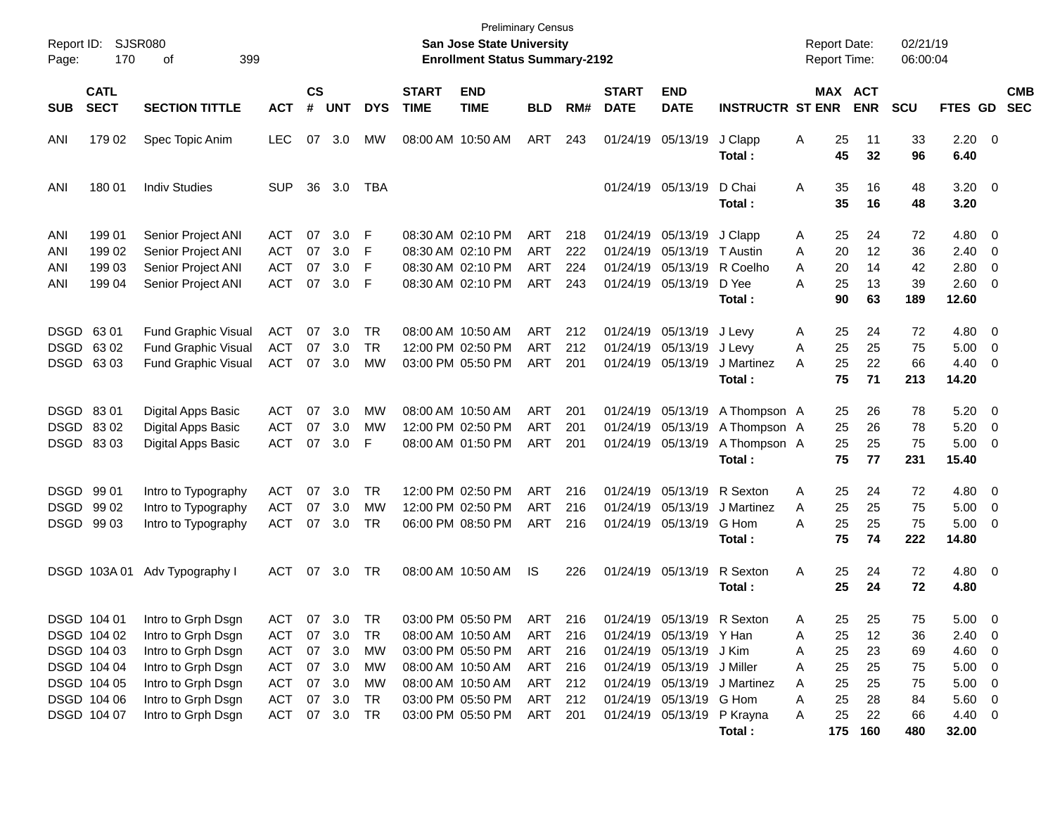| Report ID:<br>Page:      | SJSR080<br>170                                                                         | 399                                                                                                                              |                                               |                      |                                                             |                            | <b>Preliminary Census</b><br><b>San Jose State University</b><br><b>Enrollment Status Summary-2192</b> |                                                                                                                            |                                               |                                        |                             |                                                                                                             | <b>Report Date:</b><br><b>Report Time:</b>                               |                                                                 | 02/21/19<br>06:00:04             |                                  |                                                                                |                          |
|--------------------------|----------------------------------------------------------------------------------------|----------------------------------------------------------------------------------------------------------------------------------|-----------------------------------------------|----------------------|-------------------------------------------------------------|----------------------------|--------------------------------------------------------------------------------------------------------|----------------------------------------------------------------------------------------------------------------------------|-----------------------------------------------|----------------------------------------|-----------------------------|-------------------------------------------------------------------------------------------------------------|--------------------------------------------------------------------------|-----------------------------------------------------------------|----------------------------------|----------------------------------|--------------------------------------------------------------------------------|--------------------------|
| <b>SUB</b>               | <b>CATL</b><br><b>SECT</b>                                                             | <b>SECTION TITTLE</b>                                                                                                            | <b>ACT</b>                                    | <b>CS</b><br>#       | <b>UNT</b>                                                  | <b>DYS</b>                 | <b>START</b><br><b>TIME</b>                                                                            | <b>END</b><br><b>TIME</b>                                                                                                  | <b>BLD</b>                                    | RM#                                    | <b>START</b><br><b>DATE</b> | <b>END</b><br><b>DATE</b>                                                                                   | <b>INSTRUCTR ST ENR</b>                                                  |                                                                 | MAX ACT<br><b>ENR</b>            | <b>SCU</b>                       | FTES GD                                                                        | <b>CMB</b><br><b>SEC</b> |
| ANI                      | 179 02                                                                                 | Spec Topic Anim                                                                                                                  | <b>LEC</b>                                    | 07                   | 3.0                                                         | MW                         |                                                                                                        | 08:00 AM 10:50 AM                                                                                                          | ART                                           | 243                                    |                             | 01/24/19 05/13/19                                                                                           | J Clapp<br>Total:                                                        | 25<br>A<br>45                                                   | 11<br>32                         | 33<br>96                         | $2.20 \t 0$<br>6.40                                                            |                          |
| ANI                      | 180 01                                                                                 | <b>Indiv Studies</b>                                                                                                             | <b>SUP</b>                                    | 36                   | 3.0                                                         | TBA                        |                                                                                                        |                                                                                                                            |                                               |                                        |                             | 01/24/19 05/13/19                                                                                           | D Chai<br>Total:                                                         | Α<br>35<br>35                                                   | 16<br>16                         | 48<br>48                         | $3.20 \ 0$<br>3.20                                                             |                          |
| ANI<br>ANI<br>ANI<br>ANI | 199 01<br>199 02<br>199 03<br>199 04                                                   | Senior Project ANI<br>Senior Project ANI<br>Senior Project ANI<br>Senior Project ANI                                             | ACT<br><b>ACT</b><br><b>ACT</b><br><b>ACT</b> | 07<br>07<br>07<br>07 | 3.0<br>3.0<br>3.0<br>3.0                                    | F<br>F<br>F<br>F           |                                                                                                        | 08:30 AM 02:10 PM<br>08:30 AM 02:10 PM<br>08:30 AM 02:10 PM<br>08:30 AM 02:10 PM                                           | ART<br><b>ART</b><br><b>ART</b><br><b>ART</b> | 218<br>222<br>224<br>243               |                             | 01/24/19 05/13/19<br>01/24/19 05/13/19<br>01/24/19 05/13/19<br>01/24/19 05/13/19                            | J Clapp<br>T Austin<br>R Coelho<br>D Yee<br>Total :                      | 25<br>A<br>20<br>A<br>20<br>A<br>25<br>А<br>90                  | 24<br>12<br>14<br>13<br>63       | 72<br>36<br>42<br>39<br>189      | 4.80 0<br>$2.40 \ 0$<br>2.80<br>2.60 0<br>12.60                                | $\overline{\phantom{0}}$ |
|                          | DSGD 6301<br>DSGD 6302<br>DSGD 6303                                                    | Fund Graphic Visual<br>Fund Graphic Visual<br>Fund Graphic Visual                                                                | ACT<br><b>ACT</b><br>ACT                      | 07<br>07<br>07       | 3.0<br>3.0<br>3.0                                           | TR<br>TR<br>MW             |                                                                                                        | 08:00 AM 10:50 AM<br>12:00 PM 02:50 PM<br>03:00 PM 05:50 PM                                                                | ART<br><b>ART</b><br><b>ART</b>               | 212<br>212<br>201                      |                             | 01/24/19 05/13/19 J Levy<br>01/24/19 05/13/19<br>01/24/19 05/13/19                                          | J Levy<br>J Martinez<br>Total :                                          | 25<br>A<br>25<br>A<br>25<br>A<br>75                             | 24<br>25<br>22<br>71             | 72<br>75<br>66<br>213            | 4.80 0<br>5.00<br>$4.40 \ 0$<br>14.20                                          | $\overline{\phantom{0}}$ |
|                          | DSGD 8301<br>DSGD 8302<br>DSGD 8303                                                    | Digital Apps Basic<br>Digital Apps Basic<br>Digital Apps Basic                                                                   | <b>ACT</b><br><b>ACT</b><br><b>ACT</b>        | 07<br>07<br>07       | 3.0<br>3.0<br>3.0                                           | MW<br>MW<br>F              |                                                                                                        | 08:00 AM 10:50 AM<br>12:00 PM 02:50 PM<br>08:00 AM 01:50 PM                                                                | <b>ART</b><br><b>ART</b><br><b>ART</b>        | 201<br>201<br>201                      |                             | 01/24/19 05/13/19<br>01/24/19 05/13/19                                                                      | A Thompson A<br>01/24/19 05/13/19 A Thompson A<br>A Thompson A<br>Total: | 25<br>25<br>25<br>75                                            | 26<br>26<br>25<br>77             | 78<br>78<br>75<br>231            | $5.20 \ 0$<br>5.20<br>$5.00 \t 0$<br>15.40                                     | $\overline{\phantom{0}}$ |
|                          | DSGD 99 01<br>DSGD 99 02<br>DSGD 99 03                                                 | Intro to Typography<br>Intro to Typography<br>Intro to Typography                                                                | ACT<br><b>ACT</b><br>ACT                      | 07<br>07<br>07       | 3.0<br>3.0<br>3.0                                           | TR<br>MW<br>TR             |                                                                                                        | 12:00 PM 02:50 PM<br>12:00 PM 02:50 PM<br>06:00 PM 08:50 PM                                                                | <b>ART</b><br><b>ART</b><br><b>ART</b>        | 216<br>216<br>216                      |                             | 01/24/19 05/13/19<br>01/24/19 05/13/19<br>01/24/19 05/13/19                                                 | R Sexton<br>J Martinez<br>G Hom<br>Total:                                | 25<br>A<br>25<br>A<br>25<br>Α<br>75                             | 24<br>25<br>25<br>74             | 72<br>75<br>75<br>222            | 4.80 0<br>$5.00 \t 0$<br>$5.00 \t 0$<br>14.80                                  |                          |
|                          |                                                                                        | DSGD 103A 01 Adv Typography I                                                                                                    | ACT                                           | 07                   | 3.0                                                         | TR                         |                                                                                                        | 08:00 AM 10:50 AM                                                                                                          | <b>IS</b>                                     | 226                                    |                             | 01/24/19 05/13/19                                                                                           | R Sexton<br>Total :                                                      | 25<br>Α<br>25                                                   | 24<br>24                         | 72<br>72                         | 4.80 0<br>4.80                                                                 |                          |
|                          | DSGD 104 01<br>DSGD 104 02<br>DSGD 104 03<br>DSGD 104 04<br>DSGD 104 05<br>DSGD 104 06 | Intro to Grph Dsgn<br>Intro to Grph Dsgn<br>Intro to Grph Dsgn<br>Intro to Grph Dsgn<br>Intro to Grph Dsgn<br>Intro to Grph Dsgn | ACT<br>ACT<br>ACT<br>ACT<br>ACT<br>ACT        |                      | 07 3.0 TR<br>07 3.0<br>07 3.0<br>07 3.0<br>07 3.0<br>07 3.0 | TR<br>МW<br>МW<br>МW<br>TR |                                                                                                        | 03:00 PM 05:50 PM<br>08:00 AM 10:50 AM<br>03:00 PM 05:50 PM<br>08:00 AM 10:50 AM<br>08:00 AM 10:50 AM<br>03:00 PM 05:50 PM | ART<br>ART<br>ART<br>ART<br>ART<br>ART        | 216<br>216<br>216<br>216<br>212<br>212 |                             | 01/24/19 05/13/19 Y Han<br>01/24/19 05/13/19 J Kim<br>01/24/19 05/13/19 J Miller<br>01/24/19 05/13/19 G Hom | 01/24/19 05/13/19 R Sexton<br>01/24/19 05/13/19 J Martinez               | 25.<br>A<br>25<br>Α<br>25<br>Α<br>25<br>Α<br>25<br>Α<br>25<br>Α | 25<br>12<br>23<br>25<br>25<br>28 | 75<br>36<br>69<br>75<br>75<br>84 | $5.00 \quad 0$<br>$2.40 \ 0$<br>4.60 0<br>$5.00 \t 0$<br>$5.00 \t 0$<br>5.60 0 |                          |
|                          | DSGD 104 07                                                                            | Intro to Grph Dsgn                                                                                                               | ACT 07 3.0                                    |                      |                                                             | TR                         |                                                                                                        | 03:00 PM 05:50 PM                                                                                                          | ART                                           | 201                                    |                             |                                                                                                             | 01/24/19 05/13/19 P Krayna<br>Total:                                     | 25<br>A<br>175                                                  | 22<br>160                        | 66<br>480                        | 4.40 0<br>32.00                                                                |                          |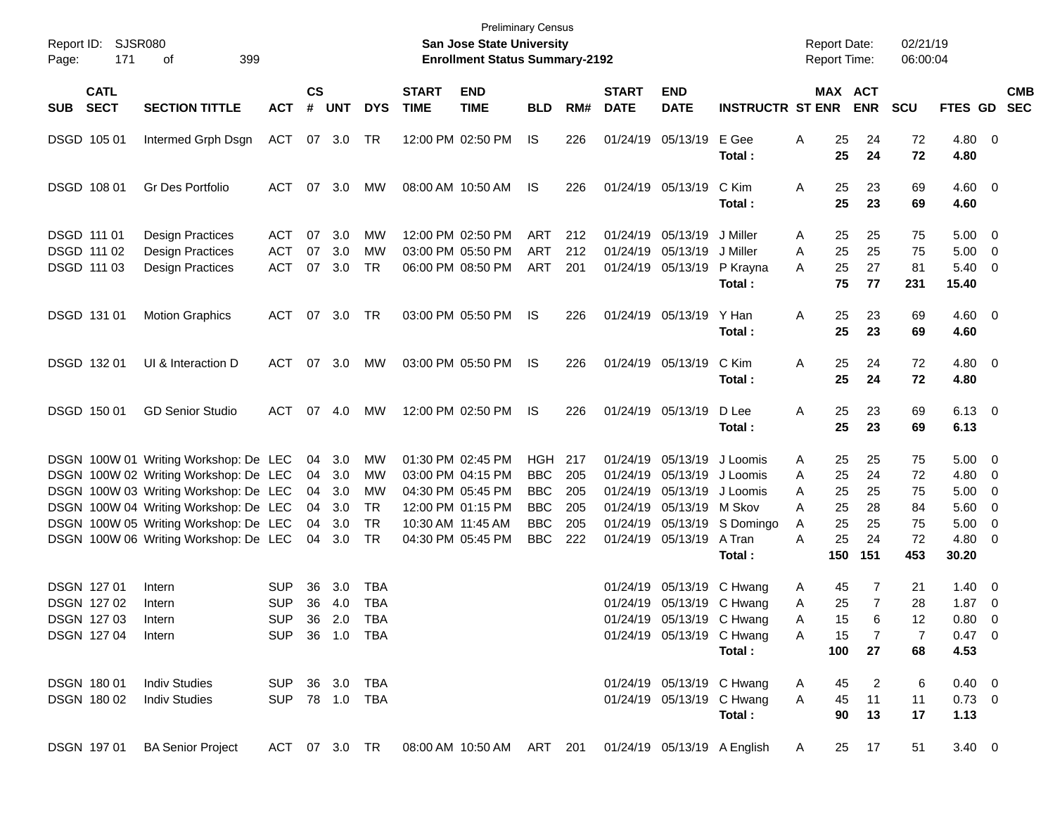| Report ID:<br>171<br>Page:                                           | SJSR080<br>399<br>οf                                                                                                                                                                                                                               |                                        |                                  |                                        |                                                   |                             | <b>San Jose State University</b><br><b>Enrollment Status Summary-2192</b>                                                  | <b>Preliminary Census</b>                                                 |                                        |                                                          |                                                                                     |                                                                                    | <b>Report Date:</b><br><b>Report Time:</b>                            |                                         | 02/21/19<br>06:00:04                    |                                                                     |                                                                                                              |                          |
|----------------------------------------------------------------------|----------------------------------------------------------------------------------------------------------------------------------------------------------------------------------------------------------------------------------------------------|----------------------------------------|----------------------------------|----------------------------------------|---------------------------------------------------|-----------------------------|----------------------------------------------------------------------------------------------------------------------------|---------------------------------------------------------------------------|----------------------------------------|----------------------------------------------------------|-------------------------------------------------------------------------------------|------------------------------------------------------------------------------------|-----------------------------------------------------------------------|-----------------------------------------|-----------------------------------------|---------------------------------------------------------------------|--------------------------------------------------------------------------------------------------------------|--------------------------|
| <b>CATL</b><br><b>SECT</b><br><b>SUB</b>                             | <b>SECTION TITTLE</b>                                                                                                                                                                                                                              | <b>ACT</b>                             | $\mathsf{cs}$<br>#               | <b>UNT</b>                             | <b>DYS</b>                                        | <b>START</b><br><b>TIME</b> | <b>END</b><br><b>TIME</b>                                                                                                  | <b>BLD</b>                                                                | RM#                                    | <b>START</b><br><b>DATE</b>                              | <b>END</b><br><b>DATE</b>                                                           | <b>INSTRUCTR ST ENR</b>                                                            | MAX ACT                                                               | <b>ENR</b>                              | <b>SCU</b>                              | <b>FTES GD</b>                                                      |                                                                                                              | <b>CMB</b><br><b>SEC</b> |
| DSGD 105 01                                                          | Intermed Grph Dsgn                                                                                                                                                                                                                                 | ACT                                    |                                  | 07 3.0                                 | TR                                                |                             | 12:00 PM 02:50 PM                                                                                                          | IS.                                                                       | 226                                    |                                                          | 01/24/19 05/13/19                                                                   | E Gee<br>Total:                                                                    | 25<br>Α<br>25                                                         | 24<br>24                                | 72<br>72                                | 4.80 0<br>4.80                                                      |                                                                                                              |                          |
| DSGD 108 01                                                          | Gr Des Portfolio                                                                                                                                                                                                                                   | <b>ACT</b>                             | 07                               | 3.0                                    | MW                                                |                             | 08:00 AM 10:50 AM                                                                                                          | IS                                                                        | 226                                    |                                                          | 01/24/19 05/13/19                                                                   | C Kim<br>Total:                                                                    | 25<br>Α<br>25                                                         | 23<br>23                                | 69<br>69                                | $4.60 \ 0$<br>4.60                                                  |                                                                                                              |                          |
| DSGD 111 01<br>DSGD 111 02<br>DSGD 111 03                            | <b>Design Practices</b><br><b>Design Practices</b><br><b>Design Practices</b>                                                                                                                                                                      | <b>ACT</b><br><b>ACT</b><br><b>ACT</b> | 07<br>07<br>07                   | 3.0<br>3.0<br>3.0                      | МW<br>МW<br>TR                                    |                             | 12:00 PM 02:50 PM<br>03:00 PM 05:50 PM<br>06:00 PM 08:50 PM                                                                | ART<br><b>ART</b><br><b>ART</b>                                           | 212<br>212<br>201                      | 01/24/19<br>01/24/19                                     | 05/13/19<br>05/13/19<br>01/24/19 05/13/19                                           | J Miller<br>J Miller<br>P Krayna<br>Total:                                         | 25<br>Α<br>25<br>Α<br>25<br>Α<br>75                                   | 25<br>25<br>27<br>77                    | 75<br>75<br>81<br>231                   | $5.00 \ 0$<br>5.00<br>5.40<br>15.40                                 | $\overline{\phantom{0}}$<br>$\overline{\phantom{0}}$                                                         |                          |
| DSGD 131 01                                                          | <b>Motion Graphics</b>                                                                                                                                                                                                                             | ACT                                    |                                  | 07 3.0                                 | TR                                                |                             | 03:00 PM 05:50 PM                                                                                                          | IS                                                                        | 226                                    |                                                          | 01/24/19 05/13/19                                                                   | Y Han<br>Total:                                                                    | 25<br>Α<br>25                                                         | 23<br>23                                | 69<br>69                                | $4.60 \ 0$<br>4.60                                                  |                                                                                                              |                          |
| DSGD 132 01                                                          | UI & Interaction D                                                                                                                                                                                                                                 | ACT                                    |                                  | 07 3.0                                 | MW                                                |                             | 03:00 PM 05:50 PM                                                                                                          | IS.                                                                       | 226                                    |                                                          | 01/24/19 05/13/19                                                                   | C Kim<br>Total:                                                                    | 25<br>Α<br>25                                                         | 24<br>24                                | 72<br>72                                | $4.80\ 0$<br>4.80                                                   |                                                                                                              |                          |
| DSGD 150 01                                                          | <b>GD Senior Studio</b>                                                                                                                                                                                                                            | ACT                                    | 07                               | 4.0                                    | MW                                                |                             | 12:00 PM 02:50 PM                                                                                                          | IS.                                                                       | 226                                    |                                                          | 01/24/19 05/13/19                                                                   | D Lee<br>Total:                                                                    | 25<br>Α<br>25                                                         | 23<br>23                                | 69<br>69                                | $6.13 \quad 0$<br>6.13                                              |                                                                                                              |                          |
|                                                                      | DSGN 100W 01 Writing Workshop: De LEC<br>DSGN 100W 02 Writing Workshop: De LEC<br>DSGN 100W 03 Writing Workshop: De LEC<br>DSGN 100W 04 Writing Workshop: De LEC<br>DSGN 100W 05 Writing Workshop: De LEC<br>DSGN 100W 06 Writing Workshop: De LEC |                                        | 04<br>04<br>04<br>04<br>04<br>04 | 3.0<br>3.0<br>3.0<br>3.0<br>3.0<br>3.0 | МW<br>МW<br>МW<br>TR<br>TR<br><b>TR</b>           |                             | 01:30 PM 02:45 PM<br>03:00 PM 04:15 PM<br>04:30 PM 05:45 PM<br>12:00 PM 01:15 PM<br>10:30 AM 11:45 AM<br>04:30 PM 05:45 PM | HGH<br><b>BBC</b><br><b>BBC</b><br><b>BBC</b><br><b>BBC</b><br><b>BBC</b> | 217<br>205<br>205<br>205<br>205<br>222 | 01/24/19<br>01/24/19<br>01/24/19<br>01/24/19<br>01/24/19 | 05/13/19<br>05/13/19 M Skov<br>01/24/19 05/13/19 A Tran                             | 05/13/19 J Loomis<br>05/13/19 J Loomis<br>J Loomis<br>05/13/19 S Domingo<br>Total: | 25<br>Α<br>25<br>A<br>25<br>A<br>25<br>A<br>25<br>A<br>25<br>Α<br>150 | 25<br>24<br>25<br>28<br>25<br>24<br>151 | 75<br>72<br>75<br>84<br>75<br>72<br>453 | $5.00 \quad 0$<br>4.80<br>5.00<br>$5.60$ 0<br>5.00<br>4.80<br>30.20 | $\overline{\phantom{0}}$<br>$\overline{\phantom{0}}$<br>$\overline{\phantom{0}}$<br>$\overline{\phantom{0}}$ |                          |
| <b>DSGN 12701</b><br><b>DSGN 12702</b><br>DSGN 127 03<br>DSGN 127 04 | Intern<br>Intern<br>Intern<br>Intern                                                                                                                                                                                                               | SUP<br><b>SUP</b><br><b>SUP</b>        | 36<br>36                         | 3.0<br>4.0                             | TBA<br><b>TBA</b><br>SUP 36 2.0 TBA<br>36 1.0 TBA |                             |                                                                                                                            |                                                                           |                                        | 01/24/19                                                 | 01/24/19 05/13/19 C Hwang<br>01/24/19 05/13/19 C Hwang<br>01/24/19 05/13/19 C Hwang | 05/13/19 C Hwang<br>Total:                                                         | 45<br>Α<br>25<br>Α<br>15<br>A<br>15<br>A<br>100                       | 7<br>$\overline{7}$<br>6<br>7<br>27     | 21<br>28<br>12<br>7<br>68               | $1.40 \quad 0$<br>1.87<br>$0.80 \t 0$<br>0.47 0<br>4.53             | $\overline{\phantom{0}}$                                                                                     |                          |
| DSGN 180 01<br>DSGN 180 02                                           | <b>Indiv Studies</b><br><b>Indiv Studies</b>                                                                                                                                                                                                       | <b>SUP</b>                             |                                  |                                        | 36 3.0 TBA<br>SUP 78 1.0 TBA                      |                             |                                                                                                                            |                                                                           |                                        |                                                          | 01/24/19 05/13/19 C Hwang<br>01/24/19 05/13/19 C Hwang                              | Total:                                                                             | 45<br>A<br>A<br>45<br>90                                              | 2<br>11<br>13                           | 6<br>11<br>17                           | $0.40 \ 0$<br>$0.73 \ 0$<br>1.13                                    |                                                                                                              |                          |
| DSGN 197 01                                                          | <b>BA Senior Project</b>                                                                                                                                                                                                                           | ACT 07 3.0 TR                          |                                  |                                        |                                                   |                             | 08:00 AM 10:50 AM ART 201                                                                                                  |                                                                           |                                        |                                                          |                                                                                     | 01/24/19 05/13/19 A English                                                        | 25<br>A                                                               | 17                                      | 51                                      | $3.40 \ 0$                                                          |                                                                                                              |                          |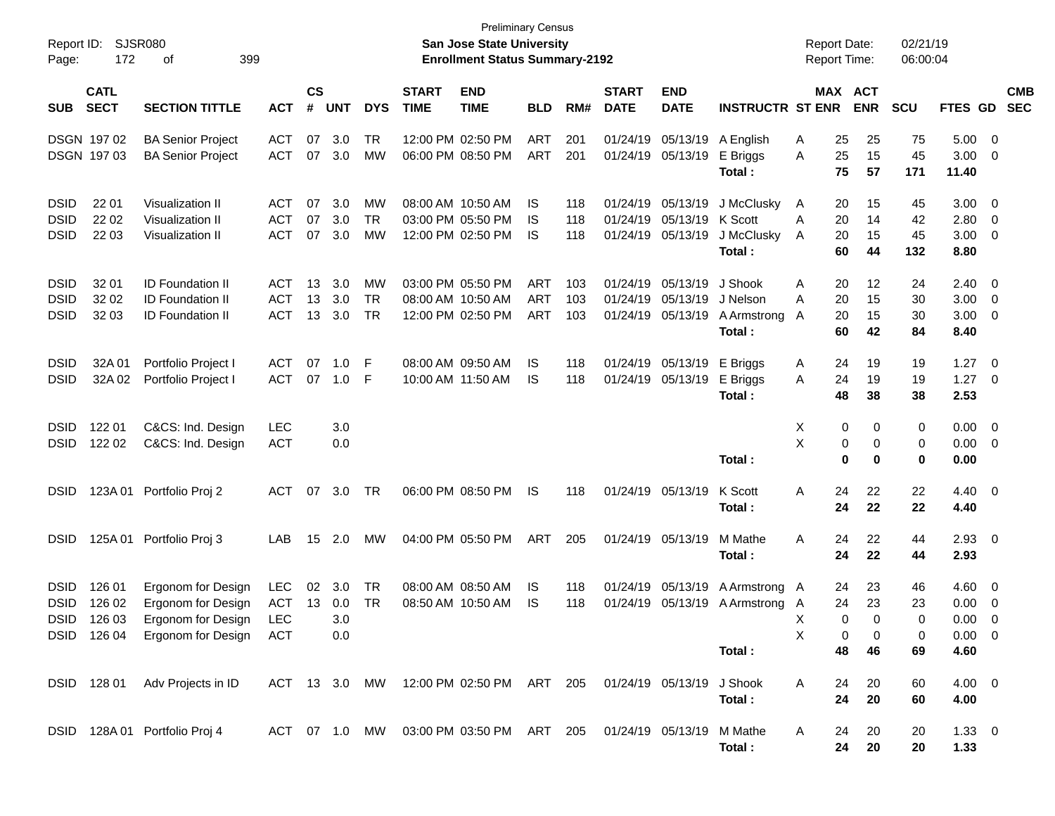| Report ID:<br>Page:                       | 172                             | SJSR080<br>399<br>οf                                                                                 |                                 |                |                          |                       |                             | <b>Preliminary Census</b><br><b>San Jose State University</b><br><b>Enrollment Status Summary-2192</b> |                                        |                   |                             |                                                             |                                                  | <b>Report Date:</b><br><b>Report Time:</b> |                                          | 02/21/19<br>06:00:04  |                                                  |                                                                               |                          |
|-------------------------------------------|---------------------------------|------------------------------------------------------------------------------------------------------|---------------------------------|----------------|--------------------------|-----------------------|-----------------------------|--------------------------------------------------------------------------------------------------------|----------------------------------------|-------------------|-----------------------------|-------------------------------------------------------------|--------------------------------------------------|--------------------------------------------|------------------------------------------|-----------------------|--------------------------------------------------|-------------------------------------------------------------------------------|--------------------------|
| <b>SUB</b>                                | <b>CATL</b><br><b>SECT</b>      | <b>SECTION TITTLE</b>                                                                                | <b>ACT</b>                      | <b>CS</b><br># | <b>UNT</b>               | <b>DYS</b>            | <b>START</b><br><b>TIME</b> | <b>END</b><br><b>TIME</b>                                                                              | <b>BLD</b>                             | RM#               | <b>START</b><br><b>DATE</b> | <b>END</b><br><b>DATE</b>                                   | <b>INSTRUCTR ST ENR</b>                          |                                            | MAX ACT<br><b>ENR</b>                    | <b>SCU</b>            | <b>FTES GD</b>                                   |                                                                               | <b>CMB</b><br><b>SEC</b> |
|                                           | DSGN 197 02<br>DSGN 197 03      | <b>BA Senior Project</b><br><b>BA Senior Project</b>                                                 | <b>ACT</b><br><b>ACT</b>        | 07<br>07       | 3.0<br>3.0               | TR<br>MW              |                             | 12:00 PM 02:50 PM<br>06:00 PM 08:50 PM                                                                 | ART<br>ART                             | 201<br>201        | 01/24/19                    | 01/24/19 05/13/19                                           | 05/13/19 A English<br>E Briggs<br>Total:         | A<br>25<br>A                               | 25<br>25<br>15<br>75<br>57               | 75<br>45<br>171       | 5.00<br>3.00<br>11.40                            | $\overline{\mathbf{0}}$<br>$\overline{0}$                                     |                          |
| <b>DSID</b><br><b>DSID</b><br><b>DSID</b> | 22 01<br>22 02<br>22 03         | <b>Visualization II</b><br><b>Visualization II</b><br><b>Visualization II</b>                        | ACT<br><b>ACT</b><br><b>ACT</b> | 07<br>07<br>07 | 3.0<br>3.0<br>3.0        | MW<br><b>TR</b><br>MW |                             | 08:00 AM 10:50 AM<br>03:00 PM 05:50 PM<br>12:00 PM 02:50 PM                                            | IS<br>IS<br>IS                         | 118<br>118<br>118 |                             | 01/24/19 05/13/19<br>01/24/19 05/13/19<br>01/24/19 05/13/19 | J McClusky<br>K Scott<br>J McClusky<br>Total:    | 20<br>A<br>20<br>A<br>20<br>A<br>60        | 15<br>14<br>15<br>44                     | 45<br>42<br>45<br>132 | 3.00 <sub>1</sub><br>2.80<br>3.00<br>8.80        | $\overline{\mathbf{0}}$<br>$\overline{\mathbf{0}}$<br>$\overline{0}$          |                          |
| <b>DSID</b><br><b>DSID</b><br><b>DSID</b> | 32 01<br>32 02<br>32 03         | <b>ID Foundation II</b><br><b>ID Foundation II</b><br><b>ID Foundation II</b>                        | ACT<br><b>ACT</b><br><b>ACT</b> | 13<br>13<br>13 | 3.0<br>3.0<br>3.0        | MW<br><b>TR</b><br>TR |                             | 03:00 PM 05:50 PM<br>08:00 AM 10:50 AM<br>12:00 PM 02:50 PM                                            | <b>ART</b><br><b>ART</b><br><b>ART</b> | 103<br>103<br>103 | 01/24/19                    | 05/13/19<br>01/24/19 05/13/19<br>01/24/19 05/13/19          | J Shook<br>J Nelson<br>A Armstrong<br>Total:     | A<br>20<br>20<br>Α<br>20<br>A              | 12<br>15<br>15<br>60<br>42               | 24<br>30<br>30<br>84  | 2.40<br>3.00<br>3.00<br>8.40                     | $\overline{\mathbf{0}}$<br>$\overline{\mathbf{0}}$<br>$\overline{\mathbf{0}}$ |                          |
| <b>DSID</b><br><b>DSID</b>                | 32A 01<br>32A 02                | Portfolio Project I<br>Portfolio Project I                                                           | <b>ACT</b><br><b>ACT</b>        | 07<br>07       | 1.0<br>1.0               | F<br>-F               |                             | 08:00 AM 09:50 AM<br>10:00 AM 11:50 AM                                                                 | IS<br>IS                               | 118<br>118        |                             | 01/24/19 05/13/19<br>01/24/19 05/13/19                      | E Briggs<br>E Briggs<br>Total:                   | 24<br>A<br>24<br>A                         | 19<br>19<br>48<br>38                     | 19<br>19<br>38        | 1.27<br>1.27<br>2.53                             | $\overline{0}$<br>$\overline{0}$                                              |                          |
| <b>DSID</b><br><b>DSID</b>                | 122 01<br>122 02                | C&CS: Ind. Design<br>C&CS: Ind. Design                                                               | <b>LEC</b><br><b>ACT</b>        |                | 3.0<br>0.0               |                       |                             |                                                                                                        |                                        |                   |                             |                                                             | Total:                                           | X<br>X                                     | 0<br>0<br>0<br>0<br>$\bf{0}$<br>$\bf{0}$ | 0<br>0<br>0           | $0.00 \t 0$<br>$0.00 \t 0$<br>0.00               |                                                                               |                          |
| DSID                                      |                                 | 123A 01 Portfolio Proj 2                                                                             | <b>ACT</b>                      | 07             | 3.0                      | TR                    |                             | 06:00 PM 08:50 PM                                                                                      | IS                                     | 118               |                             | 01/24/19 05/13/19                                           | K Scott<br>Total :                               | 24<br>Α                                    | 22<br>22<br>24                           | 22<br>22              | $4.40 \quad 0$<br>4.40                           |                                                                               |                          |
| <b>DSID</b>                               |                                 | 125A 01 Portfolio Proj 3                                                                             | LAB                             | 15             | 2.0                      | MW                    |                             | 04:00 PM 05:50 PM                                                                                      | ART                                    | 205               |                             | 01/24/19 05/13/19                                           | M Mathe<br>Total :                               | Α                                          | 24<br>22<br>22<br>24                     | 44<br>44              | $2.93$ 0<br>2.93                                 |                                                                               |                          |
| <b>DSID</b><br><b>DSID</b>                | 126 01<br>126 02<br>DSID 126 03 | Ergonom for Design<br>Ergonom for Design<br>Ergonom for Design<br>DSID 126 04 Ergonom for Design ACT | LEC<br><b>ACT</b><br><b>LEC</b> | 02<br>13       | 3.0<br>0.0<br>3.0<br>0.0 | TR<br>TR              |                             | 08:00 AM 08:50 AM<br>08:50 AM 10:50 AM                                                                 | IS<br>IS                               | 118<br>118        |                             | 01/24/19 05/13/19                                           | A Armstrong A<br>01/24/19 05/13/19 A Armstrong A | 24<br>24<br>X<br>X                         | 23<br>23<br>$\Omega$<br>0<br>0<br>0      | 46<br>23<br>0<br>0    | 4.60<br>0.00<br>$0.00 \quad 0$<br>$0.00 \quad 0$ | $\overline{\phantom{0}}$<br>$\overline{0}$                                    |                          |
|                                           |                                 | DSID 128 01 Adv Projects in ID                                                                       |                                 |                |                          |                       |                             | ACT 13 3.0 MW 12:00 PM 02:50 PM ART 205 01/24/19 05/13/19 J Shook                                      |                                        |                   |                             |                                                             | Total:<br>Total:                                 | 48<br>A<br>24                              | 46<br>20<br>24<br>20                     | 69<br>60<br>60        | 4.60<br>$4.00 \t 0$<br>4.00                      |                                                                               |                          |
|                                           |                                 | DSID 128A 01 Portfolio Proj 4                                                                        |                                 |                |                          |                       |                             | ACT 07 1.0 MW 03:00 PM 03:50 PM ART 205 01/24/19 05/13/19                                              |                                        |                   |                             |                                                             | M Mathe<br>Total:                                | A<br>24                                    | 20<br>24<br>20                           | 20<br>20              | $1.33 \ 0$<br>1.33                               |                                                                               |                          |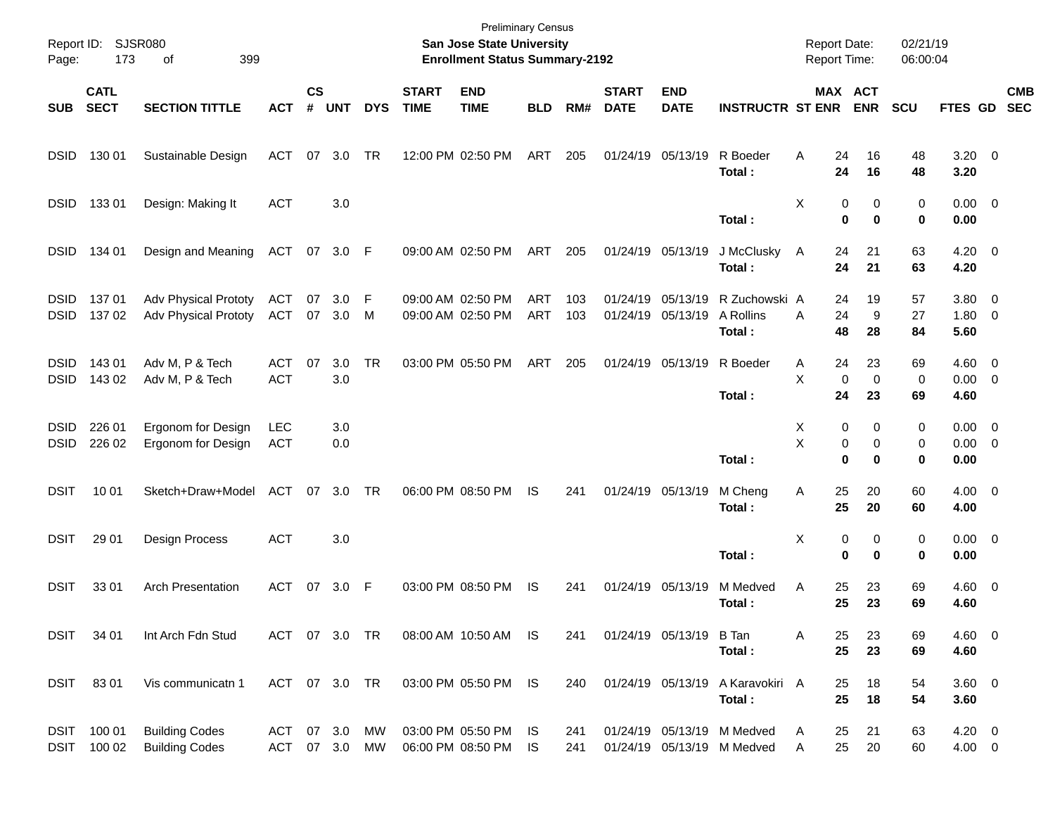| Page:                      | Report ID: SJSR080<br>173  | 399<br>of                                                  |                          |                    |            |                 |                             | <b>Preliminary Census</b><br>San Jose State University<br><b>Enrollment Status Summary-2192</b> |                          |            |                             |                                        |                                                          | <b>Report Date:</b><br><b>Report Time:</b> |                                          | 02/21/19<br>06:00:04 |                                    |                          |
|----------------------------|----------------------------|------------------------------------------------------------|--------------------------|--------------------|------------|-----------------|-----------------------------|-------------------------------------------------------------------------------------------------|--------------------------|------------|-----------------------------|----------------------------------------|----------------------------------------------------------|--------------------------------------------|------------------------------------------|----------------------|------------------------------------|--------------------------|
| <b>SUB</b>                 | <b>CATL</b><br><b>SECT</b> | <b>SECTION TITTLE</b>                                      | <b>ACT</b>               | $\mathsf{cs}$<br># | <b>UNT</b> | <b>DYS</b>      | <b>START</b><br><b>TIME</b> | <b>END</b><br><b>TIME</b>                                                                       | <b>BLD</b>               | RM#        | <b>START</b><br><b>DATE</b> | <b>END</b><br><b>DATE</b>              | <b>INSTRUCTR ST ENR</b>                                  |                                            | MAX ACT<br><b>ENR</b>                    | <b>SCU</b>           | <b>FTES GD</b>                     | <b>CMB</b><br><b>SEC</b> |
| <b>DSID</b>                | 130 01                     | Sustainable Design                                         | ACT                      | 07                 | 3.0        | TR              |                             | 12:00 PM 02:50 PM                                                                               | ART                      | 205        |                             | 01/24/19 05/13/19                      | R Boeder<br>Total:                                       | Α<br>24<br>24                              | 16<br>16                                 | 48<br>48             | $3.20 \ 0$<br>3.20                 |                          |
| <b>DSID</b>                | 13301                      | Design: Making It                                          | <b>ACT</b>               |                    | 3.0        |                 |                             |                                                                                                 |                          |            |                             |                                        | Total:                                                   | х                                          | 0<br>0<br>0<br>$\bf{0}$                  | 0<br>0               | $0.00 \t 0$<br>0.00                |                          |
| <b>DSID</b>                | 134 01                     | Design and Meaning                                         | <b>ACT</b>               | 07                 | 3.0 F      |                 |                             | 09:00 AM 02:50 PM                                                                               | ART                      | 205        |                             | 01/24/19 05/13/19                      | J McClusky<br>Total:                                     | A<br>24                                    | 24<br>21<br>21                           | 63<br>63             | $4.20 \ 0$<br>4.20                 |                          |
| <b>DSID</b><br><b>DSID</b> | 137 01<br>137 02           | <b>Adv Physical Prototy</b><br><b>Adv Physical Prototy</b> | ACT<br>ACT               | 07<br>07           | 3.0<br>3.0 | F<br>M          |                             | 09:00 AM 02:50 PM<br>09:00 AM 02:50 PM                                                          | <b>ART</b><br><b>ART</b> | 103<br>103 |                             | 01/24/19 05/13/19<br>01/24/19 05/13/19 | R Zuchowski A<br>A Rollins<br>Total:                     | 24<br>24<br>Α<br>48                        | 19<br>9<br>28                            | 57<br>27<br>84       | 3.80 0<br>$1.80 \ 0$<br>5.60       |                          |
| <b>DSID</b><br><b>DSID</b> | 143 01<br>143 02           | Adv M, P & Tech<br>Adv M, P & Tech                         | <b>ACT</b><br><b>ACT</b> | 07                 | 3.0<br>3.0 | <b>TR</b>       |                             | 03:00 PM 05:50 PM                                                                               | ART                      | 205        |                             | 01/24/19 05/13/19                      | R Boeder<br>Total:                                       | Α<br>X<br>24                               | 24<br>23<br>0<br>$\mathbf 0$<br>23       | 69<br>0<br>69        | $4.60$ 0<br>$0.00 \t 0$<br>4.60    |                          |
| <b>DSID</b><br><b>DSID</b> | 226 01<br>226 02           | Ergonom for Design<br>Ergonom for Design                   | <b>LEC</b><br><b>ACT</b> |                    | 3.0<br>0.0 |                 |                             |                                                                                                 |                          |            |                             |                                        | Total:                                                   | X<br>X                                     | 0<br>0<br>0<br>0<br>$\bf{0}$<br>$\bf{0}$ | 0<br>0<br>0          | $0.00 \t 0$<br>$0.00 \t 0$<br>0.00 |                          |
| <b>DSIT</b>                | 10 01                      | Sketch+Draw+Model                                          | ACT                      | 07                 | 3.0        | TR              |                             | 06:00 PM 08:50 PM                                                                               | <b>IS</b>                | 241        |                             | 01/24/19 05/13/19                      | M Cheng<br>Total:                                        | 25<br>Α<br>25                              | 20<br>20                                 | 60<br>60             | $4.00 \ 0$<br>4.00                 |                          |
| <b>DSIT</b>                | 29 01                      | <b>Design Process</b>                                      | <b>ACT</b>               |                    | 3.0        |                 |                             |                                                                                                 |                          |            |                             |                                        | Total:                                                   | х                                          | 0<br>0<br>$\bf{0}$<br>$\bf{0}$           | 0<br>0               | $0.00 \t 0$<br>0.00                |                          |
| <b>DSIT</b>                | 33 01                      | <b>Arch Presentation</b>                                   | ACT                      | 07                 | 3.0        | -F              |                             | 03:00 PM 08:50 PM                                                                               | <b>IS</b>                | 241        |                             | 01/24/19 05/13/19                      | M Medved<br>Total:                                       | 25<br>Α<br>25                              | 23<br>23                                 | 69<br>69             | 4.60 0<br>4.60                     |                          |
| DSIT                       | 34 01                      | Int Arch Fdn Stud                                          | ACT 07 3.0 TR            |                    |            |                 |                             | 08:00 AM 10:50 AM                                                                               | - IS                     | 241        |                             | 01/24/19 05/13/19                      | B Tan<br>Total:                                          | 25<br>A                                    | 23<br>25<br>23                           | 69<br>69             | $4.60$ 0<br>4.60                   |                          |
| DSIT                       | 8301                       | Vis communicatn 1                                          | ACT 07 3.0 TR            |                    |            |                 |                             | 03:00 PM 05:50 PM IS                                                                            |                          | 240        |                             |                                        | 01/24/19 05/13/19 A Karavokiri A<br>Total:               |                                            | 18<br>25<br>25<br>18                     | 54<br>54             | 3.60 0<br>3.60                     |                          |
|                            | DSIT 100 01<br>DSIT 100 02 | <b>Building Codes</b><br><b>Building Codes</b>             | ACT 07 3.0<br>ACT 07 3.0 |                    |            | MW<br><b>MW</b> |                             | 03:00 PM 05:50 PM<br>06:00 PM 08:50 PM                                                          | IS<br>IS.                | 241<br>241 |                             |                                        | 01/24/19 05/13/19 M Medved<br>01/24/19 05/13/19 M Medved | A<br>Α                                     | 25<br>21<br>25<br>20                     | 63<br>60             | $4.20 \ 0$<br>$4.00 \t 0$          |                          |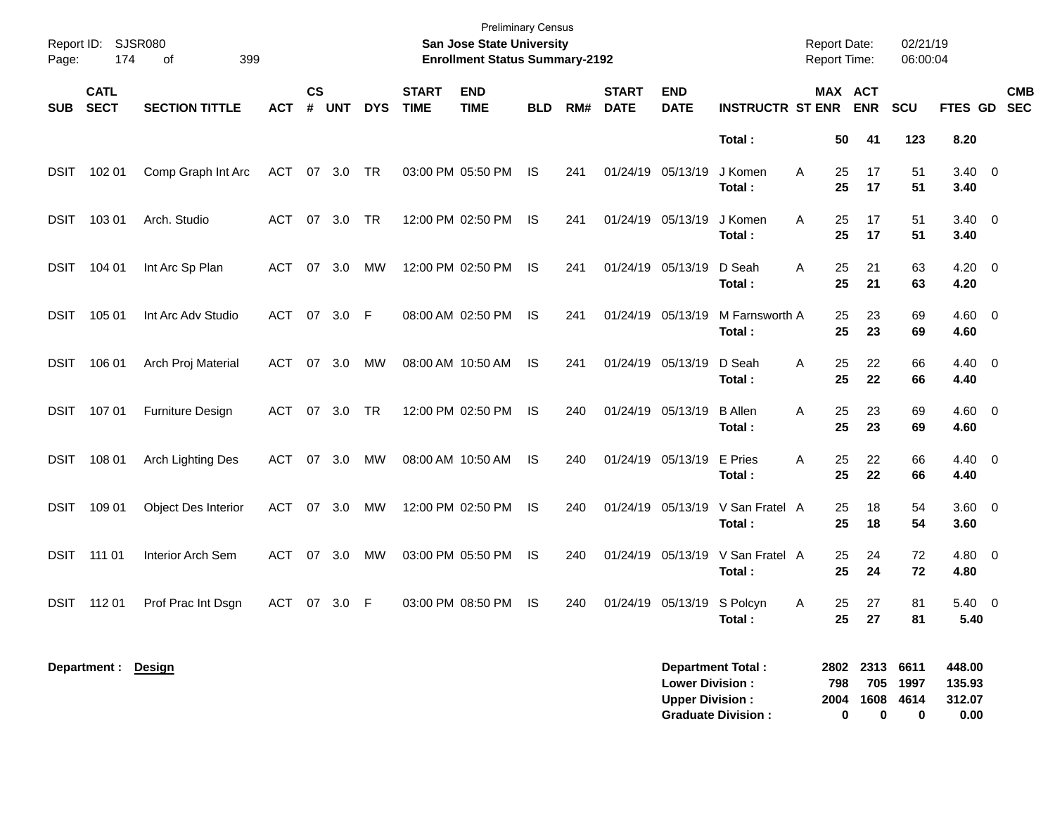| Report ID:<br>Page: | 174                        | <b>SJSR080</b><br>399<br>οf |            |                    |            |            |                             | <b>Preliminary Census</b><br>San Jose State University<br><b>Enrollment Status Summary-2192</b> |            |     |                             |                                                                              |                           |   | <b>Report Date:</b><br>Report Time: |                                    | 02/21/19<br>06:00:04 |                                    |                          |
|---------------------|----------------------------|-----------------------------|------------|--------------------|------------|------------|-----------------------------|-------------------------------------------------------------------------------------------------|------------|-----|-----------------------------|------------------------------------------------------------------------------|---------------------------|---|-------------------------------------|------------------------------------|----------------------|------------------------------------|--------------------------|
| <b>SUB</b>          | <b>CATL</b><br><b>SECT</b> | <b>SECTION TITTLE</b>       | <b>ACT</b> | $\mathsf{cs}$<br># | <b>UNT</b> | <b>DYS</b> | <b>START</b><br><b>TIME</b> | <b>END</b><br><b>TIME</b>                                                                       | <b>BLD</b> | RM# | <b>START</b><br><b>DATE</b> | <b>END</b><br><b>DATE</b>                                                    | <b>INSTRUCTR ST ENR</b>   |   | MAX ACT                             | <b>ENR</b>                         | <b>SCU</b>           | FTES GD                            | <b>CMB</b><br><b>SEC</b> |
|                     |                            |                             |            |                    |            |            |                             |                                                                                                 |            |     |                             |                                                                              | Total:                    |   | 50                                  | 41                                 | 123                  | 8.20                               |                          |
| <b>DSIT</b>         | 102 01                     | Comp Graph Int Arc          | <b>ACT</b> | 07                 | 3.0        | TR         |                             | 03:00 PM 05:50 PM                                                                               | IS         | 241 | 01/24/19 05/13/19           |                                                                              | J Komen<br>Total:         | Α | 25<br>25                            | 17<br>17                           | 51<br>51             | $3.40 \ 0$<br>3.40                 |                          |
| <b>DSIT</b>         | 103 01                     | Arch. Studio                | <b>ACT</b> | 07                 | 3.0        | TR         |                             | 12:00 PM 02:50 PM                                                                               | IS         | 241 | 01/24/19 05/13/19           |                                                                              | J Komen<br>Total:         | Α | 25<br>25                            | 17<br>17                           | 51<br>51             | $3.40 \ 0$<br>3.40                 |                          |
| <b>DSIT</b>         | 104 01                     | Int Arc Sp Plan             | <b>ACT</b> | 07                 | 3.0        | MW         |                             | 12:00 PM 02:50 PM                                                                               | IS         | 241 | 01/24/19 05/13/19           |                                                                              | D Seah<br>Total:          | Α | 25<br>25                            | 21<br>21                           | 63<br>63             | $4.20 \ 0$<br>4.20                 |                          |
| <b>DSIT</b>         | 105 01                     | Int Arc Adv Studio          | <b>ACT</b> | 07                 | 3.0        | F          |                             | 08:00 AM 02:50 PM                                                                               | IS         | 241 | 01/24/19 05/13/19           |                                                                              | M Farnsworth A<br>Total:  |   | 25<br>25                            | 23<br>23                           | 69<br>69             | $4.60$ 0<br>4.60                   |                          |
| <b>DSIT</b>         | 106 01                     | Arch Proj Material          | <b>ACT</b> | 07                 | 3.0        | МW         |                             | 08:00 AM 10:50 AM                                                                               | IS         | 241 | 01/24/19 05/13/19           |                                                                              | D Seah<br>Total:          | Α | 25<br>25                            | 22<br>22                           | 66<br>66             | 4.40 0<br>4.40                     |                          |
| <b>DSIT</b>         | 107 01                     | <b>Furniture Design</b>     | ACT        | 07                 | 3.0        | TR         |                             | 12:00 PM 02:50 PM                                                                               | IS         | 240 | 01/24/19 05/13/19           |                                                                              | <b>B</b> Allen<br>Total:  | Α | 25<br>25                            | 23<br>23                           | 69<br>69             | $4.60$ 0<br>4.60                   |                          |
| <b>DSIT</b>         | 108 01                     | Arch Lighting Des           | ACT        | 07                 | 3.0        | МW         |                             | 08:00 AM 10:50 AM                                                                               | IS         | 240 | 01/24/19 05/13/19           |                                                                              | E Pries<br>Total:         | Α | 25<br>25                            | 22<br>22                           | 66<br>66             | 4.40 0<br>4.40                     |                          |
| <b>DSIT</b>         | 109 01                     | <b>Object Des Interior</b>  | <b>ACT</b> | 07                 | 3.0        | MW         |                             | 12:00 PM 02:50 PM                                                                               | IS         | 240 | 01/24/19 05/13/19           |                                                                              | V San Fratel A<br>Total:  |   | 25<br>25                            | 18<br>18                           | 54<br>54             | 3.60 0<br>3.60                     |                          |
| <b>DSIT</b>         | 111 01                     | Interior Arch Sem           | <b>ACT</b> | 07                 | 3.0        | МW         |                             | 03:00 PM 05:50 PM                                                                               | IS         | 240 |                             | 01/24/19 05/13/19                                                            | V San Fratel A<br>Total:  |   | 25<br>25                            | 24<br>24                           | 72<br>72             | 4.80 0<br>4.80                     |                          |
| <b>DSIT</b>         | 112 01                     | Prof Prac Int Dsgn          | <b>ACT</b> | 07                 | 3.0        | - F        |                             | 03:00 PM 08:50 PM                                                                               | IS         | 240 |                             | 01/24/19 05/13/19                                                            | S Polcyn<br>Total:        | Α | 25<br>25                            | 27<br>27                           | 81<br>81             | 5.40 0<br>5.40                     |                          |
|                     | Department: Design         |                             |            |                    |            |            |                             |                                                                                                 |            |     |                             | <b>Department Total:</b><br><b>Lower Division:</b><br><b>Upper Division:</b> | <b>Graduate Division:</b> |   | 798<br>2004<br>0                    | 2802 2313 6611<br>705<br>1608<br>0 | 1997<br>4614<br>0    | 448.00<br>135.93<br>312.07<br>0.00 |                          |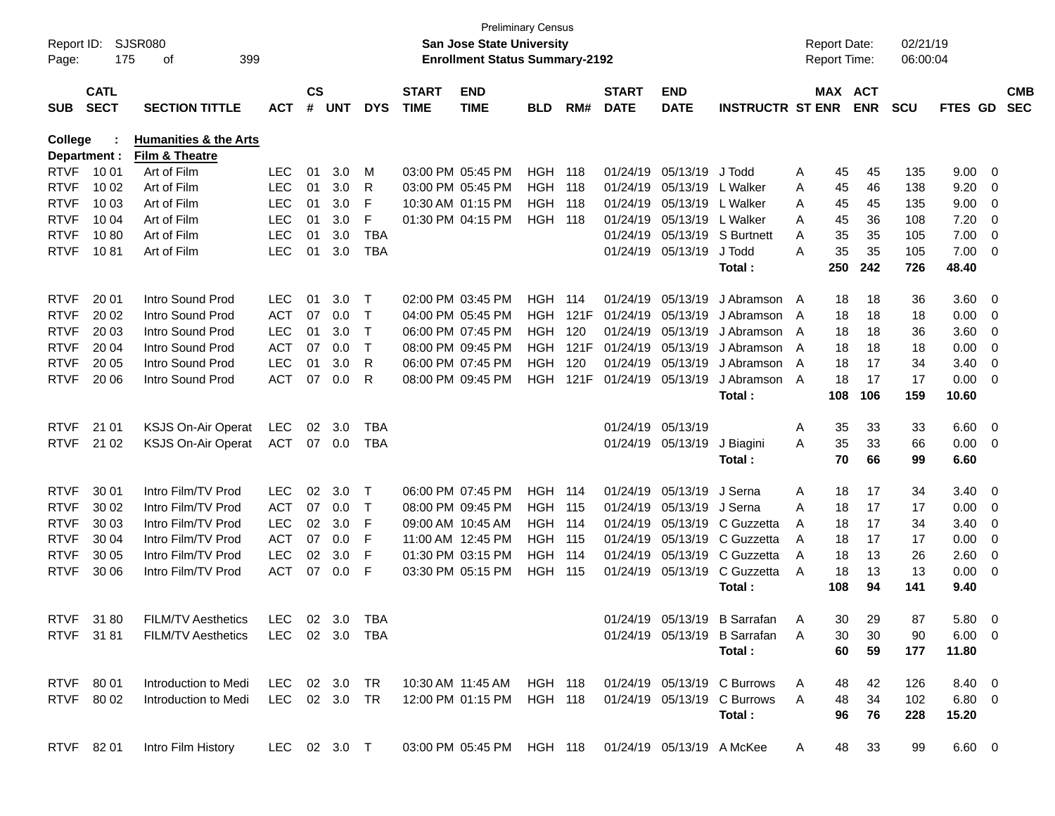| Report ID:<br>Page:        | 175                        | SJSR080<br>399<br>οf                     |                   |                    |            |            |                             | <b>San Jose State University</b><br><b>Enrollment Status Summary-2192</b> | <b>Preliminary Census</b>    |       |                             |                           |                                                                     |        | <b>Report Date:</b><br>Report Time: |            | 02/21/19<br>06:00:04 |                |                         |                          |
|----------------------------|----------------------------|------------------------------------------|-------------------|--------------------|------------|------------|-----------------------------|---------------------------------------------------------------------------|------------------------------|-------|-----------------------------|---------------------------|---------------------------------------------------------------------|--------|-------------------------------------|------------|----------------------|----------------|-------------------------|--------------------------|
| <b>SUB</b>                 | <b>CATL</b><br><b>SECT</b> | <b>SECTION TITTLE</b>                    | <b>ACT</b>        | $\mathsf{cs}$<br># | <b>UNT</b> | <b>DYS</b> | <b>START</b><br><b>TIME</b> | <b>END</b><br><b>TIME</b>                                                 | <b>BLD</b>                   | RM#   | <b>START</b><br><b>DATE</b> | <b>END</b><br><b>DATE</b> | <b>INSTRUCTR ST ENR</b>                                             |        | MAX ACT                             | <b>ENR</b> | <b>SCU</b>           | <b>FTES GD</b> |                         | <b>CMB</b><br><b>SEC</b> |
| <b>College</b>             |                            | <b>Humanities &amp; the Arts</b>         |                   |                    |            |            |                             |                                                                           |                              |       |                             |                           |                                                                     |        |                                     |            |                      |                |                         |                          |
|                            | Department :               | <b>Film &amp; Theatre</b>                |                   |                    |            |            |                             |                                                                           |                              |       |                             |                           |                                                                     |        |                                     |            |                      |                |                         |                          |
| <b>RTVF</b>                | 10 01                      | Art of Film                              | <b>LEC</b>        | 01                 | 3.0        | м          |                             | 03:00 PM 05:45 PM                                                         | HGH                          | 118   | 01/24/19                    | 05/13/19                  | J Todd                                                              | A      | 45                                  | 45         | 135                  | 9.00           | - 0                     |                          |
| <b>RTVF</b>                | 10 02                      | Art of Film                              | <b>LEC</b>        | 01                 | 3.0        | R          |                             | 03:00 PM 05:45 PM                                                         | <b>HGH</b>                   | 118   | 01/24/19                    | 05/13/19                  | L Walker                                                            | Α      | 45                                  | 46         | 138                  | 9.20           | $\overline{0}$          |                          |
| <b>RTVF</b>                | 10 03                      | Art of Film                              | <b>LEC</b>        | 01                 | 3.0        | F          |                             | 10:30 AM 01:15 PM                                                         | <b>HGH 118</b>               |       | 01/24/19                    | 05/13/19                  | L Walker                                                            | Α      | 45                                  | 45         | 135                  | 9.00           | 0                       |                          |
| <b>RTVF</b>                | 10 04                      | Art of Film                              | <b>LEC</b>        | 01                 | 3.0        | F          |                             | 01:30 PM 04:15 PM                                                         | <b>HGH 118</b>               |       | 01/24/19                    | 05/13/19                  | L Walker                                                            | A      | 45                                  | 36         | 108                  | 7.20           | 0                       |                          |
| <b>RTVF</b>                | 1080                       | Art of Film                              | <b>LEC</b>        | 01                 | 3.0        | <b>TBA</b> |                             |                                                                           |                              |       | 01/24/19                    | 05/13/19                  | S Burtnett                                                          | A      | 35                                  | 35         | 105                  | 7.00           | 0                       |                          |
| <b>RTVF</b>                | 1081                       | Art of Film                              | <b>LEC</b>        | 01                 | 3.0        | <b>TBA</b> |                             |                                                                           |                              |       |                             | 01/24/19 05/13/19         | J Todd                                                              | A      | 35                                  | 35         | 105                  | 7.00           | 0                       |                          |
|                            |                            |                                          |                   |                    |            |            |                             |                                                                           |                              |       |                             |                           | Total:                                                              |        | 250                                 | 242        | 726                  | 48.40          |                         |                          |
| <b>RTVF</b>                | 20 01                      | Intro Sound Prod                         | <b>LEC</b>        | 01                 | 3.0        | Т          |                             | 02:00 PM 03:45 PM                                                         | HGH                          | - 114 | 01/24/19                    | 05/13/19                  | J Abramson                                                          | A      | 18                                  | 18         | 36                   | 3.60           | - 0                     |                          |
| <b>RTVF</b>                | 20 02                      | Intro Sound Prod                         | <b>ACT</b>        | 07                 | 0.0        | Т          |                             | 04:00 PM 05:45 PM                                                         | <b>HGH</b>                   | 121F  | 01/24/19                    | 05/13/19                  | J Abramson                                                          | A      | 18                                  | 18         | 18                   | 0.00           | $\overline{0}$          |                          |
| <b>RTVF</b>                | 20 03                      | Intro Sound Prod                         | <b>LEC</b>        | 01                 | 3.0        | Т          |                             | 06:00 PM 07:45 PM                                                         | <b>HGH</b>                   | 120   | 01/24/19                    | 05/13/19                  | J Abramson                                                          | A      | 18                                  | 18         | 36                   | 3.60           | 0                       |                          |
| <b>RTVF</b>                | 20 04                      | Intro Sound Prod                         | <b>ACT</b>        | 07                 | 0.0        | Т          |                             | 08:00 PM 09:45 PM                                                         | HGH.                         | 121F  | 01/24/19                    | 05/13/19                  | J Abramson                                                          | A      | 18                                  | 18         | 18                   | 0.00           | 0                       |                          |
| <b>RTVF</b>                | 20 05                      | Intro Sound Prod                         | LEC               | 01                 | 3.0        | R          |                             | 06:00 PM 07:45 PM                                                         | <b>HGH</b>                   | 120   | 01/24/19                    | 05/13/19                  | J Abramson                                                          | A      | 18                                  | 17         | 34                   | 3.40           | 0                       |                          |
| <b>RTVF</b>                | 20 06                      | Intro Sound Prod                         | <b>ACT</b>        | 07                 | 0.0        | R          |                             | 08:00 PM 09:45 PM                                                         | <b>HGH</b>                   | 121F  |                             | 01/24/19 05/13/19         | J Abramson                                                          | A      | 18                                  | 17         | 17                   | 0.00           | 0                       |                          |
|                            |                            |                                          |                   |                    |            |            |                             |                                                                           |                              |       |                             |                           | Total:                                                              |        | 108                                 | 106        | 159                  | 10.60          |                         |                          |
| <b>RTVF</b>                | 21 01                      | <b>KSJS On-Air Operat</b>                | <b>LEC</b>        | 02                 | 3.0        | <b>TBA</b> |                             |                                                                           |                              |       |                             | 01/24/19 05/13/19         |                                                                     | A      | 35                                  | 33         | 33                   | 6.60           | $\overline{\mathbf{0}}$ |                          |
| <b>RTVF</b>                | 21 02                      | KSJS On-Air Operat                       | <b>ACT</b>        |                    | 07 0.0     | <b>TBA</b> |                             |                                                                           |                              |       |                             | 01/24/19 05/13/19         | J Biagini                                                           | A      | 35                                  | 33         | 66                   | 0.00           | - 0                     |                          |
|                            |                            |                                          |                   |                    |            |            |                             |                                                                           |                              |       |                             |                           | Total:                                                              |        | 70                                  | 66         | 99                   | 6.60           |                         |                          |
|                            |                            |                                          |                   |                    |            |            |                             |                                                                           |                              |       |                             |                           |                                                                     |        |                                     |            |                      |                |                         |                          |
| <b>RTVF</b>                | 30 01                      | Intro Film/TV Prod                       | <b>LEC</b>        | 02                 | 3.0        | Т          |                             | 06:00 PM 07:45 PM                                                         | <b>HGH 114</b>               |       | 01/24/19                    | 05/13/19                  | J Serna                                                             | A      | 18                                  | 17         | 34                   | 3.40           | $\overline{\mathbf{0}}$ |                          |
| <b>RTVF</b>                | 30 02                      | Intro Film/TV Prod                       | <b>ACT</b>        | 07                 | 0.0        | Т          |                             | 08:00 PM 09:45 PM                                                         | <b>HGH 115</b>               |       | 01/24/19                    | 05/13/19                  | J Serna                                                             | Α      | 18                                  | 17         | 17                   | 0.00           | $\overline{0}$          |                          |
| <b>RTVF</b><br><b>RTVF</b> | 30 03                      | Intro Film/TV Prod                       | <b>LEC</b>        | 02                 | 3.0        | F          |                             | 09:00 AM 10:45 AM<br>11:00 AM 12:45 PM                                    | <b>HGH 114</b>               |       | 01/24/19                    | 05/13/19<br>05/13/19      | C Guzzetta<br>C Guzzetta                                            | A      | 18                                  | 17         | 34                   | 3.40           | 0                       |                          |
| <b>RTVF</b>                | 30 04<br>30 05             | Intro Film/TV Prod<br>Intro Film/TV Prod | <b>ACT</b><br>LEC | 07<br>02           | 0.0<br>3.0 | F<br>F     |                             | 01:30 PM 03:15 PM                                                         | <b>HGH 115</b><br><b>HGH</b> | 114   | 01/24/19<br>01/24/19        | 05/13/19                  | C Guzzetta                                                          | A      | 18<br>18                            | 17<br>13   | 17<br>26             | 0.00<br>2.60   | 0                       |                          |
| <b>RTVF</b>                | 30 06                      | Intro Film/TV Prod                       | <b>ACT</b>        | 07                 | 0.0        | F          |                             |                                                                           | <b>HGH 115</b>               |       |                             | 01/24/19 05/13/19         | C Guzzetta                                                          | Α<br>A | 18                                  | 13         | 13                   |                | 0<br>0                  |                          |
|                            |                            |                                          |                   |                    |            |            |                             | 03:30 PM 05:15 PM                                                         |                              |       |                             |                           | Total:                                                              |        | 108                                 | 94         | 141                  | 0.00<br>9.40   |                         |                          |
|                            |                            |                                          |                   |                    |            |            |                             |                                                                           |                              |       |                             |                           |                                                                     |        |                                     |            |                      |                |                         |                          |
| <b>RTVF</b>                | 31 80                      | <b>FILM/TV Aesthetics</b>                | $LEC$ 02 3.0      |                    |            | <b>TBA</b> |                             |                                                                           |                              |       |                             |                           | 01/24/19 05/13/19 B Sarrafan                                        | A      | 30                                  | 29         | 87                   | 5.80           | - 0                     |                          |
|                            | RTVF 3181                  | <b>FILM/TV Aesthetics</b>                | LEC 02 3.0 TBA    |                    |            |            |                             |                                                                           |                              |       |                             |                           | 01/24/19 05/13/19 B Sarrafan A                                      |        | 30                                  | 30         | 90                   | $6.00 \quad 0$ |                         |                          |
|                            |                            |                                          |                   |                    |            |            |                             |                                                                           |                              |       |                             |                           | Total:                                                              |        | 60                                  | 59         | 177                  | 11.80          |                         |                          |
|                            | RTVF 80 01                 | Introduction to Medi                     |                   |                    |            |            |                             |                                                                           |                              |       |                             |                           | LEC 02 3.0 TR 10:30 AM 11:45 AM HGH 118 01/24/19 05/13/19 C Burrows | A      | 48                                  | 42         | 126                  | 8.40 0         |                         |                          |
|                            | RTVF 80 02                 | Introduction to Medi                     |                   |                    |            |            |                             | LEC 02 3.0 TR 12:00 PM 01:15 PM HGH 118                                   |                              |       |                             |                           | 01/24/19 05/13/19 C Burrows                                         | A      | 48                                  | 34         | 102                  | 6.80 0         |                         |                          |
|                            |                            |                                          |                   |                    |            |            |                             |                                                                           |                              |       |                             |                           | Total:                                                              |        | 96                                  | 76         | 228                  | 15.20          |                         |                          |
|                            | RTVF 8201                  | Intro Film History                       | LEC 02 3.0 T      |                    |            |            |                             | 03:00 PM 05:45 PM HGH 118 01/24/19 05/13/19 A McKee                       |                              |       |                             |                           |                                                                     | A      | 48                                  | 33         | 99                   | $6.60 \quad 0$ |                         |                          |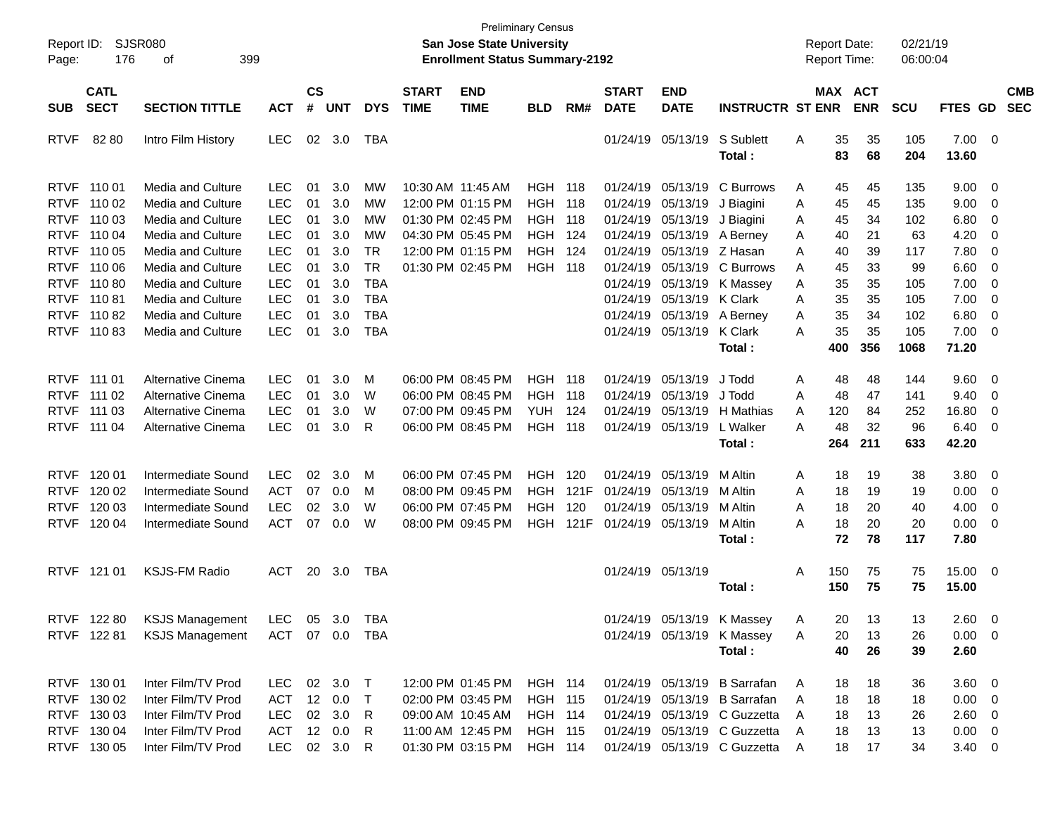| Report ID:<br>Page:                       | 176                                       | SJSR080<br>399<br>οf                                                      |                                        |                |                      |                                       |                             | <b>San Jose State University</b><br><b>Enrollment Status Summary-2192</b> | <b>Preliminary Census</b>                          |                     |                                  |                                                 |                                                                                              | <b>Report Date:</b><br><b>Report Time:</b> |                  |                       | 02/21/19<br>06:00:04 |                                             |                                                                                  |                          |
|-------------------------------------------|-------------------------------------------|---------------------------------------------------------------------------|----------------------------------------|----------------|----------------------|---------------------------------------|-----------------------------|---------------------------------------------------------------------------|----------------------------------------------------|---------------------|----------------------------------|-------------------------------------------------|----------------------------------------------------------------------------------------------|--------------------------------------------|------------------|-----------------------|----------------------|---------------------------------------------|----------------------------------------------------------------------------------|--------------------------|
| <b>SUB</b>                                | <b>CATL</b><br><b>SECT</b>                | <b>SECTION TITTLE</b>                                                     | <b>ACT</b>                             | <b>CS</b><br># | <b>UNT</b>           | <b>DYS</b>                            | <b>START</b><br><b>TIME</b> | <b>END</b><br><b>TIME</b>                                                 | <b>BLD</b>                                         | RM#                 | <b>START</b><br><b>DATE</b>      | <b>END</b><br><b>DATE</b>                       | <b>INSTRUCTR ST ENR</b>                                                                      |                                            |                  | MAX ACT<br><b>ENR</b> | <b>SCU</b>           | FTES GD                                     |                                                                                  | <b>CMB</b><br><b>SEC</b> |
| <b>RTVF</b>                               | 8280                                      | Intro Film History                                                        | <b>LEC</b>                             |                | 02 3.0               | <b>TBA</b>                            |                             |                                                                           |                                                    |                     |                                  | 01/24/19 05/13/19                               | S Sublett<br>Total :                                                                         | Α                                          | 35<br>83         | 35<br>68              | 105<br>204           | $7.00 \t 0$<br>13.60                        |                                                                                  |                          |
|                                           | RTVF 110 01<br>RTVF 110 02                | Media and Culture<br>Media and Culture                                    | <b>LEC</b><br><b>LEC</b>               | 01<br>01       | 3.0<br>3.0           | MW<br>MW                              |                             | 10:30 AM 11:45 AM<br>12:00 PM 01:15 PM                                    | <b>HGH 118</b><br><b>HGH</b>                       | 118                 | 01/24/19                         | 05/13/19 J Biagini                              | 01/24/19 05/13/19 C Burrows                                                                  | A<br>Α                                     | 45<br>45         | 45<br>45              | 135<br>135           | $9.00 \t 0$<br>9.00                         | $\overline{\phantom{0}}$                                                         |                          |
| <b>RTVF</b><br><b>RTVF</b><br><b>RTVF</b> | 110 03<br>110 04<br>110 05                | Media and Culture<br><b>Media and Culture</b><br>Media and Culture        | <b>LEC</b><br><b>LEC</b><br><b>LEC</b> | 01<br>01<br>01 | 3.0<br>3.0<br>3.0    | MW<br>MW<br><b>TR</b>                 |                             | 01:30 PM 02:45 PM<br>04:30 PM 05:45 PM<br>12:00 PM 01:15 PM               | <b>HGH</b><br><b>HGH</b><br>HGH                    | 118<br>124<br>124   | 01/24/19<br>01/24/19<br>01/24/19 | 05/13/19<br>05/13/19 Z Hasan                    | J Biagini<br>05/13/19 A Berney                                                               | Α<br>Α<br>A                                | 45<br>40<br>40   | 34<br>21<br>39        | 102<br>63<br>117     | 6.80<br>4.20<br>7.80                        | $\overline{\mathbf{0}}$<br>$\overline{\mathbf{0}}$<br>$\overline{\phantom{0}}$   |                          |
| <b>RTVF</b>                               | 110 06<br>RTVF 110 80<br>RTVF 110 81      | Media and Culture<br><b>Media and Culture</b><br><b>Media and Culture</b> | <b>LEC</b><br><b>LEC</b><br><b>LEC</b> | 01<br>01<br>01 | 3.0<br>3.0<br>3.0    | <b>TR</b><br><b>TBA</b><br><b>TBA</b> |                             | 01:30 PM 02:45 PM                                                         | <b>HGH 118</b>                                     |                     | 01/24/19                         | 01/24/19 05/13/19 K Clark                       | 05/13/19 C Burrows<br>01/24/19 05/13/19 K Massey                                             | A<br>Α<br>A                                | 45<br>35<br>35   | 33<br>35<br>35        | 99<br>105<br>105     | 6.60<br>7.00<br>7.00                        | $\overline{\phantom{0}}$<br>$\overline{\phantom{0}}$<br>$\overline{\mathbf{0}}$  |                          |
| <b>RTVF</b>                               | RTVF 110 82<br>11083                      | Media and Culture<br><b>Media and Culture</b>                             | <b>LEC</b><br><b>LEC</b>               | 01<br>01       | 3.0<br>3.0           | <b>TBA</b><br><b>TBA</b>              |                             |                                                                           |                                                    |                     |                                  | 01/24/19 05/13/19 A Berney<br>01/24/19 05/13/19 | K Clark<br>Total:                                                                            | Α<br>A                                     | 35<br>35<br>400  | 34<br>35<br>356       | 102<br>105<br>1068   | 6.80<br>$7.00 \t 0$<br>71.20                | $\overline{\mathbf{0}}$                                                          |                          |
|                                           | RTVF 111 01<br>RTVF 111 02                | Alternative Cinema<br>Alternative Cinema                                  | <b>LEC</b><br><b>LEC</b>               | 01<br>01       | 3.0<br>3.0           | M<br>W                                |                             | 06:00 PM 08:45 PM<br>06:00 PM 08:45 PM                                    | HGH<br><b>HGH</b>                                  | 118<br>118          | 01/24/19<br>01/24/19             | 05/13/19<br>05/13/19                            | J Todd<br>J Todd                                                                             | Α<br>A                                     | 48<br>48         | 48<br>47              | 144<br>141           | 9.60 0<br>9.40                              | $\overline{\phantom{0}}$                                                         |                          |
|                                           | RTVF 111 03<br>RTVF 111 04                | Alternative Cinema<br>Alternative Cinema                                  | <b>LEC</b><br><b>LEC</b>               | 01<br>01       | 3.0<br>3.0           | W<br>R                                |                             | 07:00 PM 09:45 PM<br>06:00 PM 08:45 PM                                    | <b>YUH</b><br><b>HGH</b>                           | 124<br>118          | 01/24/19                         | 01/24/19 05/13/19                               | 05/13/19 H Mathias<br>L Walker<br>Total:                                                     | A<br>A                                     | 120<br>48<br>264 | 84<br>32<br>211       | 252<br>96<br>633     | 16.80<br>6.40<br>42.20                      | $\overline{\mathbf{0}}$<br>$\overline{\phantom{0}}$                              |                          |
|                                           | RTVF 120 01                               | Intermediate Sound                                                        | <b>LEC</b>                             | 02             | 3.0                  | M                                     |                             | 06:00 PM 07:45 PM                                                         | <b>HGH</b>                                         | 120                 | 01/24/19                         | 05/13/19                                        | M Altin                                                                                      | Α                                          | 18               | 19                    | 38                   | 3.80 0                                      |                                                                                  |                          |
| <b>RTVF</b><br><b>RTVF</b>                | RTVF 120 02<br>120 03<br>120 04           | Intermediate Sound<br>Intermediate Sound<br>Intermediate Sound            | <b>ACT</b><br><b>LEC</b><br><b>ACT</b> | 07<br>02<br>07 | 0.0<br>3.0<br>0.0    | M<br>W<br>W                           |                             | 08:00 PM 09:45 PM<br>06:00 PM 07:45 PM<br>08:00 PM 09:45 PM               | HGH<br><b>HGH</b><br>HGH                           | 121F<br>120<br>121F | 01/24/19<br>01/24/19             | 05/13/19<br>05/13/19<br>01/24/19 05/13/19       | M Altin<br>M Altin<br>M Altin                                                                | A<br>A<br>A                                | 18<br>18<br>18   | 19<br>20<br>20        | 19<br>40<br>20       | 0.00<br>4.00<br>0.00                        | $\overline{\phantom{0}}$<br>$\overline{\phantom{0}}$<br>$\overline{\phantom{0}}$ |                          |
|                                           | RTVF 121 01                               | <b>KSJS-FM Radio</b>                                                      | ACT                                    |                | 20 3.0               | TBA                                   |                             |                                                                           |                                                    |                     |                                  | 01/24/19 05/13/19                               | Total :                                                                                      | Α                                          | 72<br>150        | 78<br>75              | 117<br>75            | 7.80<br>15.00 0                             |                                                                                  |                          |
| RTVF                                      | 122 80                                    | <b>KSJS Management</b>                                                    |                                        |                | LEC 05 3.0 TBA       |                                       |                             |                                                                           |                                                    |                     |                                  |                                                 | Total :<br>01/24/19 05/13/19 K Massey                                                        | A                                          | 150<br>20        | 75<br>13              | 75<br>13             | 15.00<br>$2.60 \t 0$                        |                                                                                  |                          |
|                                           |                                           | RTVF 122 81 KSJS Management ACT 07 0.0 TBA                                |                                        |                |                      |                                       |                             |                                                                           |                                                    |                     |                                  |                                                 | 01/24/19 05/13/19 K Massey<br>Total:                                                         | A                                          | 20<br>40         | 13<br>26              | 26<br>39             | $0.00 \t 0$<br>2.60                         |                                                                                  |                          |
|                                           | RTVF 130 01<br>RTVF 130 02<br>RTVF 130 03 | Inter Film/TV Prod<br>Inter Film/TV Prod<br>Inter Film/TV Prod            | LEC 02 3.0 T<br>ACT<br>LEC             |                | 12 0.0 T<br>02 3.0 R |                                       |                             | 12:00 PM 01:45 PM<br>02:00 PM 03:45 PM<br>09:00 AM 10:45 AM               | <b>HGH 114</b><br><b>HGH 115</b><br><b>HGH 114</b> |                     |                                  |                                                 | 01/24/19 05/13/19 B Sarrafan<br>01/24/19 05/13/19 B Sarrafan<br>01/24/19 05/13/19 C Guzzetta | A<br>A<br>A                                | 18<br>18<br>18   | 18<br>18<br>13        | 36<br>18<br>26       | $3.60 \ 0$<br>$0.00 \t 0$<br>$2.60 \quad 0$ |                                                                                  |                          |
|                                           | RTVF 130 04<br>RTVF 130 05                | Inter Film/TV Prod<br>Inter Film/TV Prod                                  | ACT 12 0.0<br>LEC 02 3.0 R             |                |                      | R                                     |                             | 11:00 AM 12:45 PM<br>01:30 PM 03:15 PM                                    | <b>HGH 115</b><br><b>HGH 114</b>                   |                     |                                  |                                                 | 01/24/19 05/13/19 C Guzzetta<br>01/24/19 05/13/19 C Guzzetta                                 | A<br>A                                     | 18<br>18         | 13<br>17              | 13<br>34             | $0.00 \t 0$<br>$3.40 \ 0$                   |                                                                                  |                          |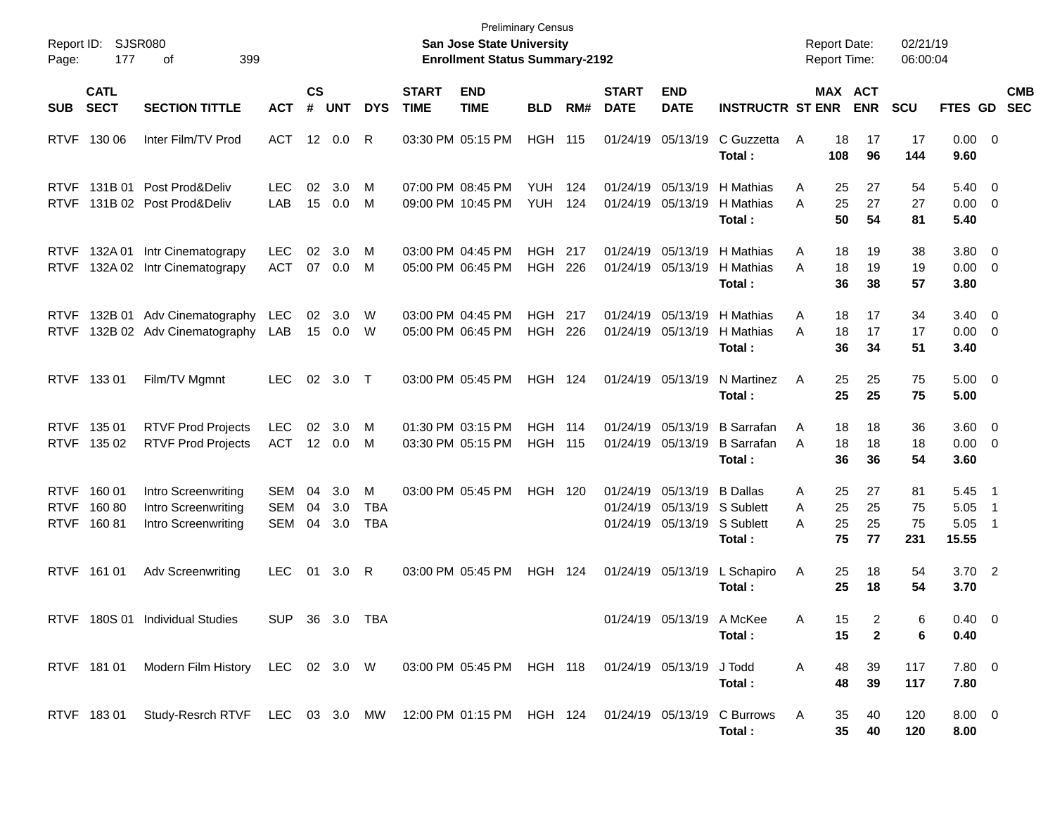| Report ID:<br>Page:                       | 177                        | SJSR080<br>399<br>οf                                                                              |                          |                       |                   |                               |                                        | <b>Preliminary Census</b><br><b>San Jose State University</b><br><b>Enrollment Status Summary-2192</b> |                                  |            |                             |                                           |                                                     |             | <b>Report Date:</b><br><b>Report Time:</b>   | 02/21/19<br>06:00:04  |                                   |                                                              |  |
|-------------------------------------------|----------------------------|---------------------------------------------------------------------------------------------------|--------------------------|-----------------------|-------------------|-------------------------------|----------------------------------------|--------------------------------------------------------------------------------------------------------|----------------------------------|------------|-----------------------------|-------------------------------------------|-----------------------------------------------------|-------------|----------------------------------------------|-----------------------|-----------------------------------|--------------------------------------------------------------|--|
| <b>SUB</b>                                | <b>CATL</b><br><b>SECT</b> | <b>SECTION TITTLE</b>                                                                             | <b>ACT</b>               | <b>CS</b><br>#        | <b>UNT</b>        | <b>DYS</b>                    | <b>START</b><br><b>TIME</b>            | <b>END</b><br><b>TIME</b>                                                                              | <b>BLD</b>                       | RM#        | <b>START</b><br><b>DATE</b> | <b>END</b><br><b>DATE</b>                 | <b>INSTRUCTR ST ENR</b>                             |             | MAX ACT<br><b>ENR</b>                        | <b>SCU</b>            | FTES GD                           | <b>CMB</b><br><b>SEC</b>                                     |  |
| <b>RTVF</b>                               | 130 06                     | Inter Film/TV Prod                                                                                | ACT                      | 12                    | 0.0               | R                             | 03:30 PM 05:15 PM                      |                                                                                                        | <b>HGH 115</b>                   |            | 01/24/19                    | 05/13/19                                  | C Guzzetta<br>Total:                                | A           | 18<br>17<br>108<br>96                        | 17<br>144             | $0.00 \t 0$<br>9.60               |                                                              |  |
| <b>RTVF</b><br><b>RTVF</b>                | 131B 01                    | Post Prod&Deliv<br>131B 02 Post Prod&Deliv                                                        | <b>LEC</b><br>LAB        | 02<br>15              | 3.0<br>0.0        | М<br>M                        | 07:00 PM 08:45 PM<br>09:00 PM 10:45 PM |                                                                                                        | <b>YUH</b><br><b>YUH</b>         | 124<br>124 | 01/24/19<br>01/24/19        | 05/13/19<br>05/13/19                      | H Mathias<br>H Mathias<br>Total:                    | Α<br>A      | 25<br>27<br>25<br>27<br>50<br>54             | 54<br>27<br>81        | 5.40<br>$0.00 \t 0$<br>5.40       | $\overline{\phantom{0}}$                                     |  |
| <b>RTVF</b><br><b>RTVF</b>                | 132A 01                    | Intr Cinematograpy<br>132A 02 Intr Cinematograpy                                                  | <b>LEC</b><br><b>ACT</b> | 02                    | 3.0<br>07 0.0     | М<br>M                        | 03:00 PM 04:45 PM<br>05:00 PM 06:45 PM |                                                                                                        | <b>HGH</b><br><b>HGH</b>         | 217<br>226 | 01/24/19<br>01/24/19        | 05/13/19<br>05/13/19                      | H Mathias<br>H Mathias<br>Total:                    | Α<br>A      | 18<br>19<br>18<br>19<br>36<br>38             | 38<br>19<br>57        | 3.80<br>$0.00 \t 0$<br>3.80       | $\overline{\mathbf{0}}$                                      |  |
| <b>RTVF</b><br><b>RTVF</b>                |                            | 132B 01 Adv Cinematography<br>132B 02 Adv Cinematography                                          | <b>LEC</b><br>LAB        | 02<br>15              | 3.0<br>0.0        | W<br>W                        | 03:00 PM 04:45 PM<br>05:00 PM 06:45 PM |                                                                                                        | <b>HGH</b><br><b>HGH</b>         | 217<br>226 | 01/24/19<br>01/24/19        | 05/13/19<br>05/13/19                      | H Mathias<br>H Mathias<br>Total:                    | Α<br>A      | 18<br>17<br>18<br>17<br>36<br>34             | 34<br>17<br>51        | $3.40 \ 0$<br>$0.00 \ 0$<br>3.40  |                                                              |  |
| <b>RTVF</b>                               | 13301                      | Film/TV Mgmnt                                                                                     | <b>LEC</b>               | 02                    | 3.0               | $\top$                        |                                        | 03:00 PM 05:45 PM                                                                                      | <b>HGH 124</b>                   |            | 01/24/19 05/13/19           |                                           | N Martinez<br>Total:                                | Α           | 25<br>25<br>25<br>25                         | 75<br>75              | $5.00 \t 0$<br>5.00               |                                                              |  |
| <b>RTVF</b><br><b>RTVF</b>                | 135 01<br>135 02           | <b>RTVF Prod Projects</b><br><b>RTVF Prod Projects</b>                                            | <b>LEC</b><br><b>ACT</b> | 02<br>12 <sup>2</sup> | 3.0<br>0.0        | М<br>M                        | 01:30 PM 03:15 PM<br>03:30 PM 05:15 PM |                                                                                                        | <b>HGH 114</b><br><b>HGH 115</b> |            | 01/24/19<br>01/24/19        | 05/13/19<br>05/13/19                      | <b>B</b> Sarrafan<br><b>B</b> Sarrafan<br>Total:    | A<br>A      | 18<br>18<br>18<br>18<br>36<br>36             | 36<br>18<br>54        | $3.60 \ 0$<br>$0.00 \t 0$<br>3.60 |                                                              |  |
| <b>RTVF</b><br><b>RTVF</b><br><b>RTVF</b> | 160 01<br>16080<br>16081   | Intro Screenwriting<br>Intro Screenwriting<br>Intro Screenwriting                                 | SEM<br>SEM<br>SEM        | 04<br>04<br>04        | 3.0<br>3.0<br>3.0 | M<br><b>TBA</b><br><b>TBA</b> |                                        | 03:00 PM 05:45 PM                                                                                      | <b>HGH 120</b>                   |            | 01/24/19<br>01/24/19        | 05/13/19<br>05/13/19<br>01/24/19 05/13/19 | <b>B</b> Dallas<br>S Sublett<br>S Sublett<br>Total: | Α<br>A<br>A | 25<br>27<br>25<br>25<br>25<br>25<br>75<br>77 | 81<br>75<br>75<br>231 | 5.45<br>5.05<br>5.05<br>15.55     | $\overline{\phantom{1}}$<br>$\overline{1}$<br>$\overline{1}$ |  |
| <b>RTVF</b>                               | 161 01                     | <b>Adv Screenwriting</b>                                                                          | <b>LEC</b>               | 01                    | 3.0               | R                             |                                        | 03:00 PM 05:45 PM                                                                                      | <b>HGH 124</b>                   |            |                             | 01/24/19 05/13/19                         | L Schapiro<br>Total:                                | Α           | 25<br>18<br>25<br>18                         | 54<br>54              | $3.70\quad 2$<br>3.70             |                                                              |  |
|                                           |                            | RTVF 180S 01 Individual Studies                                                                   | SUP                      |                       | 36 3.0 TBA        |                               |                                        |                                                                                                        |                                  |            |                             |                                           | 01/24/19 05/13/19 A McKee<br>Total :                | A           | 15<br>2<br>$\mathbf{2}$<br>15                | 6<br>6                | $0.40 \quad 0$<br>0.40            |                                                              |  |
|                                           |                            | RTVF 181 01 Modern Film History LEC 02 3.0 W 03:00 PM 05:45 PM HGH 118 01/24/19 05/13/19 J Todd   |                          |                       |                   |                               |                                        |                                                                                                        |                                  |            |                             |                                           | Total:                                              | A           | 39<br>48<br>48<br>39                         | 117<br>117            | $7.80\ 0$<br>7.80                 |                                                              |  |
|                                           |                            | RTVF 183 01 Study-Resrch RTVF LEC 03 3.0 MW 12:00 PM 01:15 PM HGH 124 01/24/19 05/13/19 C Burrows |                          |                       |                   |                               |                                        |                                                                                                        |                                  |            |                             |                                           | Total:                                              | A           | 35<br>40<br>35 <sub>5</sub><br>40            | 120<br>120            | $8.00 \t 0$<br>8.00               |                                                              |  |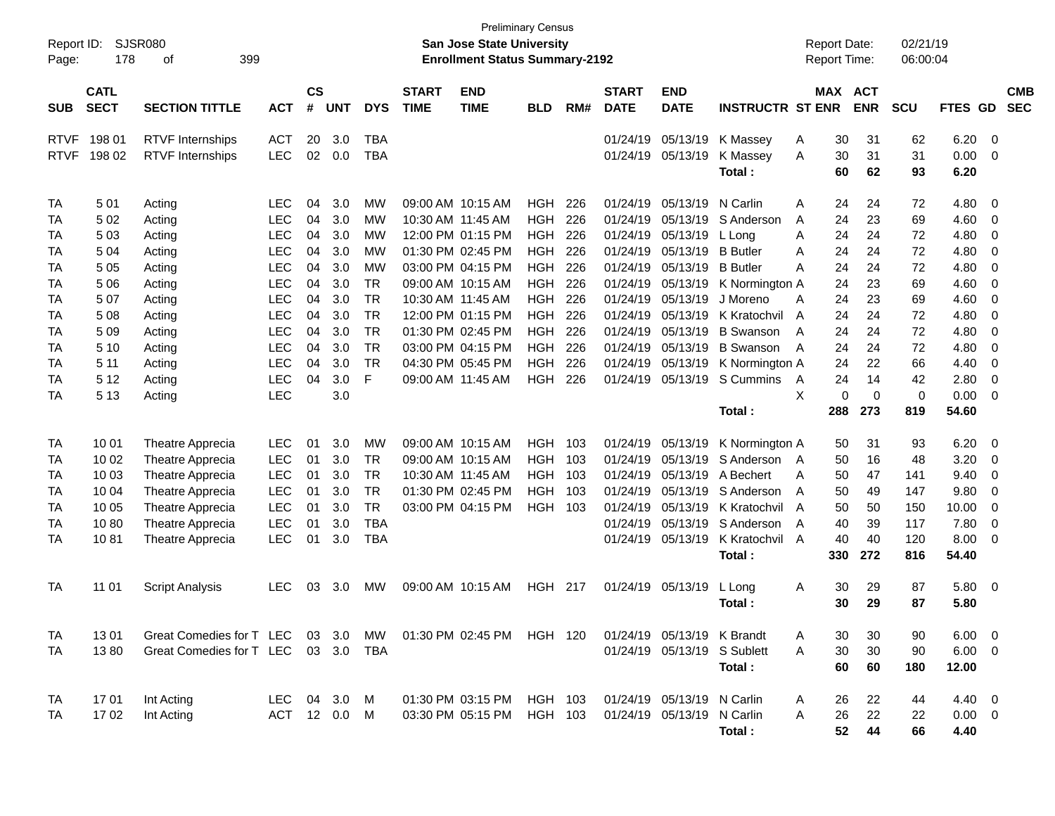| Report ID:<br>Page:                                                        | 178                                                                                                | <b>SJSR080</b><br>399<br>οf                                                                                                              |                                                                                                                                                                                    |                                                                      |                                                                                         |                                                                                                               |                             | <b>Preliminary Census</b><br><b>San Jose State University</b><br><b>Enrollment Status Summary-2192</b>                                                                                                                                                   |                                                                                                                                                                      |                                                                                  |                                                                                                                                              |                                                                                                                                              |                                                                                                                                                                                                       | <b>Report Date:</b><br><b>Report Time:</b>                       |                                                                                  |                                                                                  | 02/21/19<br>06:00:04                                                             |                                                                                                               |                                                                         |                          |
|----------------------------------------------------------------------------|----------------------------------------------------------------------------------------------------|------------------------------------------------------------------------------------------------------------------------------------------|------------------------------------------------------------------------------------------------------------------------------------------------------------------------------------|----------------------------------------------------------------------|-----------------------------------------------------------------------------------------|---------------------------------------------------------------------------------------------------------------|-----------------------------|----------------------------------------------------------------------------------------------------------------------------------------------------------------------------------------------------------------------------------------------------------|----------------------------------------------------------------------------------------------------------------------------------------------------------------------|----------------------------------------------------------------------------------|----------------------------------------------------------------------------------------------------------------------------------------------|----------------------------------------------------------------------------------------------------------------------------------------------|-------------------------------------------------------------------------------------------------------------------------------------------------------------------------------------------------------|------------------------------------------------------------------|----------------------------------------------------------------------------------|----------------------------------------------------------------------------------|----------------------------------------------------------------------------------|---------------------------------------------------------------------------------------------------------------|-------------------------------------------------------------------------|--------------------------|
| <b>SUB</b>                                                                 | <b>CATL</b><br><b>SECT</b>                                                                         | <b>SECTION TITTLE</b>                                                                                                                    | <b>ACT</b>                                                                                                                                                                         | $\mathsf{cs}$<br>#                                                   | <b>UNT</b>                                                                              | <b>DYS</b>                                                                                                    | <b>START</b><br><b>TIME</b> | <b>END</b><br><b>TIME</b>                                                                                                                                                                                                                                | <b>BLD</b>                                                                                                                                                           | RM#                                                                              | <b>START</b><br><b>DATE</b>                                                                                                                  | <b>END</b><br><b>DATE</b>                                                                                                                    | <b>INSTRUCTR ST ENR</b>                                                                                                                                                                               |                                                                  |                                                                                  | MAX ACT<br><b>ENR</b>                                                            | <b>SCU</b>                                                                       | FTES GD                                                                                                       |                                                                         | <b>CMB</b><br><b>SEC</b> |
| <b>RTVF</b><br><b>RTVF</b>                                                 | 19801<br>198 02                                                                                    | <b>RTVF</b> Internships<br><b>RTVF</b> Internships                                                                                       | <b>ACT</b><br><b>LEC</b>                                                                                                                                                           | 20<br>02                                                             | 3.0<br>0.0                                                                              | <b>TBA</b><br><b>TBA</b>                                                                                      |                             |                                                                                                                                                                                                                                                          |                                                                                                                                                                      |                                                                                  | 01/24/19<br>01/24/19                                                                                                                         | 05/13/19<br>05/13/19                                                                                                                         | K Massey<br>K Massey<br>Total:                                                                                                                                                                        | Α<br>A                                                           | 30<br>30<br>60                                                                   | 31<br>31<br>62                                                                   | 62<br>31<br>93                                                                   | 6.20<br>0.00<br>6.20                                                                                          | 0<br>$\mathbf 0$                                                        |                          |
| TA<br>TA<br>TA<br>TA<br>TA<br>TA<br>TA<br>TA<br>TA<br>TA<br>TA<br>TA<br>TA | 501<br>502<br>503<br>504<br>5 0 5<br>5 0 6<br>507<br>508<br>509<br>5 10<br>5 1 1<br>5 1 2<br>5 1 3 | Acting<br>Acting<br>Acting<br>Acting<br>Acting<br>Acting<br>Acting<br>Acting<br>Acting<br>Acting<br>Acting<br>Acting<br>Acting           | <b>LEC</b><br><b>LEC</b><br><b>LEC</b><br><b>LEC</b><br><b>LEC</b><br><b>LEC</b><br><b>LEC</b><br><b>LEC</b><br><b>LEC</b><br><b>LEC</b><br><b>LEC</b><br><b>LEC</b><br><b>LEC</b> | 04<br>04<br>04<br>04<br>04<br>04<br>04<br>04<br>04<br>04<br>04<br>04 | 3.0<br>3.0<br>3.0<br>3.0<br>3.0<br>3.0<br>3.0<br>3.0<br>3.0<br>3.0<br>3.0<br>3.0<br>3.0 | МW<br>МW<br>МW<br>МW<br>МW<br><b>TR</b><br><b>TR</b><br><b>TR</b><br><b>TR</b><br><b>TR</b><br><b>TR</b><br>F |                             | 09:00 AM 10:15 AM<br>10:30 AM 11:45 AM<br>12:00 PM 01:15 PM<br>01:30 PM 02:45 PM<br>03:00 PM 04:15 PM<br>09:00 AM 10:15 AM<br>10:30 AM 11:45 AM<br>12:00 PM 01:15 PM<br>01:30 PM 02:45 PM<br>03:00 PM 04:15 PM<br>04:30 PM 05:45 PM<br>09:00 AM 11:45 AM | <b>HGH</b><br><b>HGH</b><br><b>HGH</b><br><b>HGH</b><br><b>HGH</b><br><b>HGH</b><br><b>HGH</b><br><b>HGH</b><br><b>HGH</b><br><b>HGH</b><br><b>HGH</b><br><b>HGH</b> | 226<br>226<br>226<br>226<br>226<br>226<br>226<br>226<br>226<br>226<br>226<br>226 | 01/24/19<br>01/24/19<br>01/24/19<br>01/24/19<br>01/24/19<br>01/24/19<br>01/24/19<br>01/24/19<br>01/24/19<br>01/24/19<br>01/24/19<br>01/24/19 | 05/13/19<br>05/13/19<br>05/13/19<br>05/13/19<br>05/13/19<br>05/13/19<br>05/13/19<br>05/13/19<br>05/13/19<br>05/13/19<br>05/13/19<br>05/13/19 | N Carlin<br>S Anderson<br>L Long<br><b>B</b> Butler<br><b>B</b> Butler<br>K Normington A<br>J Moreno<br>K Kratochvil<br><b>B</b> Swanson<br><b>B</b> Swanson<br>K Normington A<br>S Cummins<br>Total: | Α<br>A<br>A<br>A<br>A<br>A<br>$\overline{A}$<br>A<br>A<br>A<br>X | 24<br>24<br>24<br>24<br>24<br>24<br>24<br>24<br>24<br>24<br>24<br>24<br>0<br>288 | 24<br>23<br>24<br>24<br>24<br>23<br>23<br>24<br>24<br>24<br>22<br>14<br>0<br>273 | 72<br>69<br>72<br>72<br>72<br>69<br>69<br>72<br>72<br>72<br>66<br>42<br>0<br>819 | 4.80<br>4.60<br>4.80<br>4.80<br>4.80<br>4.60<br>4.60<br>4.80<br>4.80<br>4.80<br>4.40<br>2.80<br>0.00<br>54.60 | 0<br>0<br>0<br>0<br>0<br>0<br>0<br>0<br>0<br>0<br>0<br>0<br>$\mathbf 0$ |                          |
| TA<br>TA<br>TA<br>TA<br>TA<br>TA<br>TA                                     | 10 01<br>10 02<br>10 03<br>10 04<br>10 05<br>1080<br>1081                                          | Theatre Apprecia<br>Theatre Apprecia<br>Theatre Apprecia<br>Theatre Apprecia<br>Theatre Apprecia<br>Theatre Apprecia<br>Theatre Apprecia | <b>LEC</b><br><b>LEC</b><br><b>LEC</b><br><b>LEC</b><br><b>LEC</b><br><b>LEC</b><br><b>LEC</b>                                                                                     | 01<br>01<br>01<br>01<br>01<br>01<br>01                               | 3.0<br>3.0<br>3.0<br>3.0<br>3.0<br>3.0<br>3.0                                           | <b>MW</b><br><b>TR</b><br><b>TR</b><br><b>TR</b><br><b>TR</b><br><b>TBA</b><br><b>TBA</b>                     |                             | 09:00 AM 10:15 AM<br>09:00 AM 10:15 AM<br>10:30 AM 11:45 AM<br>01:30 PM 02:45 PM<br>03:00 PM 04:15 PM                                                                                                                                                    | <b>HGH</b><br><b>HGH</b><br><b>HGH</b><br><b>HGH</b><br>HGH                                                                                                          | 103<br>103<br>103<br>103<br>103                                                  | 01/24/19<br>01/24/19<br>01/24/19<br>01/24/19<br>01/24/19<br>01/24/19                                                                         | 05/13/19<br>05/13/19<br>05/13/19<br>05/13/19<br>05/13/19<br>05/13/19<br>01/24/19 05/13/19                                                    | K Normington A<br>S Anderson<br>A Bechert<br>S Anderson<br>K Kratochvil<br>S Anderson<br>K Kratochvil<br>Total:                                                                                       | A<br>A<br>A<br>$\overline{A}$<br>A<br>$\overline{A}$             | 50<br>50<br>50<br>50<br>50<br>40<br>40<br>330                                    | 31<br>16<br>47<br>49<br>50<br>39<br>40<br>272                                    | 93<br>48<br>141<br>147<br>150<br>117<br>120<br>816                               | 6.20<br>3.20<br>9.40<br>9.80<br>10.00<br>7.80<br>8.00<br>54.40                                                | 0<br>0<br>0<br>0<br>0<br>0<br>0                                         |                          |
| TA<br>TA<br>TA                                                             | 11 01<br>1301<br>1380                                                                              | <b>Script Analysis</b><br>Great Comedies for T LEC<br>Great Comedies for T LEC                                                           | <b>LEC</b>                                                                                                                                                                         | 03                                                                   | 3.0<br>03 3.0                                                                           | MW<br>03 3.0 MW<br>TBA                                                                                        |                             | 09:00 AM 10:15 AM<br>01:30 PM 02:45 PM HGH 120                                                                                                                                                                                                           | <b>HGH 217</b>                                                                                                                                                       |                                                                                  |                                                                                                                                              | 01/24/19 05/13/19<br>01/24/19 05/13/19 K Brandt                                                                                              | L Long<br>Total:<br>01/24/19 05/13/19 S Sublett<br>Total:                                                                                                                                             | Α<br>A<br>A                                                      | 30<br>30<br>30<br>30<br>60                                                       | 29<br>29<br>30<br>30<br>60                                                       | 87<br>87<br>90<br>90<br>180                                                      | 5.80<br>5.80<br>$6.00 \quad 0$<br>$6.00 \t 0$<br>12.00                                                        | $\overline{\mathbf{0}}$                                                 |                          |
| TA<br>TA                                                                   | 1701<br>1702                                                                                       | Int Acting<br>Int Acting                                                                                                                 | LEC.<br>ACT 12 0.0 M                                                                                                                                                               |                                                                      | 04 3.0 M                                                                                |                                                                                                               |                             | 01:30 PM 03:15 PM<br>03:30 PM 05:15 PM                                                                                                                                                                                                                   | HGH 103<br>HGH 103                                                                                                                                                   |                                                                                  |                                                                                                                                              | 01/24/19 05/13/19 N Carlin<br>01/24/19 05/13/19                                                                                              | N Carlin<br>Total:                                                                                                                                                                                    | A<br>Α                                                           | 26<br>26<br>52                                                                   | 22<br>22<br>44                                                                   | 44<br>22<br>66                                                                   | $4.40 \quad 0$<br>$0.00 \t 0$<br>4.40                                                                         |                                                                         |                          |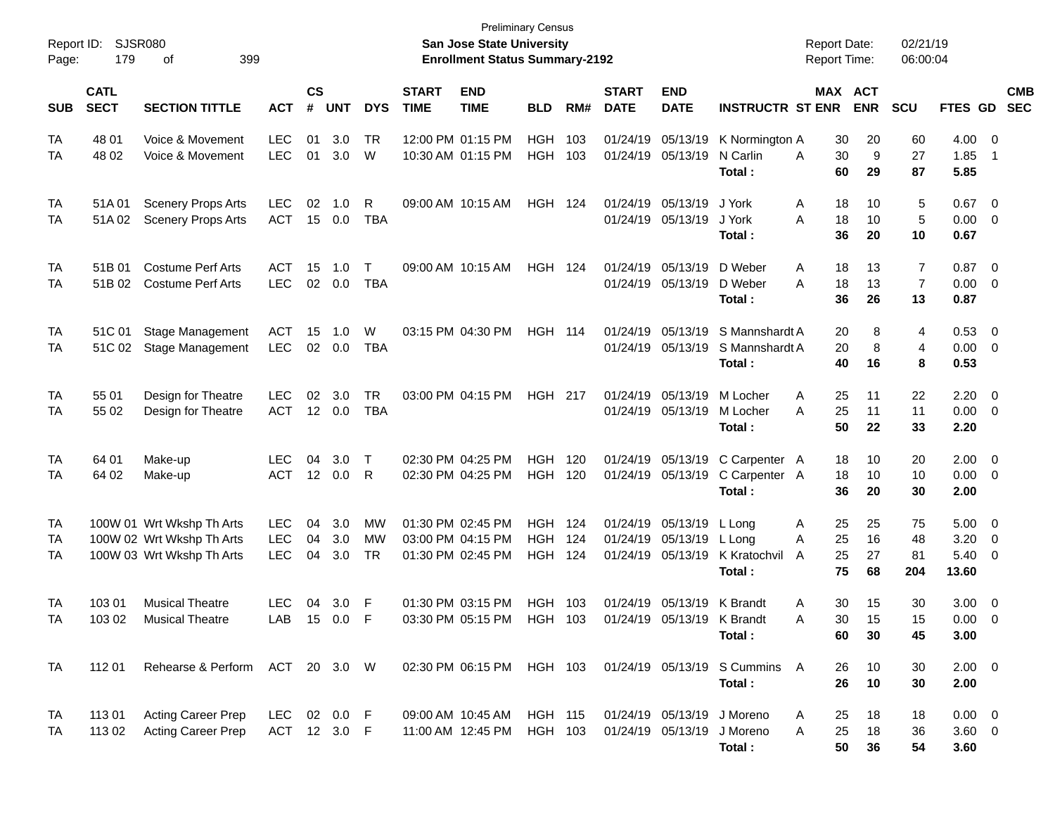| Report ID:<br>Page: | 179                        | SJSR080<br>399<br>οf                                                                |                                        |                    |                   |                         |                             | <b>Preliminary Census</b><br><b>San Jose State University</b><br><b>Enrollment Status Summary-2192</b> |                                     |            |                             |                                                             |                                                                   | <b>Report Date:</b><br><b>Report Time:</b> |                            | 02/21/19<br>06:00:04      |                                      |                                                                       |                          |
|---------------------|----------------------------|-------------------------------------------------------------------------------------|----------------------------------------|--------------------|-------------------|-------------------------|-----------------------------|--------------------------------------------------------------------------------------------------------|-------------------------------------|------------|-----------------------------|-------------------------------------------------------------|-------------------------------------------------------------------|--------------------------------------------|----------------------------|---------------------------|--------------------------------------|-----------------------------------------------------------------------|--------------------------|
| <b>SUB</b>          | <b>CATL</b><br><b>SECT</b> | <b>SECTION TITTLE</b>                                                               | <b>ACT</b>                             | $\mathsf{cs}$<br># | <b>UNT</b>        | <b>DYS</b>              | <b>START</b><br><b>TIME</b> | <b>END</b><br><b>TIME</b>                                                                              | <b>BLD</b>                          | RM#        | <b>START</b><br><b>DATE</b> | <b>END</b><br><b>DATE</b>                                   | <b>INSTRUCTR ST ENR</b>                                           |                                            | MAX ACT<br><b>ENR</b>      | <b>SCU</b>                | <b>FTES GD</b>                       |                                                                       | <b>CMB</b><br><b>SEC</b> |
| TA<br>TA            | 48 01<br>48 02             | Voice & Movement<br>Voice & Movement                                                | <b>LEC</b><br><b>LEC</b>               | 01<br>01           | 3.0<br>3.0        | TR<br>W                 |                             | 12:00 PM 01:15 PM<br>10:30 AM 01:15 PM                                                                 | <b>HGH</b><br><b>HGH</b>            | 103<br>103 |                             | 01/24/19 05/13/19<br>01/24/19 05/13/19                      | K Normington A<br>N Carlin<br>Total :                             | 30<br>30<br>A<br>60                        | 20<br>9<br>29              | 60<br>27<br>87            | 4.00<br>1.85<br>5.85                 | $\overline{\phantom{0}}$<br>- 1                                       |                          |
| TA<br>TA            | 51A 01<br>51A 02           | <b>Scenery Props Arts</b><br><b>Scenery Props Arts</b>                              | <b>LEC</b><br><b>ACT</b>               | 02<br>15           | 1.0<br>0.0        | R<br><b>TBA</b>         |                             | 09:00 AM 10:15 AM                                                                                      | <b>HGH 124</b>                      |            |                             | 01/24/19 05/13/19<br>01/24/19 05/13/19                      | J York<br>J York<br>Total :                                       | A<br>18<br>A<br>36                         | 10<br>18<br>10<br>20       | 5<br>5<br>10              | 0.67<br>0.00<br>0.67                 | $\overline{\mathbf{0}}$<br>$\overline{\mathbf{0}}$                    |                          |
| TA<br>TA            | 51B 01<br>51B 02           | <b>Costume Perf Arts</b><br><b>Costume Perf Arts</b>                                | ACT<br><b>LEC</b>                      | 15<br>02           | 1.0<br>0.0        | Т<br><b>TBA</b>         |                             | 09:00 AM 10:15 AM                                                                                      | <b>HGH 124</b>                      |            |                             | 01/24/19 05/13/19<br>01/24/19 05/13/19                      | D Weber<br>D Weber<br>Total :                                     | 18<br>A<br>18<br>Α<br>36                   | 13<br>13<br>26             | 7<br>$\overline{7}$<br>13 | 0.87<br>0.00<br>0.87                 | $\overline{\mathbf{0}}$<br>$\overline{\mathbf{0}}$                    |                          |
| TA<br>TA            | 51C 01<br>51C 02           | <b>Stage Management</b><br><b>Stage Management</b>                                  | <b>ACT</b><br><b>LEC</b>               | 15                 | 1.0<br>02 0.0     | W<br><b>TBA</b>         |                             | 03:15 PM 04:30 PM                                                                                      | <b>HGH 114</b>                      |            | 01/24/19                    | 05/13/19<br>01/24/19 05/13/19                               | S Mannshardt A<br>S Mannshardt A<br>Total:                        | 20<br>40                                   | 8<br>20<br>8<br>16         | 4<br>$\overline{4}$<br>8  | 0.53<br>$0.00 \t 0$<br>0.53          | $\overline{\mathbf{0}}$                                               |                          |
| TA<br>TA            | 55 01<br>55 02             | Design for Theatre<br>Design for Theatre                                            | <b>LEC</b><br><b>ACT</b>               | 02                 | 3.0<br>12 0.0     | <b>TR</b><br><b>TBA</b> |                             | 03:00 PM 04:15 PM                                                                                      | <b>HGH 217</b>                      |            |                             | 01/24/19 05/13/19<br>01/24/19 05/13/19                      | M Locher<br>M Locher<br>Total :                                   | 25<br>Α<br>25<br>Α<br>50                   | 11<br>11<br>22             | 22<br>11<br>33            | 2.20<br>0.00<br>2.20                 | $\overline{\mathbf{0}}$<br>$\overline{\mathbf{0}}$                    |                          |
| TA<br>TA            | 64 01<br>64 02             | Make-up<br>Make-up                                                                  | <b>LEC</b><br><b>ACT</b>               | 04                 | 3.0<br>12 0.0     | $\top$<br>R             |                             | 02:30 PM 04:25 PM<br>02:30 PM 04:25 PM                                                                 | <b>HGH</b><br><b>HGH</b>            | 120<br>120 |                             | 01/24/19 05/13/19<br>01/24/19 05/13/19                      | C Carpenter A<br>C Carpenter A<br>Total :                         | 18<br>36                                   | 10<br>18<br>10<br>20       | 20<br>10<br>30            | $2.00 \t 0$<br>0.00<br>2.00          | $\overline{\mathbf{0}}$                                               |                          |
| TA<br>TA<br>TA      |                            | 100W 01 Wrt Wkshp Th Arts<br>100W 02 Wrt Wkshp Th Arts<br>100W 03 Wrt Wkshp Th Arts | <b>LEC</b><br><b>LEC</b><br><b>LEC</b> | 04<br>04<br>04     | 3.0<br>3.0<br>3.0 | MW<br>MW<br>TR          |                             | 01:30 PM 02:45 PM<br>03:00 PM 04:15 PM<br>01:30 PM 02:45 PM                                            | HGH<br><b>HGH</b><br><b>HGH 124</b> | 124<br>124 |                             | 01/24/19 05/13/19<br>01/24/19 05/13/19<br>01/24/19 05/13/19 | L Long<br>L Lona<br>K Kratochvil<br>Total :                       | Α<br>25<br>25<br>A<br>25<br>A<br>75        | 25<br>16<br>27<br>68       | 75<br>48<br>81<br>204     | 5.00<br>3.20<br>5.40<br>13.60        | $\overline{\phantom{0}}$<br>$\overline{\mathbf{0}}$<br>$\overline{0}$ |                          |
| TA<br>TA            | 103 01<br>103 02           | <b>Musical Theatre</b><br><b>Musical Theatre</b>                                    | <b>LEC</b><br>LAB                      | 04                 | 3.0<br>15 0.0     | F<br>F                  |                             | 01:30 PM 03:15 PM<br>03:30 PM 05:15 PM                                                                 | <b>HGH</b><br>HGH 103               | 103        |                             | 01/24/19 05/13/19<br>01/24/19 05/13/19 K Brandt             | K Brandt<br>Total:                                                | A<br>30<br>A                               | 15<br>30<br>15<br>60<br>30 | 30<br>15<br>45            | $3.00 \t 0$<br>$0.00 \t 0$<br>3.00   |                                                                       |                          |
| TA                  | 112 01                     | Rehearse & Perform ACT 20 3.0 W                                                     |                                        |                    |                   |                         |                             |                                                                                                        |                                     |            |                             |                                                             | 02:30 PM 06:15 PM HGH 103 01/24/19 05/13/19 S Cummins A<br>Total: |                                            | 26<br>10<br>26<br>10       | 30<br>30                  | $2.00 \t 0$<br>2.00                  |                                                                       |                          |
| TA<br>TA            | 11301<br>113 02            | <b>Acting Career Prep</b><br><b>Acting Career Prep</b>                              | LEC 02 0.0 F<br>ACT 12 3.0 F           |                    |                   |                         |                             | 09:00 AM 10:45 AM<br>11:00 AM 12:45 PM                                                                 | HGH 115<br>HGH 103                  |            |                             | 01/24/19 05/13/19                                           | 01/24/19 05/13/19 J Moreno<br>J Moreno<br>Total:                  | 25<br>A<br>25<br>Α                         | 18<br>18<br>50<br>36       | 18<br>36<br>54            | $0.00 \quad 0$<br>$3.60 \ 0$<br>3.60 |                                                                       |                          |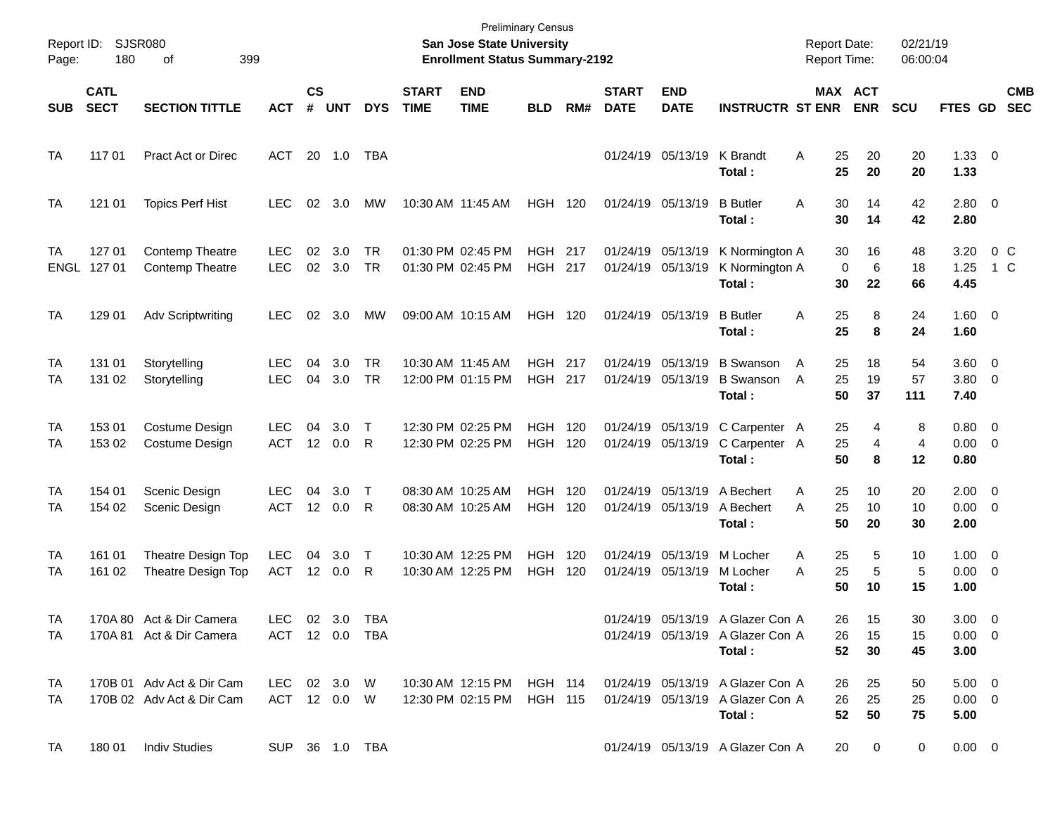| Page:      | Report ID: SJSR080<br>180  | 399<br>οf                                                                                                                                                                                              |                                  |                    |               |                 |                             | San Jose State University<br><b>Enrollment Status Summary-2192</b> | <b>Preliminary Census</b>        |            |                                        |                                        |                                                                                | <b>Report Date:</b><br><b>Report Time:</b> |                         | 02/21/19<br>06:00:04 |                                       |                       |            |
|------------|----------------------------|--------------------------------------------------------------------------------------------------------------------------------------------------------------------------------------------------------|----------------------------------|--------------------|---------------|-----------------|-----------------------------|--------------------------------------------------------------------|----------------------------------|------------|----------------------------------------|----------------------------------------|--------------------------------------------------------------------------------|--------------------------------------------|-------------------------|----------------------|---------------------------------------|-----------------------|------------|
| <b>SUB</b> | <b>CATL</b><br><b>SECT</b> | <b>SECTION TITTLE</b>                                                                                                                                                                                  | <b>ACT</b>                       | $\mathsf{cs}$<br># | <b>UNT</b>    | <b>DYS</b>      | <b>START</b><br><b>TIME</b> | <b>END</b><br><b>TIME</b>                                          | <b>BLD</b>                       | RM#        | <b>START</b><br><b>DATE</b>            | <b>END</b><br><b>DATE</b>              | <b>INSTRUCTR ST ENR</b>                                                        |                                            | MAX ACT<br><b>ENR</b>   | <b>SCU</b>           | <b>FTES GD</b>                        | <b>SEC</b>            | <b>CMB</b> |
| TA         | 117 01                     | <b>Pract Act or Direc</b>                                                                                                                                                                              | ACT                              |                    | 20 1.0        | TBA             |                             |                                                                    |                                  |            |                                        | 01/24/19 05/13/19                      | K Brandt<br>Total:                                                             | Α<br>25<br>25                              | 20<br>20                | 20<br>20             | $1.33 \ 0$<br>1.33                    |                       |            |
| TA         | 121 01                     | <b>Topics Perf Hist</b>                                                                                                                                                                                | LEC.                             | 02                 | 3.0           | MW              |                             | 10:30 AM 11:45 AM                                                  | <b>HGH 120</b>                   |            |                                        | 01/24/19 05/13/19                      | <b>B</b> Butler<br>Total:                                                      | Α<br>30<br>30                              | 14<br>14                | 42<br>42             | $2.80 \t 0$<br>2.80                   |                       |            |
| TA<br>ENGL | 127 01<br>127 01           | <b>Contemp Theatre</b><br><b>Contemp Theatre</b>                                                                                                                                                       | <b>LEC</b><br><b>LEC</b>         | 02                 | 3.0<br>02 3.0 | <b>TR</b><br>TR |                             | 01:30 PM 02:45 PM<br>01:30 PM 02:45 PM                             | HGH 217<br><b>HGH</b>            | 217        | 01/24/19 05/13/19<br>01/24/19 05/13/19 |                                        | K Normington A<br>K Normington A<br>Total:                                     | 30<br>$\mathbf 0$<br>30                    | 16<br>6<br>22           | 48<br>18<br>66       | 3.20<br>1.25<br>4.45                  | 0 <sup>o</sup><br>1 C |            |
| <b>TA</b>  | 129 01                     | <b>Adv Scriptwriting</b>                                                                                                                                                                               | LEC.                             | $02\,$             | 3.0           | МW              |                             | 09:00 AM 10:15 AM                                                  | <b>HGH 120</b>                   |            |                                        | 01/24/19 05/13/19                      | <b>B</b> Butler<br>Total :                                                     | 25<br>Α<br>25                              | 8<br>8                  | 24<br>24             | $1.60 \t 0$<br>1.60                   |                       |            |
| TA<br>TA   | 131 01<br>131 02           | Storytelling<br>Storytelling                                                                                                                                                                           | <b>LEC</b><br><b>LEC</b>         | 04<br>04           | 3.0<br>3.0    | <b>TR</b><br>TR |                             | 10:30 AM 11:45 AM<br>12:00 PM 01:15 PM                             | <b>HGH 217</b><br><b>HGH 217</b> |            |                                        | 01/24/19 05/13/19<br>01/24/19 05/13/19 | <b>B</b> Swanson<br><b>B</b> Swanson<br>Total:                                 | 25<br>A<br>25<br>A<br>50                   | 18<br>19<br>37          | 54<br>57<br>111      | 3.60 0<br>$3.80\ 0$<br>7.40           |                       |            |
| TA<br>TA   | 153 01<br>153 02           | Costume Design<br>Costume Design                                                                                                                                                                       | <b>LEC</b><br><b>ACT</b>         | 04                 | 3.0<br>12 0.0 | $\top$<br>R     |                             | 12:30 PM 02:25 PM<br>12:30 PM 02:25 PM                             | <b>HGH</b><br><b>HGH</b>         | 120<br>120 |                                        | 01/24/19 05/13/19<br>01/24/19 05/13/19 | C Carpenter A<br>C Carpenter A<br>Total:                                       | 25<br>25<br>50                             | 4<br>4<br>8             | 8<br>4<br>12         | 0.80 0<br>$0.00 \t 0$<br>0.80         |                       |            |
| TA<br>TA   | 154 01<br>154 02           | Scenic Design<br>Scenic Design                                                                                                                                                                         | <b>LEC</b><br><b>ACT</b>         | 04                 | 3.0<br>12 0.0 | $\top$<br>R     |                             | 08:30 AM 10:25 AM<br>08:30 AM 10:25 AM                             | <b>HGH</b><br><b>HGH</b>         | 120<br>120 |                                        | 01/24/19 05/13/19<br>01/24/19 05/13/19 | A Bechert<br>A Bechert<br>Total:                                               | 25<br>Α<br>25<br>Α<br>50                   | 10<br>10<br>20          | 20<br>10<br>30       | $2.00 \t 0$<br>$0.00 \t 0$<br>2.00    |                       |            |
| TA<br>TA   | 161 01<br>161 02           | Theatre Design Top<br>Theatre Design Top                                                                                                                                                               | <b>LEC</b><br><b>ACT</b>         | 04                 | 3.0<br>12 0.0 | $\top$<br>R     |                             | 10:30 AM 12:25 PM<br>10:30 AM 12:25 PM                             | <b>HGH</b><br><b>HGH</b>         | 120<br>120 |                                        | 01/24/19 05/13/19<br>01/24/19 05/13/19 | M Locher<br>M Locher<br>Total :                                                | 25<br>A<br>25<br>Α<br>50                   | 5<br>5<br>10            | 10<br>5<br>15        | $1.00 \t 0$<br>$0.00 \t 0$<br>1.00    |                       |            |
| TA<br>TA.  |                            | 170A 80 Act & Dir Camera<br>170A 81 Act & Dir Camera                                                                                                                                                   | LEC 02 3.0 TBA<br>ACT 12 0.0 TBA |                    |               |                 |                             |                                                                    |                                  |            |                                        |                                        | 01/24/19 05/13/19 A Glazer Con A<br>01/24/19 05/13/19 A Glazer Con A<br>Total: | 26                                         | 15<br>26 15<br>52 30    | 30<br>15<br>45       | $3.00 \ 0$<br>$0.00 \t 0$<br>3.00     |                       |            |
| TA<br>TA I |                            | 170B 01 Adv Act & Dir Cam LEC 02 3.0 W 10:30 AM 12:15 PM HGH 114 01/24/19 05/13/19 A Glazer Con A<br>170B 02 Adv Act & Dir Cam ACT 12 0.0 W 12:30 PM 02:15 PM HGH 115 01/24/19 05/13/19 A Glazer Con A |                                  |                    |               |                 |                             |                                                                    |                                  |            |                                        |                                        | Total:                                                                         |                                            | 26 25<br>26 25<br>52 50 | 50<br>25<br>75       | $5.00 \t 0$<br>$0.00 \quad 0$<br>5.00 |                       |            |
| TA         |                            | 180 01 Indiv Studies                                                                                                                                                                                   | SUP 36 1.0 TBA                   |                    |               |                 |                             |                                                                    |                                  |            |                                        |                                        | 01/24/19 05/13/19 A Glazer Con A                                               |                                            | 20 0                    | $\mathbf{0}$         | $0.00 \quad 0$                        |                       |            |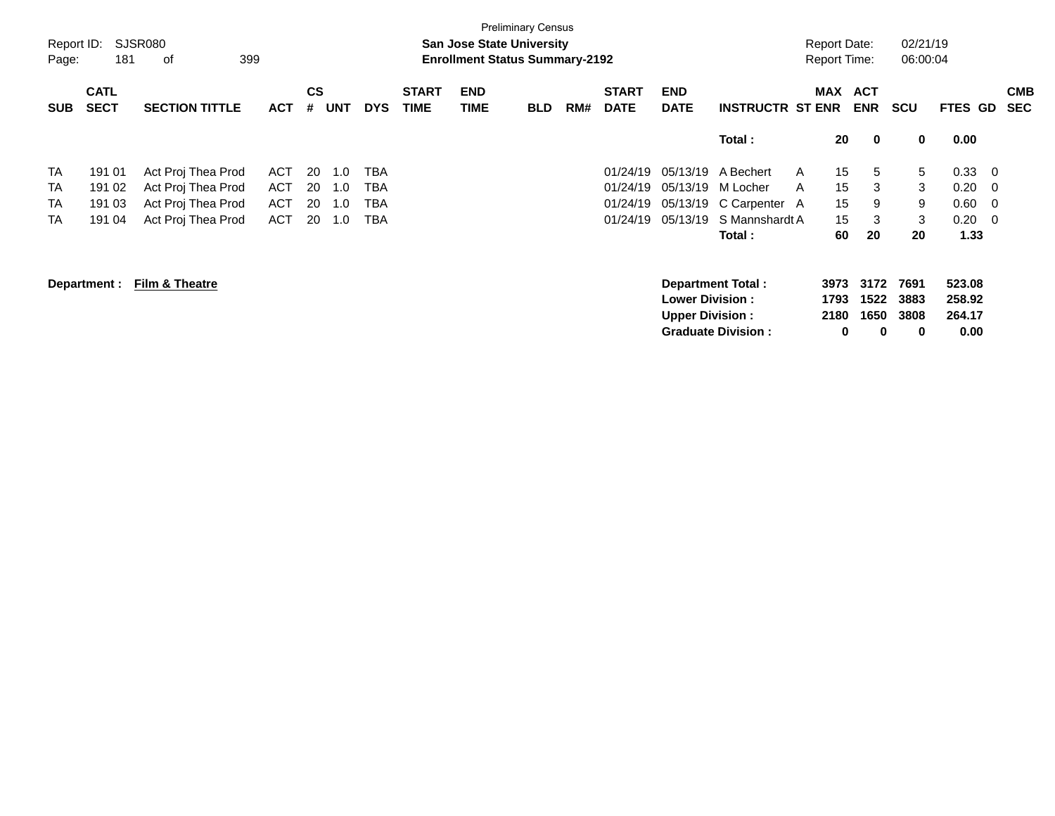| Report ID:<br>Page: | 181                        | SJSR080<br>399<br>оf  |            |                |            |            |                             | <b>San Jose State University</b><br><b>Enrollment Status Summary-2192</b> | <b>Preliminary Census</b> |     |                             |                                                  |                                                | <b>Report Date:</b><br><b>Report Time:</b> |                                | 02/21/19<br>06:00:04      |                                    |     |                          |
|---------------------|----------------------------|-----------------------|------------|----------------|------------|------------|-----------------------------|---------------------------------------------------------------------------|---------------------------|-----|-----------------------------|--------------------------------------------------|------------------------------------------------|--------------------------------------------|--------------------------------|---------------------------|------------------------------------|-----|--------------------------|
| <b>SUB</b>          | <b>CATL</b><br><b>SECT</b> | <b>SECTION TITTLE</b> | <b>ACT</b> | <b>CS</b><br># | <b>UNT</b> | <b>DYS</b> | <b>START</b><br><b>TIME</b> | <b>END</b><br>TIME                                                        | <b>BLD</b>                | RM# | <b>START</b><br><b>DATE</b> | <b>END</b><br><b>DATE</b>                        | <b>INSTRUCTR ST ENR</b>                        | MAX                                        | <b>ACT</b><br><b>ENR</b>       | <b>SCU</b>                | FTES GD                            |     | <b>CMB</b><br><b>SEC</b> |
|                     |                            |                       |            |                |            |            |                             |                                                                           |                           |     |                             |                                                  | Total:                                         | 20                                         | $\mathbf 0$                    | 0                         | 0.00                               |     |                          |
| TA                  | 191 01                     | Act Proj Thea Prod    | <b>ACT</b> | 20             | 1.0        | TBA        |                             |                                                                           |                           |     | 01/24/19                    | 05/13/19                                         | A Bechert                                      | $\mathsf{A}$                               | 15<br>5                        | 5                         | 0.33                               | - 0 |                          |
| TA                  | 191 02                     | Act Proj Thea Prod    | ACT        | 20             | 1.0        | TBA        |                             |                                                                           |                           |     | 01/24/19                    | 05/13/19                                         | M Locher                                       | 15<br>A                                    | 3                              | 3                         | 0.20                               | - 0 |                          |
| <b>TA</b>           | 191 03                     | Act Proj Thea Prod    | ACT        | 20             | 1.0        | TBA        |                             |                                                                           |                           |     | 01/24/19                    | 05/13/19                                         | C Carpenter A                                  | 15                                         | 9                              | 9                         | 0.60                               | - 0 |                          |
| TA                  | 191 04                     | Act Proj Thea Prod    | ACT        | 20             | 1.0        | TBA        |                             |                                                                           |                           |     | 01/24/19                    | 05/13/19                                         | S Mannshardt A                                 |                                            | 3<br>15                        | 3                         | 0.20                               | - 0 |                          |
|                     |                            |                       |            |                |            |            |                             |                                                                           |                           |     |                             |                                                  | Total:                                         | 60                                         | 20                             | 20                        | 1.33                               |     |                          |
|                     | Department :               | Film & Theatre        |            |                |            |            |                             |                                                                           |                           |     |                             | <b>Lower Division:</b><br><b>Upper Division:</b> | Department Total:<br><b>Graduate Division:</b> | 3973<br>1793<br>2180                       | 3172<br>1522<br>1650<br>0<br>0 | 7691<br>3883<br>3808<br>0 | 523.08<br>258.92<br>264.17<br>0.00 |     |                          |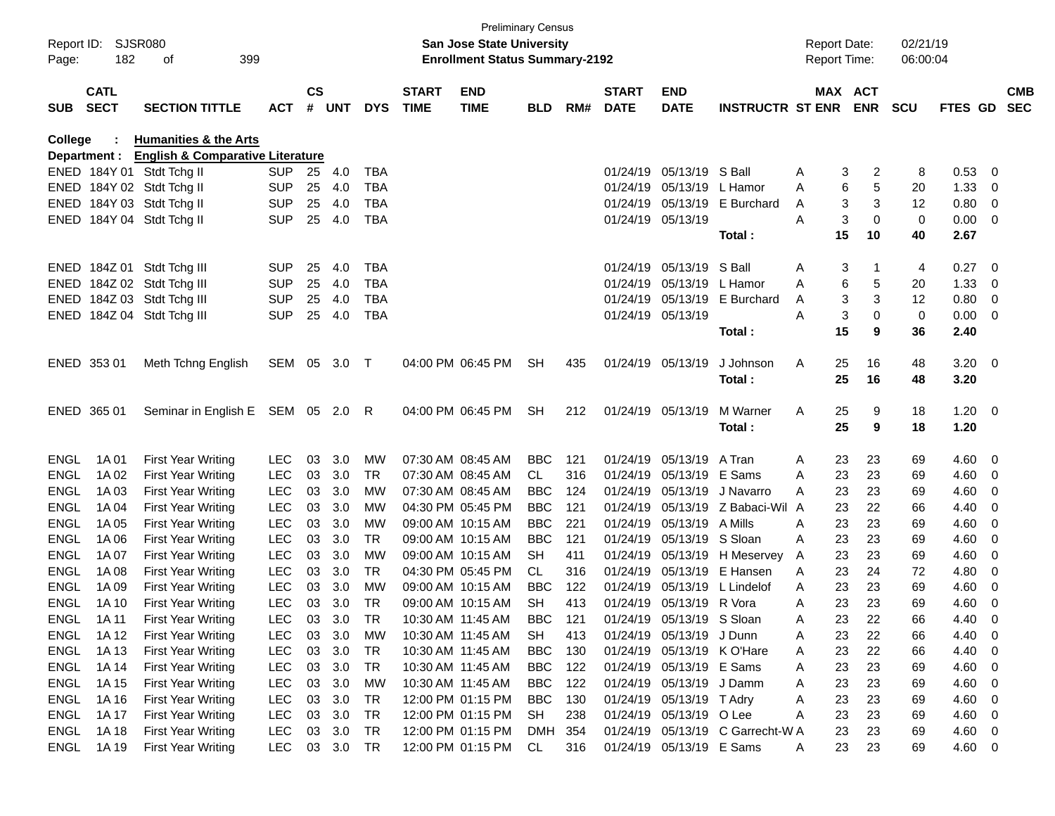| Report ID:<br>Page: | SJSR080<br>182             | 399<br>оf                                   |            |                    |            |            |                             | <b>Preliminary Census</b><br>San Jose State University<br><b>Enrollment Status Summary-2192</b> |            |     |                             |                            |                                  |   |    | <b>Report Date:</b><br><b>Report Time:</b> | 02/21/19<br>06:00:04 |             |                          |            |
|---------------------|----------------------------|---------------------------------------------|------------|--------------------|------------|------------|-----------------------------|-------------------------------------------------------------------------------------------------|------------|-----|-----------------------------|----------------------------|----------------------------------|---|----|--------------------------------------------|----------------------|-------------|--------------------------|------------|
| <b>SUB</b>          | <b>CATL</b><br><b>SECT</b> | <b>SECTION TITTLE</b>                       | <b>ACT</b> | $\mathsf{cs}$<br># | <b>UNT</b> | <b>DYS</b> | <b>START</b><br><b>TIME</b> | <b>END</b><br><b>TIME</b>                                                                       | <b>BLD</b> | RM# | <b>START</b><br><b>DATE</b> | <b>END</b><br><b>DATE</b>  | <b>INSTRUCTR ST ENR</b>          |   |    | MAX ACT<br><b>ENR</b>                      | <b>SCU</b>           | FTES GD SEC |                          | <b>CMB</b> |
| College             |                            | <b>Humanities &amp; the Arts</b>            |            |                    |            |            |                             |                                                                                                 |            |     |                             |                            |                                  |   |    |                                            |                      |             |                          |            |
|                     | Department :               | <b>English &amp; Comparative Literature</b> |            |                    |            |            |                             |                                                                                                 |            |     |                             |                            |                                  |   |    |                                            |                      |             |                          |            |
|                     |                            | ENED 184Y 01 Stdt Tchg II                   | <b>SUP</b> | 25                 | 4.0        | <b>TBA</b> |                             |                                                                                                 |            |     | 01/24/19                    | 05/13/19 S Ball            |                                  | A | 3  | 2                                          | 8                    | 0.53        | 0                        |            |
|                     |                            | ENED 184Y 02 Stdt Tchg II                   | <b>SUP</b> | 25                 | 4.0        | <b>TBA</b> |                             |                                                                                                 |            |     | 01/24/19                    | 05/13/19 L Hamor           |                                  | A | 6  | 5                                          | 20                   | 1.33        | 0                        |            |
|                     |                            | ENED 184Y 03 Stdt Tchg II                   | <b>SUP</b> | 25                 | 4.0        | <b>TBA</b> |                             |                                                                                                 |            |     | 01/24/19                    | 05/13/19                   | E Burchard                       | A | 3  | 3                                          | 12                   | 0.80        | $\overline{0}$           |            |
|                     |                            | ENED 184Y 04 Stdt Tchg II                   | <b>SUP</b> | 25                 | 4.0        | <b>TBA</b> |                             |                                                                                                 |            |     | 01/24/19 05/13/19           |                            |                                  | Α | 3  | 0                                          | 0                    | 0.00        | $\overline{\phantom{0}}$ |            |
|                     |                            |                                             |            |                    |            |            |                             |                                                                                                 |            |     |                             |                            | Total:                           |   | 15 | 10                                         | 40                   | 2.67        |                          |            |
|                     |                            | ENED 184Z 01 Stdt Tchg III                  | <b>SUP</b> | 25                 | 4.0        | <b>TBA</b> |                             |                                                                                                 |            |     | 01/24/19                    | 05/13/19 S Ball            |                                  | A | 3  | 1                                          | 4                    | 0.27        | - 0                      |            |
|                     |                            | ENED 184Z 02 Stdt Tchg III                  | <b>SUP</b> | 25                 | 4.0        | <b>TBA</b> |                             |                                                                                                 |            |     | 01/24/19                    | 05/13/19 L Hamor           |                                  | A | 6  | 5                                          | 20                   | 1.33        | 0                        |            |
|                     |                            | ENED 184Z 03 Stdt Tchg III                  | <b>SUP</b> | 25                 | 4.0        | <b>TBA</b> |                             |                                                                                                 |            |     | 01/24/19                    | 05/13/19                   | E Burchard                       | A | 3  | 3                                          | 12                   | 0.80        | 0                        |            |
|                     |                            | ENED 184Z 04 Stdt Tchg III                  | <b>SUP</b> | 25                 | 4.0        | <b>TBA</b> |                             |                                                                                                 |            |     | 01/24/19 05/13/19           |                            |                                  | Α | 3  | 0                                          | 0                    | 0.00        | $\overline{\mathbf{0}}$  |            |
|                     |                            |                                             |            |                    |            |            |                             |                                                                                                 |            |     |                             |                            | Total:                           |   | 15 | 9                                          | 36                   | 2.40        |                          |            |
|                     | ENED 353 01                | Meth Tchng English                          | SEM 05 3.0 |                    |            | $\top$     |                             | 04:00 PM 06:45 PM                                                                               | <b>SH</b>  | 435 |                             | 01/24/19 05/13/19          | J Johnson                        | Α | 25 | 16                                         | 48                   | $3.20 \ 0$  |                          |            |
|                     |                            |                                             |            |                    |            |            |                             |                                                                                                 |            |     |                             |                            | Total:                           |   | 25 | 16                                         | 48                   | 3.20        |                          |            |
|                     |                            |                                             |            |                    |            |            |                             |                                                                                                 |            |     |                             |                            |                                  |   |    |                                            |                      |             |                          |            |
|                     | ENED 365 01                | Seminar in English E SEM 05 2.0 R           |            |                    |            |            |                             | 04:00 PM 06:45 PM                                                                               | <b>SH</b>  | 212 |                             | 01/24/19 05/13/19          | M Warner                         | A | 25 | 9                                          | 18                   | $1.20 \t 0$ |                          |            |
|                     |                            |                                             |            |                    |            |            |                             |                                                                                                 |            |     |                             |                            | Total:                           |   | 25 | 9                                          | 18                   | 1.20        |                          |            |
| ENGL                | 1A 01                      | <b>First Year Writing</b>                   | <b>LEC</b> | 03                 | 3.0        | <b>MW</b>  |                             | 07:30 AM 08:45 AM                                                                               | <b>BBC</b> | 121 | 01/24/19                    | 05/13/19                   | A Tran                           | A | 23 | 23                                         | 69                   | 4.60        | $\overline{\phantom{0}}$ |            |
| <b>ENGL</b>         | 1A 02                      | <b>First Year Writing</b>                   | <b>LEC</b> | 03                 | 3.0        | <b>TR</b>  |                             | 07:30 AM 08:45 AM                                                                               | CL.        | 316 | 01/24/19                    | 05/13/19 E Sams            |                                  | A | 23 | 23                                         | 69                   | 4.60        | - 0                      |            |
| <b>ENGL</b>         | 1A 03                      | <b>First Year Writing</b>                   | <b>LEC</b> | 03                 | 3.0        | МW         |                             | 07:30 AM 08:45 AM                                                                               | <b>BBC</b> | 124 | 01/24/19                    | 05/13/19                   | J Navarro                        | A | 23 | 23                                         | 69                   | 4.60        | 0                        |            |
| <b>ENGL</b>         | 1A 04                      | <b>First Year Writing</b>                   | <b>LEC</b> | 03                 | 3.0        | МW         |                             | 04:30 PM 05:45 PM                                                                               | <b>BBC</b> | 121 | 01/24/19                    |                            | 05/13/19 Z Babaci-Wil            | A | 23 | 22                                         | 66                   | 4.40        | 0                        |            |
| <b>ENGL</b>         | 1A 05                      | <b>First Year Writing</b>                   | <b>LEC</b> | 03                 | 3.0        | МW         |                             | 09:00 AM 10:15 AM                                                                               | <b>BBC</b> | 221 | 01/24/19                    | 05/13/19 A Mills           |                                  | A | 23 | 23                                         | 69                   | 4.60        | 0                        |            |
| <b>ENGL</b>         | 1A 06                      | <b>First Year Writing</b>                   | <b>LEC</b> | 03                 | 3.0        | TR         |                             | 09:00 AM 10:15 AM                                                                               | <b>BBC</b> | 121 | 01/24/19                    | 05/13/19 S Sloan           |                                  | A | 23 | 23                                         | 69                   | 4.60        | 0                        |            |
| <b>ENGL</b>         | 1A 07                      | <b>First Year Writing</b>                   | <b>LEC</b> | 03                 | 3.0        | МW         |                             | 09:00 AM 10:15 AM                                                                               | SН         | 411 | 01/24/19                    | 05/13/19                   | H Meservey                       | A | 23 | 23                                         | 69                   | 4.60        | 0                        |            |
| <b>ENGL</b>         | 1A 08                      | <b>First Year Writing</b>                   | <b>LEC</b> | 03                 | 3.0        | <b>TR</b>  |                             | 04:30 PM 05:45 PM                                                                               | CL.        | 316 | 01/24/19                    |                            | 05/13/19 E Hansen                | A | 23 | 24                                         | 72                   | 4.80        | 0                        |            |
| <b>ENGL</b>         | 1A 09                      | <b>First Year Writing</b>                   | <b>LEC</b> | 03                 | 3.0        | МW         |                             | 09:00 AM 10:15 AM                                                                               | <b>BBC</b> | 122 | 01/24/19                    | 05/13/19                   | L Lindelof                       | A | 23 | 23                                         | 69                   | 4.60        | 0                        |            |
| ENGL                | 1A 10                      | <b>First Year Writing</b>                   | <b>LEC</b> | 03                 | 3.0        | TR         |                             | 09:00 AM 10:15 AM                                                                               | <b>SH</b>  | 413 |                             | 01/24/19 05/13/19 R Vora   |                                  | A | 23 | 23                                         | 69                   | 4.60        | 0                        |            |
| ENGL                | 1A 11                      | <b>First Year Writing</b>                   | <b>LEC</b> | 03                 | 3.0        | <b>TR</b>  |                             | 10:30 AM 11:45 AM                                                                               | <b>BBC</b> | 121 |                             | 01/24/19 05/13/19 S Sloan  |                                  | A | 23 | 22                                         | 66                   | 4.40        | 0                        |            |
| ENGL                | 1A 12                      | <b>First Year Writing</b>                   | <b>LEC</b> | 03                 | 3.0        | МW         |                             | 10:30 AM 11:45 AM                                                                               | <b>SH</b>  | 413 |                             | 01/24/19 05/13/19 J Dunn   |                                  | A | 23 | 22                                         | 66                   | 4.40        | 0                        |            |
| ENGL                | 1A 13                      | <b>First Year Writing</b>                   | <b>LEC</b> | 03                 | 3.0        | TR         |                             | 10:30 AM 11:45 AM                                                                               | <b>BBC</b> | 130 |                             | 01/24/19 05/13/19 K O'Hare |                                  | A | 23 | 22                                         | 66                   | 4.40        | - 0                      |            |
| ENGL                | 1A 14                      | <b>First Year Writing</b>                   | <b>LEC</b> | 03                 | 3.0        | TR         |                             | 10:30 AM 11:45 AM                                                                               | <b>BBC</b> | 122 |                             | 01/24/19 05/13/19 E Sams   |                                  | A | 23 | 23                                         | 69                   | 4.60        | $\overline{\phantom{0}}$ |            |
| ENGL                | 1A 15                      | <b>First Year Writing</b>                   | <b>LEC</b> | 03                 | 3.0        | <b>MW</b>  |                             | 10:30 AM 11:45 AM                                                                               | <b>BBC</b> | 122 |                             | 01/24/19 05/13/19 J Damm   |                                  | A | 23 | 23                                         | 69                   | 4.60        | $\overline{\mathbf{0}}$  |            |
| ENGL                | 1A 16                      | <b>First Year Writing</b>                   | <b>LEC</b> | 03                 | 3.0        | TR         |                             | 12:00 PM 01:15 PM                                                                               | <b>BBC</b> | 130 |                             | 01/24/19 05/13/19 TAdry    |                                  | Α | 23 | 23                                         | 69                   | 4.60        | $\overline{\mathbf{0}}$  |            |
| ENGL                | 1A 17                      | <b>First Year Writing</b>                   | <b>LEC</b> | 03                 | 3.0        | TR         |                             | 12:00 PM 01:15 PM                                                                               | <b>SH</b>  | 238 |                             | 01/24/19 05/13/19 O Lee    |                                  | Α | 23 | 23                                         | 69                   | 4.60        | $\overline{\phantom{0}}$ |            |
| ENGL                | 1A 18                      | First Year Writing                          | <b>LEC</b> |                    | 03 3.0     | TR         |                             | 12:00 PM 01:15 PM                                                                               | DMH 354    |     |                             |                            | 01/24/19 05/13/19 C Garrecht-W A |   | 23 | 23                                         | 69                   | 4.60 0      |                          |            |
| ENGL                | 1A 19                      | <b>First Year Writing</b>                   | <b>LEC</b> |                    | 03 3.0     | TR         |                             | 12:00 PM 01:15 PM                                                                               | CL         | 316 |                             | 01/24/19 05/13/19 E Sams   |                                  | A | 23 | 23                                         | 69                   | 4.60 0      |                          |            |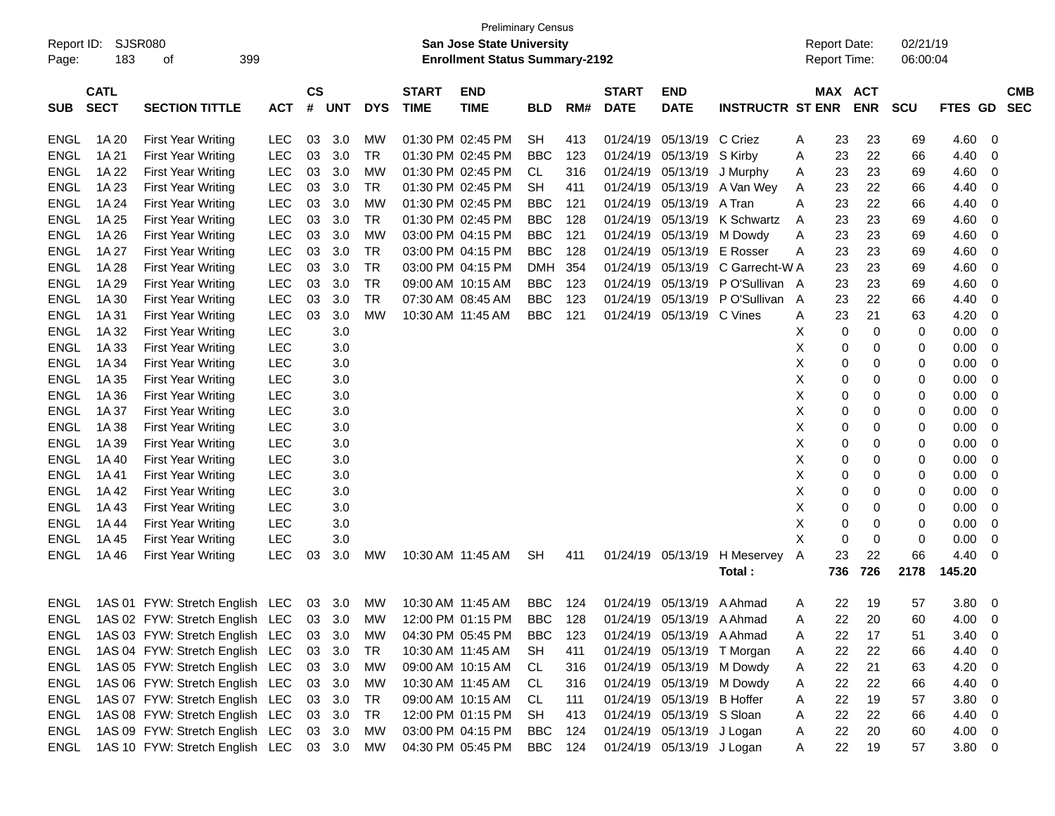| Report ID:<br>Page: | <b>SJSR080</b><br>183      | 399<br>of                       |            |                    |            |            |                             | <b>Preliminary Census</b><br><b>San Jose State University</b><br><b>Enrollment Status Summary-2192</b> |            |     |                             |                            |                         | <b>Report Date:</b><br>Report Time: |                       |     | 02/21/19<br>06:00:04 |            |                          |
|---------------------|----------------------------|---------------------------------|------------|--------------------|------------|------------|-----------------------------|--------------------------------------------------------------------------------------------------------|------------|-----|-----------------------------|----------------------------|-------------------------|-------------------------------------|-----------------------|-----|----------------------|------------|--------------------------|
| <b>SUB</b>          | <b>CATL</b><br><b>SECT</b> | <b>SECTION TITTLE</b>           | <b>ACT</b> | $\mathsf{cs}$<br># | <b>UNT</b> | <b>DYS</b> | <b>START</b><br><b>TIME</b> | <b>END</b><br><b>TIME</b>                                                                              | <b>BLD</b> | RM# | <b>START</b><br><b>DATE</b> | <b>END</b><br><b>DATE</b>  | <b>INSTRUCTR ST ENR</b> |                                     | MAX ACT<br><b>ENR</b> |     | SCU                  | FTES GD    | <b>CMB</b><br><b>SEC</b> |
| <b>ENGL</b>         | 1A 20                      | <b>First Year Writing</b>       | LEC        | 03                 | 3.0        | <b>MW</b>  |                             | 01:30 PM 02:45 PM                                                                                      | <b>SH</b>  | 413 | 01/24/19                    | 05/13/19                   | C Criez                 | Α                                   | 23                    | 23  | 69                   | 4.60       | 0                        |
| <b>ENGL</b>         | 1A 21                      | <b>First Year Writing</b>       | <b>LEC</b> | 03                 | 3.0        | <b>TR</b>  |                             | 01:30 PM 02:45 PM                                                                                      | <b>BBC</b> | 123 | 01/24/19                    | 05/13/19                   | S Kirby                 | Α                                   | 23                    | 22  | 66                   | 4.40       | 0                        |
| <b>ENGL</b>         | 1A 22                      | <b>First Year Writing</b>       | LEC        | 03                 | 3.0        | <b>MW</b>  |                             | 01:30 PM 02:45 PM                                                                                      | <b>CL</b>  | 316 | 01/24/19                    | 05/13/19                   | J Murphy                | Α                                   | 23                    | 23  | 69                   | 4.60       | 0                        |
| <b>ENGL</b>         | 1A 23                      | <b>First Year Writing</b>       | LEC        | 03                 | 3.0        | <b>TR</b>  |                             | 01:30 PM 02:45 PM                                                                                      | <b>SH</b>  | 411 | 01/24/19                    | 05/13/19                   | A Van Wey               | Α                                   | 23                    | 22  | 66                   | 4.40       | 0                        |
| <b>ENGL</b>         | 1A 24                      | <b>First Year Writing</b>       | LEC        | 03                 | 3.0        | <b>MW</b>  |                             | 01:30 PM 02:45 PM                                                                                      | <b>BBC</b> | 121 | 01/24/19                    | 05/13/19                   | A Tran                  | Α                                   | 23                    | 22  | 66                   | 4.40       | 0                        |
| <b>ENGL</b>         | 1A 25                      | <b>First Year Writing</b>       | LEC        | 03                 | 3.0        | <b>TR</b>  |                             | 01:30 PM 02:45 PM                                                                                      | <b>BBC</b> | 128 | 01/24/19                    | 05/13/19                   | K Schwartz              | A                                   | 23                    | 23  | 69                   | 4.60       | 0                        |
| <b>ENGL</b>         | 1A 26                      | <b>First Year Writing</b>       | LEC        | 03                 | 3.0        | <b>MW</b>  |                             | 03:00 PM 04:15 PM                                                                                      | <b>BBC</b> | 121 | 01/24/19                    | 05/13/19                   | M Dowdy                 | Α                                   | 23                    | 23  | 69                   | 4.60       | 0                        |
| <b>ENGL</b>         | 1A 27                      | <b>First Year Writing</b>       | LEC        | 03                 | 3.0        | <b>TR</b>  |                             | 03:00 PM 04:15 PM                                                                                      | <b>BBC</b> | 128 | 01/24/19                    | 05/13/19                   | E Rosser                | Α                                   | 23                    | 23  | 69                   | 4.60       | 0                        |
| <b>ENGL</b>         | 1A 28                      | <b>First Year Writing</b>       | LEC        | 03                 | 3.0        | <b>TR</b>  |                             | 03:00 PM 04:15 PM                                                                                      | <b>DMH</b> | 354 | 01/24/19                    | 05/13/19                   | C Garrecht-W A          |                                     | 23                    | 23  | 69                   | 4.60       | 0                        |
| <b>ENGL</b>         | 1A 29                      | <b>First Year Writing</b>       | LEC        | 03                 | 3.0        | <b>TR</b>  | 09:00 AM 10:15 AM           |                                                                                                        | <b>BBC</b> | 123 | 01/24/19                    | 05/13/19                   | P O'Sullivan A          |                                     | 23                    | 23  | 69                   | 4.60       | 0                        |
| <b>ENGL</b>         | 1A 30                      | <b>First Year Writing</b>       | LEC        | 03                 | 3.0        | <b>TR</b>  | 07:30 AM 08:45 AM           |                                                                                                        | <b>BBC</b> | 123 | 01/24/19                    | 05/13/19                   | P O'Sullivan            | A                                   | 23                    | 22  | 66                   | 4.40       | 0                        |
| <b>ENGL</b>         | 1A 31                      | <b>First Year Writing</b>       | LEC        | 03                 | 3.0        | <b>MW</b>  | 10:30 AM 11:45 AM           |                                                                                                        | <b>BBC</b> | 121 | 01/24/19                    | 05/13/19                   | C Vines                 | Α                                   | 23                    | 21  | 63                   | 4.20       | 0                        |
| <b>ENGL</b>         | 1A 32                      | <b>First Year Writing</b>       | <b>LEC</b> |                    | 3.0        |            |                             |                                                                                                        |            |     |                             |                            |                         | X                                   | 0                     | 0   | 0                    | 0.00       | 0                        |
| <b>ENGL</b>         | 1A 33                      | <b>First Year Writing</b>       | LEC        |                    | 3.0        |            |                             |                                                                                                        |            |     |                             |                            |                         | X                                   | 0                     | 0   | 0                    | 0.00       | 0                        |
| <b>ENGL</b>         | 1A 34                      | <b>First Year Writing</b>       | LEC        |                    | 3.0        |            |                             |                                                                                                        |            |     |                             |                            |                         | X                                   | 0                     | 0   | 0                    | 0.00       | 0                        |
| <b>ENGL</b>         | 1A 35                      | <b>First Year Writing</b>       | LEC        |                    | 3.0        |            |                             |                                                                                                        |            |     |                             |                            |                         | X                                   | 0                     | 0   | 0                    | 0.00       | 0                        |
| <b>ENGL</b>         | 1A 36                      | <b>First Year Writing</b>       | LEC        |                    | 3.0        |            |                             |                                                                                                        |            |     |                             |                            |                         | X                                   | 0                     | 0   | 0                    | 0.00       | 0                        |
| <b>ENGL</b>         | 1A 37                      | <b>First Year Writing</b>       | LEC        |                    | 3.0        |            |                             |                                                                                                        |            |     |                             |                            |                         | X                                   | 0                     | 0   | 0                    | 0.00       | 0                        |
| <b>ENGL</b>         | 1A 38                      | <b>First Year Writing</b>       | LEC        |                    | 3.0        |            |                             |                                                                                                        |            |     |                             |                            |                         | X                                   | 0                     | 0   | 0                    | 0.00       | 0                        |
| <b>ENGL</b>         | 1A 39                      | <b>First Year Writing</b>       | LEC        |                    | 3.0        |            |                             |                                                                                                        |            |     |                             |                            |                         | X                                   | 0                     | 0   | 0                    | 0.00       | 0                        |
| <b>ENGL</b>         | 1A 40                      | <b>First Year Writing</b>       | LEC        |                    | 3.0        |            |                             |                                                                                                        |            |     |                             |                            |                         | X                                   | 0                     | 0   | 0                    | 0.00       | 0                        |
| <b>ENGL</b>         | 1A 41                      | <b>First Year Writing</b>       | LEC        |                    | 3.0        |            |                             |                                                                                                        |            |     |                             |                            |                         | X                                   | 0                     | 0   | 0                    | 0.00       | 0                        |
| <b>ENGL</b>         | 1A 42                      | <b>First Year Writing</b>       | LEC        |                    | 3.0        |            |                             |                                                                                                        |            |     |                             |                            |                         | X                                   | 0                     | 0   | 0                    | 0.00       | 0                        |
| <b>ENGL</b>         | 1A43                       | <b>First Year Writing</b>       | LEC        |                    | 3.0        |            |                             |                                                                                                        |            |     |                             |                            |                         | X                                   | 0                     | 0   | 0                    | 0.00       | 0                        |
| <b>ENGL</b>         | 1A 44                      | <b>First Year Writing</b>       | LEC        |                    | 3.0        |            |                             |                                                                                                        |            |     |                             |                            |                         | X                                   | 0                     | 0   | 0                    | 0.00       | 0                        |
| <b>ENGL</b>         | 1A 45                      | <b>First Year Writing</b>       | LEC        |                    | 3.0        |            |                             |                                                                                                        |            |     |                             |                            |                         | X                                   | 0                     | 0   | 0                    | 0.00       | 0                        |
| <b>ENGL</b>         | 1A 46                      | <b>First Year Writing</b>       | LEC        | 03                 | 3.0        | <b>MW</b>  | 10:30 AM 11:45 AM           |                                                                                                        | <b>SH</b>  | 411 | 01/24/19                    | 05/13/19                   | H Meservey              | Α                                   | 23                    | 22  | 66                   | 4.40       | -0                       |
|                     |                            |                                 |            |                    |            |            |                             |                                                                                                        |            |     |                             |                            | <b>Total :</b>          | 736                                 |                       | 726 | 2178                 | 145.20     |                          |
| ENGL                |                            | 1AS 01 FYW: Stretch English LEC |            |                    | 03 3.0     | МW         | 10:30 AM 11:45 AM           |                                                                                                        | BBC        | 124 | 01/24/19                    | 05/13/19                   | A Ahmad                 | A                                   | 22                    | 19  | 57                   | 3.80       | - 0                      |
| <b>ENGL</b>         |                            | 1AS 02 FYW: Stretch English LEC |            | 03                 | 3.0        | MW         |                             | 12:00 PM 01:15 PM                                                                                      | <b>BBC</b> | 128 |                             | 01/24/19 05/13/19 A Ahmad  |                         | A                                   | 22                    | 20  | 60                   | 4.00       | $\overline{0}$           |
| ENGL                |                            | 1AS 03 FYW: Stretch English LEC |            |                    | 03 3.0     | <b>MW</b>  |                             | 04:30 PM 05:45 PM                                                                                      | <b>BBC</b> | 123 |                             | 01/24/19 05/13/19 A Ahmad  |                         | A                                   | 22                    | 17  | 51                   | 3.40       | $\overline{0}$           |
| ENGL                |                            | 1AS 04 FYW: Stretch English LEC |            |                    | 03 3.0     | <b>TR</b>  |                             | 10:30 AM 11:45 AM                                                                                      | <b>SH</b>  | 411 |                             | 01/24/19 05/13/19 T Morgan |                         | A                                   | 22                    | 22  | 66                   | 4.40       | $\overline{\mathbf{0}}$  |
| <b>ENGL</b>         |                            | 1AS 05 FYW: Stretch English LEC |            |                    | 03 3.0     | МW         |                             | 09:00 AM 10:15 AM                                                                                      | CL         | 316 |                             | 01/24/19 05/13/19          | M Dowdy                 | Α                                   | 22                    | 21  | 63                   | 4.20       | $\overline{\mathbf{0}}$  |
| <b>ENGL</b>         |                            | 1AS 06 FYW: Stretch English LEC |            |                    | 03 3.0     | МW         | 10:30 AM 11:45 AM           |                                                                                                        | CL         | 316 |                             | 01/24/19 05/13/19          | M Dowdy                 | Α                                   | 22                    | 22  | 66                   | 4.40       | $\overline{\mathbf{0}}$  |
| <b>ENGL</b>         |                            | 1AS 07 FYW: Stretch English LEC |            |                    | 03 3.0     | TR         |                             | 09:00 AM 10:15 AM                                                                                      | CL         | 111 |                             | 01/24/19 05/13/19          | <b>B</b> Hoffer         | Α                                   | 22                    | 19  | 57                   | 3.80       | $\overline{\phantom{0}}$ |
| <b>ENGL</b>         |                            | 1AS 08 FYW: Stretch English LEC |            |                    | 03 3.0     | TR         |                             | 12:00 PM 01:15 PM                                                                                      | <b>SH</b>  | 413 |                             | 01/24/19 05/13/19 S Sloan  |                         | Α                                   | 22                    | 22  | 66                   | 4.40       | - 0                      |
| <b>ENGL</b>         |                            | 1AS 09 FYW: Stretch English LEC |            |                    | 03 3.0     | <b>MW</b>  |                             | 03:00 PM 04:15 PM                                                                                      | <b>BBC</b> | 124 |                             | 01/24/19 05/13/19 J Logan  |                         | A                                   | 22                    | 20  | 60                   | $4.00 \ 0$ |                          |
| <b>ENGL</b>         |                            | 1AS 10 FYW: Stretch English LEC |            |                    | 03 3.0     | МW         |                             | 04:30 PM 05:45 PM                                                                                      | <b>BBC</b> | 124 |                             | 01/24/19 05/13/19 J Logan  |                         | A                                   | 22                    | 19  | 57                   | 3.80 0     |                          |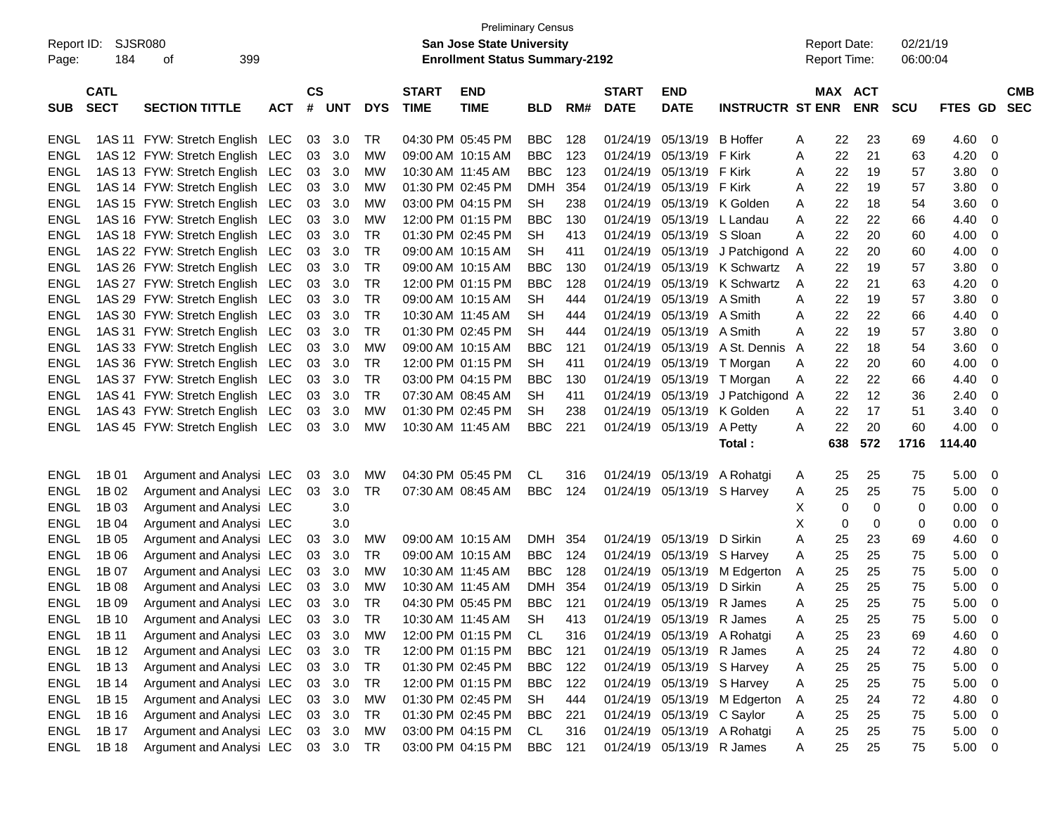| <b>Enrollment Status Summary-2192</b><br><b>Report Time:</b><br>06:00:04<br>Page:<br>$\mathsf{cs}$<br><b>CATL</b><br><b>START</b><br><b>END</b><br><b>START</b><br><b>END</b><br>MAX ACT<br><b>CMB</b><br><b>SECT</b><br><b>TIME</b><br><b>SECTION TITTLE</b><br><b>ACT</b><br>#<br><b>UNT</b><br><b>DYS</b><br><b>TIME</b><br>RM#<br><b>DATE</b><br><b>DATE</b><br><b>INSTRUCTR ST ENR</b><br><b>ENR</b><br><b>SCU</b><br><b>FTES GD</b><br><b>SEC</b><br><b>SUB</b><br><b>BLD</b><br><b>BBC</b><br>22<br>23<br>1AS 11 FYW: Stretch English LEC<br>03<br>3.0<br>TR<br>04:30 PM 05:45 PM<br>128<br>01/24/19<br>05/13/19<br><b>B</b> Hoffer<br>69<br>4.60<br>ENGL<br>0<br>A<br>1AS 12 FYW: Stretch English LEC<br>03<br><b>MW</b><br><b>BBC</b><br>123<br>01/24/19<br>05/13/19<br>F Kirk<br>22<br>21<br>63<br>4.20<br><b>ENGL</b><br>3.0<br>09:00 AM 10:15 AM<br>Α<br>0<br>03<br><b>BBC</b><br>123<br>22<br><b>ENGL</b><br>1AS 13 FYW: Stretch English LEC<br>3.0<br><b>MW</b><br>10:30 AM 11:45 AM<br>01/24/19<br>05/13/19 F Kirk<br>19<br>57<br>3.80<br>A<br>0<br>03<br>01:30 PM 02:45 PM<br>354<br>22<br><b>ENGL</b><br>1AS 14 FYW: Stretch English LEC<br>3.0<br><b>MW</b><br><b>DMH</b><br>01/24/19<br>05/13/19 F Kirk<br>19<br>57<br>3.80<br>0<br>A<br>03<br>03:00 PM 04:15 PM<br><b>SH</b><br>238<br>22<br>18<br><b>ENGL</b><br>1AS 15 FYW: Stretch English LEC<br>3.0<br><b>MW</b><br>01/24/19<br>05/13/19 K Golden<br>3.60<br>0<br>A<br>54<br>03<br><b>MW</b><br>12:00 PM 01:15 PM<br><b>BBC</b><br>22<br>22<br>4.40<br><b>ENGL</b><br>1AS 16 FYW: Stretch English LEC<br>3.0<br>130<br>01/24/19<br>05/13/19<br>66<br>0<br>L Landau<br>A<br>22<br>03<br><b>TR</b><br>01:30 PM 02:45 PM<br><b>SH</b><br>05/13/19 S Sloan<br>20<br>4.00<br><b>ENGL</b><br>1AS 18 FYW: Stretch English LEC<br>3.0<br>413<br>01/24/19<br>60<br>0<br>A<br>03<br><b>TR</b><br><b>SH</b><br>22<br>20<br>4.00<br><b>ENGL</b><br>1AS 22 FYW: Stretch English LEC<br>3.0<br>09:00 AM 10:15 AM<br>411<br>01/24/19<br>05/13/19<br>J Patchigond A<br>60<br>0<br><b>TR</b><br>03<br><b>BBC</b><br>22<br>19<br><b>ENGL</b><br>1AS 26 FYW: Stretch English LEC<br>3.0<br>09:00 AM 10:15 AM<br>130<br>01/24/19<br>05/13/19<br>K Schwartz<br>57<br>3.80<br>A<br>0<br>03<br><b>TR</b><br>12:00 PM 01:15 PM<br><b>BBC</b><br>128<br>01/24/19<br>05/13/19<br>K Schwartz<br>22<br>21<br>4.20<br><b>ENGL</b><br>1AS 27 FYW: Stretch English LEC<br>3.0<br>63<br>0<br>Α<br>03<br><b>TR</b><br><b>SH</b><br>05/13/19<br>A Smith<br>22<br>19<br>3.80<br><b>ENGL</b><br>1AS 29 FYW: Stretch English LEC<br>3.0<br>09:00 AM 10:15 AM<br>444<br>01/24/19<br>57<br>0<br>A<br><b>TR</b><br>03<br><b>SH</b><br>05/13/19 A Smith<br>22<br>22<br>4.40<br><b>ENGL</b><br>1AS 30 FYW: Stretch English LEC<br>3.0<br>10:30 AM 11:45 AM<br>444<br>01/24/19<br>66<br>A<br>0<br>03<br><b>TR</b><br>01:30 PM 02:45 PM<br><b>SH</b><br>05/13/19 A Smith<br>22<br>19<br>3.80<br><b>ENGL</b><br>1AS 31 FYW: Stretch English LEC<br>3.0<br>444<br>01/24/19<br>57<br>0<br>A<br>03<br><b>MW</b><br><b>BBC</b><br>A St. Dennis<br>22<br>18<br>3.60<br><b>ENGL</b><br>1AS 33 FYW: Stretch English LEC<br>3.0<br>09:00 AM 10:15 AM<br>121<br>01/24/19<br>05/13/19<br>54<br>0<br>A<br>03<br><b>TR</b><br>12:00 PM 01:15 PM<br><b>SH</b><br>22<br>20<br>4.00<br><b>ENGL</b><br>1AS 36 FYW: Stretch English LEC<br>3.0<br>411<br>01/24/19<br>05/13/19<br>T Morgan<br>60<br>0<br>A<br>03<br><b>TR</b><br>03:00 PM 04:15 PM<br><b>BBC</b><br>22<br>22<br>4.40<br><b>ENGL</b><br>1AS 37 FYW: Stretch English LEC<br>3.0<br>130<br>01/24/19<br>05/13/19<br>66<br>T Morgan<br>A<br>0<br>03<br><b>TR</b><br><b>SH</b><br>22<br>12<br>36<br>2.40<br><b>ENGL</b><br>1AS 41 FYW: Stretch English LEC<br>3.0<br>07:30 AM 08:45 AM<br>411<br>01/24/19<br>05/13/19<br>J Patchigond A<br>0<br>03<br><b>MW</b><br>01:30 PM 02:45 PM<br><b>SH</b><br>238<br>01/24/19<br>22<br>17<br><b>ENGL</b><br>1AS 43 FYW: Stretch English LEC<br>3.0<br>05/13/19<br>K Golden<br>51<br>3.40<br>0<br>A<br>22<br>03<br><b>MW</b><br><b>BBC</b><br>221<br>01/24/19<br>20<br>60<br>4.00<br>ENGL<br>1AS 45 FYW: Stretch English LEC<br>3.0<br>10:30 AM 11:45 AM<br>05/13/19<br>A Petty<br>A<br>0<br>572<br>638<br>1716<br>114.40<br>Total:<br>04:30 PM 05:45 PM<br>25<br><b>ENGL</b><br>1B 01<br>Argument and Analysi LEC<br>3.0<br><b>MW</b><br><b>CL</b><br>316<br>01/24/19<br>05/13/19<br>A Rohatgi<br>25<br>75<br>5.00<br>03<br>0<br>A<br>1B 02<br><b>TR</b><br><b>BBC</b><br>124<br>25<br>25<br>75<br><b>ENGL</b><br>Argument and Analysi LEC<br>03<br>3.0<br>07:30 AM 08:45 AM<br>01/24/19 05/13/19 S Harvey<br>5.00<br>A<br>0<br>1B 03<br>Argument and Analysi LEC<br>X<br>0<br>0<br><b>ENGL</b><br>3.0<br>0<br>0.00<br>0<br>X<br>1B 04<br><b>ENGL</b><br>Argument and Analysi LEC<br>3.0<br>0<br>0<br>0.00<br>0<br>0<br>1B 05<br>25<br>23<br>4.60<br><b>ENGL</b><br>Argument and Analysi LEC<br>3.0<br><b>MW</b><br>09:00 AM 10:15 AM<br><b>DMH</b><br>354<br>01/24/19<br>05/13/19<br>D Sirkin<br>Α<br>69<br>03<br>0<br>25<br>1B 06<br><b>TR</b><br><b>BBC</b><br>124<br>25<br>75<br>5.00<br><b>ENGL</b><br>Argument and Analysi LEC<br>03<br>3.0<br>09:00 AM 10:15 AM<br>01/24/19<br>05/13/19<br>S Harvey<br>0<br>A<br>1B 07<br><b>MW</b><br>128<br>25<br>25<br><b>ENGL</b><br>Argument and Analysi LEC<br>03<br>3.0<br>10:30 AM 11:45 AM<br><b>BBC</b><br>01/24/19<br>05/13/19<br>M Edgerton<br>75<br>5.00<br>A<br>0<br>25<br>25<br>75<br><b>ENGL</b><br>1B 08<br>Argument and Analysi LEC<br>03<br>3.0<br><b>MW</b><br>10:30 AM 11:45 AM<br><b>DMH</b><br>354<br>01/24/19<br>05/13/19<br>D Sirkin<br>5.00<br>A<br>0<br>25<br>03<br><b>TR</b><br>04:30 PM 05:45 PM<br><b>BBC</b><br>121<br>01/24/19<br>05/13/19 R James<br>25<br>75<br>5.00<br>ENGL<br>1B 09<br>Argument and Analysi LEC<br>3.0<br>0<br>A<br>ENGL<br>Argument and Analysi LEC<br><b>TR</b><br><b>SH</b><br>1B 10<br>03<br>413<br>01/24/19<br>25<br>25<br>75<br>3.0<br>10:30 AM 11:45 AM<br>05/13/19 R James<br>Α<br>5.00<br>0<br>03<br>3.0<br>12:00 PM 01:15 PM<br>01/24/19 05/13/19 A Rohatgi<br>25<br>23<br>4.60<br>ENGL<br>1B 11<br>Argument and Analysi LEC<br>МW<br>CL<br>316<br>69<br>A<br>0<br>25<br><b>ENGL</b><br>1B 12<br>Argument and Analysi LEC<br>03<br>3.0<br><b>TR</b><br>12:00 PM 01:15 PM<br><b>BBC</b><br>121<br>01/24/19 05/13/19 R James<br>24<br>72<br>4.80<br>0<br>A<br><b>TR</b><br>25<br><b>ENGL</b><br>1B 13<br>Argument and Analysi LEC<br>03<br>3.0<br>01:30 PM 02:45 PM<br><b>BBC</b><br>122<br>01/24/19 05/13/19 S Harvey<br>25<br>75<br>5.00<br>$\mathbf 0$<br>Α<br><b>TR</b><br><b>ENGL</b><br>1B 14<br>Argument and Analysi LEC<br>03<br>3.0<br>12:00 PM 01:15 PM<br><b>BBC</b><br>122<br>01/24/19 05/13/19 S Harvey<br>25<br>25<br>75<br>5.00<br>Α<br>0<br>25<br><b>ENGL</b><br>1B 15<br>Argument and Analysi LEC<br>03<br>3.0<br><b>MW</b><br>01:30 PM 02:45 PM<br><b>SH</b><br>01/24/19 05/13/19 M Edgerton<br>24<br>72<br>4.80<br>0<br>444<br>Α<br>25<br><b>ENGL</b><br>1B 16<br>Argument and Analysi LEC<br>03<br>3.0<br><b>TR</b><br>01:30 PM 02:45 PM<br><b>BBC</b><br>221<br>01/24/19 05/13/19 C Saylor<br>25<br>75<br>5.00<br>$\mathbf 0$<br>A<br>Argument and Analysi LEC<br><b>ENGL</b><br>1B 17<br>03<br>3.0<br><b>MW</b><br>03:00 PM 04:15 PM<br>01/24/19<br>05/13/19<br>A Rohatgi<br>25<br>25<br>5.00<br>CL<br>316<br>75<br>$\overline{0}$<br>A<br>25<br>Argument and Analysi LEC<br>03 3.0<br>03:00 PM 04:15 PM<br>01/24/19 05/13/19 R James<br>$\overline{\mathbf{0}}$ | Report ID:  | SJSR080<br>184 | 399<br>οf |  |           | <b>Preliminary Census</b><br>San Jose State University |            |     |  |   | <b>Report Date:</b> | 02/21/19 |      |  |
|------------------------------------------------------------------------------------------------------------------------------------------------------------------------------------------------------------------------------------------------------------------------------------------------------------------------------------------------------------------------------------------------------------------------------------------------------------------------------------------------------------------------------------------------------------------------------------------------------------------------------------------------------------------------------------------------------------------------------------------------------------------------------------------------------------------------------------------------------------------------------------------------------------------------------------------------------------------------------------------------------------------------------------------------------------------------------------------------------------------------------------------------------------------------------------------------------------------------------------------------------------------------------------------------------------------------------------------------------------------------------------------------------------------------------------------------------------------------------------------------------------------------------------------------------------------------------------------------------------------------------------------------------------------------------------------------------------------------------------------------------------------------------------------------------------------------------------------------------------------------------------------------------------------------------------------------------------------------------------------------------------------------------------------------------------------------------------------------------------------------------------------------------------------------------------------------------------------------------------------------------------------------------------------------------------------------------------------------------------------------------------------------------------------------------------------------------------------------------------------------------------------------------------------------------------------------------------------------------------------------------------------------------------------------------------------------------------------------------------------------------------------------------------------------------------------------------------------------------------------------------------------------------------------------------------------------------------------------------------------------------------------------------------------------------------------------------------------------------------------------------------------------------------------------------------------------------------------------------------------------------------------------------------------------------------------------------------------------------------------------------------------------------------------------------------------------------------------------------------------------------------------------------------------------------------------------------------------------------------------------------------------------------------------------------------------------------------------------------------------------------------------------------------------------------------------------------------------------------------------------------------------------------------------------------------------------------------------------------------------------------------------------------------------------------------------------------------------------------------------------------------------------------------------------------------------------------------------------------------------------------------------------------------------------------------------------------------------------------------------------------------------------------------------------------------------------------------------------------------------------------------------------------------------------------------------------------------------------------------------------------------------------------------------------------------------------------------------------------------------------------------------------------------------------------------------------------------------------------------------------------------------------------------------------------------------------------------------------------------------------------------------------------------------------------------------------------------------------------------------------------------------------------------------------------------------------------------------------------------------------------------------------------------------------------------------------------------------------------------------------------------------------------------------------------------------------------------------------------------------------------------------------------------------------------------------------------------------------------------------------------------------------------------------------------------------------------------------------------------------------------------------------------------------------------------------------------------------------------------------------------------------------------------------------------------------------------------------------------------------------------------------------------------------------------------------------------------------------------------------------------------------------------------------------------------------------------------------------------------------------------------------------------------------------------------------------------------------------------------------------------------------------------------------------------------------------------------------------------------------------------------------------------------------------------------------------------------------------------------------------------------------------------------------------------------------------------------------------------------------------------------------------------------------------------------------------------------------------------------------------------------------------------------------------------------------------------------------------------------------------------------------------------------------------------------------------------------------------------------------------------------------------------------------------------------------------------------------------------------------------------------------------------------------------------------------------------------------------------------------------------------------------------------------------------------------------------------------------------------------------------|-------------|----------------|-----------|--|-----------|--------------------------------------------------------|------------|-----|--|---|---------------------|----------|------|--|
|                                                                                                                                                                                                                                                                                                                                                                                                                                                                                                                                                                                                                                                                                                                                                                                                                                                                                                                                                                                                                                                                                                                                                                                                                                                                                                                                                                                                                                                                                                                                                                                                                                                                                                                                                                                                                                                                                                                                                                                                                                                                                                                                                                                                                                                                                                                                                                                                                                                                                                                                                                                                                                                                                                                                                                                                                                                                                                                                                                                                                                                                                                                                                                                                                                                                                                                                                                                                                                                                                                                                                                                                                                                                                                                                                                                                                                                                                                                                                                                                                                                                                                                                                                                                                                                                                                                                                                                                                                                                                                                                                                                                                                                                                                                                                                                                                                                                                                                                                                                                                                                                                                                                                                                                                                                                                                                                                                                                                                                                                                                                                                                                                                                                                                                                                                                                                                                                                                                                                                                                                                                                                                                                                                                                                                                                                                                                                                                                                                                                                                                                                                                                                                                                                                                                                                                                                                                                                                                                                                                                                                                                                                                                                                                                                                                                                                                                                                                                                                                                                                      |             |                |           |  |           |                                                        |            |     |  |   |                     |          |      |  |
|                                                                                                                                                                                                                                                                                                                                                                                                                                                                                                                                                                                                                                                                                                                                                                                                                                                                                                                                                                                                                                                                                                                                                                                                                                                                                                                                                                                                                                                                                                                                                                                                                                                                                                                                                                                                                                                                                                                                                                                                                                                                                                                                                                                                                                                                                                                                                                                                                                                                                                                                                                                                                                                                                                                                                                                                                                                                                                                                                                                                                                                                                                                                                                                                                                                                                                                                                                                                                                                                                                                                                                                                                                                                                                                                                                                                                                                                                                                                                                                                                                                                                                                                                                                                                                                                                                                                                                                                                                                                                                                                                                                                                                                                                                                                                                                                                                                                                                                                                                                                                                                                                                                                                                                                                                                                                                                                                                                                                                                                                                                                                                                                                                                                                                                                                                                                                                                                                                                                                                                                                                                                                                                                                                                                                                                                                                                                                                                                                                                                                                                                                                                                                                                                                                                                                                                                                                                                                                                                                                                                                                                                                                                                                                                                                                                                                                                                                                                                                                                                                                      |             |                |           |  |           |                                                        |            |     |  |   |                     |          |      |  |
|                                                                                                                                                                                                                                                                                                                                                                                                                                                                                                                                                                                                                                                                                                                                                                                                                                                                                                                                                                                                                                                                                                                                                                                                                                                                                                                                                                                                                                                                                                                                                                                                                                                                                                                                                                                                                                                                                                                                                                                                                                                                                                                                                                                                                                                                                                                                                                                                                                                                                                                                                                                                                                                                                                                                                                                                                                                                                                                                                                                                                                                                                                                                                                                                                                                                                                                                                                                                                                                                                                                                                                                                                                                                                                                                                                                                                                                                                                                                                                                                                                                                                                                                                                                                                                                                                                                                                                                                                                                                                                                                                                                                                                                                                                                                                                                                                                                                                                                                                                                                                                                                                                                                                                                                                                                                                                                                                                                                                                                                                                                                                                                                                                                                                                                                                                                                                                                                                                                                                                                                                                                                                                                                                                                                                                                                                                                                                                                                                                                                                                                                                                                                                                                                                                                                                                                                                                                                                                                                                                                                                                                                                                                                                                                                                                                                                                                                                                                                                                                                                                      |             |                |           |  |           |                                                        |            |     |  |   |                     |          |      |  |
|                                                                                                                                                                                                                                                                                                                                                                                                                                                                                                                                                                                                                                                                                                                                                                                                                                                                                                                                                                                                                                                                                                                                                                                                                                                                                                                                                                                                                                                                                                                                                                                                                                                                                                                                                                                                                                                                                                                                                                                                                                                                                                                                                                                                                                                                                                                                                                                                                                                                                                                                                                                                                                                                                                                                                                                                                                                                                                                                                                                                                                                                                                                                                                                                                                                                                                                                                                                                                                                                                                                                                                                                                                                                                                                                                                                                                                                                                                                                                                                                                                                                                                                                                                                                                                                                                                                                                                                                                                                                                                                                                                                                                                                                                                                                                                                                                                                                                                                                                                                                                                                                                                                                                                                                                                                                                                                                                                                                                                                                                                                                                                                                                                                                                                                                                                                                                                                                                                                                                                                                                                                                                                                                                                                                                                                                                                                                                                                                                                                                                                                                                                                                                                                                                                                                                                                                                                                                                                                                                                                                                                                                                                                                                                                                                                                                                                                                                                                                                                                                                                      |             |                |           |  |           |                                                        |            |     |  |   |                     |          |      |  |
|                                                                                                                                                                                                                                                                                                                                                                                                                                                                                                                                                                                                                                                                                                                                                                                                                                                                                                                                                                                                                                                                                                                                                                                                                                                                                                                                                                                                                                                                                                                                                                                                                                                                                                                                                                                                                                                                                                                                                                                                                                                                                                                                                                                                                                                                                                                                                                                                                                                                                                                                                                                                                                                                                                                                                                                                                                                                                                                                                                                                                                                                                                                                                                                                                                                                                                                                                                                                                                                                                                                                                                                                                                                                                                                                                                                                                                                                                                                                                                                                                                                                                                                                                                                                                                                                                                                                                                                                                                                                                                                                                                                                                                                                                                                                                                                                                                                                                                                                                                                                                                                                                                                                                                                                                                                                                                                                                                                                                                                                                                                                                                                                                                                                                                                                                                                                                                                                                                                                                                                                                                                                                                                                                                                                                                                                                                                                                                                                                                                                                                                                                                                                                                                                                                                                                                                                                                                                                                                                                                                                                                                                                                                                                                                                                                                                                                                                                                                                                                                                                                      |             |                |           |  |           |                                                        |            |     |  |   |                     |          |      |  |
|                                                                                                                                                                                                                                                                                                                                                                                                                                                                                                                                                                                                                                                                                                                                                                                                                                                                                                                                                                                                                                                                                                                                                                                                                                                                                                                                                                                                                                                                                                                                                                                                                                                                                                                                                                                                                                                                                                                                                                                                                                                                                                                                                                                                                                                                                                                                                                                                                                                                                                                                                                                                                                                                                                                                                                                                                                                                                                                                                                                                                                                                                                                                                                                                                                                                                                                                                                                                                                                                                                                                                                                                                                                                                                                                                                                                                                                                                                                                                                                                                                                                                                                                                                                                                                                                                                                                                                                                                                                                                                                                                                                                                                                                                                                                                                                                                                                                                                                                                                                                                                                                                                                                                                                                                                                                                                                                                                                                                                                                                                                                                                                                                                                                                                                                                                                                                                                                                                                                                                                                                                                                                                                                                                                                                                                                                                                                                                                                                                                                                                                                                                                                                                                                                                                                                                                                                                                                                                                                                                                                                                                                                                                                                                                                                                                                                                                                                                                                                                                                                                      |             |                |           |  |           |                                                        |            |     |  |   |                     |          |      |  |
|                                                                                                                                                                                                                                                                                                                                                                                                                                                                                                                                                                                                                                                                                                                                                                                                                                                                                                                                                                                                                                                                                                                                                                                                                                                                                                                                                                                                                                                                                                                                                                                                                                                                                                                                                                                                                                                                                                                                                                                                                                                                                                                                                                                                                                                                                                                                                                                                                                                                                                                                                                                                                                                                                                                                                                                                                                                                                                                                                                                                                                                                                                                                                                                                                                                                                                                                                                                                                                                                                                                                                                                                                                                                                                                                                                                                                                                                                                                                                                                                                                                                                                                                                                                                                                                                                                                                                                                                                                                                                                                                                                                                                                                                                                                                                                                                                                                                                                                                                                                                                                                                                                                                                                                                                                                                                                                                                                                                                                                                                                                                                                                                                                                                                                                                                                                                                                                                                                                                                                                                                                                                                                                                                                                                                                                                                                                                                                                                                                                                                                                                                                                                                                                                                                                                                                                                                                                                                                                                                                                                                                                                                                                                                                                                                                                                                                                                                                                                                                                                                                      |             |                |           |  |           |                                                        |            |     |  |   |                     |          |      |  |
|                                                                                                                                                                                                                                                                                                                                                                                                                                                                                                                                                                                                                                                                                                                                                                                                                                                                                                                                                                                                                                                                                                                                                                                                                                                                                                                                                                                                                                                                                                                                                                                                                                                                                                                                                                                                                                                                                                                                                                                                                                                                                                                                                                                                                                                                                                                                                                                                                                                                                                                                                                                                                                                                                                                                                                                                                                                                                                                                                                                                                                                                                                                                                                                                                                                                                                                                                                                                                                                                                                                                                                                                                                                                                                                                                                                                                                                                                                                                                                                                                                                                                                                                                                                                                                                                                                                                                                                                                                                                                                                                                                                                                                                                                                                                                                                                                                                                                                                                                                                                                                                                                                                                                                                                                                                                                                                                                                                                                                                                                                                                                                                                                                                                                                                                                                                                                                                                                                                                                                                                                                                                                                                                                                                                                                                                                                                                                                                                                                                                                                                                                                                                                                                                                                                                                                                                                                                                                                                                                                                                                                                                                                                                                                                                                                                                                                                                                                                                                                                                                                      |             |                |           |  |           |                                                        |            |     |  |   |                     |          |      |  |
|                                                                                                                                                                                                                                                                                                                                                                                                                                                                                                                                                                                                                                                                                                                                                                                                                                                                                                                                                                                                                                                                                                                                                                                                                                                                                                                                                                                                                                                                                                                                                                                                                                                                                                                                                                                                                                                                                                                                                                                                                                                                                                                                                                                                                                                                                                                                                                                                                                                                                                                                                                                                                                                                                                                                                                                                                                                                                                                                                                                                                                                                                                                                                                                                                                                                                                                                                                                                                                                                                                                                                                                                                                                                                                                                                                                                                                                                                                                                                                                                                                                                                                                                                                                                                                                                                                                                                                                                                                                                                                                                                                                                                                                                                                                                                                                                                                                                                                                                                                                                                                                                                                                                                                                                                                                                                                                                                                                                                                                                                                                                                                                                                                                                                                                                                                                                                                                                                                                                                                                                                                                                                                                                                                                                                                                                                                                                                                                                                                                                                                                                                                                                                                                                                                                                                                                                                                                                                                                                                                                                                                                                                                                                                                                                                                                                                                                                                                                                                                                                                                      |             |                |           |  |           |                                                        |            |     |  |   |                     |          |      |  |
|                                                                                                                                                                                                                                                                                                                                                                                                                                                                                                                                                                                                                                                                                                                                                                                                                                                                                                                                                                                                                                                                                                                                                                                                                                                                                                                                                                                                                                                                                                                                                                                                                                                                                                                                                                                                                                                                                                                                                                                                                                                                                                                                                                                                                                                                                                                                                                                                                                                                                                                                                                                                                                                                                                                                                                                                                                                                                                                                                                                                                                                                                                                                                                                                                                                                                                                                                                                                                                                                                                                                                                                                                                                                                                                                                                                                                                                                                                                                                                                                                                                                                                                                                                                                                                                                                                                                                                                                                                                                                                                                                                                                                                                                                                                                                                                                                                                                                                                                                                                                                                                                                                                                                                                                                                                                                                                                                                                                                                                                                                                                                                                                                                                                                                                                                                                                                                                                                                                                                                                                                                                                                                                                                                                                                                                                                                                                                                                                                                                                                                                                                                                                                                                                                                                                                                                                                                                                                                                                                                                                                                                                                                                                                                                                                                                                                                                                                                                                                                                                                                      |             |                |           |  |           |                                                        |            |     |  |   |                     |          |      |  |
|                                                                                                                                                                                                                                                                                                                                                                                                                                                                                                                                                                                                                                                                                                                                                                                                                                                                                                                                                                                                                                                                                                                                                                                                                                                                                                                                                                                                                                                                                                                                                                                                                                                                                                                                                                                                                                                                                                                                                                                                                                                                                                                                                                                                                                                                                                                                                                                                                                                                                                                                                                                                                                                                                                                                                                                                                                                                                                                                                                                                                                                                                                                                                                                                                                                                                                                                                                                                                                                                                                                                                                                                                                                                                                                                                                                                                                                                                                                                                                                                                                                                                                                                                                                                                                                                                                                                                                                                                                                                                                                                                                                                                                                                                                                                                                                                                                                                                                                                                                                                                                                                                                                                                                                                                                                                                                                                                                                                                                                                                                                                                                                                                                                                                                                                                                                                                                                                                                                                                                                                                                                                                                                                                                                                                                                                                                                                                                                                                                                                                                                                                                                                                                                                                                                                                                                                                                                                                                                                                                                                                                                                                                                                                                                                                                                                                                                                                                                                                                                                                                      |             |                |           |  |           |                                                        |            |     |  |   |                     |          |      |  |
|                                                                                                                                                                                                                                                                                                                                                                                                                                                                                                                                                                                                                                                                                                                                                                                                                                                                                                                                                                                                                                                                                                                                                                                                                                                                                                                                                                                                                                                                                                                                                                                                                                                                                                                                                                                                                                                                                                                                                                                                                                                                                                                                                                                                                                                                                                                                                                                                                                                                                                                                                                                                                                                                                                                                                                                                                                                                                                                                                                                                                                                                                                                                                                                                                                                                                                                                                                                                                                                                                                                                                                                                                                                                                                                                                                                                                                                                                                                                                                                                                                                                                                                                                                                                                                                                                                                                                                                                                                                                                                                                                                                                                                                                                                                                                                                                                                                                                                                                                                                                                                                                                                                                                                                                                                                                                                                                                                                                                                                                                                                                                                                                                                                                                                                                                                                                                                                                                                                                                                                                                                                                                                                                                                                                                                                                                                                                                                                                                                                                                                                                                                                                                                                                                                                                                                                                                                                                                                                                                                                                                                                                                                                                                                                                                                                                                                                                                                                                                                                                                                      |             |                |           |  |           |                                                        |            |     |  |   |                     |          |      |  |
|                                                                                                                                                                                                                                                                                                                                                                                                                                                                                                                                                                                                                                                                                                                                                                                                                                                                                                                                                                                                                                                                                                                                                                                                                                                                                                                                                                                                                                                                                                                                                                                                                                                                                                                                                                                                                                                                                                                                                                                                                                                                                                                                                                                                                                                                                                                                                                                                                                                                                                                                                                                                                                                                                                                                                                                                                                                                                                                                                                                                                                                                                                                                                                                                                                                                                                                                                                                                                                                                                                                                                                                                                                                                                                                                                                                                                                                                                                                                                                                                                                                                                                                                                                                                                                                                                                                                                                                                                                                                                                                                                                                                                                                                                                                                                                                                                                                                                                                                                                                                                                                                                                                                                                                                                                                                                                                                                                                                                                                                                                                                                                                                                                                                                                                                                                                                                                                                                                                                                                                                                                                                                                                                                                                                                                                                                                                                                                                                                                                                                                                                                                                                                                                                                                                                                                                                                                                                                                                                                                                                                                                                                                                                                                                                                                                                                                                                                                                                                                                                                                      |             |                |           |  |           |                                                        |            |     |  |   |                     |          |      |  |
|                                                                                                                                                                                                                                                                                                                                                                                                                                                                                                                                                                                                                                                                                                                                                                                                                                                                                                                                                                                                                                                                                                                                                                                                                                                                                                                                                                                                                                                                                                                                                                                                                                                                                                                                                                                                                                                                                                                                                                                                                                                                                                                                                                                                                                                                                                                                                                                                                                                                                                                                                                                                                                                                                                                                                                                                                                                                                                                                                                                                                                                                                                                                                                                                                                                                                                                                                                                                                                                                                                                                                                                                                                                                                                                                                                                                                                                                                                                                                                                                                                                                                                                                                                                                                                                                                                                                                                                                                                                                                                                                                                                                                                                                                                                                                                                                                                                                                                                                                                                                                                                                                                                                                                                                                                                                                                                                                                                                                                                                                                                                                                                                                                                                                                                                                                                                                                                                                                                                                                                                                                                                                                                                                                                                                                                                                                                                                                                                                                                                                                                                                                                                                                                                                                                                                                                                                                                                                                                                                                                                                                                                                                                                                                                                                                                                                                                                                                                                                                                                                                      |             |                |           |  |           |                                                        |            |     |  |   |                     |          |      |  |
|                                                                                                                                                                                                                                                                                                                                                                                                                                                                                                                                                                                                                                                                                                                                                                                                                                                                                                                                                                                                                                                                                                                                                                                                                                                                                                                                                                                                                                                                                                                                                                                                                                                                                                                                                                                                                                                                                                                                                                                                                                                                                                                                                                                                                                                                                                                                                                                                                                                                                                                                                                                                                                                                                                                                                                                                                                                                                                                                                                                                                                                                                                                                                                                                                                                                                                                                                                                                                                                                                                                                                                                                                                                                                                                                                                                                                                                                                                                                                                                                                                                                                                                                                                                                                                                                                                                                                                                                                                                                                                                                                                                                                                                                                                                                                                                                                                                                                                                                                                                                                                                                                                                                                                                                                                                                                                                                                                                                                                                                                                                                                                                                                                                                                                                                                                                                                                                                                                                                                                                                                                                                                                                                                                                                                                                                                                                                                                                                                                                                                                                                                                                                                                                                                                                                                                                                                                                                                                                                                                                                                                                                                                                                                                                                                                                                                                                                                                                                                                                                                                      |             |                |           |  |           |                                                        |            |     |  |   |                     |          |      |  |
|                                                                                                                                                                                                                                                                                                                                                                                                                                                                                                                                                                                                                                                                                                                                                                                                                                                                                                                                                                                                                                                                                                                                                                                                                                                                                                                                                                                                                                                                                                                                                                                                                                                                                                                                                                                                                                                                                                                                                                                                                                                                                                                                                                                                                                                                                                                                                                                                                                                                                                                                                                                                                                                                                                                                                                                                                                                                                                                                                                                                                                                                                                                                                                                                                                                                                                                                                                                                                                                                                                                                                                                                                                                                                                                                                                                                                                                                                                                                                                                                                                                                                                                                                                                                                                                                                                                                                                                                                                                                                                                                                                                                                                                                                                                                                                                                                                                                                                                                                                                                                                                                                                                                                                                                                                                                                                                                                                                                                                                                                                                                                                                                                                                                                                                                                                                                                                                                                                                                                                                                                                                                                                                                                                                                                                                                                                                                                                                                                                                                                                                                                                                                                                                                                                                                                                                                                                                                                                                                                                                                                                                                                                                                                                                                                                                                                                                                                                                                                                                                                                      |             |                |           |  |           |                                                        |            |     |  |   |                     |          |      |  |
|                                                                                                                                                                                                                                                                                                                                                                                                                                                                                                                                                                                                                                                                                                                                                                                                                                                                                                                                                                                                                                                                                                                                                                                                                                                                                                                                                                                                                                                                                                                                                                                                                                                                                                                                                                                                                                                                                                                                                                                                                                                                                                                                                                                                                                                                                                                                                                                                                                                                                                                                                                                                                                                                                                                                                                                                                                                                                                                                                                                                                                                                                                                                                                                                                                                                                                                                                                                                                                                                                                                                                                                                                                                                                                                                                                                                                                                                                                                                                                                                                                                                                                                                                                                                                                                                                                                                                                                                                                                                                                                                                                                                                                                                                                                                                                                                                                                                                                                                                                                                                                                                                                                                                                                                                                                                                                                                                                                                                                                                                                                                                                                                                                                                                                                                                                                                                                                                                                                                                                                                                                                                                                                                                                                                                                                                                                                                                                                                                                                                                                                                                                                                                                                                                                                                                                                                                                                                                                                                                                                                                                                                                                                                                                                                                                                                                                                                                                                                                                                                                                      |             |                |           |  |           |                                                        |            |     |  |   |                     |          |      |  |
|                                                                                                                                                                                                                                                                                                                                                                                                                                                                                                                                                                                                                                                                                                                                                                                                                                                                                                                                                                                                                                                                                                                                                                                                                                                                                                                                                                                                                                                                                                                                                                                                                                                                                                                                                                                                                                                                                                                                                                                                                                                                                                                                                                                                                                                                                                                                                                                                                                                                                                                                                                                                                                                                                                                                                                                                                                                                                                                                                                                                                                                                                                                                                                                                                                                                                                                                                                                                                                                                                                                                                                                                                                                                                                                                                                                                                                                                                                                                                                                                                                                                                                                                                                                                                                                                                                                                                                                                                                                                                                                                                                                                                                                                                                                                                                                                                                                                                                                                                                                                                                                                                                                                                                                                                                                                                                                                                                                                                                                                                                                                                                                                                                                                                                                                                                                                                                                                                                                                                                                                                                                                                                                                                                                                                                                                                                                                                                                                                                                                                                                                                                                                                                                                                                                                                                                                                                                                                                                                                                                                                                                                                                                                                                                                                                                                                                                                                                                                                                                                                                      |             |                |           |  |           |                                                        |            |     |  |   |                     |          |      |  |
|                                                                                                                                                                                                                                                                                                                                                                                                                                                                                                                                                                                                                                                                                                                                                                                                                                                                                                                                                                                                                                                                                                                                                                                                                                                                                                                                                                                                                                                                                                                                                                                                                                                                                                                                                                                                                                                                                                                                                                                                                                                                                                                                                                                                                                                                                                                                                                                                                                                                                                                                                                                                                                                                                                                                                                                                                                                                                                                                                                                                                                                                                                                                                                                                                                                                                                                                                                                                                                                                                                                                                                                                                                                                                                                                                                                                                                                                                                                                                                                                                                                                                                                                                                                                                                                                                                                                                                                                                                                                                                                                                                                                                                                                                                                                                                                                                                                                                                                                                                                                                                                                                                                                                                                                                                                                                                                                                                                                                                                                                                                                                                                                                                                                                                                                                                                                                                                                                                                                                                                                                                                                                                                                                                                                                                                                                                                                                                                                                                                                                                                                                                                                                                                                                                                                                                                                                                                                                                                                                                                                                                                                                                                                                                                                                                                                                                                                                                                                                                                                                                      |             |                |           |  |           |                                                        |            |     |  |   |                     |          |      |  |
|                                                                                                                                                                                                                                                                                                                                                                                                                                                                                                                                                                                                                                                                                                                                                                                                                                                                                                                                                                                                                                                                                                                                                                                                                                                                                                                                                                                                                                                                                                                                                                                                                                                                                                                                                                                                                                                                                                                                                                                                                                                                                                                                                                                                                                                                                                                                                                                                                                                                                                                                                                                                                                                                                                                                                                                                                                                                                                                                                                                                                                                                                                                                                                                                                                                                                                                                                                                                                                                                                                                                                                                                                                                                                                                                                                                                                                                                                                                                                                                                                                                                                                                                                                                                                                                                                                                                                                                                                                                                                                                                                                                                                                                                                                                                                                                                                                                                                                                                                                                                                                                                                                                                                                                                                                                                                                                                                                                                                                                                                                                                                                                                                                                                                                                                                                                                                                                                                                                                                                                                                                                                                                                                                                                                                                                                                                                                                                                                                                                                                                                                                                                                                                                                                                                                                                                                                                                                                                                                                                                                                                                                                                                                                                                                                                                                                                                                                                                                                                                                                                      |             |                |           |  |           |                                                        |            |     |  |   |                     |          |      |  |
|                                                                                                                                                                                                                                                                                                                                                                                                                                                                                                                                                                                                                                                                                                                                                                                                                                                                                                                                                                                                                                                                                                                                                                                                                                                                                                                                                                                                                                                                                                                                                                                                                                                                                                                                                                                                                                                                                                                                                                                                                                                                                                                                                                                                                                                                                                                                                                                                                                                                                                                                                                                                                                                                                                                                                                                                                                                                                                                                                                                                                                                                                                                                                                                                                                                                                                                                                                                                                                                                                                                                                                                                                                                                                                                                                                                                                                                                                                                                                                                                                                                                                                                                                                                                                                                                                                                                                                                                                                                                                                                                                                                                                                                                                                                                                                                                                                                                                                                                                                                                                                                                                                                                                                                                                                                                                                                                                                                                                                                                                                                                                                                                                                                                                                                                                                                                                                                                                                                                                                                                                                                                                                                                                                                                                                                                                                                                                                                                                                                                                                                                                                                                                                                                                                                                                                                                                                                                                                                                                                                                                                                                                                                                                                                                                                                                                                                                                                                                                                                                                                      |             |                |           |  |           |                                                        |            |     |  |   |                     |          |      |  |
|                                                                                                                                                                                                                                                                                                                                                                                                                                                                                                                                                                                                                                                                                                                                                                                                                                                                                                                                                                                                                                                                                                                                                                                                                                                                                                                                                                                                                                                                                                                                                                                                                                                                                                                                                                                                                                                                                                                                                                                                                                                                                                                                                                                                                                                                                                                                                                                                                                                                                                                                                                                                                                                                                                                                                                                                                                                                                                                                                                                                                                                                                                                                                                                                                                                                                                                                                                                                                                                                                                                                                                                                                                                                                                                                                                                                                                                                                                                                                                                                                                                                                                                                                                                                                                                                                                                                                                                                                                                                                                                                                                                                                                                                                                                                                                                                                                                                                                                                                                                                                                                                                                                                                                                                                                                                                                                                                                                                                                                                                                                                                                                                                                                                                                                                                                                                                                                                                                                                                                                                                                                                                                                                                                                                                                                                                                                                                                                                                                                                                                                                                                                                                                                                                                                                                                                                                                                                                                                                                                                                                                                                                                                                                                                                                                                                                                                                                                                                                                                                                                      |             |                |           |  |           |                                                        |            |     |  |   |                     |          |      |  |
|                                                                                                                                                                                                                                                                                                                                                                                                                                                                                                                                                                                                                                                                                                                                                                                                                                                                                                                                                                                                                                                                                                                                                                                                                                                                                                                                                                                                                                                                                                                                                                                                                                                                                                                                                                                                                                                                                                                                                                                                                                                                                                                                                                                                                                                                                                                                                                                                                                                                                                                                                                                                                                                                                                                                                                                                                                                                                                                                                                                                                                                                                                                                                                                                                                                                                                                                                                                                                                                                                                                                                                                                                                                                                                                                                                                                                                                                                                                                                                                                                                                                                                                                                                                                                                                                                                                                                                                                                                                                                                                                                                                                                                                                                                                                                                                                                                                                                                                                                                                                                                                                                                                                                                                                                                                                                                                                                                                                                                                                                                                                                                                                                                                                                                                                                                                                                                                                                                                                                                                                                                                                                                                                                                                                                                                                                                                                                                                                                                                                                                                                                                                                                                                                                                                                                                                                                                                                                                                                                                                                                                                                                                                                                                                                                                                                                                                                                                                                                                                                                                      |             |                |           |  |           |                                                        |            |     |  |   |                     |          |      |  |
|                                                                                                                                                                                                                                                                                                                                                                                                                                                                                                                                                                                                                                                                                                                                                                                                                                                                                                                                                                                                                                                                                                                                                                                                                                                                                                                                                                                                                                                                                                                                                                                                                                                                                                                                                                                                                                                                                                                                                                                                                                                                                                                                                                                                                                                                                                                                                                                                                                                                                                                                                                                                                                                                                                                                                                                                                                                                                                                                                                                                                                                                                                                                                                                                                                                                                                                                                                                                                                                                                                                                                                                                                                                                                                                                                                                                                                                                                                                                                                                                                                                                                                                                                                                                                                                                                                                                                                                                                                                                                                                                                                                                                                                                                                                                                                                                                                                                                                                                                                                                                                                                                                                                                                                                                                                                                                                                                                                                                                                                                                                                                                                                                                                                                                                                                                                                                                                                                                                                                                                                                                                                                                                                                                                                                                                                                                                                                                                                                                                                                                                                                                                                                                                                                                                                                                                                                                                                                                                                                                                                                                                                                                                                                                                                                                                                                                                                                                                                                                                                                                      |             |                |           |  |           |                                                        |            |     |  |   |                     |          |      |  |
|                                                                                                                                                                                                                                                                                                                                                                                                                                                                                                                                                                                                                                                                                                                                                                                                                                                                                                                                                                                                                                                                                                                                                                                                                                                                                                                                                                                                                                                                                                                                                                                                                                                                                                                                                                                                                                                                                                                                                                                                                                                                                                                                                                                                                                                                                                                                                                                                                                                                                                                                                                                                                                                                                                                                                                                                                                                                                                                                                                                                                                                                                                                                                                                                                                                                                                                                                                                                                                                                                                                                                                                                                                                                                                                                                                                                                                                                                                                                                                                                                                                                                                                                                                                                                                                                                                                                                                                                                                                                                                                                                                                                                                                                                                                                                                                                                                                                                                                                                                                                                                                                                                                                                                                                                                                                                                                                                                                                                                                                                                                                                                                                                                                                                                                                                                                                                                                                                                                                                                                                                                                                                                                                                                                                                                                                                                                                                                                                                                                                                                                                                                                                                                                                                                                                                                                                                                                                                                                                                                                                                                                                                                                                                                                                                                                                                                                                                                                                                                                                                                      |             |                |           |  |           |                                                        |            |     |  |   |                     |          |      |  |
|                                                                                                                                                                                                                                                                                                                                                                                                                                                                                                                                                                                                                                                                                                                                                                                                                                                                                                                                                                                                                                                                                                                                                                                                                                                                                                                                                                                                                                                                                                                                                                                                                                                                                                                                                                                                                                                                                                                                                                                                                                                                                                                                                                                                                                                                                                                                                                                                                                                                                                                                                                                                                                                                                                                                                                                                                                                                                                                                                                                                                                                                                                                                                                                                                                                                                                                                                                                                                                                                                                                                                                                                                                                                                                                                                                                                                                                                                                                                                                                                                                                                                                                                                                                                                                                                                                                                                                                                                                                                                                                                                                                                                                                                                                                                                                                                                                                                                                                                                                                                                                                                                                                                                                                                                                                                                                                                                                                                                                                                                                                                                                                                                                                                                                                                                                                                                                                                                                                                                                                                                                                                                                                                                                                                                                                                                                                                                                                                                                                                                                                                                                                                                                                                                                                                                                                                                                                                                                                                                                                                                                                                                                                                                                                                                                                                                                                                                                                                                                                                                                      |             |                |           |  |           |                                                        |            |     |  |   |                     |          |      |  |
|                                                                                                                                                                                                                                                                                                                                                                                                                                                                                                                                                                                                                                                                                                                                                                                                                                                                                                                                                                                                                                                                                                                                                                                                                                                                                                                                                                                                                                                                                                                                                                                                                                                                                                                                                                                                                                                                                                                                                                                                                                                                                                                                                                                                                                                                                                                                                                                                                                                                                                                                                                                                                                                                                                                                                                                                                                                                                                                                                                                                                                                                                                                                                                                                                                                                                                                                                                                                                                                                                                                                                                                                                                                                                                                                                                                                                                                                                                                                                                                                                                                                                                                                                                                                                                                                                                                                                                                                                                                                                                                                                                                                                                                                                                                                                                                                                                                                                                                                                                                                                                                                                                                                                                                                                                                                                                                                                                                                                                                                                                                                                                                                                                                                                                                                                                                                                                                                                                                                                                                                                                                                                                                                                                                                                                                                                                                                                                                                                                                                                                                                                                                                                                                                                                                                                                                                                                                                                                                                                                                                                                                                                                                                                                                                                                                                                                                                                                                                                                                                                                      |             |                |           |  |           |                                                        |            |     |  |   |                     |          |      |  |
|                                                                                                                                                                                                                                                                                                                                                                                                                                                                                                                                                                                                                                                                                                                                                                                                                                                                                                                                                                                                                                                                                                                                                                                                                                                                                                                                                                                                                                                                                                                                                                                                                                                                                                                                                                                                                                                                                                                                                                                                                                                                                                                                                                                                                                                                                                                                                                                                                                                                                                                                                                                                                                                                                                                                                                                                                                                                                                                                                                                                                                                                                                                                                                                                                                                                                                                                                                                                                                                                                                                                                                                                                                                                                                                                                                                                                                                                                                                                                                                                                                                                                                                                                                                                                                                                                                                                                                                                                                                                                                                                                                                                                                                                                                                                                                                                                                                                                                                                                                                                                                                                                                                                                                                                                                                                                                                                                                                                                                                                                                                                                                                                                                                                                                                                                                                                                                                                                                                                                                                                                                                                                                                                                                                                                                                                                                                                                                                                                                                                                                                                                                                                                                                                                                                                                                                                                                                                                                                                                                                                                                                                                                                                                                                                                                                                                                                                                                                                                                                                                                      |             |                |           |  |           |                                                        |            |     |  |   |                     |          |      |  |
|                                                                                                                                                                                                                                                                                                                                                                                                                                                                                                                                                                                                                                                                                                                                                                                                                                                                                                                                                                                                                                                                                                                                                                                                                                                                                                                                                                                                                                                                                                                                                                                                                                                                                                                                                                                                                                                                                                                                                                                                                                                                                                                                                                                                                                                                                                                                                                                                                                                                                                                                                                                                                                                                                                                                                                                                                                                                                                                                                                                                                                                                                                                                                                                                                                                                                                                                                                                                                                                                                                                                                                                                                                                                                                                                                                                                                                                                                                                                                                                                                                                                                                                                                                                                                                                                                                                                                                                                                                                                                                                                                                                                                                                                                                                                                                                                                                                                                                                                                                                                                                                                                                                                                                                                                                                                                                                                                                                                                                                                                                                                                                                                                                                                                                                                                                                                                                                                                                                                                                                                                                                                                                                                                                                                                                                                                                                                                                                                                                                                                                                                                                                                                                                                                                                                                                                                                                                                                                                                                                                                                                                                                                                                                                                                                                                                                                                                                                                                                                                                                                      |             |                |           |  |           |                                                        |            |     |  |   |                     |          |      |  |
|                                                                                                                                                                                                                                                                                                                                                                                                                                                                                                                                                                                                                                                                                                                                                                                                                                                                                                                                                                                                                                                                                                                                                                                                                                                                                                                                                                                                                                                                                                                                                                                                                                                                                                                                                                                                                                                                                                                                                                                                                                                                                                                                                                                                                                                                                                                                                                                                                                                                                                                                                                                                                                                                                                                                                                                                                                                                                                                                                                                                                                                                                                                                                                                                                                                                                                                                                                                                                                                                                                                                                                                                                                                                                                                                                                                                                                                                                                                                                                                                                                                                                                                                                                                                                                                                                                                                                                                                                                                                                                                                                                                                                                                                                                                                                                                                                                                                                                                                                                                                                                                                                                                                                                                                                                                                                                                                                                                                                                                                                                                                                                                                                                                                                                                                                                                                                                                                                                                                                                                                                                                                                                                                                                                                                                                                                                                                                                                                                                                                                                                                                                                                                                                                                                                                                                                                                                                                                                                                                                                                                                                                                                                                                                                                                                                                                                                                                                                                                                                                                                      |             |                |           |  |           |                                                        |            |     |  |   |                     |          |      |  |
|                                                                                                                                                                                                                                                                                                                                                                                                                                                                                                                                                                                                                                                                                                                                                                                                                                                                                                                                                                                                                                                                                                                                                                                                                                                                                                                                                                                                                                                                                                                                                                                                                                                                                                                                                                                                                                                                                                                                                                                                                                                                                                                                                                                                                                                                                                                                                                                                                                                                                                                                                                                                                                                                                                                                                                                                                                                                                                                                                                                                                                                                                                                                                                                                                                                                                                                                                                                                                                                                                                                                                                                                                                                                                                                                                                                                                                                                                                                                                                                                                                                                                                                                                                                                                                                                                                                                                                                                                                                                                                                                                                                                                                                                                                                                                                                                                                                                                                                                                                                                                                                                                                                                                                                                                                                                                                                                                                                                                                                                                                                                                                                                                                                                                                                                                                                                                                                                                                                                                                                                                                                                                                                                                                                                                                                                                                                                                                                                                                                                                                                                                                                                                                                                                                                                                                                                                                                                                                                                                                                                                                                                                                                                                                                                                                                                                                                                                                                                                                                                                                      |             |                |           |  |           |                                                        |            |     |  |   |                     |          |      |  |
|                                                                                                                                                                                                                                                                                                                                                                                                                                                                                                                                                                                                                                                                                                                                                                                                                                                                                                                                                                                                                                                                                                                                                                                                                                                                                                                                                                                                                                                                                                                                                                                                                                                                                                                                                                                                                                                                                                                                                                                                                                                                                                                                                                                                                                                                                                                                                                                                                                                                                                                                                                                                                                                                                                                                                                                                                                                                                                                                                                                                                                                                                                                                                                                                                                                                                                                                                                                                                                                                                                                                                                                                                                                                                                                                                                                                                                                                                                                                                                                                                                                                                                                                                                                                                                                                                                                                                                                                                                                                                                                                                                                                                                                                                                                                                                                                                                                                                                                                                                                                                                                                                                                                                                                                                                                                                                                                                                                                                                                                                                                                                                                                                                                                                                                                                                                                                                                                                                                                                                                                                                                                                                                                                                                                                                                                                                                                                                                                                                                                                                                                                                                                                                                                                                                                                                                                                                                                                                                                                                                                                                                                                                                                                                                                                                                                                                                                                                                                                                                                                                      |             |                |           |  |           |                                                        |            |     |  |   |                     |          |      |  |
|                                                                                                                                                                                                                                                                                                                                                                                                                                                                                                                                                                                                                                                                                                                                                                                                                                                                                                                                                                                                                                                                                                                                                                                                                                                                                                                                                                                                                                                                                                                                                                                                                                                                                                                                                                                                                                                                                                                                                                                                                                                                                                                                                                                                                                                                                                                                                                                                                                                                                                                                                                                                                                                                                                                                                                                                                                                                                                                                                                                                                                                                                                                                                                                                                                                                                                                                                                                                                                                                                                                                                                                                                                                                                                                                                                                                                                                                                                                                                                                                                                                                                                                                                                                                                                                                                                                                                                                                                                                                                                                                                                                                                                                                                                                                                                                                                                                                                                                                                                                                                                                                                                                                                                                                                                                                                                                                                                                                                                                                                                                                                                                                                                                                                                                                                                                                                                                                                                                                                                                                                                                                                                                                                                                                                                                                                                                                                                                                                                                                                                                                                                                                                                                                                                                                                                                                                                                                                                                                                                                                                                                                                                                                                                                                                                                                                                                                                                                                                                                                                                      |             |                |           |  |           |                                                        |            |     |  |   |                     |          |      |  |
|                                                                                                                                                                                                                                                                                                                                                                                                                                                                                                                                                                                                                                                                                                                                                                                                                                                                                                                                                                                                                                                                                                                                                                                                                                                                                                                                                                                                                                                                                                                                                                                                                                                                                                                                                                                                                                                                                                                                                                                                                                                                                                                                                                                                                                                                                                                                                                                                                                                                                                                                                                                                                                                                                                                                                                                                                                                                                                                                                                                                                                                                                                                                                                                                                                                                                                                                                                                                                                                                                                                                                                                                                                                                                                                                                                                                                                                                                                                                                                                                                                                                                                                                                                                                                                                                                                                                                                                                                                                                                                                                                                                                                                                                                                                                                                                                                                                                                                                                                                                                                                                                                                                                                                                                                                                                                                                                                                                                                                                                                                                                                                                                                                                                                                                                                                                                                                                                                                                                                                                                                                                                                                                                                                                                                                                                                                                                                                                                                                                                                                                                                                                                                                                                                                                                                                                                                                                                                                                                                                                                                                                                                                                                                                                                                                                                                                                                                                                                                                                                                                      |             |                |           |  |           |                                                        |            |     |  |   |                     |          |      |  |
|                                                                                                                                                                                                                                                                                                                                                                                                                                                                                                                                                                                                                                                                                                                                                                                                                                                                                                                                                                                                                                                                                                                                                                                                                                                                                                                                                                                                                                                                                                                                                                                                                                                                                                                                                                                                                                                                                                                                                                                                                                                                                                                                                                                                                                                                                                                                                                                                                                                                                                                                                                                                                                                                                                                                                                                                                                                                                                                                                                                                                                                                                                                                                                                                                                                                                                                                                                                                                                                                                                                                                                                                                                                                                                                                                                                                                                                                                                                                                                                                                                                                                                                                                                                                                                                                                                                                                                                                                                                                                                                                                                                                                                                                                                                                                                                                                                                                                                                                                                                                                                                                                                                                                                                                                                                                                                                                                                                                                                                                                                                                                                                                                                                                                                                                                                                                                                                                                                                                                                                                                                                                                                                                                                                                                                                                                                                                                                                                                                                                                                                                                                                                                                                                                                                                                                                                                                                                                                                                                                                                                                                                                                                                                                                                                                                                                                                                                                                                                                                                                                      |             |                |           |  |           |                                                        |            |     |  |   |                     |          |      |  |
|                                                                                                                                                                                                                                                                                                                                                                                                                                                                                                                                                                                                                                                                                                                                                                                                                                                                                                                                                                                                                                                                                                                                                                                                                                                                                                                                                                                                                                                                                                                                                                                                                                                                                                                                                                                                                                                                                                                                                                                                                                                                                                                                                                                                                                                                                                                                                                                                                                                                                                                                                                                                                                                                                                                                                                                                                                                                                                                                                                                                                                                                                                                                                                                                                                                                                                                                                                                                                                                                                                                                                                                                                                                                                                                                                                                                                                                                                                                                                                                                                                                                                                                                                                                                                                                                                                                                                                                                                                                                                                                                                                                                                                                                                                                                                                                                                                                                                                                                                                                                                                                                                                                                                                                                                                                                                                                                                                                                                                                                                                                                                                                                                                                                                                                                                                                                                                                                                                                                                                                                                                                                                                                                                                                                                                                                                                                                                                                                                                                                                                                                                                                                                                                                                                                                                                                                                                                                                                                                                                                                                                                                                                                                                                                                                                                                                                                                                                                                                                                                                                      |             |                |           |  |           |                                                        |            |     |  |   |                     |          |      |  |
|                                                                                                                                                                                                                                                                                                                                                                                                                                                                                                                                                                                                                                                                                                                                                                                                                                                                                                                                                                                                                                                                                                                                                                                                                                                                                                                                                                                                                                                                                                                                                                                                                                                                                                                                                                                                                                                                                                                                                                                                                                                                                                                                                                                                                                                                                                                                                                                                                                                                                                                                                                                                                                                                                                                                                                                                                                                                                                                                                                                                                                                                                                                                                                                                                                                                                                                                                                                                                                                                                                                                                                                                                                                                                                                                                                                                                                                                                                                                                                                                                                                                                                                                                                                                                                                                                                                                                                                                                                                                                                                                                                                                                                                                                                                                                                                                                                                                                                                                                                                                                                                                                                                                                                                                                                                                                                                                                                                                                                                                                                                                                                                                                                                                                                                                                                                                                                                                                                                                                                                                                                                                                                                                                                                                                                                                                                                                                                                                                                                                                                                                                                                                                                                                                                                                                                                                                                                                                                                                                                                                                                                                                                                                                                                                                                                                                                                                                                                                                                                                                                      |             |                |           |  |           |                                                        |            |     |  |   |                     |          |      |  |
|                                                                                                                                                                                                                                                                                                                                                                                                                                                                                                                                                                                                                                                                                                                                                                                                                                                                                                                                                                                                                                                                                                                                                                                                                                                                                                                                                                                                                                                                                                                                                                                                                                                                                                                                                                                                                                                                                                                                                                                                                                                                                                                                                                                                                                                                                                                                                                                                                                                                                                                                                                                                                                                                                                                                                                                                                                                                                                                                                                                                                                                                                                                                                                                                                                                                                                                                                                                                                                                                                                                                                                                                                                                                                                                                                                                                                                                                                                                                                                                                                                                                                                                                                                                                                                                                                                                                                                                                                                                                                                                                                                                                                                                                                                                                                                                                                                                                                                                                                                                                                                                                                                                                                                                                                                                                                                                                                                                                                                                                                                                                                                                                                                                                                                                                                                                                                                                                                                                                                                                                                                                                                                                                                                                                                                                                                                                                                                                                                                                                                                                                                                                                                                                                                                                                                                                                                                                                                                                                                                                                                                                                                                                                                                                                                                                                                                                                                                                                                                                                                                      |             |                |           |  |           |                                                        |            |     |  |   |                     |          |      |  |
|                                                                                                                                                                                                                                                                                                                                                                                                                                                                                                                                                                                                                                                                                                                                                                                                                                                                                                                                                                                                                                                                                                                                                                                                                                                                                                                                                                                                                                                                                                                                                                                                                                                                                                                                                                                                                                                                                                                                                                                                                                                                                                                                                                                                                                                                                                                                                                                                                                                                                                                                                                                                                                                                                                                                                                                                                                                                                                                                                                                                                                                                                                                                                                                                                                                                                                                                                                                                                                                                                                                                                                                                                                                                                                                                                                                                                                                                                                                                                                                                                                                                                                                                                                                                                                                                                                                                                                                                                                                                                                                                                                                                                                                                                                                                                                                                                                                                                                                                                                                                                                                                                                                                                                                                                                                                                                                                                                                                                                                                                                                                                                                                                                                                                                                                                                                                                                                                                                                                                                                                                                                                                                                                                                                                                                                                                                                                                                                                                                                                                                                                                                                                                                                                                                                                                                                                                                                                                                                                                                                                                                                                                                                                                                                                                                                                                                                                                                                                                                                                                                      |             |                |           |  |           |                                                        |            |     |  |   |                     |          |      |  |
|                                                                                                                                                                                                                                                                                                                                                                                                                                                                                                                                                                                                                                                                                                                                                                                                                                                                                                                                                                                                                                                                                                                                                                                                                                                                                                                                                                                                                                                                                                                                                                                                                                                                                                                                                                                                                                                                                                                                                                                                                                                                                                                                                                                                                                                                                                                                                                                                                                                                                                                                                                                                                                                                                                                                                                                                                                                                                                                                                                                                                                                                                                                                                                                                                                                                                                                                                                                                                                                                                                                                                                                                                                                                                                                                                                                                                                                                                                                                                                                                                                                                                                                                                                                                                                                                                                                                                                                                                                                                                                                                                                                                                                                                                                                                                                                                                                                                                                                                                                                                                                                                                                                                                                                                                                                                                                                                                                                                                                                                                                                                                                                                                                                                                                                                                                                                                                                                                                                                                                                                                                                                                                                                                                                                                                                                                                                                                                                                                                                                                                                                                                                                                                                                                                                                                                                                                                                                                                                                                                                                                                                                                                                                                                                                                                                                                                                                                                                                                                                                                                      | <b>ENGL</b> | 1B 18          |           |  | <b>TR</b> |                                                        | <b>BBC</b> | 121 |  | A | 25                  | 75       | 5.00 |  |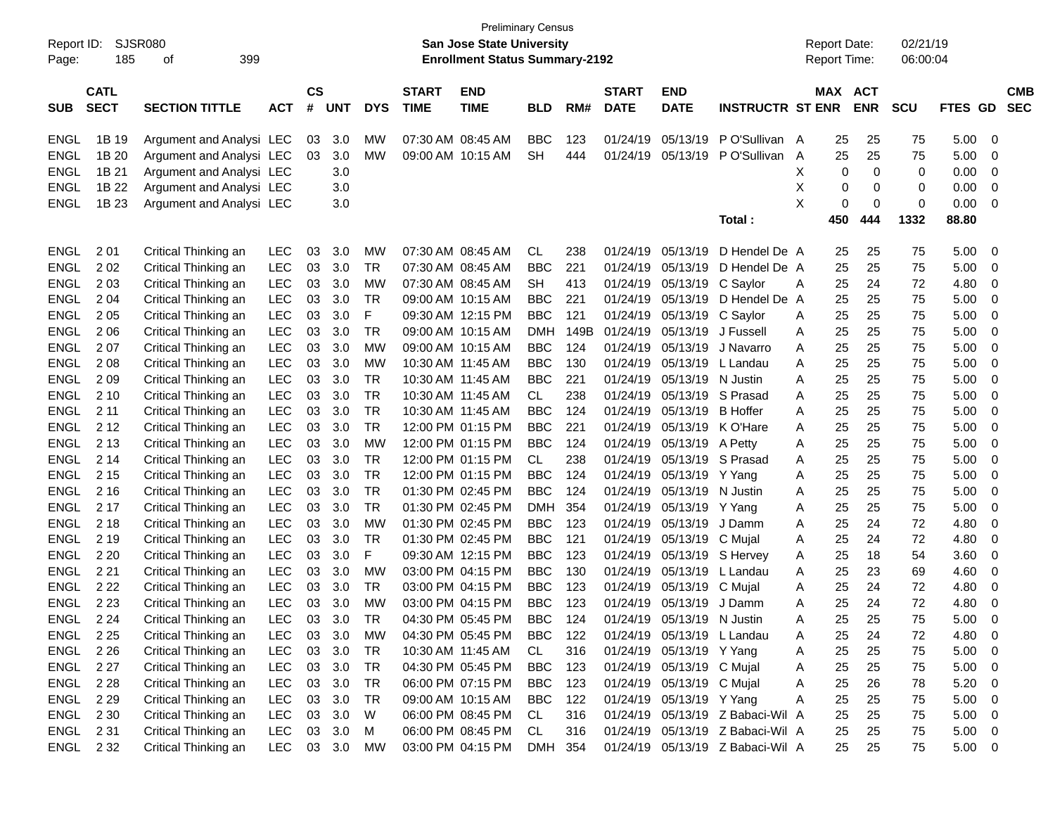| Report ID:<br>Page: | 185                        | <b>SJSR080</b><br>399<br>οf |            |                |            |            |                             | <b>Preliminary Census</b><br><b>San Jose State University</b><br><b>Enrollment Status Summary-2192</b> |            |      |                             |                            |                                  |   | <b>Report Date:</b><br><b>Report Time:</b> |                          | 02/21/19<br>06:00:04 |             |                                       |  |
|---------------------|----------------------------|-----------------------------|------------|----------------|------------|------------|-----------------------------|--------------------------------------------------------------------------------------------------------|------------|------|-----------------------------|----------------------------|----------------------------------|---|--------------------------------------------|--------------------------|----------------------|-------------|---------------------------------------|--|
| <b>SUB</b>          | <b>CATL</b><br><b>SECT</b> | <b>SECTION TITTLE</b>       | <b>ACT</b> | <b>CS</b><br># | <b>UNT</b> | <b>DYS</b> | <b>START</b><br><b>TIME</b> | <b>END</b><br><b>TIME</b>                                                                              | <b>BLD</b> | RM#  | <b>START</b><br><b>DATE</b> | <b>END</b><br><b>DATE</b>  | <b>INSTRUCTR ST ENR</b>          |   | <b>MAX</b>                                 | <b>ACT</b><br><b>ENR</b> | <b>SCU</b>           | <b>FTES</b> | <b>CMB</b><br><b>SEC</b><br><b>GD</b> |  |
| <b>ENGL</b>         | 1B 19                      | Argument and Analysi LEC    |            | 03             | 3.0        | MW         |                             | 07:30 AM 08:45 AM                                                                                      | <b>BBC</b> | 123  | 01/24/19                    | 05/13/19                   | PO'Sullivan A                    |   | 25                                         | 25                       | 75                   | 5.00        | 0                                     |  |
| <b>ENGL</b>         | 1B 20                      | Argument and Analysi LEC    |            | 03             | 3.0        | MW         |                             | 09:00 AM 10:15 AM                                                                                      | <b>SH</b>  | 444  | 01/24/19                    | 05/13/19                   | PO'Sullivan A                    |   | 25                                         | 25                       | 75                   | 5.00        | 0                                     |  |
| <b>ENGL</b>         | 1B 21                      | Argument and Analysi LEC    |            |                | 3.0        |            |                             |                                                                                                        |            |      |                             |                            |                                  | Χ | 0                                          | 0                        | 0                    | 0.00        | 0                                     |  |
| <b>ENGL</b>         | 1B 22                      | Argument and Analysi LEC    |            |                | 3.0        |            |                             |                                                                                                        |            |      |                             |                            |                                  | Х | 0                                          | 0                        | 0                    | 0.00        | 0                                     |  |
| <b>ENGL</b>         | 1B 23                      | Argument and Analysi LEC    |            |                | 3.0        |            |                             |                                                                                                        |            |      |                             |                            |                                  | X | 0                                          | 0                        | 0                    | 0.00        | 0                                     |  |
|                     |                            |                             |            |                |            |            |                             |                                                                                                        |            |      |                             |                            | Total:                           |   | 450                                        | 444                      | 1332                 | 88.80       |                                       |  |
| <b>ENGL</b>         | 2 0 1                      | Critical Thinking an        | LEC        | 03             | 3.0        | <b>MW</b>  |                             | 07:30 AM 08:45 AM                                                                                      | <b>CL</b>  | 238  | 01/24/19                    | 05/13/19                   | D Hendel De A                    |   | 25                                         | 25                       | 75                   | 5.00        | 0                                     |  |
| <b>ENGL</b>         | 202                        | Critical Thinking an        | <b>LEC</b> | 03             | 3.0        | <b>TR</b>  |                             | 07:30 AM 08:45 AM                                                                                      | <b>BBC</b> | 221  | 01/24/19                    | 05/13/19                   | D Hendel De A                    |   | 25                                         | 25                       | 75                   | 5.00        | 0                                     |  |
| <b>ENGL</b>         | 203                        | Critical Thinking an        | <b>LEC</b> | 03             | 3.0        | <b>MW</b>  |                             | 07:30 AM 08:45 AM                                                                                      | <b>SH</b>  | 413  | 01/24/19                    | 05/13/19                   | C Saylor                         | A | 25                                         | 24                       | 72                   | 4.80        | 0                                     |  |
| <b>ENGL</b>         | 2 0 4                      | Critical Thinking an        | <b>LEC</b> | 03             | 3.0        | TR         |                             | 09:00 AM 10:15 AM                                                                                      | <b>BBC</b> | 221  | 01/24/19                    | 05/13/19                   | D Hendel De A                    |   | 25                                         | 25                       | 75                   | 5.00        | 0                                     |  |
| <b>ENGL</b>         | 2 0 5                      | Critical Thinking an        | <b>LEC</b> | 03             | 3.0        | F          |                             | 09:30 AM 12:15 PM                                                                                      | <b>BBC</b> | 121  | 01/24/19                    | 05/13/19                   | C Saylor                         | A | 25                                         | 25                       | 75                   | 5.00        | 0                                     |  |
| <b>ENGL</b>         | 2 0 6                      | Critical Thinking an        | <b>LEC</b> | 03             | 3.0        | TR         |                             | 09:00 AM 10:15 AM                                                                                      | <b>DMH</b> | 149B | 01/24/19                    | 05/13/19                   | J Fussell                        | Α | 25                                         | 25                       | 75                   | 5.00        | 0                                     |  |
| <b>ENGL</b>         | 207                        | Critical Thinking an        | <b>LEC</b> | 03             | 3.0        | <b>MW</b>  |                             | 09:00 AM 10:15 AM                                                                                      | <b>BBC</b> | 124  | 01/24/19                    | 05/13/19                   | J Navarro                        | Α | 25                                         | 25                       | 75                   | 5.00        | 0                                     |  |
| <b>ENGL</b>         | 2 0 8                      | Critical Thinking an        | <b>LEC</b> | 03             | 3.0        | <b>MW</b>  | 10:30 AM 11:45 AM           |                                                                                                        | <b>BBC</b> | 130  | 01/24/19                    | 05/13/19                   | L Landau                         | Α | 25                                         | 25                       | 75                   | 5.00        | 0                                     |  |
| <b>ENGL</b>         | 209                        | Critical Thinking an        | <b>LEC</b> | 03             | 3.0        | <b>TR</b>  | 10:30 AM 11:45 AM           |                                                                                                        | <b>BBC</b> | 221  | 01/24/19                    | 05/13/19                   | N Justin                         | Α | 25                                         | 25                       | 75                   | 5.00        | 0                                     |  |
| <b>ENGL</b>         | 2 10                       | Critical Thinking an        | <b>LEC</b> | 03             | 3.0        | <b>TR</b>  | 10:30 AM 11:45 AM           |                                                                                                        | CL         | 238  | 01/24/19                    | 05/13/19                   | S Prasad                         | Α | 25                                         | 25                       | 75                   | 5.00        | 0                                     |  |
| <b>ENGL</b>         | 2 1 1                      | Critical Thinking an        | <b>LEC</b> | 03             | 3.0        | <b>TR</b>  | 10:30 AM 11:45 AM           |                                                                                                        | <b>BBC</b> | 124  | 01/24/19                    | 05/13/19                   | <b>B</b> Hoffer                  | Α | 25                                         | 25                       | 75                   | 5.00        | 0                                     |  |
| <b>ENGL</b>         | 2 1 2                      | Critical Thinking an        | <b>LEC</b> | 03             | 3.0        | <b>TR</b>  |                             | 12:00 PM 01:15 PM                                                                                      | <b>BBC</b> | 221  | 01/24/19                    | 05/13/19                   | K O'Hare                         | Α | 25                                         | 25                       | 75                   | 5.00        | 0                                     |  |
| <b>ENGL</b>         | 2 1 3                      | Critical Thinking an        | <b>LEC</b> | 03             | 3.0        | <b>MW</b>  |                             | 12:00 PM 01:15 PM                                                                                      | <b>BBC</b> | 124  | 01/24/19                    | 05/13/19                   | A Petty                          | Α | 25                                         | 25                       | 75                   | 5.00        | 0                                     |  |
| <b>ENGL</b>         | 2 14                       | Critical Thinking an        | <b>LEC</b> | 03             | 3.0        | TR         |                             | 12:00 PM 01:15 PM                                                                                      | CL         | 238  | 01/24/19                    | 05/13/19                   | S Prasad                         | Α | 25                                         | 25                       | 75                   | 5.00        | 0                                     |  |
| <b>ENGL</b>         | 2 1 5                      | Critical Thinking an        | <b>LEC</b> | 03             | 3.0        | <b>TR</b>  |                             | 12:00 PM 01:15 PM                                                                                      | <b>BBC</b> | 124  | 01/24/19                    | 05/13/19                   | Y Yang                           | Α | 25                                         | 25                       | 75                   | 5.00        | 0                                     |  |
| <b>ENGL</b>         | 2 1 6                      | Critical Thinking an        | <b>LEC</b> | 03             | 3.0        | <b>TR</b>  |                             | 01:30 PM 02:45 PM                                                                                      | <b>BBC</b> | 124  | 01/24/19                    | 05/13/19                   | N Justin                         | Α | 25                                         | 25                       | 75                   | 5.00        | 0                                     |  |
| <b>ENGL</b>         | 2 1 7                      | Critical Thinking an        | <b>LEC</b> | 03             | 3.0        | <b>TR</b>  |                             | 01:30 PM 02:45 PM                                                                                      | <b>DMH</b> | 354  | 01/24/19                    | 05/13/19                   | Y Yang                           | Α | 25                                         | 25                       | 75                   | 5.00        | 0                                     |  |
| <b>ENGL</b>         | 2 1 8                      | Critical Thinking an        | <b>LEC</b> | 03             | 3.0        | <b>MW</b>  |                             | 01:30 PM 02:45 PM                                                                                      | <b>BBC</b> | 123  | 01/24/19                    | 05/13/19                   | J Damm                           | Α | 25                                         | 24                       | 72                   | 4.80        | 0                                     |  |
| <b>ENGL</b>         | 2 1 9                      | Critical Thinking an        | <b>LEC</b> | 03             | 3.0        | <b>TR</b>  |                             | 01:30 PM 02:45 PM                                                                                      | <b>BBC</b> | 121  | 01/24/19                    | 05/13/19                   | C Mujal                          | Α | 25                                         | 24                       | 72                   | 4.80        | 0                                     |  |
| <b>ENGL</b>         | 2 2 0                      | Critical Thinking an        | <b>LEC</b> | 03             | 3.0        | F          |                             | 09:30 AM 12:15 PM                                                                                      | <b>BBC</b> | 123  | 01/24/19                    | 05/13/19                   | S Hervey                         | A | 25                                         | 18                       | 54                   | 3.60        | 0                                     |  |
| <b>ENGL</b>         | 2 2 1                      | Critical Thinking an        | <b>LEC</b> | 03             | 3.0        | MW         |                             | 03:00 PM 04:15 PM                                                                                      | <b>BBC</b> | 130  | 01/24/19                    | 05/13/19                   | L Landau                         | A | 25                                         | 23                       | 69                   | 4.60        | 0                                     |  |
| <b>ENGL</b>         | 2 2 2                      | Critical Thinking an        | <b>LEC</b> | 03             | 3.0        | <b>TR</b>  |                             | 03:00 PM 04:15 PM                                                                                      | <b>BBC</b> | 123  | 01/24/19                    | 05/13/19                   | C Mujal                          | Α | 25                                         | 24                       | 72                   | 4.80        | 0                                     |  |
| <b>ENGL</b>         | 2 2 3                      | Critical Thinking an        | <b>LEC</b> | 03             | 3.0        | <b>MW</b>  |                             | 03:00 PM 04:15 PM                                                                                      | <b>BBC</b> | 123  | 01/24/19                    | 05/13/19                   | J Damm                           | Α | 25                                         | 24                       | 72                   | 4.80        | 0                                     |  |
| ENGL                | 2 2 4                      | Critical Thinking an        | LEC        | 03             | 3.0        | <b>TR</b>  |                             | 04:30 PM 05:45 PM                                                                                      | <b>BBC</b> | 124  |                             | 01/24/19 05/13/19 N Justin |                                  | A | 25                                         | 25                       | 75                   | 5.00        | 0                                     |  |
| ENGL                | 2 2 5                      | Critical Thinking an        | LEC        | 03             | 3.0        | МW         |                             | 04:30 PM 05:45 PM                                                                                      | <b>BBC</b> | 122  |                             | 01/24/19 05/13/19 L Landau |                                  | A | 25                                         | 24                       | 72                   | 4.80        | 0                                     |  |
| ENGL                | 2 2 6                      | Critical Thinking an        | LEC        | 03             | 3.0        | TR         |                             | 10:30 AM 11:45 AM                                                                                      | CL         | 316  |                             | 01/24/19 05/13/19 Y Yang   |                                  | A | 25                                         | 25                       | 75                   | 5.00        | 0                                     |  |
| ENGL                | 2 2 7                      | Critical Thinking an        | LEC        | 03             | 3.0        | <b>TR</b>  |                             | 04:30 PM 05:45 PM                                                                                      | <b>BBC</b> | 123  |                             | 01/24/19 05/13/19 C Mujal  |                                  | A | 25                                         | 25                       | 75                   | 5.00        | 0                                     |  |
| ENGL                | 2 2 8                      | Critical Thinking an        | LEC        | 03             | 3.0        | TR         |                             | 06:00 PM 07:15 PM                                                                                      | <b>BBC</b> | 123  |                             | 01/24/19 05/13/19 C Mujal  |                                  | A | 25                                         | 26                       | 78                   | 5.20        | 0                                     |  |
| <b>ENGL</b>         | 2 2 9                      | Critical Thinking an        | LEC        | 03             | 3.0        | <b>TR</b>  |                             | 09:00 AM 10:15 AM                                                                                      | <b>BBC</b> | 122  |                             | 01/24/19 05/13/19 Y Yang   |                                  | Α | 25                                         | 25                       | 75                   | 5.00        | 0                                     |  |
| ENGL                | 2 3 0                      | Critical Thinking an        | <b>LEC</b> | 03             | 3.0        | W          |                             | 06:00 PM 08:45 PM                                                                                      | CL         | 316  |                             |                            | 01/24/19 05/13/19 Z Babaci-Wil A |   | 25                                         | 25                       | 75                   | 5.00        | 0                                     |  |
| ENGL                | 2 3 1                      | Critical Thinking an        | <b>LEC</b> | 03             | 3.0        | M          |                             | 06:00 PM 08:45 PM                                                                                      | CL         | 316  |                             |                            | 01/24/19 05/13/19 Z Babaci-Wil A |   | 25                                         | 25                       | 75                   | 5.00        | 0                                     |  |
| ENGL                | 2 3 2                      | Critical Thinking an        | LEC 03 3.0 |                |            | <b>MW</b>  |                             | 03:00 PM 04:15 PM                                                                                      | DMH 354    |      |                             |                            | 01/24/19 05/13/19 Z Babaci-Wil A |   | 25                                         | 25                       | 75                   | 5.00        | $\mathbf 0$                           |  |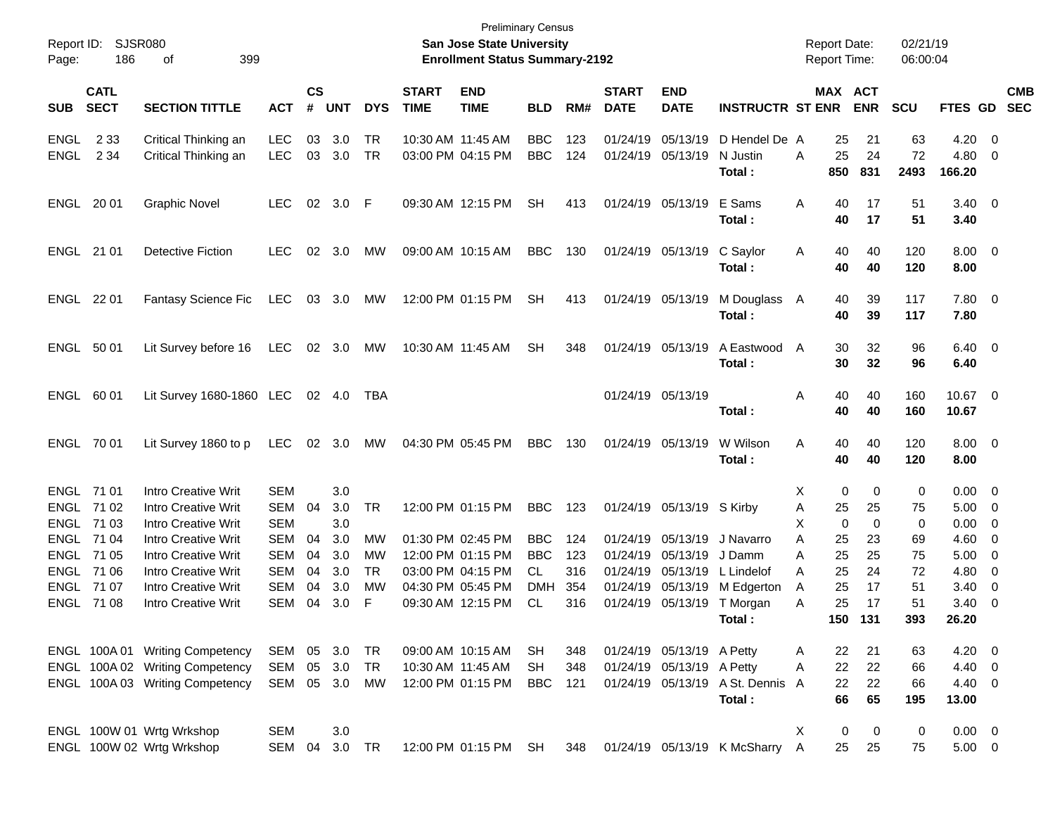| Report ID:<br>Page:                                 | 186                        | SJSR080<br>399<br>оf                                                                                                 |                                                      |                      |                          |                            |                             | <b>Preliminary Census</b><br><b>San Jose State University</b><br><b>Enrollment Status Summary-2192</b> |                                             |                          |                                  |                                                |                                                         | <b>Report Date:</b><br><b>Report Time:</b> |                              | 02/21/19<br>06:00:04 |                                                   |                                                                                                            |                          |
|-----------------------------------------------------|----------------------------|----------------------------------------------------------------------------------------------------------------------|------------------------------------------------------|----------------------|--------------------------|----------------------------|-----------------------------|--------------------------------------------------------------------------------------------------------|---------------------------------------------|--------------------------|----------------------------------|------------------------------------------------|---------------------------------------------------------|--------------------------------------------|------------------------------|----------------------|---------------------------------------------------|------------------------------------------------------------------------------------------------------------|--------------------------|
| <b>SUB</b>                                          | <b>CATL</b><br><b>SECT</b> | <b>SECTION TITTLE</b>                                                                                                | <b>ACT</b>                                           | $\mathsf{cs}$<br>#   | <b>UNT</b>               | <b>DYS</b>                 | <b>START</b><br><b>TIME</b> | <b>END</b><br><b>TIME</b>                                                                              | <b>BLD</b>                                  | RM#                      | <b>START</b><br><b>DATE</b>      | <b>END</b><br><b>DATE</b>                      | <b>INSTRUCTR ST ENR</b>                                 |                                            | MAX ACT<br><b>ENR</b>        | <b>SCU</b>           | FTES GD                                           |                                                                                                            | <b>CMB</b><br><b>SEC</b> |
| ENGL<br><b>ENGL</b>                                 | 2 3 3<br>2 3 4             | Critical Thinking an<br>Critical Thinking an                                                                         | <b>LEC</b><br><b>LEC</b>                             | 03<br>03             | 3.0<br>3.0               | TR<br>TR                   |                             | 10:30 AM 11:45 AM<br>03:00 PM 04:15 PM                                                                 | <b>BBC</b><br><b>BBC</b>                    | 123<br>124               | 01/24/19<br>01/24/19             | 05/13/19<br>05/13/19                           | D Hendel De A<br>N Justin<br>Total :                    | 25<br>A<br>850                             | 25<br>21<br>24<br>831        | 63<br>72<br>2493     | $4.20 \ 0$<br>4.80<br>166.20                      | $\overline{\mathbf{0}}$                                                                                    |                          |
| ENGL 20 01                                          |                            | <b>Graphic Novel</b>                                                                                                 | <b>LEC</b>                                           | 02                   | $3.0$ F                  |                            |                             | 09:30 AM 12:15 PM                                                                                      | <b>SH</b>                                   | 413                      |                                  | 01/24/19 05/13/19                              | E Sams<br>Total :                                       | Α<br>40                                    | 17<br>40<br>17               | 51<br>51             | $3.40 \quad 0$<br>3.40                            |                                                                                                            |                          |
| ENGL 21 01                                          |                            | <b>Detective Fiction</b>                                                                                             | <b>LEC</b>                                           | $02\,$               | 3.0                      | MW                         |                             | 09:00 AM 10:15 AM                                                                                      | <b>BBC</b>                                  | 130                      |                                  | 01/24/19 05/13/19                              | C Saylor<br>Total:                                      | 40<br>A                                    | 40<br>40<br>40               | 120<br>120           | $8.00 \t 0$<br>8.00                               |                                                                                                            |                          |
| ENGL 22 01                                          |                            | <b>Fantasy Science Fic</b>                                                                                           | LEC                                                  | 03                   | 3.0                      | МW                         |                             | 12:00 PM 01:15 PM                                                                                      | <b>SH</b>                                   | 413                      |                                  | 01/24/19 05/13/19                              | M Douglass A<br>Total:                                  | 40                                         | 39<br>40<br>39               | 117<br>117           | 7.80 0<br>7.80                                    |                                                                                                            |                          |
| ENGL 50 01                                          |                            | Lit Survey before 16                                                                                                 | LEC                                                  | 02                   | 3.0                      | МW                         |                             | 10:30 AM 11:45 AM                                                                                      | <b>SH</b>                                   | 348                      |                                  | 01/24/19 05/13/19                              | A Eastwood<br>Total:                                    | A                                          | 32<br>30<br>30<br>32         | 96<br>96             | $6.40 \quad 0$<br>6.40                            |                                                                                                            |                          |
| ENGL 60 01                                          |                            | Lit Survey 1680-1860 LEC                                                                                             |                                                      |                      | 02 4.0                   | TBA                        |                             |                                                                                                        |                                             |                          |                                  | 01/24/19 05/13/19                              | Total :                                                 | Α                                          | 40<br>40<br>40<br>40         | 160<br>160           | 10.67 0<br>10.67                                  |                                                                                                            |                          |
| ENGL 70 01                                          |                            | Lit Survey 1860 to p                                                                                                 | LEC                                                  |                      | 02 3.0                   | МW                         |                             | 04:30 PM 05:45 PM                                                                                      | <b>BBC</b>                                  | 130                      |                                  | 01/24/19 05/13/19                              | W Wilson<br>Total :                                     | A                                          | 40<br>40<br>40<br>40         | 120<br>120           | $8.00 \t 0$<br>8.00                               |                                                                                                            |                          |
| ENGL 71 01<br>ENGL 71 03                            | ENGL 71 02<br>ENGL 71 04   | Intro Creative Writ<br>Intro Creative Writ<br><b>Intro Creative Writ</b><br>Intro Creative Writ                      | <b>SEM</b><br><b>SEM</b><br><b>SEM</b><br><b>SEM</b> | 04<br>04             | 3.0<br>3.0<br>3.0<br>3.0 | TR<br>MW                   |                             | 12:00 PM 01:15 PM<br>01:30 PM 02:45 PM                                                                 | <b>BBC</b><br><b>BBC</b>                    | 123<br>124               |                                  | 01/24/19 05/13/19 S Kirby<br>01/24/19 05/13/19 | J Navarro                                               | Χ<br>25<br>Α<br>Χ<br>A<br>25               | 0<br>0<br>25<br>0<br>0<br>23 | 0<br>75<br>0<br>69   | $0.00 \t 0$<br>$5.00 \t 0$<br>$0.00 \t 0$<br>4.60 | $\overline{\phantom{0}}$                                                                                   |                          |
| ENGL 71 05<br>ENGL 71 06<br>ENGL 7107<br>ENGL 71 08 |                            | <b>Intro Creative Writ</b><br><b>Intro Creative Writ</b><br><b>Intro Creative Writ</b><br><b>Intro Creative Writ</b> | <b>SEM</b><br><b>SEM</b><br><b>SEM</b><br><b>SEM</b> | 04<br>04<br>04<br>04 | 3.0<br>3.0<br>3.0<br>3.0 | MW<br><b>TR</b><br>MW<br>F |                             | 12:00 PM 01:15 PM<br>03:00 PM 04:15 PM<br>04:30 PM 05:45 PM<br>09:30 AM 12:15 PM                       | <b>BBC</b><br>CL<br><b>DMH</b><br><b>CL</b> | 123<br>316<br>354<br>316 | 01/24/19<br>01/24/19<br>01/24/19 | 05/13/19<br>05/13/19<br>01/24/19 05/13/19      | J Damm<br>L Lindelof<br>05/13/19 M Edgerton<br>T Morgan | 25<br>A<br>25<br>A<br>25<br>A<br>25<br>A   | 25<br>24<br>17<br>17         | 75<br>72<br>51<br>51 | 5.00<br>4.80<br>3.40<br>3.40                      | $\overline{\phantom{0}}$<br>$\overline{\mathbf{0}}$<br>$\overline{\mathbf{0}}$<br>$\overline{\phantom{0}}$ |                          |
|                                                     |                            | ENGL 100A 01 Writing Competency                                                                                      | SEM                                                  |                      | 05 3.0                   | TR                         |                             | 09:00 AM 10:15 AM                                                                                      | SH                                          | 348                      |                                  | 01/24/19 05/13/19 A Petty                      | Total:                                                  | A                                          | 150 131<br>21<br>22          | 393<br>63            | 26.20<br>$4.20 \ 0$                               |                                                                                                            |                          |
|                                                     |                            | ENGL 100A 02 Writing Competency<br>ENGL 100A 03 Writing Competency                                                   | <b>SEM</b><br>SEM                                    | 05                   | 3.0<br>05 3.0            | TR<br>МW                   |                             | 10:30 AM 11:45 AM<br>12:00 PM 01:15 PM                                                                 | <b>SH</b><br><b>BBC</b>                     | 348<br>121               |                                  | 01/24/19 05/13/19 A Petty                      | 01/24/19 05/13/19 A St. Dennis A<br>Total:              | 22<br>A                                    | 22<br>22<br>22<br>66<br>65   | 66<br>66<br>195      | 4.40 0<br>$4.40 \quad 0$<br>13.00                 |                                                                                                            |                          |
|                                                     |                            | ENGL 100W 01 Wrtg Wrkshop<br>ENGL 100W 02 Wrtg Wrkshop                                                               | <b>SEM</b><br>SEM                                    | 04                   | 3.0<br>3.0 TR            |                            |                             | 12:00 PM 01:15 PM                                                                                      | SH                                          | 348                      |                                  |                                                | 01/24/19 05/13/19 K McSharry                            | Χ<br>A                                     | 0<br>0<br>25<br>25           | 0<br>75              | $0.00 \t 0$<br>$5.00 \t 0$                        |                                                                                                            |                          |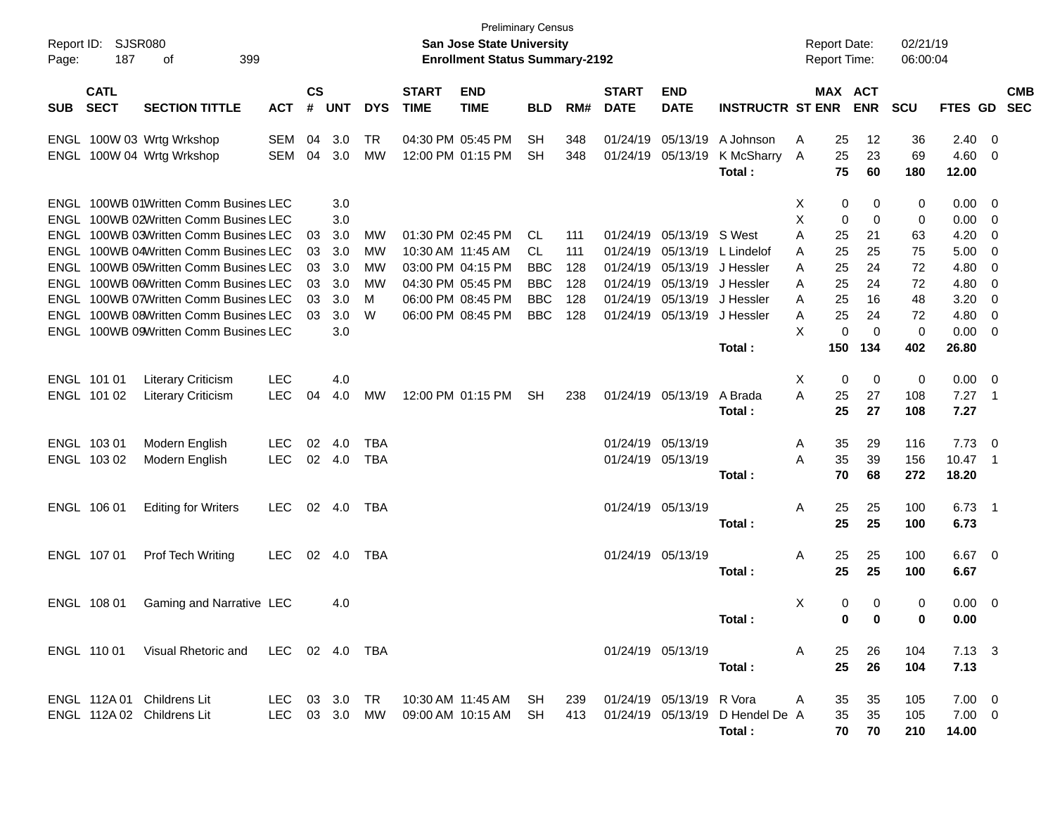| Report ID:<br>Page: | 187                        | SJSR080<br>399<br>οf                                                           |            |                    |            |            |                             | <b>Preliminary Census</b><br>San Jose State University<br><b>Enrollment Status Summary-2192</b> |                 |            |                             |                                        |                                 |        | <b>Report Date:</b><br><b>Report Time:</b> |            | 02/21/19<br>06:00:04 |                |                                |                          |
|---------------------|----------------------------|--------------------------------------------------------------------------------|------------|--------------------|------------|------------|-----------------------------|-------------------------------------------------------------------------------------------------|-----------------|------------|-----------------------------|----------------------------------------|---------------------------------|--------|--------------------------------------------|------------|----------------------|----------------|--------------------------------|--------------------------|
| <b>SUB</b>          | <b>CATL</b><br><b>SECT</b> | <b>SECTION TITTLE</b>                                                          | <b>ACT</b> | $\mathsf{cs}$<br># | <b>UNT</b> | <b>DYS</b> | <b>START</b><br><b>TIME</b> | <b>END</b><br><b>TIME</b>                                                                       | <b>BLD</b>      | RM#        | <b>START</b><br><b>DATE</b> | <b>END</b><br><b>DATE</b>              | <b>INSTRUCTR ST ENR</b>         |        | MAX ACT                                    | <b>ENR</b> | <b>SCU</b>           | <b>FTES GD</b> |                                | <b>CMB</b><br><b>SEC</b> |
| ENGL                |                            | ENGL 100W 03 Wrtg Wrkshop<br>100W 04 Wrtg Wrkshop                              | SEM<br>SEM | 04<br>04           | 3.0<br>3.0 | TR<br>MW   |                             | 04:30 PM 05:45 PM<br>12:00 PM 01:15 PM                                                          | <b>SH</b><br>SН | 348<br>348 |                             | 01/24/19 05/13/19<br>01/24/19 05/13/19 | A Johnson<br>K McSharry         | Α<br>A | 25<br>25                                   | 12<br>23   | 36<br>69             | 2.40<br>4.60   | $\overline{\mathbf{0}}$<br>- 0 |                          |
|                     |                            |                                                                                |            |                    |            |            |                             |                                                                                                 |                 |            |                             |                                        | Total:                          |        | 75                                         | 60         | 180                  | 12.00          |                                |                          |
|                     |                            | ENGL 100WB 01Written Comm Busines LEC<br>ENGL 100WB 02Written Comm Busines LEC |            |                    | 3.0<br>3.0 |            |                             |                                                                                                 |                 |            |                             |                                        |                                 | X<br>X | 0<br>0                                     | 0<br>0     | 0<br>0               | 0.00<br>0.00   | - 0<br>- 0                     |                          |
|                     |                            | ENGL 100WB 03Written Comm Busines LEC                                          |            | 03                 | 3.0        | MW         |                             | 01:30 PM 02:45 PM                                                                               | CL.             | 111        |                             | 01/24/19 05/13/19                      | S West                          | A      | 25                                         | 21         | 63                   | 4.20           | 0                              |                          |
|                     |                            | ENGL 100WB 04Written Comm Busines LEC                                          |            | 03                 | 3.0        | МW         |                             | 10:30 AM 11:45 AM                                                                               | CL.             | 111        | 01/24/19                    | 05/13/19                               | L Lindelof                      | A      | 25                                         | 25         | 75                   | 5.00           | 0                              |                          |
|                     |                            | ENGL 100WB 05Written Comm Busines LEC                                          |            | 03                 | 3.0        | МW         |                             | 03:00 PM 04:15 PM                                                                               | BBC             | 128        | 01/24/19                    | 05/13/19                               | J Hessler                       | A      | 25                                         | 24         | 72                   | 4.80           | 0                              |                          |
|                     |                            | ENGL 100WB 06Written Comm Busines LEC                                          |            | 03                 | 3.0        | МW         |                             | 04:30 PM 05:45 PM                                                                               | <b>BBC</b>      | 128        |                             | 01/24/19 05/13/19                      | J Hessler                       | A      | 25                                         | 24         | 72                   | 4.80           | 0                              |                          |
|                     |                            | ENGL 100WB 07Written Comm Busines LEC                                          |            | 03                 | 3.0        | м          |                             | 06:00 PM 08:45 PM                                                                               | <b>BBC</b>      | 128        |                             | 01/24/19 05/13/19                      | J Hessler                       | A      | 25                                         | 16         | 48                   | 3.20           | 0                              |                          |
|                     |                            | ENGL 100WB 08Written Comm Busines LEC                                          |            | 03                 | 3.0        | W          |                             | 06:00 PM 08:45 PM                                                                               | <b>BBC</b>      | 128        |                             | 01/24/19 05/13/19                      | J Hessler                       | A      | 25                                         | 24         | 72                   | 4.80           | 0                              |                          |
|                     |                            | ENGL 100WB 09Written Comm Busines LEC                                          |            |                    | 3.0        |            |                             |                                                                                                 |                 |            |                             |                                        |                                 | X      | 0                                          | 0          | 0                    | 0.00           | 0                              |                          |
|                     |                            |                                                                                |            |                    |            |            |                             |                                                                                                 |                 |            |                             |                                        | Total:                          |        | 150                                        | 134        | 402                  | 26.80          |                                |                          |
|                     | ENGL 101 01                | <b>Literary Criticism</b>                                                      | LEC        |                    | 4.0        |            |                             |                                                                                                 |                 |            |                             |                                        |                                 | Х      | 0                                          | 0          | 0                    | 0.00           | $\overline{\mathbf{0}}$        |                          |
|                     | ENGL 101 02                | <b>Literary Criticism</b>                                                      | <b>LEC</b> | 04                 | 4.0        | MW         |                             | 12:00 PM 01:15 PM                                                                               | <b>SH</b>       | 238        |                             | 01/24/19 05/13/19                      | A Brada                         | A      | 25                                         | 27         | 108                  | 7.27           | - 1                            |                          |
|                     |                            |                                                                                |            |                    |            |            |                             |                                                                                                 |                 |            |                             |                                        | Total:                          |        | 25                                         | 27         | 108                  | 7.27           |                                |                          |
|                     | ENGL 103 01                | Modern English                                                                 | <b>LEC</b> | 02                 | 4.0        | TBA        |                             |                                                                                                 |                 |            |                             | 01/24/19 05/13/19                      |                                 | A      | 35                                         | 29         | 116                  | 7.73           | $\overline{\mathbf{0}}$        |                          |
|                     | ENGL 103 02                | Modern English                                                                 | <b>LEC</b> |                    | 02 4.0     | TBA        |                             |                                                                                                 |                 |            |                             | 01/24/19 05/13/19                      |                                 | A      | 35                                         | 39         | 156                  | 10.47          | -1                             |                          |
|                     |                            |                                                                                |            |                    |            |            |                             |                                                                                                 |                 |            |                             |                                        | Total:                          |        | 70                                         | 68         | 272                  | 18.20          |                                |                          |
|                     | ENGL 106 01                | <b>Editing for Writers</b>                                                     | <b>LEC</b> |                    | 02 4.0     | TBA        |                             |                                                                                                 |                 |            |                             | 01/24/19 05/13/19                      |                                 | A      | 25                                         | 25         | 100                  | $6.73$ 1       |                                |                          |
|                     |                            |                                                                                |            |                    |            |            |                             |                                                                                                 |                 |            |                             |                                        | Total:                          |        | 25                                         | 25         | 100                  | 6.73           |                                |                          |
|                     | ENGL 107 01                | <b>Prof Tech Writing</b>                                                       | <b>LEC</b> |                    | 02 4.0     | TBA        |                             |                                                                                                 |                 |            | 01/24/19 05/13/19           |                                        |                                 | A      | 25                                         | 25         | 100                  | 6.67           | $\overline{\phantom{0}}$       |                          |
|                     |                            |                                                                                |            |                    |            |            |                             |                                                                                                 |                 |            |                             |                                        | Total:                          |        | 25                                         | 25         | 100                  | 6.67           |                                |                          |
|                     | ENGL 108 01                | Gaming and Narrative LEC                                                       |            |                    | 4.0        |            |                             |                                                                                                 |                 |            |                             |                                        |                                 | Χ      | 0                                          | 0          | 0                    | 0.00           | $\overline{\phantom{0}}$       |                          |
|                     |                            |                                                                                |            |                    |            |            |                             |                                                                                                 |                 |            |                             |                                        | Total:                          |        | 0                                          | 0          | 0                    | 0.00           |                                |                          |
|                     |                            | ENGL 110 01 Visual Rhetoric and LEC 02 4.0 TBA                                 |            |                    |            |            |                             |                                                                                                 |                 |            |                             | 01/24/19 05/13/19                      |                                 | A      | 25                                         | 26         | 104                  | $7.13 \quad 3$ |                                |                          |
|                     |                            |                                                                                |            |                    |            |            |                             |                                                                                                 |                 |            |                             |                                        | Total:                          |        | 25                                         | 26         | 104                  | 7.13           |                                |                          |
|                     |                            | ENGL 112A 01 Childrens Lit                                                     |            |                    |            |            |                             | LEC 03 3.0 TR  10:30 AM  11:45 AM  SH                                                           |                 | 239        |                             | 01/24/19 05/13/19 R Vora               |                                 | A      | 35                                         | 35         | 105                  | $7.00 \t 0$    |                                |                          |
|                     |                            | ENGL 112A 02 Childrens Lit                                                     |            |                    |            |            |                             | LEC 03 3.0 MW 09:00 AM 10:15 AM SH                                                              |                 | 413        |                             |                                        | 01/24/19 05/13/19 D Hendel De A |        | 35                                         | 35         | 105                  | $7.00 \t 0$    |                                |                          |
|                     |                            |                                                                                |            |                    |            |            |                             |                                                                                                 |                 |            |                             |                                        | Total:                          |        |                                            | 70 70      | 210                  | 14.00          |                                |                          |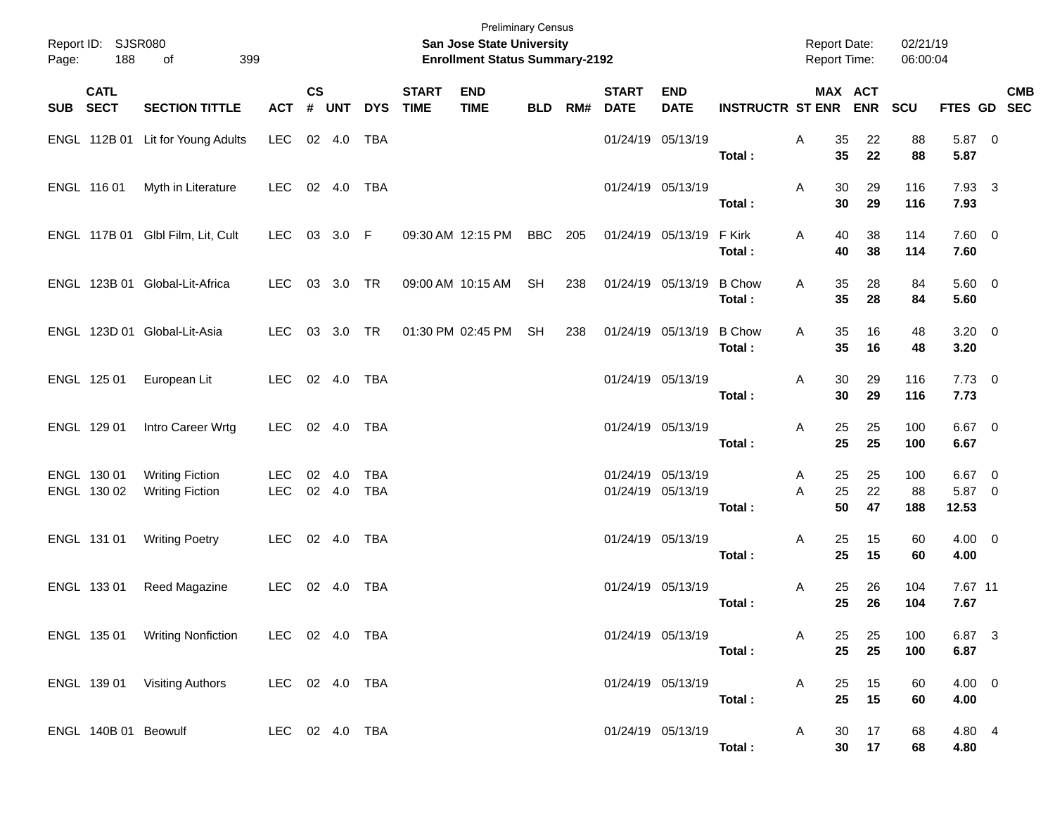| Page: | Report ID: SJSR080<br>188  | 399<br>of                                        |                          |                |                |                          |                             | <b>San Jose State University</b><br><b>Enrollment Status Summary-2192</b> | <b>Preliminary Census</b> |     |                             |                                        |                         | <b>Report Date:</b><br><b>Report Time:</b> |                | 02/21/19<br>06:00:04 |                             |            |  |
|-------|----------------------------|--------------------------------------------------|--------------------------|----------------|----------------|--------------------------|-----------------------------|---------------------------------------------------------------------------|---------------------------|-----|-----------------------------|----------------------------------------|-------------------------|--------------------------------------------|----------------|----------------------|-----------------------------|------------|--|
| SUB   | <b>CATL</b><br><b>SECT</b> | <b>SECTION TITTLE</b>                            | <b>ACT</b>               | <b>CS</b><br># | <b>UNT</b>     | <b>DYS</b>               | <b>START</b><br><b>TIME</b> | <b>END</b><br><b>TIME</b>                                                 | <b>BLD</b>                | RM# | <b>START</b><br><b>DATE</b> | <b>END</b><br><b>DATE</b>              | <b>INSTRUCTR ST ENR</b> | MAX ACT                                    | <b>ENR</b>     | SCU                  | FTES GD SEC                 | <b>CMB</b> |  |
|       |                            | ENGL 112B 01 Lit for Young Adults                | <b>LEC</b>               |                | 02 4.0         | <b>TBA</b>               |                             |                                                                           |                           |     |                             | 01/24/19 05/13/19                      | Total:                  | 35<br>Α<br>35                              | 22<br>22       | 88<br>88             | 5.87 0<br>5.87              |            |  |
|       | ENGL 116 01                | Myth in Literature                               | <b>LEC</b>               |                | 02 4.0         | TBA                      |                             |                                                                           |                           |     |                             | 01/24/19 05/13/19                      | Total:                  | 30<br>Α<br>30                              | 29<br>29       | 116<br>116           | 7.93 3<br>7.93              |            |  |
|       |                            | ENGL 117B 01 Glbl Film, Lit, Cult                | <b>LEC</b>               |                | 03 3.0 F       |                          |                             | 09:30 AM 12:15 PM                                                         | <b>BBC</b>                | 205 |                             | 01/24/19 05/13/19                      | F Kirk<br>Total:        | 40<br>Α<br>40                              | 38<br>38       | 114<br>114           | $7.60 \t 0$<br>7.60         |            |  |
|       |                            | ENGL 123B 01 Global-Lit-Africa                   | LEC.                     |                | 03 3.0 TR      |                          |                             | 09:00 AM 10:15 AM                                                         | <b>SH</b>                 | 238 |                             | 01/24/19 05/13/19                      | <b>B</b> Chow<br>Total: | 35<br>A<br>35                              | 28<br>28       | 84<br>84             | 5.60 0<br>5.60              |            |  |
|       |                            | ENGL 123D 01 Global-Lit-Asia                     | <b>LEC</b>               |                | 03 3.0         | <b>TR</b>                |                             | 01:30 PM 02:45 PM                                                         | <b>SH</b>                 | 238 |                             | 01/24/19 05/13/19                      | <b>B</b> Chow<br>Total: | 35<br>A<br>35                              | 16<br>16       | 48<br>48             | $3.20 \ 0$<br>3.20          |            |  |
|       | ENGL 125 01                | European Lit                                     | <b>LEC</b>               |                | 02 4.0         | <b>TBA</b>               |                             |                                                                           |                           |     |                             | 01/24/19 05/13/19                      | Total:                  | 30<br>Α<br>30                              | 29<br>29       | 116<br>116           | $7.73 \t 0$<br>7.73         |            |  |
|       | ENGL 129 01                | Intro Career Wrtg                                | <b>LEC</b>               |                | 02 4.0         | TBA                      |                             |                                                                           |                           |     |                             | 01/24/19 05/13/19                      | Total:                  | 25<br>Α<br>25                              | 25<br>25       | 100<br>100           | $6.67$ 0<br>6.67            |            |  |
|       | ENGL 130 01<br>ENGL 130 02 | <b>Writing Fiction</b><br><b>Writing Fiction</b> | <b>LEC</b><br><b>LEC</b> | 02             | 4.0<br>02 4.0  | <b>TBA</b><br><b>TBA</b> |                             |                                                                           |                           |     |                             | 01/24/19 05/13/19<br>01/24/19 05/13/19 | Total:                  | 25<br>A<br>25<br>A<br>50                   | 25<br>22<br>47 | 100<br>88<br>188     | $6.67$ 0<br>5.87 0<br>12.53 |            |  |
|       | ENGL 131 01                | <b>Writing Poetry</b>                            | LEC.                     |                | 02 4.0         | TBA                      |                             |                                                                           |                           |     |                             | 01/24/19 05/13/19                      | Total:                  | 25<br>Α<br>25                              | 15<br>15       | 60<br>60             | $4.00 \ 0$<br>4.00          |            |  |
|       | ENGL 133 01                | Reed Magazine                                    | LEC.                     |                | $02 \quad 4.0$ | TBA                      |                             |                                                                           |                           |     |                             | 01/24/19 05/13/19                      | Total:                  | 25<br>A<br>25                              | 26<br>26       | 104<br>104           | 7.67 11<br>7.67             |            |  |
|       |                            | ENGL 135 01 Writing Nonfiction                   | LEC 02 4.0 TBA           |                |                |                          |                             |                                                                           |                           |     |                             | 01/24/19 05/13/19                      | Total:                  | A<br>25<br>25                              | 25<br>25       | 100<br>100           | 6.87 3<br>6.87              |            |  |
|       |                            | ENGL 139 01 Visiting Authors                     | LEC 02 4.0 TBA           |                |                |                          |                             |                                                                           |                           |     |                             | 01/24/19 05/13/19                      | Total:                  | A<br>25<br>25                              | 15<br>15       | 60<br>60             | 4.00 0<br>4.00              |            |  |
|       |                            | ENGL 140B 01 Beowulf                             | LEC 02 4.0 TBA           |                |                |                          |                             |                                                                           |                           |     |                             | 01/24/19 05/13/19                      | Total:                  | 30<br>A<br>30 <sub>o</sub>                 | 17<br>17       | 68<br>68             | 4.80 4<br>4.80              |            |  |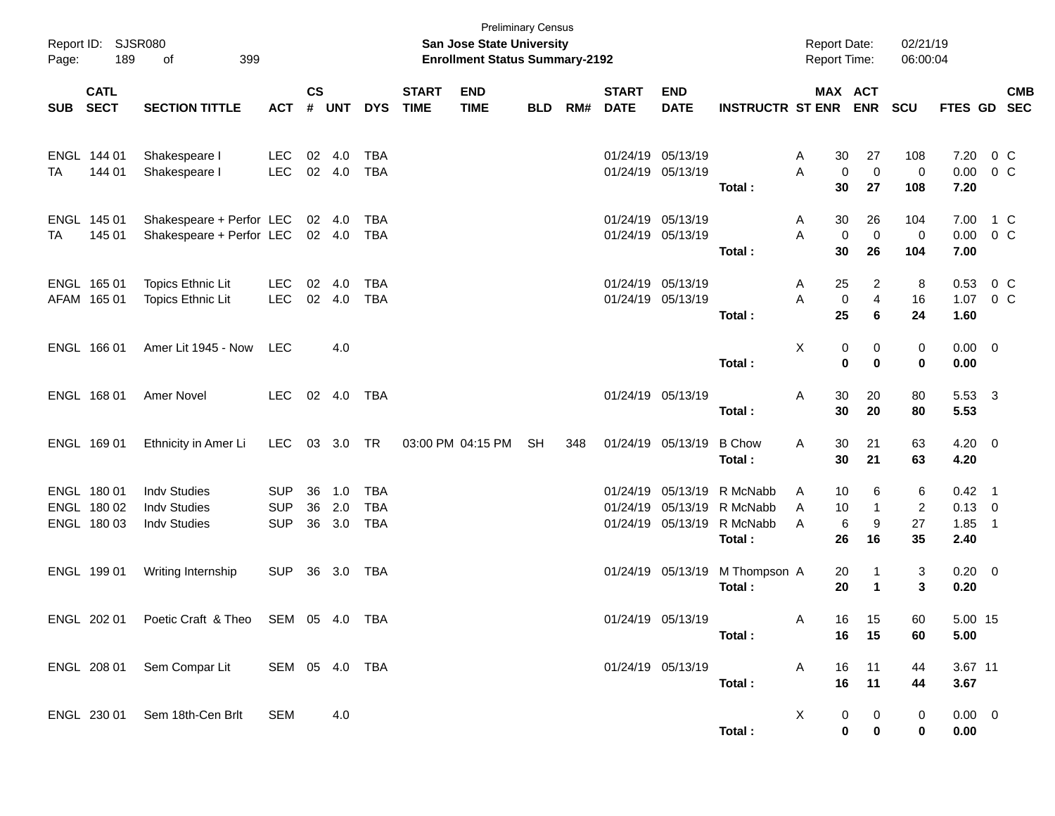| Page:      | Report ID: SJSR080<br>189                 | 399<br>of                                                         |                                        |                    |                   |                                        |                             | <b>Preliminary Census</b><br>San Jose State University<br><b>Enrollment Status Summary-2192</b> |            |     |                                        |                                                             |                                            | <b>Report Date:</b><br><b>Report Time:</b> |                               | 02/21/19<br>06:00:04            |                                        |                          |            |
|------------|-------------------------------------------|-------------------------------------------------------------------|----------------------------------------|--------------------|-------------------|----------------------------------------|-----------------------------|-------------------------------------------------------------------------------------------------|------------|-----|----------------------------------------|-------------------------------------------------------------|--------------------------------------------|--------------------------------------------|-------------------------------|---------------------------------|----------------------------------------|--------------------------|------------|
| <b>SUB</b> | <b>CATL</b><br><b>SECT</b>                | <b>SECTION TITTLE</b>                                             | <b>ACT</b>                             | $\mathsf{cs}$<br># | <b>UNT</b>        | <b>DYS</b>                             | <b>START</b><br><b>TIME</b> | <b>END</b><br><b>TIME</b>                                                                       | <b>BLD</b> | RM# | <b>START</b><br><b>DATE</b>            | <b>END</b><br><b>DATE</b>                                   | <b>INSTRUCTR ST ENR</b>                    | MAX ACT                                    | <b>ENR</b>                    | <b>SCU</b>                      | FTES GD SEC                            |                          | <b>CMB</b> |
| TA         | ENGL 144 01<br>144 01                     | Shakespeare I<br>Shakespeare I                                    | <b>LEC</b><br>LEC                      | 02                 | 4.0<br>02 4.0     | <b>TBA</b><br><b>TBA</b>               |                             |                                                                                                 |            |     | 01/24/19 05/13/19<br>01/24/19 05/13/19 |                                                             | Total:                                     | 30<br>A<br>$\mathbf 0$<br>A<br>30          | 27<br>$\mathbf 0$<br>27       | 108<br>0<br>108                 | 7.20<br>$0.00 \t 0 C$<br>7.20          | 0 C                      |            |
| TA         | ENGL 145 01<br>145 01                     | Shakespeare + Perfor LEC<br>Shakespeare + Perfor LEC 02 4.0       |                                        |                    | 02 4.0            | <b>TBA</b><br><b>TBA</b>               |                             |                                                                                                 |            |     | 01/24/19 05/13/19<br>01/24/19 05/13/19 |                                                             | Total:                                     | 30<br>A<br>$\mathbf 0$<br>A<br>30          | 26<br>$\mathbf 0$<br>26       | 104<br>0<br>104                 | 7.00<br>$0.00 \t 0 C$<br>7.00          | 1 C                      |            |
|            | ENGL 165 01<br>AFAM 165 01                | Topics Ethnic Lit<br>Topics Ethnic Lit                            | <b>LEC</b><br>LEC                      | 02                 | 4.0<br>02 4.0     | <b>TBA</b><br><b>TBA</b>               |                             |                                                                                                 |            |     | 01/24/19 05/13/19<br>01/24/19 05/13/19 |                                                             | Total:                                     | 25<br>A<br>0<br>A<br>25                    | 2<br>$\overline{4}$<br>6      | 8<br>16<br>24                   | 0.53<br>1.07<br>1.60                   | $0\,C$<br>0 <sup>o</sup> |            |
|            | ENGL 166 01                               | Amer Lit 1945 - Now                                               | <b>LEC</b>                             |                    | 4.0               |                                        |                             |                                                                                                 |            |     |                                        |                                                             | Total:                                     | X<br>0<br>$\bf{0}$                         | 0<br>$\bf{0}$                 | 0<br>0                          | $0.00 \t 0$<br>0.00                    |                          |            |
|            | ENGL 168 01                               | <b>Amer Novel</b>                                                 | <b>LEC</b>                             |                    | 02 4.0            | TBA                                    |                             |                                                                                                 |            |     | 01/24/19 05/13/19                      |                                                             | Total:                                     | 30<br>Α<br>30                              | 20<br>20                      | 80<br>80                        | 5.53 3<br>5.53                         |                          |            |
|            | ENGL 169 01                               | Ethnicity in Amer Li                                              | <b>LEC</b>                             |                    | 03 3.0 TR         |                                        |                             | 03:00 PM 04:15 PM                                                                               | <b>SH</b>  | 348 |                                        | 01/24/19 05/13/19                                           | <b>B</b> Chow<br>Total:                    | 30<br>Α<br>30                              | 21<br>21                      | 63<br>63                        | $4.20 \ 0$<br>4.20                     |                          |            |
|            | ENGL 180 01<br>ENGL 180 02<br>ENGL 180 03 | <b>Indv Studies</b><br><b>Indv Studies</b><br><b>Indv Studies</b> | <b>SUP</b><br><b>SUP</b><br><b>SUP</b> | 36<br>36<br>36     | 1.0<br>2.0<br>3.0 | <b>TBA</b><br><b>TBA</b><br><b>TBA</b> |                             |                                                                                                 |            |     |                                        | 01/24/19 05/13/19<br>01/24/19 05/13/19<br>01/24/19 05/13/19 | R McNabb<br>R McNabb<br>R McNabb<br>Total: | 10<br>A<br>10<br>A<br>6<br>A<br>26         | 6<br>-1<br>9<br>16            | 6<br>$\overline{2}$<br>27<br>35 | $0.42$ 1<br>$0.13 \ 0$<br>1.85<br>2.40 | $\overline{\phantom{0}}$ |            |
|            | ENGL 199 01                               | Writing Internship                                                | <b>SUP</b>                             | 36                 | 3.0               | TBA                                    |                             |                                                                                                 |            |     |                                        | 01/24/19 05/13/19                                           | M Thompson A<br>Total:                     | 20<br>20                                   | -1<br>$\mathbf 1$             | 3<br>3                          | $0.20 \ 0$<br>0.20                     |                          |            |
|            | ENGL 202 01                               | Poetic Craft & Theo SEM 05 4.0 TBA                                |                                        |                    |                   |                                        |                             |                                                                                                 |            |     | 01/24/19 05/13/19                      |                                                             | Total:                                     | 16<br>A<br>16                              | 15<br>15                      | 60<br>60                        | 5.00 15<br>5.00                        |                          |            |
|            |                                           | ENGL 208 01 Sem Compar Lit                                        | SEM 05 4.0 TBA                         |                    |                   |                                        |                             |                                                                                                 |            |     |                                        | 01/24/19 05/13/19                                           | Total:                                     | A<br>16<br>16                              | 11<br>11                      | 44<br>44                        | 3.67 11<br>3.67                        |                          |            |
|            |                                           | ENGL 230 01 Sem 18th-Cen Brlt                                     | SEM                                    |                    | 4.0               |                                        |                             |                                                                                                 |            |     |                                        |                                                             | Total:                                     | X<br>0                                     | 0<br>$\mathbf 0$<br>$\pmb{0}$ | 0<br>0                          | $0.00 \t 0$<br>0.00                    |                          |            |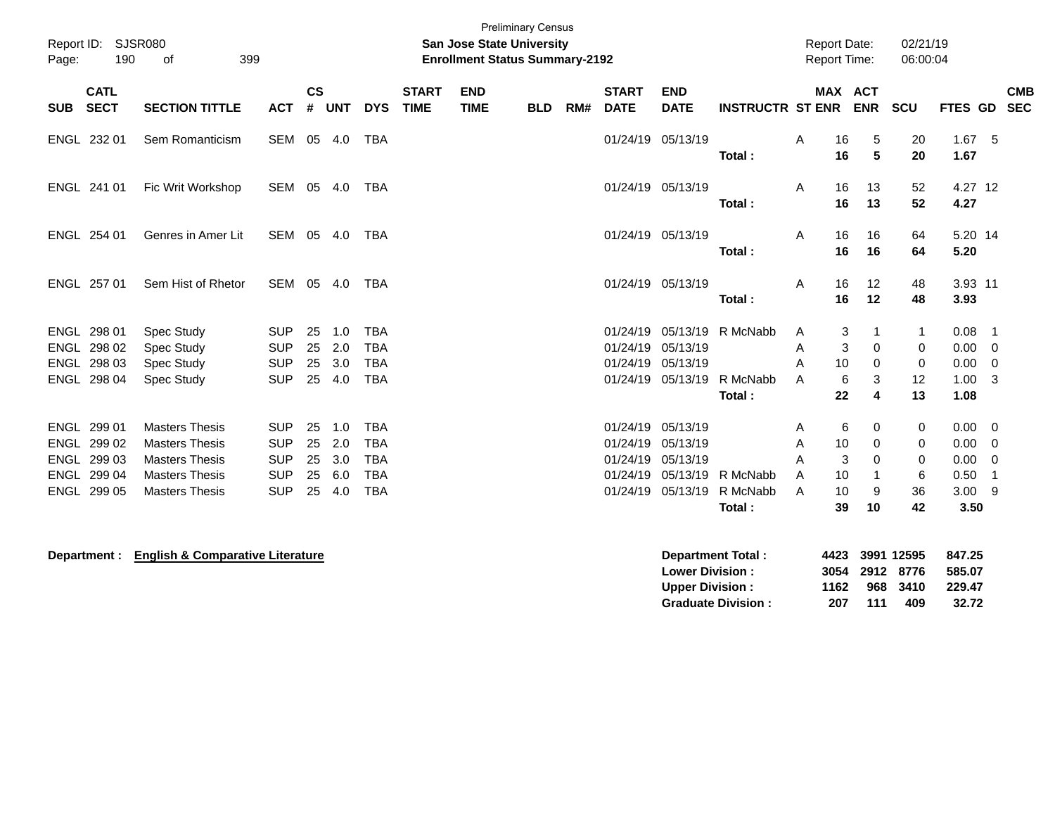| <b>Preliminary Census</b><br><b>SJSR080</b><br>Report ID:<br><b>San Jose State University</b><br><b>Enrollment Status Summary-2192</b><br>190<br>399<br>of<br>Page: |                                                                         |                                                                                                                           |                                                                    |                            |                                 |                                                                    |                             |                           |            |     |                                              |                                                                   |                                | <b>Report Date:</b><br><b>Report Time:</b> |                                | 02/21/19<br>06:00:04                         |                              |                                              |                                                                      |            |
|---------------------------------------------------------------------------------------------------------------------------------------------------------------------|-------------------------------------------------------------------------|---------------------------------------------------------------------------------------------------------------------------|--------------------------------------------------------------------|----------------------------|---------------------------------|--------------------------------------------------------------------|-----------------------------|---------------------------|------------|-----|----------------------------------------------|-------------------------------------------------------------------|--------------------------------|--------------------------------------------|--------------------------------|----------------------------------------------|------------------------------|----------------------------------------------|----------------------------------------------------------------------|------------|
| <b>SUB</b>                                                                                                                                                          | <b>CATL</b><br><b>SECT</b>                                              | <b>SECTION TITTLE</b>                                                                                                     | <b>ACT</b>                                                         | <b>CS</b>                  | # UNT                           | <b>DYS</b>                                                         | <b>START</b><br><b>TIME</b> | <b>END</b><br><b>TIME</b> | <b>BLD</b> | RM# | <b>START</b><br><b>DATE</b>                  | <b>END</b><br><b>DATE</b>                                         | <b>INSTRUCTR ST ENR</b>        |                                            | MAX ACT                        | <b>ENR</b>                                   | <b>SCU</b>                   | FTES GD SEC                                  |                                                                      | <b>CMB</b> |
|                                                                                                                                                                     | ENGL 232 01                                                             | Sem Romanticism                                                                                                           | SEM 05 4.0                                                         |                            |                                 | TBA                                                                |                             |                           |            |     |                                              | 01/24/19 05/13/19                                                 | Total:                         | A                                          | 16<br>16                       | 5<br>5                                       | 20<br>20                     | 1.67<br>1.67                                 | 5                                                                    |            |
|                                                                                                                                                                     | ENGL 241 01                                                             | Fic Writ Workshop                                                                                                         | SEM 05 4.0                                                         |                            |                                 | TBA                                                                |                             |                           |            |     |                                              | 01/24/19 05/13/19                                                 | Total:                         | A                                          | 16<br>16                       | 13<br>13                                     | 52<br>52                     | 4.27 12<br>4.27                              |                                                                      |            |
|                                                                                                                                                                     | ENGL 254 01                                                             | Genres in Amer Lit                                                                                                        | SEM 05 4.0                                                         |                            |                                 | <b>TBA</b>                                                         |                             |                           |            |     |                                              | 01/24/19 05/13/19                                                 | Total:                         | A                                          | 16<br>16                       | 16<br>16                                     | 64<br>64                     | 5.20 14<br>5.20                              |                                                                      |            |
|                                                                                                                                                                     | ENGL 257 01                                                             | Sem Hist of Rhetor                                                                                                        | SEM 05 4.0                                                         |                            |                                 | TBA                                                                |                             |                           |            |     |                                              | 01/24/19 05/13/19                                                 | Total:                         | $\mathsf{A}$                               | 16<br>16                       | 12<br>12                                     | 48<br>48                     | 3.93 11<br>3.93                              |                                                                      |            |
|                                                                                                                                                                     | ENGL 298 01<br>ENGL 298 02<br>ENGL 298 03<br>ENGL 298 04                | <b>Spec Study</b><br>Spec Study<br>Spec Study<br>Spec Study                                                               | <b>SUP</b><br><b>SUP</b><br><b>SUP</b><br><b>SUP</b>               | 25<br>25<br>25<br>25       | 1.0<br>2.0<br>3.0<br>4.0        | <b>TBA</b><br><b>TBA</b><br><b>TBA</b><br><b>TBA</b>               |                             |                           |            |     | 01/24/19<br>01/24/19<br>01/24/19             | 05/13/19<br>05/13/19<br>05/13/19<br>01/24/19 05/13/19             | R McNabb<br>R McNabb<br>Total: | A<br>A<br>A<br>A                           | 3<br>3<br>10<br>6<br>22        | 1<br>0<br>0<br>3<br>4                        | 0<br>0<br>12<br>13           | 0.08<br>0.00<br>0.00<br>1.00<br>1.08         | $\overline{1}$<br>$\mathbf 0$<br>$\overline{0}$<br>3                 |            |
|                                                                                                                                                                     | ENGL 299 01<br>ENGL 299 02<br>ENGL 299 03<br>ENGL 299 04<br>ENGL 299 05 | <b>Masters Thesis</b><br><b>Masters Thesis</b><br><b>Masters Thesis</b><br><b>Masters Thesis</b><br><b>Masters Thesis</b> | <b>SUP</b><br><b>SUP</b><br><b>SUP</b><br><b>SUP</b><br><b>SUP</b> | 25<br>25<br>25<br>25<br>25 | 1.0<br>2.0<br>3.0<br>6.0<br>4.0 | <b>TBA</b><br><b>TBA</b><br><b>TBA</b><br><b>TBA</b><br><b>TBA</b> |                             |                           |            |     | 01/24/19<br>01/24/19<br>01/24/19<br>01/24/19 | 01/24/19 05/13/19<br>05/13/19<br>05/13/19<br>05/13/19<br>05/13/19 | R McNabb<br>R McNabb<br>Total: | A<br>A<br>A<br>A<br>A                      | 6<br>10<br>3<br>10<br>10<br>39 | 0<br>$\mathbf 0$<br>$\Omega$<br>1<br>9<br>10 | 0<br>0<br>0<br>6<br>36<br>42 | 0.00<br>0.00<br>0.00<br>0.50<br>3.00<br>3.50 | $\overline{\mathbf{0}}$<br>$\overline{0}$<br>$\mathbf 0$<br>-1<br>-9 |            |
|                                                                                                                                                                     |                                                                         |                                                                                                                           |                                                                    |                            |                                 |                                                                    |                             |                           |            |     |                                              |                                                                   |                                |                                            |                                |                                              |                              |                                              |                                                                      |            |

**Department : English & Comparative Literature Department Total : 4423 3991 12595 847.25 Lower Division : 3054 2912 8776 585.07 Upper Division : 1162 968 3410 229.47 Graduate Division : 207 111 409 32.72**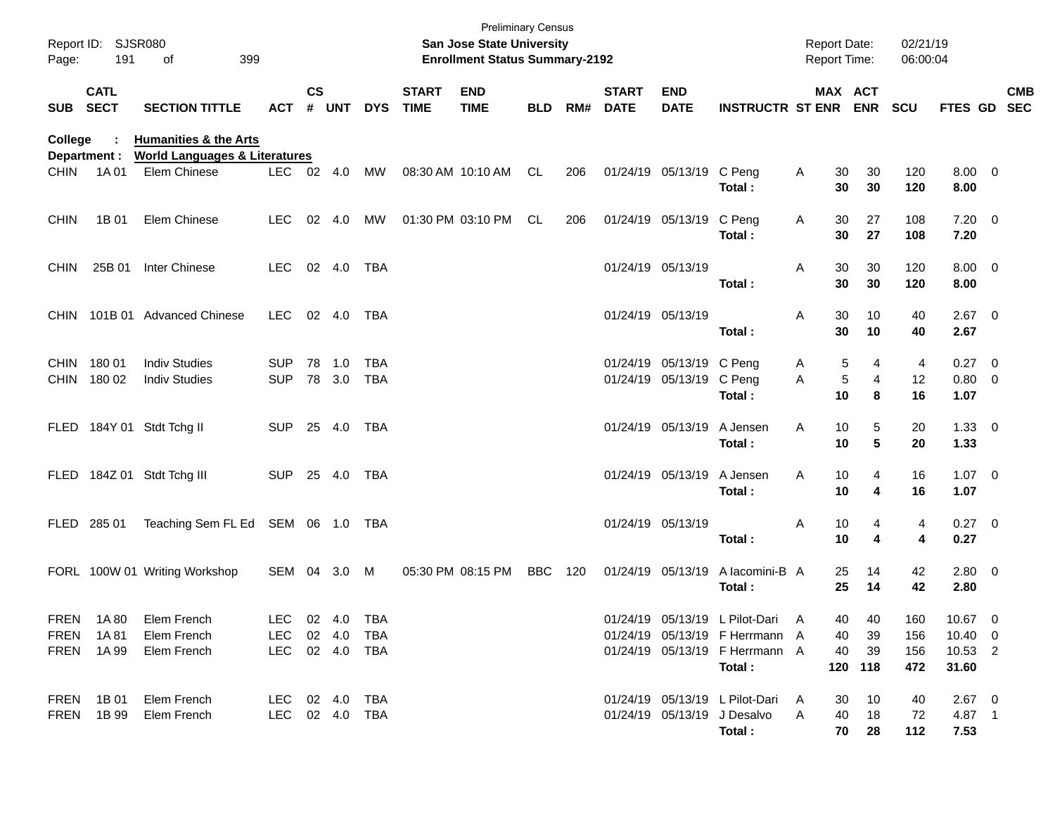| Page:       | Report ID: SJSR080<br>191  | 399<br>οf                                                                    |                                                    |               |                  |            |                             | <b>Preliminary Census</b><br><b>San Jose State University</b><br><b>Enrollment Status Summary-2192</b> |            |     |                             |                                               |                                                                                                                 | <b>Report Date:</b><br>Report Time: |              |                                 | 02/21/19<br>06:00:04     |                                                |            |
|-------------|----------------------------|------------------------------------------------------------------------------|----------------------------------------------------|---------------|------------------|------------|-----------------------------|--------------------------------------------------------------------------------------------------------|------------|-----|-----------------------------|-----------------------------------------------|-----------------------------------------------------------------------------------------------------------------|-------------------------------------|--------------|---------------------------------|--------------------------|------------------------------------------------|------------|
| SUB SECT    | <b>CATL</b>                | <b>SECTION TITTLE</b>                                                        | <b>ACT</b>                                         | $\mathsf{cs}$ | # UNT            | <b>DYS</b> | <b>START</b><br><b>TIME</b> | <b>END</b><br><b>TIME</b>                                                                              | <b>BLD</b> | RM# | <b>START</b><br><b>DATE</b> | <b>END</b><br><b>DATE</b>                     | <b>INSTRUCTR ST ENR ENR</b>                                                                                     |                                     |              | MAX ACT                         | <b>SCU</b>               | FTES GD SEC                                    | <b>CMB</b> |
| College     | Department :               | <b>Humanities &amp; the Arts</b><br><b>World Languages &amp; Literatures</b> |                                                    |               |                  |            |                             |                                                                                                        |            |     |                             |                                               |                                                                                                                 |                                     |              |                                 |                          |                                                |            |
| <b>CHIN</b> | 1A 01                      | Elem Chinese                                                                 | LEC 02 4.0                                         |               |                  | MW         |                             | 08:30 AM 10:10 AM                                                                                      | CL         | 206 |                             | 01/24/19 05/13/19 C Peng                      | Total:                                                                                                          | A                                   | 30<br>30     | 30<br>30                        | 120<br>120               | $8.00 \t 0$<br>8.00                            |            |
| <b>CHIN</b> | 1B 01                      | Elem Chinese                                                                 | <b>LEC</b>                                         |               | 02 4.0           | MW         |                             | 01:30 PM 03:10 PM                                                                                      | CL         | 206 |                             | 01/24/19 05/13/19                             | C Peng<br>Total:                                                                                                | A                                   | 30<br>30     | 27<br>27                        | 108<br>108               | $7.20 \t 0$<br>7.20                            |            |
| <b>CHIN</b> | 25B 01                     | Inter Chinese                                                                | LEC                                                |               | 02  4.0  TBA     |            |                             |                                                                                                        |            |     |                             | 01/24/19 05/13/19                             | Total:                                                                                                          | A                                   | 30<br>30     | 30<br>30                        | 120<br>120               | $8.00 \t 0$<br>8.00                            |            |
|             |                            | CHIN 101B 01 Advanced Chinese                                                | LEC 02 4.0 TBA                                     |               |                  |            |                             |                                                                                                        |            |     |                             | 01/24/19 05/13/19                             | Total:                                                                                                          | A                                   | 30<br>30     | 10<br>10                        | 40<br>40                 | $2.67$ 0<br>2.67                               |            |
|             | CHIN 180 01<br>CHIN 180 02 | <b>Indiv Studies</b><br><b>Indiv Studies</b>                                 | <b>SUP</b><br><b>SUP</b>                           |               | 78 1.0<br>78 3.0 | TBA<br>TBA |                             |                                                                                                        |            |     |                             | 01/24/19 05/13/19 C Peng<br>01/24/19 05/13/19 | C Peng<br>Total:                                                                                                | A<br>A                              | 5<br>5<br>10 | 4<br>4<br>8                     | 4<br>12<br>16            | $0.27$ 0<br>0.80 0<br>1.07                     |            |
|             |                            | FLED 184Y 01 Stdt Tchg II                                                    | SUP 25 4.0 TBA                                     |               |                  |            |                             |                                                                                                        |            |     |                             | 01/24/19 05/13/19                             | A Jensen<br>Total:                                                                                              | Α                                   | 10<br>10     | 5<br>5                          | 20<br>20                 | $1.33 \ 0$<br>1.33                             |            |
|             |                            | FLED 184Z 01 Stdt Tchg III                                                   | SUP 25 4.0 TBA                                     |               |                  |            |                             |                                                                                                        |            |     |                             | 01/24/19 05/13/19                             | A Jensen<br>Total:                                                                                              | Α                                   | 10<br>10     | 4<br>4                          | 16<br>16                 | $1.07 \t 0$<br>1.07                            |            |
|             |                            | FLED 285 01 Teaching Sem FL Ed SEM 06 1.0 TBA                                |                                                    |               |                  |            |                             |                                                                                                        |            |     |                             | 01/24/19 05/13/19                             | Total:                                                                                                          | A                                   | 10<br>10     | 4<br>4                          | 4<br>4                   | $0.27$ 0<br>0.27                               |            |
|             |                            | FORL 100W 01 Writing Workshop                                                | SEM 04 3.0 M                                       |               |                  |            |                             | 05:30 PM 08:15 PM                                                                                      | BBC        | 120 |                             | 01/24/19 05/13/19                             | A lacomini-B A<br>Total:                                                                                        |                                     | 25<br>25     | 14<br>14                        | 42<br>42                 | $2.80 \t 0$<br>2.80                            |            |
|             | FREN 1A80                  | Elem French<br>FREN 1A81 Elem French<br>FREN 1A 99 Elem French               | LEC 02 4.0 TBA<br>LEC 02 4.0 TBA<br>LEC 02 4.0 TBA |               |                  |            |                             |                                                                                                        |            |     |                             |                                               | 01/24/19 05/13/19 L Pilot-Dari A<br>01/24/19 05/13/19 F Herrmann A<br>01/24/19 05/13/19 F Herrmann A<br>Total : |                                     | 40           | 40<br>40 39<br>40 39<br>120 118 | 160<br>156<br>156<br>472 | 10.67 0<br>$10.40 \quad 0$<br>10.53 2<br>31.60 |            |
|             |                            | FREN 1B 01 Elem French<br>FREN 1B 99 Elem French                             | LEC 02 4.0 TBA<br>LEC 02 4.0 TBA                   |               |                  |            |                             |                                                                                                        |            |     |                             |                                               | 01/24/19 05/13/19 L Pilot-Dari A<br>01/24/19 05/13/19 J Desalvo A<br>Total :                                    |                                     |              | 30 10<br>40 18<br>70 28         | 40<br>72<br>112          | $2.67 \t 0$<br>4.87 1<br>7.53                  |            |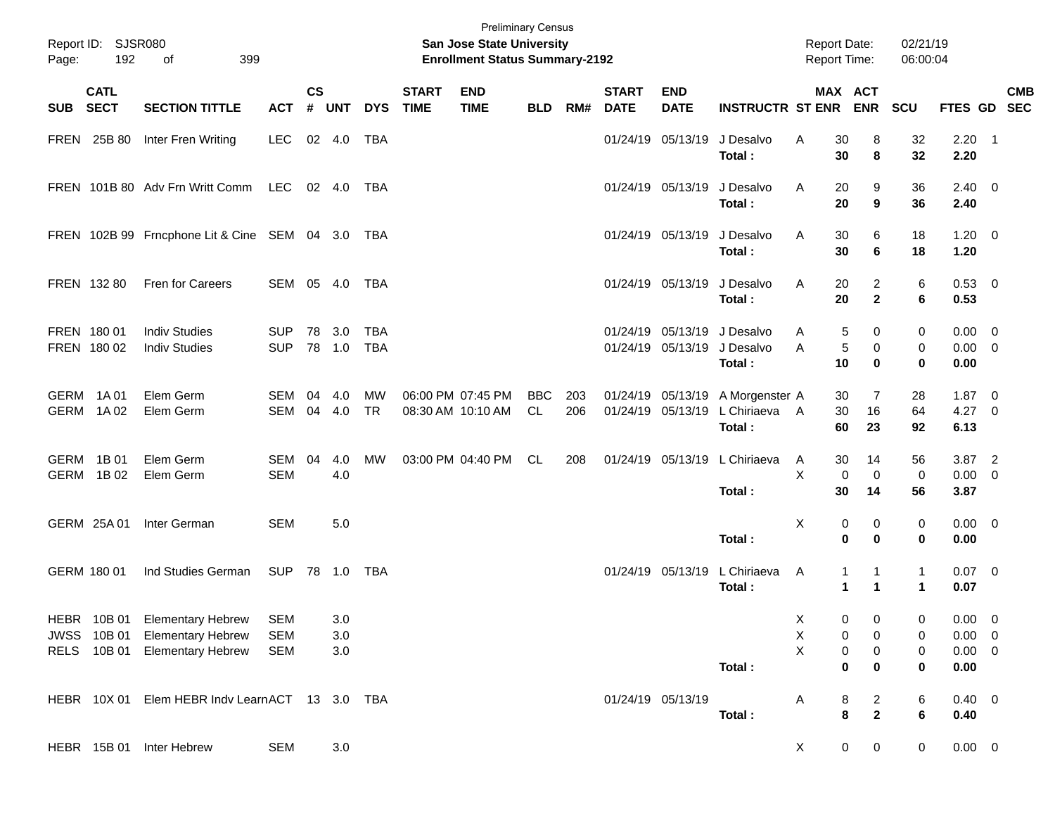| Page:      | Report ID: SJSR080<br>192  | 399<br>of                                                                                       |                                 |                             |                   |                          |                             | <b>Preliminary Census</b><br><b>San Jose State University</b><br><b>Enrollment Status Summary-2192</b> |                  |            |                               |                               |                                           | <b>Report Date:</b><br><b>Report Time:</b> |                                                      | 02/21/19<br>06:00:04        |                                                   |                           |
|------------|----------------------------|-------------------------------------------------------------------------------------------------|---------------------------------|-----------------------------|-------------------|--------------------------|-----------------------------|--------------------------------------------------------------------------------------------------------|------------------|------------|-------------------------------|-------------------------------|-------------------------------------------|--------------------------------------------|------------------------------------------------------|-----------------------------|---------------------------------------------------|---------------------------|
| <b>SUB</b> | <b>CATL</b><br><b>SECT</b> | <b>SECTION TITTLE</b>                                                                           | <b>ACT</b>                      | $\mathsf{cs}$<br>$\pmb{\#}$ | <b>UNT</b>        | <b>DYS</b>               | <b>START</b><br><b>TIME</b> | <b>END</b><br><b>TIME</b>                                                                              | <b>BLD</b>       | RM#        | <b>START</b><br><b>DATE</b>   | <b>END</b><br><b>DATE</b>     | <b>INSTRUCTR ST ENR</b>                   |                                            | MAX ACT<br><b>ENR</b>                                | SCU                         |                                                   | <b>CMB</b><br>FTES GD SEC |
|            | FREN 25B 80                | Inter Fren Writing                                                                              | <b>LEC</b>                      |                             | 02 4.0            | TBA                      |                             |                                                                                                        |                  |            |                               | 01/24/19 05/13/19             | J Desalvo<br>Total:                       | Α<br>30<br>30                              | 8<br>8                                               | 32<br>32                    | $2.20$ 1<br>2.20                                  |                           |
|            |                            | FREN 101B 80 Adv Frn Writt Comm                                                                 | LEC                             |                             | 02 4.0            | TBA                      |                             |                                                                                                        |                  |            | 01/24/19 05/13/19             |                               | J Desalvo<br>Total:                       | A<br>20<br>20                              | 9<br>9                                               | 36<br>36                    | $2.40 \ 0$<br>2.40                                |                           |
|            |                            | FREN 102B 99 Frncphone Lit & Cine SEM 04 3.0                                                    |                                 |                             |                   | TBA                      |                             |                                                                                                        |                  |            | 01/24/19 05/13/19             |                               | J Desalvo<br>Total:                       | 30<br>A<br>30                              | 6<br>6                                               | 18<br>18                    | $1.20 \t 0$<br>1.20                               |                           |
|            | FREN 132 80                | Fren for Careers                                                                                | SEM 05 4.0                      |                             |                   | <b>TBA</b>               |                             |                                                                                                        |                  |            | 01/24/19 05/13/19             |                               | J Desalvo<br>Total:                       | 20<br>A<br>20                              | $\overline{2}$<br>$\mathbf{2}$                       | 6<br>6                      | 0.53 0<br>0.53                                    |                           |
|            | FREN 180 01<br>FREN 180 02 | <b>Indiv Studies</b><br><b>Indiv Studies</b>                                                    | <b>SUP</b><br><b>SUP</b>        |                             | 78 3.0<br>78 1.0  | <b>TBA</b><br><b>TBA</b> |                             |                                                                                                        |                  |            | 01/24/19                      | 05/13/19<br>01/24/19 05/13/19 | J Desalvo<br>J Desalvo<br>Total:          | 5<br>A<br>A<br>5<br>10                     | $\mathbf 0$<br>0<br>$\bf{0}$                         | 0<br>0<br>$\bf{0}$          | $0.00 \t 0$<br>$0.00 \t 0$<br>0.00                |                           |
|            | GERM 1A01<br>GERM 1A02     | Elem Germ<br>Elem Germ                                                                          | SEM<br>SEM                      | 04                          | 4.0<br>04 4.0     | <b>MW</b><br><b>TR</b>   |                             | 06:00 PM 07:45 PM<br>08:30 AM 10:10 AM                                                                 | <b>BBC</b><br>CL | 203<br>206 | 01/24/19<br>01/24/19 05/13/19 | 05/13/19                      | A Morgenster A<br>L Chiriaeva A<br>Total: | 30<br>30<br>60                             | $\overline{7}$<br>16<br>23                           | 28<br>64<br>92              | $1.87 \ 0$<br>4.27 0<br>6.13                      |                           |
| GERM       | 1B 01<br>GERM 1B02         | Elem Germ<br>Elem Germ                                                                          | SEM<br><b>SEM</b>               | 04                          | 4.0<br>4.0        | <b>MW</b>                |                             | 03:00 PM 04:40 PM                                                                                      | CL               | 208        | 01/24/19 05/13/19             |                               | L Chiriaeva<br>Total:                     | 30<br>A<br>X<br>$\mathbf 0$<br>30          | 14<br>$\mathbf 0$<br>14                              | 56<br>$\mathbf 0$<br>56     | $3.87$ 2<br>$0.00 \t 0$<br>3.87                   |                           |
|            | GERM 25A 01                | Inter German                                                                                    | <b>SEM</b>                      |                             | $5.0$             |                          |                             |                                                                                                        |                  |            |                               |                               | Total:                                    | X<br>0<br>0                                | 0<br>$\bf{0}$                                        | 0<br>0                      | $0.00 \t 0$<br>0.00                               |                           |
|            | GERM 180 01                | Ind Studies German                                                                              | SUP 78 1.0                      |                             |                   | TBA                      |                             |                                                                                                        |                  |            | 01/24/19 05/13/19             |                               | L Chiriaeva<br>Total:                     | A<br>1<br>$\blacktriangleleft$             | $\mathbf{1}$<br>$\blacktriangleleft$                 | $\mathbf{1}$<br>$\mathbf 1$ | $0.07$ 0<br>0.07                                  |                           |
|            |                            | HEBR 10B 01 Elementary Hebrew<br>JWSS 10B 01 Elementary Hebrew<br>RELS 10B 01 Elementary Hebrew | SEM<br><b>SEM</b><br><b>SEM</b> |                             | 3.0<br>3.0<br>3.0 |                          |                             |                                                                                                        |                  |            |                               |                               | Total:                                    | X<br>X<br>0<br>X<br>0<br>0                 | $\overline{0}$<br>$\mathbf{0}$<br>0<br>0<br>$\bf{0}$ | $\mathbf 0$<br>0<br>0<br>0  | $0.00 \t 0$<br>$0.00 \t 0$<br>$0.00 \t 0$<br>0.00 |                           |
|            |                            | HEBR 10X 01 Elem HEBR Indv Learn ACT 13 3.0 TBA                                                 |                                 |                             |                   |                          |                             |                                                                                                        |                  |            | 01/24/19 05/13/19             |                               | Total:                                    | 8<br>Α<br>8                                | $\overline{\mathbf{c}}$<br>$\mathbf{2}$              | 6<br>6                      | $0.40 \ 0$<br>0.40                                |                           |
|            |                            | HEBR 15B 01 Inter Hebrew                                                                        | <b>SEM</b>                      |                             | 3.0               |                          |                             |                                                                                                        |                  |            |                               |                               |                                           | X                                          | $\pmb{0}$<br>0                                       | 0                           | $0.00 \t 0$                                       |                           |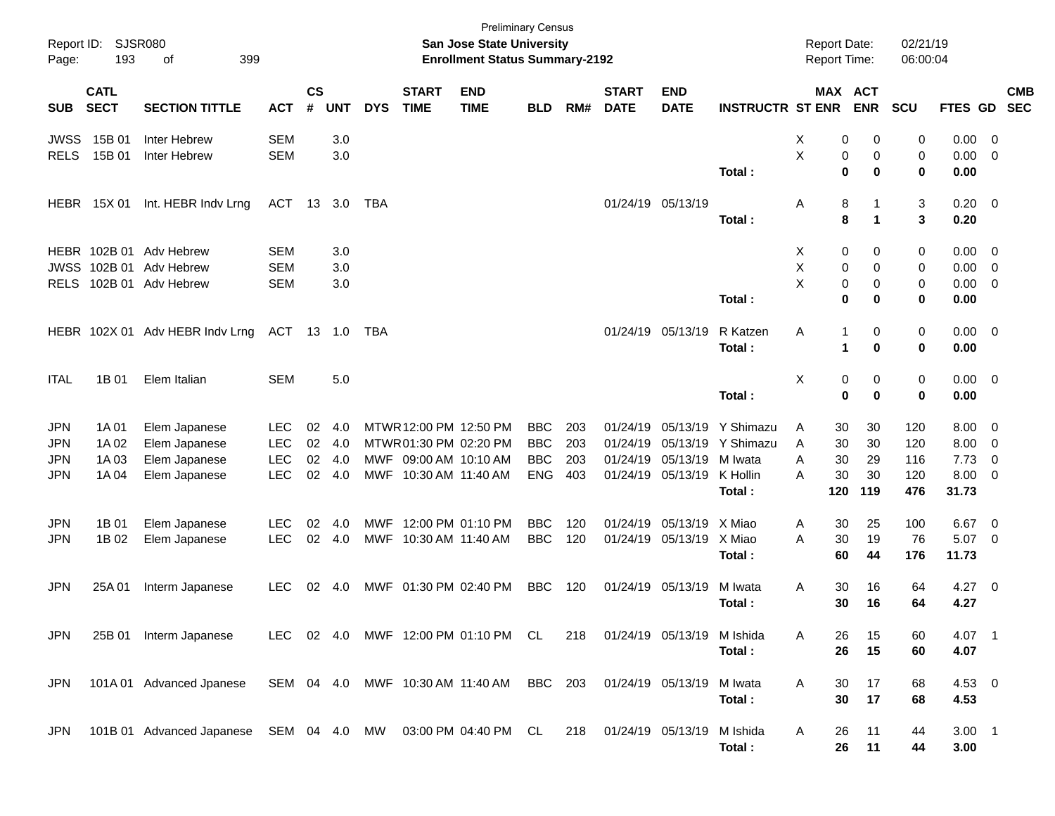| Page:       | Report ID: SJSR080<br>193  | 399<br>оf                                                                              |            |                |            |            |                             | San Jose State University<br><b>Enrollment Status Summary-2192</b> | <b>Preliminary Census</b> |     |                             |                            |                             | <b>Report Date:</b><br>Report Time: |                              | 02/21/19<br>06:00:04 |             |                         |            |
|-------------|----------------------------|----------------------------------------------------------------------------------------|------------|----------------|------------|------------|-----------------------------|--------------------------------------------------------------------|---------------------------|-----|-----------------------------|----------------------------|-----------------------------|-------------------------------------|------------------------------|----------------------|-------------|-------------------------|------------|
| SUB         | <b>CATL</b><br><b>SECT</b> | <b>SECTION TITTLE</b>                                                                  | <b>ACT</b> | <b>CS</b><br># | <b>UNT</b> | <b>DYS</b> | <b>START</b><br><b>TIME</b> | <b>END</b><br><b>TIME</b>                                          | <b>BLD</b>                | RM# | <b>START</b><br><b>DATE</b> | <b>END</b><br><b>DATE</b>  | <b>INSTRUCTR ST ENR</b>     |                                     | <b>MAX ACT</b><br><b>ENR</b> | <b>SCU</b>           | FTES GD SEC |                         | <b>CMB</b> |
| JWSS        | 15B 01                     | Inter Hebrew                                                                           | <b>SEM</b> |                | 3.0        |            |                             |                                                                    |                           |     |                             |                            |                             | х                                   | 0<br>0                       | 0                    | 0.00        | 0                       |            |
| <b>RELS</b> | 15B 01                     | Inter Hebrew                                                                           | <b>SEM</b> |                | 3.0        |            |                             |                                                                    |                           |     |                             |                            |                             | X                                   | 0<br>0                       | 0                    | 0.00        | - 0                     |            |
|             |                            |                                                                                        |            |                |            |            |                             |                                                                    |                           |     |                             |                            | Total:                      |                                     | $\bf{0}$<br>0                | $\bf{0}$             | 0.00        |                         |            |
|             | <b>HEBR</b> 15X 01         | Int. HEBR Indv Lrng                                                                    | ACT 13 3.0 |                |            | TBA        |                             |                                                                    |                           |     |                             | 01/24/19 05/13/19          |                             | Α                                   | 8                            | 3                    | $0.20 \ 0$  |                         |            |
|             |                            |                                                                                        |            |                |            |            |                             |                                                                    |                           |     |                             |                            | Total:                      |                                     | 8<br>1                       | 3                    | 0.20        |                         |            |
|             |                            | HEBR 102B 01 Adv Hebrew                                                                | <b>SEM</b> |                | 3.0        |            |                             |                                                                    |                           |     |                             |                            |                             | X                                   | 0<br>0                       | 0                    | 0.00        | 0                       |            |
|             | <b>JWSS 102B 01</b>        | Adv Hebrew                                                                             | <b>SEM</b> |                | 3.0        |            |                             |                                                                    |                           |     |                             |                            |                             | X                                   | 0<br>$\mathbf 0$             | 0                    | 0.00        | 0                       |            |
| <b>RELS</b> |                            | 102B 01 Adv Hebrew                                                                     | <b>SEM</b> |                | 3.0        |            |                             |                                                                    |                           |     |                             |                            |                             | X                                   | 0<br>0                       | 0                    | 0.00        | $\overline{0}$          |            |
|             |                            |                                                                                        |            |                |            |            |                             |                                                                    |                           |     |                             |                            | Total:                      |                                     | $\bf{0}$<br>0                | 0                    | 0.00        |                         |            |
|             |                            | HEBR 102X 01 Adv HEBR Indv Lrng                                                        | ACT 13 1.0 |                |            | TBA        |                             |                                                                    |                           |     |                             | 01/24/19 05/13/19          | R Katzen                    | Α<br>-1                             | 0                            | 0                    | $0.00 \t 0$ |                         |            |
|             |                            |                                                                                        |            |                |            |            |                             |                                                                    |                           |     |                             |                            | Total:                      | 1                                   | 0                            | 0                    | 0.00        |                         |            |
| <b>ITAL</b> | 1B 01                      | Elem Italian                                                                           | <b>SEM</b> |                | 5.0        |            |                             |                                                                    |                           |     |                             |                            |                             | Χ                                   | 0<br>0                       | 0                    | $0.00 \t 0$ |                         |            |
|             |                            |                                                                                        |            |                |            |            |                             |                                                                    |                           |     |                             |                            | Total:                      |                                     | $\bf{0}$<br>$\mathbf 0$      | $\bf{0}$             | 0.00        |                         |            |
| <b>JPN</b>  | 1A 01                      |                                                                                        | <b>LEC</b> | 02             | 4.0        |            |                             | MTWR 12:00 PM 12:50 PM                                             | <b>BBC</b>                | 203 |                             | 01/24/19 05/13/19          | Y Shimazu                   | 30                                  | 30                           | 120                  | 8.00        |                         |            |
| <b>JPN</b>  | 1A 02                      | Elem Japanese<br>Elem Japanese                                                         | <b>LEC</b> | 02             | 4.0        |            |                             | MTWR01:30 PM 02:20 PM                                              | <b>BBC</b>                | 203 |                             |                            | 01/24/19 05/13/19 Y Shimazu | Α<br>30<br>A                        | 30                           | 120                  | 8.00        | 0<br>0                  |            |
| <b>JPN</b>  | 1A 03                      | Elem Japanese                                                                          | <b>LEC</b> | 02             | 4.0        |            |                             | MWF 09:00 AM 10:10 AM                                              | <b>BBC</b>                | 203 |                             | 01/24/19 05/13/19 M Iwata  |                             | 30<br>A                             | 29                           | 116                  | 7.73        | 0                       |            |
| JPN         | 1A 04                      | Elem Japanese                                                                          | <b>LEC</b> | 02             | 4.0        |            | MWF 10:30 AM 11:40 AM       |                                                                    | <b>ENG</b>                | 403 |                             | 01/24/19 05/13/19 K Hollin |                             | 30<br>A                             | 30                           | 120                  | 8.00        | $\overline{\mathbf{0}}$ |            |
|             |                            |                                                                                        |            |                |            |            |                             |                                                                    |                           |     |                             |                            | Total:                      | 120                                 | 119                          | 476                  | 31.73       |                         |            |
| <b>JPN</b>  | 1B 01                      | Elem Japanese                                                                          | <b>LEC</b> | 02             | 4.0        | MWF        |                             | 12:00 PM 01:10 PM                                                  | <b>BBC</b>                | 120 |                             | 01/24/19 05/13/19 X Miao   |                             | 30<br>A                             | 25                           | 100                  | 6.67        | $\overline{0}$          |            |
| <b>JPN</b>  | 1B 02                      | Elem Japanese                                                                          | <b>LEC</b> | 02             | 4.0        |            | MWF 10:30 AM 11:40 AM       |                                                                    | <b>BBC</b>                | 120 |                             | 01/24/19 05/13/19 X Miao   |                             | A<br>30                             | 19                           | 76                   | 5.07        | $\overline{\mathbf{0}}$ |            |
|             |                            |                                                                                        |            |                |            |            |                             |                                                                    |                           |     |                             |                            | Total:                      | 60                                  | 44                           | 176                  | 11.73       |                         |            |
|             |                            |                                                                                        |            |                |            |            |                             |                                                                    |                           |     |                             |                            |                             |                                     |                              |                      |             |                         |            |
| <b>JPN</b>  | 25A 01                     | Interm Japanese                                                                        | <b>LEC</b> | 02             | -4.0       |            |                             | MWF 01:30 PM 02:40 PM                                              | <b>BBC</b>                | 120 |                             | 01/24/19 05/13/19          | M Iwata                     | A<br>30                             | 16                           | 64<br>64             | $4.27 \t 0$ |                         |            |
|             |                            |                                                                                        |            |                |            |            |                             |                                                                    |                           |     |                             |                            | Total:                      | 30                                  | 16                           |                      | 4.27        |                         |            |
| JPN         |                            | 25B 01 Interm Japanese                                                                 |            |                |            |            |                             | LEC 02 4.0 MWF 12:00 PM 01:10 PM CL 218 01/24/19 05/13/19 M Ishida |                           |     |                             |                            |                             | A<br>26                             | 15                           | 60                   | 4.07 1      |                         |            |
|             |                            |                                                                                        |            |                |            |            |                             |                                                                    |                           |     |                             |                            | Total:                      | 26                                  | 15                           | 60                   | 4.07        |                         |            |
| <b>JPN</b>  |                            | 101A 01 Advanced Jpanese                                                               |            |                |            |            |                             | SEM 04 4.0 MWF 10:30 AM 11:40 AM BBC 203                           |                           |     |                             | 01/24/19 05/13/19          | M Iwata                     | Α<br>30                             | 17                           | 68                   | 4.53 0      |                         |            |
|             |                            |                                                                                        |            |                |            |            |                             |                                                                    |                           |     |                             |                            | Total:                      | 30                                  | 17                           | 68                   | 4.53        |                         |            |
|             |                            | JPN 101B 01 Advanced Japanese SEM 04 4.0 MW 03:00 PM 04:40 PM CL 218 01/24/19 05/13/19 |            |                |            |            |                             |                                                                    |                           |     |                             |                            | M Ishida                    | 26<br>A                             | 11                           | 44                   | $3.00$ 1    |                         |            |
|             |                            |                                                                                        |            |                |            |            |                             |                                                                    |                           |     |                             |                            | Total:                      | 26                                  | 11                           | 44                   | 3.00        |                         |            |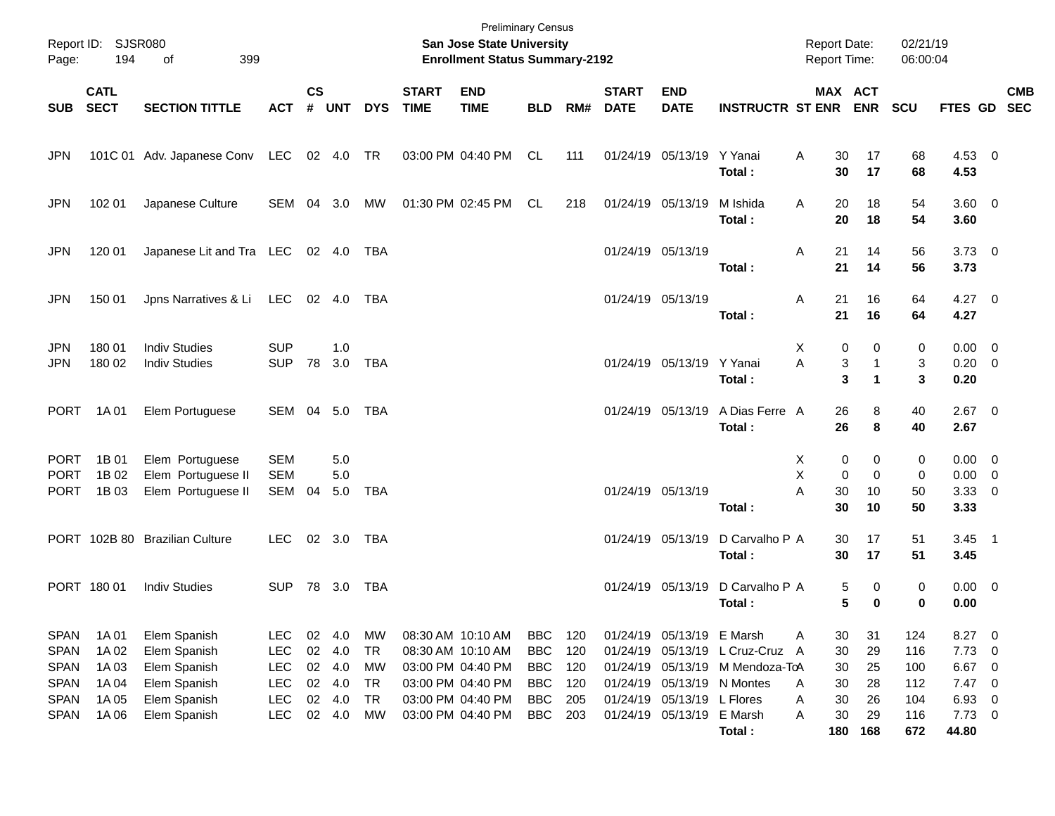| Page:                                                                   | Report ID: SJSR080<br>194                 | 399<br>οf                                                                    |                                                                    |                    |                                                |                                                        |                             | <b>Preliminary Census</b><br>San Jose State University<br><b>Enrollment Status Summary-2192</b>       |                                                                    |                                 |                             |                                                                                       |                                                                    | <b>Report Date:</b><br>Report Time:          |                              | 02/21/19<br>06:00:04            |                                              |                                                                                                                                          |            |
|-------------------------------------------------------------------------|-------------------------------------------|------------------------------------------------------------------------------|--------------------------------------------------------------------|--------------------|------------------------------------------------|--------------------------------------------------------|-----------------------------|-------------------------------------------------------------------------------------------------------|--------------------------------------------------------------------|---------------------------------|-----------------------------|---------------------------------------------------------------------------------------|--------------------------------------------------------------------|----------------------------------------------|------------------------------|---------------------------------|----------------------------------------------|------------------------------------------------------------------------------------------------------------------------------------------|------------|
| <b>SUB</b>                                                              | <b>CATL</b><br><b>SECT</b>                | <b>SECTION TITTLE</b>                                                        | <b>ACT</b>                                                         | $\mathsf{cs}$<br># | <b>UNT</b>                                     | <b>DYS</b>                                             | <b>START</b><br><b>TIME</b> | <b>END</b><br><b>TIME</b>                                                                             | <b>BLD</b>                                                         | RM#                             | <b>START</b><br><b>DATE</b> | <b>END</b><br><b>DATE</b>                                                             | <b>INSTRUCTR ST ENR ENR</b>                                        | MAX ACT                                      |                              | <b>SCU</b>                      | FTES GD SEC                                  |                                                                                                                                          | <b>CMB</b> |
| <b>JPN</b>                                                              |                                           | 101C 01 Adv. Japanese Conv LEC 02 4.0 TR                                     |                                                                    |                    |                                                |                                                        |                             | 03:00 PM 04:40 PM                                                                                     | CL                                                                 | 111                             |                             | 01/24/19 05/13/19 Y Yanai                                                             | Total:                                                             | A<br>30<br>30                                | 17<br>17                     | 68<br>68                        | 4.53 0<br>4.53                               |                                                                                                                                          |            |
| <b>JPN</b>                                                              | 102 01                                    | Japanese Culture                                                             | SEM 04 3.0                                                         |                    |                                                | MW                                                     |                             | 01:30 PM 02:45 PM                                                                                     | CL                                                                 | 218                             |                             | 01/24/19 05/13/19                                                                     | M Ishida<br>Total:                                                 | A<br>20<br>20                                | 18<br>18                     | 54<br>54                        | 3.60 0<br>3.60                               |                                                                                                                                          |            |
| <b>JPN</b>                                                              | 120 01                                    | Japanese Lit and Tra LEC 02 4.0                                              |                                                                    |                    |                                                | TBA                                                    |                             |                                                                                                       |                                                                    |                                 | 01/24/19 05/13/19           |                                                                                       | Total:                                                             | Α<br>21<br>21                                | 14<br>14                     | 56<br>56                        | $3.73 \quad 0$<br>3.73                       |                                                                                                                                          |            |
| <b>JPN</b>                                                              | 150 01                                    | Jpns Narratives & Li LEC                                                     |                                                                    |                    | 02 4.0                                         | TBA                                                    |                             |                                                                                                       |                                                                    |                                 | 01/24/19 05/13/19           |                                                                                       | Total:                                                             | Α<br>21<br>21                                | 16<br>16                     | 64<br>64                        | $4.27$ 0<br>4.27                             |                                                                                                                                          |            |
| <b>JPN</b><br><b>JPN</b>                                                | 180 01<br>180 02                          | <b>Indiv Studies</b><br><b>Indiv Studies</b>                                 | <b>SUP</b><br><b>SUP</b>                                           | 78                 | 1.0<br>3.0                                     | <b>TBA</b>                                             |                             |                                                                                                       |                                                                    |                                 |                             | 01/24/19 05/13/19 Y Yanai                                                             | Total:                                                             | х<br>0<br>A<br>3<br>3                        | 0<br>1                       | 0<br>3<br>3                     | $0.00 \t 0$<br>$0.20 \ 0$<br>0.20            |                                                                                                                                          |            |
| <b>PORT</b>                                                             | 1A 01                                     | Elem Portuguese                                                              | SEM 04 5.0                                                         |                    |                                                | TBA                                                    |                             |                                                                                                       |                                                                    |                                 |                             | 01/24/19 05/13/19                                                                     | A Dias Ferre A<br>Total:                                           | 26<br>26                                     | 8<br>8                       | 40<br>40                        | $2.67$ 0<br>2.67                             |                                                                                                                                          |            |
| <b>PORT</b><br><b>PORT</b><br><b>PORT</b>                               | 1B 01<br>1B 02<br>1B 03                   | Elem Portuguese<br>Elem Portuguese II<br>Elem Portuguese II                  | <b>SEM</b><br><b>SEM</b><br>SEM                                    | 04                 | 5.0<br>5.0<br>5.0                              | TBA                                                    |                             |                                                                                                       |                                                                    |                                 | 01/24/19 05/13/19           |                                                                                       | Total:                                                             | 0<br>X.<br>X<br>$\mathbf 0$<br>Α<br>30<br>30 | 0<br>$\mathbf 0$<br>10<br>10 | 0<br>0<br>50<br>50              | $0.00 \t 0$<br>$0.00 \t 0$<br>3.3300<br>3.33 |                                                                                                                                          |            |
|                                                                         |                                           | PORT 102B 80 Brazilian Culture                                               | <b>LEC</b>                                                         |                    | 02 3.0                                         | TBA                                                    |                             |                                                                                                       |                                                                    |                                 |                             | 01/24/19 05/13/19                                                                     | D Carvalho P A<br>Total:                                           | 30<br>30                                     | 17<br>17                     | 51<br>51                        | $3.45$ 1<br>3.45                             |                                                                                                                                          |            |
|                                                                         | PORT 180 01                               | <b>Indiv Studies</b>                                                         | <b>SUP</b>                                                         |                    | 78 3.0                                         | TBA                                                    |                             |                                                                                                       |                                                                    |                                 |                             | 01/24/19 05/13/19                                                                     | D Carvalho P A<br>Total:                                           | 5<br>5                                       | 0<br>$\mathbf 0$             | 0<br>0                          | $0.00 \t 0$<br>0.00                          |                                                                                                                                          |            |
| <b>SPAN</b><br><b>SPAN</b><br><b>SPAN</b><br><b>SPAN</b><br><b>SPAN</b> | 1A 01<br>1A 02<br>1A 03<br>1A 04<br>1A 05 | Elem Spanish<br>Elem Spanish<br>Elem Spanish<br>Elem Spanish<br>Elem Spanish | <b>LEC</b><br><b>LEC</b><br><b>LEC</b><br><b>LEC</b><br><b>LEC</b> |                    | 02 4.0<br>02 4.0<br>02 4.0<br>02 4.0<br>02 4.0 | MW<br><b>TR</b><br><b>MW</b><br><b>TR</b><br><b>TR</b> |                             | 08:30 AM 10:10 AM<br>08:30 AM 10:10 AM<br>03:00 PM 04:40 PM<br>03:00 PM 04:40 PM<br>03:00 PM 04:40 PM | <b>BBC</b><br><b>BBC</b><br><b>BBC</b><br><b>BBC</b><br><b>BBC</b> | 120<br>120<br>120<br>120<br>205 |                             | 01/24/19 05/13/19 E Marsh<br>01/24/19 05/13/19 N Montes<br>01/24/19 05/13/19 L Flores | 01/24/19 05/13/19 L Cruz-Cruz A<br>01/24/19 05/13/19 M Mendoza-ToA | 30<br>Α<br>30<br>30<br>30<br>A<br>30<br>Α    | 31<br>29<br>25<br>28<br>26   | 124<br>116<br>100<br>112<br>104 | 8.27<br>7.73<br>6.67<br>7.47<br>6.93         | $\overline{\phantom{0}}$<br>$\overline{\phantom{0}}$<br>$\overline{\phantom{0}}$<br>$\overline{\phantom{0}}$<br>$\overline{\phantom{0}}$ |            |
| <b>SPAN</b>                                                             | 1A 06                                     | Elem Spanish                                                                 | <b>LEC</b>                                                         |                    | 02 4.0                                         | MW                                                     |                             | 03:00 PM 04:40 PM                                                                                     | <b>BBC</b>                                                         | 203                             |                             | 01/24/19 05/13/19 E Marsh                                                             | Total:                                                             | 30<br>A<br>180                               | 29<br>168                    | 116<br>672                      | $7.73$ 0<br>44.80                            |                                                                                                                                          |            |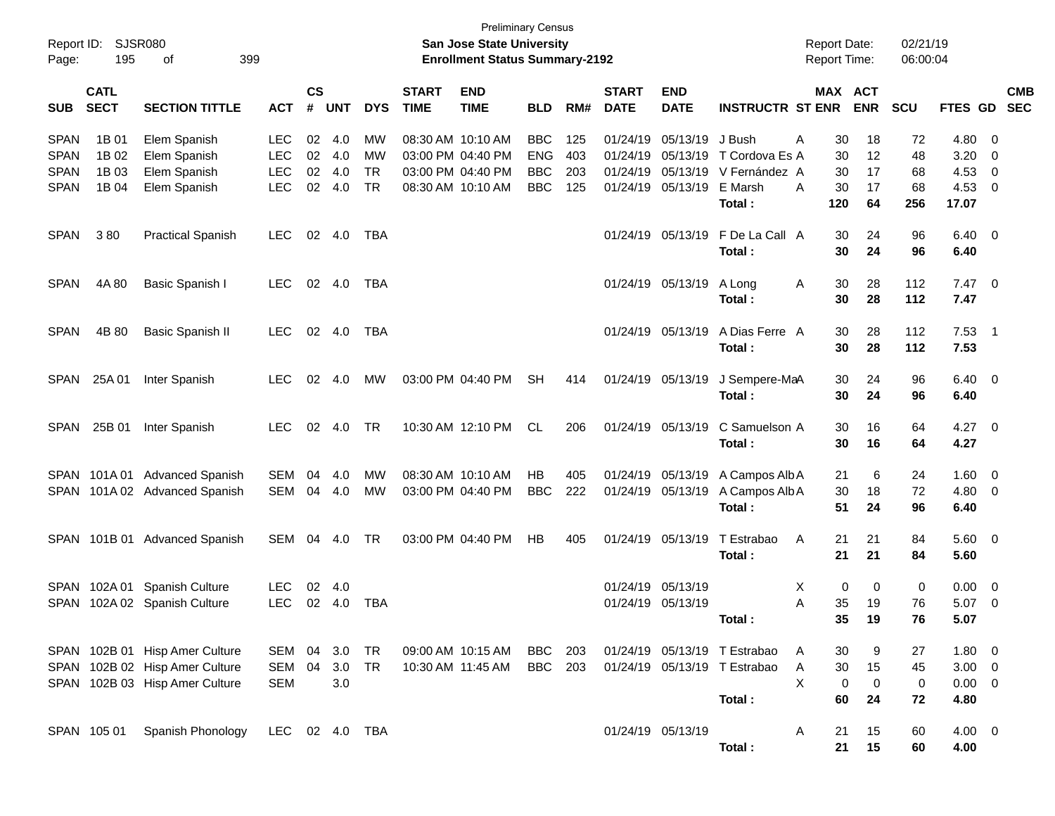| Report ID:<br>Page: | <b>SJSR080</b><br>195      | 399<br>οf                      |                |                |            |            |                             | <b>Preliminary Census</b><br><b>San Jose State University</b><br><b>Enrollment Status Summary-2192</b> |            |       |                             |                           |                              | <b>Report Date:</b><br>Report Time: |             | 02/21/19<br>06:00:04 |                |                            |                          |
|---------------------|----------------------------|--------------------------------|----------------|----------------|------------|------------|-----------------------------|--------------------------------------------------------------------------------------------------------|------------|-------|-----------------------------|---------------------------|------------------------------|-------------------------------------|-------------|----------------------|----------------|----------------------------|--------------------------|
| <b>SUB</b>          | <b>CATL</b><br><b>SECT</b> | <b>SECTION TITTLE</b>          | <b>ACT</b>     | <b>CS</b><br># | <b>UNT</b> | <b>DYS</b> | <b>START</b><br><b>TIME</b> | <b>END</b><br><b>TIME</b>                                                                              | <b>BLD</b> | RM#   | <b>START</b><br><b>DATE</b> | <b>END</b><br><b>DATE</b> | <b>INSTRUCTR ST ENR</b>      | MAX ACT                             | <b>ENR</b>  | SCU                  | <b>FTES GD</b> |                            | <b>CMB</b><br><b>SEC</b> |
| <b>SPAN</b>         | 1B 01                      | Elem Spanish                   | <b>LEC</b>     | 02             | 4.0        | MW         |                             | 08:30 AM 10:10 AM                                                                                      | <b>BBC</b> | 125   | 01/24/19                    | 05/13/19                  | J Bush                       | 30<br>A                             | 18          | 72                   | 4.80           | - 0                        |                          |
| <b>SPAN</b>         | 1B 02                      | Elem Spanish                   | <b>LEC</b>     | 02             | 4.0        | <b>MW</b>  |                             | 03:00 PM 04:40 PM                                                                                      | ENG        | 403   | 01/24/19                    | 05/13/19                  | T Cordova Es A               | 30                                  | 12          | 48                   | 3.20           | - 0                        |                          |
| <b>SPAN</b>         | 1B 03                      | Elem Spanish                   | <b>LEC</b>     | 02             | 4.0        | <b>TR</b>  |                             | 03:00 PM 04:40 PM                                                                                      | <b>BBC</b> | 203   | 01/24/19                    | 05/13/19                  | V Fernández A                | 30                                  | 17          | 68                   | 4.53           | 0                          |                          |
| <b>SPAN</b>         | 1B 04                      | Elem Spanish                   | <b>LEC</b>     | 02             | 4.0        | <b>TR</b>  |                             | 08:30 AM 10:10 AM                                                                                      | <b>BBC</b> | 125   | 01/24/19                    | 05/13/19                  | E Marsh                      | A<br>30                             | 17          | 68                   | 4.53           | $\overline{\mathbf{0}}$    |                          |
|                     |                            |                                |                |                |            |            |                             |                                                                                                        |            |       |                             |                           | Total:                       | 120                                 | 64          | 256                  | 17.07          |                            |                          |
| <b>SPAN</b>         | 380                        | <b>Practical Spanish</b>       | <b>LEC</b>     | 02             | 4.0        | TBA        |                             |                                                                                                        |            |       |                             | 01/24/19 05/13/19         | F De La Call A               | 30                                  | 24          | 96                   | 6.40           | $\overline{\phantom{0}}$   |                          |
|                     |                            |                                |                |                |            |            |                             |                                                                                                        |            |       |                             |                           | Total:                       | 30                                  | 24          | 96                   | 6.40           |                            |                          |
| <b>SPAN</b>         | 4A 80                      | Basic Spanish I                | <b>LEC</b>     |                | 02 4.0     | TBA        |                             |                                                                                                        |            |       |                             | 01/24/19 05/13/19         | A Long                       | 30<br>Α                             | 28          | 112                  | $7.47 \quad 0$ |                            |                          |
|                     |                            |                                |                |                |            |            |                             |                                                                                                        |            |       |                             |                           | Total:                       | 30                                  | 28          | 112                  | 7.47           |                            |                          |
| <b>SPAN</b>         | 4B 80                      | <b>Basic Spanish II</b>        | <b>LEC</b>     |                | 02 4.0     | TBA        |                             |                                                                                                        |            |       |                             | 01/24/19 05/13/19         | A Dias Ferre A               | 30                                  | 28          | 112                  | 7.53           | $\overline{\phantom{0}}$ 1 |                          |
|                     |                            |                                |                |                |            |            |                             |                                                                                                        |            |       |                             |                           | Total:                       | 30                                  | 28          | 112                  | 7.53           |                            |                          |
| <b>SPAN</b>         | 25A 01                     | Inter Spanish                  | <b>LEC</b>     |                | 02 4.0     | MW         |                             | 03:00 PM 04:40 PM                                                                                      | <b>SH</b>  | 414   |                             | 01/24/19 05/13/19         | J Sempere-MaA                | 30                                  | 24          | 96                   | $6.40 \quad 0$ |                            |                          |
|                     |                            |                                |                |                |            |            |                             |                                                                                                        |            |       |                             |                           | Total:                       | 30                                  | 24          | 96                   | 6.40           |                            |                          |
| <b>SPAN</b>         | 25B 01                     | Inter Spanish                  | <b>LEC</b>     |                | 02 4.0     | <b>TR</b>  |                             | 10:30 AM 12:10 PM                                                                                      | <b>CL</b>  | 206   |                             | 01/24/19 05/13/19         | C Samuelson A                | 30                                  | 16          | 64                   | 4.27           | $\overline{\phantom{0}}$   |                          |
|                     |                            |                                |                |                |            |            |                             |                                                                                                        |            |       |                             |                           | Total:                       | 30                                  | 16          | 64                   | 4.27           |                            |                          |
|                     |                            | SPAN 101A 01 Advanced Spanish  | <b>SEM</b>     | 04             | 4.0        | <b>MW</b>  |                             | 08:30 AM 10:10 AM                                                                                      | HB         | 405   |                             | 01/24/19 05/13/19         | A Campos Alb A               | 21                                  | 6           | 24                   | 1.60           | $\overline{\mathbf{0}}$    |                          |
|                     |                            | SPAN 101A 02 Advanced Spanish  | SEM            |                | 04 4.0     | <b>MW</b>  |                             | 03:00 PM 04:40 PM                                                                                      | <b>BBC</b> | 222   |                             | 01/24/19 05/13/19         | A Campos Alb A               | 30                                  | 18          | 72                   | 4.80           | $\overline{\phantom{0}}$   |                          |
|                     |                            |                                |                |                |            |            |                             |                                                                                                        |            |       |                             |                           | Total:                       | 51                                  | 24          | 96                   | 6.40           |                            |                          |
|                     |                            | SPAN 101B 01 Advanced Spanish  | SEM            |                | 04 4.0     | <b>TR</b>  |                             | 03:00 PM 04:40 PM                                                                                      | <b>HB</b>  | 405   |                             | 01/24/19 05/13/19         | T Estrabao                   | 21<br>A                             | 21          | 84                   | 5.60 0         |                            |                          |
|                     |                            |                                |                |                |            |            |                             |                                                                                                        |            |       |                             |                           | Total:                       | 21                                  | 21          | 84                   | 5.60           |                            |                          |
| SPAN                | 102A 01                    | Spanish Culture                | <b>LEC</b>     | 02             | - 4.0      |            |                             |                                                                                                        |            |       |                             | 01/24/19 05/13/19         |                              | X<br>$\mathbf 0$                    | 0           | 0                    | 0.00           | $\overline{\mathbf{0}}$    |                          |
|                     |                            | SPAN 102A 02 Spanish Culture   | <b>LEC</b>     | 02             | 4.0        | TBA        |                             |                                                                                                        |            |       |                             | 01/24/19 05/13/19         |                              | 35<br>A                             | 19          | 76                   | 5.07           | $\overline{\mathbf{0}}$    |                          |
|                     |                            |                                |                |                |            |            |                             |                                                                                                        |            |       |                             |                           | Total:                       | 35                                  | 19          | 76                   | 5.07           |                            |                          |
|                     |                            | SPAN 102B 01 Hisp Amer Culture | SEM 04 3.0     |                |            | TR         |                             | 09:00 AM 10:15 AM                                                                                      | BBC        | - 203 |                             |                           | 01/24/19 05/13/19 T Estrabao | A<br>30                             | 9           | 27                   | $1.80 \t 0$    |                            |                          |
|                     |                            | SPAN 102B 02 Hisp Amer Culture | SEM            | 04             | 3.0        | TR         |                             | 10:30 AM 11:45 AM                                                                                      | <b>BBC</b> | 203   |                             | 01/24/19 05/13/19         | T Estrabao                   | 30<br>Α                             | 15          | 45                   | $3.00 \ 0$     |                            |                          |
|                     |                            | SPAN 102B 03 Hisp Amer Culture | <b>SEM</b>     |                | 3.0        |            |                             |                                                                                                        |            |       |                             |                           |                              | X<br>0                              | $\mathbf 0$ | 0                    | $0.00 \t 0$    |                            |                          |
|                     |                            |                                |                |                |            |            |                             |                                                                                                        |            |       |                             |                           | Total:                       | 60                                  | 24          | 72                   | 4.80           |                            |                          |
|                     | SPAN 105 01                | Spanish Phonology              | LEC 02 4.0 TBA |                |            |            |                             |                                                                                                        |            |       |                             | 01/24/19 05/13/19         |                              | Α<br>21                             | 15          | 60                   | $4.00 \t 0$    |                            |                          |
|                     |                            |                                |                |                |            |            |                             |                                                                                                        |            |       |                             |                           | Total:                       | 21                                  | 15          | 60                   | 4.00           |                            |                          |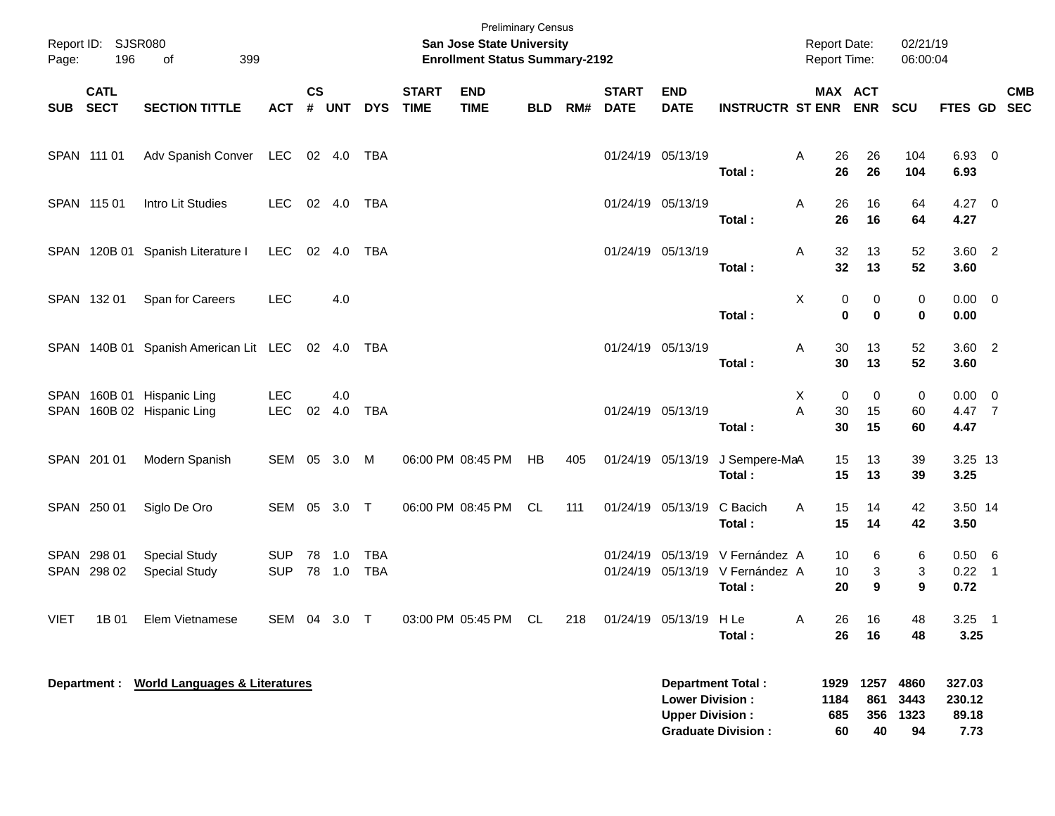| Page:       | Report ID: SJSR080<br>196  | 399<br>of                                                |                          |                             |            |                          |                             | <b>Preliminary Census</b><br>San Jose State University<br><b>Enrollment Status Summary-2192</b> |            |     |                             |                                                                              |                                          | <b>Report Date:</b><br>Report Time: |                  | 02/21/19<br>06:00:04     |                               |            |
|-------------|----------------------------|----------------------------------------------------------|--------------------------|-----------------------------|------------|--------------------------|-----------------------------|-------------------------------------------------------------------------------------------------|------------|-----|-----------------------------|------------------------------------------------------------------------------|------------------------------------------|-------------------------------------|------------------|--------------------------|-------------------------------|------------|
| <b>SUB</b>  | <b>CATL</b><br><b>SECT</b> | <b>SECTION TITTLE</b>                                    | <b>ACT</b>               | $\mathsf{cs}$<br>$\pmb{\#}$ | <b>UNT</b> | <b>DYS</b>               | <b>START</b><br><b>TIME</b> | <b>END</b><br><b>TIME</b>                                                                       | <b>BLD</b> | RM# | <b>START</b><br><b>DATE</b> | <b>END</b><br><b>DATE</b>                                                    | <b>INSTRUCTR ST ENR ENR</b>              | MAX ACT                             |                  | <b>SCU</b>               | FTES GD SEC                   | <b>CMB</b> |
|             | SPAN 111 01                | Adv Spanish Conver                                       | LEC                      | 02 4.0                      |            | TBA                      |                             |                                                                                                 |            |     | 01/24/19 05/13/19           |                                                                              | Total:                                   | Α<br>26<br>26                       | 26<br>26         | 104<br>104               | 6.93 0<br>6.93                |            |
|             | SPAN 115 01                | Intro Lit Studies                                        | <b>LEC</b>               |                             | 02 4.0     | <b>TBA</b>               |                             |                                                                                                 |            |     | 01/24/19 05/13/19           |                                                                              | Total:                                   | 26<br>Α<br>26                       | 16<br>16         | 64<br>64                 | $4.27 \t 0$<br>4.27           |            |
|             |                            | SPAN 120B 01 Spanish Literature I                        | LEC                      |                             | 02 4.0     | TBA                      |                             |                                                                                                 |            |     | 01/24/19 05/13/19           |                                                                              | Total:                                   | 32<br>Α<br>32                       | 13<br>13         | 52<br>52                 | $3.60$ 2<br>3.60              |            |
|             | SPAN 132 01                | Span for Careers                                         | <b>LEC</b>               |                             | 4.0        |                          |                             |                                                                                                 |            |     |                             |                                                                              | Total:                                   | X<br>0<br>0                         | 0<br>0           | 0<br>0                   | $0.00 \t 0$<br>0.00           |            |
|             |                            | SPAN 140B 01 Spanish American Lit LEC 02 4.0             |                          |                             |            | TBA                      |                             |                                                                                                 |            |     | 01/24/19 05/13/19           |                                                                              | Total:                                   | 30<br>Α<br>30                       | 13<br>13         | 52<br>52                 | $3.60$ 2<br>3.60              |            |
|             |                            | SPAN 160B 01 Hispanic Ling<br>SPAN 160B 02 Hispanic Ling | <b>LEC</b><br><b>LEC</b> | 02                          | 4.0<br>4.0 | <b>TBA</b>               |                             |                                                                                                 |            |     | 01/24/19 05/13/19           |                                                                              | Total:                                   | X<br>0<br>Α<br>30<br>30             | 0<br>15<br>15    | 0<br>60<br>60            | $0.00 \t 0$<br>4.47 7<br>4.47 |            |
|             | SPAN 201 01                | Modern Spanish                                           | SEM 05 3.0               |                             |            | M                        |                             | 06:00 PM 08:45 PM                                                                               | HB         | 405 |                             | 01/24/19 05/13/19                                                            | J Sempere-MaA<br>Total:                  | 15<br>15                            | 13<br>13         | 39<br>39                 | 3.25 13<br>3.25               |            |
|             | SPAN 250 01                | Siglo De Oro                                             | SEM 05 3.0 T             |                             |            |                          |                             | 06:00 PM 08:45 PM                                                                               | CL.        | 111 |                             | 01/24/19 05/13/19                                                            | C Bacich<br>Total:                       | 15<br>A<br>15                       | 14<br>14         | 42<br>42                 | 3.50 14<br>3.50               |            |
|             | SPAN 298 01<br>SPAN 298 02 | <b>Special Study</b><br><b>Special Study</b>             | <b>SUP</b><br><b>SUP</b> | 78 1.0                      | 78 1.0     | <b>TBA</b><br><b>TBA</b> |                             |                                                                                                 |            |     |                             | 01/24/19 05/13/19<br>01/24/19 05/13/19                                       | V Fernández A<br>V Fernández A<br>Total: | 10<br>10<br>20                      | 6<br>3<br>9      | 6<br>3<br>9              | 0.50 6<br>$0.22$ 1<br>0.72    |            |
| <b>VIET</b> | 1B 01                      | Elem Vietnamese                                          | SEM 04 3.0 T             |                             |            |                          |                             | 03:00 PM 05:45 PM                                                                               | CL         | 218 |                             | 01/24/19 05/13/19 H Le                                                       | Total:                                   | 26<br>A<br>26                       | 16<br>16         | 48<br>48                 | $3.25$ 1<br>3.25              |            |
|             |                            | Department : World Languages & Literatures               |                          |                             |            |                          |                             |                                                                                                 |            |     |                             | <b>Department Total:</b><br><b>Lower Division:</b><br><b>Upper Division:</b> |                                          | 1184<br>685                         | 1929 1257<br>861 | 4860<br>3443<br>356 1323 | 327.03<br>230.12<br>89.18     |            |

**Graduate Division : 60 40 94 7.73**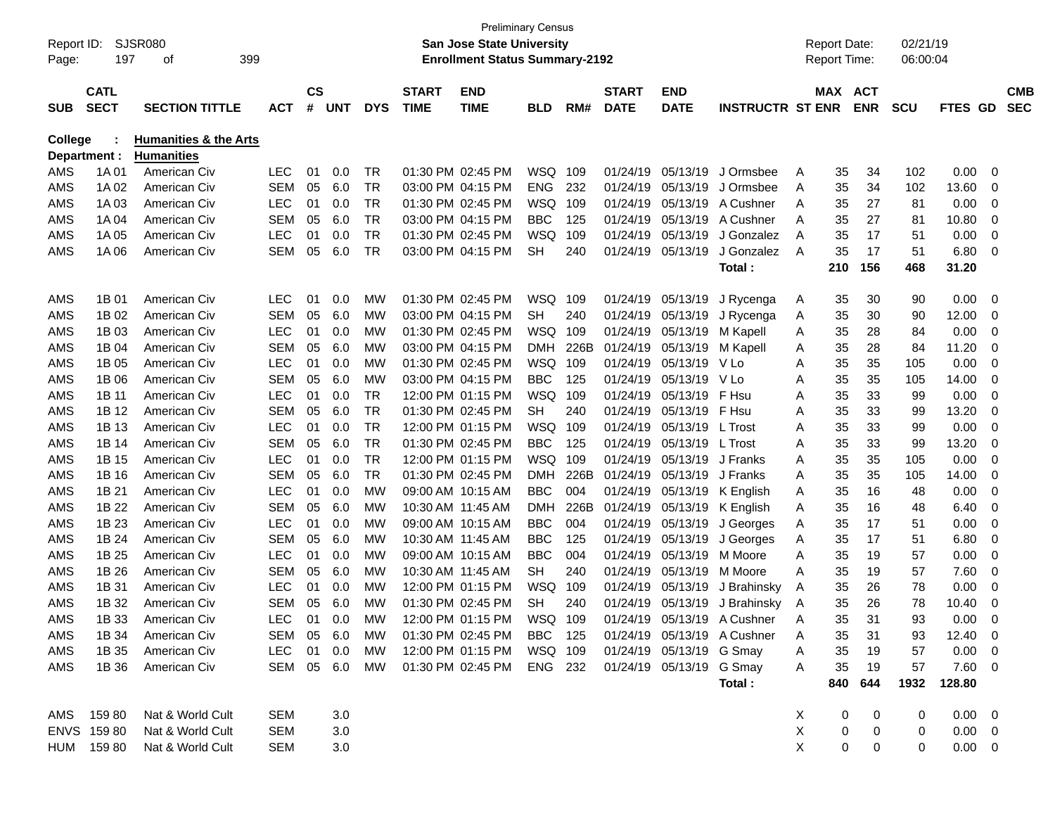| Report ID:<br>Page: | 197                        | SJSR080<br>399<br>οf             |            |                |            |            |                             | <b>San Jose State University</b><br><b>Enrollment Status Summary-2192</b> | <b>Preliminary Census</b> |      |                             |                           |                             |   | <b>Report Date:</b><br><b>Report Time:</b> |            | 02/21/19<br>06:00:04 |                |                          |  |
|---------------------|----------------------------|----------------------------------|------------|----------------|------------|------------|-----------------------------|---------------------------------------------------------------------------|---------------------------|------|-----------------------------|---------------------------|-----------------------------|---|--------------------------------------------|------------|----------------------|----------------|--------------------------|--|
| <b>SUB</b>          | <b>CATL</b><br><b>SECT</b> | <b>SECTION TITTLE</b>            | АСТ        | <b>CS</b><br># | <b>UNT</b> | <b>DYS</b> | <b>START</b><br><b>TIME</b> | <b>END</b><br><b>TIME</b>                                                 | BLD                       | RM#  | <b>START</b><br><b>DATE</b> | <b>END</b><br><b>DATE</b> | <b>INSTRUCTR ST ENR</b>     |   | MAX ACT                                    | <b>ENR</b> | scu                  | <b>FTES GD</b> | <b>CMB</b><br><b>SEC</b> |  |
| <b>College</b>      |                            | <b>Humanities &amp; the Arts</b> |            |                |            |            |                             |                                                                           |                           |      |                             |                           |                             |   |                                            |            |                      |                |                          |  |
|                     | Department :               | <b>Humanities</b>                |            |                |            |            |                             |                                                                           |                           |      |                             |                           |                             |   |                                            |            |                      |                |                          |  |
| AMS                 | 1A 01                      | American Civ                     | <b>LEC</b> | 01             | 0.0        | TR         |                             | 01:30 PM 02:45 PM                                                         | WSQ                       | 109  | 01/24/19                    | 05/13/19                  | J Ormsbee                   | A | 35                                         | 34         | 102                  | 0.00           | 0                        |  |
| AMS                 | 1A 02                      | American Civ                     | SEM        | 05             | 6.0        | TR         |                             | 03:00 PM 04:15 PM                                                         | <b>ENG</b>                | 232  | 01/24/19                    | 05/13/19                  | J Ormsbee                   | A | 35                                         | 34         | 102                  | 13.60          | 0                        |  |
| AMS                 | 1A03                       | American Civ                     | <b>LEC</b> | 01             | 0.0        | <b>TR</b>  |                             | 01:30 PM 02:45 PM                                                         | WSQ                       | 109  | 01/24/19                    | 05/13/19                  | A Cushner                   | A | 35                                         | 27         | 81                   | 0.00           | 0                        |  |
| AMS                 | 1A 04                      | American Civ                     | SEM        | 05             | 6.0        | <b>TR</b>  |                             | 03:00 PM 04:15 PM                                                         | <b>BBC</b>                | 125  | 01/24/19                    | 05/13/19                  | A Cushner                   | A | 35                                         | 27         | 81                   | 10.80          | 0                        |  |
| AMS                 | 1A 05                      | American Civ                     | <b>LEC</b> | 01             | 0.0        | <b>TR</b>  |                             | 01:30 PM 02:45 PM                                                         | WSQ                       | 109  | 01/24/19                    | 05/13/19                  | J Gonzalez                  | A | 35                                         | 17         | 51                   | 0.00           | 0                        |  |
| AMS                 | 1A 06                      | American Civ                     | SEM        | 05             | 6.0        | <b>TR</b>  |                             | 03:00 PM 04:15 PM                                                         | <b>SH</b>                 | 240  | 01/24/19                    | 05/13/19                  | J Gonzalez                  | A | 35                                         | 17         | 51                   | 6.80           | 0                        |  |
|                     |                            |                                  |            |                |            |            |                             |                                                                           |                           |      |                             |                           | Total :                     |   | 210                                        | 156        | 468                  | 31.20          |                          |  |
| AMS                 | 1B 01                      | American Civ                     | <b>LEC</b> | 01             | 0.0        | МW         |                             | 01:30 PM 02:45 PM                                                         | WSQ                       | 109  |                             | 01/24/19 05/13/19         | J Rycenga                   | A | 35                                         | 30         | 90                   | 0.00           | 0                        |  |
| AMS                 | 1B 02                      | American Civ                     | SEM        | 05             | 6.0        | MW         |                             | 03:00 PM 04:15 PM                                                         | <b>SH</b>                 | 240  | 01/24/19                    | 05/13/19                  | J Rycenga                   | A | 35                                         | 30         | 90                   | 12.00          | 0                        |  |
| AMS                 | 1B 03                      | American Civ                     | <b>LEC</b> | 01             | 0.0        | MW         |                             | 01:30 PM 02:45 PM                                                         | WSQ                       | 109  | 01/24/19                    | 05/13/19                  | M Kapell                    | A | 35                                         | 28         | 84                   | 0.00           | 0                        |  |
| AMS                 | 1B 04                      | American Civ                     | SEM        | 05             | 6.0        | MW         |                             | 03:00 PM 04:15 PM                                                         | <b>DMH</b>                | 226B | 01/24/19                    | 05/13/19                  | M Kapell                    | A | 35                                         | 28         | 84                   | 11.20          | 0                        |  |
| AMS                 | 1B 05                      | American Civ                     | <b>LEC</b> | 01             | 0.0        | МW         |                             | 01:30 PM 02:45 PM                                                         | WSQ                       | 109  | 01/24/19                    | 05/13/19                  | V Lo                        | A | 35                                         | 35         | 105                  | 0.00           | 0                        |  |
| AMS                 | 1B 06                      | American Civ                     | SEM        | 05             | 6.0        | MW         |                             | 03:00 PM 04:15 PM                                                         | <b>BBC</b>                | 125  | 01/24/19                    | 05/13/19                  | V Lo                        | A | 35                                         | 35         | 105                  | 14.00          | 0                        |  |
| AMS                 | 1B 11                      | American Civ                     | <b>LEC</b> | 01             | 0.0        | <b>TR</b>  |                             | 12:00 PM 01:15 PM                                                         | WSQ                       | 109  | 01/24/19                    | 05/13/19                  | F Hsu                       | A | 35                                         | 33         | 99                   | 0.00           | 0                        |  |
| AMS                 | 1B 12                      | American Civ                     | <b>SEM</b> | 05             | 6.0        | <b>TR</b>  |                             | 01:30 PM 02:45 PM                                                         | <b>SH</b>                 | 240  | 01/24/19                    | 05/13/19                  | F Hsu                       | A | 35                                         | 33         | 99                   | 13.20          | 0                        |  |
| AMS                 | 1B 13                      | American Civ                     | <b>LEC</b> | 01             | 0.0        | <b>TR</b>  |                             | 12:00 PM 01:15 PM                                                         | WSQ                       | 109  | 01/24/19                    | 05/13/19 L Trost          |                             | A | 35                                         | 33         | 99                   | 0.00           | 0                        |  |
| AMS                 | 1B 14                      | American Civ                     | <b>SEM</b> | 05             | 6.0        | <b>TR</b>  |                             | 01:30 PM 02:45 PM                                                         | <b>BBC</b>                | 125  | 01/24/19                    | 05/13/19 L Trost          |                             | A | 35                                         | 33         | 99                   | 13.20          | 0                        |  |
| AMS                 | 1B 15                      | American Civ                     | <b>LEC</b> | 01             | 0.0        | <b>TR</b>  |                             | 12:00 PM 01:15 PM                                                         | WSQ                       | 109  | 01/24/19                    | 05/13/19                  | J Franks                    | A | 35                                         | 35         | 105                  | 0.00           | 0                        |  |
| AMS                 | 1B 16                      | American Civ                     | SEM        | 05             | 6.0        | <b>TR</b>  |                             | 01:30 PM 02:45 PM                                                         | <b>DMH</b>                | 226B | 01/24/19                    | 05/13/19                  | J Franks                    | A | 35                                         | 35         | 105                  | 14.00          | 0                        |  |
| AMS                 | 1B 21                      | American Civ                     | <b>LEC</b> | 01             | 0.0        | <b>MW</b>  |                             | 09:00 AM 10:15 AM                                                         | <b>BBC</b>                | 004  | 01/24/19                    | 05/13/19                  | K English                   | A | 35                                         | 16         | 48                   | 0.00           | 0                        |  |
| AMS                 | 1B 22                      | American Civ                     | <b>SEM</b> | 05             | 6.0        | МW         | 10:30 AM 11:45 AM           |                                                                           | <b>DMH</b>                | 226B | 01/24/19                    | 05/13/19                  | K English                   | A | 35                                         | 16         | 48                   | 6.40           | 0                        |  |
| AMS                 | 1B 23                      | American Civ                     | <b>LEC</b> | 01             | 0.0        | MW         |                             | 09:00 AM 10:15 AM                                                         | <b>BBC</b>                | 004  | 01/24/19                    | 05/13/19                  | J Georges                   | A | 35                                         | 17         | 51                   | 0.00           | 0                        |  |
| AMS                 | 1B 24                      | American Civ                     | SEM        | 05             | 6.0        | МW         | 10:30 AM 11:45 AM           |                                                                           | BBC                       | 125  | 01/24/19                    | 05/13/19                  | J Georges                   | A | 35                                         | 17         | 51                   | 6.80           | 0                        |  |
| AMS                 | 1B 25                      | American Civ                     | <b>LEC</b> | 01             | 0.0        | МW         |                             | 09:00 AM 10:15 AM                                                         | BBC                       | 004  | 01/24/19                    | 05/13/19                  | M Moore                     | A | 35                                         | 19         | 57                   | 0.00           | 0                        |  |
| AMS                 | 1B 26                      | American Civ                     | SEM        | 05             | 6.0        | МW         | 10:30 AM 11:45 AM           |                                                                           | <b>SH</b>                 | 240  | 01/24/19                    | 05/13/19                  | M Moore                     | Α | 35                                         | 19         | 57                   | 7.60           | 0                        |  |
| AMS                 | 1B 31                      | American Civ                     | <b>LEC</b> | 01             | 0.0        | МW         |                             | 12:00 PM 01:15 PM                                                         | <b>WSQ</b>                | 109  | 01/24/19                    | 05/13/19                  | J Brahinsky                 | A | 35                                         | 26         | 78                   | 0.00           | 0                        |  |
| AMS                 | 1B 32                      | American Civ                     | <b>SEM</b> | 05             | 6.0        | МW         |                             | 01:30 PM 02:45 PM                                                         | <b>SH</b>                 | 240  | 01/24/19                    | 05/13/19                  | J Brahinsky                 | A | 35                                         | 26         | 78                   | 10.40          | 0                        |  |
| AMS                 | 1B 33                      | American Civ                     | LEC 01     |                | 0.0        | МW         |                             | 12:00 PM 01:15 PM                                                         | WSQ 109                   |      |                             |                           | 01/24/19 05/13/19 A Cushner | Α | 35                                         | 31         | ۹3                   | 0.00           | $\Omega$                 |  |
| AMS                 | 1B 34                      | American Civ                     | SEM 05 6.0 |                |            | MW         |                             | 01:30 PM 02:45 PM                                                         | BBC 125                   |      |                             |                           | 01/24/19 05/13/19 A Cushner | A | 35                                         | 31         | 93                   | $12.40 \t 0$   |                          |  |
| AMS                 | 1B 35                      | American Civ                     | LEC 01 0.0 |                |            | MW         |                             | 12:00 PM 01:15 PM WSQ 109                                                 |                           |      |                             | 01/24/19 05/13/19 G Smay  |                             | A | 35                                         | 19         | 57                   | $0.00 \t 0$    |                          |  |
| AMS                 | 1B 36                      | American Civ                     | SEM 05 6.0 |                |            | MW         |                             | 01:30 PM 02:45 PM ENG 232                                                 |                           |      |                             | 01/24/19 05/13/19 G Smay  |                             | A | 35                                         | 19         | 57                   | $7.60$ 0       |                          |  |
|                     |                            |                                  |            |                |            |            |                             |                                                                           |                           |      |                             |                           | Total:                      |   | 840                                        | 644        | 1932                 | 128.80         |                          |  |
|                     | AMS 15980                  | Nat & World Cult                 | SEM        |                | 3.0        |            |                             |                                                                           |                           |      |                             |                           |                             | X | 0                                          | 0          | 0                    | $0.00 \t 0$    |                          |  |
|                     | ENVS 159 80                | Nat & World Cult                 | SEM        |                | 3.0        |            |                             |                                                                           |                           |      |                             |                           |                             | X | 0                                          | 0          | 0                    | $0.00 \t 0$    |                          |  |
|                     | HUM 159 80                 | Nat & World Cult                 | SEM        |                | 3.0        |            |                             |                                                                           |                           |      |                             |                           |                             | X | $\mathbf 0$                                | 0          | 0                    | $0.00 \t 0$    |                          |  |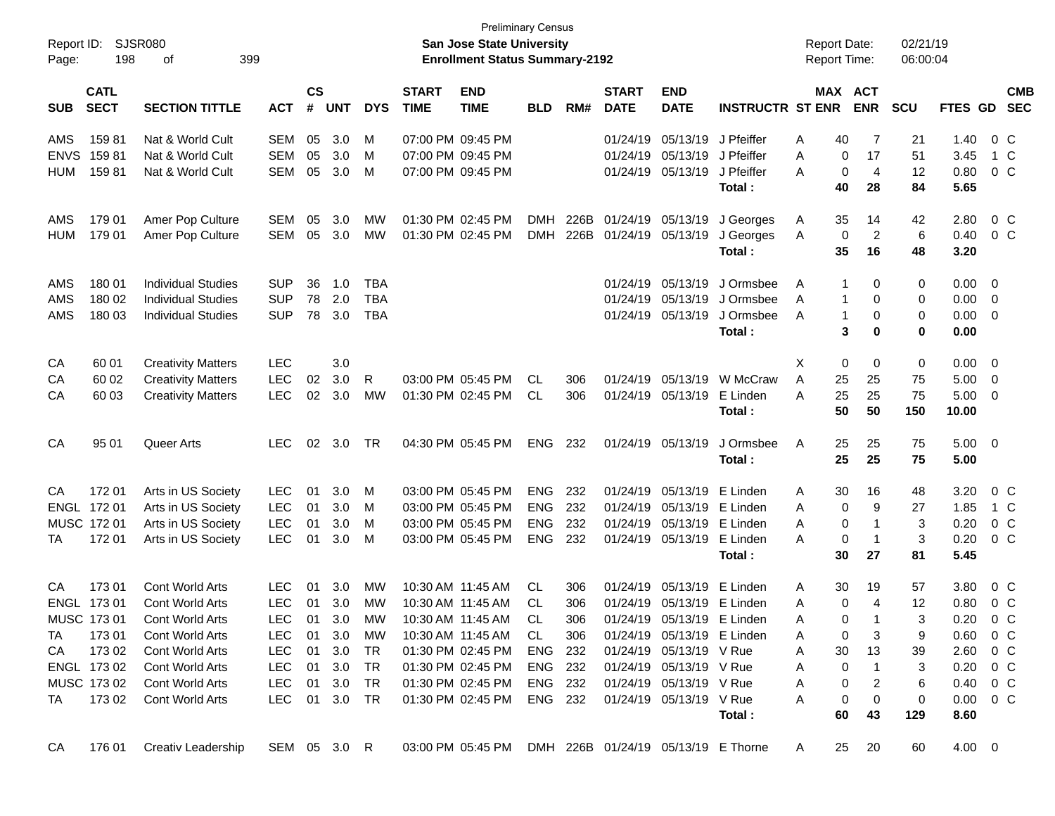| Report ID:<br>Page: | 198                        | <b>SJSR080</b><br>399<br>οf |               |                    |                |            |                             | <b>Preliminary Census</b><br>San Jose State University<br><b>Enrollment Status Summary-2192</b> |            |      |                             |                            |                         | <b>Report Date:</b><br>Report Time: |                       | 02/21/19<br>06:00:04 |                        |                |                          |
|---------------------|----------------------------|-----------------------------|---------------|--------------------|----------------|------------|-----------------------------|-------------------------------------------------------------------------------------------------|------------|------|-----------------------------|----------------------------|-------------------------|-------------------------------------|-----------------------|----------------------|------------------------|----------------|--------------------------|
| <b>SUB</b>          | <b>CATL</b><br><b>SECT</b> | <b>SECTION TITTLE</b>       | <b>ACT</b>    | $\mathsf{cs}$<br># | <b>UNT</b>     | <b>DYS</b> | <b>START</b><br><b>TIME</b> | <b>END</b><br><b>TIME</b>                                                                       | <b>BLD</b> | RM#  | <b>START</b><br><b>DATE</b> | <b>END</b><br><b>DATE</b>  | <b>INSTRUCTR ST ENR</b> |                                     | MAX ACT<br><b>ENR</b> | <b>SCU</b>           | <b>FTES GD</b>         |                | <b>CMB</b><br><b>SEC</b> |
| AMS                 | 15981                      | Nat & World Cult            | SEM           | 05                 | 3.0            | M          | 07:00 PM 09:45 PM           |                                                                                                 |            |      |                             | 01/24/19 05/13/19          | J Pfeiffer              | Α                                   | 40                    | 7<br>21              | 1.40                   |                | $0\,$ C                  |
| <b>ENVS</b>         | 15981                      | Nat & World Cult            | <b>SEM</b>    | 05                 | 3.0            | M          | 07:00 PM 09:45 PM           |                                                                                                 |            |      |                             | 01/24/19 05/13/19          | J Pfeiffer              | A                                   | 0<br>17               | 51                   | 3.45                   |                | 1 C                      |
| <b>HUM</b>          | 15981                      | Nat & World Cult            | SEM           | 05                 | 3.0            | M          | 07:00 PM 09:45 PM           |                                                                                                 |            |      |                             | 01/24/19 05/13/19          | J Pfeiffer              | A                                   | 0                     | 4<br>12              | 0.80                   |                | $0\,$ C                  |
|                     |                            |                             |               |                    |                |            |                             |                                                                                                 |            |      |                             |                            | Total:                  |                                     | 40<br>28              | 84                   | 5.65                   |                |                          |
| AMS                 | 179 01                     | Amer Pop Culture            | SEM           | 05                 | 3.0            | МW         | 01:30 PM 02:45 PM           |                                                                                                 | <b>DMH</b> | 226B | 01/24/19 05/13/19           |                            | J Georges               | A                                   | 35<br>14              | 42                   | 2.80                   |                | $0\,$ C                  |
| <b>HUM</b>          | 179 01                     | Amer Pop Culture            | SEM           | 05                 | 3.0            | MW         |                             | 01:30 PM 02:45 PM                                                                               | <b>DMH</b> | 226B | 01/24/19 05/13/19           |                            | J Georges               | Α                                   | 0                     | 2<br>6               | 0.40                   |                | $0\,$ C                  |
|                     |                            |                             |               |                    |                |            |                             |                                                                                                 |            |      |                             |                            | Total:                  |                                     | 35<br>16              | 48                   | 3.20                   |                |                          |
| AMS                 | 180 01                     | <b>Individual Studies</b>   | <b>SUP</b>    | 36                 | 1.0            | <b>TBA</b> |                             |                                                                                                 |            |      |                             | 01/24/19 05/13/19          | J Ormsbee               | A                                   | 1                     | 0<br>0               | 0.00                   | - 0            |                          |
| AMS                 | 180 02                     | <b>Individual Studies</b>   | <b>SUP</b>    | 78                 | 2.0            | <b>TBA</b> |                             |                                                                                                 |            |      |                             | 01/24/19 05/13/19          | J Ormsbee               | A                                   | 1                     | 0<br>0               | 0.00                   | $\overline{0}$ |                          |
| AMS                 | 180 03                     | <b>Individual Studies</b>   | <b>SUP</b>    | 78                 | 3.0            | <b>TBA</b> |                             |                                                                                                 |            |      |                             | 01/24/19 05/13/19          | J Ormsbee               | A                                   | 1                     | 0<br>0               | 0.00                   | $\mathbf{0}$   |                          |
|                     |                            |                             |               |                    |                |            |                             |                                                                                                 |            |      |                             |                            | Total:                  |                                     | 3                     | 0<br>0               | 0.00                   |                |                          |
| CA                  | 60 01                      | <b>Creativity Matters</b>   | <b>LEC</b>    |                    | 3.0            |            |                             |                                                                                                 |            |      |                             |                            |                         | х                                   | 0                     | 0<br>0               | 0.00                   | - 0            |                          |
| CA                  | 60 02                      | <b>Creativity Matters</b>   | <b>LEC</b>    | 02                 | 3.0            | R          |                             | 03:00 PM 05:45 PM                                                                               | <b>CL</b>  | 306  |                             | 01/24/19 05/13/19          | W McCraw                | Α                                   | 25<br>25              | 75                   | 5.00                   | $\overline{0}$ |                          |
| CA                  | 60 03                      | <b>Creativity Matters</b>   | <b>LEC</b>    | 02                 | 3.0            | MW         | 01:30 PM 02:45 PM           |                                                                                                 | CL.        | 306  |                             | 01/24/19 05/13/19          | E Linden                | Α                                   | 25<br>25              | 75                   | 5.00                   | $\mathbf{0}$   |                          |
|                     |                            |                             |               |                    |                |            |                             |                                                                                                 |            |      |                             |                            | Total:                  |                                     | 50<br>50              | 150                  | 10.00                  |                |                          |
| CA                  | 95 01                      | Queer Arts                  | <b>LEC</b>    | 02                 | 3.0            | TR         |                             | 04:30 PM 05:45 PM                                                                               | <b>ENG</b> | 232  |                             | 01/24/19 05/13/19          | J Ormsbee               | Α                                   | 25<br>25              | 75                   | $5.00 \t 0$            |                |                          |
|                     |                            |                             |               |                    |                |            |                             |                                                                                                 |            |      |                             |                            | Total:                  |                                     | 25<br>25              | 75                   | 5.00                   |                |                          |
| CA                  | 17201                      | Arts in US Society          | <b>LEC</b>    | 01                 | 3.0            | M          | 03:00 PM 05:45 PM           |                                                                                                 | <b>ENG</b> | 232  |                             | 01/24/19 05/13/19          | E Linden                | Α                                   | 30<br>16              | 48                   | 3.20                   |                | $0\,$ C                  |
|                     | ENGL 172 01                | Arts in US Society          | <b>LEC</b>    | 01                 | 3.0            | M          | 03:00 PM 05:45 PM           |                                                                                                 | <b>ENG</b> | 232  |                             | 01/24/19 05/13/19          | E Linden                | Α                                   | 0                     | 9<br>27              | 1.85                   |                | 1 C                      |
|                     | MUSC 172 01                | Arts in US Society          | <b>LEC</b>    | 01                 | 3.0            | M          | 03:00 PM 05:45 PM           |                                                                                                 | <b>ENG</b> | 232  |                             | 01/24/19 05/13/19          | E Linden                | A                                   | 0                     | 3<br>-1              | 0.20                   |                | $0\,$ C                  |
| TA                  | 17201                      | Arts in US Society          | <b>LEC</b>    | 01                 | 3.0            | M          |                             | 03:00 PM 05:45 PM                                                                               | <b>ENG</b> | 232  |                             | 01/24/19 05/13/19          | E Linden                | A                                   | 0                     | 3<br>-1              | 0.20                   |                | $0\,$ C                  |
|                     |                            |                             |               |                    |                |            |                             |                                                                                                 |            |      |                             |                            | Total:                  |                                     | 30<br>27              | 81                   | 5.45                   |                |                          |
| CA                  | 17301                      | Cont World Arts             | <b>LEC</b>    | 01                 | 3.0            | MW         | 10:30 AM 11:45 AM           |                                                                                                 | <b>CL</b>  | 306  |                             | 01/24/19 05/13/19          | E Linden                | A                                   | 30<br>19              | 57                   | 3.80                   |                | $0\,$ C                  |
|                     | ENGL 173 01                | Cont World Arts             | <b>LEC</b>    | 01                 | 3.0            | МW         | 10:30 AM 11:45 AM           |                                                                                                 | CL         | 306  |                             | 01/24/19 05/13/19          | E Linden                | Α                                   | 0                     | 4<br>12              | 0.80                   |                | 0 <sup>o</sup>           |
|                     | MUSC 173 01                | Cont World Arts             | LEC.          |                    | $01 \quad 3.0$ | МW         |                             | 10:30 AM 11:45 AM                                                                               | CI.        | 306  |                             | 01/24/19 05/13/19 E Linden |                         | А                                   | 0                     | 3<br>-1              | 0.20                   |                | 0 C                      |
| TA                  | 173 01                     | Cont World Arts             | LEC.          |                    | 01 3.0         | МW         |                             | 10:30 AM 11:45 AM                                                                               | CL.        | 306  |                             | 01/24/19 05/13/19 E Linden |                         | Α                                   | 0                     | 3<br>9               | $0.60 \t 0 C$          |                |                          |
| CA                  | 17302                      | Cont World Arts             | LEC           | 01                 | 3.0            | TR         |                             | 01:30 PM 02:45 PM                                                                               | ENG 232    |      |                             | 01/24/19 05/13/19 V Rue    |                         | A                                   | 30<br>13              | 39                   | 2.60                   | 0 C            |                          |
|                     | ENGL 17302                 | Cont World Arts             | LEC           |                    | 01 3.0         | TR         |                             | 01:30 PM 02:45 PM                                                                               | ENG 232    |      |                             | 01/24/19 05/13/19 V Rue    |                         | A                                   | 0                     | 3<br>-1              | $0.20 \t 0 C$          |                |                          |
|                     | MUSC 17302                 | Cont World Arts             | LEC           |                    | 01 3.0         | TR         |                             | 01:30 PM 02:45 PM                                                                               | ENG 232    |      |                             | 01/24/19 05/13/19 V Rue    |                         | A                                   | 0                     | 2<br>6               | $0.40 \quad 0 \quad C$ |                |                          |
| TA                  | 173 02                     | Cont World Arts             | LEC 01 3.0 TR |                    |                |            |                             | 01:30 PM 02:45 PM                                                                               | ENG 232    |      |                             | 01/24/19 05/13/19 V Rue    |                         | A                                   | 0                     | 0<br>0               | $0.00 \t 0 C$          |                |                          |
|                     |                            |                             |               |                    |                |            |                             |                                                                                                 |            |      |                             |                            | Total:                  |                                     | 60<br>43              | 129                  | 8.60                   |                |                          |
| CA                  | 176 01                     | Creativ Leadership          | SEM 05 3.0 R  |                    |                |            |                             | 03:00 PM 05:45 PM DMH 226B 01/24/19 05/13/19 E Thorne                                           |            |      |                             |                            |                         | A                                   | 20<br>25              | 60                   | 4.00 0                 |                |                          |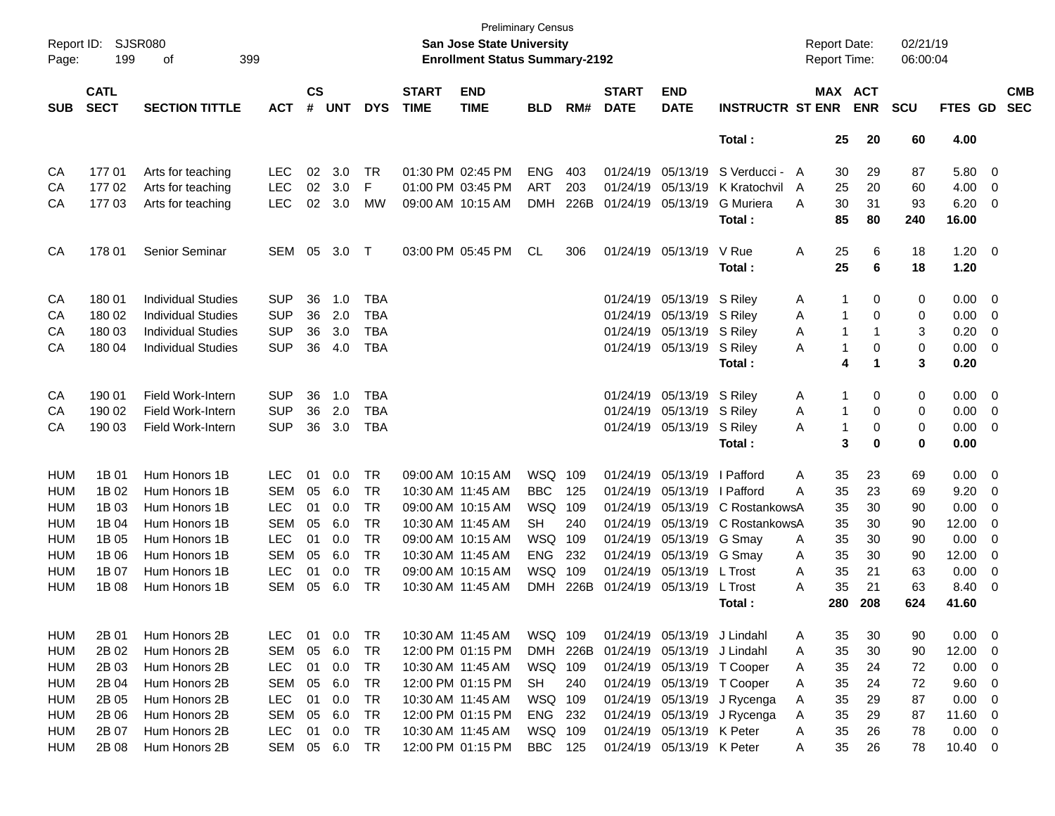| Page:      | Report ID:<br>SJSR080<br>199<br>399<br>оf<br><b>CATL</b> |                           |            |                    |            |            |                             | <b>Preliminary Census</b><br>San Jose State University<br><b>Enrollment Status Summary-2192</b> |            |      |                             |                             |                         | <b>Report Date:</b><br>Report Time: |     |            | 02/21/19<br>06:00:04 |             |                         |                          |
|------------|----------------------------------------------------------|---------------------------|------------|--------------------|------------|------------|-----------------------------|-------------------------------------------------------------------------------------------------|------------|------|-----------------------------|-----------------------------|-------------------------|-------------------------------------|-----|------------|----------------------|-------------|-------------------------|--------------------------|
| <b>SUB</b> | <b>SECT</b>                                              | <b>SECTION TITTLE</b>     | <b>ACT</b> | $\mathsf{cs}$<br># | <b>UNT</b> | <b>DYS</b> | <b>START</b><br><b>TIME</b> | <b>END</b><br><b>TIME</b>                                                                       | <b>BLD</b> | RM#  | <b>START</b><br><b>DATE</b> | <b>END</b><br><b>DATE</b>   | <b>INSTRUCTR ST ENR</b> | MAX ACT                             |     | <b>ENR</b> | <b>SCU</b>           | FTES GD     |                         | <b>CMB</b><br><b>SEC</b> |
|            |                                                          |                           |            |                    |            |            |                             |                                                                                                 |            |      |                             |                             | Total:                  |                                     | 25  | 20         | 60                   | 4.00        |                         |                          |
| CA         | 17701                                                    | Arts for teaching         | <b>LEC</b> | 02                 | 3.0        | TR         | 01:30 PM 02:45 PM           |                                                                                                 | <b>ENG</b> | 403  |                             | 01/24/19 05/13/19           | S Verducci - A          |                                     | 30  | 29         | 87                   | 5.80        | 0                       |                          |
| CA         | 17702                                                    | Arts for teaching         | <b>LEC</b> | 02                 | 3.0        | F          |                             | 01:00 PM 03:45 PM                                                                               | ART        | 203  | 01/24/19                    | 05/13/19                    | K Kratochvil            | A                                   | 25  | 20         | 60                   | 4.00        | 0                       |                          |
| СA         | 177 03                                                   | Arts for teaching         | <b>LEC</b> | 02                 | 3.0        | MW         | 09:00 AM 10:15 AM           |                                                                                                 | <b>DMH</b> | 226B | 01/24/19                    | 05/13/19                    | <b>G</b> Muriera        | A                                   | 30  | 31         | 93                   | 6.20        | 0                       |                          |
|            |                                                          |                           |            |                    |            |            |                             |                                                                                                 |            |      |                             |                             | Total:                  |                                     | 85  | 80         | 240                  | 16.00       |                         |                          |
| CA         | 178 01                                                   | Senior Seminar            | <b>SEM</b> | 05                 | 3.0        | Т          |                             | 03:00 PM 05:45 PM                                                                               | CL         | 306  |                             | 01/24/19 05/13/19           | V Rue                   | Α                                   | 25  | 6          | 18                   | $1.20 \t 0$ |                         |                          |
|            |                                                          |                           |            |                    |            |            |                             |                                                                                                 |            |      |                             |                             | Total:                  |                                     | 25  | 6          | 18                   | 1.20        |                         |                          |
| CA         | 180 01                                                   | <b>Individual Studies</b> | <b>SUP</b> | 36                 | 1.0        | <b>TBA</b> |                             |                                                                                                 |            |      |                             | 01/24/19 05/13/19           | S Riley                 | A                                   | 1   | 0          | 0                    | 0.00        | $\overline{\mathbf{0}}$ |                          |
| CA         | 180 02                                                   | <b>Individual Studies</b> | <b>SUP</b> | 36                 | 2.0        | <b>TBA</b> |                             |                                                                                                 |            |      |                             | 01/24/19 05/13/19           | S Riley                 | Α                                   | 1   | 0          | 0                    | 0.00        | 0                       |                          |
| CA         | 180 03                                                   | <b>Individual Studies</b> | <b>SUP</b> | 36                 | 3.0        | <b>TBA</b> |                             |                                                                                                 |            |      |                             | 01/24/19 05/13/19           | S Riley                 | Α                                   | 1   | -1         | 3                    | 0.20        | 0                       |                          |
| CA         | 180 04                                                   | <b>Individual Studies</b> | <b>SUP</b> | 36                 | 4.0        | <b>TBA</b> |                             |                                                                                                 |            |      |                             | 01/24/19 05/13/19           | S Riley                 | A                                   | 1   | 0          | 0                    | 0.00        | 0                       |                          |
|            |                                                          |                           |            |                    |            |            |                             |                                                                                                 |            |      |                             |                             | Total:                  |                                     | 4   | -1         | 3                    | 0.20        |                         |                          |
| CA         | 190 01                                                   | <b>Field Work-Intern</b>  | <b>SUP</b> | 36                 | 1.0        | <b>TBA</b> |                             |                                                                                                 |            |      |                             | 01/24/19 05/13/19           | S Riley                 | A                                   | 1   | 0          | 0                    | 0.00        | $\overline{\mathbf{0}}$ |                          |
| CA         | 190 02                                                   | Field Work-Intern         | <b>SUP</b> | 36                 | 2.0        | <b>TBA</b> |                             |                                                                                                 |            |      |                             | 01/24/19 05/13/19           | S Riley                 | Α                                   | 1   | 0          | 0                    | 0.00        | 0                       |                          |
| СA         | 190 03                                                   | <b>Field Work-Intern</b>  | <b>SUP</b> | 36                 | 3.0        | <b>TBA</b> |                             |                                                                                                 |            |      |                             | 01/24/19 05/13/19           | S Riley                 | Α                                   | 1   | 0          | 0                    | 0.00        | 0                       |                          |
|            |                                                          |                           |            |                    |            |            |                             |                                                                                                 |            |      |                             |                             | Total:                  |                                     | 3   | $\bf{0}$   | $\bf{0}$             | 0.00        |                         |                          |
| <b>HUM</b> | 1B 01                                                    | Hum Honors 1B             | <b>LEC</b> | 01                 | 0.0        | <b>TR</b>  | 09:00 AM 10:15 AM           |                                                                                                 | WSQ        | 109  | 01/24/19                    | 05/13/19                    | I Pafford               | Α                                   | 35  | 23         | 69                   | 0.00        | $\overline{\mathbf{0}}$ |                          |
| <b>HUM</b> | 1B 02                                                    | Hum Honors 1B             | <b>SEM</b> | 05                 | 6.0        | <b>TR</b>  | 10:30 AM 11:45 AM           |                                                                                                 | <b>BBC</b> | 125  | 01/24/19                    | 05/13/19                    | I Pafford               | Α                                   | 35  | 23         | 69                   | 9.20        | 0                       |                          |
| <b>HUM</b> | 1B 03                                                    | Hum Honors 1B             | <b>LEC</b> | 01                 | 0.0        | <b>TR</b>  |                             | 09:00 AM 10:15 AM                                                                               | WSQ        | 109  | 01/24/19                    | 05/13/19                    | C RostankowsA           |                                     | 35  | 30         | 90                   | 0.00        | 0                       |                          |
| <b>HUM</b> | 1B 04                                                    | Hum Honors 1B             | <b>SEM</b> | 05                 | 6.0        | <b>TR</b>  | 10:30 AM 11:45 AM           |                                                                                                 | SН         | 240  | 01/24/19                    | 05/13/19                    | C RostankowsA           |                                     | 35  | 30         | 90                   | 12.00       | 0                       |                          |
| <b>HUM</b> | 1B 05                                                    | Hum Honors 1B             | <b>LEC</b> | 01                 | 0.0        | <b>TR</b>  |                             | 09:00 AM 10:15 AM                                                                               | WSQ        | 109  | 01/24/19                    | 05/13/19                    | G Smay                  | A                                   | 35  | 30         | 90                   | 0.00        | 0                       |                          |
| <b>HUM</b> | 1B 06                                                    | Hum Honors 1B             | <b>SEM</b> | 05                 | 6.0        | <b>TR</b>  | 10:30 AM 11:45 AM           |                                                                                                 | <b>ENG</b> | 232  |                             | 01/24/19 05/13/19           | G Smay                  | Α                                   | 35  | 30         | 90                   | 12.00       | 0                       |                          |
| <b>HUM</b> | 1B 07                                                    | Hum Honors 1B             | <b>LEC</b> | 01                 | 0.0        | <b>TR</b>  |                             | 09:00 AM 10:15 AM                                                                               | <b>WSQ</b> | 109  |                             | 01/24/19 05/13/19           | L Trost                 | Α                                   | 35  | 21         | 63                   | 0.00        | 0                       |                          |
| <b>HUM</b> | 1B 08                                                    | Hum Honors 1B             | <b>SEM</b> | 05                 | 6.0        | <b>TR</b>  | 10:30 AM 11:45 AM           |                                                                                                 | DMH        | 226B | 01/24/19 05/13/19           |                             | L Trost                 | А                                   | 35  | 21         | 63                   | 8.40        | 0                       |                          |
|            |                                                          |                           |            |                    |            |            |                             |                                                                                                 |            |      |                             |                             | Total :                 |                                     | 280 | 208        | 624                  | 41.60       |                         |                          |
| <b>HUM</b> | 2B 01                                                    | Hum Honors 2B             | <b>LEC</b> | 01                 | 0.0        | TR         | 10:30 AM 11:45 AM           |                                                                                                 | WSQ 109    |      |                             | 01/24/19 05/13/19 J Lindahl |                         | A                                   | 35  | 30         | 90                   | 0.00        | $\overline{\mathbf{0}}$ |                          |
| <b>HUM</b> | 2B 02                                                    | Hum Honors 2B             | <b>SEM</b> | 05                 | 6.0        | <b>TR</b>  |                             | 12:00 PM 01:15 PM                                                                               | <b>DMH</b> | 226B |                             | 01/24/19 05/13/19           | J Lindahl               | A                                   | 35  | 30         | 90                   | 12.00       | 0                       |                          |
| <b>HUM</b> | 2B 03                                                    | Hum Honors 2B             | <b>LEC</b> | 01                 | 0.0        | <b>TR</b>  | 10:30 AM 11:45 AM           |                                                                                                 | WSQ 109    |      |                             | 01/24/19 05/13/19 T Cooper  |                         | A                                   | 35  | 24         | 72                   | 0.00        | $\overline{\mathbf{0}}$ |                          |
| <b>HUM</b> | 2B 04                                                    | Hum Honors 2B             | <b>SEM</b> | 05                 | 6.0        | <b>TR</b>  |                             | 12:00 PM 01:15 PM                                                                               | SH         | 240  |                             | 01/24/19 05/13/19 T Cooper  |                         | A                                   | 35  | 24         | 72                   | 9.60        | $\overline{\mathbf{0}}$ |                          |
| <b>HUM</b> | 2B 05                                                    | Hum Honors 2B             | <b>LEC</b> | 01                 | 0.0        | <b>TR</b>  | 10:30 AM 11:45 AM           |                                                                                                 | WSQ 109    |      |                             | 01/24/19 05/13/19           | J Rycenga               | A                                   | 35  | 29         | 87                   | 0.00        | $\overline{\mathbf{0}}$ |                          |
| <b>HUM</b> | 2B 06                                                    | Hum Honors 2B             | <b>SEM</b> | 05                 | 6.0        | <b>TR</b>  |                             | 12:00 PM 01:15 PM                                                                               | ENG 232    |      |                             | 01/24/19 05/13/19           | J Rycenga               | A                                   | 35  | 29         | 87                   | 11.60       | $\overline{\mathbf{0}}$ |                          |
| <b>HUM</b> | 2B 07                                                    | Hum Honors 2B             | <b>LEC</b> | 01                 | 0.0        | <b>TR</b>  | 10:30 AM 11:45 AM           |                                                                                                 | WSQ 109    |      |                             | 01/24/19 05/13/19 K Peter   |                         | A                                   | 35  | 26         | 78                   | 0.00        | $\overline{\mathbf{0}}$ |                          |
| <b>HUM</b> | 2B 08                                                    | Hum Honors 2B             | SEM        |                    | 05 6.0     | TR         |                             | 12:00 PM 01:15 PM                                                                               | BBC 125    |      |                             | 01/24/19 05/13/19 K Peter   |                         | A                                   | 35  | 26         | 78                   | 10.40 0     |                         |                          |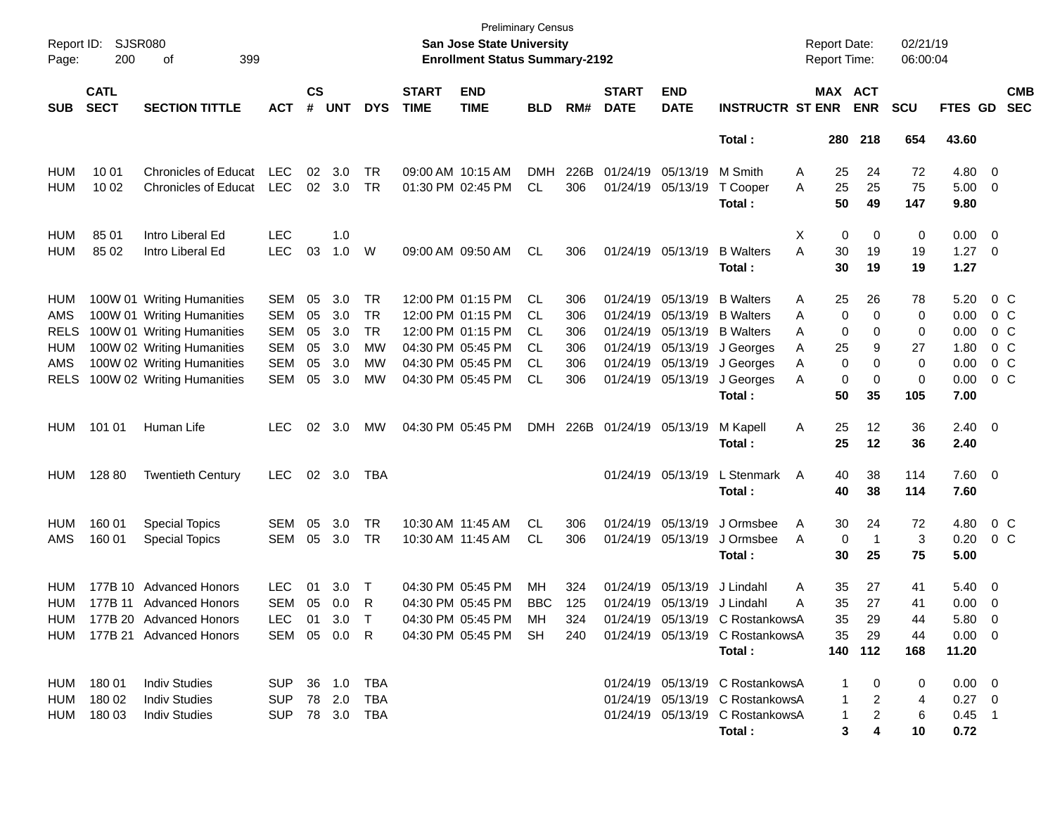| Report ID:<br>Page: | SJSR080<br>200             |                             |                |                    |            |            | <b>Preliminary Census</b><br>San Jose State University<br><b>Enrollment Status Summary-2192</b> |                           |            |      |                             |                           | <b>Report Date:</b><br><b>Report Time:</b>                                  |                  | 02/21/19<br>06:00:04  |            |                     |                         |                          |
|---------------------|----------------------------|-----------------------------|----------------|--------------------|------------|------------|-------------------------------------------------------------------------------------------------|---------------------------|------------|------|-----------------------------|---------------------------|-----------------------------------------------------------------------------|------------------|-----------------------|------------|---------------------|-------------------------|--------------------------|
| <b>SUB</b>          | <b>CATL</b><br><b>SECT</b> | <b>SECTION TITTLE</b>       | <b>ACT</b>     | $\mathsf{cs}$<br># | <b>UNT</b> | <b>DYS</b> | <b>START</b><br><b>TIME</b>                                                                     | <b>END</b><br><b>TIME</b> | <b>BLD</b> | RM#  | <b>START</b><br><b>DATE</b> | <b>END</b><br><b>DATE</b> | <b>INSTRUCTR ST ENR</b>                                                     |                  | MAX ACT<br><b>ENR</b> | <b>SCU</b> | FTES GD             |                         | <b>CMB</b><br><b>SEC</b> |
|                     |                            |                             |                |                    |            |            |                                                                                                 |                           |            |      |                             |                           | Total:                                                                      | 280              | 218                   | 654        | 43.60               |                         |                          |
| <b>HUM</b>          | 10 01                      | <b>Chronicles of Educat</b> | <b>LEC</b>     | 02                 | 3.0        | TR         |                                                                                                 | 09:00 AM 10:15 AM         | <b>DMH</b> | 226B |                             | 01/24/19 05/13/19         | M Smith                                                                     | Α<br>25          | 24                    | 72         | 4.80                | - 0                     |                          |
| <b>HUM</b>          | 10 02                      | <b>Chronicles of Educat</b> | <b>LEC</b>     |                    | 02 3.0     | TR         |                                                                                                 | 01:30 PM 02:45 PM         | CL         | 306  |                             | 01/24/19 05/13/19         | T Cooper<br>Total:                                                          | 25<br>Α<br>50    | 25<br>49              | 75<br>147  | 5.00<br>9.80        | $\overline{\mathbf{0}}$ |                          |
| <b>HUM</b>          | 85 01                      | Intro Liberal Ed            | <b>LEC</b>     |                    | 1.0        |            |                                                                                                 |                           |            |      |                             |                           |                                                                             | Х<br>0           | 0                     | 0          | 0.00                | - 0                     |                          |
| <b>HUM</b>          | 85 02                      | Intro Liberal Ed            | <b>LEC</b>     | 03                 | 1.0        | W          |                                                                                                 | 09:00 AM 09:50 AM         | CL         | 306  |                             | 01/24/19 05/13/19         | <b>B</b> Walters<br>Total :                                                 | Α<br>30<br>30    | 19<br>19              | 19<br>19   | $1.27 \t 0$<br>1.27 |                         |                          |
| HUM                 |                            | 100W 01 Writing Humanities  | <b>SEM</b>     | 05                 | 3.0        | TR         |                                                                                                 | 12:00 PM 01:15 PM         | CL.        | 306  |                             | 01/24/19 05/13/19         | <b>B</b> Walters                                                            | 25<br>Α          | 26                    | 78         | 5.20                |                         | $0\,$ C                  |
| AMS                 |                            | 100W 01 Writing Humanities  | <b>SEM</b>     | 05                 | 3.0        | TR         |                                                                                                 | 12:00 PM 01:15 PM         | CL         | 306  |                             | 01/24/19 05/13/19         | <b>B</b> Walters                                                            | Α                | 0<br>0                | 0          | 0.00                | $0\,$ C                 |                          |
| RELS                |                            | 100W 01 Writing Humanities  | <b>SEM</b>     | 05                 | 3.0        | <b>TR</b>  |                                                                                                 | 12:00 PM 01:15 PM         | CL         | 306  |                             | 01/24/19 05/13/19         | <b>B</b> Walters                                                            | 0<br>Α           | 0                     | 0          | 0.00                | $0\,$ C                 |                          |
| HUM                 |                            | 100W 02 Writing Humanities  | <b>SEM</b>     | 05                 | 3.0        | МW         |                                                                                                 | 04:30 PM 05:45 PM         | СL         | 306  |                             | 01/24/19 05/13/19         | J Georges                                                                   | 25<br>Α          | 9                     | 27         | 1.80                |                         | 0 <sup>o</sup>           |
| AMS                 |                            | 100W 02 Writing Humanities  | <b>SEM</b>     | 05                 | 3.0        | МW         |                                                                                                 | 04:30 PM 05:45 PM         | CL         | 306  |                             | 01/24/19 05/13/19         | J Georges                                                                   | 0<br>Α           | 0                     | 0          | 0.00                | 0 <sup>o</sup>          |                          |
| RELS                |                            | 100W 02 Writing Humanities  | SEM            | 05                 | 3.0        | MW         |                                                                                                 | 04:30 PM 05:45 PM         | CL         | 306  |                             | 01/24/19 05/13/19         | J Georges                                                                   | 0<br>Α           | 0                     | 0          | 0.00                | 0 <sup>o</sup>          |                          |
|                     |                            |                             |                |                    |            |            |                                                                                                 |                           |            |      |                             |                           | Total:                                                                      | 50               | 35                    | 105        | 7.00                |                         |                          |
| HUM                 | 101 01                     | Human Life                  | <b>LEC</b>     | 02                 | 3.0        | MW         |                                                                                                 | 04:30 PM 05:45 PM         | DMH        | 226B | 01/24/19 05/13/19           |                           | M Kapell                                                                    | 25<br>Α          | 12                    | 36         | $2.40 \quad 0$      |                         |                          |
|                     |                            |                             |                |                    |            |            |                                                                                                 |                           |            |      |                             |                           | Total:                                                                      | 25               | 12                    | 36         | 2.40                |                         |                          |
| HUM                 | 128 80                     | <b>Twentieth Century</b>    | <b>LEC</b>     |                    | 02 3.0     | TBA        |                                                                                                 |                           |            |      |                             | 01/24/19 05/13/19         | L Stenmark                                                                  | 40<br>A          | 38                    | 114        | $7.60 \t 0$         |                         |                          |
|                     |                            |                             |                |                    |            |            |                                                                                                 |                           |            |      |                             |                           | Total:                                                                      | 40               | 38                    | 114        | 7.60                |                         |                          |
| HUM                 | 160 01                     | <b>Special Topics</b>       | SEM            | 05                 | 3.0        | TR         |                                                                                                 | 10:30 AM 11:45 AM         | CL         | 306  |                             | 01/24/19 05/13/19         | J Ormsbee                                                                   | A<br>30          | 24                    | 72         | 4.80                | 0 <sup>o</sup>          |                          |
| AMS                 | 160 01                     | <b>Special Topics</b>       | SEM            | 05                 | 3.0        | TR         |                                                                                                 | 10:30 AM 11:45 AM         | CL         | 306  |                             | 01/24/19 05/13/19         | J Ormsbee                                                                   | $\mathbf 0$<br>A | -1                    | 3          | 0.20                | 0 <sup>o</sup>          |                          |
|                     |                            |                             |                |                    |            |            |                                                                                                 |                           |            |      |                             |                           | Total :                                                                     | 30               | 25                    | 75         | 5.00                |                         |                          |
| HUM                 |                            | 177B 10 Advanced Honors     | <b>LEC</b>     | 01                 | 3.0        | $\top$     |                                                                                                 | 04:30 PM 05:45 PM         | MН         | 324  |                             | 01/24/19 05/13/19         | J Lindahl                                                                   | Α<br>35          | 27                    | 41         | 5.40                | $\overline{0}$          |                          |
| HUM                 |                            | 177B 11 Advanced Honors     | <b>SEM</b>     | 05                 | 0.0        | R          |                                                                                                 | 04:30 PM 05:45 PM         | <b>BBC</b> | 125  |                             | 01/24/19 05/13/19         | J Lindahl                                                                   | 35<br>Α          | 27                    | 41         | 0.00                | $\overline{0}$          |                          |
| HUM                 |                            | 177B 20 Advanced Honors     | LEC            |                    | 01 3.0     | T          |                                                                                                 | 04:30 PM 05:45 PM         | MН         | 324  |                             |                           | 01/24/19 05/13/19 C RostankowsA                                             | 35               | 29                    | 44         | 5.80                | $\Omega$                |                          |
|                     |                            | HUM 177B 21 Advanced Honors |                |                    |            |            |                                                                                                 |                           |            |      |                             |                           | SEM 05 0.0 R  04:30 PM 05:45 PM SH  240  01/24/19  05/13/19  C  RostankowsA |                  | 35 29                 | 44         | $0.00 \quad 0$      |                         |                          |
|                     |                            |                             |                |                    |            |            |                                                                                                 |                           |            |      |                             |                           | Total :                                                                     |                  | 140 112               | 168        | 11.20               |                         |                          |
|                     | HUM 180 01                 | <b>Indiv Studies</b>        | SUP 36 1.0 TBA |                    |            |            |                                                                                                 |                           |            |      |                             |                           | 01/24/19 05/13/19 C RostankowsA                                             |                  | 1 0                   | 0          | $0.00 \quad 0$      |                         |                          |
|                     | HUM 180 02                 | <b>Indiv Studies</b>        | SUP 78 2.0 TBA |                    |            |            |                                                                                                 |                           |            |      |                             |                           | 01/24/19 05/13/19 C RostankowsA                                             |                  | $1 \quad 2$           | 4          | $0.27 \quad 0$      |                         |                          |
|                     | HUM 180 03                 | <b>Indiv Studies</b>        | SUP 78 3.0 TBA |                    |            |            |                                                                                                 |                           |            |      |                             |                           | 01/24/19 05/13/19 C RostankowsA                                             |                  | $1 \quad 2$           | -6         | $0.45$ 1            |                         |                          |
|                     |                            |                             |                |                    |            |            |                                                                                                 |                           |            |      |                             |                           | Total :                                                                     |                  | 4<br>$3^{\circ}$      | 10         | 0.72                |                         |                          |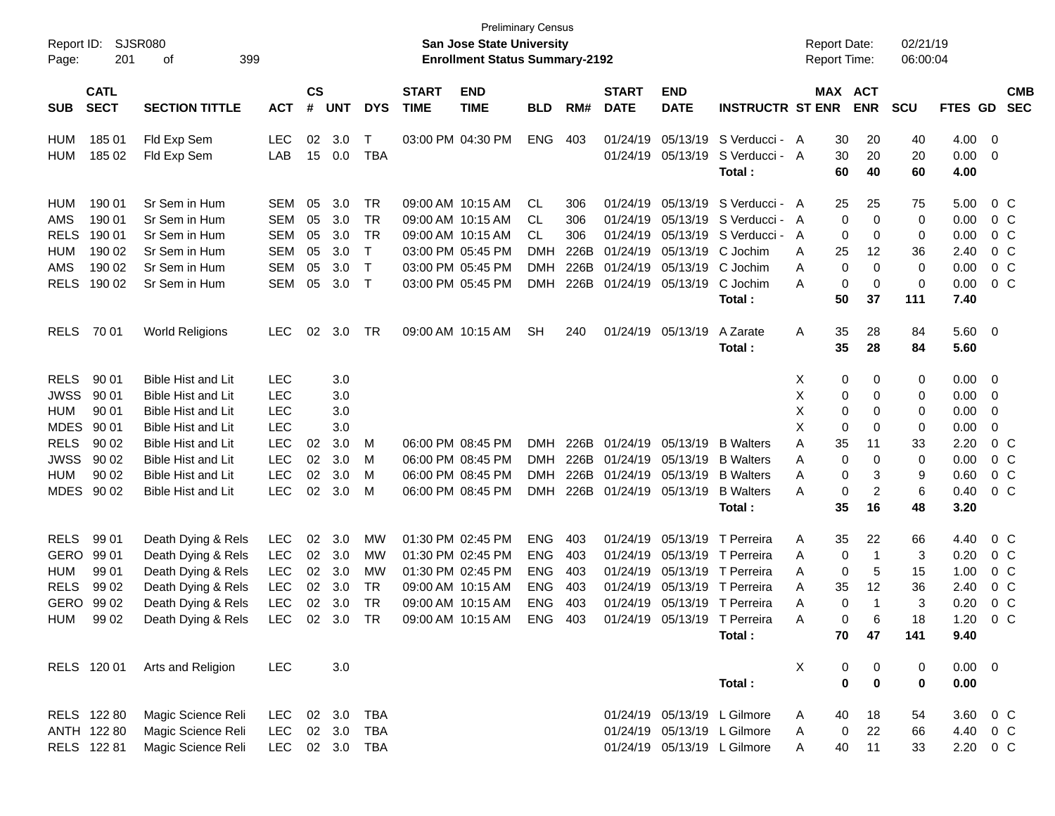| Report ID:<br>Page: | 201                        | SJSR080<br>399<br>οf      |            |                |            |            |                             | <b>San Jose State University</b><br><b>Enrollment Status Summary-2192</b> | <b>Preliminary Census</b> |      |                             |                           |                              | <b>Report Date:</b><br><b>Report Time:</b> |                       |                  | 02/21/19<br>06:00:04 |                          |                          |
|---------------------|----------------------------|---------------------------|------------|----------------|------------|------------|-----------------------------|---------------------------------------------------------------------------|---------------------------|------|-----------------------------|---------------------------|------------------------------|--------------------------------------------|-----------------------|------------------|----------------------|--------------------------|--------------------------|
| <b>SUB</b>          | <b>CATL</b><br><b>SECT</b> | <b>SECTION TITTLE</b>     | <b>ACT</b> | <b>CS</b><br># | <b>UNT</b> | <b>DYS</b> | <b>START</b><br><b>TIME</b> | <b>END</b><br><b>TIME</b>                                                 | <b>BLD</b>                | RM#  | <b>START</b><br><b>DATE</b> | <b>END</b><br><b>DATE</b> | <b>INSTRUCTR ST ENR</b>      |                                            | MAX ACT<br><b>ENR</b> | <b>SCU</b>       | FTES GD              |                          | <b>CMB</b><br><b>SEC</b> |
| HUM                 | 185 01                     | Fld Exp Sem               | <b>LEC</b> | 02             | 3.0        | $\top$     |                             | 03:00 PM 04:30 PM                                                         | <b>ENG</b>                | 403  | 01/24/19                    |                           | 05/13/19 S Verducci - A      |                                            | 30<br>20              | 40               |                      | $4.00 \ 0$               |                          |
| <b>HUM</b>          | 185 02                     | Fld Exp Sem               | LAB        | 15             | 0.0        | <b>TBA</b> |                             |                                                                           |                           |      |                             | 01/24/19 05/13/19         | S Verducci - A               |                                            | 30<br>20              | 20               |                      | $0.00 \t 0$              |                          |
|                     |                            |                           |            |                |            |            |                             |                                                                           |                           |      |                             |                           | Total :                      |                                            | 60<br>40              | 60               | 4.00                 |                          |                          |
| HUM                 | 190 01                     | Sr Sem in Hum             | SEM        | 05             | 3.0        | TR         |                             | 09:00 AM 10:15 AM                                                         | CL                        | 306  | 01/24/19                    |                           | 05/13/19 S Verducci - A      |                                            | 25<br>25              | 75               | 5.00                 |                          | 0 C                      |
| AMS                 | 190 01                     | Sr Sem in Hum             | <b>SEM</b> | 05             | 3.0        | TR         |                             | 09:00 AM 10:15 AM                                                         | CL.                       | 306  | 01/24/19                    |                           | 05/13/19 S Verducci - A      |                                            | 0                     | 0                | 0.00<br>0            |                          | 0 C                      |
| <b>RELS</b>         | 190 01                     | Sr Sem in Hum             | <b>SEM</b> | 05             | 3.0        | TR         |                             | 09:00 AM 10:15 AM                                                         | CL.                       | 306  | 01/24/19                    |                           | 05/13/19 S Verducci -        | A                                          | 0                     | 0                | 0.00<br>0            |                          | 0 C                      |
| <b>HUM</b>          | 190 02                     | Sr Sem in Hum             | <b>SEM</b> | 05             | 3.0        | $\top$     |                             | 03:00 PM 05:45 PM                                                         | <b>DMH</b>                | 226B | 01/24/19                    |                           | 05/13/19 C Jochim            | A                                          | 12<br>25              | 36               | 2.40                 |                          | $0\,C$                   |
| AMS                 | 190 02                     | Sr Sem in Hum             | <b>SEM</b> | 05             | 3.0        | $\top$     |                             | 03:00 PM 05:45 PM                                                         | <b>DMH</b>                | 226B | 01/24/19                    |                           | 05/13/19 C Jochim            | A                                          | 0                     | 0                | 0.00<br>0            |                          | 0 <sup>o</sup>           |
| <b>RELS</b>         | 190 02                     | Sr Sem in Hum             | <b>SEM</b> | 05             | 3.0        | $\top$     |                             | 03:00 PM 05:45 PM                                                         | <b>DMH</b>                | 226B | 01/24/19                    | 05/13/19                  | C Jochim                     | A                                          | 0                     | 0<br>$\mathbf 0$ | 0.00                 |                          | 0 <sup>o</sup>           |
|                     |                            |                           |            |                |            |            |                             |                                                                           |                           |      |                             |                           | Total :                      |                                            | 37<br>50              | 111              | 7.40                 |                          |                          |
| <b>RELS</b>         | 70 01                      | <b>World Religions</b>    | <b>LEC</b> | 02             | 3.0        | TR         |                             | 09:00 AM 10:15 AM                                                         | SН                        | 240  |                             | 01/24/19 05/13/19         | A Zarate                     | Α                                          | 35<br>28              | 84               |                      | 5.60 0                   |                          |
|                     |                            |                           |            |                |            |            |                             |                                                                           |                           |      |                             |                           | Total :                      |                                            | 35<br>28              | 84               | 5.60                 |                          |                          |
| <b>RELS</b>         | 90 01                      | <b>Bible Hist and Lit</b> | <b>LEC</b> |                | 3.0        |            |                             |                                                                           |                           |      |                             |                           |                              | X                                          | 0                     | 0                | 0                    | $0.00 \t 0$              |                          |
| <b>JWSS</b>         | 90 01                      | Bible Hist and Lit        | <b>LEC</b> |                | 3.0        |            |                             |                                                                           |                           |      |                             |                           |                              | X                                          | 0                     | 0                | 0.00<br>0            | $\overline{\phantom{0}}$ |                          |
| <b>HUM</b>          | 90 01                      | Bible Hist and Lit        | <b>LEC</b> |                | 3.0        |            |                             |                                                                           |                           |      |                             |                           |                              | X                                          | 0                     | 0                | 0.00<br>0            | $\overline{\mathbf{0}}$  |                          |
| <b>MDES</b>         | 90 01                      | Bible Hist and Lit        | <b>LEC</b> |                | 3.0        |            |                             |                                                                           |                           |      |                             |                           |                              | X                                          | 0                     | $\Omega$         | 0.00<br>0            | 0                        |                          |
| <b>RELS</b>         | 90 02                      | Bible Hist and Lit        | LEC        | 02             | 3.0        | M          |                             | 06:00 PM 08:45 PM                                                         | <b>DMH</b>                | 226B |                             | 01/24/19 05/13/19         | <b>B</b> Walters             | A                                          | 35<br>11              | 33               | 2.20                 |                          | 0 <sup>o</sup>           |
| <b>JWSS</b>         | 90 02                      | Bible Hist and Lit        | LEC        | 02             | 3.0        | M          |                             | 06:00 PM 08:45 PM                                                         | <b>DMH</b>                | 226B |                             |                           | 01/24/19 05/13/19 B Walters  | A                                          | 0                     | 0                | 0.00<br>0            |                          | 0 <sup>o</sup>           |
| <b>HUM</b>          | 90 02                      | Bible Hist and Lit        | <b>LEC</b> | 02             | 3.0        | M          |                             | 06:00 PM 08:45 PM                                                         | <b>DMH</b>                | 226B |                             |                           | 01/24/19 05/13/19 B Walters  | A                                          | 0                     | 3                | 0.60<br>9            |                          | 0 <sup>o</sup>           |
| <b>MDES</b>         | 90 02                      | <b>Bible Hist and Lit</b> | <b>LEC</b> |                | 02 3.0     | M          |                             | 06:00 PM 08:45 PM                                                         | <b>DMH</b>                |      | 226B 01/24/19 05/13/19      |                           | <b>B</b> Walters             | A                                          | 0                     | $\overline{2}$   | 6<br>0.40            |                          | $0\,$ C                  |
|                     |                            |                           |            |                |            |            |                             |                                                                           |                           |      |                             |                           | Total :                      |                                            | 16<br>35              | 48               | 3.20                 |                          |                          |
| <b>RELS</b>         | 99 01                      | Death Dying & Rels        | LEC        | 02             | 3.0        | MW         |                             | 01:30 PM 02:45 PM                                                         | <b>ENG</b>                | 403  |                             |                           | 01/24/19 05/13/19 T Perreira | A                                          | 22<br>35              | 66               | 4.40                 |                          | 0 C                      |
| <b>GERO</b>         | 99 01                      | Death Dying & Rels        | <b>LEC</b> |                | 02 3.0     | MW         |                             | 01:30 PM 02:45 PM                                                         | <b>ENG</b>                | 403  |                             |                           | 01/24/19 05/13/19 T Perreira | A                                          | 0<br>-1               |                  | 0.20<br>3            |                          | 0 C                      |
| <b>HUM</b>          | 99 01                      | Death Dying & Rels        | <b>LEC</b> | 02             | 3.0        | MW         |                             | 01:30 PM 02:45 PM                                                         | <b>ENG</b>                | 403  | 01/24/19                    |                           | 05/13/19 T Perreira          | A                                          | 0                     | 5<br>15          | 1.00                 |                          | $0\,$ C                  |
| <b>RELS</b>         | 99 02                      | Death Dying & Rels        | <b>LEC</b> | 02             | 3.0        | TR         |                             | 09:00 AM 10:15 AM                                                         | <b>ENG</b>                | 403  | 01/24/19                    |                           | 05/13/19 T Perreira          | A                                          | 12<br>35              | 36               | 2.40                 |                          | $0\,$ C                  |
| <b>GERO</b>         | 99 02                      | Death Dying & Rels        | LEC        | 02             | 3.0        | <b>TR</b>  |                             | 09:00 AM 10:15 AM                                                         | <b>ENG</b>                | 403  |                             |                           | 01/24/19 05/13/19 T Perreira | Α                                          | 0                     |                  | 3<br>0.20            |                          | 0 C                      |
| HUM                 | 99 02                      | Death Dying & Rels        | <b>LEC</b> |                | 02 3.0     | <b>TR</b>  |                             | 09:00 AM 10:15 AM                                                         | <b>ENG</b>                | 403  |                             |                           | 01/24/19 05/13/19 T Perreira | Α                                          | 0                     | 6<br>18          | 1.20                 |                          | 0 C                      |
|                     |                            |                           |            |                |            |            |                             |                                                                           |                           |      |                             |                           | Total:                       |                                            | 70<br>47              | 141              | 9.40                 |                          |                          |
|                     | RELS 120 01                | Arts and Religion         | <b>LEC</b> |                | 3.0        |            |                             |                                                                           |                           |      |                             |                           |                              | X                                          | 0                     | 0                | 0                    | $0.00 \t 0$              |                          |
|                     |                            |                           |            |                |            |            |                             |                                                                           |                           |      |                             |                           | Total:                       |                                            | $\mathbf 0$           | $\mathbf 0$      | $\bf{0}$<br>0.00     |                          |                          |
|                     | RELS 122 80                | Magic Science Reli        | LEC        |                | 02 3.0     | TBA        |                             |                                                                           |                           |      |                             |                           | 01/24/19 05/13/19 L Gilmore  | A                                          | 40<br>18              | 54               |                      | 3.60 0 C                 |                          |
|                     | ANTH 122 80                | Magic Science Reli        | LEC        |                | 02 3.0     | TBA        |                             |                                                                           |                           |      |                             |                           | 01/24/19 05/13/19 L Gilmore  | A                                          | 22<br>0               | 66               |                      | 4.40 0 C                 |                          |
|                     | RELS 122 81                | Magic Science Reli        | LEC 02 3.0 |                |            | TBA        |                             |                                                                           |                           |      |                             |                           | 01/24/19 05/13/19 L Gilmore  | A                                          | 40<br>11              | 33               |                      | 2.20 0 C                 |                          |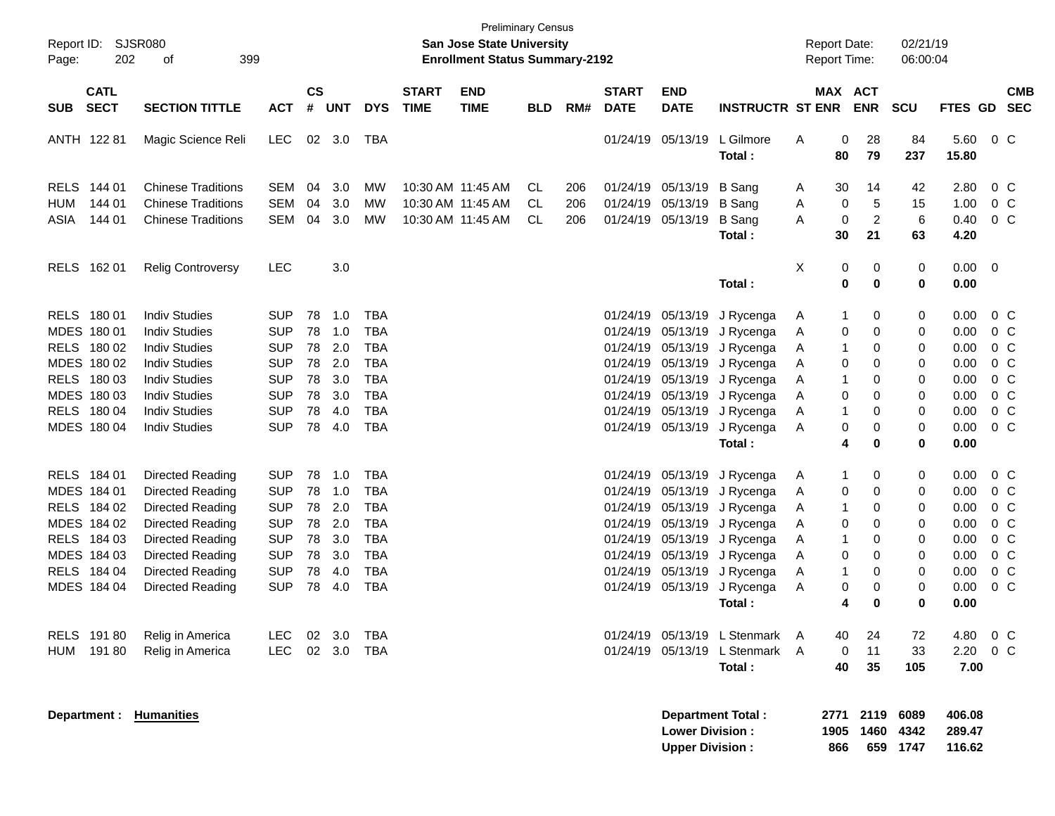| Report ID:<br>202<br>Page:                                                                            | SJSR080<br>399<br>οf                                                                                                                                                 |                                                                                                |                                        |                                               |                                                                                                |                             | <b>San Jose State University</b><br><b>Enrollment Status Summary-2192</b> | <b>Preliminary Census</b> |                   |                                  |                                                                                                                      |                                                                                         |                                 | <b>Report Date:</b><br><b>Report Time:</b> |                                           | 02/21/19<br>06:00:04                                |                                                      |                                                                                                                    |                          |
|-------------------------------------------------------------------------------------------------------|----------------------------------------------------------------------------------------------------------------------------------------------------------------------|------------------------------------------------------------------------------------------------|----------------------------------------|-----------------------------------------------|------------------------------------------------------------------------------------------------|-----------------------------|---------------------------------------------------------------------------|---------------------------|-------------------|----------------------------------|----------------------------------------------------------------------------------------------------------------------|-----------------------------------------------------------------------------------------|---------------------------------|--------------------------------------------|-------------------------------------------|-----------------------------------------------------|------------------------------------------------------|--------------------------------------------------------------------------------------------------------------------|--------------------------|
| <b>CATL</b><br><b>SECT</b><br><b>SUB</b>                                                              | <b>SECTION TITTLE</b>                                                                                                                                                | <b>ACT</b>                                                                                     | $\mathsf{cs}$<br>#                     | <b>UNT</b>                                    | <b>DYS</b>                                                                                     | <b>START</b><br><b>TIME</b> | <b>END</b><br><b>TIME</b>                                                 | <b>BLD</b>                | RM#               | <b>START</b><br><b>DATE</b>      | <b>END</b><br><b>DATE</b>                                                                                            | <b>INSTRUCTR ST ENR</b>                                                                 |                                 | MAX ACT                                    | <b>ENR</b>                                | <b>SCU</b>                                          | <b>FTES GD</b>                                       |                                                                                                                    | <b>CMB</b><br><b>SEC</b> |
| ANTH 122 81                                                                                           | Magic Science Reli                                                                                                                                                   | <b>LEC</b>                                                                                     |                                        | 02 3.0                                        | TBA                                                                                            |                             |                                                                           |                           |                   |                                  | 01/24/19 05/13/19                                                                                                    | L Gilmore<br>Total:                                                                     | Α                               | 0<br>80                                    | 28<br>79                                  | 84<br>237                                           | 5.60<br>15.80                                        | $0\,C$                                                                                                             |                          |
| RELS 144 01<br><b>HUM</b><br>144 01<br>144 01<br>ASIA                                                 | <b>Chinese Traditions</b><br><b>Chinese Traditions</b><br><b>Chinese Traditions</b>                                                                                  | <b>SEM</b><br><b>SEM</b><br><b>SEM</b>                                                         | 04<br>04<br>04                         | 3.0<br>3.0<br>3.0                             | МW<br>МW<br>MW                                                                                 |                             | 10:30 AM 11:45 AM<br>10:30 AM 11:45 AM<br>10:30 AM 11:45 AM               | CL.<br>CL.<br>CL          | 206<br>206<br>206 |                                  | 01/24/19 05/13/19<br>01/24/19 05/13/19<br>01/24/19 05/13/19                                                          | <b>B</b> Sang<br><b>B</b> Sang<br><b>B</b> Sang                                         | A<br>A<br>A                     | 30<br>0<br>$\mathbf 0$                     | 14<br>5<br>$\boldsymbol{2}$               | 42<br>15<br>6                                       | 2.80<br>1.00<br>0.40                                 | $0\,C$<br>$0\,C$<br>0 <sup>C</sup>                                                                                 |                          |
| RELS 162 01                                                                                           | <b>Relig Controversy</b>                                                                                                                                             | <b>LEC</b>                                                                                     |                                        | 3.0                                           |                                                                                                |                             |                                                                           |                           |                   |                                  |                                                                                                                      | Total:<br>Total:                                                                        | X                               | 30<br>0<br>0                               | 21<br>0<br>$\bf{0}$                       | 63<br>0<br>0                                        | 4.20<br>0.00<br>0.00                                 | - 0                                                                                                                |                          |
| RELS 180 01<br>MDES 180 01<br>RELS 180 02<br>MDES 180 02<br>RELS 180 03<br>MDES 180 03<br>RELS 180 04 | <b>Indiv Studies</b><br><b>Indiv Studies</b><br><b>Indiv Studies</b><br><b>Indiv Studies</b><br><b>Indiv Studies</b><br><b>Indiv Studies</b><br><b>Indiv Studies</b> | <b>SUP</b><br><b>SUP</b><br><b>SUP</b><br><b>SUP</b><br><b>SUP</b><br><b>SUP</b><br><b>SUP</b> | 78<br>78<br>78<br>78<br>78<br>78<br>78 | 1.0<br>1.0<br>2.0<br>2.0<br>3.0<br>3.0<br>4.0 | <b>TBA</b><br><b>TBA</b><br><b>TBA</b><br><b>TBA</b><br><b>TBA</b><br><b>TBA</b><br><b>TBA</b> |                             |                                                                           |                           |                   | 01/24/19<br>01/24/19<br>01/24/19 | 05/13/19<br>05/13/19<br>01/24/19 05/13/19<br>01/24/19 05/13/19<br>01/24/19 05/13/19<br>01/24/19 05/13/19<br>05/13/19 | J Rycenga<br>J Rycenga<br>J Rycenga<br>J Rycenga<br>J Rycenga<br>J Rycenga<br>J Rycenga | A<br>A<br>A<br>A<br>A<br>A<br>A | 1<br>0<br>1<br>0<br>1<br>0<br>1            | 0<br>0<br>0<br>0<br>0<br>$\mathbf 0$<br>0 | 0<br>0<br>0<br>0<br>0<br>$\mathbf 0$<br>$\mathbf 0$ | 0.00<br>0.00<br>0.00<br>0.00<br>0.00<br>0.00<br>0.00 | 0 <sup>C</sup><br>0 <sup>C</sup><br>$0\,C$<br>0 <sup>o</sup><br>0 <sup>o</sup><br>0 <sup>o</sup><br>0 <sup>o</sup> |                          |
| MDES 180 04                                                                                           | <b>Indiv Studies</b>                                                                                                                                                 | <b>SUP</b>                                                                                     | 78                                     | 4.0                                           | <b>TBA</b>                                                                                     |                             |                                                                           |                           |                   |                                  | 01/24/19 05/13/19                                                                                                    | J Rycenga<br>Total:                                                                     | Α                               | 0<br>4                                     | 0<br>$\bf{0}$                             | 0<br>$\mathbf 0$                                    | 0.00<br>0.00                                         | 0 <sup>o</sup>                                                                                                     |                          |
| RELS 184 01<br>MDES 184 01<br>RELS 184 02<br>MDES 184 02<br>RELS 184 03                               | Directed Reading<br>Directed Reading<br>Directed Reading<br>Directed Reading<br>Directed Reading                                                                     | <b>SUP</b><br><b>SUP</b><br><b>SUP</b><br><b>SUP</b><br><b>SUP</b>                             | 78<br>78<br>78<br>78<br>78             | 1.0<br>1.0<br>2.0<br>2.0<br>3.0               | <b>TBA</b><br><b>TBA</b><br><b>TBA</b><br><b>TBA</b><br><b>TBA</b>                             |                             |                                                                           |                           |                   |                                  | 01/24/19 05/13/19<br>01/24/19 05/13/19<br>01/24/19 05/13/19<br>01/24/19 05/13/19<br>01/24/19 05/13/19                | J Rycenga<br>J Rycenga<br>J Rycenga<br>J Rycenga<br>J Rycenga                           | A<br>A<br>A<br>A<br>A           | 1<br>0<br>1<br>0<br>1                      | 0<br>0<br>0<br>0<br>0                     | 0<br>0<br>0<br>0<br>0                               | 0.00<br>0.00<br>0.00<br>0.00<br>0.00                 | 0 <sup>C</sup><br>0 <sup>C</sup><br>0 <sup>C</sup><br>0 <sup>C</sup><br>0 <sup>C</sup>                             |                          |
| MDES 184 03<br>RELS 184 04<br>MDES 184 04                                                             | Directed Reading<br>Directed Reading<br>Directed Reading                                                                                                             | <b>SUP</b><br><b>SUP</b><br><b>SUP</b>                                                         | 78<br>78<br>78                         | 3.0<br>4.0<br>4.0                             | <b>TBA</b><br><b>TBA</b><br><b>TBA</b>                                                         |                             |                                                                           |                           |                   |                                  | 01/24/19 05/13/19<br>01/24/19 05/13/19<br>01/24/19 05/13/19                                                          | J Rycenga<br>J Rycenga<br>J Rycenga<br>Total:                                           | A<br>A<br>A                     | 0<br>1<br>0<br>4                           | $\mathbf 0$<br>0<br>0<br>0                | 0<br>0<br>0<br>0                                    | 0.00<br>0.00<br>0.00<br>0.00                         | 0 <sup>C</sup><br>0 <sup>C</sup><br>0 <sup>C</sup>                                                                 |                          |
| RELS 191 80<br>HUM 19180                                                                              | Relig in America<br>Relig in America                                                                                                                                 | <b>LEC</b><br><b>LEC</b>                                                                       | 02                                     | 3.0<br>02 3.0                                 | TBA<br>TBA                                                                                     |                             |                                                                           |                           |                   |                                  |                                                                                                                      | 01/24/19 05/13/19 L Stenmark A<br>01/24/19 05/13/19 L Stenmark A<br>Total:              |                                 | 40<br>0<br>40                              | 24<br>11<br>35                            | 72<br>33<br>105                                     | 4.80<br>2.20<br>7.00                                 | $0\,C$<br>$0\,C$                                                                                                   |                          |
| Department :                                                                                          | <b>Humanities</b>                                                                                                                                                    |                                                                                                |                                        |                                               |                                                                                                |                             |                                                                           |                           |                   |                                  | <b>Lower Division:</b><br><b>Upper Division:</b>                                                                     | <b>Department Total:</b>                                                                |                                 | 2771<br>1905<br>866                        | 2119<br>1460                              | 6089<br>4342<br>659 1747                            | 406.08<br>289.47<br>116.62                           |                                                                                                                    |                          |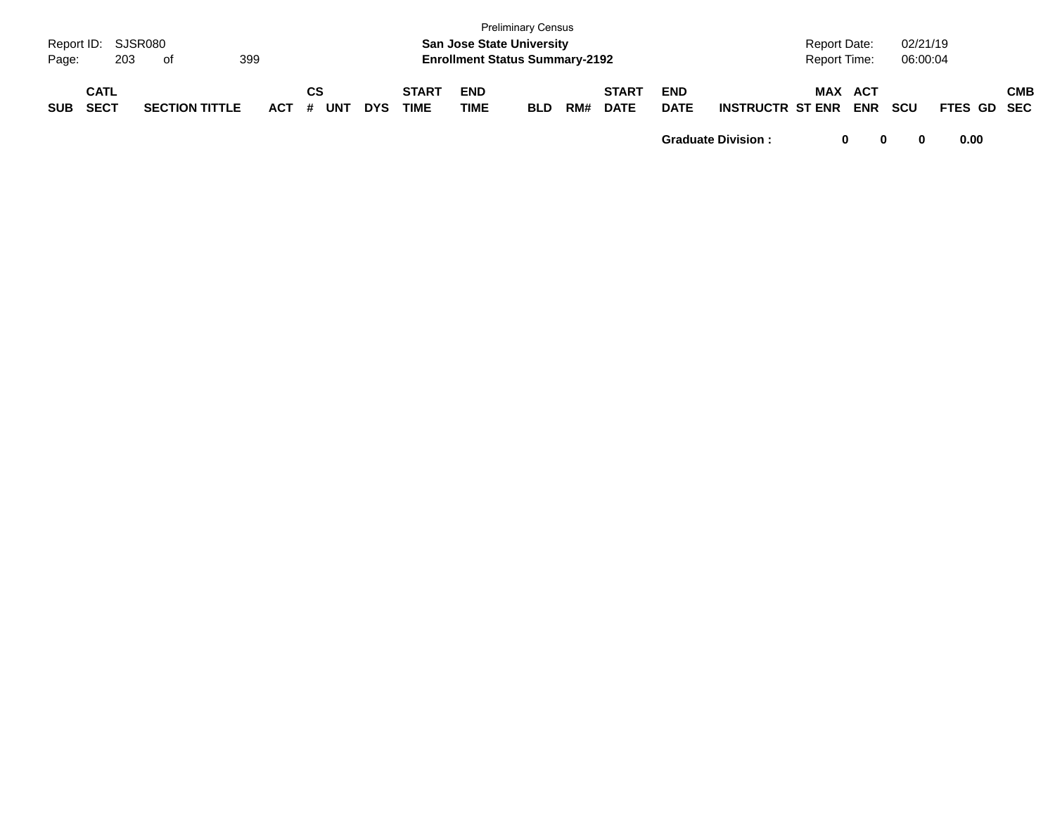| Report ID:<br>Page: | 203                        | SJSR080<br>оf         |         |                  |            | <b>San Jose State University</b><br><b>Enrollment Status Summary-2192</b> | <b>Preliminary Census</b> |            |     |                             |                           | <b>Report Date:</b><br>Report Time: |     | 02/21/19<br>06:00:04     |            |             |     |
|---------------------|----------------------------|-----------------------|---------|------------------|------------|---------------------------------------------------------------------------|---------------------------|------------|-----|-----------------------------|---------------------------|-------------------------------------|-----|--------------------------|------------|-------------|-----|
| <b>SUB</b>          | <b>CATL</b><br><b>SECT</b> | <b>SECTION TITTLE</b> | $ACT$ # | СS<br><b>UNT</b> | <b>DYS</b> | <b>START</b><br><b>TIME</b>                                               | <b>END</b><br>TIME        | <b>BLD</b> | RM# | <b>START</b><br><b>DATE</b> | <b>END</b><br><b>DATE</b> | <b>INSTRUCTR ST ENR</b>             | MAX | <b>ACT</b><br><b>ENR</b> | <b>SCU</b> | FTES GD SEC | СМВ |

**Graduate Division : 0 0 0 0.00**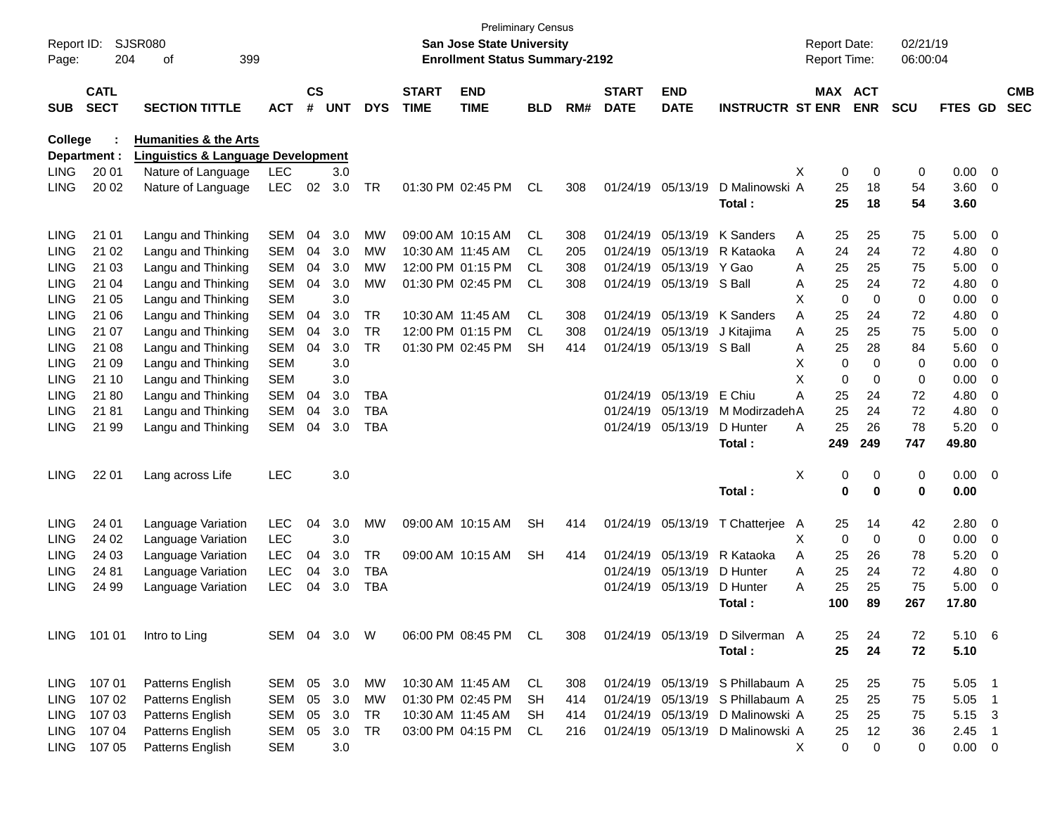| Report ID:<br>Page: | 204                        | SJSR080<br>399<br>οf                          |              |                    |            |            |                             | <b>Preliminary Census</b><br><b>San Jose State University</b><br><b>Enrollment Status Summary-2192</b> |            |     |                             |                           |                                  |   | <b>Report Date:</b><br>Report Time: |                              | 02/21/19<br>06:00:04 |                |                            |                          |
|---------------------|----------------------------|-----------------------------------------------|--------------|--------------------|------------|------------|-----------------------------|--------------------------------------------------------------------------------------------------------|------------|-----|-----------------------------|---------------------------|----------------------------------|---|-------------------------------------|------------------------------|----------------------|----------------|----------------------------|--------------------------|
| <b>SUB</b>          | <b>CATL</b><br><b>SECT</b> | <b>SECTION TITTLE</b>                         | <b>ACT</b>   | $\mathsf{cs}$<br># | <b>UNT</b> | <b>DYS</b> | <b>START</b><br><b>TIME</b> | <b>END</b><br><b>TIME</b>                                                                              | <b>BLD</b> | RM# | <b>START</b><br><b>DATE</b> | <b>END</b><br><b>DATE</b> | <b>INSTRUCTR ST ENR</b>          |   |                                     | <b>MAX ACT</b><br><b>ENR</b> | <b>SCU</b>           | <b>FTES GD</b> |                            | <b>CMB</b><br><b>SEC</b> |
| College             |                            | <b>Humanities &amp; the Arts</b>              |              |                    |            |            |                             |                                                                                                        |            |     |                             |                           |                                  |   |                                     |                              |                      |                |                            |                          |
|                     | Department :               | <b>Linguistics &amp; Language Development</b> |              |                    |            |            |                             |                                                                                                        |            |     |                             |                           |                                  |   |                                     |                              |                      |                |                            |                          |
| <b>LING</b>         | 20 01                      | Nature of Language                            | LEC          |                    | 3.0        |            |                             |                                                                                                        |            |     |                             |                           |                                  | Х | 0                                   | 0                            | 0                    | 0.00           | $\overline{\mathbf{0}}$    |                          |
| <b>LING</b>         | 20 02                      | Nature of Language                            | <b>LEC</b>   | 02                 | 3.0        | TR         |                             | 01:30 PM 02:45 PM                                                                                      | <b>CL</b>  | 308 |                             | 01/24/19 05/13/19         | D Malinowski A                   |   | 25                                  | 18                           | 54                   | 3.60           | 0                          |                          |
|                     |                            |                                               |              |                    |            |            |                             |                                                                                                        |            |     |                             |                           | Total:                           |   | 25                                  | 18                           | 54                   | 3.60           |                            |                          |
| <b>LING</b>         | 21 01                      | Langu and Thinking                            | <b>SEM</b>   | 04                 | 3.0        | МW         |                             | 09:00 AM 10:15 AM                                                                                      | CL         | 308 | 01/24/19                    | 05/13/19                  | K Sanders                        | Α | 25                                  | 25                           | 75                   | 5.00           | 0                          |                          |
| LING                | 21 02                      | Langu and Thinking                            | <b>SEM</b>   | 04                 | 3.0        | МW         |                             | 10:30 AM 11:45 AM                                                                                      | CL.        | 205 | 01/24/19                    | 05/13/19                  | R Kataoka                        | A | 24                                  | 24                           | 72                   | 4.80           | 0                          |                          |
| LING                | 21 03                      | Langu and Thinking                            | <b>SEM</b>   | 04                 | 3.0        | МW         |                             | 12:00 PM 01:15 PM                                                                                      | CL.        | 308 | 01/24/19                    | 05/13/19                  | Y Gao                            | A | 25                                  | 25                           | 75                   | 5.00           | 0                          |                          |
| LING                | 21 04                      | Langu and Thinking                            | <b>SEM</b>   | 04                 | 3.0        | МW         |                             | 01:30 PM 02:45 PM                                                                                      | CL         | 308 | 01/24/19                    | 05/13/19                  | S Ball                           | A | 25                                  | 24                           | 72                   | 4.80           | 0                          |                          |
| LING                | 21 05                      | Langu and Thinking                            | <b>SEM</b>   |                    | 3.0        |            |                             |                                                                                                        |            |     |                             |                           |                                  | Χ | $\mathbf 0$                         | $\mathbf 0$                  | 0                    | 0.00           | 0                          |                          |
| LING                | 21 06                      | Langu and Thinking                            | <b>SEM</b>   | 04                 | 3.0        | TR         |                             | 10:30 AM 11:45 AM                                                                                      | <b>CL</b>  | 308 | 01/24/19                    | 05/13/19                  | K Sanders                        | A | 25                                  | 24                           | 72                   | 4.80           | 0                          |                          |
| LING                | 21 07                      | Langu and Thinking                            | <b>SEM</b>   | 04                 | 3.0        | <b>TR</b>  |                             | 12:00 PM 01:15 PM                                                                                      | CL         | 308 | 01/24/19                    | 05/13/19                  | J Kitajima                       | A | 25                                  | 25                           | 75                   | 5.00           | 0                          |                          |
| LING                | 21 08                      | Langu and Thinking                            | <b>SEM</b>   | 04                 | 3.0        | <b>TR</b>  |                             | 01:30 PM 02:45 PM                                                                                      | <b>SH</b>  | 414 | 01/24/19                    | 05/13/19 S Ball           |                                  | Α | 25                                  | 28                           | 84                   | 5.60           | 0                          |                          |
| LING                | 21 09                      | Langu and Thinking                            | <b>SEM</b>   |                    | 3.0        |            |                             |                                                                                                        |            |     |                             |                           |                                  | X | $\mathbf 0$                         | $\mathbf 0$                  | 0                    | 0.00           | 0                          |                          |
| LING                | 21 10                      | Langu and Thinking                            | <b>SEM</b>   |                    | 3.0        |            |                             |                                                                                                        |            |     |                             |                           |                                  | X | $\mathbf 0$                         | 0                            | 0                    | 0.00           | 0                          |                          |
| LING                | 21 80                      | Langu and Thinking                            | <b>SEM</b>   | 04                 | 3.0        | <b>TBA</b> |                             |                                                                                                        |            |     | 01/24/19                    | 05/13/19                  | E Chiu                           | Α | 25                                  | 24                           | 72                   | 4.80           | 0                          |                          |
| LING                | 2181                       | Langu and Thinking                            | <b>SEM</b>   | 04                 | 3.0        | <b>TBA</b> |                             |                                                                                                        |            |     | 01/24/19                    | 05/13/19                  | M ModirzadehA                    |   | 25                                  | 24                           | 72                   | 4.80           | 0                          |                          |
| <b>LING</b>         | 21 99                      | Langu and Thinking                            | SEM          | 04                 | 3.0        | <b>TBA</b> |                             |                                                                                                        |            |     | 01/24/19                    | 05/13/19                  | D Hunter                         | A | 25                                  | 26                           | 78                   | 5.20           | 0                          |                          |
|                     |                            |                                               |              |                    |            |            |                             |                                                                                                        |            |     |                             |                           | Total:                           |   | 249                                 | 249                          | 747                  | 49.80          |                            |                          |
| <b>LING</b>         | 22 01                      | Lang across Life                              | <b>LEC</b>   |                    | 3.0        |            |                             |                                                                                                        |            |     |                             |                           |                                  | X | 0                                   | 0                            | 0                    | 0.00           | $\overline{\phantom{0}}$   |                          |
|                     |                            |                                               |              |                    |            |            |                             |                                                                                                        |            |     |                             |                           | Total:                           |   | $\mathbf 0$                         | $\mathbf 0$                  | 0                    | 0.00           |                            |                          |
| <b>LING</b>         | 24 01                      | Language Variation                            | <b>LEC</b>   | 04                 | 3.0        | MW         |                             | 09:00 AM 10:15 AM                                                                                      | <b>SH</b>  | 414 |                             | 01/24/19 05/13/19         | T Chatterjee                     | A | 25                                  | 14                           | 42                   | 2.80           | 0                          |                          |
| <b>LING</b>         | 24 02                      | Language Variation                            | <b>LEC</b>   |                    | 3.0        |            |                             |                                                                                                        |            |     |                             |                           |                                  | х | $\mathbf 0$                         | $\mathbf 0$                  | 0                    | 0.00           | 0                          |                          |
| <b>LING</b>         | 24 03                      | Language Variation                            | <b>LEC</b>   | 04                 | 3.0        | TR         |                             | 09:00 AM 10:15 AM                                                                                      | <b>SH</b>  | 414 | 01/24/19                    | 05/13/19                  | R Kataoka                        | A | 25                                  | 26                           | 78                   | 5.20           | 0                          |                          |
| LING                | 24 81                      | Language Variation                            | LEC          | 04                 | 3.0        | <b>TBA</b> |                             |                                                                                                        |            |     | 01/24/19                    | 05/13/19                  | D Hunter                         | A | 25                                  | 24                           | 72                   | 4.80           | 0                          |                          |
| <b>LING</b>         | 24 99                      | Language Variation                            | <b>LEC</b>   | 04                 | 3.0        | <b>TBA</b> |                             |                                                                                                        |            |     |                             | 01/24/19 05/13/19         | D Hunter                         | A | 25                                  | 25                           | 75                   | 5.00           | 0                          |                          |
|                     |                            |                                               |              |                    |            |            |                             |                                                                                                        |            |     |                             |                           | Total :                          |   | 100                                 | 89                           | 267                  | 17.80          |                            |                          |
|                     | LING 101 01                | Intro to Ling                                 | SEM 04 3.0 W |                    |            |            |                             | 06:00 PM 08:45 PM CL                                                                                   |            | 308 |                             |                           | 01/24/19 05/13/19 D Silverman A  |   | 25                                  | 24                           | 72                   | 5.10 6         |                            |                          |
|                     |                            |                                               |              |                    |            |            |                             |                                                                                                        |            |     |                             |                           | Total:                           |   | 25                                  | 24                           | 72                   | 5.10           |                            |                          |
|                     | LING 107 01                | Patterns English                              | SEM 05 3.0   |                    |            | МW         |                             | 10:30 AM 11:45 AM                                                                                      | CL         | 308 |                             |                           | 01/24/19 05/13/19 S Phillabaum A |   | 25                                  | 25                           | 75                   | 5.05           | $\blacksquare$             |                          |
| <b>LING</b>         | 107 02                     | Patterns English                              | SEM          | 05                 | 3.0        | <b>MW</b>  |                             | 01:30 PM 02:45 PM                                                                                      | <b>SH</b>  | 414 |                             |                           | 01/24/19 05/13/19 S Phillabaum A |   | 25                                  | 25                           | 75                   | 5.05           | - 1                        |                          |
| LING                | 107 03                     | Patterns English                              | SEM          | 05                 | 3.0        | <b>TR</b>  |                             | 10:30 AM 11:45 AM                                                                                      | <b>SH</b>  | 414 |                             |                           | 01/24/19 05/13/19 D Malinowski A |   | 25                                  | 25                           | 75                   | 5.15 3         |                            |                          |
|                     | LING 107 04                | Patterns English                              | SEM          | 05                 | 3.0        | TR         |                             | 03:00 PM 04:15 PM                                                                                      | CL         | 216 |                             |                           | 01/24/19 05/13/19 D Malinowski A |   | 25                                  | 12                           | 36                   | 2.45           | $\overline{\phantom{0}}$ 1 |                          |
|                     | LING 107 05                | Patterns English                              | <b>SEM</b>   |                    | 3.0        |            |                             |                                                                                                        |            |     |                             |                           |                                  | X | $\pmb{0}$                           | 0                            | 0                    | $0.00 \t 0$    |                            |                          |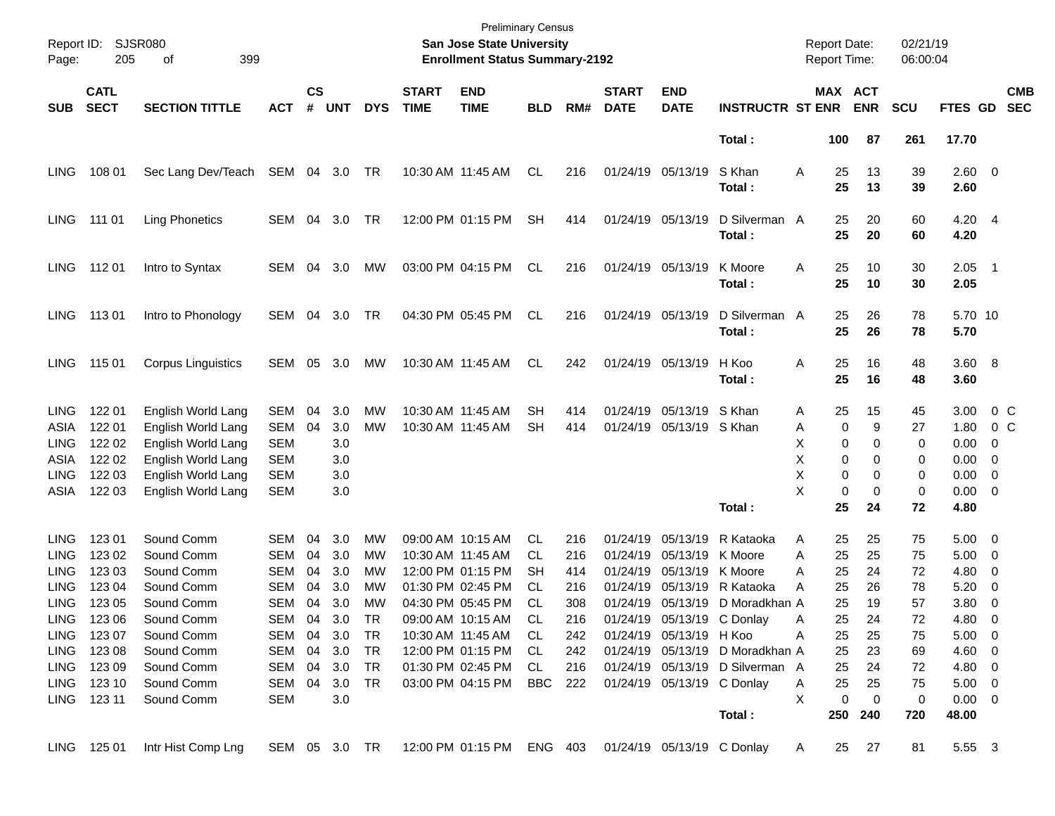| Report ID:<br>Page:                                               | 205                                                                                                                                      | SJSR080<br>399<br>οf                                                                                                                                   |                                                                                                              |                                              |                                                                                 |                                                                 |                             | <b>Preliminary Census</b><br>San Jose State University<br><b>Enrollment Status Summary-2192</b>                                                                                                                |                                                                          |                                                                    |                                              |                                                                                                                                                          |                                                                                                                                               | <b>Report Date:</b><br>Report Time:                                                                                  |                                                                      | 02/21/19<br>06:00:04                                                 |                                                                                                                       |                                                                       |                          |
|-------------------------------------------------------------------|------------------------------------------------------------------------------------------------------------------------------------------|--------------------------------------------------------------------------------------------------------------------------------------------------------|--------------------------------------------------------------------------------------------------------------|----------------------------------------------|---------------------------------------------------------------------------------|-----------------------------------------------------------------|-----------------------------|----------------------------------------------------------------------------------------------------------------------------------------------------------------------------------------------------------------|--------------------------------------------------------------------------|--------------------------------------------------------------------|----------------------------------------------|----------------------------------------------------------------------------------------------------------------------------------------------------------|-----------------------------------------------------------------------------------------------------------------------------------------------|----------------------------------------------------------------------------------------------------------------------|----------------------------------------------------------------------|----------------------------------------------------------------------|-----------------------------------------------------------------------------------------------------------------------|-----------------------------------------------------------------------|--------------------------|
| <b>SUB</b>                                                        | <b>CATL</b><br><b>SECT</b>                                                                                                               | <b>SECTION TITTLE</b>                                                                                                                                  | <b>ACT</b>                                                                                                   | <b>CS</b><br>#                               | <b>UNT</b>                                                                      | <b>DYS</b>                                                      | <b>START</b><br><b>TIME</b> | <b>END</b><br><b>TIME</b>                                                                                                                                                                                      | <b>BLD</b>                                                               | RM#                                                                | <b>START</b><br><b>DATE</b>                  | <b>END</b><br><b>DATE</b>                                                                                                                                | <b>INSTRUCTR ST ENR</b>                                                                                                                       | <b>MAX ACT</b>                                                                                                       | <b>ENR</b>                                                           | <b>SCU</b>                                                           | FTES GD                                                                                                               |                                                                       | <b>CMB</b><br><b>SEC</b> |
|                                                                   |                                                                                                                                          |                                                                                                                                                        |                                                                                                              |                                              |                                                                                 |                                                                 |                             |                                                                                                                                                                                                                |                                                                          |                                                                    |                                              |                                                                                                                                                          | Total:                                                                                                                                        | 100                                                                                                                  | 87                                                                   | 261                                                                  | 17.70                                                                                                                 |                                                                       |                          |
| <b>LING</b>                                                       | 108 01                                                                                                                                   | Sec Lang Dev/Teach                                                                                                                                     | SEM                                                                                                          |                                              | 04 3.0                                                                          | TR                                                              |                             | 10:30 AM 11:45 AM                                                                                                                                                                                              | CL                                                                       | 216                                                                |                                              | 01/24/19 05/13/19                                                                                                                                        | S Khan<br>Total:                                                                                                                              | Α<br>25<br>25                                                                                                        | 13<br>13                                                             | 39<br>39                                                             | 2.60 0<br>2.60                                                                                                        |                                                                       |                          |
| <b>LING</b>                                                       | 111 01                                                                                                                                   | <b>Ling Phonetics</b>                                                                                                                                  | <b>SEM</b>                                                                                                   | 04                                           | 3.0                                                                             | TR                                                              |                             | 12:00 PM 01:15 PM                                                                                                                                                                                              | <b>SH</b>                                                                | 414                                                                |                                              | 01/24/19 05/13/19                                                                                                                                        | D Silverman A<br>Total:                                                                                                                       | 25<br>25                                                                                                             | 20<br>20                                                             | 60<br>60                                                             | $4.20 \quad 4$<br>4.20                                                                                                |                                                                       |                          |
| <b>LING</b>                                                       | 112 01                                                                                                                                   | Intro to Syntax                                                                                                                                        | <b>SEM</b>                                                                                                   | 04                                           | 3.0                                                                             | MW                                                              |                             | 03:00 PM 04:15 PM                                                                                                                                                                                              | CL                                                                       | 216                                                                |                                              | 01/24/19 05/13/19                                                                                                                                        | K Moore<br>Total:                                                                                                                             | Α<br>25<br>25                                                                                                        | 10<br>10                                                             | 30<br>30                                                             | 2.05<br>2.05                                                                                                          | - 1                                                                   |                          |
| <b>LING</b>                                                       | 11301                                                                                                                                    | Intro to Phonology                                                                                                                                     | <b>SEM</b>                                                                                                   | 04                                           | 3.0                                                                             | TR                                                              |                             | 04:30 PM 05:45 PM                                                                                                                                                                                              | CL                                                                       | 216                                                                |                                              | 01/24/19 05/13/19                                                                                                                                        | D Silverman A<br>Total:                                                                                                                       | 25<br>25                                                                                                             | 26<br>26                                                             | 78<br>78                                                             | 5.70 10<br>5.70                                                                                                       |                                                                       |                          |
| <b>LING</b>                                                       | 115 01                                                                                                                                   | <b>Corpus Linguistics</b>                                                                                                                              | <b>SEM</b>                                                                                                   | 05                                           | 3.0                                                                             | MW                                                              |                             | 10:30 AM 11:45 AM                                                                                                                                                                                              | CL                                                                       | 242                                                                |                                              | 01/24/19 05/13/19                                                                                                                                        | H Koo<br>Total:                                                                                                                               | 25<br>Α<br>25                                                                                                        | 16<br>16                                                             | 48<br>48                                                             | 3.60 8<br>3.60                                                                                                        |                                                                       |                          |
| <b>LING</b><br>ASIA<br><b>LING</b><br>ASIA<br><b>LING</b><br>ASIA | 122 01<br>122 01<br>122 02<br>122 02<br>122 03<br>122 03                                                                                 | English World Lang<br>English World Lang<br>English World Lang<br>English World Lang<br>English World Lang<br>English World Lang                       | <b>SEM</b><br><b>SEM</b><br><b>SEM</b><br><b>SEM</b><br><b>SEM</b><br><b>SEM</b>                             | 04<br>04                                     | 3.0<br>3.0<br>3.0<br>3.0<br>3.0<br>3.0                                          | MW<br><b>MW</b>                                                 |                             | 10:30 AM 11:45 AM<br>10:30 AM 11:45 AM                                                                                                                                                                         | SН<br><b>SH</b>                                                          | 414<br>414                                                         |                                              | 01/24/19 05/13/19<br>01/24/19 05/13/19 S Khan                                                                                                            | S Khan<br>Total:                                                                                                                              | 25<br>Α<br>0<br>Α<br>Х<br>0<br>X<br>0<br>Χ<br>0<br>X<br>0<br>25                                                      | 15<br>9<br>0<br>0<br>0<br>0<br>24                                    | 45<br>27<br>0<br>0<br>0<br>0<br>72                                   | 3.00<br>1.80<br>0.00<br>0.00<br>0.00<br>0.00<br>4.80                                                                  | $0\,$ C<br>0 <sup>o</sup><br>-0<br>0<br>0<br>$\overline{\phantom{0}}$ |                          |
| <b>LING</b><br><b>LING</b><br><b>LING</b><br>LING<br><b>LING</b>  | 123 01<br>123 02<br>123 03<br>123 04<br>123 05<br>LING 123 06<br>LING 123 07<br>LING 123 08<br>LING 123 09<br>LING 123 10<br>LING 123 11 | Sound Comm<br>Sound Comm<br>Sound Comm<br>Sound Comm<br>Sound Comm<br>Sound Comm<br>Sound Comm<br>Sound Comm<br>Sound Comm<br>Sound Comm<br>Sound Comm | SEM<br>SEM<br><b>SEM</b><br>SEM<br><b>SEM</b><br>SEM<br>SEM<br><b>SEM</b><br>SEM<br><b>SEM</b><br><b>SEM</b> | 04<br>04<br>04<br>04<br>04<br>04<br>04<br>04 | 3.0<br>3.0<br>3.0<br>3.0<br>3.0<br>3.0<br>3.0<br>04 3.0<br>04 3.0<br>3.0<br>3.0 | MW<br>MW<br>MW<br>МW<br>MW<br><b>TR</b><br>TR<br>TR<br>TR<br>TR |                             | 09:00 AM 10:15 AM<br>10:30 AM 11:45 AM<br>12:00 PM 01:15 PM<br>01:30 PM 02:45 PM<br>04:30 PM 05:45 PM<br>09:00 AM 10:15 AM<br>10:30 AM 11:45 AM<br>12:00 PM 01:15 PM<br>01:30 PM 02:45 PM<br>03:00 PM 04:15 PM | СL<br>СL<br>SН<br>СL<br><b>CL</b><br>CL<br>CL.<br>CL<br>CL<br><b>BBC</b> | 216<br>216<br>414<br>216<br>308<br>216<br>242<br>242<br>216<br>222 | 01/24/19<br>01/24/19<br>01/24/19<br>01/24/19 | 05/13/19<br>05/13/19<br>05/13/19<br>05/13/19<br>01/24/19 05/13/19<br>01/24/19 05/13/19 C Donlay<br>01/24/19 05/13/19 H Koo<br>01/24/19 05/13/19 C Donlay | R Kataoka<br>K Moore<br>K Moore<br>R Kataoka<br>D Moradkhan A<br>01/24/19 05/13/19 D Moradkhan A<br>01/24/19 05/13/19 D Silverman A<br>Total: | 25<br>Α<br>25<br>Α<br>25<br>Α<br>25<br>А<br>25<br>25<br>Α<br>25<br>Α<br>25<br>25<br>25<br>Α<br>$\pmb{0}$<br>Χ<br>250 | 25<br>25<br>24<br>26<br>19<br>24<br>25<br>23<br>24<br>25<br>0<br>240 | 75<br>75<br>72<br>78<br>57<br>72<br>75<br>69<br>72<br>75<br>0<br>720 | 5.00<br>5.00<br>4.80<br>5.20<br>3.80<br>4.80 0<br>5.00 0<br>$4.60$ 0<br>4.80 0<br>$5.00 \t 0$<br>$0.00 \t 0$<br>48.00 | $\overline{\phantom{0}}$<br>$\overline{\mathbf{0}}$<br>0<br>0<br>- 0  |                          |
|                                                                   | LING 125 01                                                                                                                              | Intr Hist Comp Lng                                                                                                                                     | SEM 05 3.0 TR                                                                                                |                                              |                                                                                 |                                                                 |                             | 12:00 PM 01:15 PM ENG 403                                                                                                                                                                                      |                                                                          |                                                                    |                                              | 01/24/19 05/13/19 C Donlay                                                                                                                               |                                                                                                                                               | 25<br>A                                                                                                              | 27                                                                   | 81                                                                   | 5.55 3                                                                                                                |                                                                       |                          |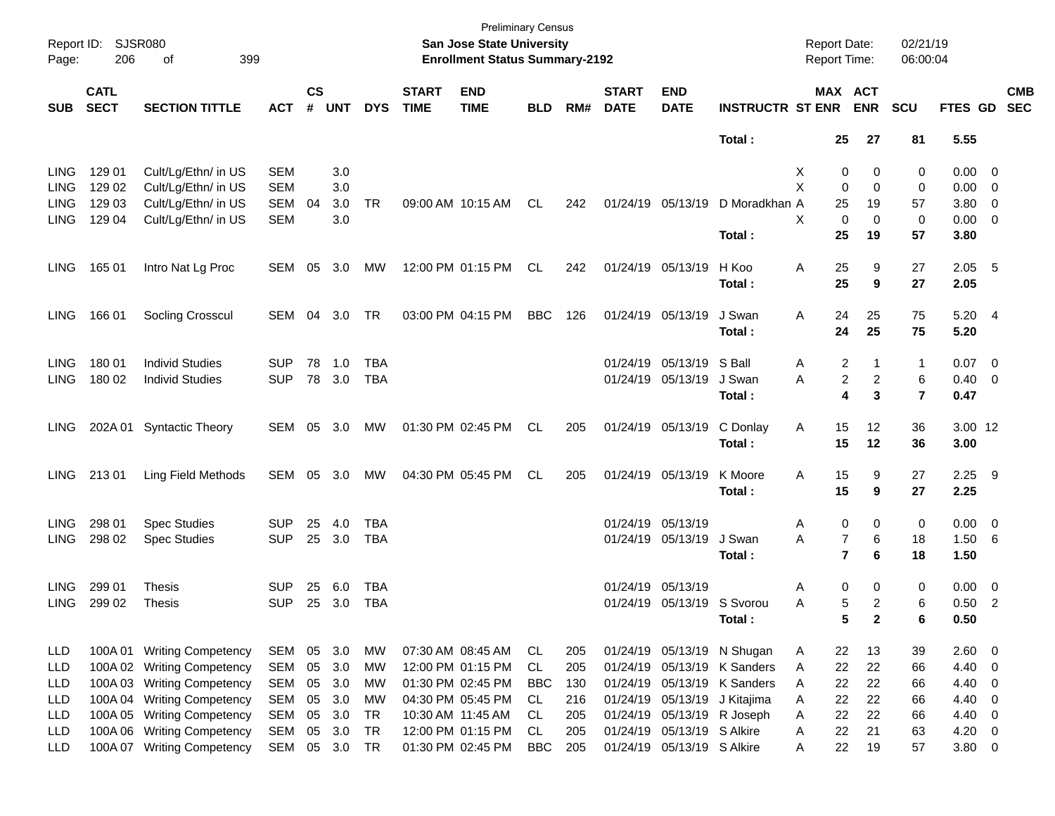| Report ID:<br>Page: | <b>SJSR080</b><br>206      | 399<br>οf                  |            |                    |            |            |                             | <b>Preliminary Census</b><br><b>San Jose State University</b><br><b>Enrollment Status Summary-2192</b> |            |     |                             |                            |                              | <b>Report Date:</b><br>Report Time: |                                             | 02/21/19<br>06:00:04 |                |                          |                          |
|---------------------|----------------------------|----------------------------|------------|--------------------|------------|------------|-----------------------------|--------------------------------------------------------------------------------------------------------|------------|-----|-----------------------------|----------------------------|------------------------------|-------------------------------------|---------------------------------------------|----------------------|----------------|--------------------------|--------------------------|
| <b>SUB</b>          | <b>CATL</b><br><b>SECT</b> | <b>SECTION TITTLE</b>      | <b>ACT</b> | $\mathsf{cs}$<br># | <b>UNT</b> | <b>DYS</b> | <b>START</b><br><b>TIME</b> | <b>END</b><br><b>TIME</b>                                                                              | <b>BLD</b> | RM# | <b>START</b><br><b>DATE</b> | <b>END</b><br><b>DATE</b>  | <b>INSTRUCTR ST ENR</b>      |                                     | MAX ACT<br><b>ENR</b>                       | <b>SCU</b>           | FTES GD        |                          | <b>CMB</b><br><b>SEC</b> |
|                     |                            |                            |            |                    |            |            |                             |                                                                                                        |            |     |                             |                            | Total:                       | 25                                  | 27                                          | 81                   | 5.55           |                          |                          |
| <b>LING</b>         | 129 01                     | Cult/Lg/Ethn/ in US        | <b>SEM</b> |                    | 3.0        |            |                             |                                                                                                        |            |     |                             |                            |                              | х                                   | 0<br>0                                      | 0                    | $0.00 \t 0$    |                          |                          |
| LING                | 129 02                     | Cult/Lg/Ethn/ in US        | <b>SEM</b> |                    | 3.0        |            |                             |                                                                                                        |            |     |                             |                            |                              | X                                   | $\mathbf 0$<br>$\mathbf 0$                  | 0                    | $0.00 \t 0$    |                          |                          |
| LING                | 129 03                     | Cult/Lg/Ethn/ in US        | <b>SEM</b> | 04                 | 3.0        | <b>TR</b>  |                             | 09:00 AM 10:15 AM                                                                                      | CL         | 242 |                             | 01/24/19 05/13/19          | D Moradkhan A                | 25                                  | 19                                          | 57                   | 3.80 0         |                          |                          |
| LING                | 129 04                     | Cult/Lg/Ethn/ in US        | <b>SEM</b> |                    | 3.0        |            |                             |                                                                                                        |            |     |                             |                            |                              | X                                   | $\Omega$<br>$\mathbf 0$                     | 0                    | $0.00 \t 0$    |                          |                          |
|                     |                            |                            |            |                    |            |            |                             |                                                                                                        |            |     |                             |                            | Total:                       | 25                                  | 19                                          | 57                   | 3.80           |                          |                          |
| LING.               | 165 01                     | Intro Nat Lg Proc          | SEM        | 05                 | 3.0        | МW         |                             | 12:00 PM 01:15 PM                                                                                      | CL         | 242 |                             | 01/24/19 05/13/19          | H Koo                        | 25<br>Α                             | 9                                           | 27                   | $2.05$ 5       |                          |                          |
|                     |                            |                            |            |                    |            |            |                             |                                                                                                        |            |     |                             |                            | Total:                       | 25                                  | 9                                           | 27                   | 2.05           |                          |                          |
| <b>LING</b>         | 166 01                     | Socling Crosscul           | SEM        | 04                 | 3.0        | TR         |                             | 03:00 PM 04:15 PM                                                                                      | <b>BBC</b> | 126 |                             | 01/24/19 05/13/19          | J Swan                       | Α<br>24                             | 25                                          | 75                   | 5.204          |                          |                          |
|                     |                            |                            |            |                    |            |            |                             |                                                                                                        |            |     |                             |                            | Total:                       | 24                                  | 25                                          | 75                   | 5.20           |                          |                          |
| <b>LING</b>         | 180 01                     | <b>Individ Studies</b>     | <b>SUP</b> | 78                 | 1.0        | TBA        |                             |                                                                                                        |            |     |                             | 01/24/19 05/13/19 S Ball   |                              | Α                                   | 2<br>1                                      | 1                    | $0.07$ 0       |                          |                          |
| <b>LING</b>         | 180 02                     | <b>Individ Studies</b>     | <b>SUP</b> |                    | 78 3.0     | <b>TBA</b> |                             |                                                                                                        |            |     |                             | 01/24/19 05/13/19          | J Swan                       | A                                   | $\boldsymbol{2}$<br>$\overline{\mathbf{c}}$ | 6                    | $0.40 \quad 0$ |                          |                          |
|                     |                            |                            |            |                    |            |            |                             |                                                                                                        |            |     |                             |                            | Total:                       |                                     | 3<br>4                                      | $\overline{7}$       | 0.47           |                          |                          |
| <b>LING</b>         | 202A 01                    | <b>Syntactic Theory</b>    | SEM 05     |                    | 3.0        | МW         | 01:30 PM 02:45 PM           |                                                                                                        | CL         | 205 |                             | 01/24/19 05/13/19          | C Donlay                     | 15<br>Α                             | 12                                          | 36                   | 3.00 12        |                          |                          |
|                     |                            |                            |            |                    |            |            |                             |                                                                                                        |            |     |                             |                            | Total:                       | 15                                  | 12                                          | 36                   | 3.00           |                          |                          |
| LING.               | 21301                      | Ling Field Methods         | SEM        | 05                 | 3.0        | МW         |                             | 04:30 PM 05:45 PM                                                                                      | CL         | 205 |                             | 01/24/19 05/13/19          | K Moore                      | 15<br>Α                             | 9                                           | 27                   | $2.25$ 9       |                          |                          |
|                     |                            |                            |            |                    |            |            |                             |                                                                                                        |            |     |                             |                            | Total:                       | 15                                  | 9                                           | 27                   | 2.25           |                          |                          |
| <b>LING</b>         | 298 01                     | <b>Spec Studies</b>        | <b>SUP</b> | 25                 | 4.0        | TBA        |                             |                                                                                                        |            |     | 01/24/19 05/13/19           |                            |                              | Α                                   | $\mathbf 0$<br>0                            | 0                    | $0.00 \t 0$    |                          |                          |
| <b>LING</b>         | 298 02                     | <b>Spec Studies</b>        | <b>SUP</b> | 25                 | 3.0        | <b>TBA</b> |                             |                                                                                                        |            |     |                             | 01/24/19 05/13/19          | J Swan                       | Α                                   | $\overline{7}$<br>6                         | 18                   | 1.506          |                          |                          |
|                     |                            |                            |            |                    |            |            |                             |                                                                                                        |            |     |                             |                            | Total:                       |                                     | $\overline{7}$<br>6                         | 18                   | 1.50           |                          |                          |
| <b>LING</b>         | 299 01                     | Thesis                     | <b>SUP</b> | 25                 | 6.0        | <b>TBA</b> |                             |                                                                                                        |            |     | 01/24/19 05/13/19           |                            |                              | Α                                   | 0<br>0                                      | 0                    | $0.00 \t 0$    |                          |                          |
| LING                | 299 02                     | <b>Thesis</b>              | <b>SUP</b> | 25                 | 3.0        | <b>TBA</b> |                             |                                                                                                        |            |     |                             | 01/24/19 05/13/19 S Svorou |                              | Α                                   | 5<br>2                                      | 6                    | $0.50$ 2       |                          |                          |
|                     |                            |                            |            |                    |            |            |                             |                                                                                                        |            |     |                             |                            | Total:                       |                                     | 5<br>$\mathbf{2}$                           | 6                    | 0.50           |                          |                          |
| LLD                 | 100A 01                    | <b>Writing Competency</b>  | SEM        |                    | 05 3.0     | МW         |                             | 07:30 AM 08:45 AM                                                                                      | CL         | 205 |                             |                            | 01/24/19 05/13/19 N Shugan   | 22<br>A                             | 13                                          | 39                   | 2.60 0         |                          |                          |
| LLD                 | 100A 02                    | <b>Writing Competency</b>  | SEM        | 05                 | 3.0        | МW         |                             | 12:00 PM 01:15 PM                                                                                      | CL.        | 205 |                             |                            | 01/24/19 05/13/19 K Sanders  | 22<br>Α                             | 22                                          | 66                   | 4.40           | $\overline{\phantom{0}}$ |                          |
| <b>LLD</b>          | 100A03                     | <b>Writing Competency</b>  | SEM        |                    | 05 3.0     | MW         |                             | 01:30 PM 02:45 PM                                                                                      | <b>BBC</b> | 130 |                             |                            | 01/24/19 05/13/19 K Sanders  | 22<br>Α                             | 22                                          | 66                   | 4.40           | $\overline{\phantom{0}}$ |                          |
| <b>LLD</b>          | 100A 04                    | <b>Writing Competency</b>  | SEM        |                    | 05 3.0     | МW         |                             | 04:30 PM 05:45 PM                                                                                      | CL         | 216 |                             |                            | 01/24/19 05/13/19 J Kitajima | 22<br>Α                             | 22                                          | 66                   | 4.40           | $\overline{\mathbf{0}}$  |                          |
| LLD                 | 100A 05                    | <b>Writing Competency</b>  | SEM        | 05                 | 3.0        | <b>TR</b>  |                             | 10:30 AM 11:45 AM                                                                                      | CL         | 205 |                             | 01/24/19 05/13/19 R Joseph |                              | 22<br>Α                             | 22                                          | 66                   | 4.40           | $\overline{\phantom{0}}$ |                          |
| <b>LLD</b>          | 100A06                     | <b>Writing Competency</b>  | SEM        | 05                 | 3.0        | <b>TR</b>  |                             | 12:00 PM 01:15 PM                                                                                      | <b>CL</b>  | 205 |                             | 01/24/19 05/13/19 S Alkire |                              | 22<br>Α                             | 21                                          | 63                   | 4.20           | $\overline{\phantom{0}}$ |                          |
| LLD                 |                            | 100A 07 Writing Competency | SEM        |                    | 05 3.0     | TR         |                             | 01:30 PM 02:45 PM                                                                                      | <b>BBC</b> | 205 |                             | 01/24/19 05/13/19 S Alkire |                              | 22<br>Α                             | 19                                          | 57                   | 3.80 0         |                          |                          |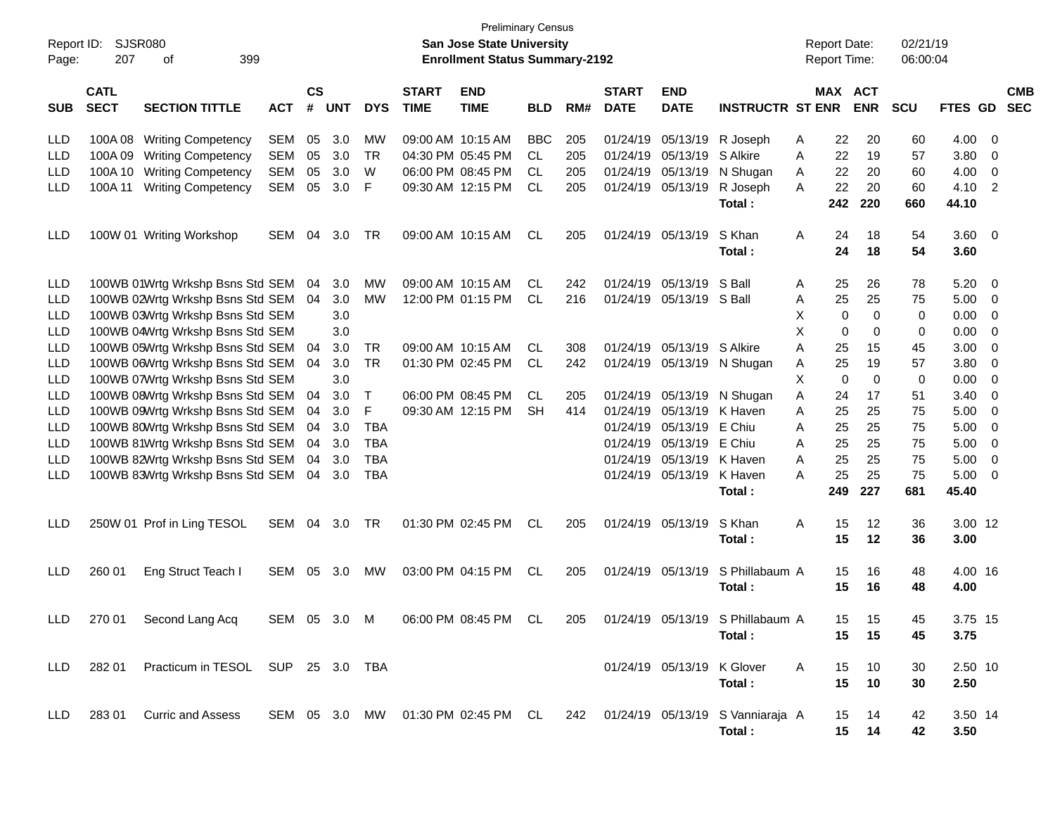| Report ID: |                            | <b>SJSR080</b>                    |            |                    |            |            |                             | <b>Preliminary Census</b><br><b>San Jose State University</b> |            |     |                             |                            |                                                                         | <b>Report Date:</b> |             |                       | 02/21/19   |                 |                |                          |
|------------|----------------------------|-----------------------------------|------------|--------------------|------------|------------|-----------------------------|---------------------------------------------------------------|------------|-----|-----------------------------|----------------------------|-------------------------------------------------------------------------|---------------------|-------------|-----------------------|------------|-----------------|----------------|--------------------------|
| Page:      | 207                        | 399<br>of                         |            |                    |            |            |                             | <b>Enrollment Status Summary-2192</b>                         |            |     |                             |                            |                                                                         | Report Time:        |             |                       | 06:00:04   |                 |                |                          |
| SUB        | <b>CATL</b><br><b>SECT</b> | <b>SECTION TITTLE</b>             | <b>ACT</b> | $\mathsf{cs}$<br># | <b>UNT</b> | <b>DYS</b> | <b>START</b><br><b>TIME</b> | <b>END</b><br><b>TIME</b>                                     | <b>BLD</b> | RM# | <b>START</b><br><b>DATE</b> | <b>END</b><br><b>DATE</b>  | <b>INSTRUCTR ST ENR</b>                                                 |                     |             | MAX ACT<br><b>ENR</b> | <b>SCU</b> | FTES GD         |                | <b>CMB</b><br><b>SEC</b> |
| LLD        |                            | 100A 08 Writing Competency        | <b>SEM</b> | 05                 | 3.0        | МW         |                             | 09:00 AM 10:15 AM                                             | <b>BBC</b> | 205 | 01/24/19                    | 05/13/19                   | R Joseph                                                                | A                   | 22          | 20                    | 60         | 4.00            | - 0            |                          |
| <b>LLD</b> |                            | 100A 09 Writing Competency        | <b>SEM</b> | 05                 | 3.0        | <b>TR</b>  |                             | 04:30 PM 05:45 PM                                             | CL         | 205 | 01/24/19                    | 05/13/19                   | S Alkire                                                                | A                   | 22          | 19                    | 57         | 3.80            | 0              |                          |
| LLD        | 100A 10                    | <b>Writing Competency</b>         | <b>SEM</b> | 05                 | 3.0        | W          |                             | 06:00 PM 08:45 PM                                             | CL         | 205 | 01/24/19                    | 05/13/19                   | N Shugan                                                                | A                   | 22          | 20                    | 60         | 4.00            | 0              |                          |
| <b>LLD</b> | 100A 11                    | <b>Writing Competency</b>         | <b>SEM</b> | 05                 | 3.0        | F          |                             | 09:30 AM 12:15 PM                                             | <b>CL</b>  | 205 | 01/24/19                    | 05/13/19                   | R Joseph                                                                | A                   | 22          | 20                    | 60         | 4.10            | $\overline{2}$ |                          |
|            |                            |                                   |            |                    |            |            |                             |                                                               |            |     |                             |                            | Total:                                                                  |                     | 242         | 220                   | 660        | 44.10           |                |                          |
| <b>LLD</b> |                            | 100W 01 Writing Workshop          | <b>SEM</b> | 04                 | 3.0        | TR         |                             | 09:00 AM 10:15 AM                                             | CL         | 205 | 01/24/19                    | 05/13/19                   | S Khan                                                                  | A                   | 24          | 18                    | 54         | 3.60            | - 0            |                          |
|            |                            |                                   |            |                    |            |            |                             |                                                               |            |     |                             |                            | Total:                                                                  |                     | 24          | 18                    | 54         | 3.60            |                |                          |
| LLD        |                            | 100WB 01Wrtg Wrkshp Bsns Std SEM  |            | 04                 | 3.0        | MW         |                             | 09:00 AM 10:15 AM                                             | CL         | 242 | 01/24/19                    | 05/13/19                   | S Ball                                                                  | A                   | 25          | 26                    | 78         | 5.20            | - 0            |                          |
| <b>LLD</b> |                            | 100WB 02Wrtg Wrkshp Bsns Std SEM  |            | 04                 | 3.0        | <b>MW</b>  |                             | 12:00 PM 01:15 PM                                             | CL         | 216 | 01/24/19                    | 05/13/19 S Ball            |                                                                         | Α                   | 25          | 25                    | 75         | 5.00            | $\overline{0}$ |                          |
| LLD        |                            | 100WB 03Wrtg Wrkshp Bsns Std SEM  |            |                    | 3.0        |            |                             |                                                               |            |     |                             |                            |                                                                         | Х                   | 0           | $\mathbf 0$           | 0          | 0.00            | 0              |                          |
| LLD        |                            | 100WB 04Wrtg Wrkshp Bsns Std SEM  |            |                    | 3.0        |            |                             |                                                               |            |     |                             |                            |                                                                         | X                   | 0           | $\mathbf 0$           | 0          | 0.00            | 0              |                          |
| LLD        |                            | 100WB 05Wrtg Wrkshp Bsns Std SEM  |            | 04                 | 3.0        | TR         |                             | 09:00 AM 10:15 AM                                             | CL.        | 308 | 01/24/19                    | 05/13/19 S Alkire          |                                                                         | A                   | 25          | 15                    | 45         | 3.00            | 0              |                          |
| LLD        |                            | 100WB 06Wrtg Wrkshp Bsns Std SEM  |            | 04                 | 3.0        | <b>TR</b>  |                             | 01:30 PM 02:45 PM                                             | CL         | 242 | 01/24/19                    |                            | 05/13/19 N Shugan                                                       | A                   | 25          | 19                    | 57         | 3.80            | 0              |                          |
| LLD        |                            | 100WB 07Wrtg Wrkshp Bsns Std SEM  |            |                    | 3.0        |            |                             |                                                               |            |     |                             |                            |                                                                         | X                   | $\mathbf 0$ | $\mathbf 0$           | 0          | 0.00            | 0              |                          |
| LLD        |                            | 100WB 08Wrtg Wrkshp Bsns Std SEM  |            | 04                 | 3.0        | T          |                             | 06:00 PM 08:45 PM                                             | CL         | 205 | 01/24/19                    |                            | 05/13/19 N Shugan                                                       | Α                   | 24          | 17                    | 51         | 3.40            | 0              |                          |
| LLD        |                            | 100WB 09Wrtg Wrkshp Bsns Std SEM  |            | 04                 | 3.0        | F          |                             | 09:30 AM 12:15 PM                                             | SH         | 414 | 01/24/19                    | 05/13/19 K Haven           |                                                                         | A                   | 25          | 25                    | 75         | 5.00            | 0              |                          |
| LLD        |                            | 100WB 80Wrtg Wrkshp Bsns Std SEM  |            | 04                 | 3.0        | TBA        |                             |                                                               |            |     | 01/24/19                    | 05/13/19                   | E Chiu                                                                  | A                   | 25          | 25                    | 75         | 5.00            | 0              |                          |
| LLD        |                            | 100WB 81Wrtg Wrkshp Bsns Std SEM  |            | 04                 | 3.0        | <b>TBA</b> |                             |                                                               |            |     | 01/24/19                    | 05/13/19                   | E Chiu                                                                  | A                   | 25          | 25                    | 75         | 5.00            | 0              |                          |
| LLD        |                            | 100WB 82Wrtg Wrkshp Bsns Std SEM  |            | 04                 | 3.0        | <b>TBA</b> |                             |                                                               |            |     | 01/24/19                    | 05/13/19                   | K Haven                                                                 | A                   | 25          | 25                    | 75         | 5.00            | 0              |                          |
| <b>LLD</b> |                            | 100WB 83Wrtg Wrkshp Bsns Std SEM  |            | 04                 | 3.0        | <b>TBA</b> |                             |                                                               |            |     | 01/24/19                    | 05/13/19 K Haven           |                                                                         | A                   | 25          | 25                    | 75         | 5.00            | - 0            |                          |
|            |                            |                                   |            |                    |            |            |                             |                                                               |            |     |                             |                            | Total:                                                                  |                     | 249         | 227                   | 681        | 45.40           |                |                          |
| <b>LLD</b> |                            | 250W 01 Prof in Ling TESOL        | SEM        | 04                 | 3.0        | TR         |                             | 01:30 PM 02:45 PM                                             | CL         | 205 | 01/24/19                    | 05/13/19                   | S Khan<br>Total:                                                        | A                   | 15<br>15    | 12<br>12              | 36<br>36   | 3.00 12<br>3.00 |                |                          |
| LLD        | 260 01                     | Eng Struct Teach I                | <b>SEM</b> | 05                 | 3.0        | MW         |                             | 03:00 PM 04:15 PM                                             | CL         | 205 | 01/24/19                    | 05/13/19                   | S Phillabaum A<br>Total:                                                |                     | 15<br>15    | 16<br>16              | 48<br>48   | 4.00 16<br>4.00 |                |                          |
|            |                            |                                   |            |                    |            |            |                             |                                                               |            |     |                             |                            |                                                                         |                     |             |                       |            |                 |                |                          |
| <b>LLD</b> |                            | 270 01 Second Lang Acq            |            |                    |            |            |                             |                                                               |            |     |                             |                            | SEM 05 3.0 M 06:00 PM 08:45 PM CL 205 01/24/19 05/13/19 S Phillabaum A  |                     | 15          | 15                    | 45         | 3.75 15         |                |                          |
|            |                            |                                   |            |                    |            |            |                             |                                                               |            |     |                             |                            | Total:                                                                  |                     | 15          | $-15$                 | 45         | 3.75            |                |                          |
| LLD.       | 282 01                     | Practicum in TESOL SUP 25 3.0 TBA |            |                    |            |            |                             |                                                               |            |     |                             | 01/24/19 05/13/19 K Glover |                                                                         | A                   | 15          | 10                    | 30         | 2.50 10         |                |                          |
|            |                            |                                   |            |                    |            |            |                             |                                                               |            |     |                             |                            | Total:                                                                  |                     | 15          | 10                    | 30         | 2.50            |                |                          |
|            |                            |                                   |            |                    |            |            |                             |                                                               |            |     |                             |                            |                                                                         |                     |             |                       |            |                 |                |                          |
| LLD.       |                            | 283 01 Curric and Assess          |            |                    |            |            |                             |                                                               |            |     |                             |                            | SEM 05 3.0 MW 01:30 PM 02:45 PM CL 242 01/24/19 05/13/19 S Vanniaraja A |                     | 15          | 14                    | 42         | 3.50 14         |                |                          |
|            |                            |                                   |            |                    |            |            |                             |                                                               |            |     |                             |                            | Total:                                                                  |                     |             | 15 14                 | 42         | 3.50            |                |                          |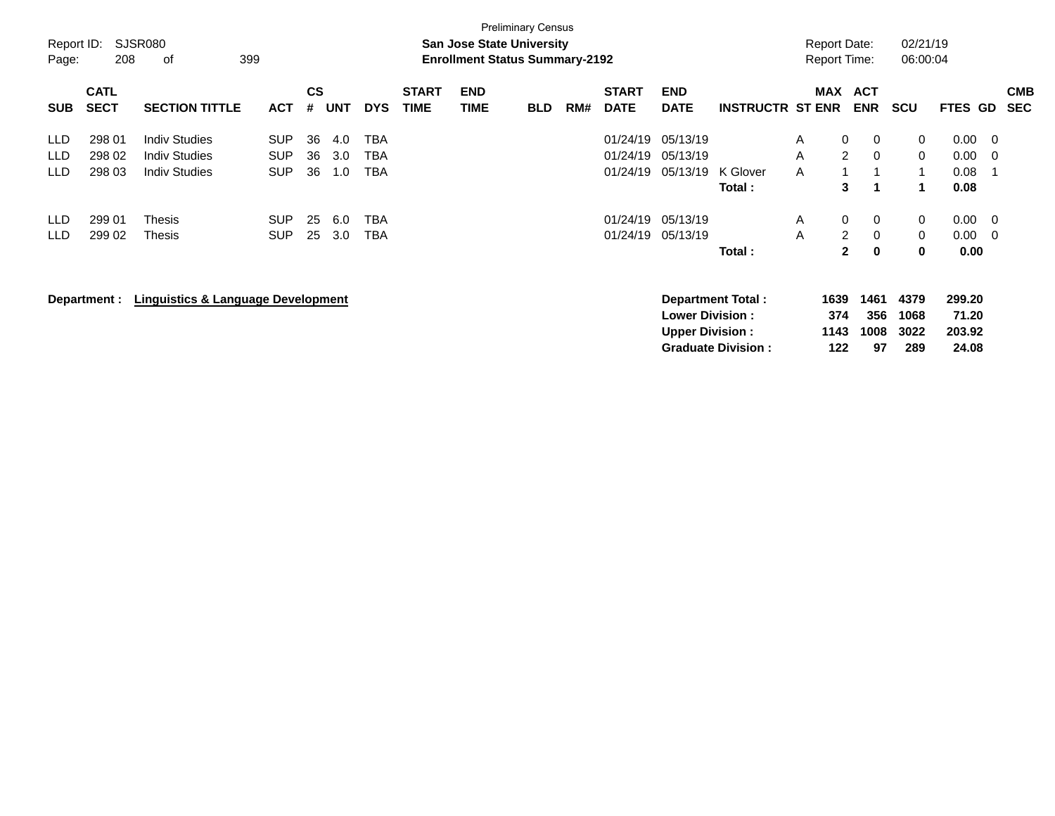| Report ID:<br>Page:                      | 208                                            | SJSR080<br>399<br>οf                                                                            |                                                                    |                            |                                 |                                                             |                             | <b>San Jose State University</b><br><b>Enrollment Status Summary-2192</b> | <b>Preliminary Census</b> |     |                                                          |                                                          |                                                          | <b>Report Date:</b><br><b>Report Time:</b> |                                                                                                                   | 02/21/19<br>06:00:04                                       |                                              |                          |                          |
|------------------------------------------|------------------------------------------------|-------------------------------------------------------------------------------------------------|--------------------------------------------------------------------|----------------------------|---------------------------------|-------------------------------------------------------------|-----------------------------|---------------------------------------------------------------------------|---------------------------|-----|----------------------------------------------------------|----------------------------------------------------------|----------------------------------------------------------|--------------------------------------------|-------------------------------------------------------------------------------------------------------------------|------------------------------------------------------------|----------------------------------------------|--------------------------|--------------------------|
| <b>SUB</b>                               | <b>CATL</b><br><b>SECT</b>                     | <b>SECTION TITTLE</b>                                                                           | <b>ACT</b>                                                         | $\mathsf{cs}$<br>#         | <b>UNT</b>                      | <b>DYS</b>                                                  | <b>START</b><br><b>TIME</b> | <b>END</b><br><b>TIME</b>                                                 | <b>BLD</b>                | RM# | <b>START</b><br><b>DATE</b>                              | <b>END</b><br><b>DATE</b>                                | <b>INSTRUCTR ST ENR</b>                                  | MAX                                        | <b>ACT</b><br><b>ENR</b>                                                                                          | <b>SCU</b>                                                 | FTES GD                                      |                          | <b>CMB</b><br><b>SEC</b> |
| LLD<br>LLD<br>LLD.<br><b>LLD</b><br>LLD. | 298 01<br>298 02<br>298 03<br>299 01<br>299 02 | <b>Indiv Studies</b><br><b>Indiv Studies</b><br><b>Indiv Studies</b><br>Thesis<br><b>Thesis</b> | <b>SUP</b><br><b>SUP</b><br><b>SUP</b><br><b>SUP</b><br><b>SUP</b> | 36<br>36<br>36<br>25<br>25 | 4.0<br>3.0<br>1.0<br>6.0<br>3.0 | <b>TBA</b><br><b>TBA</b><br>TBA<br><b>TBA</b><br><b>TBA</b> |                             |                                                                           |                           |     | 01/24/19<br>01/24/19<br>01/24/19<br>01/24/19<br>01/24/19 | 05/13/19<br>05/13/19<br>05/13/19<br>05/13/19<br>05/13/19 | K Glover<br>Total:                                       | A<br>A<br>A<br>A<br>A                      | $\mathbf{0}$<br>0<br>$\overline{2}$<br>$\mathbf 0$<br>3<br>1<br>$\mathbf 0$<br>0<br>$\overline{2}$<br>$\mathbf 0$ | 0<br>$\mathbf 0$<br>$\mathbf{1}$<br>1<br>0<br>$\mathbf{0}$ | 0.00<br>0.00<br>0.08<br>0.08<br>0.00<br>0.00 | - 0<br>- 0<br>- 0<br>- 0 |                          |
|                                          | Department :                                   | <b>Linguistics &amp; Language Development</b>                                                   |                                                                    |                            |                                 |                                                             |                             |                                                                           |                           |     |                                                          | <b>Lower Division:</b><br><b>Upper Division:</b>         | Total:<br>Department Total:<br><b>Graduate Division:</b> | 1639<br>374<br>1143<br>122                 | $\mathbf{2}$<br>$\mathbf 0$<br>1461<br>356<br>1008<br>97                                                          | 0<br>4379<br>1068<br>3022<br>289                           | 0.00<br>299.20<br>71.20<br>203.92<br>24.08   |                          |                          |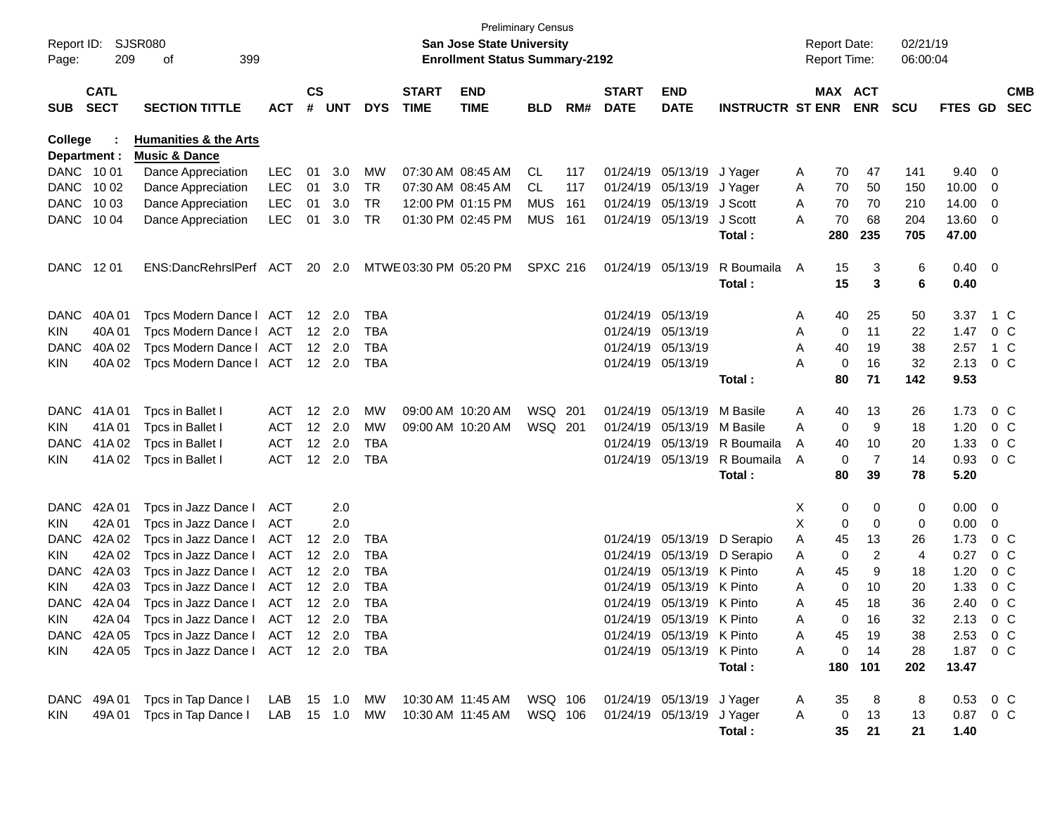| Report ID:<br>Page:     | 209                        | SJSR080<br>399<br>οf                                         |            |                    |                |            |                             | <b>San Jose State University</b><br><b>Enrollment Status Summary-2192</b> | <b>Preliminary Census</b> |     |                             |                           |                         |   | <b>Report Date:</b><br>Report Time: |                | 02/21/19<br>06:00:04 |                        |                |                          |
|-------------------------|----------------------------|--------------------------------------------------------------|------------|--------------------|----------------|------------|-----------------------------|---------------------------------------------------------------------------|---------------------------|-----|-----------------------------|---------------------------|-------------------------|---|-------------------------------------|----------------|----------------------|------------------------|----------------|--------------------------|
| <b>SUB</b>              | <b>CATL</b><br><b>SECT</b> | <b>SECTION TITTLE</b>                                        | <b>ACT</b> | $\mathsf{cs}$<br># | <b>UNT</b>     | <b>DYS</b> | <b>START</b><br><b>TIME</b> | <b>END</b><br><b>TIME</b>                                                 | <b>BLD</b>                | RM# | <b>START</b><br><b>DATE</b> | <b>END</b><br><b>DATE</b> | <b>INSTRUCTR ST ENR</b> |   | MAX ACT                             | <b>ENR</b>     | <b>SCU</b>           | <b>FTES GD</b>         |                | <b>CMB</b><br><b>SEC</b> |
| College<br>Department : |                            | <b>Humanities &amp; the Arts</b><br><b>Music &amp; Dance</b> |            |                    |                |            |                             |                                                                           |                           |     |                             |                           |                         |   |                                     |                |                      |                        |                |                          |
| DANC 1001               |                            | Dance Appreciation                                           | <b>LEC</b> | 01                 | 3.0            | MW         |                             | 07:30 AM 08:45 AM                                                         | CL.                       | 117 |                             | 01/24/19 05/13/19         | J Yager                 | Α | 70                                  | 47             | 141                  | 9.40                   | $\overline{0}$ |                          |
| <b>DANC</b>             | 10 02                      | Dance Appreciation                                           | LEC        | 01                 | 3.0            | TR         |                             | 07:30 AM 08:45 AM                                                         | CL.                       | 117 |                             | 01/24/19 05/13/19         | J Yager                 | A | 70                                  | 50             | 150                  | 10.00                  | $\overline{0}$ |                          |
| <b>DANC</b>             | 10 03                      | <b>Dance Appreciation</b>                                    | <b>LEC</b> | 01                 | 3.0            | TR         |                             | 12:00 PM 01:15 PM                                                         | <b>MUS</b>                | 161 |                             | 01/24/19 05/13/19         | J Scott                 | Α | 70                                  | 70             | 210                  | 14.00                  | 0              |                          |
| DANC                    | 10 04                      | Dance Appreciation                                           | LEC        | 01                 | 3.0            | TR.        |                             | 01:30 PM 02:45 PM                                                         | <b>MUS</b>                | 161 |                             | 01/24/19 05/13/19         | J Scott                 | А | 70                                  | 68             | 204                  | 13.60                  | - 0            |                          |
|                         |                            |                                                              |            |                    |                |            |                             |                                                                           |                           |     |                             |                           | Total:                  |   | 280                                 | 235            | 705                  | 47.00                  |                |                          |
| DANC                    | 12 01                      | ENS:DancRehrslPerf                                           | ACT        | 20                 | 2.0            |            | MTWE 03:30 PM 05:20 PM      |                                                                           | <b>SPXC 216</b>           |     | 01/24/19 05/13/19           |                           | R Boumaila<br>Total:    | A | 15<br>15                            | 3<br>3         | 6<br>6               | $0.40 \quad 0$<br>0.40 |                |                          |
| <b>DANC</b>             | 40A 01                     | Tpcs Modern Dance I                                          | ACT        |                    | 12 2.0         | <b>TBA</b> |                             |                                                                           |                           |     |                             | 01/24/19 05/13/19         |                         | Α | 40                                  | 25             | 50                   | 3.37                   |                | 1 C                      |
| <b>KIN</b>              | 40A 01                     | Tpcs Modern Dance I                                          | ACT        |                    | 12 2.0         | <b>TBA</b> |                             |                                                                           |                           |     |                             | 01/24/19 05/13/19         |                         | Α | 0                                   | 11             | 22                   | 1.47                   |                | $0\,$ C                  |
| DANC                    | 40A 02                     | Tpcs Modern Dance I                                          | ACT        |                    | $12 \quad 2.0$ | TBA        |                             |                                                                           |                           |     |                             | 01/24/19 05/13/19         |                         | Α | 40                                  | 19             | 38                   | 2.57                   |                | 1 C                      |
| <b>KIN</b>              | 40A 02                     | Tpcs Modern Dance I                                          | ACT        |                    | 12, 2.0        | TBA        |                             |                                                                           |                           |     |                             | 01/24/19 05/13/19         |                         | A | 0                                   | 16             | 32                   | 2.13                   |                | $0\,$ C                  |
|                         |                            |                                                              |            |                    |                |            |                             |                                                                           |                           |     |                             |                           | Total:                  |   | 80                                  | 71             | 142                  | 9.53                   |                |                          |
| <b>DANC</b>             | 41A 01                     | Tpcs in Ballet I                                             | <b>ACT</b> | 12                 | 2.0            | МW         |                             | 09:00 AM 10:20 AM                                                         | WSQ 201                   |     |                             | 01/24/19 05/13/19         | M Basile                | Α | 40                                  | 13             | 26                   | 1.73                   |                | $0\,$ C                  |
| <b>KIN</b>              | 41A01                      | Tpcs in Ballet I                                             | <b>ACT</b> |                    | 12 2.0         | <b>MW</b>  |                             | 09:00 AM 10:20 AM                                                         | WSQ 201                   |     |                             | 01/24/19 05/13/19         | M Basile                | A | 0                                   | 9              | 18                   | 1.20                   |                | $0\,$ C                  |
| DANC                    | 41A 02                     | Tpcs in Ballet I                                             | <b>ACT</b> |                    | 12 2.0         | TBA        |                             |                                                                           |                           |     |                             | 01/24/19 05/13/19         | R Boumaila              | A | 40                                  | 10             | 20                   | 1.33                   |                | $0\,$ C                  |
| <b>KIN</b>              | 41A 02                     | Tpcs in Ballet I                                             | <b>ACT</b> |                    | 12 2.0         | <b>TBA</b> |                             |                                                                           |                           |     |                             | 01/24/19 05/13/19         | R Boumaila              | A | 0                                   | $\overline{7}$ | 14                   | 0.93                   |                | $0\,$ C                  |
|                         |                            |                                                              |            |                    |                |            |                             |                                                                           |                           |     |                             |                           | Total:                  |   | 80                                  | 39             | 78                   | 5.20                   |                |                          |
| <b>DANC</b>             | 42A 01                     | Tpcs in Jazz Dance I                                         | <b>ACT</b> |                    | 2.0            |            |                             |                                                                           |                           |     |                             |                           |                         | X | 0                                   | 0              | 0                    | 0.00                   | $\overline{0}$ |                          |
| <b>KIN</b>              | 42A 01                     | Tpcs in Jazz Dance I                                         | ACT        |                    | 2.0            |            |                             |                                                                           |                           |     |                             |                           |                         | X | 0                                   | 0              | 0                    | 0.00                   | 0              |                          |
| <b>DANC</b>             | 42A 02                     | Tpcs in Jazz Dance I                                         | <b>ACT</b> | 12 <sup>12</sup>   | 2.0            | <b>TBA</b> |                             |                                                                           |                           |     |                             | 01/24/19 05/13/19         | D Serapio               | Α | 45                                  | 13             | 26                   | 1.73                   |                | 0 <sup>o</sup>           |
| <b>KIN</b>              | 42A 02                     | Tpcs in Jazz Dance I                                         | <b>ACT</b> |                    | 12 2.0         | <b>TBA</b> |                             |                                                                           |                           |     |                             | 01/24/19 05/13/19         | D Serapio               | Α | 0                                   | 2              | 4                    | 0.27                   |                | $0\,$ C                  |
| <b>DANC</b>             | 42A 03                     | Tpcs in Jazz Dance I                                         | <b>ACT</b> |                    | 12 2.0         | <b>TBA</b> |                             |                                                                           |                           |     |                             | 01/24/19 05/13/19         | K Pinto                 | Α | 45                                  | 9              | 18                   | 1.20                   |                | $0\,C$                   |
| <b>KIN</b>              | 42A 03                     | Tpcs in Jazz Dance I                                         | <b>ACT</b> |                    | $12 \quad 2.0$ | <b>TBA</b> |                             |                                                                           |                           |     |                             | 01/24/19 05/13/19         | K Pinto                 | Α | 0                                   | 10             | 20                   | 1.33                   |                | $0\,C$                   |
| <b>DANC</b>             | 42A 04                     | Tpcs in Jazz Dance I                                         | <b>ACT</b> |                    | 12 2.0         | <b>TBA</b> |                             |                                                                           |                           |     |                             | 01/24/19 05/13/19 K Pinto |                         | Α | 45                                  | 18             | 36                   | 2.40                   |                | $0\,C$                   |
| KIN                     |                            | 42A 04 Tpcs in Jazz Dance I ACT 12 2.0                       |            |                    |                | <b>TBA</b> |                             |                                                                           |                           |     |                             | 01/24/19 05/13/19 K Pinto |                         | А | $\Omega$                            | 16             | 32                   | 2.13                   |                | $0\,C$                   |
|                         |                            | DANC 42A 05 Tpcs in Jazz Dance   ACT 12 2.0 TBA              |            |                    |                |            |                             |                                                                           |                           |     |                             | 01/24/19 05/13/19 K Pinto |                         | Α | 45                                  | 19             | 38                   | 2.53 0 C               |                |                          |
| KIN.                    |                            | 42A 05 Tpcs in Jazz Dance I ACT 12 2.0                       |            |                    |                | TBA        |                             |                                                                           |                           |     |                             | 01/24/19 05/13/19 K Pinto |                         | A | 0                                   | 14             | 28                   | 1.87 0 C               |                |                          |
|                         |                            |                                                              |            |                    |                |            |                             |                                                                           |                           |     |                             |                           | Total:                  |   | 180                                 | 101            | 202                  | 13.47                  |                |                          |
|                         | DANC 49A 01                | Tpcs in Tap Dance I                                          | LAB 15 1.0 |                    |                | MW         |                             | 10:30 AM 11:45 AM   WSQ   106                                             |                           |     |                             | 01/24/19 05/13/19 J Yager |                         | A | 35                                  | 8              | 8                    | $0.53 \t 0 C$          |                |                          |
| KIN                     |                            | 49A 01 Tpcs in Tap Dance I                                   | LAB 15 1.0 |                    |                |            | MW 10:30 AM 11:45 AM        |                                                                           | WSQ 106                   |     |                             | 01/24/19 05/13/19 J Yager |                         | A | 0                                   | 13             | 13                   | 0.87 0 C               |                |                          |
|                         |                            |                                                              |            |                    |                |            |                             |                                                                           |                           |     |                             |                           | Total:                  |   | 35                                  | 21             | 21                   | 1.40                   |                |                          |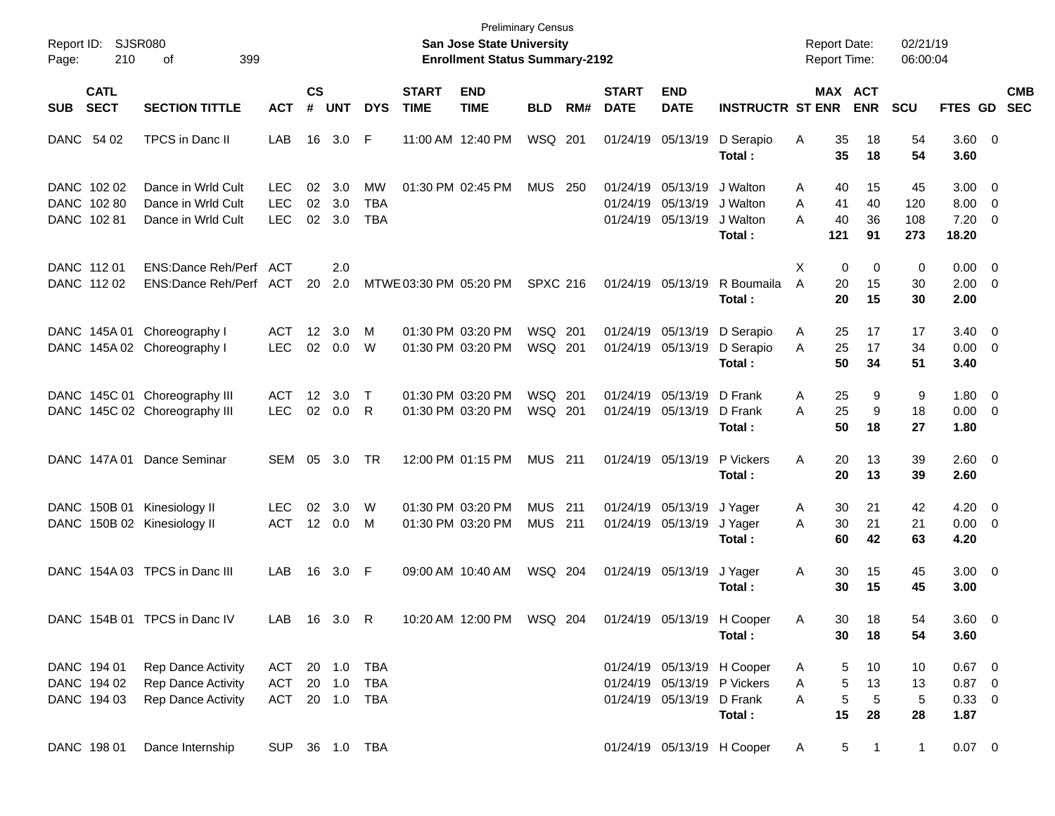| Page:      | Report ID: SJSR080<br>210                 | 399<br>οf                                                      |                                  |                    |                      |                                |                             | San Jose State University<br><b>Enrollment Status Summary-2192</b> | <b>Preliminary Census</b>    |       |                             |                                                    |                                                                                | <b>Report Date:</b><br><b>Report Time:</b> |                                    | 02/21/19<br>06:00:04    |                                                   |                          |
|------------|-------------------------------------------|----------------------------------------------------------------|----------------------------------|--------------------|----------------------|--------------------------------|-----------------------------|--------------------------------------------------------------------|------------------------------|-------|-----------------------------|----------------------------------------------------|--------------------------------------------------------------------------------|--------------------------------------------|------------------------------------|-------------------------|---------------------------------------------------|--------------------------|
| <b>SUB</b> | <b>CATL</b><br><b>SECT</b>                | <b>SECTION TITTLE</b>                                          | <b>ACT</b>                       | $\mathsf{cs}$<br># | <b>UNT</b>           | <b>DYS</b>                     | <b>START</b><br><b>TIME</b> | <b>END</b><br><b>TIME</b>                                          | <b>BLD</b>                   | RM#   | <b>START</b><br><b>DATE</b> | <b>END</b><br><b>DATE</b>                          | <b>INSTRUCTR ST ENR</b>                                                        |                                            | <b>MAX ACT</b><br><b>ENR</b>       | <b>SCU</b>              | FTES GD                                           | <b>CMB</b><br><b>SEC</b> |
|            | DANC 54 02                                | TPCS in Danc II                                                | LAB                              | 16                 | 3.0                  | F                              |                             | 11:00 AM 12:40 PM                                                  | WSQ 201                      |       |                             | 01/24/19 05/13/19                                  | D Serapio<br>Total:                                                            | Α<br>35<br>35                              | 18<br>18                           | 54<br>54                | 3.60 0<br>3.60                                    |                          |
|            | DANC 102 02<br>DANC 102 80<br>DANC 102 81 | Dance in Wrld Cult<br>Dance in Wrld Cult<br>Dance in Wrld Cult | LEC.<br><b>LEC</b><br><b>LEC</b> | 02<br>02<br>02     | 3.0<br>3.0<br>3.0    | MW<br><b>TBA</b><br><b>TBA</b> |                             | 01:30 PM 02:45 PM                                                  | <b>MUS 250</b>               |       | 01/24/19                    | 01/24/19 05/13/19<br>05/13/19<br>01/24/19 05/13/19 | J Walton<br>J Walton<br>J Walton<br>Total:                                     | 40<br>A<br>41<br>A<br>40<br>A<br>121       | 15<br>40<br>36<br>91               | 45<br>120<br>108<br>273 | $3.00 \ 0$<br>$8.00 \t 0$<br>$7.20 \t 0$<br>18.20 |                          |
|            | DANC 112 01<br>DANC 112 02                | ENS:Dance Reh/Perf ACT<br>ENS:Dance Reh/Perf ACT               |                                  | 20                 | 2.0<br>2.0           |                                | MTWE 03:30 PM 05:20 PM      |                                                                    | <b>SPXC 216</b>              |       |                             | 01/24/19 05/13/19                                  | R Boumaila<br>Total:                                                           | X<br>A<br>20<br>20                         | 0<br>0<br>15<br>15                 | 0<br>30<br>30           | $0.00 \t 0$<br>$2.00 \t 0$<br>2.00                |                          |
|            |                                           | DANC 145A 01 Choreography I<br>DANC 145A 02 Choreography I     | ACT<br><b>LEC</b>                | 12<br>02           | 3.0<br>0.0           | м<br>W                         |                             | 01:30 PM 03:20 PM<br>01:30 PM 03:20 PM                             | WSQ 201<br>WSQ 201           |       |                             | 01/24/19 05/13/19<br>01/24/19 05/13/19             | D Serapio<br>D Serapio<br>Total:                                               | 25<br>A<br>A<br>25<br>50                   | 17<br>17<br>34                     | 17<br>34<br>51          | $3.40 \ 0$<br>$0.00 \t 0$<br>3.40                 |                          |
|            |                                           | DANC 145C 01 Choreography III<br>DANC 145C 02 Choreography III | ACT<br><b>LEC</b>                | $12 \,$<br>02      | 3.0<br>0.0           | т<br>R                         |                             | 01:30 PM 03:20 PM<br>01:30 PM 03:20 PM                             | WSQ 201<br>WSQ 201           |       |                             | 01/24/19 05/13/19<br>01/24/19 05/13/19             | D Frank<br>D Frank<br>Total:                                                   | 25<br>A<br>25<br>A<br>50                   | 9<br>9<br>18                       | 9<br>18<br>27           | $1.80 \ 0$<br>$0.00 \t 0$<br>1.80                 |                          |
|            | DANC 147A 01                              | Dance Seminar                                                  | SEM                              | 05                 | 3.0 <sub>2</sub>     | <b>TR</b>                      |                             | 12:00 PM 01:15 PM                                                  | <b>MUS 211</b>               |       |                             | 01/24/19 05/13/19                                  | P Vickers<br>Total:                                                            | A<br>20<br>20                              | 13<br>13                           | 39<br>39                | $2.60 \t 0$<br>2.60                               |                          |
|            |                                           | DANC 150B 01 Kinesiology II<br>DANC 150B 02 Kinesiology II     | LEC.<br><b>ACT</b>               | 02<br>12           | 3.0<br>0.0           | W<br>М                         |                             | 01:30 PM 03:20 PM<br>01:30 PM 03:20 PM                             | <b>MUS</b><br><b>MUS 211</b> | - 211 |                             | 01/24/19 05/13/19<br>01/24/19 05/13/19             | J Yager<br>J Yager<br>Total:                                                   | 30<br>A<br>30<br>A<br>60                   | 21<br>21<br>42                     | 42<br>21<br>63          | $4.20 \ 0$<br>$0.00 \t 0$<br>4.20                 |                          |
|            |                                           | DANC 154A 03 TPCS in Danc III                                  | LAB                              | 16                 | 3.0                  | -F                             |                             | 09:00 AM 10:40 AM                                                  | WSQ 204                      |       |                             | 01/24/19 05/13/19                                  | J Yager<br>Total:                                                              | Α<br>30<br>30                              | 15<br>15                           | 45<br>45                | $3.00 \ 0$<br>3.00                                |                          |
|            |                                           | DANC 154B 01 TPCS in Danc IV                                   | LAB                              |                    | 16 3.0 R             |                                |                             | 10:20 AM 12:00 PM WSQ 204                                          |                              |       |                             |                                                    | 01/24/19 05/13/19 H Cooper<br>Total:                                           | Α<br>30<br>30                              | 18<br>18                           | 54<br>54                | 3.60 0<br>3.60                                    |                          |
|            | DANC 194 01<br>DANC 194 02<br>DANC 194 03 | Rep Dance Activity<br>Rep Dance Activity<br>Rep Dance Activity | ACT<br>ACT<br>ACT                |                    | 20 1.0 TBA<br>20 1.0 | TBA<br>20 1.0 TBA              |                             |                                                                    |                              |       |                             | 01/24/19 05/13/19                                  | 01/24/19 05/13/19 H Cooper<br>01/24/19 05/13/19 P Vickers<br>D Frank<br>Total: | A<br>Α<br>A<br>15                          | 10<br>5<br>5<br>13<br>5<br>5<br>28 | 10<br>13<br>5<br>28     | $0.67$ 0<br>$0.87$ 0<br>0.33 0<br>1.87            |                          |
|            | DANC 198 01                               | Dance Internship                                               | <b>SUP</b>                       |                    |                      | 36 1.0 TBA                     |                             |                                                                    |                              |       |                             |                                                    | 01/24/19 05/13/19 H Cooper                                                     | A                                          | 5<br>$\mathbf{1}$                  | $\mathbf{1}$            | $0.07 \t 0$                                       |                          |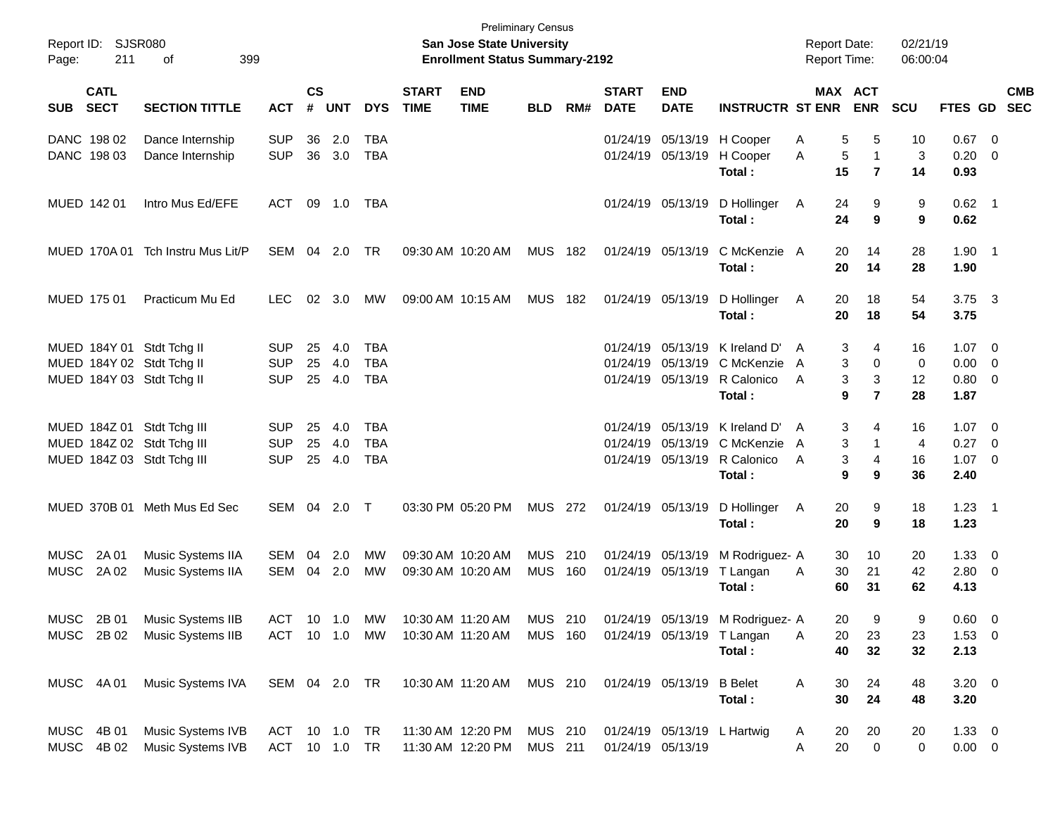| Page:       | Report ID: SJSR080<br>211  | 399<br>оf                         |               |                |            |            |                             | San Jose State University<br><b>Enrollment Status Summary-2192</b> | <b>Preliminary Census</b> |     |                             |                           |                                        | <b>Report Date:</b><br>Report Time: |                     | 02/21/19<br>06:00:04 |                        |                          |            |
|-------------|----------------------------|-----------------------------------|---------------|----------------|------------|------------|-----------------------------|--------------------------------------------------------------------|---------------------------|-----|-----------------------------|---------------------------|----------------------------------------|-------------------------------------|---------------------|----------------------|------------------------|--------------------------|------------|
| SUB         | <b>CATL</b><br><b>SECT</b> | <b>SECTION TITTLE</b>             | <b>ACT</b>    | <b>CS</b><br># | <b>UNT</b> | <b>DYS</b> | <b>START</b><br><b>TIME</b> | <b>END</b><br><b>TIME</b>                                          | <b>BLD</b>                | RM# | <b>START</b><br><b>DATE</b> | <b>END</b><br><b>DATE</b> | <b>INSTRUCTR ST ENR ENR</b>            | MAX ACT                             |                     | <b>SCU</b>           | FTES GD SEC            |                          | <b>CMB</b> |
|             | DANC 198 02                | Dance Internship                  | <b>SUP</b>    | 36             | 2.0        | TBA        |                             |                                                                    |                           |     |                             |                           | 01/24/19 05/13/19 H Cooper             | 5<br>Α                              | 5                   | 10                   | 0.67                   | - 0                      |            |
|             | DANC 198 03                | Dance Internship                  | <b>SUP</b>    | 36             | 3.0        | <b>TBA</b> |                             |                                                                    |                           |     |                             | 01/24/19 05/13/19         | H Cooper<br>Total:                     | $\sqrt{5}$<br>Α<br>15               | 1<br>$\overline{7}$ | 3<br>14              | 0.20<br>0.93           | - 0                      |            |
|             | MUED 142 01                | Intro Mus Ed/EFE                  | ACT           |                | 09 1.0     | TBA        |                             |                                                                    |                           |     |                             | 01/24/19 05/13/19         | D Hollinger<br>Total:                  | 24<br>A<br>24                       | 9<br>9              | 9<br>9               | $0.62$ 1<br>0.62       |                          |            |
|             |                            | MUED 170A 01 Tch Instru Mus Lit/P | SEM 04 2.0    |                |            | TR         |                             | 09:30 AM 10:20 AM                                                  | <b>MUS 182</b>            |     |                             | 01/24/19 05/13/19         | C McKenzie A<br>Total:                 | 20<br>20                            | 14<br>14            | 28<br>28             | $1.90$ 1<br>1.90       |                          |            |
|             | MUED 175 01                | Practicum Mu Ed                   | <b>LEC</b>    | 02             | 3.0        | МW         |                             | 09:00 AM 10:15 AM                                                  | <b>MUS 182</b>            |     |                             | 01/24/19 05/13/19         | D Hollinger<br>Total:                  | 20<br>A<br>20                       | 18<br>18            | 54<br>54             | $3.75 \quad 3$<br>3.75 |                          |            |
|             |                            | MUED 184Y 01 Stdt Tchg II         | <b>SUP</b>    | 25             | 4.0        | TBA        |                             |                                                                    |                           |     |                             |                           | 01/24/19 05/13/19 K Ireland D'         | 3<br>A                              | 4                   | 16                   | $1.07 \t 0$            |                          |            |
|             |                            | MUED 184Y 02 Stdt Tchg II         | <b>SUP</b>    | 25             | 4.0        | <b>TBA</b> |                             |                                                                    |                           |     |                             |                           | 01/24/19 05/13/19 C McKenzie           | 3<br>A                              | $\Omega$            | $\mathbf 0$          | 0.00                   | $\overline{0}$           |            |
|             |                            | MUED 184Y 03 Stdt Tchg II         | <b>SUP</b>    | 25             | 4.0        | <b>TBA</b> |                             |                                                                    |                           |     |                             |                           | 01/24/19 05/13/19 R Calonico<br>Total: | 3<br>A<br>9                         | 3<br>$\overline{7}$ | 12<br>28             | 0.80<br>1.87           | $\overline{\mathbf{0}}$  |            |
|             |                            | MUED 184Z 01 Stdt Tchg III        | <b>SUP</b>    | 25             | 4.0        | TBA        |                             |                                                                    |                           |     |                             |                           | 01/24/19 05/13/19 K Ireland D'         | 3<br>A                              | 4                   | 16                   | $1.07 \t 0$            |                          |            |
|             |                            | MUED 184Z 02 Stdt Tchg III        | <b>SUP</b>    | 25             | 4.0        | <b>TBA</b> |                             |                                                                    |                           |     |                             |                           | 01/24/19 05/13/19 C McKenzie           | 3<br>A                              |                     | $\overline{4}$       | 0.27                   | $\overline{0}$           |            |
|             |                            | MUED 184Z 03 Stdt Tchg III        | <b>SUP</b>    | 25             | 4.0        | <b>TBA</b> |                             |                                                                    |                           |     |                             |                           | 01/24/19 05/13/19 R Calonico           | 3<br>A                              | 4                   | 16                   | 1.07                   | $\overline{\phantom{0}}$ |            |
|             |                            |                                   |               |                |            |            |                             |                                                                    |                           |     |                             |                           | Total:                                 | 9                                   | 9                   | 36                   | 2.40                   |                          |            |
|             | MUED 370B 01               | Meth Mus Ed Sec                   | SEM 04        |                | 2.0        | $\top$     |                             | 03:30 PM 05:20 PM                                                  | MUS 272                   |     |                             | 01/24/19 05/13/19         | D Hollinger<br>Total:                  | 20<br>A<br>20                       | 9<br>9              | 18<br>18             | $1.23 \quad 1$<br>1.23 |                          |            |
| <b>MUSC</b> | 2A 01                      | Music Systems IIA                 | SEM           | 04             | 2.0        | MW         |                             | 09:30 AM 10:20 AM                                                  | MUS 210                   |     |                             |                           | 01/24/19 05/13/19 M Rodriguez- A       | 30                                  | 10                  | 20                   | 1.33                   | $\overline{\mathbf{0}}$  |            |
| <b>MUSC</b> | 2A 02                      | Music Systems IIA                 | SEM           |                | 04 2.0     | <b>MW</b>  |                             | 09:30 AM 10:20 AM                                                  | MUS                       | 160 |                             | 01/24/19 05/13/19         | T Langan                               | 30<br>A                             | 21                  | 42                   | 2.80 0                 |                          |            |
|             |                            |                                   |               |                |            |            |                             |                                                                    |                           |     |                             |                           | Total:                                 | 60                                  | 31                  | 62                   | 4.13                   |                          |            |
|             | MUSC 2B 01                 | Music Systems IIB                 | <b>ACT</b>    |                | 10 1.0     | MW         |                             | 10:30 AM 11:20 AM                                                  | MUS 210                   |     |                             |                           | 01/24/19 05/13/19 M Rodriguez- A       | 20                                  | 9                   | 9                    | $0.60 \t 0$            |                          |            |
|             | MUSC 2B 02                 | Music Systems IIB                 | ACT 10 1.0 MW |                |            |            |                             | 10:30 AM 11:20 AM                                                  | <b>MUS 160</b>            |     |                             |                           | 01/24/19 05/13/19 T Langan             | Α<br>20                             | 23                  | 23                   | $1.53 \t 0$            |                          |            |
|             |                            |                                   |               |                |            |            |                             |                                                                    |                           |     |                             |                           | Total:                                 | 40                                  | 32                  | 32                   | 2.13                   |                          |            |
|             | MUSC 4A 01                 | Music Systems IVA                 | SEM 04 2.0 TR |                |            |            |                             | 10:30 AM 11:20 AM                                                  | MUS 210                   |     |                             | 01/24/19 05/13/19 B Belet |                                        | 30<br>A                             | 24                  | 48                   | $3.20 \ 0$             |                          |            |
|             |                            |                                   |               |                |            |            |                             |                                                                    |                           |     |                             |                           | Total:                                 | 30                                  | 24                  | 48                   | 3.20                   |                          |            |
| MUSC        | 4B 01                      | Music Systems IVB                 | ACT 10 1.0 TR |                |            |            |                             | 11:30 AM 12:20 PM                                                  | MUS 210                   |     |                             |                           | 01/24/19 05/13/19 L Hartwig            | 20<br>A                             | 20                  | 20                   | $1.33 \ 0$             |                          |            |
| MUSC        | 4B 02                      | Music Systems IVB                 | ACT 10 1.0 TR |                |            |            |                             | 11:30 AM 12:20 PM                                                  | <b>MUS 211</b>            |     |                             | 01/24/19 05/13/19         |                                        | Α<br>20                             | 0                   | 0                    | $0.00 \t 0$            |                          |            |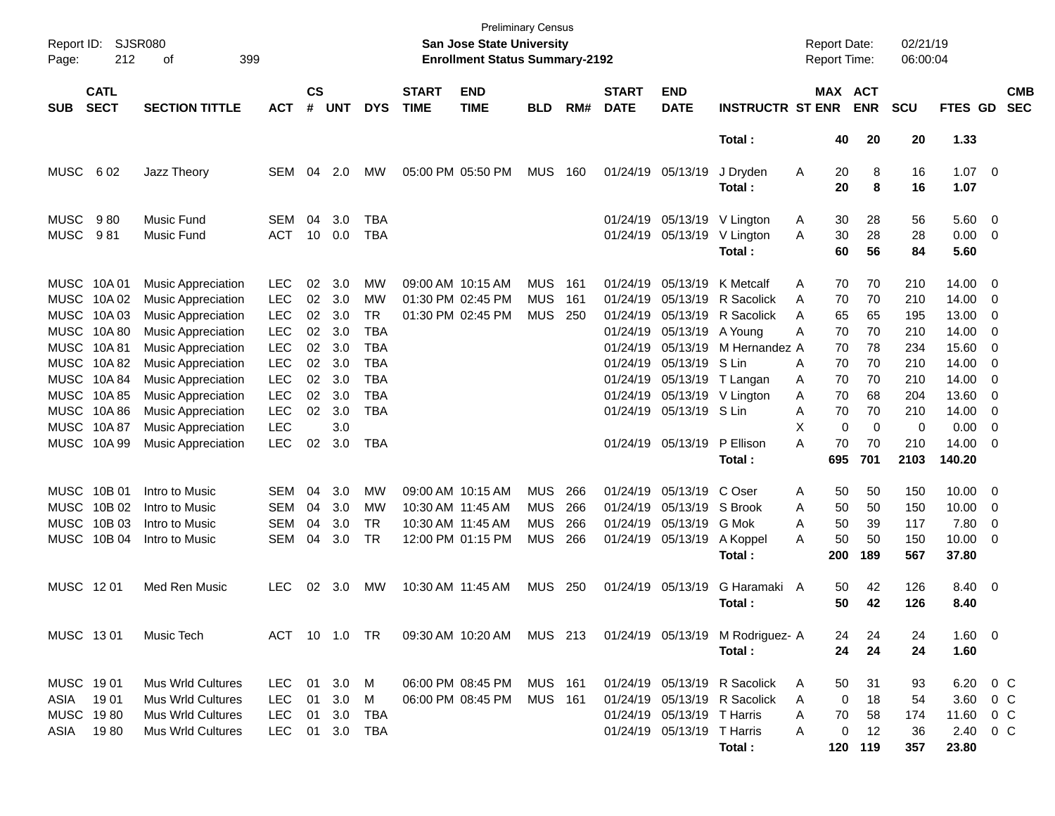| Report ID: SJSR080<br>Page:            | 399                                                                                                                             |                                                                                                                                                                                                                                                                                                        |                                                                                                                                                        |                                                          |                                                                           | <b>Preliminary Census</b><br><b>San Jose State University</b><br><b>Enrollment Status Summary-2192</b>                         |                                                             |                                        |                                        |                   |                                                                                  | <b>Report Date:</b><br><b>Report Time:</b>                                                                                                            |                                                                                                                  | 02/21/19<br>06:00:04                                                                                                      |                                                                         |                                                                         |                                                                                                  |                                                                                                                                                                                                                       |                          |
|----------------------------------------|---------------------------------------------------------------------------------------------------------------------------------|--------------------------------------------------------------------------------------------------------------------------------------------------------------------------------------------------------------------------------------------------------------------------------------------------------|--------------------------------------------------------------------------------------------------------------------------------------------------------|----------------------------------------------------------|---------------------------------------------------------------------------|--------------------------------------------------------------------------------------------------------------------------------|-------------------------------------------------------------|----------------------------------------|----------------------------------------|-------------------|----------------------------------------------------------------------------------|-------------------------------------------------------------------------------------------------------------------------------------------------------|------------------------------------------------------------------------------------------------------------------|---------------------------------------------------------------------------------------------------------------------------|-------------------------------------------------------------------------|-------------------------------------------------------------------------|--------------------------------------------------------------------------------------------------|-----------------------------------------------------------------------------------------------------------------------------------------------------------------------------------------------------------------------|--------------------------|
| <b>SUB</b>                             | <b>CATL</b><br><b>SECT</b>                                                                                                      | <b>SECTION TITTLE</b>                                                                                                                                                                                                                                                                                  | <b>ACT</b>                                                                                                                                             | $\mathsf{cs}$<br>#                                       | <b>UNT</b>                                                                | <b>DYS</b>                                                                                                                     | <b>START</b><br><b>TIME</b>                                 | <b>END</b><br><b>TIME</b>              | <b>BLD</b>                             | RM#               | <b>START</b><br><b>DATE</b>                                                      | <b>END</b><br><b>DATE</b>                                                                                                                             | <b>INSTRUCTR ST ENR</b>                                                                                          | MAX ACT                                                                                                                   | <b>ENR</b>                                                              | <b>SCU</b>                                                              | <b>FTES GD</b>                                                                                   |                                                                                                                                                                                                                       | <b>CMB</b><br><b>SEC</b> |
|                                        |                                                                                                                                 |                                                                                                                                                                                                                                                                                                        |                                                                                                                                                        |                                                          |                                                                           |                                                                                                                                |                                                             |                                        |                                        |                   |                                                                                  |                                                                                                                                                       | Total :                                                                                                          | 40                                                                                                                        | 20                                                                      | 20                                                                      | 1.33                                                                                             |                                                                                                                                                                                                                       |                          |
| <b>MUSC</b>                            | 602                                                                                                                             | Jazz Theory                                                                                                                                                                                                                                                                                            | <b>SEM</b>                                                                                                                                             | 04                                                       | 2.0                                                                       | MW                                                                                                                             | 05:00 PM 05:50 PM                                           |                                        | <b>MUS</b>                             | 160               |                                                                                  | 01/24/19 05/13/19                                                                                                                                     | J Dryden<br>Total :                                                                                              | Α<br>20<br>20                                                                                                             | 8<br>8                                                                  | 16<br>16                                                                | $1.07 \t 0$<br>1.07                                                                              |                                                                                                                                                                                                                       |                          |
| <b>MUSC</b><br><b>MUSC</b>             | 980<br>981                                                                                                                      | Music Fund<br>Music Fund                                                                                                                                                                                                                                                                               | <b>SEM</b><br><b>ACT</b>                                                                                                                               | 04<br>10                                                 | 3.0<br>0.0                                                                | TBA<br><b>TBA</b>                                                                                                              |                                                             |                                        |                                        |                   |                                                                                  | 01/24/19 05/13/19<br>01/24/19 05/13/19                                                                                                                | V Lington<br>V Lington<br>Total:                                                                                 | 30<br>A<br>30<br>A<br>60                                                                                                  | 28<br>28<br>56                                                          | 56<br>28<br>84                                                          | 5.60 0<br>$0.00 \t 0$<br>5.60                                                                    |                                                                                                                                                                                                                       |                          |
| MUSC 10A 01<br>MUSC 10A81              | MUSC 10A02<br>MUSC 10A03<br>MUSC 10A 80<br>MUSC 10A82<br>MUSC 10A84<br>MUSC 10A 85<br>MUSC 10A 86<br>MUSC 10A 87<br>MUSC 10A 99 | <b>Music Appreciation</b><br><b>Music Appreciation</b><br>Music Appreciation<br>Music Appreciation<br><b>Music Appreciation</b><br><b>Music Appreciation</b><br>Music Appreciation<br><b>Music Appreciation</b><br><b>Music Appreciation</b><br><b>Music Appreciation</b><br><b>Music Appreciation</b> | <b>LEC</b><br><b>LEC</b><br><b>LEC</b><br><b>LEC</b><br><b>LEC</b><br><b>LEC</b><br><b>LEC</b><br><b>LEC</b><br><b>LEC</b><br><b>LEC</b><br><b>LEC</b> | 02<br>02<br>02<br>02<br>02<br>02<br>02<br>02<br>02<br>02 | 3.0<br>3.0<br>3.0<br>3.0<br>3.0<br>3.0<br>3.0<br>3.0<br>3.0<br>3.0<br>3.0 | МW<br><b>MW</b><br><b>TR</b><br><b>TBA</b><br><b>TBA</b><br><b>TBA</b><br><b>TBA</b><br><b>TBA</b><br><b>TBA</b><br><b>TBA</b> | 09:00 AM 10:15 AM<br>01:30 PM 02:45 PM<br>01:30 PM 02:45 PM |                                        | <b>MUS</b><br><b>MUS</b><br><b>MUS</b> | 161<br>161<br>250 | 01/24/19<br>01/24/19<br>01/24/19<br>01/24/19<br>01/24/19<br>01/24/19<br>01/24/19 | 05/13/19<br>05/13/19<br>05/13/19<br>05/13/19<br>05/13/19<br>05/13/19<br>01/24/19 05/13/19<br>05/13/19<br>01/24/19 05/13/19 S Lin<br>01/24/19 05/13/19 | K Metcalf<br>R Sacolick<br>R Sacolick<br>A Young<br>M Hernandez A<br>S Lin<br>T Langan<br>V Lington<br>P Ellison | 70<br>A<br>70<br>A<br>65<br>A<br>70<br>Α<br>70<br>Α<br>70<br>70<br>A<br>70<br>A<br>A<br>70<br>X<br>$\mathbf 0$<br>A<br>70 | 70<br>70<br>65<br>70<br>78<br>70<br>70<br>68<br>70<br>$\mathbf 0$<br>70 | 210<br>210<br>195<br>210<br>234<br>210<br>210<br>204<br>210<br>0<br>210 | 14.00 0<br>14.00<br>13.00<br>14.00<br>15.60<br>14.00<br>14.00<br>13.60<br>14.00<br>0.00<br>14.00 | $\overline{\phantom{0}}$<br>$\overline{\phantom{0}}$<br>$\overline{\phantom{0}}$<br>- 0<br>$\overline{\phantom{0}}$<br>$\overline{\phantom{0}}$<br>- 0<br>$\overline{\phantom{0}}$<br>- 0<br>$\overline{\phantom{0}}$ |                          |
| MUSC 10B 01                            | MUSC 10B 02                                                                                                                     | Intro to Music<br>Intro to Music                                                                                                                                                                                                                                                                       | <b>SEM</b><br><b>SEM</b>                                                                                                                               | 04<br>04                                                 | 3.0<br>3.0                                                                | <b>MW</b><br>МW                                                                                                                | 09:00 AM 10:15 AM<br>10:30 AM 11:45 AM                      |                                        | <b>MUS</b><br><b>MUS</b>               | 266<br>266        | 01/24/19<br>01/24/19                                                             | 05/13/19<br>05/13/19                                                                                                                                  | Total :<br>C Oser<br>S Brook                                                                                     | 695<br>50<br>Α<br>50<br>A                                                                                                 | 701<br>50<br>50                                                         | 2103<br>150<br>150                                                      | 140.20<br>$10.00 \t 0$<br>10.00                                                                  | $\overline{\phantom{0}}$                                                                                                                                                                                              |                          |
| <b>MUSC</b><br><b>MUSC</b>             | 10B 03<br>10B 04                                                                                                                | Intro to Music<br>Intro to Music                                                                                                                                                                                                                                                                       | <b>SEM</b><br><b>SEM</b>                                                                                                                               | 04<br>04                                                 | 3.0<br>3.0                                                                | <b>TR</b><br><b>TR</b>                                                                                                         | 10:30 AM 11:45 AM<br>12:00 PM 01:15 PM                      |                                        | <b>MUS</b><br><b>MUS</b>               | 266<br>266        | 01/24/19                                                                         | 05/13/19<br>01/24/19 05/13/19                                                                                                                         | G Mok<br>A Koppel<br>Total:                                                                                      | A<br>50<br>50<br>A<br>200                                                                                                 | 39<br>50<br>189                                                         | 117<br>150<br>567                                                       | 7.80<br>$10.00 \t 0$<br>37.80                                                                    | $\overline{\mathbf{0}}$                                                                                                                                                                                               |                          |
| MUSC 1201                              |                                                                                                                                 | Med Ren Music                                                                                                                                                                                                                                                                                          | <b>LEC</b>                                                                                                                                             | 02                                                       | 3.0                                                                       | MW                                                                                                                             | 10:30 AM 11:45 AM                                           |                                        | <b>MUS</b>                             | 250               |                                                                                  | 01/24/19 05/13/19                                                                                                                                     | G Haramaki<br>Total :                                                                                            | 50<br>A<br>50                                                                                                             | 42<br>42                                                                | 126<br>126                                                              | 8.40 0<br>8.40                                                                                   |                                                                                                                                                                                                                       |                          |
| MUSC 1301                              |                                                                                                                                 | Music Tech                                                                                                                                                                                                                                                                                             | ACT 10 1.0 TR                                                                                                                                          |                                                          |                                                                           |                                                                                                                                |                                                             | 09:30 AM 10:20 AM MUS 213              |                                        |                   |                                                                                  |                                                                                                                                                       | 01/24/19 05/13/19 M Rodriguez- A<br>Total:                                                                       | 24<br>24                                                                                                                  | 24<br>24                                                                | 24<br>24                                                                | 1.60 0<br>1.60                                                                                   |                                                                                                                                                                                                                       |                          |
| MUSC 1901<br>ASIA<br>MUSC 1980<br>ASIA | 1901<br>1980                                                                                                                    | Mus Wrld Cultures<br><b>Mus Wrld Cultures</b><br><b>Mus Wrld Cultures</b><br>Mus Wrld Cultures                                                                                                                                                                                                         | LEC 01 3.0 M<br><b>LEC</b><br><b>LEC</b><br><b>LEC</b>                                                                                                 | 01<br>01                                                 | 3.0<br>3.0<br>01 3.0                                                      | M<br>TBA<br>TBA                                                                                                                |                                                             | 06:00 PM 08:45 PM<br>06:00 PM 08:45 PM | <b>MUS 161</b><br><b>MUS 161</b>       |                   |                                                                                  | 01/24/19 05/13/19 T Harris<br>01/24/19 05/13/19 T Harris                                                                                              | 01/24/19 05/13/19 R Sacolick<br>01/24/19 05/13/19 R Sacolick<br>Total:                                           | 50<br>A<br>0<br>A<br>70<br>A<br>0<br>A                                                                                    | 31<br>18<br>58<br>12<br>120 119                                         | 93<br>54<br>174<br>36<br>357                                            | 6.20 0 C<br>3.60 0 C<br>11.60 0 C<br>2.40 0 C<br>23.80                                           |                                                                                                                                                                                                                       |                          |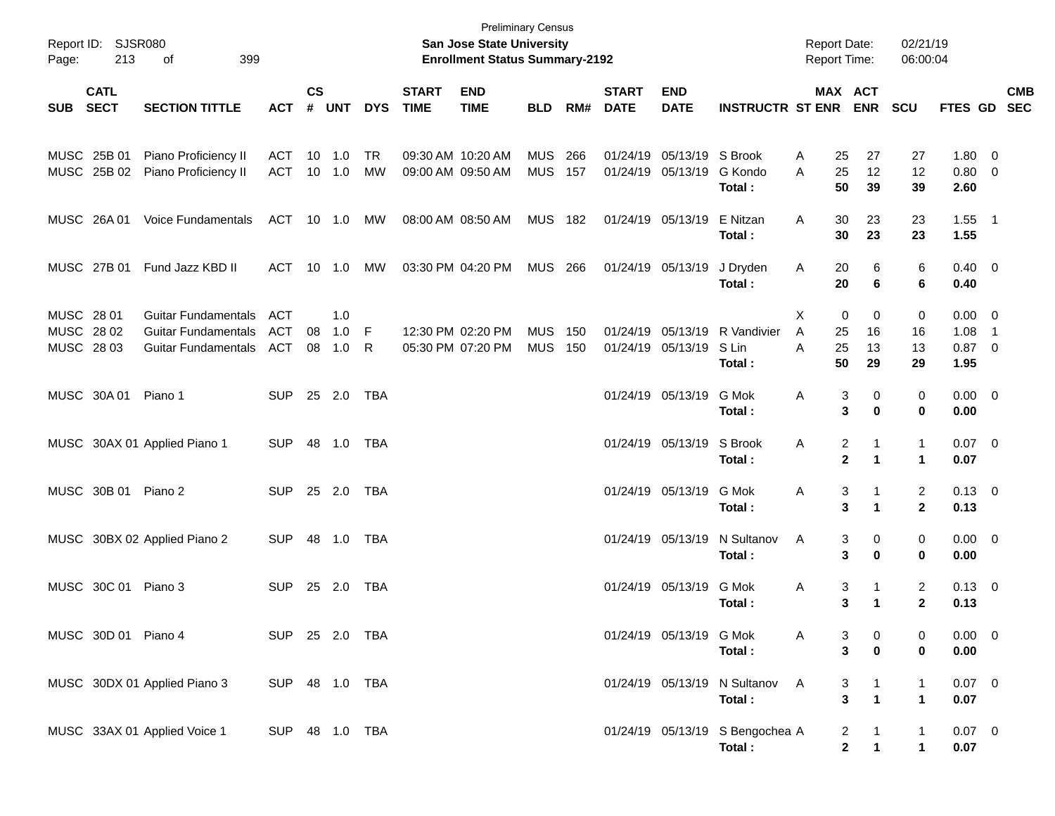| Page:                                  | Report ID: SJSR080<br>213  | 399<br>оf                                                                              |                                 |                |                   |                 |                             | <b>Preliminary Census</b><br>San Jose State University<br><b>Enrollment Status Summary-2192</b> |                          |            |                             |                                                |                                                   | <b>Report Date:</b><br>Report Time: |                                                 | 02/21/19<br>06:00:04                    |                                         |                          |            |
|----------------------------------------|----------------------------|----------------------------------------------------------------------------------------|---------------------------------|----------------|-------------------|-----------------|-----------------------------|-------------------------------------------------------------------------------------------------|--------------------------|------------|-----------------------------|------------------------------------------------|---------------------------------------------------|-------------------------------------|-------------------------------------------------|-----------------------------------------|-----------------------------------------|--------------------------|------------|
| <b>SUB</b>                             | <b>CATL</b><br><b>SECT</b> | <b>SECTION TITTLE</b>                                                                  | <b>ACT</b>                      | <b>CS</b><br># | <b>UNT</b>        | <b>DYS</b>      | <b>START</b><br><b>TIME</b> | <b>END</b><br><b>TIME</b>                                                                       | <b>BLD</b>               | RM#        | <b>START</b><br><b>DATE</b> | <b>END</b><br><b>DATE</b>                      | <b>INSTRUCTR ST ENR</b>                           |                                     | MAX ACT<br><b>ENR</b>                           | <b>SCU</b>                              | FTES GD SEC                             |                          | <b>CMB</b> |
|                                        | MUSC 25B 01<br>MUSC 25B 02 | Piano Proficiency II<br>Piano Proficiency II                                           | ACT<br>ACT                      | 10             | 1.0<br>10 1.0     | <b>TR</b><br>MW |                             | 09:30 AM 10:20 AM<br>09:00 AM 09:50 AM                                                          | <b>MUS</b><br><b>MUS</b> | 266<br>157 |                             | 01/24/19 05/13/19 S Brook<br>01/24/19 05/13/19 | G Kondo<br>Total:                                 | 25<br>A<br>25<br>A<br>50            | 27<br>12<br>39                                  | 27<br>12<br>39                          | 1.80 0<br>0.80 0<br>2.60                |                          |            |
|                                        | MUSC 26A 01                | <b>Voice Fundamentals</b>                                                              | ACT                             |                | 10 1.0            | MW              | 08:00 AM 08:50 AM           |                                                                                                 | MUS 182                  |            |                             | 01/24/19 05/13/19                              | E Nitzan<br>Total:                                | 30<br>A<br>30                       | 23<br>23                                        | 23<br>23                                | $1.55$ 1<br>1.55                        |                          |            |
|                                        | MUSC 27B 01                | Fund Jazz KBD II                                                                       | ACT                             | 10             | 1.0               | MW              |                             | 03:30 PM 04:20 PM                                                                               | <b>MUS 266</b>           |            |                             | 01/24/19 05/13/19                              | J Dryden<br>Total:                                | 20<br>A<br>20                       | 6<br>6                                          | 6<br>6                                  | $0.40 \quad 0$<br>0.40                  |                          |            |
| MUSC 28 01<br>MUSC 28 02<br>MUSC 28 03 |                            | <b>Guitar Fundamentals</b><br><b>Guitar Fundamentals</b><br><b>Guitar Fundamentals</b> | <b>ACT</b><br><b>ACT</b><br>ACT | 08<br>08       | 1.0<br>1.0<br>1.0 | - F<br>R        |                             | 12:30 PM 02:20 PM<br>05:30 PM 07:20 PM                                                          | <b>MUS</b><br><b>MUS</b> | 150<br>150 |                             | 01/24/19 05/13/19                              | 01/24/19 05/13/19 R Vandivier<br>S Lin<br>Total : | X<br>A<br>25<br>25<br>A<br>50       | 0<br>0<br>16<br>13<br>29                        | 0<br>16<br>13<br>29                     | $0.00 \t 0$<br>1.08<br>$0.87$ 0<br>1.95 | $\overline{\phantom{1}}$ |            |
|                                        | MUSC 30A 01                | Piano 1                                                                                | <b>SUP</b>                      |                | 25 2.0            | TBA             |                             |                                                                                                 |                          |            |                             | 01/24/19 05/13/19                              | G Mok<br>Total :                                  | Α                                   | 0<br>3<br>3<br>0                                | 0<br>0                                  | $0.00 \t 0$<br>0.00                     |                          |            |
|                                        |                            | MUSC 30AX 01 Applied Piano 1                                                           | <b>SUP</b>                      |                | 48 1.0            | TBA             |                             |                                                                                                 |                          |            |                             | 01/24/19 05/13/19 S Brook                      | Total :                                           | Α                                   | 2<br>-1<br>$\mathbf{2}$<br>$\blacktriangleleft$ | $\mathbf{1}$<br>1                       | $0.07$ 0<br>0.07                        |                          |            |
|                                        | MUSC 30B 01                | Piano 2                                                                                | <b>SUP</b>                      |                | 25 2.0            | TBA             |                             |                                                                                                 |                          |            |                             | 01/24/19 05/13/19                              | G Mok<br>Total :                                  | Α                                   | 3<br>-1<br>3<br>$\blacktriangleleft$            | 2<br>$\mathbf{2}$                       | $0.13 \quad 0$<br>0.13                  |                          |            |
|                                        |                            | MUSC 30BX 02 Applied Piano 2                                                           | <b>SUP</b>                      |                | 48 1.0            | TBA             |                             |                                                                                                 |                          |            |                             | 01/24/19 05/13/19                              | N Sultanov<br>Total:                              | Α                                   | 0<br>3<br>3<br>0                                | 0<br>0                                  | $0.00 \t 0$<br>0.00                     |                          |            |
|                                        | MUSC 30C 01 Piano 3        |                                                                                        | <b>SUP</b>                      |                | 25 2.0            | TBA             |                             |                                                                                                 |                          |            |                             | 01/24/19 05/13/19                              | G Mok<br>Total :                                  | Α                                   | 3<br>1<br>3<br>$\mathbf 1$                      | $\overline{\mathbf{c}}$<br>$\mathbf{2}$ | $0.13 \ 0$<br>0.13                      |                          |            |
|                                        | MUSC 30D 01 Piano 4        |                                                                                        | SUP 25 2.0 TBA                  |                |                   |                 |                             |                                                                                                 |                          |            |                             | 01/24/19 05/13/19 G Mok                        | Total:                                            | Α                                   | 3<br>0<br>3<br>0                                | 0<br>0                                  | $0.00 \t 0$<br>0.00                     |                          |            |
|                                        |                            | MUSC 30DX 01 Applied Piano 3                                                           | SUP 48 1.0 TBA                  |                |                   |                 |                             |                                                                                                 |                          |            |                             |                                                | 01/24/19 05/13/19 N Sultanov<br>Total:            | A                                   | 3<br>1<br>3<br>$\blacktriangleleft$             | 1<br>1                                  | $0.07$ 0<br>0.07                        |                          |            |
|                                        |                            | MUSC 33AX 01 Applied Voice 1                                                           | SUP 48 1.0 TBA                  |                |                   |                 |                             |                                                                                                 |                          |            |                             |                                                | 01/24/19 05/13/19 S Bengochea A<br>Total:         |                                     | 2<br>$\mathbf 2$<br>$\mathbf{1}$                | $\mathbf{1}$<br>$\mathbf 1$             | $0.07$ 0<br>0.07                        |                          |            |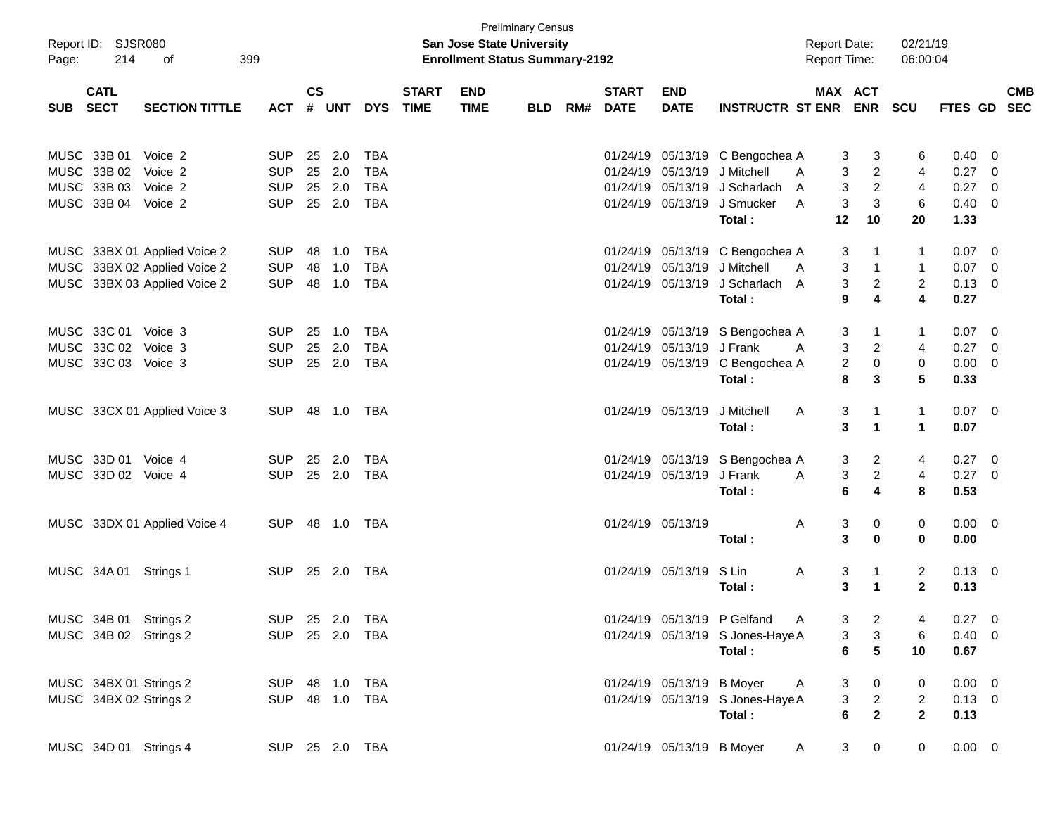|            | Report ID: SJSR080     |                              |                |               |            |            |              | San Jose State University             | <b>Preliminary Census</b> |     |                   |                           |                                  | <b>Report Date:</b> |                                  | 02/21/19       |                |                          |            |
|------------|------------------------|------------------------------|----------------|---------------|------------|------------|--------------|---------------------------------------|---------------------------|-----|-------------------|---------------------------|----------------------------------|---------------------|----------------------------------|----------------|----------------|--------------------------|------------|
| Page:      | 214                    | οf                           | 399            |               |            |            |              | <b>Enrollment Status Summary-2192</b> |                           |     |                   |                           |                                  | <b>Report Time:</b> |                                  | 06:00:04       |                |                          |            |
|            | <b>CATL</b>            |                              |                | $\mathsf{cs}$ |            |            | <b>START</b> | <b>END</b>                            |                           |     | <b>START</b>      | <b>END</b>                |                                  | MAX ACT             |                                  |                |                |                          | <b>CMB</b> |
| <b>SUB</b> | <b>SECT</b>            | <b>SECTION TITTLE</b>        | <b>ACT</b>     | #             | <b>UNT</b> | <b>DYS</b> | <b>TIME</b>  | <b>TIME</b>                           | <b>BLD</b>                | RM# | <b>DATE</b>       | <b>DATE</b>               | <b>INSTRUCTR ST ENR</b>          |                     | <b>ENR</b>                       | <b>SCU</b>     | <b>FTES GD</b> |                          | <b>SEC</b> |
|            | MUSC 33B 01            | Voice 2                      | <b>SUP</b>     | 25            | 2.0        | <b>TBA</b> |              |                                       |                           |     |                   | 01/24/19 05/13/19         | C Bengochea A                    | 3                   |                                  | 6              | 0.40           | - 0                      |            |
|            | MUSC 33B 02            | Voice 2                      | <b>SUP</b>     | 25            | 2.0        | <b>TBA</b> |              |                                       |                           |     | 01/24/19          | 05/13/19                  | J Mitchell                       | A                   | 3<br>$\overline{c}$<br>3         | 4              | 0.27           | $\overline{0}$           |            |
|            | MUSC 33B 03            | Voice 2                      | <b>SUP</b>     | 25            | 2.0        | <b>TBA</b> |              |                                       |                           |     | 01/24/19          | 05/13/19                  | J Scharlach                      | A                   | 3<br>$\overline{2}$              | 4              | 0.27           | $\overline{0}$           |            |
|            | MUSC 33B 04            | Voice 2                      | <b>SUP</b>     |               | 25 2.0     | <b>TBA</b> |              |                                       |                           |     |                   | 01/24/19 05/13/19         | J Smucker                        | 3<br>A              | 3                                | 6              | $0.40 \quad 0$ |                          |            |
|            |                        |                              |                |               |            |            |              |                                       |                           |     |                   |                           | Total:                           | 12                  | 10                               | 20             | 1.33           |                          |            |
|            |                        | MUSC 33BX 01 Applied Voice 2 | <b>SUP</b>     | 48            | 1.0        | <b>TBA</b> |              |                                       |                           |     |                   | 01/24/19 05/13/19         | C Bengochea A                    | 3                   | 1                                | $\mathbf{1}$   | 0.07           | $\overline{\phantom{0}}$ |            |
|            |                        | MUSC 33BX 02 Applied Voice 2 | <b>SUP</b>     | 48            | 1.0        | <b>TBA</b> |              |                                       |                           |     | 01/24/19          | 05/13/19                  | J Mitchell                       | 3<br>A              | $\mathbf{1}$                     | $\mathbf{1}$   | 0.07           | $\overline{\mathbf{0}}$  |            |
|            |                        | MUSC 33BX 03 Applied Voice 2 | <b>SUP</b>     | 48            | 1.0        | <b>TBA</b> |              |                                       |                           |     |                   | 01/24/19 05/13/19         | J Scharlach                      | 3<br>A              | $\overline{c}$                   | $\overline{2}$ | $0.13 \ 0$     |                          |            |
|            |                        |                              |                |               |            |            |              |                                       |                           |     |                   |                           | Total:                           | 9                   | 4                                | 4              | 0.27           |                          |            |
|            | MUSC 33C 01            | Voice 3                      | <b>SUP</b>     | 25            | 1.0        | <b>TBA</b> |              |                                       |                           |     |                   |                           | 01/24/19 05/13/19 S Bengochea A  | 3                   | 1                                | $\mathbf{1}$   | 0.07           | $\overline{\phantom{0}}$ |            |
|            | MUSC 33C 02            | Voice 3                      | <b>SUP</b>     | 25            | 2.0        | <b>TBA</b> |              |                                       |                           |     | 01/24/19          | 05/13/19                  | J Frank                          | 3<br>Α              | $\overline{c}$                   | 4              | 0.27           | $\overline{\mathbf{0}}$  |            |
|            | MUSC 33C 03 Voice 3    |                              | <b>SUP</b>     |               | 25 2.0     | <b>TBA</b> |              |                                       |                           |     |                   | 01/24/19 05/13/19         | C Bengochea A                    |                     | $\overline{2}$<br>0              | 0              | $0.00 \t 0$    |                          |            |
|            |                        |                              |                |               |            |            |              |                                       |                           |     |                   |                           | Total:                           | 8                   | 3                                | 5              | 0.33           |                          |            |
|            |                        | MUSC 33CX 01 Applied Voice 3 | <b>SUP</b>     |               | 48 1.0     | TBA        |              |                                       |                           |     |                   | 01/24/19 05/13/19         | J Mitchell                       | Α<br>3              | $\mathbf{1}$                     | $\mathbf{1}$   | $0.07 \quad 0$ |                          |            |
|            |                        |                              |                |               |            |            |              |                                       |                           |     |                   |                           | Total:                           | 3                   | $\mathbf{1}$                     | $\mathbf 1$    | 0.07           |                          |            |
|            | MUSC 33D 01            | Voice 4                      | <b>SUP</b>     | 25            | 2.0        | <b>TBA</b> |              |                                       |                           |     |                   | 01/24/19 05/13/19         | S Bengochea A                    |                     | $\overline{2}$<br>3              | 4              | 0.27           | $\overline{\phantom{0}}$ |            |
|            | MUSC 33D 02 Voice 4    |                              | <b>SUP</b>     |               | 25 2.0     | <b>TBA</b> |              |                                       |                           |     |                   | 01/24/19 05/13/19         | J Frank                          | 3<br>A              | $\overline{a}$                   | 4              | $0.27$ 0       |                          |            |
|            |                        |                              |                |               |            |            |              |                                       |                           |     |                   |                           | Total:                           | 6                   | 4                                | 8              | 0.53           |                          |            |
|            |                        | MUSC 33DX 01 Applied Voice 4 | <b>SUP</b>     |               | 48 1.0     | TBA        |              |                                       |                           |     | 01/24/19 05/13/19 |                           |                                  | Α<br>3              | 0                                | 0              | $0.00 \quad 0$ |                          |            |
|            |                        |                              |                |               |            |            |              |                                       |                           |     |                   |                           | Total:                           | 3                   | $\mathbf 0$                      | 0              | 0.00           |                          |            |
|            | MUSC 34A 01 Strings 1  |                              | <b>SUP</b>     |               | 25 2.0     | TBA        |              |                                       |                           |     |                   | 01/24/19 05/13/19         | S Lin                            | Α<br>3              | 1                                | 2              | $0.13 \quad 0$ |                          |            |
|            |                        |                              |                |               |            |            |              |                                       |                           |     |                   |                           | Total :                          | 3                   | $\blacktriangleleft$             | $\mathbf{2}$   | 0.13           |                          |            |
|            | MUSC 34B 01 Strings 2  |                              | SUP 25 2.0 TBA |               |            |            |              |                                       |                           |     |                   |                           | 01/24/19 05/13/19 P Gelfand      | A,                  | 3 <sup>7</sup><br>$\overline{2}$ | 4              | $0.27 \ 0$     |                          |            |
|            | MUSC 34B 02 Strings 2  |                              | SUP 25 2.0 TBA |               |            |            |              |                                       |                           |     |                   |                           | 01/24/19 05/13/19 S Jones-Haye A |                     | $\mathbf{3}$<br>3                | 6              | $0.40 \quad 0$ |                          |            |
|            |                        |                              |                |               |            |            |              |                                       |                           |     |                   |                           | Total:                           |                     | 6<br>5                           | 10             | 0.67           |                          |            |
|            | MUSC 34BX 01 Strings 2 |                              | SUP 48 1.0 TBA |               |            |            |              |                                       |                           |     |                   | 01/24/19 05/13/19 B Moyer |                                  | <b>A</b>            | 3<br>$\mathbf{0}$                | 0              | $0.00 \t 0$    |                          |            |
|            | MUSC 34BX 02 Strings 2 |                              | SUP 48 1.0 TBA |               |            |            |              |                                       |                           |     |                   |                           | 01/24/19 05/13/19 S Jones-Haye A |                     | $\mathbf{3}$<br>$\overline{2}$   | $\overline{2}$ | $0.13 \ 0$     |                          |            |
|            |                        |                              |                |               |            |            |              |                                       |                           |     |                   |                           | Total:                           |                     | $\overline{2}$<br>6              | $\overline{2}$ | 0.13           |                          |            |
|            | MUSC 34D 01 Strings 4  |                              | SUP 25 2.0 TBA |               |            |            |              |                                       |                           |     |                   | 01/24/19 05/13/19 B Moyer |                                  | $\mathsf{A}$        | 3 <sup>7</sup><br>$\overline{0}$ | $\mathbf 0$    | $0.00 \t 0$    |                          |            |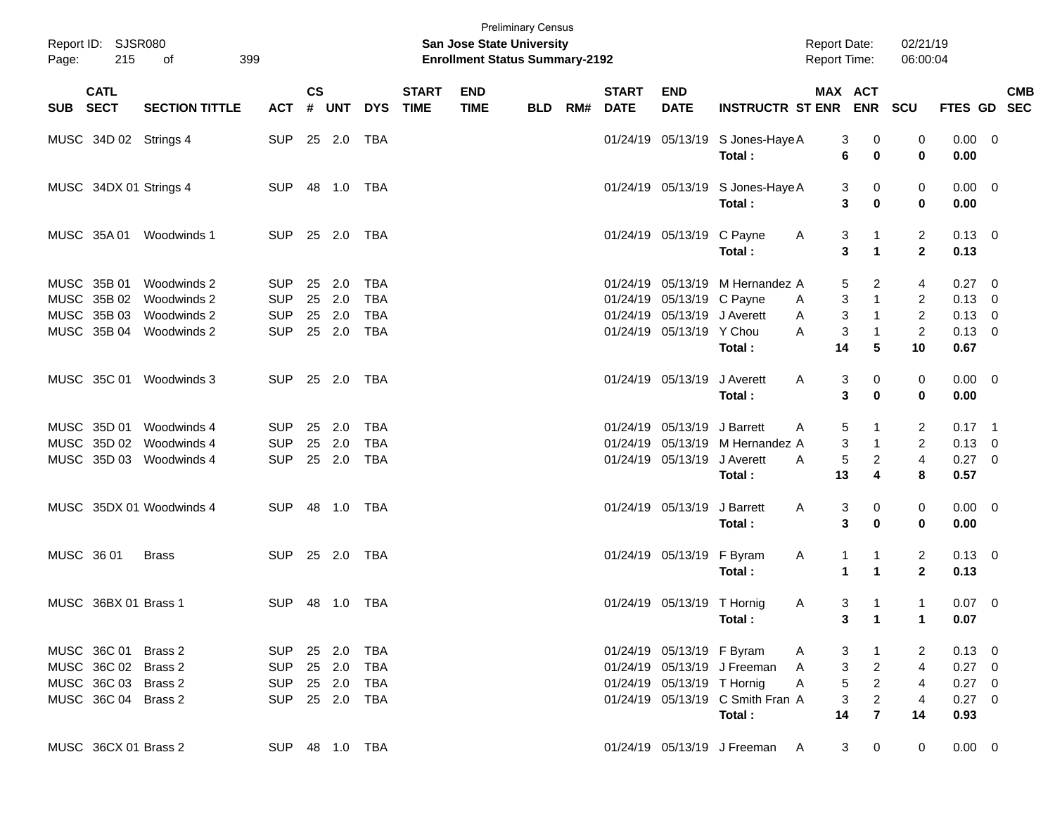| Page:      | Report ID: SJSR080<br>215  | 399<br>of                |                |                |            |            |                             | San Jose State University<br><b>Enrollment Status Summary-2192</b> | <b>Preliminary Census</b> |     |                             |                            |                                    | <b>Report Date:</b><br><b>Report Time:</b> |                      | 02/21/19<br>06:00:04    |                |                          |            |
|------------|----------------------------|--------------------------|----------------|----------------|------------|------------|-----------------------------|--------------------------------------------------------------------|---------------------------|-----|-----------------------------|----------------------------|------------------------------------|--------------------------------------------|----------------------|-------------------------|----------------|--------------------------|------------|
| <b>SUB</b> | <b>CATL</b><br><b>SECT</b> | <b>SECTION TITTLE</b>    | <b>ACT</b>     | <b>CS</b><br># | <b>UNT</b> | <b>DYS</b> | <b>START</b><br><b>TIME</b> | <b>END</b><br><b>TIME</b>                                          | <b>BLD</b>                | RM# | <b>START</b><br><b>DATE</b> | <b>END</b><br><b>DATE</b>  | <b>INSTRUCTR ST ENR</b>            | MAX ACT                                    | <b>ENR</b>           | <b>SCU</b>              | FTES GD SEC    |                          | <b>CMB</b> |
|            | MUSC 34D 02 Strings 4      |                          | <b>SUP</b>     |                | 25 2.0     | <b>TBA</b> |                             |                                                                    |                           |     |                             | 01/24/19 05/13/19          | S Jones-Haye A                     | 3                                          | 0                    | 0                       | 0.00           | $\overline{\phantom{0}}$ |            |
|            |                            |                          |                |                |            |            |                             |                                                                    |                           |     |                             |                            | Total:                             | 6                                          | 0                    | $\mathbf 0$             | 0.00           |                          |            |
|            | MUSC 34DX 01 Strings 4     |                          | <b>SUP</b>     |                | 48 1.0     | TBA        |                             |                                                                    |                           |     |                             | 01/24/19 05/13/19          | S Jones-Haye A                     | 3                                          | 0                    | 0                       | $0.00 \t 0$    |                          |            |
|            |                            |                          |                |                |            |            |                             |                                                                    |                           |     |                             |                            | Total:                             | 3                                          | 0                    | 0                       | 0.00           |                          |            |
|            | MUSC 35A 01                | Woodwinds 1              | <b>SUP</b>     |                | 25 2.0     | TBA        |                             |                                                                    |                           |     |                             | 01/24/19 05/13/19          | C Payne                            | 3<br>A                                     | 1                    | $\overline{2}$          | $0.13 \quad 0$ |                          |            |
|            |                            |                          |                |                |            |            |                             |                                                                    |                           |     |                             |                            | Total:                             | 3                                          | $\blacktriangleleft$ | $\mathbf{2}$            | 0.13           |                          |            |
|            | MUSC 35B 01                | Woodwinds 2              | <b>SUP</b>     | 25             | 2.0        | <b>TBA</b> |                             |                                                                    |                           |     |                             | 01/24/19 05/13/19          | M Hernandez A                      | 5                                          | 2                    | 4                       | 0.27           | $\overline{\phantom{0}}$ |            |
|            | MUSC 35B 02                | Woodwinds 2              | <b>SUP</b>     |                | 25 2.0     | <b>TBA</b> |                             |                                                                    |                           |     |                             | 01/24/19 05/13/19          | C Payne                            | 3<br>A                                     | $\mathbf{1}$         | $\overline{2}$          | 0.13           | $\overline{\mathbf{0}}$  |            |
|            | MUSC 35B 03                | Woodwinds 2              | <b>SUP</b>     | 25             | 2.0        | <b>TBA</b> |                             |                                                                    |                           |     |                             | 01/24/19 05/13/19          | J Averett                          | 3<br>Α                                     | $\mathbf{1}$         | $\overline{c}$          | 0.13           | $\overline{0}$           |            |
|            | MUSC 35B 04                | Woodwinds 2              | <b>SUP</b>     |                | 25 2.0     | <b>TBA</b> |                             |                                                                    |                           |     |                             | 01/24/19 05/13/19 Y Chou   |                                    | 3<br>A                                     | $\mathbf{1}$         | $\overline{2}$          | $0.13 \ 0$     |                          |            |
|            |                            |                          |                |                |            |            |                             |                                                                    |                           |     |                             |                            | Total:                             | 14                                         | 5                    | 10                      | 0.67           |                          |            |
|            | MUSC 35C 01                | Woodwinds 3              | <b>SUP</b>     |                | 25 2.0     | TBA        |                             |                                                                    |                           |     |                             | 01/24/19 05/13/19          | J Averett                          | Α<br>3                                     | 0                    | 0                       | $0.00 \t 0$    |                          |            |
|            |                            |                          |                |                |            |            |                             |                                                                    |                           |     |                             |                            | Total:                             | 3                                          | 0                    | 0                       | 0.00           |                          |            |
|            | MUSC 35D 01                | Woodwinds 4              | <b>SUP</b>     | 25             | 2.0        | <b>TBA</b> |                             |                                                                    |                           |     |                             | 01/24/19 05/13/19          | J Barrett                          | 5<br>Α                                     |                      | 2                       | $0.17$ 1       |                          |            |
|            | MUSC 35D 02                | Woodwinds 4              | <b>SUP</b>     | 25             | 2.0        | <b>TBA</b> |                             |                                                                    |                           |     |                             | 01/24/19 05/13/19          | M Hernandez A                      | 3                                          | $\mathbf{1}$         | $\overline{2}$          | $0.13 \ 0$     |                          |            |
|            | MUSC 35D 03                | Woodwinds 4              | <b>SUP</b>     |                | 25 2.0     | <b>TBA</b> |                             |                                                                    |                           |     |                             | 01/24/19 05/13/19          | J Averett                          | 5<br>A                                     | $\overline{c}$       | $\overline{\mathbf{4}}$ | 0.27 0         |                          |            |
|            |                            |                          |                |                |            |            |                             |                                                                    |                           |     |                             |                            | Total:                             | 13                                         | 4                    | 8                       | 0.57           |                          |            |
|            |                            | MUSC 35DX 01 Woodwinds 4 | <b>SUP</b>     |                | 48 1.0     | TBA        |                             |                                                                    |                           |     |                             | 01/24/19 05/13/19          | J Barrett                          | Α<br>3                                     | 0                    | 0                       | $0.00 \t 0$    |                          |            |
|            |                            |                          |                |                |            |            |                             |                                                                    |                           |     |                             |                            | Total:                             | 3                                          | 0                    | 0                       | 0.00           |                          |            |
| MUSC 36 01 |                            | <b>Brass</b>             | <b>SUP</b>     |                | 25 2.0     | TBA        |                             |                                                                    |                           |     |                             | 01/24/19 05/13/19          | F Byram                            | A<br>1                                     | 1                    | $\overline{2}$          | $0.13 \quad 0$ |                          |            |
|            |                            |                          |                |                |            |            |                             |                                                                    |                           |     |                             |                            | Total:                             | 1                                          | $\blacktriangleleft$ | $\mathbf{2}$            | 0.13           |                          |            |
|            | MUSC 36BX 01 Brass 1       |                          | <b>SUP</b>     |                | 48 1.0     | TBA        |                             |                                                                    |                           |     |                             | 01/24/19 05/13/19 T Hornig |                                    | 3<br>A                                     | 1                    | $\mathbf{1}$            | $0.07$ 0       |                          |            |
|            |                            |                          |                |                |            |            |                             |                                                                    |                           |     |                             |                            | Total:                             |                                            | $3 \quad 1$          | $\mathbf{1}$            | 0.07           |                          |            |
|            | MUSC 36C 01 Brass 2        |                          | <b>SUP</b>     |                | 25 2.0     | <b>TBA</b> |                             |                                                                    |                           |     |                             | 01/24/19 05/13/19 F Byram  |                                    | 3<br>A                                     | $\mathbf{1}$         | 2                       | $0.13 \ 0$     |                          |            |
|            | MUSC 36C 02 Brass 2        |                          | <b>SUP</b>     |                | 25 2.0     | <b>TBA</b> |                             |                                                                    |                           |     |                             |                            | 01/24/19 05/13/19 J Freeman        | 3<br>A                                     | $\overline{c}$       | $\overline{4}$          | $0.27$ 0       |                          |            |
|            | MUSC 36C 03 Brass 2        |                          | <b>SUP</b>     |                | 25 2.0     | <b>TBA</b> |                             |                                                                    |                           |     |                             | 01/24/19 05/13/19 T Hornig |                                    | $\,$ 5 $\,$<br>A                           | $\overline{a}$       | 4                       | $0.27 \t 0$    |                          |            |
|            | MUSC 36C 04 Brass 2        |                          | <b>SUP</b>     |                | 25 2.0     | <b>TBA</b> |                             |                                                                    |                           |     |                             |                            | 01/24/19 05/13/19 C Smith Fran A   | $\ensuremath{\mathsf{3}}$                  | $\overline{c}$       | $\overline{4}$          | $0.27 \ 0$     |                          |            |
|            |                            |                          |                |                |            |            |                             |                                                                    |                           |     |                             |                            | Total:                             | 14                                         | $\overline{7}$       | 14                      | 0.93           |                          |            |
|            | MUSC 36CX 01 Brass 2       |                          | SUP 48 1.0 TBA |                |            |            |                             |                                                                    |                           |     |                             |                            | 01/24/19 05/13/19 J Freeman<br>- A | 3                                          | 0                    | $\mathbf 0$             | $0.00 \t 0$    |                          |            |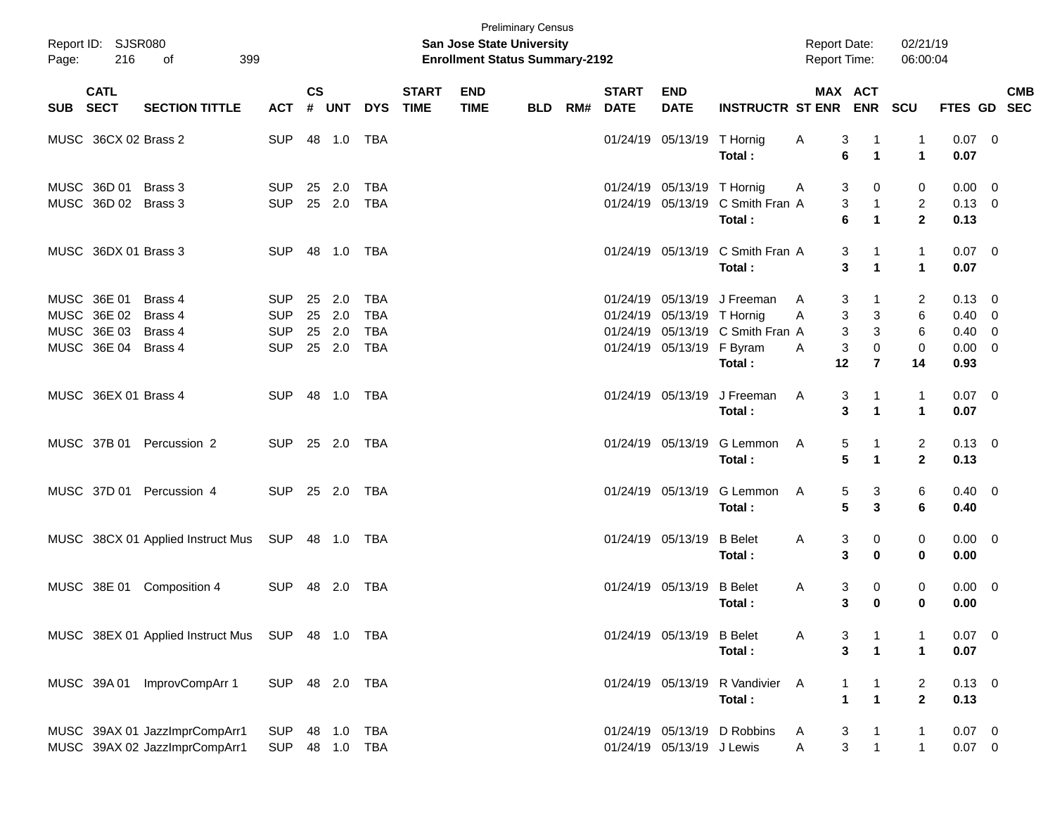| Page:      | Report ID: SJSR080<br>216                                        | 399<br>of                                                      |                                                      |                          |                   |                                               |                             | San Jose State University<br><b>Enrollment Status Summary-2192</b> | <b>Preliminary Census</b> |     |                             |                                                         |                                                                           | <b>Report Date:</b><br>Report Time:   |                                                                         | 02/21/19<br>06:00:04                  |                                      |                                                                                        |            |
|------------|------------------------------------------------------------------|----------------------------------------------------------------|------------------------------------------------------|--------------------------|-------------------|-----------------------------------------------|-----------------------------|--------------------------------------------------------------------|---------------------------|-----|-----------------------------|---------------------------------------------------------|---------------------------------------------------------------------------|---------------------------------------|-------------------------------------------------------------------------|---------------------------------------|--------------------------------------|----------------------------------------------------------------------------------------|------------|
| <b>SUB</b> | <b>CATL</b><br><b>SECT</b>                                       | <b>SECTION TITTLE</b>                                          | <b>ACT</b>                                           | <b>CS</b>                | # UNT             | <b>DYS</b>                                    | <b>START</b><br><b>TIME</b> | <b>END</b><br><b>TIME</b>                                          | <b>BLD</b>                | RM# | <b>START</b><br><b>DATE</b> | <b>END</b><br><b>DATE</b>                               | <b>INSTRUCTR ST ENR</b>                                                   |                                       | MAX ACT                                                                 | ENR SCU                               | FTES GD SEC                          |                                                                                        | <b>CMB</b> |
|            | MUSC 36CX 02 Brass 2                                             |                                                                | <b>SUP</b>                                           |                          | 48 1.0            | TBA                                           |                             |                                                                    |                           |     |                             | 01/24/19 05/13/19 T Hornig                              | Total:                                                                    | 3<br>A<br>6                           | -1<br>$\overline{1}$                                                    | 1<br>$\mathbf{1}$                     | $0.07$ 0<br>0.07                     |                                                                                        |            |
|            | MUSC 36D 01 Brass 3<br>MUSC 36D 02 Brass 3                       |                                                                | <b>SUP</b><br><b>SUP</b>                             | 25<br>25 2.0             | 2.0               | <b>TBA</b><br><b>TBA</b>                      |                             |                                                                    |                           |     |                             | 01/24/19 05/13/19 T Hornig                              | 01/24/19 05/13/19 C Smith Fran A<br>Total:                                | 3<br>A<br>3<br>6                      | 0<br>$\mathbf{1}$<br>$\mathbf{1}$                                       | 0<br>$\overline{2}$<br>$\overline{2}$ | 0.00<br>$0.13 \ 0$<br>0.13           | $\overline{\phantom{0}}$                                                               |            |
|            | MUSC 36DX 01 Brass 3                                             |                                                                | <b>SUP</b>                                           | 48                       | 1.0               | TBA                                           |                             |                                                                    |                           |     |                             |                                                         | 01/24/19 05/13/19 C Smith Fran A<br>Total:                                | 3                                     | -1<br>3<br>$\mathbf{1}$                                                 | $\mathbf{1}$<br>$\mathbf 1$           | $0.07$ 0<br>0.07                     |                                                                                        |            |
|            | MUSC 36E 01<br>MUSC 36E 02<br>MUSC 36E 03<br>MUSC 36E 04 Brass 4 | Brass 4<br>Brass 4<br>Brass 4                                  | <b>SUP</b><br><b>SUP</b><br><b>SUP</b><br><b>SUP</b> | 25<br>25<br>25<br>25 2.0 | 2.0<br>2.0<br>2.0 | TBA<br><b>TBA</b><br><b>TBA</b><br><b>TBA</b> |                             |                                                                    |                           |     |                             | 01/24/19 05/13/19 T Hornig<br>01/24/19 05/13/19 F Byram | 01/24/19 05/13/19 J Freeman<br>01/24/19 05/13/19 C Smith Fran A<br>Total: | 3<br>A<br>3<br>Α<br>3<br>3<br>A<br>12 | -1<br>3<br>3<br>0<br>$\overline{7}$                                     | 2<br>6<br>6<br>0<br>14                | 0.13<br>0.40<br>0.40<br>0.00<br>0.93 | $\overline{\phantom{0}}$<br>$\overline{\mathbf{0}}$<br>- 0<br>$\overline{\phantom{0}}$ |            |
|            | MUSC 36EX 01 Brass 4                                             |                                                                | <b>SUP</b>                                           |                          | 48 1.0 TBA        |                                               |                             |                                                                    |                           |     |                             | 01/24/19 05/13/19                                       | J Freeman<br>Total:                                                       | 3<br>A<br>3                           | $\mathbf 1$<br>$\mathbf{1}$                                             | $\mathbf{1}$<br>$\mathbf 1$           | $0.07 \ 0$<br>0.07                   |                                                                                        |            |
|            | MUSC 37B 01                                                      | Percussion 2                                                   | <b>SUP</b>                                           |                          | 25 2.0            | TBA                                           |                             |                                                                    |                           |     |                             | 01/24/19 05/13/19                                       | G Lemmon<br>Total:                                                        | 5<br>A<br>5                           | $\mathbf 1$<br>$\mathbf{1}$                                             | $\overline{2}$<br>$\mathbf{2}$        | $0.13 \quad 0$<br>0.13               |                                                                                        |            |
|            |                                                                  | MUSC 37D 01 Percussion 4                                       | <b>SUP</b>                                           |                          | 25 2.0            | TBA                                           |                             |                                                                    |                           |     |                             | 01/24/19 05/13/19                                       | G Lemmon<br>Total:                                                        | 5<br>A<br>5                           | 3<br>3                                                                  | 6<br>6                                | $0.40 \quad 0$<br>0.40               |                                                                                        |            |
|            |                                                                  | MUSC 38CX 01 Applied Instruct Mus                              | SUP                                                  |                          | 48  1.0  TBA      |                                               |                             |                                                                    |                           |     |                             | 01/24/19 05/13/19                                       | <b>B</b> Belet<br>Total:                                                  | 3<br>A<br>3                           | 0<br>$\bf{0}$                                                           | 0<br>0                                | $0.00 \quad 0$<br>0.00               |                                                                                        |            |
|            | MUSC 38E 01                                                      | Composition 4                                                  | <b>SUP</b>                                           |                          | 48 2.0            | TBA                                           |                             |                                                                    |                           |     |                             | 01/24/19 05/13/19                                       | <b>B</b> Belet<br>Total:                                                  | 3<br>A<br>3                           | 0<br>$\bf{0}$                                                           | 0<br>0                                | $0.00 \t 0$<br>0.00                  |                                                                                        |            |
|            |                                                                  | MUSC 38EX 01 Applied Instruct Mus SUP 48 1.0 TBA               |                                                      |                          |                   |                                               |                             |                                                                    |                           |     |                             | 01/24/19 05/13/19 B Belet                               | Total:                                                                    | A<br>3                                | $\mathbf 1$<br>$\overline{1}$<br>3                                      | -1<br>$\mathbf{1}$                    | $0.07$ 0<br>0.07                     |                                                                                        |            |
|            | MUSC 39A 01                                                      | ImprovCompArr 1                                                | SUP 48 2.0 TBA                                       |                          |                   |                                               |                             |                                                                    |                           |     |                             |                                                         | 01/24/19 05/13/19 R Vandivier<br>Total:                                   | A                                     | $\mathbf{1}$<br>$\mathbf{1}$<br>$\overline{\mathbf{1}}$<br>$\mathbf{1}$ | $\overline{c}$<br>$\overline{2}$      | $0.13 \ 0$<br>0.13                   |                                                                                        |            |
|            |                                                                  | MUSC 39AX 01 JazzImprCompArr1<br>MUSC 39AX 02 JazzImprCompArr1 | <b>SUP</b><br><b>SUP</b>                             | 48                       | 1.0<br>48 1.0     | <b>TBA</b><br>TBA                             |                             |                                                                    |                           |     |                             | 01/24/19 05/13/19 J Lewis                               | 01/24/19 05/13/19 D Robbins                                               | 3<br>A<br>Α                           | $\mathbf 1$<br>$\mathbf{3}$<br>$\mathbf{1}$                             | 1<br>$\mathbf{1}$                     | $0.07$ 0<br>$0.07$ 0                 |                                                                                        |            |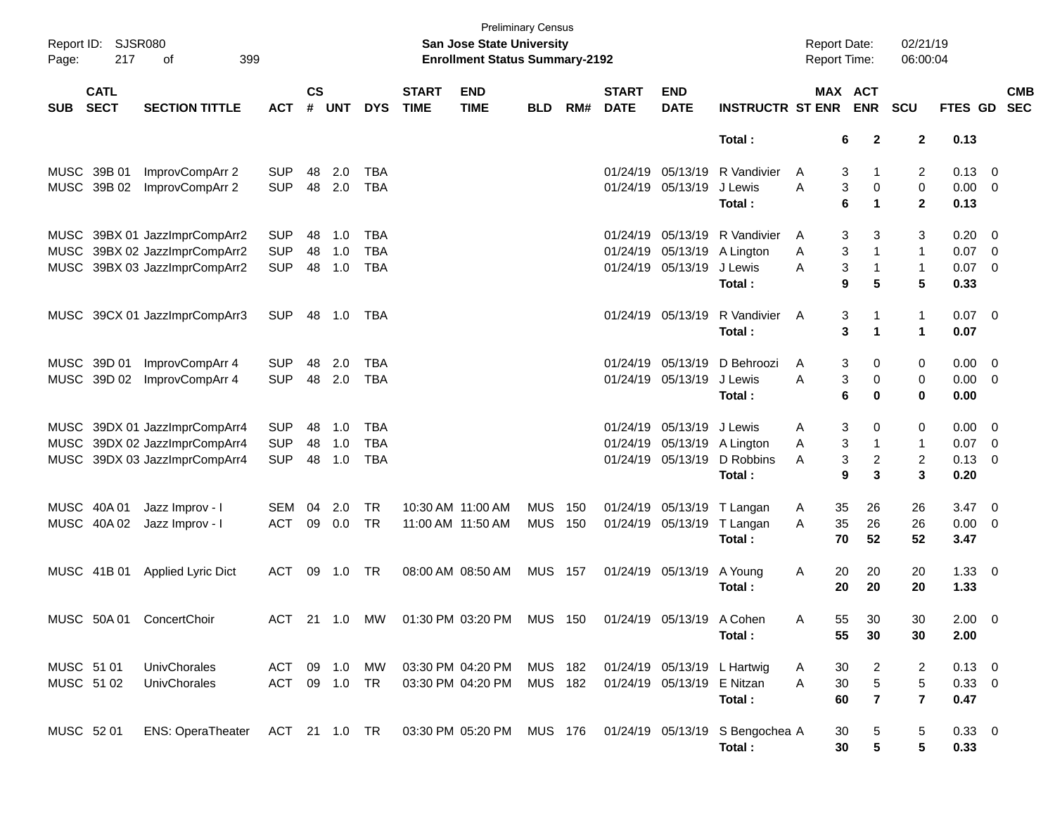| Page:      | Report ID: SJSR080<br>217  | 399<br>оf                     |               |                |        |            |                             | <b>Preliminary Census</b><br>San Jose State University<br><b>Enrollment Status Summary-2192</b> |                |     |                             |                           |                                 | <b>Report Date:</b><br>Report Time: |                           | 02/21/19<br>06:00:04         |                     |                           |
|------------|----------------------------|-------------------------------|---------------|----------------|--------|------------|-----------------------------|-------------------------------------------------------------------------------------------------|----------------|-----|-----------------------------|---------------------------|---------------------------------|-------------------------------------|---------------------------|------------------------------|---------------------|---------------------------|
| <b>SUB</b> | <b>CATL</b><br><b>SECT</b> | <b>SECTION TITTLE</b>         | <b>ACT</b>    | <b>CS</b><br># | UNT    | <b>DYS</b> | <b>START</b><br><b>TIME</b> | <b>END</b><br><b>TIME</b>                                                                       | <b>BLD</b>     | RM# | <b>START</b><br><b>DATE</b> | <b>END</b><br><b>DATE</b> | <b>INSTRUCTR ST ENR</b>         | MAX ACT                             | <b>ENR</b>                | <b>SCU</b>                   |                     | <b>CMB</b><br>FTES GD SEC |
|            |                            |                               |               |                |        |            |                             |                                                                                                 |                |     |                             |                           | Total:                          | 6                                   | $\mathbf{2}$              | $\mathbf{2}$                 | 0.13                |                           |
|            | MUSC 39B 01                | ImprovCompArr 2               | <b>SUP</b>    | 48             | 2.0    | TBA        |                             |                                                                                                 |                |     |                             | 01/24/19 05/13/19         | R Vandivier                     | 3<br>A                              | 1                         | 2                            | 0.13                | $\overline{\phantom{0}}$  |
|            | MUSC 39B 02                | ImprovCompArr 2               | <b>SUP</b>    | 48             | 2.0    | <b>TBA</b> |                             |                                                                                                 |                |     |                             | 01/24/19 05/13/19         | J Lewis<br>Total:               | 3<br>A<br>6                         | 0<br>$\blacktriangleleft$ | $\pmb{0}$<br>$\mathbf{2}$    | $0.00 \t 0$<br>0.13 |                           |
|            |                            | MUSC 39BX 01 JazzImprCompArr2 | <b>SUP</b>    | 48             | 1.0    | TBA        |                             |                                                                                                 |                |     |                             | 01/24/19 05/13/19         | R Vandivier                     | 3<br>A                              | 3                         | 3                            | 0.20                | $\overline{\phantom{0}}$  |
|            |                            | MUSC 39BX 02 JazzImprCompArr2 | <b>SUP</b>    | 48             | 1.0    | <b>TBA</b> |                             |                                                                                                 |                |     |                             | 01/24/19 05/13/19         | A Lington                       | 3<br>Α                              | $\mathbf{1}$              | $\mathbf{1}$                 | 0.07                | $\overline{\phantom{0}}$  |
|            |                            | MUSC 39BX 03 JazzImprCompArr2 | <b>SUP</b>    | 48             | 1.0    | <b>TBA</b> |                             |                                                                                                 |                |     |                             | 01/24/19 05/13/19         | J Lewis<br>Total:               | 3<br>A<br>9                         | $\mathbf{1}$<br>5         | $\mathbf{1}$<br>5            | $0.07$ 0<br>0.33    |                           |
|            |                            | MUSC 39CX 01 JazzImprCompArr3 | <b>SUP</b>    |                | 48 1.0 | TBA        |                             |                                                                                                 |                |     |                             | 01/24/19 05/13/19         | R Vandivier<br>Total:           | A<br>3<br>3                         | 1<br>$\blacktriangleleft$ | $\mathbf{1}$<br>$\mathbf{1}$ | $0.07$ 0<br>0.07    |                           |
|            | MUSC 39D 01                | ImprovCompArr 4               | <b>SUP</b>    | 48             | 2.0    | TBA        |                             |                                                                                                 |                |     |                             | 01/24/19 05/13/19         | D Behroozi                      | 3<br>A                              | 0                         | 0                            | $0.00 \t 0$         |                           |
|            | MUSC 39D 02                | ImprovCompArr 4               | <b>SUP</b>    |                | 48 2.0 | <b>TBA</b> |                             |                                                                                                 |                |     |                             | 01/24/19 05/13/19         | J Lewis                         | 3<br>A                              | 0                         | 0                            | $0.00 \t 0$         |                           |
|            |                            |                               |               |                |        |            |                             |                                                                                                 |                |     |                             |                           | Total:                          | 6                                   | $\bf{0}$                  | 0                            | 0.00                |                           |
|            |                            | MUSC 39DX 01 JazzImprCompArr4 | <b>SUP</b>    | 48             | 1.0    | <b>TBA</b> |                             |                                                                                                 |                |     |                             | 01/24/19 05/13/19         | J Lewis                         | 3<br>A                              | 0                         | 0                            | $0.00 \t 0$         |                           |
| MUSC       |                            | 39DX 02 JazzImprCompArr4      | <b>SUP</b>    | 48             | 1.0    | <b>TBA</b> |                             |                                                                                                 |                |     |                             | 01/24/19 05/13/19         | A Lington                       | 3<br>Α                              | $\mathbf{1}$              | $\mathbf{1}$                 | 0.07                | $\overline{\phantom{0}}$  |
|            |                            | MUSC 39DX 03 JazzImprCompArr4 | <b>SUP</b>    | 48             | 1.0    | <b>TBA</b> |                             |                                                                                                 |                |     |                             | 01/24/19 05/13/19         | D Robbins                       | 3<br>A                              | $\boldsymbol{2}$          | $\overline{c}$               | 0.13                | $\overline{\phantom{0}}$  |
|            |                            |                               |               |                |        |            |                             |                                                                                                 |                |     |                             |                           | Total:                          | 9                                   | 3                         | 3                            | 0.20                |                           |
|            | MUSC 40A 01                | Jazz Improv - I               | <b>SEM</b>    | 04             | 2.0    | TR         |                             | 10:30 AM 11:00 AM                                                                               | <b>MUS</b>     | 150 |                             | 01/24/19 05/13/19         | T Langan                        | 35<br>A                             | 26                        | 26                           | $3.47 \quad 0$      |                           |
|            | MUSC 40A 02                | Jazz Improv - I               | <b>ACT</b>    | 09             | 0.0    | <b>TR</b>  |                             | 11:00 AM 11:50 AM                                                                               | MUS            | 150 |                             | 01/24/19 05/13/19         | T Langan                        | 35<br>A                             | 26                        | 26                           | 0.00                | $\overline{\phantom{0}}$  |
|            |                            |                               |               |                |        |            |                             |                                                                                                 |                |     |                             |                           | Total:                          | 70                                  | 52                        | 52                           | 3.47                |                           |
|            | MUSC 41B 01                | Applied Lyric Dict            | <b>ACT</b>    | 09             | 1.0    | TR         |                             | 08:00 AM 08:50 AM                                                                               | <b>MUS 157</b> |     |                             | 01/24/19 05/13/19         | A Young                         | Α<br>20                             | 20                        | 20                           | $1.33 \ 0$          |                           |
|            |                            |                               |               |                |        |            |                             |                                                                                                 |                |     |                             |                           | Total:                          | 20                                  | 20                        | 20                           | 1.33                |                           |
|            |                            | MUSC 50A 01 ConcertChoir      |               |                |        |            |                             | ACT 21 1.0 MW 01:30 PM 03:20 PM MUS 150 01/24/19 05/13/19 A Cohen                               |                |     |                             |                           |                                 | Α<br>55                             | 30                        | 30                           | $2.00 \t 0$         |                           |
|            |                            |                               |               |                |        |            |                             |                                                                                                 |                |     |                             |                           | Total:                          | 55                                  | 30                        | 30                           | 2.00                |                           |
| MUSC 51 01 |                            | UnivChorales                  | ACT           |                | 09 1.0 | <b>MW</b>  |                             | 03:30 PM 04:20 PM                                                                               | <b>MUS 182</b> |     |                             | 01/24/19 05/13/19         | L Hartwig                       | 30<br>A                             | 2                         | 2                            | $0.13 \ 0$          |                           |
|            | MUSC 51 02                 | UnivChorales                  | ACT 09 1.0 TR |                |        |            |                             | 03:30 PM 04:20 PM                                                                               | MUS 182        |     |                             | 01/24/19 05/13/19         | E Nitzan                        | $30\,$<br>A                         | $\mathbf 5$               | $\mathbf 5$                  | 0.33 0              |                           |
|            |                            |                               |               |                |        |            |                             |                                                                                                 |                |     |                             |                           | Total:                          | 60                                  | $\overline{\mathbf{r}}$   | $\overline{7}$               | 0.47                |                           |
| MUSC 52 01 |                            | <b>ENS: OperaTheater</b>      | ACT 21 1.0 TR |                |        |            |                             | 03:30 PM 05:20 PM MUS 176                                                                       |                |     |                             |                           | 01/24/19 05/13/19 S Bengochea A | 30                                  | 5                         | 5                            | 0.33 0              |                           |
|            |                            |                               |               |                |        |            |                             |                                                                                                 |                |     |                             |                           | Total:                          | 30                                  | $5\phantom{.0}$           | 5                            | 0.33                |                           |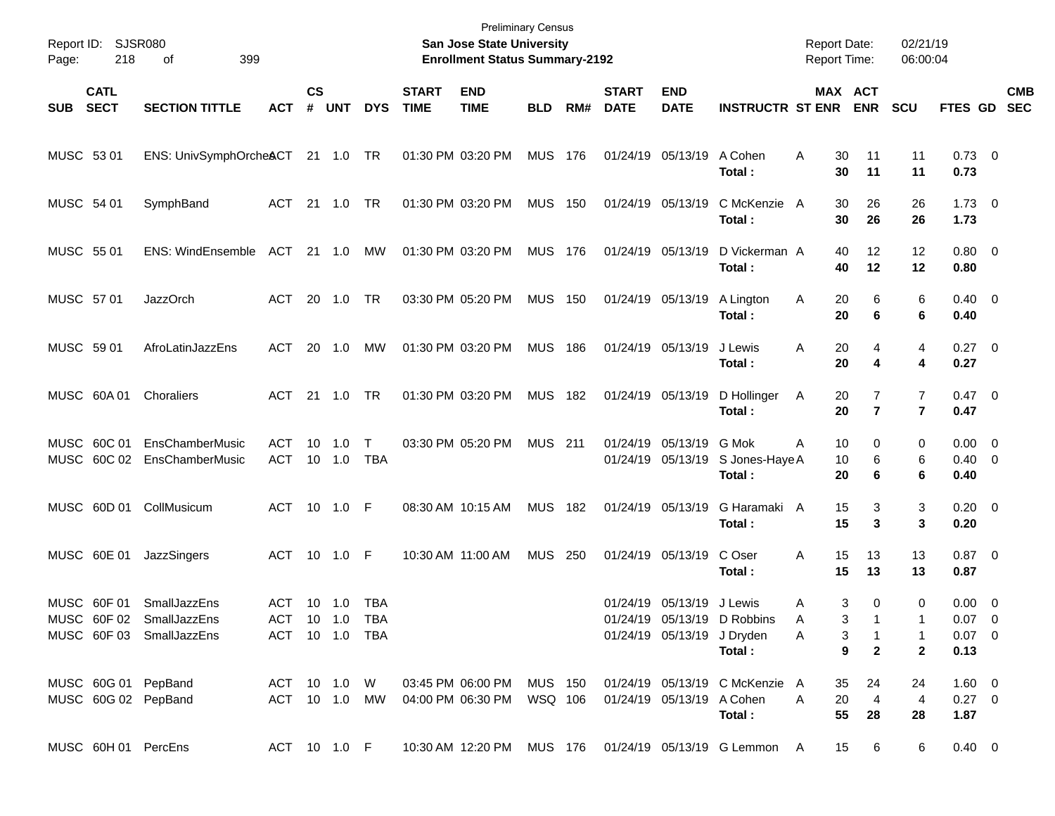| Page:      | Report ID: SJSR080<br>218  | 399<br>οf                                                            |                                         |                |                |                     |                             | <b>Preliminary Census</b><br>San Jose State University<br><b>Enrollment Status Summary-2192</b> |                |     |                             |                                        |                                                                                 | <b>Report Date:</b><br><b>Report Time:</b> |                                                                 | 02/21/19<br>06:00:04                    |                                                |                          |
|------------|----------------------------|----------------------------------------------------------------------|-----------------------------------------|----------------|----------------|---------------------|-----------------------------|-------------------------------------------------------------------------------------------------|----------------|-----|-----------------------------|----------------------------------------|---------------------------------------------------------------------------------|--------------------------------------------|-----------------------------------------------------------------|-----------------------------------------|------------------------------------------------|--------------------------|
| <b>SUB</b> | <b>CATL</b><br><b>SECT</b> | <b>SECTION TITTLE</b>                                                | <b>ACT</b>                              | <b>CS</b><br># | <b>UNT</b>     | <b>DYS</b>          | <b>START</b><br><b>TIME</b> | <b>END</b><br><b>TIME</b>                                                                       | <b>BLD</b>     | RM# | <b>START</b><br><b>DATE</b> | <b>END</b><br><b>DATE</b>              | <b>INSTRUCTR ST ENR</b>                                                         |                                            | MAX ACT<br><b>ENR</b>                                           | <b>SCU</b>                              | FTES GD                                        | <b>CMB</b><br><b>SEC</b> |
| MUSC 53 01 |                            | ENS: UnivSymphOrche&CT 21 1.0 TR                                     |                                         |                |                |                     |                             | 01:30 PM 03:20 PM                                                                               | MUS 176        |     |                             | 01/24/19 05/13/19                      | A Cohen<br>Total:                                                               | A<br>30                                    | 30<br>11<br>11                                                  | 11<br>11                                | $0.73 \quad 0$<br>0.73                         |                          |
| MUSC 54 01 |                            | SymphBand                                                            | ACT                                     |                | 21  1.0        | TR                  |                             | 01:30 PM 03:20 PM                                                                               | <b>MUS 150</b> |     |                             | 01/24/19 05/13/19                      | C McKenzie A<br>Total:                                                          | 30                                         | 26<br>30<br>26                                                  | 26<br>26                                | $1.73 \t 0$<br>1.73                            |                          |
| MUSC 55 01 |                            | ENS: WindEnsemble                                                    | ACT 21 1.0                              |                |                | МW                  |                             | 01:30 PM 03:20 PM                                                                               | MUS 176        |     |                             | 01/24/19 05/13/19                      | D Vickerman A<br>Total:                                                         | 40<br>40                                   | 12<br>12                                                        | 12<br>12                                | $0.80 \ 0$<br>0.80                             |                          |
| MUSC 57 01 |                            | <b>JazzOrch</b>                                                      | ACT                                     | 20             | 1.0            | TR                  |                             | 03:30 PM 05:20 PM                                                                               | <b>MUS 150</b> |     |                             | 01/24/19 05/13/19                      | A Lington<br>Total:                                                             | 20<br>A<br>20                              | 6<br>6                                                          | 6<br>6                                  | $0.40 \quad 0$<br>0.40                         |                          |
| MUSC 59 01 |                            | AfroLatinJazzEns                                                     | ACT                                     |                | 20 1.0         | MW                  |                             | 01:30 PM 03:20 PM                                                                               | <b>MUS 186</b> |     |                             | 01/24/19 05/13/19                      | J Lewis<br>Total:                                                               | A<br>20<br>20                              | 4<br>4                                                          | 4<br>4                                  | $0.27 \t 0$<br>0.27                            |                          |
|            | MUSC 60A 01                | Choraliers                                                           | ACT 21 1.0                              |                |                | TR                  |                             | 01:30 PM 03:20 PM                                                                               | <b>MUS 182</b> |     |                             | 01/24/19 05/13/19                      | D Hollinger<br>Total:                                                           | A<br>20<br>20                              | 7<br>$\overline{7}$                                             | 7<br>$\overline{7}$                     | $0.47 \quad 0$<br>0.47                         |                          |
|            | MUSC 60C 01<br>MUSC 60C 02 | EnsChamberMusic<br>EnsChamberMusic                                   | <b>ACT</b><br>ACT                       | 10             | 1.0<br>10 1.0  | $\mathsf{T}$<br>TBA |                             | 03:30 PM 05:20 PM                                                                               | <b>MUS</b> 211 |     |                             | 01/24/19 05/13/19<br>01/24/19 05/13/19 | G Mok<br>S Jones-Haye A<br>Total:                                               | A<br>10<br>10<br>20                        | 0<br>6<br>6                                                     | 0<br>6<br>6                             | $0.00 \t 0$<br>$0.40 \quad 0$<br>0.40          |                          |
|            | MUSC 60D 01                | CollMusicum                                                          | ACT 10 1.0 F                            |                |                |                     |                             | 08:30 AM 10:15 AM                                                                               | <b>MUS 182</b> |     |                             | 01/24/19 05/13/19                      | G Haramaki A<br>Total:                                                          | 15<br>15                                   | 3<br>3                                                          | 3<br>3                                  | $0.20 \ 0$<br>0.20                             |                          |
|            | MUSC 60E 01                | JazzSingers                                                          | ACT 10 1.0 F                            |                |                |                     |                             | 10:30 AM 11:00 AM                                                                               | <b>MUS 250</b> |     |                             | 01/24/19 05/13/19                      | C Oser<br>Total:                                                                | A<br>15<br>15                              | 13<br>13                                                        | 13<br>13                                | $0.87$ 0<br>0.87                               |                          |
|            | MUSC 60F 01                | SmallJazzEns<br>MUSC 60F 02 SmallJazzEns<br>MUSC 60F 03 SmallJazzEns | ACT<br>ACT 10 1.0 TBA<br>ACT 10 1.0 TBA |                | $10 \quad 1.0$ | <b>TBA</b>          |                             |                                                                                                 |                |     |                             | 01/24/19 05/13/19 J Lewis              | 01/24/19 05/13/19 D Robbins<br>01/24/19 05/13/19 J Dryden<br><b>A</b><br>Total: | Α<br>A                                     | 3<br>0<br>3<br>$\overline{1}$<br>$\overline{9}$<br>$\mathbf{2}$ | 0<br>-1<br>$\mathbf{1}$<br>$\mathbf{2}$ | $0.00 \t 0$<br>$0.07 \t 0$<br>$0.07$ 0<br>0.13 |                          |
|            |                            | MUSC 60G 01 PepBand<br>MUSC 60G 02 PepBand                           |                                         |                |                |                     |                             | ACT 10 1.0 MW 04:00 PM 06:30 PM WSQ 106                                                         |                |     | 01/24/19 05/13/19 A Cohen   |                                        | ACT 10 1.0 W 03:45 PM 06:00 PM MUS 150 01/24/19 05/13/19 C McKenzie A<br>Total: | 20<br>$\mathsf{A}$                         | 35<br>24<br>$\overline{4}$<br>55<br>28                          | 24<br>$\overline{4}$<br>28              | $1.60 \t 0$<br>$0.27 \ 0$<br>1.87              |                          |
|            |                            | MUSC 60H 01 PercEns                                                  |                                         |                |                | ACT 10 1.0 F        |                             |                                                                                                 |                |     |                             |                                        |                                                                                 |                                            | 15 6                                                            | 6                                       | $0.40 \quad 0$                                 |                          |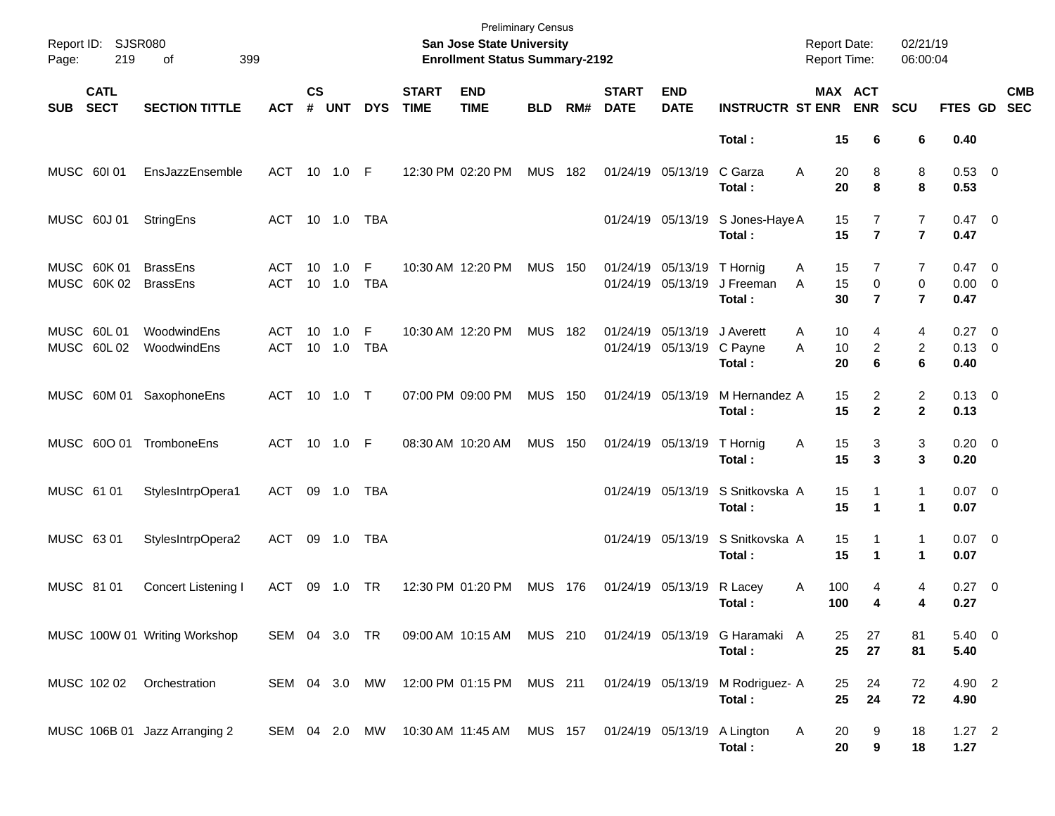| Page:      | Report ID: SJSR080<br>219  | 399<br>of                          |               |                    |               |                 |                             | <b>Preliminary Census</b><br>San Jose State University<br><b>Enrollment Status Summary-2192</b> |            |       |                             |                                                 |                                            | <b>Report Date:</b><br><b>Report Time:</b> |                                    | 02/21/19<br>06:00:04                  |                                       |                          |
|------------|----------------------------|------------------------------------|---------------|--------------------|---------------|-----------------|-----------------------------|-------------------------------------------------------------------------------------------------|------------|-------|-----------------------------|-------------------------------------------------|--------------------------------------------|--------------------------------------------|------------------------------------|---------------------------------------|---------------------------------------|--------------------------|
| <b>SUB</b> | <b>CATL</b><br><b>SECT</b> | <b>SECTION TITTLE</b>              | <b>ACT</b>    | $\mathsf{cs}$<br># | <b>UNT</b>    | <b>DYS</b>      | <b>START</b><br><b>TIME</b> | <b>END</b><br><b>TIME</b>                                                                       | <b>BLD</b> | RM#   | <b>START</b><br><b>DATE</b> | <b>END</b><br><b>DATE</b>                       | <b>INSTRUCTR ST ENR</b>                    | MAX ACT                                    | <b>ENR</b>                         | SCU                                   | <b>FTES GD</b>                        | <b>CMB</b><br><b>SEC</b> |
|            |                            |                                    |               |                    |               |                 |                             |                                                                                                 |            |       |                             |                                                 | Total:                                     | 15                                         | 6                                  | 6                                     | 0.40                                  |                          |
|            | MUSC 60101                 | EnsJazzEnsemble                    | ACT           |                    | 10 1.0 F      |                 |                             | 12:30 PM 02:20 PM                                                                               | <b>MUS</b> | 182   |                             | 01/24/19 05/13/19                               | C Garza<br>Total:                          | A<br>20<br>20                              | 8<br>8                             | 8<br>8                                | 0.53 0<br>0.53                        |                          |
|            | MUSC 60J 01                | StringEns                          | ACT           |                    | 10 1.0        | TBA             |                             |                                                                                                 |            |       |                             | 01/24/19 05/13/19                               | S Jones-Haye A<br>Total:                   | 15<br>15                                   | $\overline{7}$<br>$\overline{7}$   | $\overline{7}$<br>$\overline{7}$      | $0.47 \quad 0$<br>0.47                |                          |
|            | MUSC 60K 01<br>MUSC 60K 02 | <b>BrassEns</b><br><b>BrassEns</b> | ACT<br>ACT    | 10                 | 1.0<br>10 1.0 | F<br><b>TBA</b> |                             | 10:30 AM 12:20 PM                                                                               | MUS        | 150   |                             | 01/24/19 05/13/19 T Hornig<br>01/24/19 05/13/19 | J Freeman<br>Total:                        | 15<br>Α<br>15<br>A<br>30                   | 7<br>$\mathbf 0$<br>$\overline{7}$ | $\overline{7}$<br>0<br>$\overline{7}$ | $0.47 \quad 0$<br>$0.00 \t 0$<br>0.47 |                          |
|            | MUSC 60L01<br>MUSC 60L02   | WoodwindEns<br>WoodwindEns         | ACT<br>ACT    | 10                 | 1.0<br>10 1.0 | F<br><b>TBA</b> |                             | 10:30 AM 12:20 PM                                                                               | <b>MUS</b> | - 182 |                             | 01/24/19 05/13/19<br>01/24/19 05/13/19          | J Averett<br>C Payne<br>Total:             | 10<br>Α<br>A<br>10<br>20                   | 4<br>$\overline{2}$<br>6           | 4<br>2<br>6                           | $0.27 \t 0$<br>$0.13 \quad 0$<br>0.40 |                          |
|            |                            | MUSC 60M 01 SaxophoneEns           | ACT 10 1.0 T  |                    |               |                 |                             | 07:00 PM 09:00 PM                                                                               | MUS        | 150   |                             | 01/24/19 05/13/19                               | M Hernandez A<br>Total:                    | 15<br>15                                   | $\overline{2}$<br>$\mathbf{2}$     | $\overline{2}$<br>$\mathbf{2}$        | $0.13 \quad 0$<br>0.13                |                          |
|            | MUSC 600 01                | TromboneEns                        | ACT 10 1.0 F  |                    |               |                 |                             | 08:30 AM 10:20 AM                                                                               | <b>MUS</b> | 150   |                             | 01/24/19 05/13/19                               | T Hornig<br>Total:                         | 15<br>Α<br>15                              | 3<br>$\mathbf{3}$                  | 3<br>3                                | $0.20 \ 0$<br>0.20                    |                          |
|            | MUSC 61 01                 | StylesIntrpOpera1                  | ACT           |                    | 09 1.0        | <b>TBA</b>      |                             |                                                                                                 |            |       |                             | 01/24/19 05/13/19                               | S Snitkovska A<br>Total:                   | 15<br>15                                   | 1<br>1                             | $\mathbf{1}$<br>1                     | $0.07$ 0<br>0.07                      |                          |
|            | MUSC 63 01                 | StylesIntrpOpera2                  | ACT           |                    | 09 1.0        | <b>TBA</b>      |                             |                                                                                                 |            |       |                             | 01/24/19 05/13/19                               | S Snitkovska A<br>Total:                   | 15<br>15                                   | 1<br>1                             | $\mathbf{1}$<br>1                     | $0.07$ 0<br>0.07                      |                          |
|            | MUSC 81 01                 | Concert Listening I                | ACT           | 09                 | 1.0           | <b>TR</b>       |                             | 12:30 PM 01:20 PM                                                                               | MUS        | 176   |                             | 01/24/19 05/13/19                               | R Lacey<br>Total:                          | 100<br>A<br>100                            | 4<br>4                             | 4<br>4                                | $0.27 \t 0$<br>0.27                   |                          |
|            |                            | MUSC 100W 01 Writing Workshop      |               |                    |               | SEM 04 3.0 TR   |                             | 09:00 AM 10:15 AM MUS 210                                                                       |            |       |                             |                                                 | 01/24/19 05/13/19 G Haramaki A<br>Total:   | 25<br>25                                   | 27<br>27                           | 81<br>81                              | $5.40 \ 0$<br>5.40                    |                          |
|            | MUSC 102 02                | Orchestration                      | SEM 04 3.0 MW |                    |               |                 |                             | 12:00 PM 01:15 PM MUS 211                                                                       |            |       |                             |                                                 | 01/24/19 05/13/19 M Rodriguez- A<br>Total: | 25<br>25                                   | 24<br>24                           | 72<br>72                              | 4.90 2<br>4.90                        |                          |
|            |                            | MUSC 106B 01 Jazz Arranging 2      | SEM 04 2.0 MW |                    |               |                 |                             | 10:30 AM 11:45 AM MUS 157                                                                       |            |       |                             | 01/24/19 05/13/19                               | A Lington<br>Total:                        | 20<br>A<br>20                              | 9<br>$\boldsymbol{9}$              | 18<br>18                              | $1.27$ 2<br>1.27                      |                          |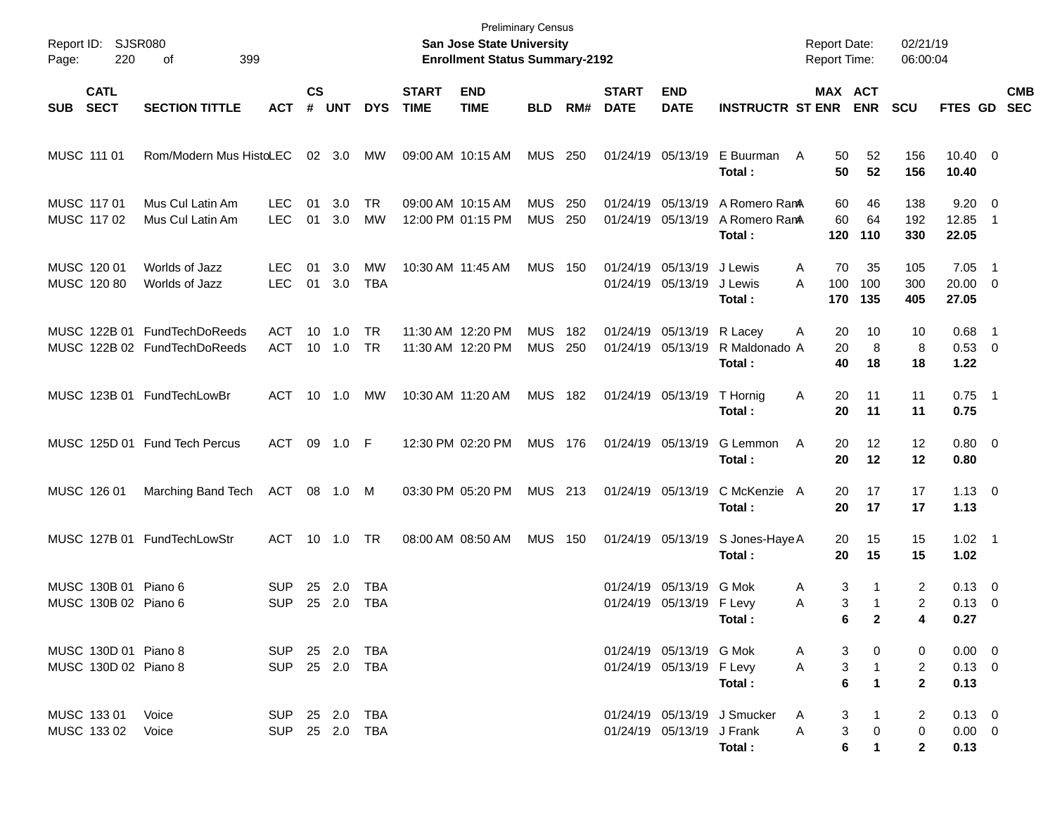| Page:      | Report ID: SJSR080<br>220                    | 399<br>оf                                                    |                                  |                    |                |                          |                             | <b>Preliminary Census</b><br>San Jose State University<br><b>Enrollment Status Summary-2192</b> |                          |            |                             |                                                     |                                          | <b>Report Date:</b><br><b>Report Time:</b>                 |                                   | 02/21/19<br>06:00:04                |                                          |                                            |                          |
|------------|----------------------------------------------|--------------------------------------------------------------|----------------------------------|--------------------|----------------|--------------------------|-----------------------------|-------------------------------------------------------------------------------------------------|--------------------------|------------|-----------------------------|-----------------------------------------------------|------------------------------------------|------------------------------------------------------------|-----------------------------------|-------------------------------------|------------------------------------------|--------------------------------------------|--------------------------|
| <b>SUB</b> | <b>CATL</b><br><b>SECT</b>                   | <b>SECTION TITTLE</b>                                        | <b>ACT</b>                       | $\mathsf{cs}$<br># | <b>UNT</b>     | <b>DYS</b>               | <b>START</b><br><b>TIME</b> | <b>END</b><br><b>TIME</b>                                                                       | <b>BLD</b>               | RM#        | <b>START</b><br><b>DATE</b> | <b>END</b><br><b>DATE</b>                           | <b>INSTRUCTR ST ENR</b>                  | MAX ACT                                                    | <b>ENR</b>                        | <b>SCU</b>                          | FTES GD                                  |                                            | <b>CMB</b><br><b>SEC</b> |
|            | MUSC 111 01                                  | Rom/Modern Mus HistoLEC                                      |                                  |                    | $02 \quad 3.0$ | МW                       |                             | 09:00 AM 10:15 AM                                                                               | <b>MUS 250</b>           |            |                             | 01/24/19 05/13/19                                   | E Buurman<br>Total:                      | 50<br>A<br>50                                              | 52<br>52                          | 156<br>156                          | $10.40 \quad 0$<br>10.40                 |                                            |                          |
|            | MUSC 117 01<br>MUSC 117 02                   | Mus Cul Latin Am<br>Mus Cul Latin Am                         | <b>LEC</b><br><b>LEC</b>         | 01<br>01           | 3.0<br>3.0     | <b>TR</b><br><b>MW</b>   |                             | 09:00 AM 10:15 AM<br>12:00 PM 01:15 PM                                                          | <b>MUS</b><br><b>MUS</b> | 250<br>250 |                             | 01/24/19 05/13/19<br>01/24/19 05/13/19              | A Romero RamA<br>A Romero RanA<br>Total: | 60<br>60<br>120                                            | 46<br>64<br>110                   | 138<br>192<br>330                   | 9.20<br>12.85<br>22.05                   | $\overline{\phantom{0}}$<br>$\overline{1}$ |                          |
|            | MUSC 120 01<br>MUSC 120 80                   | Worlds of Jazz<br>Worlds of Jazz                             | LEC.<br><b>LEC</b>               | 01<br>01           | 3.0<br>3.0     | MW<br><b>TBA</b>         |                             | 10:30 AM 11:45 AM                                                                               | <b>MUS</b>               | 150        |                             | 01/24/19 05/13/19<br>01/24/19 05/13/19              | J Lewis<br>J Lewis<br>Total:             | 70<br>A<br>A<br>100<br>170                                 | 35<br>100<br>135                  | 105<br>300<br>405                   | 7.05<br>$20.00 \t 0$<br>27.05            | $\overline{\phantom{1}}$                   |                          |
|            |                                              | MUSC 122B 01 FundTechDoReeds<br>MUSC 122B 02 FundTechDoReeds | ACT<br><b>ACT</b>                | 10                 | 1.0<br>10 1.0  | <b>TR</b><br><b>TR</b>   |                             | 11:30 AM 12:20 PM<br>11:30 AM 12:20 PM                                                          | <b>MUS</b><br><b>MUS</b> | 182<br>250 | 01/24/19 05/13/19           | 01/24/19 05/13/19                                   | R Lacey<br>R Maldonado A<br>Total:       | 20<br>A<br>20<br>40                                        | 10<br>8<br>18                     | 10<br>8<br>18                       | 0.68<br>0.53 0<br>1.22                   | - 1                                        |                          |
|            |                                              | MUSC 123B 01 FundTechLowBr                                   | ACT                              |                    | 10 1.0         | МW                       | 10:30 AM 11:20 AM           |                                                                                                 | <b>MUS 182</b>           |            |                             | 01/24/19 05/13/19                                   | T Hornig<br>Total:                       | Α<br>20<br>20                                              | 11<br>11                          | 11<br>11                            | $0.75$ 1<br>0.75                         |                                            |                          |
|            |                                              | MUSC 125D 01 Fund Tech Percus                                | ACT                              | 09                 | 1.0 F          |                          |                             | 12:30 PM 02:20 PM                                                                               | <b>MUS 176</b>           |            |                             | 01/24/19 05/13/19                                   | G Lemmon<br>Total:                       | A<br>20<br>20                                              | 12<br>12                          | 12<br>12                            | $0.80 \ 0$<br>0.80                       |                                            |                          |
|            | MUSC 126 01                                  | Marching Band Tech                                           | ACT 08 1.0 M                     |                    |                |                          |                             | 03:30 PM 05:20 PM                                                                               | MUS 213                  |            |                             | 01/24/19 05/13/19                                   | C McKenzie A<br>Total:                   | 20<br>20                                                   | 17<br>17                          | 17<br>17                            | $1.13 \ 0$<br>1.13                       |                                            |                          |
|            |                                              | MUSC 127B 01 FundTechLowStr                                  | <b>ACT</b>                       |                    | 10 1.0         | <b>TR</b>                | 08:00 AM 08:50 AM           |                                                                                                 | <b>MUS</b>               | 150        |                             | 01/24/19 05/13/19                                   | S Jones-Haye A<br>Total:                 | 20<br>20                                                   | 15<br>15                          | 15<br>15                            | $1.02 \quad 1$<br>1.02                   |                                            |                          |
|            | MUSC 130B 01 Piano 6<br>MUSC 130B 02 Piano 6 |                                                              | <b>SUP</b><br><b>SUP</b>         | 25                 | 2.0<br>25 2.0  | <b>TBA</b><br><b>TBA</b> |                             |                                                                                                 |                          |            | 01/24/19                    | 05/13/19<br>01/24/19 05/13/19 F Levy                | G Mok<br>Total:                          | 3<br>A<br>3<br>Α<br>6                                      | 1<br>1<br>$\mathbf{2}$            | $\overline{2}$<br>2<br>4            | $0.13 \quad 0$<br>$0.13 \quad 0$<br>0.27 |                                            |                          |
|            | MUSC 130D 01 Piano 8<br>MUSC 130D 02 Piano 8 |                                                              | SUP 25 2.0 TBA<br>SUP 25 2.0 TBA |                    |                |                          |                             |                                                                                                 |                          |            |                             | 01/24/19 05/13/19 G Mok<br>01/24/19 05/13/19 F Levy | Total:                                   | 3<br>A<br>$\ensuremath{\mathsf{3}}$<br>Α<br>$6\phantom{a}$ | 0<br>$\mathbf{1}$<br>$\mathbf{1}$ | 0<br>$\overline{2}$<br>$\mathbf{2}$ | $0.00 \t 0$<br>$0.13 \ 0$<br>0.13        |                                            |                          |
|            | MUSC 133 01<br>MUSC 133 02                   | Voice<br>Voice                                               | SUP 25 2.0 TBA<br>SUP 25 2.0 TBA |                    |                |                          |                             |                                                                                                 |                          |            |                             | 01/24/19 05/13/19 J Frank                           | 01/24/19 05/13/19 J Smucker<br>Total:    | 3<br>A<br>3<br>A<br>$\bf 6$                                | 1<br>0                            | 2<br>$\mathbf 0$<br>$\mathbf{2}$    | $0.13 \ 0$<br>$0.00 \t 0$<br>0.13        |                                            |                          |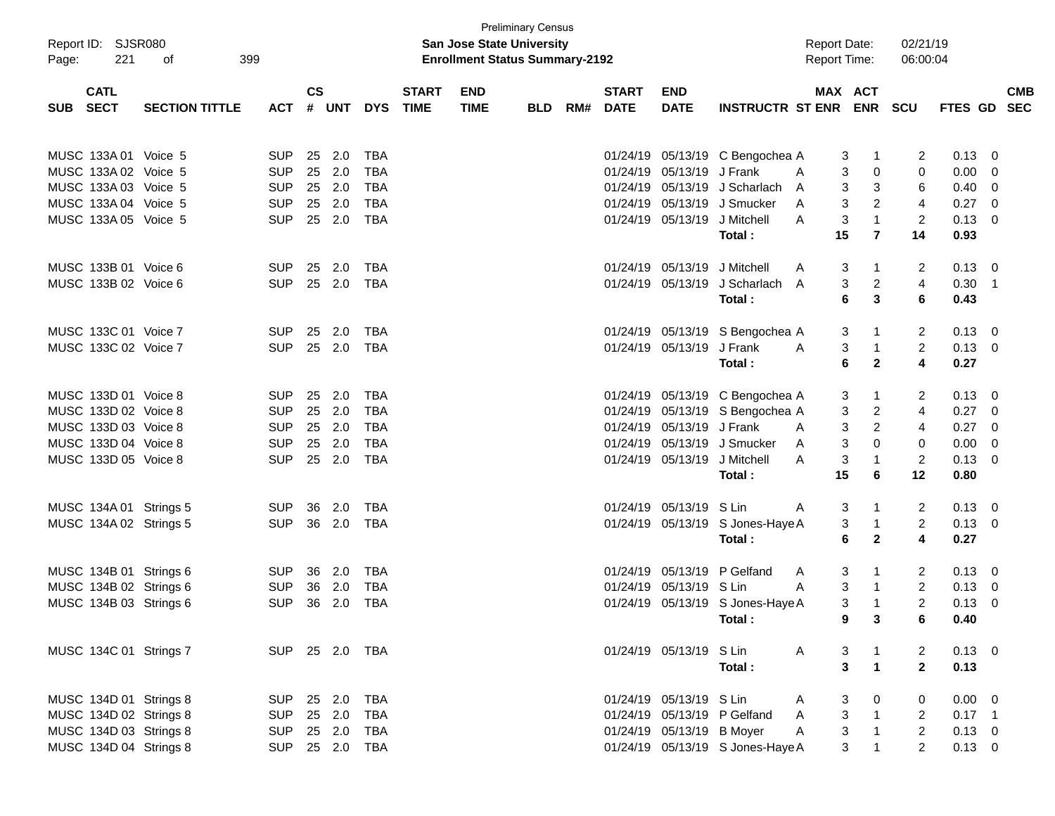| Page:      | Report ID: SJSR080<br>221 | 399<br>οf             |            |               |                |            |              | <b>San Jose State University</b><br><b>Enrollment Status Summary-2192</b> | <b>Preliminary Census</b> |     |              |                              |                                  |   | <b>Report Date:</b><br><b>Report Time:</b> | 02/21/19<br>06:00:04 |                |                         |            |
|------------|---------------------------|-----------------------|------------|---------------|----------------|------------|--------------|---------------------------------------------------------------------------|---------------------------|-----|--------------|------------------------------|----------------------------------|---|--------------------------------------------|----------------------|----------------|-------------------------|------------|
|            | <b>CATL</b>               |                       |            | $\mathsf{cs}$ |                |            | <b>START</b> | <b>END</b>                                                                |                           |     | <b>START</b> | <b>END</b>                   |                                  |   | MAX ACT                                    |                      |                |                         | <b>CMB</b> |
| <b>SUB</b> | <b>SECT</b>               | <b>SECTION TITTLE</b> | <b>ACT</b> |               | # UNT          | <b>DYS</b> | <b>TIME</b>  | <b>TIME</b>                                                               | <b>BLD</b>                | RM# | <b>DATE</b>  | <b>DATE</b>                  | <b>INSTRUCTR ST ENR</b>          |   | <b>ENR</b>                                 | <b>SCU</b>           | FTES GD SEC    |                         |            |
|            | MUSC 133A 01 Voice 5      |                       | SUP        | 25            | 2.0            | TBA        |              |                                                                           |                           |     |              |                              | 01/24/19 05/13/19 C Bengochea A  |   | 3<br>$\mathbf 1$                           | 2                    | 0.13           | $\overline{0}$          |            |
|            | MUSC 133A 02 Voice 5      |                       | <b>SUP</b> | 25            | 2.0            | TBA        |              |                                                                           |                           |     |              | 01/24/19 05/13/19 J Frank    |                                  | A | 3<br>0                                     | 0                    | 0.00           | 0                       |            |
|            | MUSC 133A 03 Voice 5      |                       | <b>SUP</b> | 25            | 2.0            | <b>TBA</b> |              |                                                                           |                           |     |              |                              | 01/24/19 05/13/19 J Scharlach    | A | 3<br>3                                     | 6                    | 0.40           | 0                       |            |
|            | MUSC 133A 04 Voice 5      |                       | <b>SUP</b> | 25            | 2.0            | <b>TBA</b> |              |                                                                           |                           |     |              |                              | 01/24/19 05/13/19 J Smucker      | A | 3<br>2                                     | $\overline{4}$       | 0.27           | $\overline{0}$          |            |
|            | MUSC 133A 05 Voice 5      |                       | <b>SUP</b> | 25            | 2.0            | <b>TBA</b> |              |                                                                           |                           |     |              | 01/24/19 05/13/19            | J Mitchell                       | A | 3<br>$\mathbf{1}$                          | $\overline{2}$       | 0.13           | 0                       |            |
|            |                           |                       |            |               |                |            |              |                                                                           |                           |     |              |                              | Total :                          |   | 15<br>$\overline{7}$                       | 14                   | 0.93           |                         |            |
|            | MUSC 133B 01 Voice 6      |                       | <b>SUP</b> | 25            | 2.0            | TBA        |              |                                                                           |                           |     |              | 01/24/19 05/13/19 J Mitchell |                                  | A | 3<br>1                                     | 2                    | 0.13           | - 0                     |            |
|            | MUSC 133B 02 Voice 6      |                       | <b>SUP</b> |               | 25 2.0         | TBA        |              |                                                                           |                           |     |              | 01/24/19 05/13/19            | J Scharlach                      | A | 3<br>2                                     | 4                    | 0.30           | $\overline{1}$          |            |
|            |                           |                       |            |               |                |            |              |                                                                           |                           |     |              |                              | Total:                           |   | 6<br>3                                     | 6                    | 0.43           |                         |            |
|            | MUSC 133C 01 Voice 7      |                       | <b>SUP</b> | 25            | 2.0            | TBA        |              |                                                                           |                           |     |              |                              | 01/24/19 05/13/19 S Bengochea A  |   | 3<br>1                                     | 2                    | 0.13           | $\overline{\mathbf{0}}$ |            |
|            | MUSC 133C 02 Voice 7      |                       | <b>SUP</b> |               | 25 2.0         | TBA        |              |                                                                           |                           |     |              | 01/24/19 05/13/19 J Frank    |                                  | A | 3<br>$\mathbf{1}$                          | $\overline{2}$       | 0.13           | $\overline{0}$          |            |
|            |                           |                       |            |               |                |            |              |                                                                           |                           |     |              |                              | Total :                          |   | 6<br>$\mathbf{2}$                          | 4                    | 0.27           |                         |            |
|            | MUSC 133D 01 Voice 8      |                       | <b>SUP</b> | 25            | 2.0            | TBA        |              |                                                                           |                           |     |              |                              | 01/24/19 05/13/19 C Bengochea A  |   | 3<br>1                                     | 2                    | 0.13           | $\overline{0}$          |            |
|            | MUSC 133D 02 Voice 8      |                       | <b>SUP</b> | 25            | 2.0            | <b>TBA</b> |              |                                                                           |                           |     |              |                              | 01/24/19 05/13/19 S Bengochea A  |   | 3<br>2                                     | 4                    | 0.27           | $\mathbf 0$             |            |
|            | MUSC 133D 03 Voice 8      |                       | <b>SUP</b> | 25            | 2.0            | <b>TBA</b> |              |                                                                           |                           |     |              | 01/24/19 05/13/19 J Frank    |                                  | A | 3<br>$\overline{2}$                        | 4                    | 0.27           | $\overline{0}$          |            |
|            | MUSC 133D 04 Voice 8      |                       | <b>SUP</b> | 25            | 2.0            | <b>TBA</b> |              |                                                                           |                           |     |              |                              | 01/24/19 05/13/19 J Smucker      | A | 3<br>0                                     | 0                    | 0.00           | 0                       |            |
|            | MUSC 133D 05 Voice 8      |                       | <b>SUP</b> | 25            | 2.0            | <b>TBA</b> |              |                                                                           |                           |     |              | 01/24/19 05/13/19 J Mitchell |                                  | A | 3<br>1                                     | 2                    | 0.13           | 0                       |            |
|            |                           |                       |            |               |                |            |              |                                                                           |                           |     |              |                              | Total :                          |   | 15<br>6                                    | 12                   | 0.80           |                         |            |
|            | MUSC 134A 01 Strings 5    |                       | <b>SUP</b> | 36            | 2.0            | TBA        |              |                                                                           |                           |     |              | 01/24/19 05/13/19 S Lin      |                                  | A | 3<br>1                                     | 2                    | 0.13           | - 0                     |            |
|            | MUSC 134A 02 Strings 5    |                       | <b>SUP</b> | 36            | 2.0            | TBA        |              |                                                                           |                           |     |              |                              | 01/24/19 05/13/19 S Jones-Haye A |   | 3<br>$\mathbf{1}$                          | $\overline{2}$       | 0.13           | $\mathbf 0$             |            |
|            |                           |                       |            |               |                |            |              |                                                                           |                           |     |              |                              | Total:                           |   | 6<br>$\mathbf{2}$                          | 4                    | 0.27           |                         |            |
|            | MUSC 134B 01 Strings 6    |                       | <b>SUP</b> | 36            | 2.0            | TBA        |              |                                                                           |                           |     |              |                              | 01/24/19 05/13/19 P Gelfand      | A | 3<br>1                                     | 2                    | 0.13           | 0                       |            |
|            | MUSC 134B 02 Strings 6    |                       | <b>SUP</b> | 36            | 2.0            | TBA        |              |                                                                           |                           |     |              | 01/24/19 05/13/19 S Lin      |                                  | A | 3<br>$\mathbf{1}$                          | 2                    | 0.13           | 0                       |            |
|            | MUSC 134B 03 Strings 6    |                       | <b>SUP</b> | 36            | 2.0            | <b>TBA</b> |              |                                                                           |                           |     |              |                              | 01/24/19 05/13/19 S Jones-Haye A |   | 3<br>$\mathbf{1}$                          | 2                    | 0.13           | $\overline{0}$          |            |
|            |                           |                       |            |               |                |            |              |                                                                           |                           |     |              |                              | Total :                          |   | 9<br>3                                     | 6                    | 0.40           |                         |            |
|            | MUSC 134C 01 Strings 7    |                       |            |               | SUP 25 2.0 TBA |            |              |                                                                           |                           |     |              | 01/24/19 05/13/19 S Lin      |                                  | A | 3                                          | 2                    | $0.13 \quad 0$ |                         |            |
|            |                           |                       |            |               |                |            |              |                                                                           |                           |     |              |                              | Total:                           |   | 3<br>$\mathbf{1}$                          | $\overline{2}$       | 0.13           |                         |            |
|            | MUSC 134D 01 Strings 8    |                       | <b>SUP</b> |               | 25 2.0         | TBA        |              |                                                                           |                           |     |              | 01/24/19 05/13/19 S Lin      |                                  | A | 0<br>3                                     | 0                    | $0.00 \t 0$    |                         |            |
|            | MUSC 134D 02 Strings 8    |                       | <b>SUP</b> |               | 25 2.0         | <b>TBA</b> |              |                                                                           |                           |     |              |                              | 01/24/19 05/13/19 P Gelfand      | A | 3<br>$\overline{1}$                        | 2                    | $0.17$ 1       |                         |            |
|            | MUSC 134D 03 Strings 8    |                       | <b>SUP</b> |               | 25 2.0         | TBA        |              |                                                                           |                           |     |              | 01/24/19 05/13/19 B Moyer    |                                  | A | $\sqrt{3}$<br>$\mathbf{1}$                 | $\overline{2}$       | $0.13 \ 0$     |                         |            |
|            | MUSC 134D 04 Strings 8    |                       |            |               | SUP 25 2.0 TBA |            |              |                                                                           |                           |     |              |                              | 01/24/19 05/13/19 S Jones-Haye A |   | 3<br>1                                     | $\overline{2}$       | $0.13 \ 0$     |                         |            |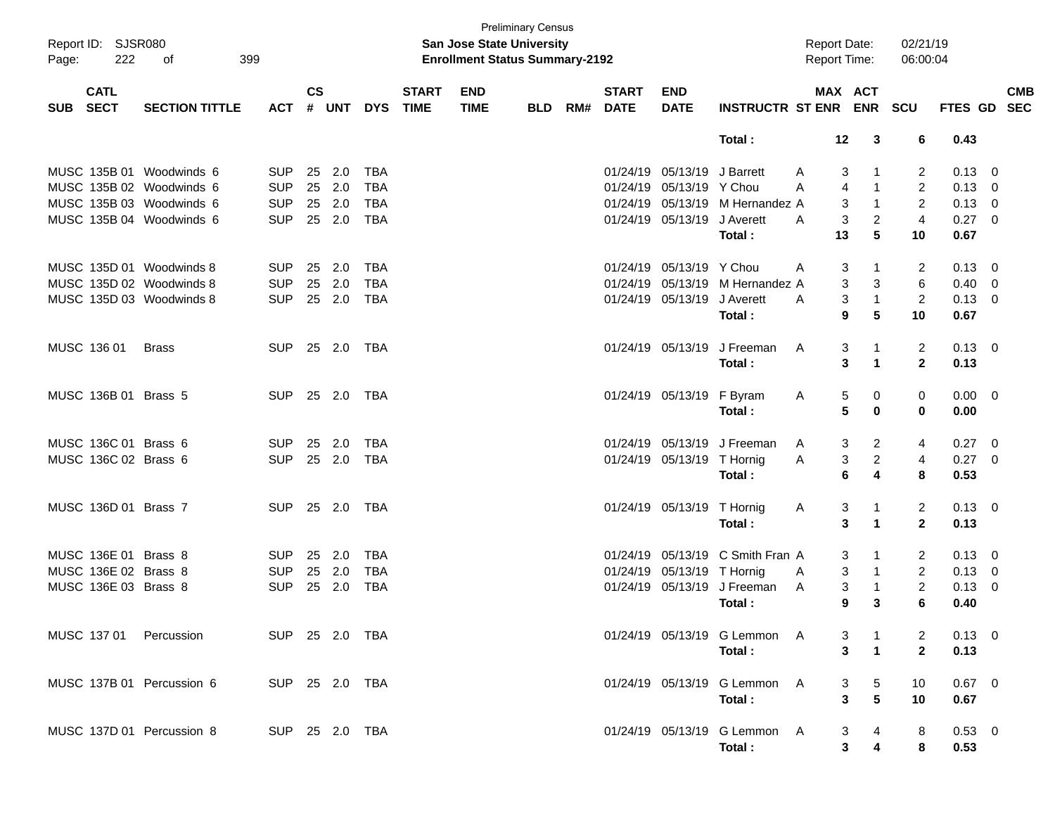| Page: | Report ID: SJSR080<br>222  | 399<br>οf                 |                |                        |     |            |                             | San Jose State University<br><b>Enrollment Status Summary-2192</b> | <b>Preliminary Census</b> |     |                             |                             |                                        | <b>Report Date:</b><br>Report Time: |                   |                          | 02/21/19<br>06:00:04 |                  |                          |            |
|-------|----------------------------|---------------------------|----------------|------------------------|-----|------------|-----------------------------|--------------------------------------------------------------------|---------------------------|-----|-----------------------------|-----------------------------|----------------------------------------|-------------------------------------|-------------------|--------------------------|----------------------|------------------|--------------------------|------------|
| SUB   | <b>CATL</b><br><b>SECT</b> | <b>SECTION TITTLE</b>     | <b>ACT</b>     | $\mathsf{cs}$<br># UNT |     | <b>DYS</b> | <b>START</b><br><b>TIME</b> | <b>END</b><br><b>TIME</b>                                          | <b>BLD</b>                | RM# | <b>START</b><br><b>DATE</b> | <b>END</b><br><b>DATE</b>   | INSTRUCTR ST ENR ENR SCU               |                                     |                   | MAX ACT                  |                      | FTES GD SEC      |                          | <b>CMB</b> |
|       |                            |                           |                |                        |     |            |                             |                                                                    |                           |     |                             |                             | Total:                                 |                                     | 12                | 3                        | 6                    | 0.43             |                          |            |
|       |                            | MUSC 135B 01 Woodwinds 6  | <b>SUP</b>     | 25                     | 2.0 | <b>TBA</b> |                             |                                                                    |                           |     |                             | 01/24/19 05/13/19 J Barrett |                                        | A                                   | 3                 | -1                       | 2                    | $0.13 \quad 0$   |                          |            |
|       |                            | MUSC 135B 02 Woodwinds 6  | <b>SUP</b>     | 25                     | 2.0 | <b>TBA</b> |                             |                                                                    |                           |     |                             | 01/24/19 05/13/19 Y Chou    |                                        | A                                   | $\overline{4}$    | $\overline{1}$           | $\overline{2}$       | $0.13 \ 0$       |                          |            |
|       |                            | MUSC 135B 03 Woodwinds 6  | <b>SUP</b>     | 25                     | 2.0 | <b>TBA</b> |                             |                                                                    |                           |     |                             |                             | 01/24/19 05/13/19 M Hernandez A        |                                     | 3                 | $\overline{1}$           | 2                    | $0.13 \ 0$       |                          |            |
|       |                            | MUSC 135B 04 Woodwinds 6  | <b>SUP</b>     | 25 2.0                 |     | <b>TBA</b> |                             |                                                                    |                           |     |                             | 01/24/19 05/13/19 J Averett |                                        | A                                   | 3                 | $\overline{2}$           | $\overline{4}$       | $0.27 \ 0$       |                          |            |
|       |                            |                           |                |                        |     |            |                             |                                                                    |                           |     |                             |                             | Total:                                 |                                     | 13                | 5                        | 10                   | 0.67             |                          |            |
|       |                            | MUSC 135D 01 Woodwinds 8  | <b>SUP</b>     | 25                     | 2.0 | <b>TBA</b> |                             |                                                                    |                           |     |                             | 01/24/19 05/13/19 Y Chou    |                                        | A                                   | 3                 | $\overline{1}$           | 2                    | $0.13 \quad 0$   |                          |            |
|       |                            | MUSC 135D 02 Woodwinds 8  | <b>SUP</b>     | 25                     | 2.0 | <b>TBA</b> |                             |                                                                    |                           |     |                             |                             | 01/24/19 05/13/19 M Hernandez A        |                                     | 3                 | 3                        | 6                    | 0.40             | $\overline{\phantom{0}}$ |            |
|       |                            | MUSC 135D 03 Woodwinds 8  | <b>SUP</b>     | 25 2.0                 |     | <b>TBA</b> |                             |                                                                    |                           |     |                             | 01/24/19 05/13/19 J Averett |                                        | A                                   | 3                 | $\mathbf{1}$             | $\overline{2}$       | $0.13 \ 0$       |                          |            |
|       |                            |                           |                |                        |     |            |                             |                                                                    |                           |     |                             |                             | Total:                                 |                                     | 9                 | 5                        | 10                   | 0.67             |                          |            |
|       | MUSC 136 01                | <b>Brass</b>              | <b>SUP</b>     | 25 2.0                 |     | TBA        |                             |                                                                    |                           |     |                             | 01/24/19 05/13/19           | J Freeman                              | A                                   | 3                 | -1                       | 2                    | $0.13 \quad 0$   |                          |            |
|       |                            |                           |                |                        |     |            |                             |                                                                    |                           |     |                             |                             | Total:                                 |                                     | 3                 | $\mathbf{1}$             | $\overline{2}$       | 0.13             |                          |            |
|       |                            |                           |                |                        |     |            |                             |                                                                    |                           |     |                             |                             |                                        |                                     |                   |                          |                      |                  |                          |            |
|       | MUSC 136B 01 Brass 5       |                           | <b>SUP</b>     | 25 2.0                 |     | TBA        |                             |                                                                    |                           |     |                             | 01/24/19 05/13/19 F Byram   |                                        | A                                   | 5                 | 0                        | 0                    | $0.00 \t 0$      |                          |            |
|       |                            |                           |                |                        |     |            |                             |                                                                    |                           |     |                             |                             | Total:                                 |                                     | 5                 | $\bf{0}$                 | 0                    | 0.00             |                          |            |
|       |                            |                           |                |                        |     |            |                             |                                                                    |                           |     |                             |                             |                                        |                                     |                   |                          |                      |                  |                          |            |
|       | MUSC 136C 01 Brass 6       |                           | <b>SUP</b>     | 25                     | 2.0 | TBA        |                             |                                                                    |                           |     |                             |                             | 01/24/19 05/13/19 J Freeman            | A                                   | 3                 | 2                        | 4                    | $0.27 \t 0$      |                          |            |
|       | MUSC 136C 02 Brass 6       |                           | <b>SUP</b>     | 25 2.0                 |     | TBA        |                             |                                                                    |                           |     |                             | 01/24/19 05/13/19 T Hornig  |                                        | Α                                   | 3                 | $\overline{c}$           | 4                    | $0.27$ 0         |                          |            |
|       |                            |                           |                |                        |     |            |                             |                                                                    |                           |     |                             |                             | Total:                                 |                                     | 6                 | 4                        | 8                    | 0.53             |                          |            |
|       | MUSC 136D 01 Brass 7       |                           | <b>SUP</b>     | 25 2.0                 |     | TBA        |                             |                                                                    |                           |     |                             | 01/24/19 05/13/19 T Hornig  |                                        | A                                   | 3                 | -1                       | 2                    | $0.13 \ 0$       |                          |            |
|       |                            |                           |                |                        |     |            |                             |                                                                    |                           |     |                             |                             | Total:                                 |                                     | 3                 | $\mathbf{1}$             | $\overline{2}$       | 0.13             |                          |            |
|       | MUSC 136E 01 Brass 8       |                           | SUP.           | 25                     | 2.0 | <b>TBA</b> |                             |                                                                    |                           |     | 01/24/19                    |                             | 05/13/19 C Smith Fran A                |                                     | 3                 | -1                       | 2                    | $0.13 \quad 0$   |                          |            |
|       | MUSC 136E 02 Brass 8       |                           | <b>SUP</b>     | 25                     | 2.0 | <b>TBA</b> |                             |                                                                    |                           |     |                             | 01/24/19 05/13/19 T Hornig  |                                        | A                                   | 3                 | $\mathbf{1}$             | $\overline{2}$       | $0.13 \ 0$       |                          |            |
|       | MUSC 136E 03 Brass 8       |                           | <b>SUP</b>     | 25                     | 2.0 | <b>TBA</b> |                             |                                                                    |                           |     |                             |                             | 01/24/19 05/13/19 J Freeman            | A                                   | 3                 | $\mathbf{1}$             | $\overline{2}$       | 0.13             | $\overline{\mathbf{0}}$  |            |
|       |                            |                           |                |                        |     |            |                             |                                                                    |                           |     |                             |                             | Total:                                 |                                     | 9                 | 3                        | 6                    | 0.40             |                          |            |
|       |                            | MUSC 137 01 Percussion    | SUP 25 2.0 TBA |                        |     |            |                             |                                                                    |                           |     |                             |                             | 01/24/19 05/13/19 G Lemmon A           |                                     | 3                 | $\mathbf{1}$             | 2                    | $0.13 \quad 0$   |                          |            |
|       |                            |                           |                |                        |     |            |                             |                                                                    |                           |     |                             |                             | Total:                                 |                                     | 3                 | $\overline{\phantom{a}}$ | $\overline{2}$       | 0.13             |                          |            |
|       |                            | MUSC 137B 01 Percussion 6 | SUP 25 2.0 TBA |                        |     |            |                             |                                                                    |                           |     |                             |                             | 01/24/19 05/13/19 G Lemmon A           |                                     | 3                 | 5                        | 10                   | $0.67$ 0         |                          |            |
|       |                            |                           |                |                        |     |            |                             |                                                                    |                           |     |                             |                             | Total:                                 |                                     | 3                 | ${\bf 5}$                | 10                   | 0.67             |                          |            |
|       |                            |                           |                |                        |     |            |                             |                                                                    |                           |     |                             |                             |                                        |                                     |                   |                          |                      |                  |                          |            |
|       |                            | MUSC 137D 01 Percussion 8 | SUP 25 2.0 TBA |                        |     |            |                             |                                                                    |                           |     |                             |                             | 01/24/19 05/13/19 G Lemmon A<br>Total: |                                     | 3<br>$\mathbf{3}$ | 4                        | 8<br>8               | $0.53$ 0<br>0.53 |                          |            |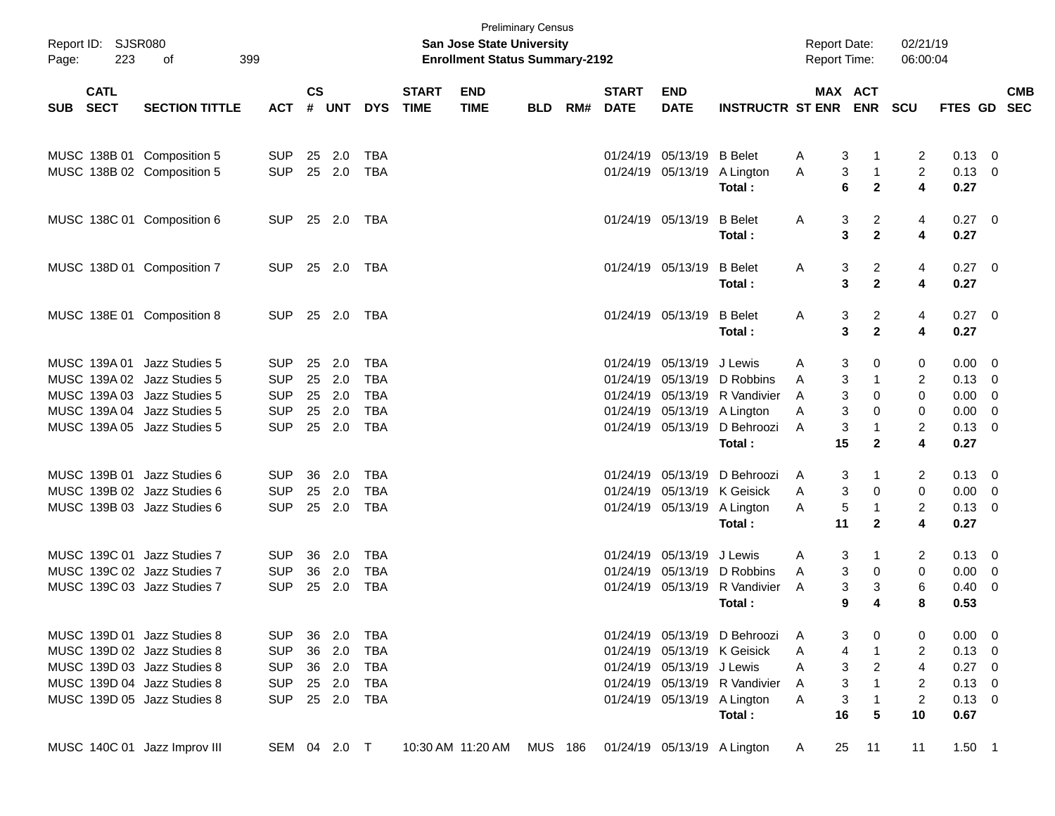| Page:      | Report ID: SJSR080<br>223  | 399<br>οf                                                  |                          |                    |                  |                          |                             | <b>San Jose State University</b><br><b>Enrollment Status Summary-2192</b> | <b>Preliminary Census</b> |     |                             |                           |                                                              | <b>Report Date:</b><br>Report Time: |                                          | 02/21/19<br>06:00:04 |                               |                                           |            |
|------------|----------------------------|------------------------------------------------------------|--------------------------|--------------------|------------------|--------------------------|-----------------------------|---------------------------------------------------------------------------|---------------------------|-----|-----------------------------|---------------------------|--------------------------------------------------------------|-------------------------------------|------------------------------------------|----------------------|-------------------------------|-------------------------------------------|------------|
| <b>SUB</b> | <b>CATL</b><br><b>SECT</b> | <b>SECTION TITTLE</b>                                      | <b>ACT</b>               | $\mathsf{cs}$<br># | <b>UNT</b>       | <b>DYS</b>               | <b>START</b><br><b>TIME</b> | <b>END</b><br><b>TIME</b>                                                 | <b>BLD</b>                | RM# | <b>START</b><br><b>DATE</b> | <b>END</b><br><b>DATE</b> | <b>INSTRUCTR ST ENR</b>                                      |                                     | MAX ACT<br><b>ENR</b>                    | <b>SCU</b>           | FTES GD SEC                   |                                           | <b>CMB</b> |
|            | MUSC 138B 01               | Composition 5                                              | <b>SUP</b>               |                    | 25 2.0           | TBA                      |                             |                                                                           |                           |     | 01/24/19                    | 05/13/19 B Belet          |                                                              | A                                   | 3<br>-1                                  | 2                    | $0.13 \ 0$                    |                                           |            |
|            |                            | MUSC 138B 02 Composition 5                                 | <b>SUP</b>               |                    | 25 2.0           | <b>TBA</b>               |                             |                                                                           |                           |     |                             | 01/24/19 05/13/19         | A Lington<br>Total:                                          | 3<br>A<br>6                         | $\overline{1}$<br>$\mathbf{2}$           | $\overline{2}$<br>4  | $0.13 \quad 0$<br>0.27        |                                           |            |
|            |                            | MUSC 138C 01 Composition 6                                 | <b>SUP</b>               |                    | 25 2.0           | TBA                      |                             |                                                                           |                           |     |                             | 01/24/19 05/13/19         | <b>B</b> Belet                                               | Α                                   | $\overline{c}$<br>3                      | 4                    | $0.27$ 0                      |                                           |            |
|            |                            | MUSC 138D 01 Composition 7                                 | <b>SUP</b>               |                    | 25 2.0           | TBA                      |                             |                                                                           |                           |     |                             | 01/24/19 05/13/19         | Total:<br><b>B</b> Belet                                     | Α                                   | 3<br>$\mathbf{2}$<br>$\overline{c}$<br>3 | 4<br>4               | 0.27<br>$0.27$ 0              |                                           |            |
|            |                            |                                                            |                          |                    |                  |                          |                             |                                                                           |                           |     |                             |                           | Total:                                                       |                                     | $\mathbf 2$<br>3                         | 4                    | 0.27                          |                                           |            |
|            |                            | MUSC 138E 01 Composition 8                                 | <b>SUP</b>               |                    | 25 2.0           | TBA                      |                             |                                                                           |                           |     |                             | 01/24/19 05/13/19         | <b>B</b> Belet<br>Total:                                     | Α                                   | $\overline{c}$<br>3<br>3<br>$\mathbf 2$  | 4<br>4               | $0.27$ 0<br>0.27              |                                           |            |
|            | MUSC 139A 01               | Jazz Studies 5                                             | <b>SUP</b><br><b>SUP</b> | 25                 | 2.0              | <b>TBA</b><br><b>TBA</b> |                             |                                                                           |                           |     | 01/24/19<br>01/24/19        | 05/13/19                  | J Lewis<br>D Robbins                                         | 3<br>A                              | 0                                        | 0                    | $0.00 \t 0$<br>$0.13 \quad 0$ |                                           |            |
|            |                            | MUSC 139A 02 Jazz Studies 5                                | <b>SUP</b>               |                    | 25 2.0           | <b>TBA</b>               |                             |                                                                           |                           |     |                             | 05/13/19                  |                                                              | 3<br>A<br>3                         | -1                                       | 2<br>0               | 0.00                          |                                           |            |
|            |                            | MUSC 139A 03 Jazz Studies 5<br>MUSC 139A 04 Jazz Studies 5 | <b>SUP</b>               |                    | 25 2.0<br>25 2.0 | <b>TBA</b>               |                             |                                                                           |                           |     |                             |                           | 01/24/19 05/13/19 R Vandivier<br>01/24/19 05/13/19 A Lington | A<br>3<br>A                         | 0<br>0                                   | 0                    | 0.00                          | $\overline{\mathbf{0}}$<br>$\overline{0}$ |            |
|            |                            | MUSC 139A 05 Jazz Studies 5                                | <b>SUP</b>               |                    | 25 2.0           | <b>TBA</b>               |                             |                                                                           |                           |     |                             | 01/24/19 05/13/19         | D Behroozi                                                   | 3<br>A                              | $\mathbf{1}$                             | $\overline{2}$       | $0.13 \quad 0$                |                                           |            |
|            |                            |                                                            |                          |                    |                  |                          |                             |                                                                           |                           |     |                             |                           | Total:                                                       | 15                                  | $\mathbf{2}$                             | 4                    | 0.27                          |                                           |            |
|            | MUSC 139B 01               | Jazz Studies 6                                             | <b>SUP</b>               | 36                 | 2.0              | <b>TBA</b>               |                             |                                                                           |                           |     | 01/24/19                    | 05/13/19                  | D Behroozi                                                   | 3<br>A                              | -1                                       | $\overline{2}$       | $0.13 \quad 0$                |                                           |            |
|            |                            | MUSC 139B 02 Jazz Studies 6                                | <b>SUP</b>               | 25                 | 2.0              | <b>TBA</b>               |                             |                                                                           |                           |     |                             |                           | 01/24/19 05/13/19 K Geisick                                  | 3<br>A                              | 0                                        | 0                    | $0.00 \t 0$                   |                                           |            |
|            |                            | MUSC 139B 03 Jazz Studies 6                                | <b>SUP</b>               |                    | 25 2.0           | <b>TBA</b>               |                             |                                                                           |                           |     |                             |                           | 01/24/19 05/13/19 A Lington<br>Total:                        | 5<br>A<br>11                        | -1<br>$\mathbf{2}$                       | $\overline{2}$<br>4  | $0.13 \ 0$<br>0.27            |                                           |            |
|            |                            | MUSC 139C 01 Jazz Studies 7                                | <b>SUP</b>               | 36                 | 2.0              | <b>TBA</b>               |                             |                                                                           |                           |     | 01/24/19                    | 05/13/19                  | J Lewis                                                      | 3<br>A                              | -1                                       | 2                    | $0.13 \quad 0$                |                                           |            |
|            |                            | MUSC 139C 02 Jazz Studies 7                                | <b>SUP</b>               | 36                 | 2.0              | <b>TBA</b>               |                             |                                                                           |                           |     | 01/24/19                    | 05/13/19                  | D Robbins                                                    | 3<br>A                              | 0                                        | 0                    | 0.00                          | $\overline{0}$                            |            |
|            |                            | MUSC 139C 03 Jazz Studies 7                                | <b>SUP</b>               |                    | 25 2.0           | <b>TBA</b>               |                             |                                                                           |                           |     |                             | 01/24/19 05/13/19         | R Vandivier<br>Total:                                        | A<br>9                              | 3<br>3<br>4                              | 6<br>8               | 0.40<br>0.53                  | $\overline{\mathbf{0}}$                   |            |
|            |                            | MUSC 139D 01 Jazz Studies 8                                | <b>SUP</b>               |                    | 36 2.0           | TBA                      |                             |                                                                           |                           |     |                             |                           | 01/24/19 05/13/19 D Behroozi                                 | 3                                   | 0                                        | 0                    | $0.00 \t 0$                   |                                           |            |
|            |                            | MUSC 139D 02 Jazz Studies 8                                | <b>SUP</b>               |                    | 36 2.0           | <b>TBA</b>               |                             |                                                                           |                           |     |                             |                           | 01/24/19 05/13/19 K Geisick                                  | 4<br>A                              | $\mathbf{1}$                             | 2                    | $0.13 \ 0$                    |                                           |            |
|            |                            | MUSC 139D 03 Jazz Studies 8                                | <b>SUP</b>               |                    | 36 2.0           | TBA                      |                             |                                                                           |                           |     |                             | 01/24/19 05/13/19 J Lewis |                                                              | 3<br>A                              | $\overline{c}$                           | 4                    | $0.27$ 0                      |                                           |            |
|            |                            | MUSC 139D 04 Jazz Studies 8                                | <b>SUP</b>               |                    | 25 2.0           | TBA                      |                             |                                                                           |                           |     |                             |                           | 01/24/19 05/13/19 R Vandivier                                | 3<br>A                              | $\mathbf{1}$                             | 2                    | $0.13 \ 0$                    |                                           |            |
|            |                            | MUSC 139D 05 Jazz Studies 8                                | <b>SUP</b>               |                    | 25 2.0           | TBA                      |                             |                                                                           |                           |     |                             |                           | 01/24/19 05/13/19 A Lington                                  | 3<br>A                              | $\overline{1}$                           | $\overline{2}$       | $0.13 \ 0$                    |                                           |            |
|            |                            |                                                            |                          |                    |                  |                          |                             |                                                                           |                           |     |                             |                           | Total:                                                       | 16                                  | 5                                        | 10                   | 0.67                          |                                           |            |
|            |                            | MUSC 140C 01 Jazz Improv III                               | SEM 04 2.0 T             |                    |                  |                          |                             | 10:30 AM 11:20 AM MUS 186 01/24/19 05/13/19 A Lington                     |                           |     |                             |                           |                                                              | 25<br>A                             | 11                                       | 11                   | $1.50$ 1                      |                                           |            |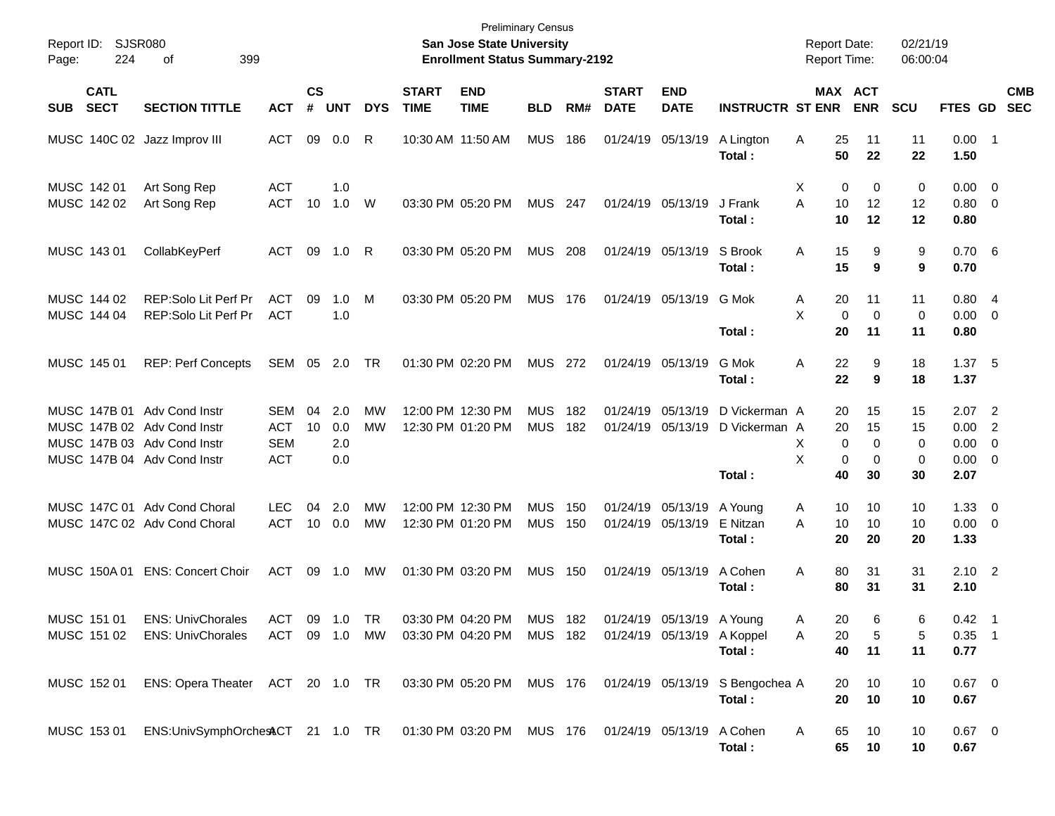| Page: | Report ID: SJSR080<br>224  | 399<br>оf                                                                                                                |                                                      |                    |                          |                 |                             | <b>Preliminary Census</b><br>San Jose State University<br><b>Enrollment Status Summary-2192</b> |                          |            |                             |                                                         |                                          | <b>Report Date:</b><br><b>Report Time:</b> |                                                            | 02/21/19<br>06:00:04     |                                                    |                                              |                          |
|-------|----------------------------|--------------------------------------------------------------------------------------------------------------------------|------------------------------------------------------|--------------------|--------------------------|-----------------|-----------------------------|-------------------------------------------------------------------------------------------------|--------------------------|------------|-----------------------------|---------------------------------------------------------|------------------------------------------|--------------------------------------------|------------------------------------------------------------|--------------------------|----------------------------------------------------|----------------------------------------------|--------------------------|
| SUB   | <b>CATL</b><br><b>SECT</b> | <b>SECTION TITTLE</b>                                                                                                    | <b>ACT</b>                                           | $\mathsf{cs}$<br># | <b>UNT</b>               | <b>DYS</b>      | <b>START</b><br><b>TIME</b> | <b>END</b><br><b>TIME</b>                                                                       | <b>BLD</b>               | RM#        | <b>START</b><br><b>DATE</b> | <b>END</b><br><b>DATE</b>                               | <b>INSTRUCTR ST ENR</b>                  |                                            | <b>MAX ACT</b><br><b>ENR</b>                               | <b>SCU</b>               | <b>FTES GD</b>                                     |                                              | <b>CMB</b><br><b>SEC</b> |
|       |                            | MUSC 140C 02 Jazz Improv III                                                                                             | <b>ACT</b>                                           | 09                 | 0.0                      | R               | 10:30 AM 11:50 AM           |                                                                                                 | <b>MUS</b>               | 186        |                             | 01/24/19 05/13/19                                       | A Lington<br>Total:                      | 25<br>Α<br>50                              | 11<br>22                                                   | 11<br>22                 | $0.00$ 1<br>1.50                                   |                                              |                          |
|       | MUSC 142 01<br>MUSC 142 02 | Art Song Rep<br>Art Song Rep                                                                                             | <b>ACT</b><br><b>ACT</b>                             | 10                 | 1.0<br>1.0               | W               |                             | 03:30 PM 05:20 PM                                                                               | <b>MUS</b>               | 247        |                             | 01/24/19 05/13/19                                       | J Frank<br>Total:                        | Х<br>A<br>10<br>10                         | 0<br>0<br>12<br>12                                         | 0<br>12<br>12            | $0.00 \t 0$<br>$0.80 \ 0$<br>0.80                  |                                              |                          |
|       | MUSC 143 01                | CollabKeyPerf                                                                                                            | <b>ACT</b>                                           | 09                 | 1.0                      | R               |                             | 03:30 PM 05:20 PM                                                                               | <b>MUS</b>               | - 208      |                             | 01/24/19 05/13/19                                       | S Brook<br>Total:                        | 15<br>A<br>15                              | 9<br>9                                                     | 9<br>9                   | 0.706<br>0.70                                      |                                              |                          |
|       | MUSC 144 02<br>MUSC 144 04 | <b>REP:Solo Lit Perf Pr</b><br>REP:Solo Lit Perf Pr                                                                      | <b>ACT</b><br><b>ACT</b>                             | 09                 | 1.0<br>1.0               | M               |                             | 03:30 PM 05:20 PM                                                                               | <b>MUS</b>               | 176        |                             | 01/24/19 05/13/19                                       | G Mok<br>Total:                          | 20<br>A<br>X<br>$\mathbf 0$<br>20          | 11<br>$\mathbf 0$<br>11                                    | 11<br>0<br>11            | 0.804<br>$0.00 \t 0$<br>0.80                       |                                              |                          |
|       | MUSC 145 01                | <b>REP: Perf Concepts</b>                                                                                                | SEM 05 2.0                                           |                    |                          | <b>TR</b>       |                             | 01:30 PM 02:20 PM                                                                               | <b>MUS</b>               | - 272      | 01/24/19 05/13/19           |                                                         | G Mok<br>Total:                          | 22<br>A<br>22                              | 9<br>9                                                     | 18<br>18                 | 1.37, 5<br>1.37                                    |                                              |                          |
|       |                            | MUSC 147B 01 Adv Cond Instr<br>MUSC 147B 02 Adv Cond Instr<br>MUSC 147B 03 Adv Cond Instr<br>MUSC 147B 04 Adv Cond Instr | <b>SEM</b><br><b>ACT</b><br><b>SEM</b><br><b>ACT</b> | 04<br>10           | 2.0<br>0.0<br>2.0<br>0.0 | МW<br><b>MW</b> |                             | 12:00 PM 12:30 PM<br>12:30 PM 01:20 PM                                                          | <b>MUS</b><br><b>MUS</b> | 182<br>182 |                             | 01/24/19 05/13/19<br>01/24/19 05/13/19                  | D Vickerman A<br>D Vickerman A<br>Total: | 20<br>20<br>X<br>X<br>40                   | 15<br>15<br>$\mathbf 0$<br>$\Omega$<br>0<br>$\Omega$<br>30 | 15<br>15<br>0<br>0<br>30 | 2.07<br>0.00<br>$0.00 \t 0$<br>$0.00 \t 0$<br>2.07 | $\overline{\phantom{0}}^2$<br>$\overline{2}$ |                          |
|       |                            | MUSC 147C 01 Adv Cond Choral<br>MUSC 147C 02 Adv Cond Choral                                                             | <b>LEC</b><br><b>ACT</b>                             | 04<br>10           | 2.0<br>0.0               | МW<br><b>MW</b> |                             | 12:00 PM 12:30 PM<br>12:30 PM 01:20 PM                                                          | <b>MUS</b><br><b>MUS</b> | 150<br>150 |                             | 01/24/19 05/13/19<br>01/24/19 05/13/19                  | A Young<br>E Nitzan<br>Total:            | 10<br>A<br>A<br>10<br>20                   | 10<br>10<br>20                                             | 10<br>10<br>20           | $1.33 \ 0$<br>$0.00 \t 0$<br>1.33                  |                                              |                          |
|       | MUSC 150A 01               | <b>ENS: Concert Choir</b>                                                                                                | ACT                                                  | 09                 | 1.0                      | МW              | 01:30 PM 03:20 PM           |                                                                                                 | <b>MUS</b>               | 150        |                             | 01/24/19 05/13/19                                       | A Cohen<br>Total:                        | A<br>80<br>80                              | 31<br>31                                                   | 31<br>31                 | $2.10 \quad 2$<br>2.10                             |                                              |                          |
|       | MUSC 151 01<br>MUSC 151 02 | <b>ENS: UnivChorales</b><br><b>ENS: UnivChorales</b>                                                                     | ACT<br>ACT 09 1.0 MW                                 |                    | 09 1.0 TR                |                 |                             | 03:30 PM 04:20 PM MUS 182<br>03:30 PM 04:20 PM                                                  | <b>MUS 182</b>           |            |                             | 01/24/19 05/13/19 A Young<br>01/24/19 05/13/19 A Koppel | Total:                                   | 20<br>A<br>20<br>Α<br>40                   | 6<br>5<br>11                                               | 6<br>5<br>11             | $0.42$ 1<br>$0.35$ 1<br>0.77                       |                                              |                          |
|       | MUSC 152 01                | ENS: Opera Theater ACT 20 1.0 TR 03:30 PM 05:20 PM MUS 176 01/24/19 05/13/19 S Bengochea A                               |                                                      |                    |                          |                 |                             |                                                                                                 |                          |            |                             |                                                         | Total:                                   | 20<br>20                                   | 10<br>10                                                   | 10<br>10                 | $0.67$ 0<br>0.67                                   |                                              |                          |
|       |                            | MUSC 153 01 ENS:UnivSymphOrchesACT 21 1.0 TR 01:30 PM 03:20 PM MUS 176 01/24/19 05/13/19                                 |                                                      |                    |                          |                 |                             |                                                                                                 |                          |            |                             |                                                         | A Cohen<br>Total:                        | 65<br>A<br>65                              | 10<br>10                                                   | 10<br>10                 | $0.67$ 0<br>0.67                                   |                                              |                          |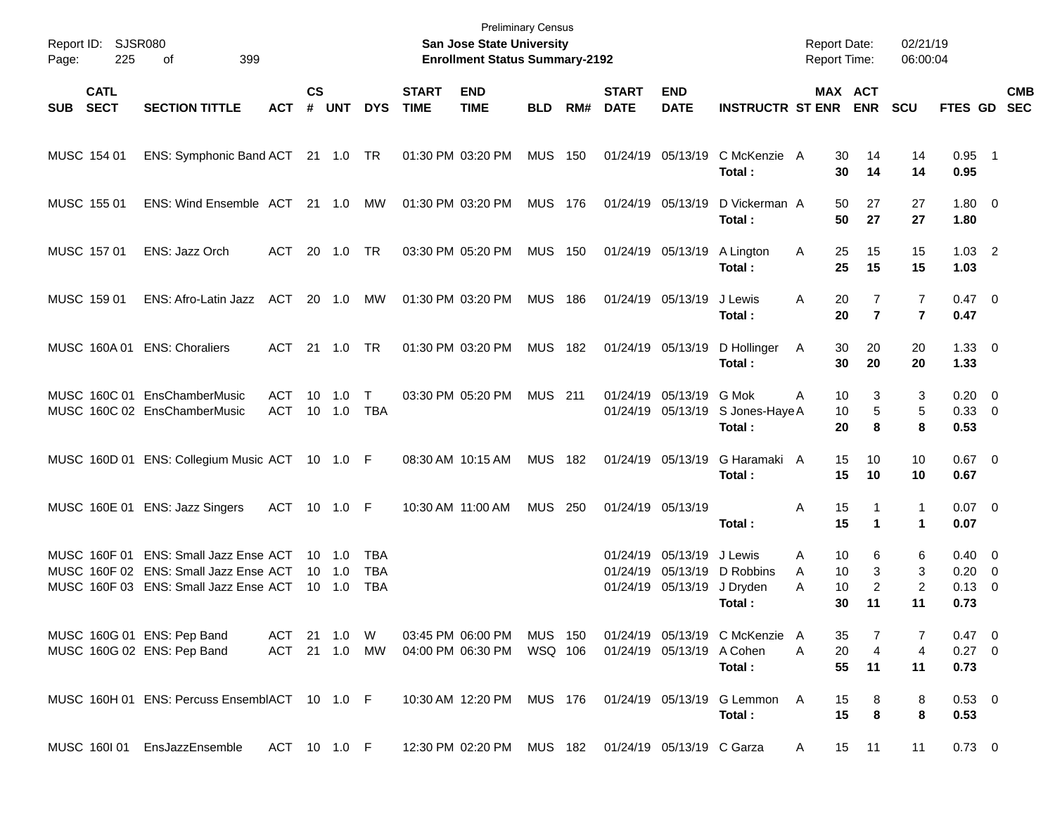| Page:      | Report ID: SJSR080<br>225  | 399<br>оf                                                                                                         |                          |                    |                                            |                                 |                             | <b>Preliminary Census</b><br>San Jose State University<br><b>Enrollment Status Summary-2192</b> |                    |     |                             |                                                             |                                                     |              | <b>Report Date:</b><br><b>Report Time:</b> | 02/21/19<br>06:00:04           |                                              |                          |                          |
|------------|----------------------------|-------------------------------------------------------------------------------------------------------------------|--------------------------|--------------------|--------------------------------------------|---------------------------------|-----------------------------|-------------------------------------------------------------------------------------------------|--------------------|-----|-----------------------------|-------------------------------------------------------------|-----------------------------------------------------|--------------|--------------------------------------------|--------------------------------|----------------------------------------------|--------------------------|--------------------------|
| <b>SUB</b> | <b>CATL</b><br><b>SECT</b> | <b>SECTION TITTLE</b>                                                                                             | <b>ACT</b>               | $\mathsf{cs}$<br># | <b>UNT</b>                                 | <b>DYS</b>                      | <b>START</b><br><b>TIME</b> | <b>END</b><br><b>TIME</b>                                                                       | <b>BLD</b>         | RM# | <b>START</b><br><b>DATE</b> | <b>END</b><br><b>DATE</b>                                   | <b>INSTRUCTR ST ENR</b>                             |              | MAX ACT<br><b>ENR</b>                      | <b>SCU</b>                     | <b>FTES GD</b>                               |                          | <b>CMB</b><br><b>SEC</b> |
|            | MUSC 154 01                | ENS: Symphonic Band ACT 21 1.0 TR                                                                                 |                          |                    |                                            |                                 |                             | 01:30 PM 03:20 PM                                                                               | <b>MUS</b>         | 150 |                             | 01/24/19 05/13/19                                           | C McKenzie A<br>Total:                              |              | 30<br>14<br>30<br>14                       | 14<br>14                       | $0.95$ 1<br>0.95                             |                          |                          |
|            | MUSC 155 01                | ENS: Wind Ensemble ACT 21 1.0                                                                                     |                          |                    |                                            | MW                              |                             | 01:30 PM 03:20 PM                                                                               | <b>MUS 176</b>     |     |                             | 01/24/19 05/13/19                                           | D Vickerman A<br>Total:                             |              | 50<br>27<br>50<br>27                       | 27<br>27                       | $1.80 \ 0$<br>1.80                           |                          |                          |
|            | MUSC 157 01                | ENS: Jazz Orch                                                                                                    | ACT                      |                    | 20 1.0                                     | TR                              |                             | 03:30 PM 05:20 PM                                                                               | <b>MUS</b>         | 150 |                             | 01/24/19 05/13/19                                           | A Lington<br>Total:                                 | A            | 25<br>15<br>25<br>15                       | 15<br>15                       | $1.03$ 2<br>1.03                             |                          |                          |
|            | MUSC 159 01                | ENS: Afro-Latin Jazz                                                                                              | ACT                      |                    | 20 1.0                                     | MW                              |                             | 01:30 PM 03:20 PM                                                                               | <b>MUS</b>         | 186 |                             | 01/24/19 05/13/19                                           | J Lewis<br>Total:                                   | Α            | 20<br>7<br>$\overline{7}$<br>20            | 7<br>$\overline{7}$            | $0.47 \quad 0$<br>0.47                       |                          |                          |
|            | MUSC 160A01                | <b>ENS: Choraliers</b>                                                                                            | <b>ACT</b>               |                    | 21  1.0                                    | <b>TR</b>                       |                             | 01:30 PM 03:20 PM                                                                               | <b>MUS</b>         | 182 |                             | 01/24/19 05/13/19                                           | D Hollinger<br>Total:                               | A            | 30<br>20<br>30<br>20                       | 20<br>20                       | $1.33 \ 0$<br>1.33                           |                          |                          |
|            |                            | MUSC 160C 01 EnsChamberMusic<br>MUSC 160C 02 EnsChamberMusic                                                      | <b>ACT</b><br>ACT        | 10                 | 1.0                                        | $\mathsf{T}$<br>TBA             |                             | 03:30 PM 05:20 PM                                                                               | <b>MUS</b> 211     |     |                             | 01/24/19 05/13/19<br>01/24/19 05/13/19                      | G Mok<br>S Jones-Haye A<br>Total:                   | A            | 10<br>3<br>5<br>10<br>8<br>20              | 3<br>5<br>8                    | $0.20 \ 0$<br>0.33 0<br>0.53                 |                          |                          |
|            |                            | MUSC 160D 01 ENS: Collegium Music ACT 10 1.0 F                                                                    |                          |                    |                                            |                                 |                             | 08:30 AM 10:15 AM                                                                               | <b>MUS</b>         | 182 |                             | 01/24/19 05/13/19                                           | G Haramaki A<br>Total:                              |              | 15<br>10<br>15<br>10                       | 10<br>10                       | $0.67$ 0<br>0.67                             |                          |                          |
|            |                            | MUSC 160E 01 ENS: Jazz Singers                                                                                    | ACT 10 1.0 F             |                    |                                            |                                 |                             | 10:30 AM 11:00 AM                                                                               | <b>MUS 250</b>     |     |                             | 01/24/19 05/13/19                                           | Total:                                              | Α            | 15<br>1<br>15<br>1                         | $\mathbf{1}$<br>1              | $0.07$ 0<br>0.07                             |                          |                          |
|            | MUSC 160F 01               | <b>ENS: Small Jazz Ense ACT</b><br>MUSC 160F 02 ENS: Small Jazz Ense ACT<br>MUSC 160F 03 ENS: Small Jazz Ense ACT |                          |                    | $10 \quad 1.0$<br>10 1.0<br>$10 \quad 1.0$ | TBA<br><b>TBA</b><br><b>TBA</b> |                             |                                                                                                 |                    |     |                             | 01/24/19 05/13/19<br>01/24/19 05/13/19<br>01/24/19 05/13/19 | J Lewis<br>D Robbins<br>J Dryden<br>Total:          | A<br>A<br>A  | 10<br>6<br>10<br>3<br>2<br>10<br>30<br>11  | 6<br>3<br>$\overline{2}$<br>11 | $0.40 \quad 0$<br>0.20<br>$0.13 \ 0$<br>0.73 | $\overline{\phantom{0}}$ |                          |
|            |                            | MUSC 160G 01 ENS: Pep Band<br>MUSC 160G 02 ENS: Pep Band                                                          | ACT 21 1.0<br>ACT 21 1.0 |                    |                                            | W<br>MW                         |                             | 03:45 PM 06:00 PM<br>04:00 PM 06:30 PM                                                          | MUS 150<br>WSQ 106 |     |                             | 01/24/19 05/13/19                                           | 01/24/19 05/13/19 C McKenzie A<br>A Cohen<br>Total: | A            | 35<br>20<br>4<br>55<br>11                  | 7<br>4<br>11                   | $0.47 \quad 0$<br>$0.27$ 0<br>0.73           |                          |                          |
|            |                            | MUSC 160H 01 ENS: Percuss EnsemblACT 10 1.0 F                                                                     |                          |                    |                                            |                                 |                             | 10:30 AM 12:20 PM MUS 176                                                                       |                    |     |                             |                                                             | 01/24/19 05/13/19 G Lemmon<br>Total:                | A            | 15<br>8<br>15<br>8                         | 8<br>8                         | $0.53 \ 0$<br>0.53                           |                          |                          |
|            |                            | MUSC 160I 01 EnsJazzEnsemble                                                                                      | ACT 10 1.0 F             |                    |                                            |                                 |                             | 12:30 PM 02:20 PM MUS 182 01/24/19 05/13/19 C Garza                                             |                    |     |                             |                                                             |                                                     | $\mathsf{A}$ | 15 11                                      | 11                             | $0.73 \quad 0$                               |                          |                          |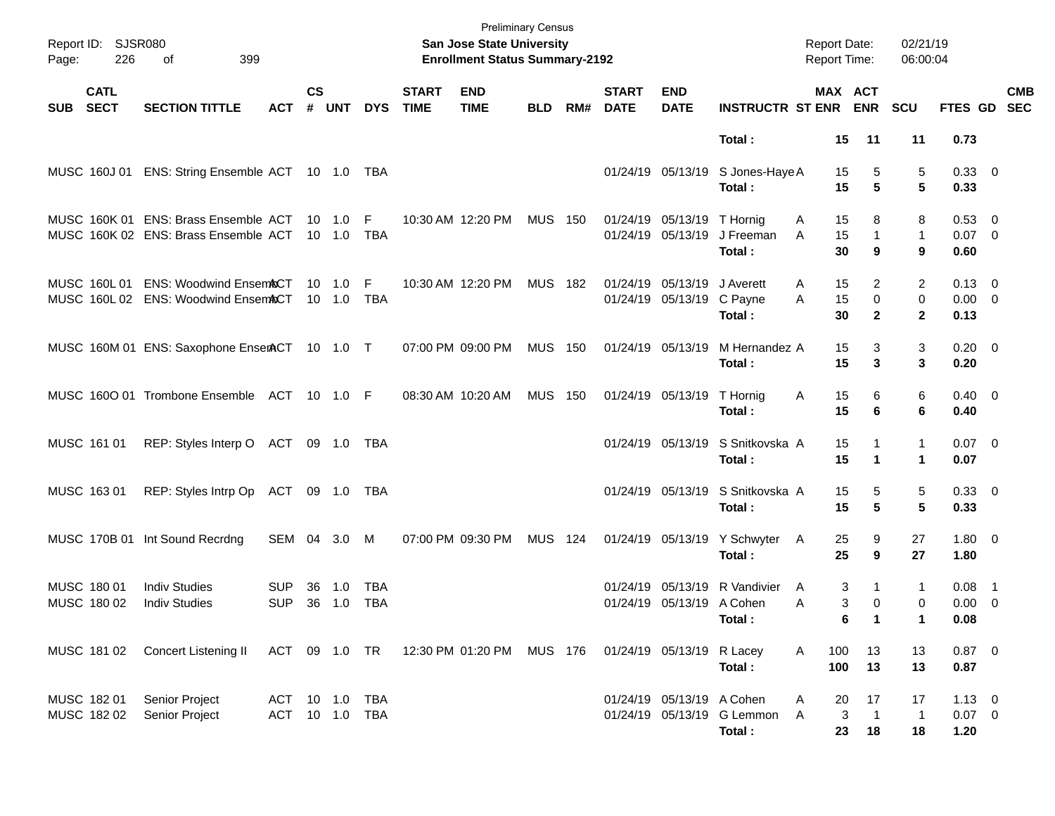| Page: | Report ID: SJSR080<br>226  | 399<br>of                                                                    |                                  |               |                                  |                   |                             | <b>Preliminary Census</b><br><b>San Jose State University</b><br><b>Enrollment Status Summary-2192</b> |                |     |                             |                                                |                                            | <b>Report Date:</b><br>Report Time: |                |                                          | 02/21/19<br>06:00:04       |                                       |                  |
|-------|----------------------------|------------------------------------------------------------------------------|----------------------------------|---------------|----------------------------------|-------------------|-----------------------------|--------------------------------------------------------------------------------------------------------|----------------|-----|-----------------------------|------------------------------------------------|--------------------------------------------|-------------------------------------|----------------|------------------------------------------|----------------------------|---------------------------------------|------------------|
| SUB   | <b>CATL</b><br><b>SECT</b> | <b>SECTION TITTLE</b>                                                        | <b>ACT</b>                       | $\mathsf{cs}$ | # UNT                            | <b>DYS</b>        | <b>START</b><br><b>TIME</b> | <b>END</b><br><b>TIME</b>                                                                              | <b>BLD</b>     | RM# | <b>START</b><br><b>DATE</b> | <b>END</b><br><b>DATE</b>                      | <b>INSTRUCTR ST ENR ENR</b>                |                                     | MAX ACT        |                                          | <b>SCU</b>                 | FTES GD SEC                           | <b>CMB</b>       |
|       |                            |                                                                              |                                  |               |                                  |                   |                             |                                                                                                        |                |     |                             |                                                | Total:                                     |                                     | 15             | 11                                       | 11                         | 0.73                                  |                  |
|       |                            | MUSC 160J 01 ENS: String Ensemble ACT 10 1.0 TBA                             |                                  |               |                                  |                   |                             |                                                                                                        |                |     |                             |                                                | 01/24/19 05/13/19 S Jones-Haye A<br>Total: |                                     | 15<br>15       | 5<br>5                                   | 5<br>5                     | 0.33 0<br>0.33                        |                  |
|       |                            | MUSC 160K 01 ENS: Brass Ensemble ACT<br>MUSC 160K 02 ENS: Brass Ensemble ACT |                                  |               | 10 1.0<br>10 1.0                 | F<br><b>TBA</b>   |                             | 10:30 AM 12:20 PM                                                                                      | <b>MUS 150</b> |     |                             | 01/24/19 05/13/19 T Hornig                     | 01/24/19 05/13/19 J Freeman<br>Total:      | Α<br>A                              | 15<br>15<br>30 | 8<br>$\mathbf{1}$<br>9                   | 8<br>$\mathbf{1}$<br>9     | 0.53 0<br>$0.07$ 0<br>0.60            |                  |
|       |                            | MUSC 160L 01 ENS: Woodwind EnsemACT<br>MUSC 160L02 ENS: Woodwind EnsemACT    |                                  |               | $10 \quad 1.0$<br>$10 \quad 1.0$ | F<br><b>TBA</b>   |                             | 10:30 AM 12:20 PM                                                                                      | <b>MUS 182</b> |     |                             | 01/24/19 05/13/19<br>01/24/19 05/13/19 C Payne | J Averett<br>Total:                        | Α<br>A                              | 15<br>15<br>30 | $\overline{2}$<br>0<br>$\mathbf{2}$      | 2<br>0<br>$\mathbf{2}$     | $0.13 \quad 0$<br>$0.00 \t 0$<br>0.13 |                  |
|       |                            | MUSC 160M 01 ENS: Saxophone EnserACT 10 1.0 T                                |                                  |               |                                  |                   |                             | 07:00 PM 09:00 PM                                                                                      | <b>MUS 150</b> |     |                             | 01/24/19 05/13/19                              | M Hernandez A<br>Total:                    |                                     | 15<br>15       | 3<br>3                                   | 3<br>3                     | $0.20 \ 0$<br>0.20                    |                  |
|       |                            | MUSC 1600 01 Trombone Ensemble ACT 10 1.0 F                                  |                                  |               |                                  |                   |                             | 08:30 AM 10:20 AM                                                                                      | <b>MUS 150</b> |     |                             | 01/24/19 05/13/19                              | T Hornig<br>Total:                         | Α                                   | 15<br>15       | 6<br>6                                   | 6<br>6                     | $0.40 \quad 0$<br>0.40                |                  |
|       | MUSC 161 01                | REP: Styles Interp O ACT                                                     |                                  |               |                                  |                   |                             |                                                                                                        |                |     |                             |                                                | 01/24/19 05/13/19 S Snitkovska A<br>Total: |                                     | 15<br>15       | 1<br>$\blacktriangleleft$                | 1<br>1                     | $0.07$ 0<br>0.07                      |                  |
|       | MUSC 163 01                | REP: Styles Intrp Op ACT                                                     |                                  |               |                                  |                   |                             |                                                                                                        |                |     |                             |                                                | 01/24/19 05/13/19 S Snitkovska A<br>Total: |                                     | 15<br>15       | 5<br>5                                   | 5<br>5                     | 0.33 0<br>0.33                        |                  |
|       |                            | MUSC 170B 01 Int Sound Recrdng                                               | SEM 04 3.0                       |               |                                  | M                 |                             | 07:00 PM 09:30 PM                                                                                      | <b>MUS 124</b> |     |                             |                                                | 01/24/19 05/13/19 Y Schwyter<br>Total:     | A                                   | 25<br>25       | 9<br>9                                   | 27<br>27                   | $1.80 \ 0$<br>1.80                    |                  |
|       | MUSC 180 01<br>MUSC 180 02 | <b>Indiv Studies</b><br><b>Indiv Studies</b>                                 | <b>SUP</b><br><b>SUP</b>         | 36            | 1.0<br>36 1.0                    | TBA<br><b>TBA</b> |                             |                                                                                                        |                |     |                             | 01/24/19 05/13/19 A Cohen                      | 01/24/19 05/13/19 R Vandivier<br>Total:    | A<br>Α                              | 3<br>3<br>6    | 1<br>$\mathbf 0$<br>$\blacktriangleleft$ | $\mathbf{1}$<br>0<br>1     | 0.08<br>$0.00 \t 0$<br>0.08           | $\blacksquare$ 1 |
|       | MUSC 181 02                | Concert Listening II                                                         |                                  |               |                                  |                   |                             | ACT 09 1.0 TR 12:30 PM 01:20 PM MUS 176                                                                |                |     |                             | 01/24/19 05/13/19 R Lacey                      | Total:                                     | A                                   | 100<br>100     | 13<br>13                                 | 13<br>13                   | $0.87$ 0<br>0.87                      |                  |
|       | MUSC 182 01<br>MUSC 182 02 | Senior Project<br>Senior Project                                             | ACT 10 1.0 TBA<br>ACT 10 1.0 TBA |               |                                  |                   |                             |                                                                                                        |                |     |                             | 01/24/19 05/13/19 A Cohen                      | 01/24/19 05/13/19 G Lemmon<br>Total:       | Α<br>A                              | 20<br>3<br>23  | 17<br>$\overline{1}$<br>18               | 17<br>$\overline{1}$<br>18 | $1.13 \ 0$<br>$0.07$ 0<br>1.20        |                  |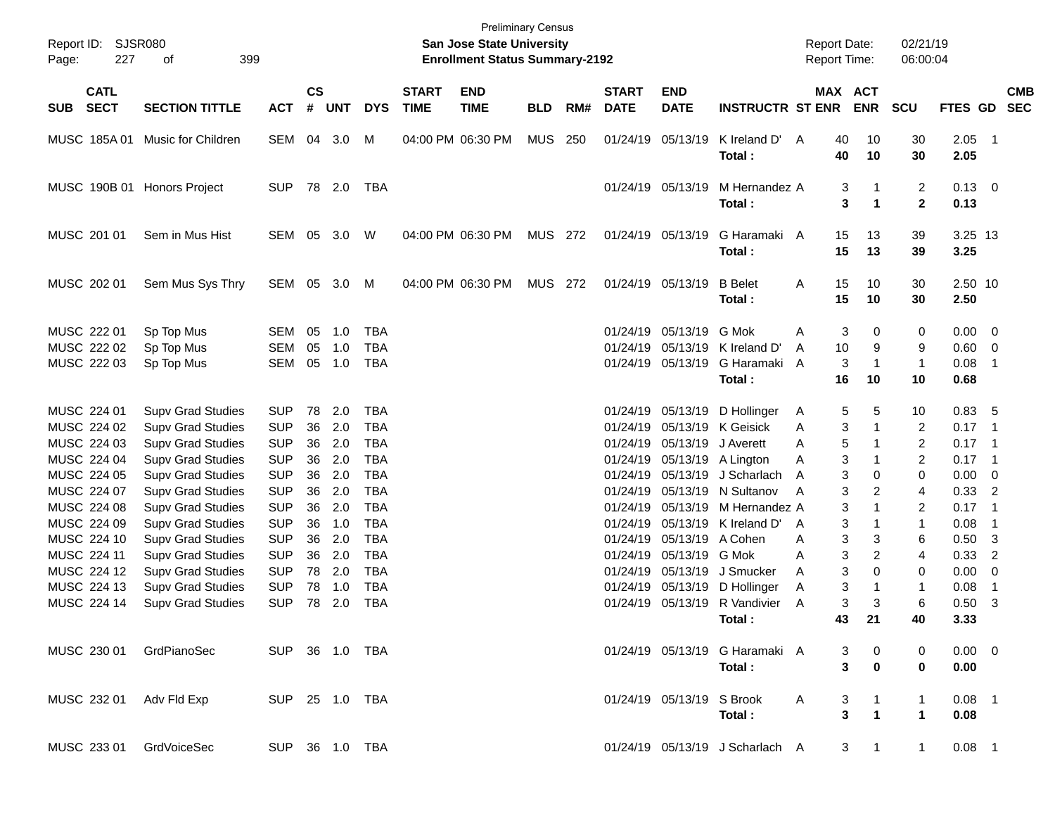| Report ID: SJSR080<br>Page:<br>227        | 399<br>оf                                                                        |                                        |                |                   |                                        |                             | <b>San Jose State University</b><br><b>Enrollment Status Summary-2192</b> | <b>Preliminary Census</b> |     |                                  |                                                             |                                               | <b>Report Date:</b><br>Report Time: |                                                      | 02/21/19<br>06:00:04                   |                                        |                                                  |            |
|-------------------------------------------|----------------------------------------------------------------------------------|----------------------------------------|----------------|-------------------|----------------------------------------|-----------------------------|---------------------------------------------------------------------------|---------------------------|-----|----------------------------------|-------------------------------------------------------------|-----------------------------------------------|-------------------------------------|------------------------------------------------------|----------------------------------------|----------------------------------------|--------------------------------------------------|------------|
| <b>CATL</b><br><b>SECT</b><br><b>SUB</b>  | <b>SECTION TITTLE</b>                                                            | <b>ACT</b>                             | <b>CS</b><br># | <b>UNT</b>        | <b>DYS</b>                             | <b>START</b><br><b>TIME</b> | <b>END</b><br><b>TIME</b>                                                 | <b>BLD</b>                | RM# | <b>START</b><br><b>DATE</b>      | <b>END</b><br><b>DATE</b>                                   | <b>INSTRUCTR ST ENR</b>                       |                                     | MAX ACT<br><b>ENR</b>                                | <b>SCU</b>                             | FTES GD SEC                            |                                                  | <b>CMB</b> |
|                                           | MUSC 185A 01 Music for Children                                                  | SEM                                    | 04             | 3.0               | м                                      |                             | 04:00 PM 06:30 PM                                                         | <b>MUS</b>                | 250 |                                  | 01/24/19 05/13/19                                           | K Ireland D'<br>Total:                        | 40<br>A<br>40                       | 10<br>10                                             | 30<br>30                               | 2.05<br>2.05                           | $\overline{\phantom{0}}$ 1                       |            |
|                                           | MUSC 190B 01 Honors Project                                                      | <b>SUP</b>                             |                | 78 2.0            | TBA                                    |                             |                                                                           |                           |     |                                  | 01/24/19 05/13/19                                           | M Hernandez A<br>Total:                       |                                     | 3<br>3<br>$\mathbf{1}$                               | $\overline{c}$<br>$\mathbf{2}$         | $0.13 \ 0$<br>0.13                     |                                                  |            |
| MUSC 201 01                               | Sem in Mus Hist                                                                  | SEM                                    | 05             | 3.0               | W                                      |                             | 04:00 PM 06:30 PM                                                         | <b>MUS 272</b>            |     |                                  | 01/24/19 05/13/19                                           | G Haramaki A<br>Total:                        | 15<br>15                            | 13<br>13                                             | 39<br>39                               | 3.25 13<br>3.25                        |                                                  |            |
| MUSC 202 01                               | Sem Mus Sys Thry                                                                 | SEM                                    | 05             | 3.0               | M                                      |                             | 04:00 PM 06:30 PM                                                         | <b>MUS 272</b>            |     |                                  | 01/24/19 05/13/19                                           | <b>B</b> Belet<br>Total:                      | 15<br>Α<br>15                       | 10<br>10                                             | 30<br>30                               | 2.50 10<br>2.50                        |                                                  |            |
| MUSC 222 01<br>MUSC 222 02<br>MUSC 222 03 | Sp Top Mus<br>Sp Top Mus<br>Sp Top Mus                                           | SEM<br><b>SEM</b><br>SEM               | 05<br>05<br>05 | 1.0<br>1.0<br>1.0 | <b>TBA</b><br><b>TBA</b><br><b>TBA</b> |                             |                                                                           |                           |     |                                  | 01/24/19 05/13/19<br>01/24/19 05/13/19<br>01/24/19 05/13/19 | G Mok<br>K Ireland D'<br>G Haramaki<br>Total: | Α<br>10<br>A<br>A<br>16             | 3<br>0<br>9<br>3<br>$\mathbf{1}$<br>10               | 0<br>9<br>$\mathbf{1}$<br>10           | $0.00 \quad 0$<br>0.60<br>0.08<br>0.68 | $\overline{\mathbf{0}}$<br>-1                    |            |
| MUSC 224 01<br>MUSC 224 02<br>MUSC 224 03 | <b>Supv Grad Studies</b><br><b>Supv Grad Studies</b><br><b>Supv Grad Studies</b> | <b>SUP</b><br><b>SUP</b><br><b>SUP</b> | 78<br>36<br>36 | 2.0<br>2.0<br>2.0 | TBA<br><b>TBA</b><br><b>TBA</b>        |                             |                                                                           |                           |     |                                  | 01/24/19 05/13/19<br>01/24/19 05/13/19<br>01/24/19 05/13/19 | D Hollinger<br>K Geisick<br>J Averett         | A<br>Α<br>A                         | 5<br>5<br>3<br>1<br>5                                | 10<br>$\overline{2}$<br>$\overline{2}$ | 0.83<br>0.17<br>0.17                   | - 5<br>- 1<br>- 1                                |            |
| MUSC 224 04<br>MUSC 224 05<br>MUSC 224 07 | <b>Supv Grad Studies</b><br><b>Supv Grad Studies</b><br><b>Supv Grad Studies</b> | <b>SUP</b><br><b>SUP</b><br><b>SUP</b> | 36<br>36<br>36 | 2.0<br>2.0<br>2.0 | <b>TBA</b><br><b>TBA</b><br><b>TBA</b> |                             |                                                                           |                           |     | 01/24/19                         | 01/24/19 05/13/19<br>01/24/19 05/13/19<br>05/13/19          | A Lington<br>J Scharlach<br>N Sultanov        | Α<br>A<br>A                         | 3<br>3<br>0<br>3<br>2                                | $\overline{2}$<br>0<br>4               | 0.17<br>0.00<br>0.33                   | - 1<br>$\overline{\mathbf{0}}$<br>$\overline{2}$ |            |
| MUSC 224 08<br>MUSC 224 09<br>MUSC 224 10 | <b>Supv Grad Studies</b><br><b>Supv Grad Studies</b><br><b>Supv Grad Studies</b> | <b>SUP</b><br><b>SUP</b><br><b>SUP</b> | 36<br>36<br>36 | 2.0<br>1.0<br>2.0 | <b>TBA</b><br><b>TBA</b><br><b>TBA</b> |                             |                                                                           |                           |     | 01/24/19<br>01/24/19<br>01/24/19 | 05/13/19<br>05/13/19<br>05/13/19 A Cohen                    | M Hernandez A<br>K Ireland D'                 | A<br>A                              | 3<br>3<br>3<br>3                                     | 2<br>$\mathbf{1}$<br>6                 | 0.17<br>0.08<br>0.50                   | - 1<br>-1<br>-3                                  |            |
| MUSC 224 11<br>MUSC 224 12<br>MUSC 224 13 | <b>Supv Grad Studies</b><br><b>Supv Grad Studies</b><br><b>Supv Grad Studies</b> | <b>SUP</b><br><b>SUP</b><br><b>SUP</b> | 36<br>78<br>78 | 2.0<br>2.0<br>1.0 | <b>TBA</b><br><b>TBA</b><br><b>TBA</b> |                             |                                                                           |                           |     | 01/24/19<br>01/24/19<br>01/24/19 | 05/13/19<br>05/13/19<br>05/13/19                            | G Mok<br>J Smucker<br>D Hollinger             | A<br>A<br>Α                         | 3<br>2<br>3<br>0<br>3<br>1                           | 4<br>0<br>$\mathbf 1$                  | 0.33<br>0.00<br>0.08                   | $\overline{2}$<br>0<br>-1                        |            |
| MUSC 224 14                               | <b>Supv Grad Studies</b>                                                         | <b>SUP</b>                             | 78             | 2.0               | <b>TBA</b>                             |                             |                                                                           |                           |     |                                  |                                                             | 01/24/19 05/13/19 R Vandivier<br>Total :      | A<br>43                             | 3<br>3<br>21                                         | 6<br>40                                | 0.50<br>3.33                           | $\overline{3}$                                   |            |
| MUSC 230 01                               | GrdPianoSec                                                                      | SUP 36 1.0 TBA                         |                |                   |                                        |                             |                                                                           |                           |     |                                  |                                                             | 01/24/19 05/13/19 G Haramaki A<br>Total:      |                                     | 3<br>0<br>3<br>$\mathbf 0$                           | 0<br>0                                 | $0.00 \t 0$<br>0.00                    |                                                  |            |
| MUSC 232 01                               | Adv Fld Exp                                                                      | SUP 25 1.0 TBA                         |                |                   |                                        |                             |                                                                           |                           |     |                                  | 01/24/19 05/13/19 S Brook                                   | Total:                                        | A                                   | 3<br>$\overline{\mathbf{3}}$<br>$\blacktriangleleft$ | $\mathbf 1$<br>$\mathbf{1}$            | $0.08$ 1<br>0.08                       |                                                  |            |
| MUSC 233 01                               | GrdVoiceSec                                                                      | SUP 36 1.0 TBA                         |                |                   |                                        |                             |                                                                           |                           |     |                                  |                                                             | 01/24/19 05/13/19 J Scharlach A               |                                     | 3<br>$\mathbf{1}$                                    | 1                                      | $0.08$ 1                               |                                                  |            |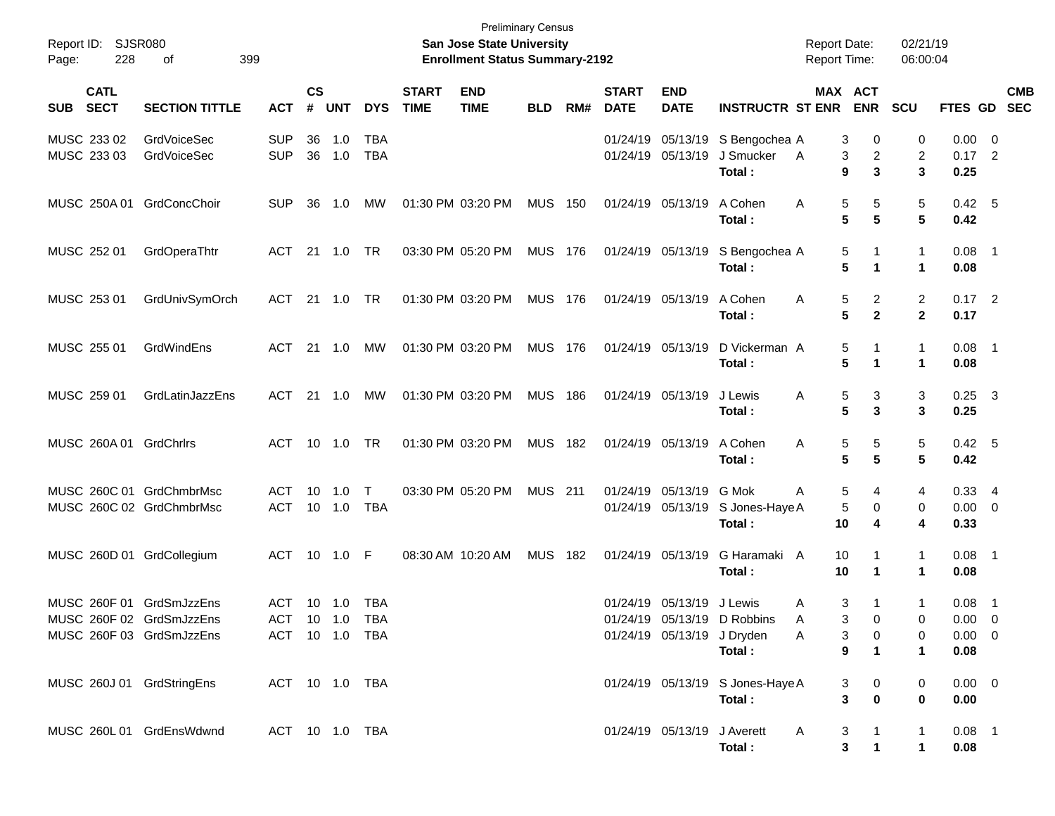| Report ID:<br>228<br>Page:                                                       | <b>SJSR080</b><br>399<br>οf              |                          |                    |                                  |                      |                             | <b>Preliminary Census</b><br><b>San Jose State University</b><br><b>Enrollment Status Summary-2192</b> |                |     |                             |                                     |                                                                     | <b>Report Date:</b><br><b>Report Time:</b> |                                         | 02/21/19<br>06:00:04           |                                                |                           |
|----------------------------------------------------------------------------------|------------------------------------------|--------------------------|--------------------|----------------------------------|----------------------|-----------------------------|--------------------------------------------------------------------------------------------------------|----------------|-----|-----------------------------|-------------------------------------|---------------------------------------------------------------------|--------------------------------------------|-----------------------------------------|--------------------------------|------------------------------------------------|---------------------------|
| <b>CATL</b><br><b>SECT</b><br><b>SUB</b>                                         | <b>SECTION TITTLE</b>                    | <b>ACT</b>               | $\mathsf{cs}$<br># | <b>UNT</b>                       | <b>DYS</b>           | <b>START</b><br><b>TIME</b> | <b>END</b><br><b>TIME</b>                                                                              | <b>BLD</b>     | RM# | <b>START</b><br><b>DATE</b> | <b>END</b><br><b>DATE</b>           | <b>INSTRUCTR ST ENR</b>                                             | MAX ACT                                    | <b>ENR</b>                              | <b>SCU</b>                     |                                                | <b>CMB</b><br>FTES GD SEC |
| MUSC 233 02<br>MUSC 233 03                                                       | <b>GrdVoiceSec</b><br><b>GrdVoiceSec</b> | <b>SUP</b><br><b>SUP</b> | 36<br>36           | 1.0<br>1.0                       | TBA<br><b>TBA</b>    |                             |                                                                                                        |                |     |                             | 01/24/19 05/13/19                   | 01/24/19 05/13/19 S Bengochea A<br>J Smucker<br>Total:              | 3<br>A<br>3<br>9                           | 0<br>$\overline{c}$<br>3                | 0<br>2<br>3                    | $0.00 \t 0$<br>$0.17$ 2<br>0.25                |                           |
| MUSC 250A 01 GrdConcChoir                                                        |                                          | <b>SUP</b>               | 36                 | 1.0                              | MW                   |                             | 01:30 PM 03:20 PM                                                                                      | <b>MUS 150</b> |     |                             | 01/24/19 05/13/19                   | A Cohen<br>Total:                                                   | 5<br>Α<br>5                                | 5<br>5                                  | 5<br>5                         | 0.42 5<br>0.42                                 |                           |
| MUSC 252 01                                                                      | GrdOperaThtr                             | ACT                      |                    | 21 1.0                           | TR                   |                             | 03:30 PM 05:20 PM                                                                                      | <b>MUS 176</b> |     |                             | 01/24/19 05/13/19                   | S Bengochea A<br>Total:                                             | 5<br>5                                     | 1<br>1                                  | $\mathbf{1}$<br>$\mathbf 1$    | $0.08$ 1<br>0.08                               |                           |
| MUSC 253 01                                                                      | GrdUnivSymOrch                           | ACT                      |                    | 21 1.0                           | TR                   |                             | 01:30 PM 03:20 PM                                                                                      | <b>MUS 176</b> |     |                             | 01/24/19 05/13/19                   | A Cohen<br>Total:                                                   | 5<br>A<br>5                                | $\overline{\mathbf{c}}$<br>$\mathbf{2}$ | $\overline{c}$<br>$\mathbf{2}$ | $0.17$ 2<br>0.17                               |                           |
| MUSC 255 01                                                                      | GrdWindEns                               | ACT                      |                    | $21 \quad 1.0$                   | МW                   |                             | 01:30 PM 03:20 PM                                                                                      | <b>MUS 176</b> |     |                             | 01/24/19 05/13/19                   | D Vickerman A<br>Total:                                             | 5<br>5                                     | 1                                       | $\mathbf{1}$<br>1              | $0.08$ 1<br>0.08                               |                           |
| MUSC 259 01                                                                      | GrdLatinJazzEns                          | ACT                      |                    | 21 1.0                           | MW                   |                             | 01:30 PM 03:20 PM                                                                                      | <b>MUS 186</b> |     |                             | 01/24/19 05/13/19                   | J Lewis<br>Total:                                                   | 5<br>A<br>5                                | 3<br>3                                  | 3<br>3                         | $0.25$ 3<br>0.25                               |                           |
| MUSC 260A 01 GrdChrlrs                                                           |                                          | ACT                      |                    | 10 1.0                           | <b>TR</b>            |                             | 01:30 PM 03:20 PM                                                                                      | <b>MUS 182</b> |     |                             | 01/24/19 05/13/19                   | A Cohen<br>Total:                                                   | Α<br>5<br>5                                | 5<br>5                                  | 5<br>5                         | $0.42\quad 5$<br>0.42                          |                           |
| MUSC 260C 01 GrdChmbrMsc<br>MUSC 260C 02 GrdChmbrMsc                             |                                          | ACT.<br><b>ACT</b>       | 10                 | $-1.0$<br>10 1.0                 | $\top$<br><b>TBA</b> |                             | 03:30 PM 05:20 PM                                                                                      | <b>MUS 211</b> |     | 01/24/19                    | 05/13/19 G Mok<br>01/24/19 05/13/19 | S Jones-Haye A<br>Total:                                            | 5<br>Α<br>5<br>10                          | 4<br>0<br>4                             | 4<br>0<br>4                    | 0.334<br>$0.00 \t 0$<br>0.33                   |                           |
| MUSC 260D 01 GrdCollegium                                                        |                                          | ACT                      |                    | 10 1.0                           | F                    |                             | 08:30 AM 10:20 AM                                                                                      | <b>MUS</b>     | 182 |                             | 01/24/19 05/13/19                   | G Haramaki A<br>Total:                                              | 10<br>10                                   | 1                                       | $\mathbf{1}$<br>1              | $0.08$ 1<br>0.08                               |                           |
| MUSC 260F 01 GrdSmJzzEns<br>MUSC 260F 02 GrdSmJzzEns<br>MUSC 260F 03 GrdSmJzzEns |                                          | ACT 10 1.0               |                    | ACT 10 1.0 TBA<br>ACT 10 1.0 TBA | TBA                  |                             |                                                                                                        |                |     |                             | 01/24/19 05/13/19 J Lewis           | 01/24/19 05/13/19 D Robbins<br>01/24/19 05/13/19 J Dryden<br>Total: | 3<br>Α<br>3<br>A<br>3<br>Α<br>9            | 1<br>0<br>0<br>$\mathbf 1$              | 1<br>0<br>0<br>1               | $0.08$ 1<br>$0.00 \t 0$<br>$0.00 \t 0$<br>0.08 |                           |
| MUSC 260J 01 GrdStringEns                                                        |                                          | ACT 10 1.0 TBA           |                    |                                  |                      |                             |                                                                                                        |                |     |                             |                                     | 01/24/19 05/13/19 S Jones-Haye A<br>Total:                          | 3<br>3                                     | 0<br>$\mathbf 0$                        | 0<br>0                         | $0.00 \t 0$<br>0.00                            |                           |
| MUSC 260L 01 GrdEnsWdwnd                                                         |                                          |                          |                    | ACT 10 1.0 TBA                   |                      |                             |                                                                                                        |                |     |                             | 01/24/19 05/13/19 J Averett         | Total:                                                              | 3<br>A<br>3                                | $\mathbf{1}$                            | 1<br>1                         | $0.08$ 1<br>0.08                               |                           |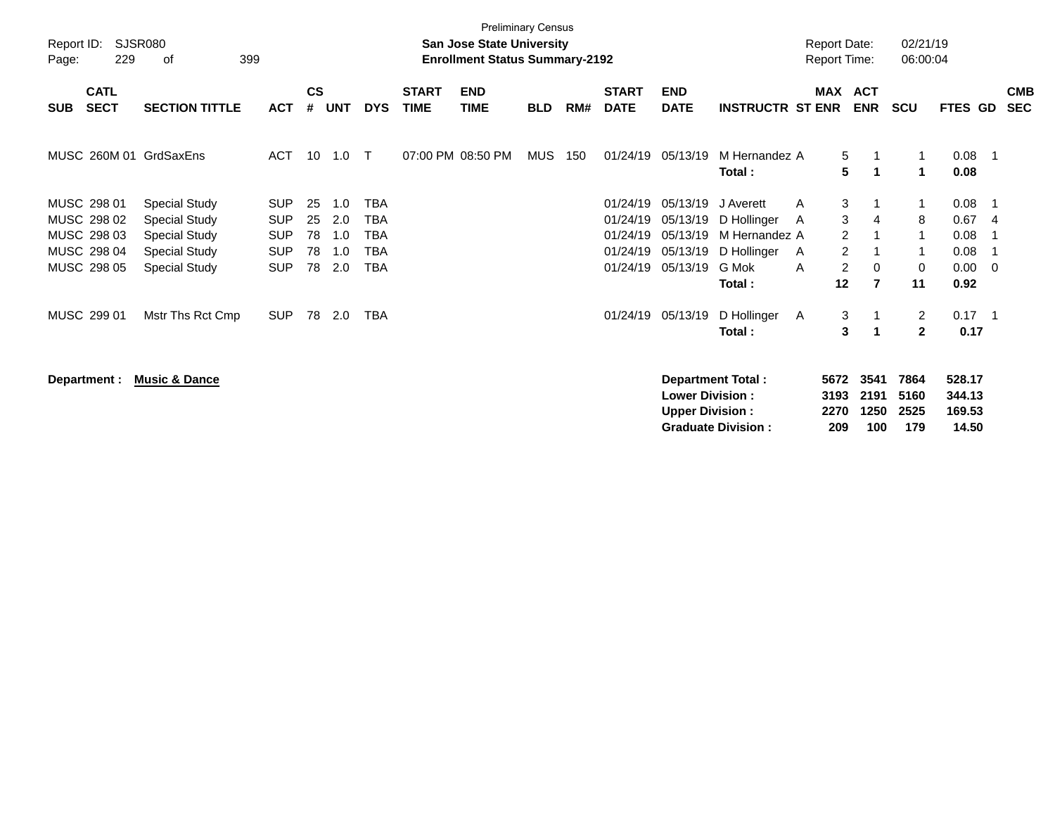| Report ID:<br>Page: | 229                        | SJSR080<br>399<br>οf     |            |                    |            |            |                             | <b>Preliminary Census</b><br>San Jose State University<br><b>Enrollment Status Summary-2192</b> |            |     |                             |                                                  |                          | <b>Report Date:</b><br><b>Report Time:</b> |                      |                      | 02/21/19<br>06:00:04             |                            |                          |                          |
|---------------------|----------------------------|--------------------------|------------|--------------------|------------|------------|-----------------------------|-------------------------------------------------------------------------------------------------|------------|-----|-----------------------------|--------------------------------------------------|--------------------------|--------------------------------------------|----------------------|----------------------|----------------------------------|----------------------------|--------------------------|--------------------------|
| <b>SUB</b>          | <b>CATL</b><br><b>SECT</b> | <b>SECTION TITTLE</b>    | <b>ACT</b> | $\mathsf{cs}$<br># | <b>UNT</b> | <b>DYS</b> | <b>START</b><br><b>TIME</b> | <b>END</b><br><b>TIME</b>                                                                       | <b>BLD</b> | RM# | <b>START</b><br><b>DATE</b> | <b>END</b><br><b>DATE</b>                        | <b>INSTRUCTR ST ENR</b>  | MAX                                        |                      | ACT<br><b>ENR</b>    | <b>SCU</b>                       | <b>FTES GD</b>             |                          | <b>CMB</b><br><b>SEC</b> |
|                     |                            | MUSC 260M 01 GrdSaxEns   | ACT        | 10                 | 1.0        | $\top$     |                             | 07:00 PM 08:50 PM                                                                               | MUS        | 150 | 01/24/19                    | 05/13/19                                         | M Hernandez A<br>Total:  |                                            | 5<br>5               | -1<br>-1             | 1<br>1                           | 0.08<br>0.08               |                          |                          |
|                     | MUSC 298 01                | <b>Special Study</b>     | <b>SUP</b> | 25                 | 1.0        | TBA        |                             |                                                                                                 |            |     | 01/24/19                    | 05/13/19                                         | J Averett                | A                                          | 3                    |                      | 1                                | 0.08                       |                          |                          |
|                     | MUSC 298 02                | <b>Special Study</b>     | <b>SUP</b> | 25                 | 2.0        | <b>TBA</b> |                             |                                                                                                 |            |     | 01/24/19                    | 05/13/19                                         | D Hollinger              | A                                          | 3                    | 4                    | 8                                | 0.67                       | -4                       |                          |
|                     | MUSC 298 03                | <b>Special Study</b>     | <b>SUP</b> | 78                 | 1.0        | <b>TBA</b> |                             |                                                                                                 |            |     | 01/24/19                    | 05/13/19                                         | M Hernandez A            |                                            | $\overline{2}$       |                      | $\mathbf 1$                      | 0.08                       |                          |                          |
|                     | MUSC 298 04                | <b>Special Study</b>     | <b>SUP</b> | 78                 | 1.0        | <b>TBA</b> |                             |                                                                                                 |            |     | 01/24/19                    | 05/13/19                                         | D Hollinger              | A                                          | $\overline{c}$       |                      | $\mathbf{1}$                     | 0.08                       |                          |                          |
|                     | MUSC 298 05                | <b>Special Study</b>     | <b>SUP</b> | 78                 | 2.0        | TBA        |                             |                                                                                                 |            |     | 01/24/19                    | 05/13/19                                         | G Mok                    | A                                          | $\overline{c}$       | $\mathbf 0$          | $\mathbf 0$                      | 0.00                       | $\overline{\phantom{0}}$ |                          |
|                     |                            |                          |            |                    |            |            |                             |                                                                                                 |            |     |                             |                                                  | Total:                   |                                            | 12                   | $\overline{7}$       | 11                               | 0.92                       |                          |                          |
|                     | MUSC 299 01                | Mstr Ths Rct Cmp         | <b>SUP</b> | 78                 | 2.0        | <b>TBA</b> |                             |                                                                                                 |            |     | 01/24/19                    | 05/13/19                                         | D Hollinger<br>Total:    | A                                          | 3<br>3               | -1<br>-1             | $\overline{2}$<br>$\overline{2}$ | $0.17$ 1<br>0.17           |                          |                          |
|                     | Department :               | <b>Music &amp; Dance</b> |            |                    |            |            |                             |                                                                                                 |            |     |                             | <b>Lower Division:</b><br><b>Upper Division:</b> | <b>Department Total:</b> |                                            | 5672<br>3193<br>2270 | 3541<br>2191<br>1250 | 7864<br>5160<br>2525             | 528.17<br>344.13<br>169.53 |                          |                          |

**Upper Division : 2270 1250 2525 169.53**

**Graduate Division : 209 100 179 14.50**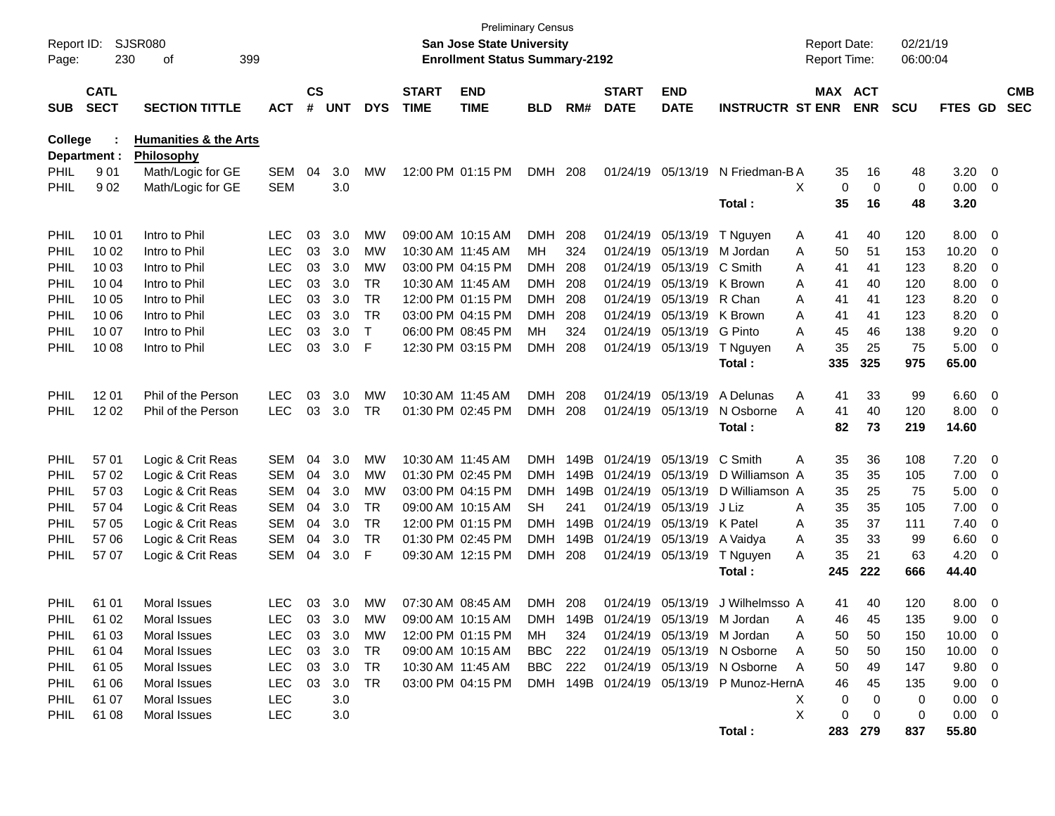| Report ID:<br>Page: | 230                        | SJSR080<br>399<br>οf                           |            |                    |            |            |                             | <b>Preliminary Census</b><br>San Jose State University<br><b>Enrollment Status Summary-2192</b> |            |      |                             |                            |                                          | <b>Report Date:</b><br>Report Time: |            | 02/21/19<br>06:00:04 |                |                          |                          |
|---------------------|----------------------------|------------------------------------------------|------------|--------------------|------------|------------|-----------------------------|-------------------------------------------------------------------------------------------------|------------|------|-----------------------------|----------------------------|------------------------------------------|-------------------------------------|------------|----------------------|----------------|--------------------------|--------------------------|
| <b>SUB</b>          | <b>CATL</b><br><b>SECT</b> | <b>SECTION TITTLE</b>                          | <b>ACT</b> | $\mathsf{cs}$<br># | <b>UNT</b> | <b>DYS</b> | <b>START</b><br><b>TIME</b> | <b>END</b><br><b>TIME</b>                                                                       | <b>BLD</b> | RM#  | <b>START</b><br><b>DATE</b> | <b>END</b><br><b>DATE</b>  | <b>INSTRUCTR ST ENR</b>                  | MAX ACT                             | <b>ENR</b> | <b>SCU</b>           | <b>FTES GD</b> |                          | <b>CMB</b><br><b>SEC</b> |
| <b>College</b>      | Department :               | <b>Humanities &amp; the Arts</b><br>Philosophy |            |                    |            |            |                             |                                                                                                 |            |      |                             |                            |                                          |                                     |            |                      |                |                          |                          |
| <b>PHIL</b>         | 901                        | Math/Logic for GE                              | <b>SEM</b> | 04                 | 3.0        | MW         |                             | 12:00 PM 01:15 PM                                                                               | <b>DMH</b> | 208  |                             | 01/24/19 05/13/19          | N Friedman-B A                           | 35                                  | 16         | 48                   | 3.20           | $\overline{\phantom{0}}$ |                          |
| <b>PHIL</b>         | 902                        | Math/Logic for GE                              | SEM        |                    | 3.0        |            |                             |                                                                                                 |            |      |                             |                            |                                          | X<br>0                              | 0          | 0                    | 0.00           | $\overline{\phantom{0}}$ |                          |
|                     |                            |                                                |            |                    |            |            |                             |                                                                                                 |            |      |                             |                            | Total:                                   | 35                                  | 16         | 48                   | 3.20           |                          |                          |
| PHIL                | 10 01                      | Intro to Phil                                  | <b>LEC</b> | 03                 | 3.0        | MW         |                             | 09:00 AM 10:15 AM                                                                               | <b>DMH</b> | 208  |                             | 01/24/19 05/13/19          | T Nguyen                                 | A<br>41                             | 40         | 120                  | 8.00           | $\overline{\mathbf{0}}$  |                          |
| PHIL                | 10 02                      | Intro to Phil                                  | <b>LEC</b> | 03                 | 3.0        | MW         | 10:30 AM 11:45 AM           |                                                                                                 | MН         | 324  |                             | 01/24/19 05/13/19          | M Jordan                                 | Α<br>50                             | 51         | 153                  | 10.20          | 0                        |                          |
| PHIL                | 10 03                      | Intro to Phil                                  | <b>LEC</b> | 03                 | 3.0        | MW         |                             | 03:00 PM 04:15 PM                                                                               | <b>DMH</b> | 208  |                             | 01/24/19 05/13/19          | C Smith                                  | A<br>41                             | 41         | 123                  | 8.20           | 0                        |                          |
| PHIL                | 10 04                      | Intro to Phil                                  | <b>LEC</b> | 03                 | 3.0        | <b>TR</b>  | 10:30 AM 11:45 AM           |                                                                                                 | DMH.       | 208  |                             | 01/24/19 05/13/19          | K Brown                                  | A<br>41                             | 40         | 120                  | 8.00           | 0                        |                          |
| PHIL                | 10 05                      | Intro to Phil                                  | <b>LEC</b> | 03                 | 3.0        | <b>TR</b>  |                             | 12:00 PM 01:15 PM                                                                               | <b>DMH</b> | 208  | 01/24/19                    | 05/13/19                   | R Chan                                   | A<br>41                             | 41         | 123                  | 8.20           | 0                        |                          |
| PHIL                | 10 06                      | Intro to Phil                                  | <b>LEC</b> | 03                 | 3.0        | <b>TR</b>  |                             | 03:00 PM 04:15 PM                                                                               | <b>DMH</b> | 208  | 01/24/19                    | 05/13/19                   | K Brown                                  | A<br>41                             | 41         | 123                  | 8.20           | 0                        |                          |
| PHIL                | 10 07                      | Intro to Phil                                  | <b>LEC</b> | 03                 | 3.0        | T          |                             | 06:00 PM 08:45 PM                                                                               | MН         | 324  |                             | 01/24/19 05/13/19          | G Pinto                                  | A<br>45                             | 46         | 138                  | 9.20           | 0                        |                          |
| <b>PHIL</b>         | 10 08                      | Intro to Phil                                  | <b>LEC</b> | 03                 | 3.0        | F          |                             | 12:30 PM 03:15 PM                                                                               | <b>DMH</b> | 208  |                             | 01/24/19 05/13/19          | T Nguyen                                 | 35<br>A                             | 25         | 75                   | 5.00           | $\overline{\mathbf{0}}$  |                          |
|                     |                            |                                                |            |                    |            |            |                             |                                                                                                 |            |      |                             |                            | Total:                                   | 335                                 | 325        | 975                  | 65.00          |                          |                          |
| <b>PHIL</b>         | 12 01                      | Phil of the Person                             | <b>LEC</b> | 03                 | 3.0        | <b>MW</b>  | 10:30 AM 11:45 AM           |                                                                                                 | <b>DMH</b> | 208  |                             | 01/24/19 05/13/19          | A Delunas                                | Α<br>41                             | 33         | 99                   | 6.60           | $\overline{\phantom{0}}$ |                          |
| <b>PHIL</b>         | 12 02                      | Phil of the Person                             | <b>LEC</b> | 03                 | 3.0        | <b>TR</b>  |                             | 01:30 PM 02:45 PM                                                                               | DMH.       | 208  |                             | 01/24/19 05/13/19          | N Osborne                                | A<br>41                             | 40         | 120                  | 8.00           | $\overline{\phantom{0}}$ |                          |
|                     |                            |                                                |            |                    |            |            |                             |                                                                                                 |            |      |                             |                            | Total:                                   | 82                                  | 73         | 219                  | 14.60          |                          |                          |
| <b>PHIL</b>         | 57 01                      | Logic & Crit Reas                              | <b>SEM</b> | 04                 | 3.0        | MW         | 10:30 AM 11:45 AM           |                                                                                                 | DMH        | 149B |                             | 01/24/19 05/13/19          | C Smith                                  | Α<br>35                             | 36         | 108                  | 7.20           | $\overline{\mathbf{0}}$  |                          |
| PHIL                | 57 02                      | Logic & Crit Reas                              | <b>SEM</b> | 04                 | 3.0        | MW         |                             | 01:30 PM 02:45 PM                                                                               | DMH        | 149B | 01/24/19                    | 05/13/19                   | D Williamson A                           | 35                                  | 35         | 105                  | 7.00           | $\overline{\mathbf{0}}$  |                          |
| PHIL                | 57 03                      | Logic & Crit Reas                              | <b>SEM</b> | 04                 | 3.0        | MW         |                             | 03:00 PM 04:15 PM                                                                               | DMH        | 149B |                             | 01/24/19 05/13/19          | D Williamson A                           | 35                                  | 25         | 75                   | 5.00           | 0                        |                          |
| PHIL                | 57 04                      | Logic & Crit Reas                              | <b>SEM</b> | 04                 | 3.0        | <b>TR</b>  |                             | 09:00 AM 10:15 AM                                                                               | SН         | 241  |                             | 01/24/19 05/13/19          | J Liz                                    | A<br>35                             | 35         | 105                  | 7.00           | 0                        |                          |
| PHIL                | 57 05                      | Logic & Crit Reas                              | <b>SEM</b> | 04                 | 3.0        | <b>TR</b>  |                             | 12:00 PM 01:15 PM                                                                               | DMH        | 149B | 01/24/19 05/13/19           |                            | K Patel                                  | Α<br>35                             | 37         | 111                  | 7.40           | $\overline{\mathbf{0}}$  |                          |
| PHIL                | 57 06                      | Logic & Crit Reas                              | <b>SEM</b> | 04                 | 3.0        | <b>TR</b>  |                             | 01:30 PM 02:45 PM                                                                               | DMH        | 149B |                             | 01/24/19 05/13/19          | A Vaidya                                 | 35<br>A                             | 33         | 99                   | 6.60           | 0                        |                          |
| <b>PHIL</b>         | 57 07                      | Logic & Crit Reas                              | <b>SEM</b> | 04                 | 3.0        | F          |                             | 09:30 AM 12:15 PM                                                                               | <b>DMH</b> | 208  |                             | 01/24/19 05/13/19          | T Nguyen                                 | 35<br>A                             | 21         | 63                   | 4.20           | 0                        |                          |
|                     |                            |                                                |            |                    |            |            |                             |                                                                                                 |            |      |                             |                            | Total:                                   | 245                                 | 222        | 666                  | 44.40          |                          |                          |
| <b>PHIL</b>         | 61 01                      | <b>Moral Issues</b>                            | <b>LEC</b> | 03                 | 3.0        | MW         |                             | 07:30 AM 08:45 AM                                                                               | <b>DMH</b> | 208  |                             | 01/24/19 05/13/19          | J Wilhelmsso A                           | 41                                  | 40         | 120                  | 8.00           | $\overline{\phantom{0}}$ |                          |
| PHIL                | 61 02                      | Moral Issues                                   | <b>LEC</b> |                    | 03 3.0     | MW         |                             | 09:00 AM 10:15 AM                                                                               |            |      |                             |                            | DMH 149B 01/24/19 05/13/19 M Jordan      | 46<br>A                             | 45         | 135                  | $9.00 \quad 0$ |                          |                          |
| <b>PHIL</b>         | 61 03                      | Moral Issues                                   | LEC        |                    | 03 3.0     | МW         |                             | 12:00 PM 01:15 PM                                                                               | MH.        | 324  |                             | 01/24/19 05/13/19 M Jordan |                                          | Α<br>50                             | 50         | 150                  | $10.00 \t 0$   |                          |                          |
| <b>PHIL</b>         | 61 04                      | Moral Issues                                   | <b>LEC</b> | 03                 | 3.0        | TR         |                             | 09:00 AM 10:15 AM                                                                               | BBC        | 222  |                             |                            | 01/24/19 05/13/19 N Osborne              | 50<br>Α                             | 50         | 150                  | $10.00 \t 0$   |                          |                          |
| <b>PHIL</b>         | 61 05                      | Moral Issues                                   | LEC        |                    | 03 3.0     | TR         | 10:30 AM 11:45 AM           |                                                                                                 | BBC 222    |      |                             |                            | 01/24/19 05/13/19 N Osborne              | A<br>50                             | 49         | 147                  | $9.80\ 0$      |                          |                          |
| <b>PHIL</b>         | 61 06                      | Moral Issues                                   | <b>LEC</b> | 03                 | 3.0        | TR.        |                             | 03:00 PM 04:15 PM                                                                               |            |      |                             |                            | DMH 149B 01/24/19 05/13/19 P Munoz-HernA | 46                                  | 45         | 135                  | $9.00 \t 0$    |                          |                          |
| PHIL                | 61 07                      | Moral Issues                                   | LEC        |                    | 3.0        |            |                             |                                                                                                 |            |      |                             |                            |                                          | 0<br>X                              | 0          | 0                    | $0.00 \t 0$    |                          |                          |
| PHIL                | 61 08                      | Moral Issues                                   | <b>LEC</b> |                    | 3.0        |            |                             |                                                                                                 |            |      |                             |                            |                                          | X<br>0                              | 0          | 0                    | $0.00 \t 0$    |                          |                          |
|                     |                            |                                                |            |                    |            |            |                             |                                                                                                 |            |      |                             |                            | Total:                                   |                                     | 283 279    | 837                  | 55.80          |                          |                          |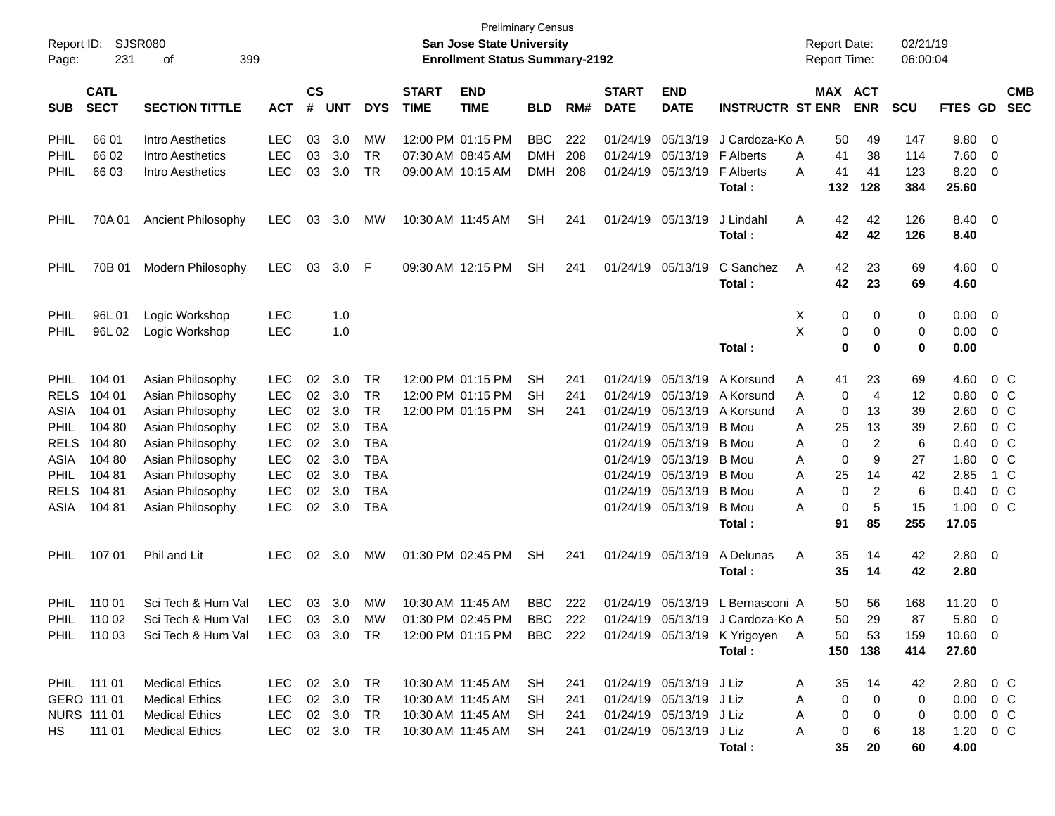| Page:       | Report ID: SJSR080<br>231  | 399<br>οf                                                                                             |               | <b>Preliminary Census</b><br>San Jose State University<br><b>Enrollment Status Summary-2192</b> |            |            |                             |                           |            |     |                             |                           |                                  | <b>Report Date:</b><br><b>Report Time:</b><br>MAX ACT |             |                | 02/21/19<br>06:00:04 |               |                         |                          |
|-------------|----------------------------|-------------------------------------------------------------------------------------------------------|---------------|-------------------------------------------------------------------------------------------------|------------|------------|-----------------------------|---------------------------|------------|-----|-----------------------------|---------------------------|----------------------------------|-------------------------------------------------------|-------------|----------------|----------------------|---------------|-------------------------|--------------------------|
| <b>SUB</b>  | <b>CATL</b><br><b>SECT</b> | <b>SECTION TITTLE</b>                                                                                 | <b>ACT</b>    | $\mathsf{cs}$<br>#                                                                              | <b>UNT</b> | <b>DYS</b> | <b>START</b><br><b>TIME</b> | <b>END</b><br><b>TIME</b> | <b>BLD</b> | RM# | <b>START</b><br><b>DATE</b> | <b>END</b><br><b>DATE</b> | <b>INSTRUCTR ST ENR</b>          |                                                       |             | <b>ENR</b>     | <b>SCU</b>           | FTES GD       |                         | <b>CMB</b><br><b>SEC</b> |
|             |                            |                                                                                                       |               |                                                                                                 |            |            |                             |                           |            |     |                             |                           |                                  |                                                       |             |                |                      |               |                         |                          |
| PHIL        | 66 01                      | Intro Aesthetics                                                                                      | <b>LEC</b>    | 03                                                                                              | 3.0        | MW         |                             | 12:00 PM 01:15 PM         | <b>BBC</b> | 222 |                             | 01/24/19 05/13/19         | J Cardoza-Ko A                   |                                                       | 50          | 49             | 147                  | 9.80          | - 0                     |                          |
| PHIL        | 66 02                      | Intro Aesthetics                                                                                      | <b>LEC</b>    | 03                                                                                              | 3.0        | <b>TR</b>  |                             | 07:30 AM 08:45 AM         | <b>DMH</b> | 208 |                             | 01/24/19 05/13/19         | <b>F</b> Alberts                 | A                                                     | 41          | 38             | 114                  | 7.60          | 0                       |                          |
| PHIL        | 66 03                      | Intro Aesthetics                                                                                      | <b>LEC</b>    | 03                                                                                              | 3.0        | <b>TR</b>  |                             | 09:00 AM 10:15 AM         | <b>DMH</b> | 208 |                             | 01/24/19 05/13/19         | <b>F</b> Alberts                 | A                                                     | 41          | 41             | 123                  | 8.20          | 0                       |                          |
|             |                            |                                                                                                       |               |                                                                                                 |            |            |                             |                           |            |     |                             |                           | Total:                           |                                                       | 132         | 128            | 384                  | 25.60         |                         |                          |
| PHIL        | 70A01                      | Ancient Philosophy                                                                                    | LEC.          | 03                                                                                              | 3.0        | MW         | 10:30 AM 11:45 AM           |                           | SН         | 241 |                             | 01/24/19 05/13/19         | J Lindahl                        | A                                                     | 42          | 42             | 126                  | 8.40 0        |                         |                          |
|             |                            |                                                                                                       |               |                                                                                                 |            |            |                             |                           |            |     |                             |                           | Total:                           |                                                       | 42          | 42             | 126                  | 8.40          |                         |                          |
| PHIL        | 70B 01                     | Modern Philosophy                                                                                     | <b>LEC</b>    | 03                                                                                              | 3.0        | -F         |                             | 09:30 AM 12:15 PM         | <b>SH</b>  | 241 |                             | 01/24/19 05/13/19         | C Sanchez                        | A                                                     | 42          | 23             | 69                   | $4.60$ 0      |                         |                          |
|             |                            |                                                                                                       |               |                                                                                                 |            |            |                             |                           |            |     |                             |                           | Total:                           |                                                       | 42          | 23             | 69                   | 4.60          |                         |                          |
| PHIL        | 96L01                      |                                                                                                       | <b>LEC</b>    |                                                                                                 |            |            |                             |                           |            |     |                             |                           |                                  |                                                       | 0           | 0              |                      | 0.00          | $\overline{\mathbf{0}}$ |                          |
| PHIL        | 96L02                      | Logic Workshop<br>Logic Workshop                                                                      | <b>LEC</b>    |                                                                                                 | 1.0<br>1.0 |            |                             |                           |            |     |                             |                           |                                  | Х<br>X                                                | 0           | 0              | 0<br>0               | 0.00          | - 0                     |                          |
|             |                            |                                                                                                       |               |                                                                                                 |            |            |                             |                           |            |     |                             |                           | Total:                           |                                                       | 0           | 0              | 0                    | 0.00          |                         |                          |
|             |                            |                                                                                                       |               |                                                                                                 |            |            |                             |                           |            |     |                             |                           |                                  |                                                       |             |                |                      |               |                         |                          |
| <b>PHIL</b> | 104 01                     | Asian Philosophy                                                                                      | <b>LEC</b>    | 02                                                                                              | 3.0        | <b>TR</b>  |                             | 12:00 PM 01:15 PM         | SH         | 241 |                             | 01/24/19 05/13/19         | A Korsund                        | A                                                     | 41          | 23             | 69                   | 4.60          |                         | $0\,C$                   |
| <b>RELS</b> | 104 01                     | Asian Philosophy                                                                                      | <b>LEC</b>    | 02                                                                                              | 3.0        | <b>TR</b>  |                             | 12:00 PM 01:15 PM         | SН         | 241 |                             | 01/24/19 05/13/19         | A Korsund                        | A                                                     | 0           | $\overline{4}$ | 12                   | 0.80          | $0\,C$                  |                          |
| ASIA        | 104 01                     | Asian Philosophy                                                                                      | <b>LEC</b>    | 02                                                                                              | 3.0        | <b>TR</b>  |                             | 12:00 PM 01:15 PM         | SН         | 241 |                             | 01/24/19 05/13/19         | A Korsund                        | A                                                     | 0           | 13             | 39                   | 2.60          |                         | $0\,C$                   |
| <b>PHIL</b> | 104 80                     | Asian Philosophy                                                                                      | <b>LEC</b>    | 02                                                                                              | 3.0        | <b>TBA</b> |                             |                           |            |     |                             | 01/24/19 05/13/19         | <b>B</b> Mou                     | A                                                     | 25          | 13             | 39                   | 2.60          |                         | $0\,C$                   |
| <b>RELS</b> | 104 80                     | Asian Philosophy                                                                                      | <b>LEC</b>    | 02                                                                                              | 3.0        | TBA        |                             |                           |            |     |                             | 01/24/19 05/13/19         | B Mou                            | A                                                     | 0           | 2              | 6                    | 0.40          |                         | $0\,C$                   |
| ASIA        | 104 80                     | Asian Philosophy                                                                                      | <b>LEC</b>    | 02                                                                                              | 3.0        | TBA        |                             |                           |            |     |                             | 01/24/19 05/13/19         | B Mou                            | A                                                     | 0           | 9              | 27                   | 1.80          |                         | $0\,C$                   |
| <b>PHIL</b> | 104 81                     | Asian Philosophy                                                                                      | <b>LEC</b>    | 02                                                                                              | 3.0        | TBA        |                             |                           |            |     |                             | 01/24/19 05/13/19         | <b>B</b> Mou                     | A                                                     | 25          | 14             | 42                   | 2.85          |                         | 1 C                      |
| <b>RELS</b> | 104 81                     | Asian Philosophy                                                                                      | <b>LEC</b>    | 02                                                                                              | 3.0        | TBA        |                             |                           |            |     |                             | 01/24/19 05/13/19         | B Mou                            | A                                                     | 0           | 2              | 6                    | 0.40          |                         | 0 <sup>C</sup>           |
| ASIA        | 104 81                     | Asian Philosophy                                                                                      | <b>LEC</b>    | 02                                                                                              | 3.0        | TBA        |                             |                           |            |     |                             | 01/24/19 05/13/19         | <b>B</b> Mou                     | A                                                     | $\mathbf 0$ | 5              | 15                   | 1.00          |                         | $0\,C$                   |
|             |                            |                                                                                                       |               |                                                                                                 |            |            |                             |                           |            |     |                             |                           | Total:                           |                                                       | 91          | 85             | 255                  | 17.05         |                         |                          |
| <b>PHIL</b> | 107 01                     | Phil and Lit                                                                                          | LEC.          | 02                                                                                              | 3.0        | МW         |                             | 01:30 PM 02:45 PM         | <b>SH</b>  | 241 |                             | 01/24/19 05/13/19         | A Delunas                        | A                                                     | 35          | 14             | 42                   | $2.80 \t 0$   |                         |                          |
|             |                            |                                                                                                       |               |                                                                                                 |            |            |                             |                           |            |     |                             |                           | Total:                           |                                                       | 35          | 14             | 42                   | 2.80          |                         |                          |
| <b>PHIL</b> | 110 01                     | Sci Tech & Hum Val                                                                                    | <b>LEC</b>    | 03                                                                                              | 3.0        | MW         | 10:30 AM 11:45 AM           |                           | <b>BBC</b> | 222 |                             | 01/24/19 05/13/19         | L Bernasconi A                   |                                                       | 50          | 56             | 168                  | 11.20         |                         |                          |
| PHIL        | 110 02                     | Sci Tech & Hum Val                                                                                    | LEC 03 3.0 MW |                                                                                                 |            |            |                             | $01:30$ PM $02:45$ PM     | BBC        | 222 |                             |                           | 01/24/19 05/13/19 J Cardoza-Ko A |                                                       | 50          | 29             | 87                   | 5.80          | - 0<br>- 0              |                          |
|             |                            | PHIL 110 03 Sci Tech & Hum Val LEC 03 3.0 TR 12:00 PM 01:15 PM BBC 222 01/24/19 05/13/19 K Yrigoyen A |               |                                                                                                 |            |            |                             |                           |            |     |                             |                           |                                  |                                                       | 50          | -53            | 159                  | $10.60$ 0     |                         |                          |
|             |                            |                                                                                                       |               |                                                                                                 |            |            |                             |                           |            |     |                             |                           |                                  |                                                       |             |                |                      |               |                         |                          |
|             |                            |                                                                                                       |               |                                                                                                 |            |            |                             |                           |            |     |                             |                           | Total:                           |                                                       |             | 150 138        | 414                  | 27.60         |                         |                          |
|             | PHIL 111 01                | <b>Medical Ethics</b>                                                                                 | LEC 02 3.0 TR |                                                                                                 |            |            |                             | 10:30 AM 11:45 AM SH      |            | 241 |                             | 01/24/19 05/13/19 J Liz   |                                  | A                                                     | 35          | 14             | 42                   | 2.80 0 C      |                         |                          |
| GERO 111 01 |                            | <b>Medical Ethics</b>                                                                                 | LEC           |                                                                                                 | 02 3.0     | TR         |                             | 10:30 AM 11:45 AM         | SH         | 241 |                             | 01/24/19 05/13/19 J Liz   |                                  | A                                                     | 0           | 0              | 0                    | $0.00 \t 0 C$ |                         |                          |
|             | NURS 111 01                | <b>Medical Ethics</b>                                                                                 | LEC 02 3.0    |                                                                                                 |            | TR.        |                             | 10:30 AM 11:45 AM         | -SH        | 241 |                             | 01/24/19 05/13/19 J Liz   |                                  | A                                                     | 0           | 0              | 0                    | $0.00 \t 0 C$ |                         |                          |
|             | HS 111 01                  | <b>Medical Ethics</b>                                                                                 | LEC 02 3.0 TR |                                                                                                 |            |            |                             | 10:30 AM 11:45 AM         | SH         | 241 |                             | 01/24/19 05/13/19 J Liz   |                                  | A                                                     | 0           | 6              | 18                   | $1.20 \t 0 C$ |                         |                          |
|             |                            |                                                                                                       |               |                                                                                                 |            |            |                             |                           |            |     |                             |                           | Total:                           |                                                       | 35          | 20             | 60                   | 4.00          |                         |                          |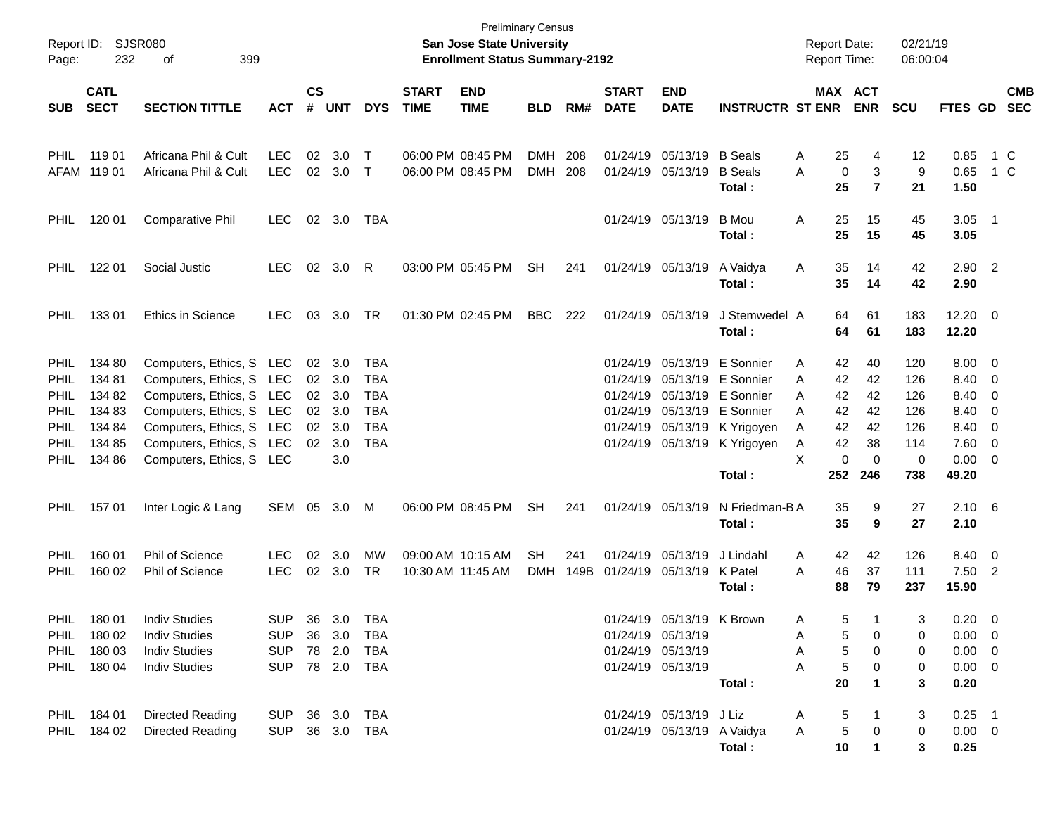| Page:       | Report ID: SJSR080<br>232  | 399<br>οf                |                |                    |                |            |                             | <b>Preliminary Census</b><br>San Jose State University<br><b>Enrollment Status Summary-2192</b> |            |      |                             |                            |                          | <b>Report Date:</b><br><b>Report Time:</b> |                          | 02/21/19<br>06:00:04 |                       |     |                          |
|-------------|----------------------------|--------------------------|----------------|--------------------|----------------|------------|-----------------------------|-------------------------------------------------------------------------------------------------|------------|------|-----------------------------|----------------------------|--------------------------|--------------------------------------------|--------------------------|----------------------|-----------------------|-----|--------------------------|
| <b>SUB</b>  | <b>CATL</b><br><b>SECT</b> | <b>SECTION TITTLE</b>    | <b>ACT</b>     | $\mathsf{cs}$<br># | <b>UNT</b>     | <b>DYS</b> | <b>START</b><br><b>TIME</b> | <b>END</b><br><b>TIME</b>                                                                       | <b>BLD</b> | RM#  | <b>START</b><br><b>DATE</b> | <b>END</b><br><b>DATE</b>  | <b>INSTRUCTR ST ENR</b>  |                                            | MAX ACT<br><b>ENR</b>    | <b>SCU</b>           | FTES GD               |     | <b>CMB</b><br><b>SEC</b> |
| <b>PHIL</b> | 119 01                     | Africana Phil & Cult     | <b>LEC</b>     | 02                 | 3.0            | $\top$     | 06:00 PM 08:45 PM           |                                                                                                 | <b>DMH</b> | 208  |                             | 01/24/19 05/13/19          | <b>B</b> Seals           | 25<br>A                                    | 4                        | 12                   | 0.85                  | 1 C |                          |
|             | AFAM 119 01                | Africana Phil & Cult     | <b>LEC</b>     |                    | 02 3.0         | $\top$     | 06:00 PM 08:45 PM           |                                                                                                 | <b>DMH</b> | 208  |                             | 01/24/19 05/13/19          | <b>B</b> Seals<br>Total: | A<br>25                                    | 0<br>3<br>$\overline{7}$ | 9<br>21              | 0.65<br>1.50          |     | 1 C                      |
| <b>PHIL</b> | 120 01                     | Comparative Phil         | <b>LEC</b>     |                    | 02 3.0         | TBA        |                             |                                                                                                 |            |      |                             | 01/24/19 05/13/19          | <b>B</b> Mou<br>Total:   | Α<br>25<br>25                              | 15<br>15                 | 45<br>45             | $3.05$ 1<br>3.05      |     |                          |
| <b>PHIL</b> | 122 01                     | Social Justic            | LEC.           |                    | 02 3.0         | R          |                             | 03:00 PM 05:45 PM                                                                               | <b>SH</b>  | 241  |                             | 01/24/19 05/13/19          | A Vaidya<br>Total:       | 35<br>A<br>35                              | 14<br>14                 | 42<br>42             | $2.90$ 2<br>2.90      |     |                          |
| <b>PHIL</b> | 13301                      | <b>Ethics in Science</b> | <b>LEC</b>     | 03                 | 3.0            | TR         | 01:30 PM 02:45 PM           |                                                                                                 | <b>BBC</b> | 222  |                             | 01/24/19 05/13/19          | J Stemwedel A<br>Total:  | 64<br>64                                   | 61<br>61                 | 183<br>183           | $12.20 \t 0$<br>12.20 |     |                          |
| PHIL        | 134 80                     | Computers, Ethics, S LEC |                |                    | $02 \quad 3.0$ | <b>TBA</b> |                             |                                                                                                 |            |      |                             | 01/24/19 05/13/19          | E Sonnier                | 42<br>A                                    | 40                       | 120                  | $8.00 \t 0$           |     |                          |
| PHIL        | 134 81                     | Computers, Ethics, S LEC |                | 02 <sub>o</sub>    | 3.0            | <b>TBA</b> |                             |                                                                                                 |            |      |                             | 01/24/19 05/13/19          | E Sonnier                | 42<br>A                                    | 42                       | 126                  | 8.40 0                |     |                          |
| PHIL        | 134 82                     | Computers, Ethics, S LEC |                | 02                 | 3.0            | <b>TBA</b> |                             |                                                                                                 |            |      |                             | 01/24/19 05/13/19          | E Sonnier                | 42<br>A                                    | 42                       | 126                  | 8.40 0                |     |                          |
| PHIL        | 134 83                     | Computers, Ethics, S LEC |                | 02 <sub>o</sub>    | 3.0            | <b>TBA</b> |                             |                                                                                                 |            |      |                             | 01/24/19 05/13/19          | E Sonnier                | 42<br>A                                    | 42                       | 126                  | 8.40 0                |     |                          |
| PHIL        | 134 84                     | Computers, Ethics, S LEC |                | 02                 | 3.0            | <b>TBA</b> |                             |                                                                                                 |            |      |                             | 01/24/19 05/13/19          |                          | 42<br>A                                    | 42                       | 126                  | 8.40 0                |     |                          |
| PHIL        | 134 85                     | Computers, Ethics, S LEC |                | 02                 | 3.0            | <b>TBA</b> |                             |                                                                                                 |            |      |                             | 01/24/19 05/13/19          | K Yrigoyen               | 42<br>A                                    | 38                       | 114                  | $7.60 \t 0$           |     |                          |
| PHIL        | 134 86                     | Computers, Ethics, S LEC |                |                    | 3.0            |            |                             |                                                                                                 |            |      |                             |                            | K Yrigoyen               | X                                          | 0<br>$\mathbf 0$         | 0                    | $0.00 \t 0$           |     |                          |
|             |                            |                          |                |                    |                |            |                             |                                                                                                 |            |      |                             |                            | Total:                   | 252                                        | 246                      | 738                  | 49.20                 |     |                          |
| <b>PHIL</b> | 15701                      | Inter Logic & Lang       | SEM 05         |                    | 3.0            | M          | 06:00 PM 08:45 PM           |                                                                                                 | <b>SH</b>  | 241  |                             | 01/24/19 05/13/19          | N Friedman-BA<br>Total:  | 35<br>35                                   | 9<br>9                   | 27<br>27             | $2.10\quad 6$<br>2.10 |     |                          |
|             |                            |                          |                |                    |                |            |                             |                                                                                                 |            |      |                             |                            |                          |                                            |                          |                      |                       |     |                          |
| PHIL        | 160 01                     | Phil of Science          | <b>LEC</b>     | 02                 | 3.0            | <b>MW</b>  | 09:00 AM 10:15 AM           |                                                                                                 | <b>SH</b>  | 241  |                             | 01/24/19 05/13/19          | J Lindahl                | 42<br>A                                    | 42                       | 126                  | 8.40 0                |     |                          |
| PHIL        | 160 02                     | Phil of Science          | <b>LEC</b>     |                    | 02 3.0         | TR         | 10:30 AM 11:45 AM           |                                                                                                 | <b>DMH</b> | 149B | 01/24/19 05/13/19           |                            | K Patel                  | 46<br>A                                    | 37                       | 111                  | $7.50$ 2              |     |                          |
|             |                            |                          |                |                    |                |            |                             |                                                                                                 |            |      |                             |                            | Total :                  | 88                                         | 79                       | 237                  | 15.90                 |     |                          |
| PHIL        | 180 01                     | <b>Indiv Studies</b>     | <b>SUP</b>     |                    | 36 3.0 TBA     |            |                             |                                                                                                 |            |      |                             | 01/24/19 05/13/19 K Brown  |                          | A                                          | 5<br>1                   | 3                    | $0.20 \ 0$            |     |                          |
|             | PHIL 180 02                | <b>Indiv Studies</b>     | SUP 36 3.0 TBA |                    |                |            |                             |                                                                                                 |            |      |                             | 01/24/19 05/13/19          |                          | A                                          | 0<br>5                   | 0                    | $0.00 \ 0$            |     |                          |
|             | PHIL 180 03                | <b>Indiv Studies</b>     | SUP 78 2.0 TBA |                    |                |            |                             |                                                                                                 |            |      |                             | 01/24/19 05/13/19          |                          | A                                          | 5<br>0                   | 0                    | $0.00 \t 0$           |     |                          |
|             | PHIL 180 04                | <b>Indiv Studies</b>     | SUP 78 2.0 TBA |                    |                |            |                             |                                                                                                 |            |      |                             | 01/24/19 05/13/19          |                          | A                                          | 5<br>0                   | 0                    | $0.00 \t 0$           |     |                          |
|             |                            |                          |                |                    |                |            |                             |                                                                                                 |            |      |                             |                            | Total:                   | 20                                         |                          | 3                    | 0.20                  |     |                          |
|             | PHIL 184 01                | Directed Reading         | SUP 36 3.0 TBA |                    |                |            |                             |                                                                                                 |            |      |                             | 01/24/19 05/13/19 J Liz    |                          | A                                          | 5                        | 3                    | $0.25$ 1              |     |                          |
|             | PHIL 184 02                | Directed Reading         | SUP 36 3.0 TBA |                    |                |            |                             |                                                                                                 |            |      |                             | 01/24/19 05/13/19 A Vaidya |                          | A                                          | 5<br>0                   | 0                    | $0.00 \t 0$           |     |                          |
|             |                            |                          |                |                    |                |            |                             |                                                                                                 |            |      |                             |                            | Total:                   | 10                                         | 1                        | 3                    | 0.25                  |     |                          |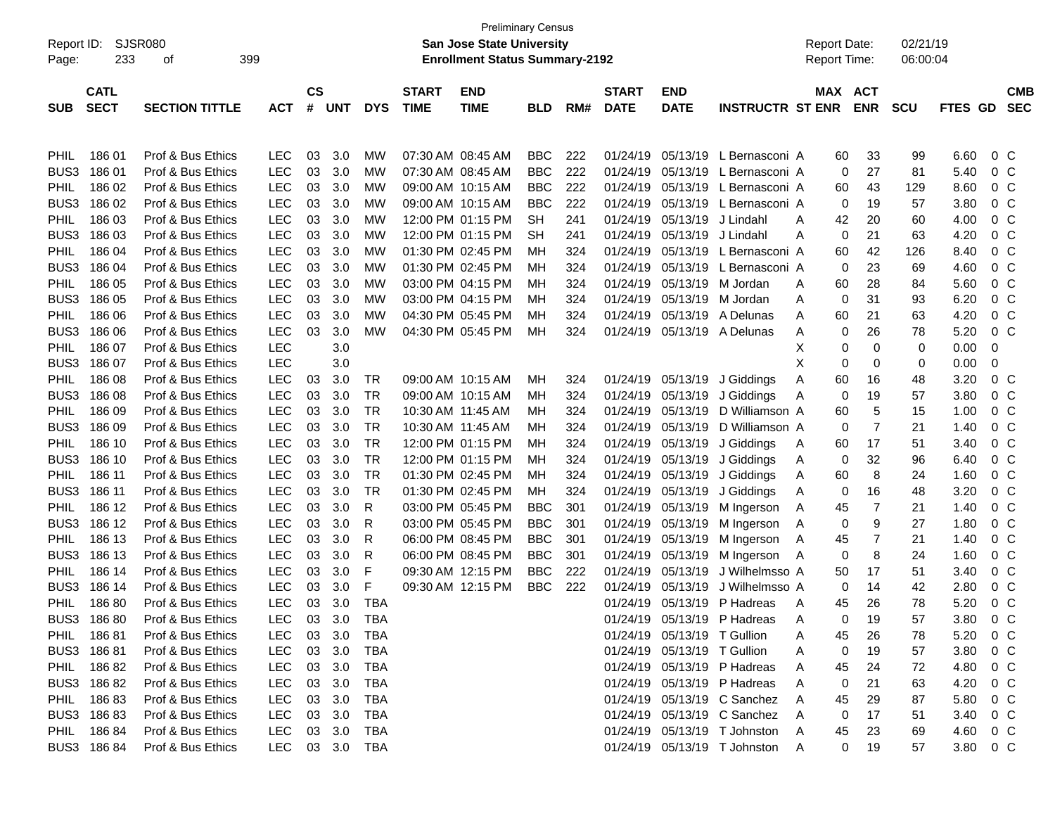| <b>San Jose State University</b><br>02/21/19<br>Report ID:<br>SJSR080<br><b>Report Date:</b><br><b>Enrollment Status Summary-2192</b><br>233<br>399<br><b>Report Time:</b><br>06:00:04<br>Page:<br>οf<br>$\mathsf{cs}$<br><b>CATL</b><br><b>START</b><br><b>START</b><br>MAX ACT<br><b>CMB</b><br><b>END</b><br><b>END</b><br><b>SECT</b><br>#<br><b>SECTION TITTLE</b><br><b>UNT</b><br><b>TIME</b><br><b>TIME</b><br><b>DATE</b><br><b>DATE</b><br><b>INSTRUCTR ST ENR</b><br><b>ENR</b><br><b>SCU</b><br><b>SEC</b><br><b>SUB</b><br><b>ACT</b><br><b>DYS</b><br><b>BLD</b><br>RM#<br>FTES GD<br>18601<br>Prof & Bus Ethics<br>07:30 AM 08:45 AM<br>05/13/19 L Bernasconi A<br>0 <sup>o</sup><br><b>LEC</b><br>03<br>3.0<br>MW<br><b>BBC</b><br>222<br>01/24/19<br>33<br>99<br>6.60<br><b>PHIL</b><br>60<br>BUS3<br>186 01<br>Prof & Bus Ethics<br><b>LEC</b><br>03<br><b>BBC</b><br>05/13/19 L Bernasconi A<br>27<br>5.40<br>0 <sup>o</sup><br>3.0<br>MW<br>07:30 AM 08:45 AM<br>222<br>01/24/19<br>0<br>81<br>186 02<br>Prof & Bus Ethics<br><b>LEC</b><br><b>BBC</b><br>222<br>05/13/19 L Bernasconi A<br>8.60<br>0 <sup>o</sup><br><b>PHIL</b><br>03<br>3.0<br>MW<br>09:00 AM 10:15 AM<br>01/24/19<br>43<br>129<br>60<br>BUS3<br>186 02<br>Prof & Bus Ethics<br><b>LEC</b><br>03<br>222<br>05/13/19 L Bernasconi A<br>3.80<br>0 <sup>o</sup><br>3.0<br>MW<br>09:00 AM 10:15 AM<br><b>BBC</b><br>01/24/19<br>0<br>19<br>57<br>186 03<br>Prof & Bus Ethics<br><b>LEC</b><br>05/13/19 J Lindahl<br>42<br>20<br>0 <sup>o</sup><br><b>PHIL</b><br>03<br>3.0<br>MW<br>12:00 PM 01:15 PM<br><b>SH</b><br>241<br>01/24/19<br>60<br>4.00<br>A<br>BUS3<br>186 03<br>Prof & Bus Ethics<br><b>LEC</b><br>03<br>05/13/19 J Lindahl<br>21<br>4.20<br>0 <sup>o</sup><br>3.0<br>MW<br>12:00 PM 01:15 PM<br>SН<br>241<br>01/24/19<br>0<br>63<br>A<br>186 04<br>Prof & Bus Ethics<br><b>LEC</b><br>03<br><b>MW</b><br>01:30 PM 02:45 PM<br>324<br>05/13/19 L Bernasconi A<br>42<br>126<br>8.40<br>0 <sup>o</sup><br><b>PHIL</b><br>3.0<br>01/24/19<br>60<br>мн<br>BUS3<br>186 04<br>Prof & Bus Ethics<br><b>LEC</b><br>03<br><b>MW</b><br>01:30 PM 02:45 PM<br>05/13/19 L Bernasconi A<br>4.60<br>0 <sup>o</sup><br>3.0<br>324<br>01/24/19<br>0<br>23<br>69<br>мн<br>186 05<br>Prof & Bus Ethics<br><b>LEC</b><br>03<br><b>MW</b><br>03:00 PM 04:15 PM<br>05/13/19 M Jordan<br>5.60<br>0 <sup>o</sup><br><b>PHIL</b><br>3.0<br>324<br>01/24/19<br>60<br>28<br>84<br>мн<br>A<br>BUS3<br>186 05<br>Prof & Bus Ethics<br><b>LEC</b><br>03<br><b>MW</b><br>03:00 PM 04:15 PM<br>05/13/19 M Jordan<br>6.20<br>0 <sup>o</sup><br>3.0<br>324<br>01/24/19<br>0<br>31<br>93<br>MН<br>A<br>186 06<br>Prof & Bus Ethics<br><b>LEC</b><br>03<br><b>MW</b><br>04:30 PM 05:45 PM<br>05/13/19 A Delunas<br>21<br>4.20<br>0 <sup>o</sup><br><b>PHIL</b><br>3.0<br>324<br>01/24/19<br>60<br>63<br>мн<br>A<br>BUS3<br>186 06<br>Prof & Bus Ethics<br><b>LEC</b><br>03<br><b>MW</b><br>05/13/19 A Delunas<br>26<br>5.20<br>0 <sup>o</sup><br>3.0<br>04:30 PM 05:45 PM<br>324<br>01/24/19<br>0<br>78<br>MН<br>A<br><b>LEC</b><br>186 07<br>Prof & Bus Ethics<br>3.0<br>$\mathbf 0$<br>0<br>0.00<br>0<br><b>PHIL</b><br>X<br>0<br>BUS3<br>186 07<br>Prof & Bus Ethics<br><b>LEC</b><br>3.0<br>X<br>0<br>0<br>0<br>0<br>0.00<br>186 08<br>Prof & Bus Ethics<br><b>LEC</b><br>3.0<br>09:00 AM 10:15 AM<br>3.20<br>0 <sup>o</sup><br><b>PHIL</b><br>03<br>TR<br>324<br>01/24/19<br>05/13/19<br>J Giddings<br>60<br>16<br>48<br>MН<br>Α<br>BUS3<br>186 08<br>Prof & Bus Ethics<br><b>LEC</b><br><b>TR</b><br>3.80<br>0 <sup>o</sup><br>03<br>3.0<br>09:00 AM 10:15 AM<br>324<br>01/24/19<br>05/13/19<br>J Giddings<br>0<br>19<br>57<br>MН<br>A<br>186 09<br>Prof & Bus Ethics<br><b>LEC</b><br>TR<br>5<br>0 <sup>o</sup><br><b>PHIL</b><br>03<br>3.0<br>10:30 AM 11:45 AM<br>324<br>01/24/19<br>05/13/19<br>D Williamson A<br>60<br>15<br>1.00<br>мн<br>BUS3<br>186 09<br>Prof & Bus Ethics<br><b>LEC</b><br>03<br>TR<br>7<br>0 <sup>o</sup><br>3.0<br>10:30 AM 11:45 AM<br>324<br>01/24/19<br>05/13/19<br>D Williamson A<br>0<br>21<br>1.40<br>мн<br>186 10<br>Prof & Bus Ethics<br><b>LEC</b><br>03<br>3.0<br>TR<br>0 <sup>o</sup><br><b>PHIL</b><br>12:00 PM 01:15 PM<br>324<br>01/24/19<br>05/13/19<br>17<br>51<br>3.40<br>MН<br>J Giddings<br>60<br>A<br>BUS3<br>186 10<br>Prof & Bus Ethics<br><b>LEC</b><br>03<br>3.0<br>TR<br>0 <sup>o</sup><br>12:00 PM 01:15 PM<br>324<br>01/24/19<br>05/13/19<br>J Giddings<br>0<br>32<br>96<br>6.40<br>MН<br>A<br>186 11<br>Prof & Bus Ethics<br><b>LEC</b><br>03<br>3.0<br>TR<br>01:30 PM 02:45 PM<br>8<br>1.60<br>0 <sup>o</sup><br><b>PHIL</b><br>324<br>01/24/19<br>05/13/19<br>J Giddings<br>60<br>24<br>MН<br>A<br>BUS3<br>186 11<br>Prof & Bus Ethics<br><b>LEC</b><br>03<br><b>TR</b><br>01:30 PM 02:45 PM<br>3.20<br>0 <sup>o</sup><br>3.0<br>324<br>01/24/19<br>05/13/19<br>J Giddings<br>0<br>16<br>48<br>MН<br>A<br>186 12<br>Prof & Bus Ethics<br><b>LEC</b><br>03<br>3.0<br>$\overline{7}$<br>0 <sup>o</sup><br><b>PHIL</b><br>R<br>03:00 PM 05:45 PM<br><b>BBC</b><br>301<br>01/24/19<br>05/13/19<br>45<br>21<br>1.40<br>M Ingerson<br>A<br>BUS3<br>186 12<br>Prof & Bus Ethics<br><b>LEC</b><br>03<br>3.0<br>9<br>1.80<br>0 <sup>o</sup><br>R<br>03:00 PM 05:45 PM<br><b>BBC</b><br>301<br>01/24/19<br>05/13/19<br>0<br>27<br>M Ingerson<br>A<br>186 13<br>Prof & Bus Ethics<br><b>LEC</b><br>03<br>3.0<br>$\overline{7}$<br>0 <sup>o</sup><br><b>PHIL</b><br>R<br>06:00 PM 08:45 PM<br><b>BBC</b><br>301<br>01/24/19<br>05/13/19<br>45<br>21<br>1.40<br>M Ingerson<br>A<br>BUS3<br>186 13<br>Prof & Bus Ethics<br><b>LEC</b><br>03<br>3.0<br>8<br>1.60<br>0 <sup>o</sup><br>R<br>06:00 PM 08:45 PM<br><b>BBC</b><br>301<br>01/24/19<br>05/13/19<br>M Ingerson<br>0<br>24<br>A<br>186 14<br>Prof & Bus Ethics<br><b>LEC</b><br>03<br>3.0<br>F<br>222<br>05/13/19<br>0 <sub>C</sub><br><b>PHIL</b><br>09:30 AM 12:15 PM<br><b>BBC</b><br>01/24/19<br>J Wilhelmsso A<br>50<br>17<br>51<br>3.40<br>BUS3<br>186 14<br><b>LEC</b><br>F<br><b>BBC</b><br>42<br>2.80<br>0 <sub>C</sub><br>Prof & Bus Ethics<br>03<br>3.0<br>09:30 AM 12:15 PM<br>222<br>01/24/19<br>05/13/19<br>J Wilhelmsso A<br>14<br>0<br>LEC<br>18680<br>Prof & Bus Ethics<br>03<br>3.0<br><b>TBA</b><br>05/13/19 P Hadreas<br>78<br>5.20<br>0 <sup>o</sup><br><b>PHIL</b><br>01/24/19<br>45<br>26<br>A<br>BUS3<br>LEC-<br><b>TBA</b><br>01/24/19 05/13/19 P Hadreas<br>3.80<br>186 80<br>Prof & Bus Ethics<br>03 3.0<br>19<br>57<br>$0\,C$<br>0<br>A<br>Prof & Bus Ethics<br>5.20 0 C<br>PHIL 186 81<br>LEC.<br>03 3.0<br>TBA<br>01/24/19 05/13/19 T Gullion<br>26<br>A<br>45<br>78<br>BUS3 186 81<br>01/24/19 05/13/19 T Gullion<br>Prof & Bus Ethics<br><b>LEC</b><br>03 3.0<br>TBA<br>0<br>19<br>3.80<br>$0\,$ C<br>57<br>A<br>01/24/19 05/13/19 P Hadreas<br>PHIL 186 82<br>Prof & Bus Ethics<br><b>LEC</b><br>03 3.0<br>$0\,$ C<br>TBA<br>45<br>24<br>72<br>4.80<br>A<br>BUS3 186 82<br>01/24/19 05/13/19 P Hadreas<br>Prof & Bus Ethics<br><b>LEC</b><br>03 3.0<br>21<br>TBA<br>0<br>63<br>4.20<br>$0\,$ C<br>A<br>PHIL 186 83<br>01/24/19 05/13/19 C Sanchez<br>Prof & Bus Ethics<br><b>LEC</b><br>03 3.0<br>29<br>5.80<br>$0\,$ C<br>TBA<br>A<br>45<br>87<br>BUS3 186 83<br>01/24/19 05/13/19 C Sanchez<br>Prof & Bus Ethics<br><b>LEC</b><br>03 3.0<br>17<br>TBA<br>A<br>0<br>3.40<br>$0\,$ C<br>51<br>PHIL 186 84<br>01/24/19 05/13/19 T Johnston<br>Prof & Bus Ethics<br>LEC<br>03 3.0<br>$0\,$ C<br>TBA<br>A<br>45<br>23<br>69<br>4.60 | <b>Preliminary Census</b> |                   |  |  |  |  |  |  |  |  |  |  |  |                |    |  |  |
|------------------------------------------------------------------------------------------------------------------------------------------------------------------------------------------------------------------------------------------------------------------------------------------------------------------------------------------------------------------------------------------------------------------------------------------------------------------------------------------------------------------------------------------------------------------------------------------------------------------------------------------------------------------------------------------------------------------------------------------------------------------------------------------------------------------------------------------------------------------------------------------------------------------------------------------------------------------------------------------------------------------------------------------------------------------------------------------------------------------------------------------------------------------------------------------------------------------------------------------------------------------------------------------------------------------------------------------------------------------------------------------------------------------------------------------------------------------------------------------------------------------------------------------------------------------------------------------------------------------------------------------------------------------------------------------------------------------------------------------------------------------------------------------------------------------------------------------------------------------------------------------------------------------------------------------------------------------------------------------------------------------------------------------------------------------------------------------------------------------------------------------------------------------------------------------------------------------------------------------------------------------------------------------------------------------------------------------------------------------------------------------------------------------------------------------------------------------------------------------------------------------------------------------------------------------------------------------------------------------------------------------------------------------------------------------------------------------------------------------------------------------------------------------------------------------------------------------------------------------------------------------------------------------------------------------------------------------------------------------------------------------------------------------------------------------------------------------------------------------------------------------------------------------------------------------------------------------------------------------------------------------------------------------------------------------------------------------------------------------------------------------------------------------------------------------------------------------------------------------------------------------------------------------------------------------------------------------------------------------------------------------------------------------------------------------------------------------------------------------------------------------------------------------------------------------------------------------------------------------------------------------------------------------------------------------------------------------------------------------------------------------------------------------------------------------------------------------------------------------------------------------------------------------------------------------------------------------------------------------------------------------------------------------------------------------------------------------------------------------------------------------------------------------------------------------------------------------------------------------------------------------------------------------------------------------------------------------------------------------------------------------------------------------------------------------------------------------------------------------------------------------------------------------------------------------------------------------------------------------------------------------------------------------------------------------------------------------------------------------------------------------------------------------------------------------------------------------------------------------------------------------------------------------------------------------------------------------------------------------------------------------------------------------------------------------------------------------------------------------------------------------------------------------------------------------------------------------------------------------------------------------------------------------------------------------------------------------------------------------------------------------------------------------------------------------------------------------------------------------------------------------------------------------------------------------------------------------------------------------------------------------------------------------------------------------------------------------------------------------------------------------------------------------------------------------------------------------------------------------------------------------------------------------------------------------------------------------------------------------------------------------------------------------------------------------------------------------------------------------------------------------------------------------------------------------------------------------------------------------------------------------------------------------------------------------------------------------------------------------------------------------------------------------------------------------------------------------------------------------------------------------------------------------------------------------------------------------------------------------------------------------------------------------------------------------------------------------------------------------------------------------------------------------------------------------------------------------------------------------------------------------------------------------------------------------------------------------------------------------------------------------------------------------------------------------------------------------------------------------------------------------------------------------------------------------------------------------------------------------------------------------------------------------|---------------------------|-------------------|--|--|--|--|--|--|--|--|--|--|--|----------------|----|--|--|
|                                                                                                                                                                                                                                                                                                                                                                                                                                                                                                                                                                                                                                                                                                                                                                                                                                                                                                                                                                                                                                                                                                                                                                                                                                                                                                                                                                                                                                                                                                                                                                                                                                                                                                                                                                                                                                                                                                                                                                                                                                                                                                                                                                                                                                                                                                                                                                                                                                                                                                                                                                                                                                                                                                                                                                                                                                                                                                                                                                                                                                                                                                                                                                                                                                                                                                                                                                                                                                                                                                                                                                                                                                                                                                                                                                                                                                                                                                                                                                                                                                                                                                                                                                                                                                                                                                                                                                                                                                                                                                                                                                                                                                                                                                                                                                                                                                                                                                                                                                                                                                                                                                                                                                                                                                                                                                                                                                                                                                                                                                                                                                                                                                                                                                                                                                                                                                                                                                                                                                                                                                                                                                                                                                                                                                                                                                                                                                                                                                                                                                                                                                                                                                                                                                                                                                                                                                                                                                                                                                                                                                                                                                                                                                                                                                                                                                                                                                                                                                                                                                                                          |                           |                   |  |  |  |  |  |  |  |  |  |  |  |                |    |  |  |
|                                                                                                                                                                                                                                                                                                                                                                                                                                                                                                                                                                                                                                                                                                                                                                                                                                                                                                                                                                                                                                                                                                                                                                                                                                                                                                                                                                                                                                                                                                                                                                                                                                                                                                                                                                                                                                                                                                                                                                                                                                                                                                                                                                                                                                                                                                                                                                                                                                                                                                                                                                                                                                                                                                                                                                                                                                                                                                                                                                                                                                                                                                                                                                                                                                                                                                                                                                                                                                                                                                                                                                                                                                                                                                                                                                                                                                                                                                                                                                                                                                                                                                                                                                                                                                                                                                                                                                                                                                                                                                                                                                                                                                                                                                                                                                                                                                                                                                                                                                                                                                                                                                                                                                                                                                                                                                                                                                                                                                                                                                                                                                                                                                                                                                                                                                                                                                                                                                                                                                                                                                                                                                                                                                                                                                                                                                                                                                                                                                                                                                                                                                                                                                                                                                                                                                                                                                                                                                                                                                                                                                                                                                                                                                                                                                                                                                                                                                                                                                                                                                                                          |                           |                   |  |  |  |  |  |  |  |  |  |  |  |                |    |  |  |
|                                                                                                                                                                                                                                                                                                                                                                                                                                                                                                                                                                                                                                                                                                                                                                                                                                                                                                                                                                                                                                                                                                                                                                                                                                                                                                                                                                                                                                                                                                                                                                                                                                                                                                                                                                                                                                                                                                                                                                                                                                                                                                                                                                                                                                                                                                                                                                                                                                                                                                                                                                                                                                                                                                                                                                                                                                                                                                                                                                                                                                                                                                                                                                                                                                                                                                                                                                                                                                                                                                                                                                                                                                                                                                                                                                                                                                                                                                                                                                                                                                                                                                                                                                                                                                                                                                                                                                                                                                                                                                                                                                                                                                                                                                                                                                                                                                                                                                                                                                                                                                                                                                                                                                                                                                                                                                                                                                                                                                                                                                                                                                                                                                                                                                                                                                                                                                                                                                                                                                                                                                                                                                                                                                                                                                                                                                                                                                                                                                                                                                                                                                                                                                                                                                                                                                                                                                                                                                                                                                                                                                                                                                                                                                                                                                                                                                                                                                                                                                                                                                                                          |                           |                   |  |  |  |  |  |  |  |  |  |  |  |                |    |  |  |
|                                                                                                                                                                                                                                                                                                                                                                                                                                                                                                                                                                                                                                                                                                                                                                                                                                                                                                                                                                                                                                                                                                                                                                                                                                                                                                                                                                                                                                                                                                                                                                                                                                                                                                                                                                                                                                                                                                                                                                                                                                                                                                                                                                                                                                                                                                                                                                                                                                                                                                                                                                                                                                                                                                                                                                                                                                                                                                                                                                                                                                                                                                                                                                                                                                                                                                                                                                                                                                                                                                                                                                                                                                                                                                                                                                                                                                                                                                                                                                                                                                                                                                                                                                                                                                                                                                                                                                                                                                                                                                                                                                                                                                                                                                                                                                                                                                                                                                                                                                                                                                                                                                                                                                                                                                                                                                                                                                                                                                                                                                                                                                                                                                                                                                                                                                                                                                                                                                                                                                                                                                                                                                                                                                                                                                                                                                                                                                                                                                                                                                                                                                                                                                                                                                                                                                                                                                                                                                                                                                                                                                                                                                                                                                                                                                                                                                                                                                                                                                                                                                                                          |                           |                   |  |  |  |  |  |  |  |  |  |  |  |                |    |  |  |
|                                                                                                                                                                                                                                                                                                                                                                                                                                                                                                                                                                                                                                                                                                                                                                                                                                                                                                                                                                                                                                                                                                                                                                                                                                                                                                                                                                                                                                                                                                                                                                                                                                                                                                                                                                                                                                                                                                                                                                                                                                                                                                                                                                                                                                                                                                                                                                                                                                                                                                                                                                                                                                                                                                                                                                                                                                                                                                                                                                                                                                                                                                                                                                                                                                                                                                                                                                                                                                                                                                                                                                                                                                                                                                                                                                                                                                                                                                                                                                                                                                                                                                                                                                                                                                                                                                                                                                                                                                                                                                                                                                                                                                                                                                                                                                                                                                                                                                                                                                                                                                                                                                                                                                                                                                                                                                                                                                                                                                                                                                                                                                                                                                                                                                                                                                                                                                                                                                                                                                                                                                                                                                                                                                                                                                                                                                                                                                                                                                                                                                                                                                                                                                                                                                                                                                                                                                                                                                                                                                                                                                                                                                                                                                                                                                                                                                                                                                                                                                                                                                                                          |                           |                   |  |  |  |  |  |  |  |  |  |  |  |                |    |  |  |
|                                                                                                                                                                                                                                                                                                                                                                                                                                                                                                                                                                                                                                                                                                                                                                                                                                                                                                                                                                                                                                                                                                                                                                                                                                                                                                                                                                                                                                                                                                                                                                                                                                                                                                                                                                                                                                                                                                                                                                                                                                                                                                                                                                                                                                                                                                                                                                                                                                                                                                                                                                                                                                                                                                                                                                                                                                                                                                                                                                                                                                                                                                                                                                                                                                                                                                                                                                                                                                                                                                                                                                                                                                                                                                                                                                                                                                                                                                                                                                                                                                                                                                                                                                                                                                                                                                                                                                                                                                                                                                                                                                                                                                                                                                                                                                                                                                                                                                                                                                                                                                                                                                                                                                                                                                                                                                                                                                                                                                                                                                                                                                                                                                                                                                                                                                                                                                                                                                                                                                                                                                                                                                                                                                                                                                                                                                                                                                                                                                                                                                                                                                                                                                                                                                                                                                                                                                                                                                                                                                                                                                                                                                                                                                                                                                                                                                                                                                                                                                                                                                                                          |                           |                   |  |  |  |  |  |  |  |  |  |  |  |                |    |  |  |
|                                                                                                                                                                                                                                                                                                                                                                                                                                                                                                                                                                                                                                                                                                                                                                                                                                                                                                                                                                                                                                                                                                                                                                                                                                                                                                                                                                                                                                                                                                                                                                                                                                                                                                                                                                                                                                                                                                                                                                                                                                                                                                                                                                                                                                                                                                                                                                                                                                                                                                                                                                                                                                                                                                                                                                                                                                                                                                                                                                                                                                                                                                                                                                                                                                                                                                                                                                                                                                                                                                                                                                                                                                                                                                                                                                                                                                                                                                                                                                                                                                                                                                                                                                                                                                                                                                                                                                                                                                                                                                                                                                                                                                                                                                                                                                                                                                                                                                                                                                                                                                                                                                                                                                                                                                                                                                                                                                                                                                                                                                                                                                                                                                                                                                                                                                                                                                                                                                                                                                                                                                                                                                                                                                                                                                                                                                                                                                                                                                                                                                                                                                                                                                                                                                                                                                                                                                                                                                                                                                                                                                                                                                                                                                                                                                                                                                                                                                                                                                                                                                                                          |                           |                   |  |  |  |  |  |  |  |  |  |  |  |                |    |  |  |
|                                                                                                                                                                                                                                                                                                                                                                                                                                                                                                                                                                                                                                                                                                                                                                                                                                                                                                                                                                                                                                                                                                                                                                                                                                                                                                                                                                                                                                                                                                                                                                                                                                                                                                                                                                                                                                                                                                                                                                                                                                                                                                                                                                                                                                                                                                                                                                                                                                                                                                                                                                                                                                                                                                                                                                                                                                                                                                                                                                                                                                                                                                                                                                                                                                                                                                                                                                                                                                                                                                                                                                                                                                                                                                                                                                                                                                                                                                                                                                                                                                                                                                                                                                                                                                                                                                                                                                                                                                                                                                                                                                                                                                                                                                                                                                                                                                                                                                                                                                                                                                                                                                                                                                                                                                                                                                                                                                                                                                                                                                                                                                                                                                                                                                                                                                                                                                                                                                                                                                                                                                                                                                                                                                                                                                                                                                                                                                                                                                                                                                                                                                                                                                                                                                                                                                                                                                                                                                                                                                                                                                                                                                                                                                                                                                                                                                                                                                                                                                                                                                                                          |                           |                   |  |  |  |  |  |  |  |  |  |  |  |                |    |  |  |
|                                                                                                                                                                                                                                                                                                                                                                                                                                                                                                                                                                                                                                                                                                                                                                                                                                                                                                                                                                                                                                                                                                                                                                                                                                                                                                                                                                                                                                                                                                                                                                                                                                                                                                                                                                                                                                                                                                                                                                                                                                                                                                                                                                                                                                                                                                                                                                                                                                                                                                                                                                                                                                                                                                                                                                                                                                                                                                                                                                                                                                                                                                                                                                                                                                                                                                                                                                                                                                                                                                                                                                                                                                                                                                                                                                                                                                                                                                                                                                                                                                                                                                                                                                                                                                                                                                                                                                                                                                                                                                                                                                                                                                                                                                                                                                                                                                                                                                                                                                                                                                                                                                                                                                                                                                                                                                                                                                                                                                                                                                                                                                                                                                                                                                                                                                                                                                                                                                                                                                                                                                                                                                                                                                                                                                                                                                                                                                                                                                                                                                                                                                                                                                                                                                                                                                                                                                                                                                                                                                                                                                                                                                                                                                                                                                                                                                                                                                                                                                                                                                                                          |                           |                   |  |  |  |  |  |  |  |  |  |  |  |                |    |  |  |
|                                                                                                                                                                                                                                                                                                                                                                                                                                                                                                                                                                                                                                                                                                                                                                                                                                                                                                                                                                                                                                                                                                                                                                                                                                                                                                                                                                                                                                                                                                                                                                                                                                                                                                                                                                                                                                                                                                                                                                                                                                                                                                                                                                                                                                                                                                                                                                                                                                                                                                                                                                                                                                                                                                                                                                                                                                                                                                                                                                                                                                                                                                                                                                                                                                                                                                                                                                                                                                                                                                                                                                                                                                                                                                                                                                                                                                                                                                                                                                                                                                                                                                                                                                                                                                                                                                                                                                                                                                                                                                                                                                                                                                                                                                                                                                                                                                                                                                                                                                                                                                                                                                                                                                                                                                                                                                                                                                                                                                                                                                                                                                                                                                                                                                                                                                                                                                                                                                                                                                                                                                                                                                                                                                                                                                                                                                                                                                                                                                                                                                                                                                                                                                                                                                                                                                                                                                                                                                                                                                                                                                                                                                                                                                                                                                                                                                                                                                                                                                                                                                                                          |                           |                   |  |  |  |  |  |  |  |  |  |  |  |                |    |  |  |
|                                                                                                                                                                                                                                                                                                                                                                                                                                                                                                                                                                                                                                                                                                                                                                                                                                                                                                                                                                                                                                                                                                                                                                                                                                                                                                                                                                                                                                                                                                                                                                                                                                                                                                                                                                                                                                                                                                                                                                                                                                                                                                                                                                                                                                                                                                                                                                                                                                                                                                                                                                                                                                                                                                                                                                                                                                                                                                                                                                                                                                                                                                                                                                                                                                                                                                                                                                                                                                                                                                                                                                                                                                                                                                                                                                                                                                                                                                                                                                                                                                                                                                                                                                                                                                                                                                                                                                                                                                                                                                                                                                                                                                                                                                                                                                                                                                                                                                                                                                                                                                                                                                                                                                                                                                                                                                                                                                                                                                                                                                                                                                                                                                                                                                                                                                                                                                                                                                                                                                                                                                                                                                                                                                                                                                                                                                                                                                                                                                                                                                                                                                                                                                                                                                                                                                                                                                                                                                                                                                                                                                                                                                                                                                                                                                                                                                                                                                                                                                                                                                                                          |                           |                   |  |  |  |  |  |  |  |  |  |  |  |                |    |  |  |
|                                                                                                                                                                                                                                                                                                                                                                                                                                                                                                                                                                                                                                                                                                                                                                                                                                                                                                                                                                                                                                                                                                                                                                                                                                                                                                                                                                                                                                                                                                                                                                                                                                                                                                                                                                                                                                                                                                                                                                                                                                                                                                                                                                                                                                                                                                                                                                                                                                                                                                                                                                                                                                                                                                                                                                                                                                                                                                                                                                                                                                                                                                                                                                                                                                                                                                                                                                                                                                                                                                                                                                                                                                                                                                                                                                                                                                                                                                                                                                                                                                                                                                                                                                                                                                                                                                                                                                                                                                                                                                                                                                                                                                                                                                                                                                                                                                                                                                                                                                                                                                                                                                                                                                                                                                                                                                                                                                                                                                                                                                                                                                                                                                                                                                                                                                                                                                                                                                                                                                                                                                                                                                                                                                                                                                                                                                                                                                                                                                                                                                                                                                                                                                                                                                                                                                                                                                                                                                                                                                                                                                                                                                                                                                                                                                                                                                                                                                                                                                                                                                                                          |                           |                   |  |  |  |  |  |  |  |  |  |  |  |                |    |  |  |
|                                                                                                                                                                                                                                                                                                                                                                                                                                                                                                                                                                                                                                                                                                                                                                                                                                                                                                                                                                                                                                                                                                                                                                                                                                                                                                                                                                                                                                                                                                                                                                                                                                                                                                                                                                                                                                                                                                                                                                                                                                                                                                                                                                                                                                                                                                                                                                                                                                                                                                                                                                                                                                                                                                                                                                                                                                                                                                                                                                                                                                                                                                                                                                                                                                                                                                                                                                                                                                                                                                                                                                                                                                                                                                                                                                                                                                                                                                                                                                                                                                                                                                                                                                                                                                                                                                                                                                                                                                                                                                                                                                                                                                                                                                                                                                                                                                                                                                                                                                                                                                                                                                                                                                                                                                                                                                                                                                                                                                                                                                                                                                                                                                                                                                                                                                                                                                                                                                                                                                                                                                                                                                                                                                                                                                                                                                                                                                                                                                                                                                                                                                                                                                                                                                                                                                                                                                                                                                                                                                                                                                                                                                                                                                                                                                                                                                                                                                                                                                                                                                                                          |                           |                   |  |  |  |  |  |  |  |  |  |  |  |                |    |  |  |
|                                                                                                                                                                                                                                                                                                                                                                                                                                                                                                                                                                                                                                                                                                                                                                                                                                                                                                                                                                                                                                                                                                                                                                                                                                                                                                                                                                                                                                                                                                                                                                                                                                                                                                                                                                                                                                                                                                                                                                                                                                                                                                                                                                                                                                                                                                                                                                                                                                                                                                                                                                                                                                                                                                                                                                                                                                                                                                                                                                                                                                                                                                                                                                                                                                                                                                                                                                                                                                                                                                                                                                                                                                                                                                                                                                                                                                                                                                                                                                                                                                                                                                                                                                                                                                                                                                                                                                                                                                                                                                                                                                                                                                                                                                                                                                                                                                                                                                                                                                                                                                                                                                                                                                                                                                                                                                                                                                                                                                                                                                                                                                                                                                                                                                                                                                                                                                                                                                                                                                                                                                                                                                                                                                                                                                                                                                                                                                                                                                                                                                                                                                                                                                                                                                                                                                                                                                                                                                                                                                                                                                                                                                                                                                                                                                                                                                                                                                                                                                                                                                                                          |                           |                   |  |  |  |  |  |  |  |  |  |  |  |                |    |  |  |
|                                                                                                                                                                                                                                                                                                                                                                                                                                                                                                                                                                                                                                                                                                                                                                                                                                                                                                                                                                                                                                                                                                                                                                                                                                                                                                                                                                                                                                                                                                                                                                                                                                                                                                                                                                                                                                                                                                                                                                                                                                                                                                                                                                                                                                                                                                                                                                                                                                                                                                                                                                                                                                                                                                                                                                                                                                                                                                                                                                                                                                                                                                                                                                                                                                                                                                                                                                                                                                                                                                                                                                                                                                                                                                                                                                                                                                                                                                                                                                                                                                                                                                                                                                                                                                                                                                                                                                                                                                                                                                                                                                                                                                                                                                                                                                                                                                                                                                                                                                                                                                                                                                                                                                                                                                                                                                                                                                                                                                                                                                                                                                                                                                                                                                                                                                                                                                                                                                                                                                                                                                                                                                                                                                                                                                                                                                                                                                                                                                                                                                                                                                                                                                                                                                                                                                                                                                                                                                                                                                                                                                                                                                                                                                                                                                                                                                                                                                                                                                                                                                                                          |                           |                   |  |  |  |  |  |  |  |  |  |  |  |                |    |  |  |
|                                                                                                                                                                                                                                                                                                                                                                                                                                                                                                                                                                                                                                                                                                                                                                                                                                                                                                                                                                                                                                                                                                                                                                                                                                                                                                                                                                                                                                                                                                                                                                                                                                                                                                                                                                                                                                                                                                                                                                                                                                                                                                                                                                                                                                                                                                                                                                                                                                                                                                                                                                                                                                                                                                                                                                                                                                                                                                                                                                                                                                                                                                                                                                                                                                                                                                                                                                                                                                                                                                                                                                                                                                                                                                                                                                                                                                                                                                                                                                                                                                                                                                                                                                                                                                                                                                                                                                                                                                                                                                                                                                                                                                                                                                                                                                                                                                                                                                                                                                                                                                                                                                                                                                                                                                                                                                                                                                                                                                                                                                                                                                                                                                                                                                                                                                                                                                                                                                                                                                                                                                                                                                                                                                                                                                                                                                                                                                                                                                                                                                                                                                                                                                                                                                                                                                                                                                                                                                                                                                                                                                                                                                                                                                                                                                                                                                                                                                                                                                                                                                                                          |                           |                   |  |  |  |  |  |  |  |  |  |  |  |                |    |  |  |
|                                                                                                                                                                                                                                                                                                                                                                                                                                                                                                                                                                                                                                                                                                                                                                                                                                                                                                                                                                                                                                                                                                                                                                                                                                                                                                                                                                                                                                                                                                                                                                                                                                                                                                                                                                                                                                                                                                                                                                                                                                                                                                                                                                                                                                                                                                                                                                                                                                                                                                                                                                                                                                                                                                                                                                                                                                                                                                                                                                                                                                                                                                                                                                                                                                                                                                                                                                                                                                                                                                                                                                                                                                                                                                                                                                                                                                                                                                                                                                                                                                                                                                                                                                                                                                                                                                                                                                                                                                                                                                                                                                                                                                                                                                                                                                                                                                                                                                                                                                                                                                                                                                                                                                                                                                                                                                                                                                                                                                                                                                                                                                                                                                                                                                                                                                                                                                                                                                                                                                                                                                                                                                                                                                                                                                                                                                                                                                                                                                                                                                                                                                                                                                                                                                                                                                                                                                                                                                                                                                                                                                                                                                                                                                                                                                                                                                                                                                                                                                                                                                                                          |                           |                   |  |  |  |  |  |  |  |  |  |  |  |                |    |  |  |
|                                                                                                                                                                                                                                                                                                                                                                                                                                                                                                                                                                                                                                                                                                                                                                                                                                                                                                                                                                                                                                                                                                                                                                                                                                                                                                                                                                                                                                                                                                                                                                                                                                                                                                                                                                                                                                                                                                                                                                                                                                                                                                                                                                                                                                                                                                                                                                                                                                                                                                                                                                                                                                                                                                                                                                                                                                                                                                                                                                                                                                                                                                                                                                                                                                                                                                                                                                                                                                                                                                                                                                                                                                                                                                                                                                                                                                                                                                                                                                                                                                                                                                                                                                                                                                                                                                                                                                                                                                                                                                                                                                                                                                                                                                                                                                                                                                                                                                                                                                                                                                                                                                                                                                                                                                                                                                                                                                                                                                                                                                                                                                                                                                                                                                                                                                                                                                                                                                                                                                                                                                                                                                                                                                                                                                                                                                                                                                                                                                                                                                                                                                                                                                                                                                                                                                                                                                                                                                                                                                                                                                                                                                                                                                                                                                                                                                                                                                                                                                                                                                                                          |                           |                   |  |  |  |  |  |  |  |  |  |  |  |                |    |  |  |
|                                                                                                                                                                                                                                                                                                                                                                                                                                                                                                                                                                                                                                                                                                                                                                                                                                                                                                                                                                                                                                                                                                                                                                                                                                                                                                                                                                                                                                                                                                                                                                                                                                                                                                                                                                                                                                                                                                                                                                                                                                                                                                                                                                                                                                                                                                                                                                                                                                                                                                                                                                                                                                                                                                                                                                                                                                                                                                                                                                                                                                                                                                                                                                                                                                                                                                                                                                                                                                                                                                                                                                                                                                                                                                                                                                                                                                                                                                                                                                                                                                                                                                                                                                                                                                                                                                                                                                                                                                                                                                                                                                                                                                                                                                                                                                                                                                                                                                                                                                                                                                                                                                                                                                                                                                                                                                                                                                                                                                                                                                                                                                                                                                                                                                                                                                                                                                                                                                                                                                                                                                                                                                                                                                                                                                                                                                                                                                                                                                                                                                                                                                                                                                                                                                                                                                                                                                                                                                                                                                                                                                                                                                                                                                                                                                                                                                                                                                                                                                                                                                                                          |                           |                   |  |  |  |  |  |  |  |  |  |  |  |                |    |  |  |
|                                                                                                                                                                                                                                                                                                                                                                                                                                                                                                                                                                                                                                                                                                                                                                                                                                                                                                                                                                                                                                                                                                                                                                                                                                                                                                                                                                                                                                                                                                                                                                                                                                                                                                                                                                                                                                                                                                                                                                                                                                                                                                                                                                                                                                                                                                                                                                                                                                                                                                                                                                                                                                                                                                                                                                                                                                                                                                                                                                                                                                                                                                                                                                                                                                                                                                                                                                                                                                                                                                                                                                                                                                                                                                                                                                                                                                                                                                                                                                                                                                                                                                                                                                                                                                                                                                                                                                                                                                                                                                                                                                                                                                                                                                                                                                                                                                                                                                                                                                                                                                                                                                                                                                                                                                                                                                                                                                                                                                                                                                                                                                                                                                                                                                                                                                                                                                                                                                                                                                                                                                                                                                                                                                                                                                                                                                                                                                                                                                                                                                                                                                                                                                                                                                                                                                                                                                                                                                                                                                                                                                                                                                                                                                                                                                                                                                                                                                                                                                                                                                                                          |                           |                   |  |  |  |  |  |  |  |  |  |  |  |                |    |  |  |
|                                                                                                                                                                                                                                                                                                                                                                                                                                                                                                                                                                                                                                                                                                                                                                                                                                                                                                                                                                                                                                                                                                                                                                                                                                                                                                                                                                                                                                                                                                                                                                                                                                                                                                                                                                                                                                                                                                                                                                                                                                                                                                                                                                                                                                                                                                                                                                                                                                                                                                                                                                                                                                                                                                                                                                                                                                                                                                                                                                                                                                                                                                                                                                                                                                                                                                                                                                                                                                                                                                                                                                                                                                                                                                                                                                                                                                                                                                                                                                                                                                                                                                                                                                                                                                                                                                                                                                                                                                                                                                                                                                                                                                                                                                                                                                                                                                                                                                                                                                                                                                                                                                                                                                                                                                                                                                                                                                                                                                                                                                                                                                                                                                                                                                                                                                                                                                                                                                                                                                                                                                                                                                                                                                                                                                                                                                                                                                                                                                                                                                                                                                                                                                                                                                                                                                                                                                                                                                                                                                                                                                                                                                                                                                                                                                                                                                                                                                                                                                                                                                                                          |                           |                   |  |  |  |  |  |  |  |  |  |  |  |                |    |  |  |
|                                                                                                                                                                                                                                                                                                                                                                                                                                                                                                                                                                                                                                                                                                                                                                                                                                                                                                                                                                                                                                                                                                                                                                                                                                                                                                                                                                                                                                                                                                                                                                                                                                                                                                                                                                                                                                                                                                                                                                                                                                                                                                                                                                                                                                                                                                                                                                                                                                                                                                                                                                                                                                                                                                                                                                                                                                                                                                                                                                                                                                                                                                                                                                                                                                                                                                                                                                                                                                                                                                                                                                                                                                                                                                                                                                                                                                                                                                                                                                                                                                                                                                                                                                                                                                                                                                                                                                                                                                                                                                                                                                                                                                                                                                                                                                                                                                                                                                                                                                                                                                                                                                                                                                                                                                                                                                                                                                                                                                                                                                                                                                                                                                                                                                                                                                                                                                                                                                                                                                                                                                                                                                                                                                                                                                                                                                                                                                                                                                                                                                                                                                                                                                                                                                                                                                                                                                                                                                                                                                                                                                                                                                                                                                                                                                                                                                                                                                                                                                                                                                                                          |                           |                   |  |  |  |  |  |  |  |  |  |  |  |                |    |  |  |
|                                                                                                                                                                                                                                                                                                                                                                                                                                                                                                                                                                                                                                                                                                                                                                                                                                                                                                                                                                                                                                                                                                                                                                                                                                                                                                                                                                                                                                                                                                                                                                                                                                                                                                                                                                                                                                                                                                                                                                                                                                                                                                                                                                                                                                                                                                                                                                                                                                                                                                                                                                                                                                                                                                                                                                                                                                                                                                                                                                                                                                                                                                                                                                                                                                                                                                                                                                                                                                                                                                                                                                                                                                                                                                                                                                                                                                                                                                                                                                                                                                                                                                                                                                                                                                                                                                                                                                                                                                                                                                                                                                                                                                                                                                                                                                                                                                                                                                                                                                                                                                                                                                                                                                                                                                                                                                                                                                                                                                                                                                                                                                                                                                                                                                                                                                                                                                                                                                                                                                                                                                                                                                                                                                                                                                                                                                                                                                                                                                                                                                                                                                                                                                                                                                                                                                                                                                                                                                                                                                                                                                                                                                                                                                                                                                                                                                                                                                                                                                                                                                                                          |                           |                   |  |  |  |  |  |  |  |  |  |  |  |                |    |  |  |
|                                                                                                                                                                                                                                                                                                                                                                                                                                                                                                                                                                                                                                                                                                                                                                                                                                                                                                                                                                                                                                                                                                                                                                                                                                                                                                                                                                                                                                                                                                                                                                                                                                                                                                                                                                                                                                                                                                                                                                                                                                                                                                                                                                                                                                                                                                                                                                                                                                                                                                                                                                                                                                                                                                                                                                                                                                                                                                                                                                                                                                                                                                                                                                                                                                                                                                                                                                                                                                                                                                                                                                                                                                                                                                                                                                                                                                                                                                                                                                                                                                                                                                                                                                                                                                                                                                                                                                                                                                                                                                                                                                                                                                                                                                                                                                                                                                                                                                                                                                                                                                                                                                                                                                                                                                                                                                                                                                                                                                                                                                                                                                                                                                                                                                                                                                                                                                                                                                                                                                                                                                                                                                                                                                                                                                                                                                                                                                                                                                                                                                                                                                                                                                                                                                                                                                                                                                                                                                                                                                                                                                                                                                                                                                                                                                                                                                                                                                                                                                                                                                                                          |                           |                   |  |  |  |  |  |  |  |  |  |  |  |                |    |  |  |
|                                                                                                                                                                                                                                                                                                                                                                                                                                                                                                                                                                                                                                                                                                                                                                                                                                                                                                                                                                                                                                                                                                                                                                                                                                                                                                                                                                                                                                                                                                                                                                                                                                                                                                                                                                                                                                                                                                                                                                                                                                                                                                                                                                                                                                                                                                                                                                                                                                                                                                                                                                                                                                                                                                                                                                                                                                                                                                                                                                                                                                                                                                                                                                                                                                                                                                                                                                                                                                                                                                                                                                                                                                                                                                                                                                                                                                                                                                                                                                                                                                                                                                                                                                                                                                                                                                                                                                                                                                                                                                                                                                                                                                                                                                                                                                                                                                                                                                                                                                                                                                                                                                                                                                                                                                                                                                                                                                                                                                                                                                                                                                                                                                                                                                                                                                                                                                                                                                                                                                                                                                                                                                                                                                                                                                                                                                                                                                                                                                                                                                                                                                                                                                                                                                                                                                                                                                                                                                                                                                                                                                                                                                                                                                                                                                                                                                                                                                                                                                                                                                                                          |                           |                   |  |  |  |  |  |  |  |  |  |  |  |                |    |  |  |
|                                                                                                                                                                                                                                                                                                                                                                                                                                                                                                                                                                                                                                                                                                                                                                                                                                                                                                                                                                                                                                                                                                                                                                                                                                                                                                                                                                                                                                                                                                                                                                                                                                                                                                                                                                                                                                                                                                                                                                                                                                                                                                                                                                                                                                                                                                                                                                                                                                                                                                                                                                                                                                                                                                                                                                                                                                                                                                                                                                                                                                                                                                                                                                                                                                                                                                                                                                                                                                                                                                                                                                                                                                                                                                                                                                                                                                                                                                                                                                                                                                                                                                                                                                                                                                                                                                                                                                                                                                                                                                                                                                                                                                                                                                                                                                                                                                                                                                                                                                                                                                                                                                                                                                                                                                                                                                                                                                                                                                                                                                                                                                                                                                                                                                                                                                                                                                                                                                                                                                                                                                                                                                                                                                                                                                                                                                                                                                                                                                                                                                                                                                                                                                                                                                                                                                                                                                                                                                                                                                                                                                                                                                                                                                                                                                                                                                                                                                                                                                                                                                                                          |                           |                   |  |  |  |  |  |  |  |  |  |  |  |                |    |  |  |
|                                                                                                                                                                                                                                                                                                                                                                                                                                                                                                                                                                                                                                                                                                                                                                                                                                                                                                                                                                                                                                                                                                                                                                                                                                                                                                                                                                                                                                                                                                                                                                                                                                                                                                                                                                                                                                                                                                                                                                                                                                                                                                                                                                                                                                                                                                                                                                                                                                                                                                                                                                                                                                                                                                                                                                                                                                                                                                                                                                                                                                                                                                                                                                                                                                                                                                                                                                                                                                                                                                                                                                                                                                                                                                                                                                                                                                                                                                                                                                                                                                                                                                                                                                                                                                                                                                                                                                                                                                                                                                                                                                                                                                                                                                                                                                                                                                                                                                                                                                                                                                                                                                                                                                                                                                                                                                                                                                                                                                                                                                                                                                                                                                                                                                                                                                                                                                                                                                                                                                                                                                                                                                                                                                                                                                                                                                                                                                                                                                                                                                                                                                                                                                                                                                                                                                                                                                                                                                                                                                                                                                                                                                                                                                                                                                                                                                                                                                                                                                                                                                                                          |                           |                   |  |  |  |  |  |  |  |  |  |  |  |                |    |  |  |
|                                                                                                                                                                                                                                                                                                                                                                                                                                                                                                                                                                                                                                                                                                                                                                                                                                                                                                                                                                                                                                                                                                                                                                                                                                                                                                                                                                                                                                                                                                                                                                                                                                                                                                                                                                                                                                                                                                                                                                                                                                                                                                                                                                                                                                                                                                                                                                                                                                                                                                                                                                                                                                                                                                                                                                                                                                                                                                                                                                                                                                                                                                                                                                                                                                                                                                                                                                                                                                                                                                                                                                                                                                                                                                                                                                                                                                                                                                                                                                                                                                                                                                                                                                                                                                                                                                                                                                                                                                                                                                                                                                                                                                                                                                                                                                                                                                                                                                                                                                                                                                                                                                                                                                                                                                                                                                                                                                                                                                                                                                                                                                                                                                                                                                                                                                                                                                                                                                                                                                                                                                                                                                                                                                                                                                                                                                                                                                                                                                                                                                                                                                                                                                                                                                                                                                                                                                                                                                                                                                                                                                                                                                                                                                                                                                                                                                                                                                                                                                                                                                                                          |                           |                   |  |  |  |  |  |  |  |  |  |  |  |                |    |  |  |
|                                                                                                                                                                                                                                                                                                                                                                                                                                                                                                                                                                                                                                                                                                                                                                                                                                                                                                                                                                                                                                                                                                                                                                                                                                                                                                                                                                                                                                                                                                                                                                                                                                                                                                                                                                                                                                                                                                                                                                                                                                                                                                                                                                                                                                                                                                                                                                                                                                                                                                                                                                                                                                                                                                                                                                                                                                                                                                                                                                                                                                                                                                                                                                                                                                                                                                                                                                                                                                                                                                                                                                                                                                                                                                                                                                                                                                                                                                                                                                                                                                                                                                                                                                                                                                                                                                                                                                                                                                                                                                                                                                                                                                                                                                                                                                                                                                                                                                                                                                                                                                                                                                                                                                                                                                                                                                                                                                                                                                                                                                                                                                                                                                                                                                                                                                                                                                                                                                                                                                                                                                                                                                                                                                                                                                                                                                                                                                                                                                                                                                                                                                                                                                                                                                                                                                                                                                                                                                                                                                                                                                                                                                                                                                                                                                                                                                                                                                                                                                                                                                                                          |                           |                   |  |  |  |  |  |  |  |  |  |  |  |                |    |  |  |
|                                                                                                                                                                                                                                                                                                                                                                                                                                                                                                                                                                                                                                                                                                                                                                                                                                                                                                                                                                                                                                                                                                                                                                                                                                                                                                                                                                                                                                                                                                                                                                                                                                                                                                                                                                                                                                                                                                                                                                                                                                                                                                                                                                                                                                                                                                                                                                                                                                                                                                                                                                                                                                                                                                                                                                                                                                                                                                                                                                                                                                                                                                                                                                                                                                                                                                                                                                                                                                                                                                                                                                                                                                                                                                                                                                                                                                                                                                                                                                                                                                                                                                                                                                                                                                                                                                                                                                                                                                                                                                                                                                                                                                                                                                                                                                                                                                                                                                                                                                                                                                                                                                                                                                                                                                                                                                                                                                                                                                                                                                                                                                                                                                                                                                                                                                                                                                                                                                                                                                                                                                                                                                                                                                                                                                                                                                                                                                                                                                                                                                                                                                                                                                                                                                                                                                                                                                                                                                                                                                                                                                                                                                                                                                                                                                                                                                                                                                                                                                                                                                                                          |                           |                   |  |  |  |  |  |  |  |  |  |  |  |                |    |  |  |
|                                                                                                                                                                                                                                                                                                                                                                                                                                                                                                                                                                                                                                                                                                                                                                                                                                                                                                                                                                                                                                                                                                                                                                                                                                                                                                                                                                                                                                                                                                                                                                                                                                                                                                                                                                                                                                                                                                                                                                                                                                                                                                                                                                                                                                                                                                                                                                                                                                                                                                                                                                                                                                                                                                                                                                                                                                                                                                                                                                                                                                                                                                                                                                                                                                                                                                                                                                                                                                                                                                                                                                                                                                                                                                                                                                                                                                                                                                                                                                                                                                                                                                                                                                                                                                                                                                                                                                                                                                                                                                                                                                                                                                                                                                                                                                                                                                                                                                                                                                                                                                                                                                                                                                                                                                                                                                                                                                                                                                                                                                                                                                                                                                                                                                                                                                                                                                                                                                                                                                                                                                                                                                                                                                                                                                                                                                                                                                                                                                                                                                                                                                                                                                                                                                                                                                                                                                                                                                                                                                                                                                                                                                                                                                                                                                                                                                                                                                                                                                                                                                                                          |                           |                   |  |  |  |  |  |  |  |  |  |  |  |                |    |  |  |
|                                                                                                                                                                                                                                                                                                                                                                                                                                                                                                                                                                                                                                                                                                                                                                                                                                                                                                                                                                                                                                                                                                                                                                                                                                                                                                                                                                                                                                                                                                                                                                                                                                                                                                                                                                                                                                                                                                                                                                                                                                                                                                                                                                                                                                                                                                                                                                                                                                                                                                                                                                                                                                                                                                                                                                                                                                                                                                                                                                                                                                                                                                                                                                                                                                                                                                                                                                                                                                                                                                                                                                                                                                                                                                                                                                                                                                                                                                                                                                                                                                                                                                                                                                                                                                                                                                                                                                                                                                                                                                                                                                                                                                                                                                                                                                                                                                                                                                                                                                                                                                                                                                                                                                                                                                                                                                                                                                                                                                                                                                                                                                                                                                                                                                                                                                                                                                                                                                                                                                                                                                                                                                                                                                                                                                                                                                                                                                                                                                                                                                                                                                                                                                                                                                                                                                                                                                                                                                                                                                                                                                                                                                                                                                                                                                                                                                                                                                                                                                                                                                                                          |                           |                   |  |  |  |  |  |  |  |  |  |  |  |                |    |  |  |
|                                                                                                                                                                                                                                                                                                                                                                                                                                                                                                                                                                                                                                                                                                                                                                                                                                                                                                                                                                                                                                                                                                                                                                                                                                                                                                                                                                                                                                                                                                                                                                                                                                                                                                                                                                                                                                                                                                                                                                                                                                                                                                                                                                                                                                                                                                                                                                                                                                                                                                                                                                                                                                                                                                                                                                                                                                                                                                                                                                                                                                                                                                                                                                                                                                                                                                                                                                                                                                                                                                                                                                                                                                                                                                                                                                                                                                                                                                                                                                                                                                                                                                                                                                                                                                                                                                                                                                                                                                                                                                                                                                                                                                                                                                                                                                                                                                                                                                                                                                                                                                                                                                                                                                                                                                                                                                                                                                                                                                                                                                                                                                                                                                                                                                                                                                                                                                                                                                                                                                                                                                                                                                                                                                                                                                                                                                                                                                                                                                                                                                                                                                                                                                                                                                                                                                                                                                                                                                                                                                                                                                                                                                                                                                                                                                                                                                                                                                                                                                                                                                                                          |                           |                   |  |  |  |  |  |  |  |  |  |  |  |                |    |  |  |
|                                                                                                                                                                                                                                                                                                                                                                                                                                                                                                                                                                                                                                                                                                                                                                                                                                                                                                                                                                                                                                                                                                                                                                                                                                                                                                                                                                                                                                                                                                                                                                                                                                                                                                                                                                                                                                                                                                                                                                                                                                                                                                                                                                                                                                                                                                                                                                                                                                                                                                                                                                                                                                                                                                                                                                                                                                                                                                                                                                                                                                                                                                                                                                                                                                                                                                                                                                                                                                                                                                                                                                                                                                                                                                                                                                                                                                                                                                                                                                                                                                                                                                                                                                                                                                                                                                                                                                                                                                                                                                                                                                                                                                                                                                                                                                                                                                                                                                                                                                                                                                                                                                                                                                                                                                                                                                                                                                                                                                                                                                                                                                                                                                                                                                                                                                                                                                                                                                                                                                                                                                                                                                                                                                                                                                                                                                                                                                                                                                                                                                                                                                                                                                                                                                                                                                                                                                                                                                                                                                                                                                                                                                                                                                                                                                                                                                                                                                                                                                                                                                                                          |                           |                   |  |  |  |  |  |  |  |  |  |  |  |                |    |  |  |
|                                                                                                                                                                                                                                                                                                                                                                                                                                                                                                                                                                                                                                                                                                                                                                                                                                                                                                                                                                                                                                                                                                                                                                                                                                                                                                                                                                                                                                                                                                                                                                                                                                                                                                                                                                                                                                                                                                                                                                                                                                                                                                                                                                                                                                                                                                                                                                                                                                                                                                                                                                                                                                                                                                                                                                                                                                                                                                                                                                                                                                                                                                                                                                                                                                                                                                                                                                                                                                                                                                                                                                                                                                                                                                                                                                                                                                                                                                                                                                                                                                                                                                                                                                                                                                                                                                                                                                                                                                                                                                                                                                                                                                                                                                                                                                                                                                                                                                                                                                                                                                                                                                                                                                                                                                                                                                                                                                                                                                                                                                                                                                                                                                                                                                                                                                                                                                                                                                                                                                                                                                                                                                                                                                                                                                                                                                                                                                                                                                                                                                                                                                                                                                                                                                                                                                                                                                                                                                                                                                                                                                                                                                                                                                                                                                                                                                                                                                                                                                                                                                                                          |                           |                   |  |  |  |  |  |  |  |  |  |  |  |                |    |  |  |
|                                                                                                                                                                                                                                                                                                                                                                                                                                                                                                                                                                                                                                                                                                                                                                                                                                                                                                                                                                                                                                                                                                                                                                                                                                                                                                                                                                                                                                                                                                                                                                                                                                                                                                                                                                                                                                                                                                                                                                                                                                                                                                                                                                                                                                                                                                                                                                                                                                                                                                                                                                                                                                                                                                                                                                                                                                                                                                                                                                                                                                                                                                                                                                                                                                                                                                                                                                                                                                                                                                                                                                                                                                                                                                                                                                                                                                                                                                                                                                                                                                                                                                                                                                                                                                                                                                                                                                                                                                                                                                                                                                                                                                                                                                                                                                                                                                                                                                                                                                                                                                                                                                                                                                                                                                                                                                                                                                                                                                                                                                                                                                                                                                                                                                                                                                                                                                                                                                                                                                                                                                                                                                                                                                                                                                                                                                                                                                                                                                                                                                                                                                                                                                                                                                                                                                                                                                                                                                                                                                                                                                                                                                                                                                                                                                                                                                                                                                                                                                                                                                                                          |                           |                   |  |  |  |  |  |  |  |  |  |  |  |                |    |  |  |
|                                                                                                                                                                                                                                                                                                                                                                                                                                                                                                                                                                                                                                                                                                                                                                                                                                                                                                                                                                                                                                                                                                                                                                                                                                                                                                                                                                                                                                                                                                                                                                                                                                                                                                                                                                                                                                                                                                                                                                                                                                                                                                                                                                                                                                                                                                                                                                                                                                                                                                                                                                                                                                                                                                                                                                                                                                                                                                                                                                                                                                                                                                                                                                                                                                                                                                                                                                                                                                                                                                                                                                                                                                                                                                                                                                                                                                                                                                                                                                                                                                                                                                                                                                                                                                                                                                                                                                                                                                                                                                                                                                                                                                                                                                                                                                                                                                                                                                                                                                                                                                                                                                                                                                                                                                                                                                                                                                                                                                                                                                                                                                                                                                                                                                                                                                                                                                                                                                                                                                                                                                                                                                                                                                                                                                                                                                                                                                                                                                                                                                                                                                                                                                                                                                                                                                                                                                                                                                                                                                                                                                                                                                                                                                                                                                                                                                                                                                                                                                                                                                                                          |                           |                   |  |  |  |  |  |  |  |  |  |  |  |                |    |  |  |
|                                                                                                                                                                                                                                                                                                                                                                                                                                                                                                                                                                                                                                                                                                                                                                                                                                                                                                                                                                                                                                                                                                                                                                                                                                                                                                                                                                                                                                                                                                                                                                                                                                                                                                                                                                                                                                                                                                                                                                                                                                                                                                                                                                                                                                                                                                                                                                                                                                                                                                                                                                                                                                                                                                                                                                                                                                                                                                                                                                                                                                                                                                                                                                                                                                                                                                                                                                                                                                                                                                                                                                                                                                                                                                                                                                                                                                                                                                                                                                                                                                                                                                                                                                                                                                                                                                                                                                                                                                                                                                                                                                                                                                                                                                                                                                                                                                                                                                                                                                                                                                                                                                                                                                                                                                                                                                                                                                                                                                                                                                                                                                                                                                                                                                                                                                                                                                                                                                                                                                                                                                                                                                                                                                                                                                                                                                                                                                                                                                                                                                                                                                                                                                                                                                                                                                                                                                                                                                                                                                                                                                                                                                                                                                                                                                                                                                                                                                                                                                                                                                                                          |                           |                   |  |  |  |  |  |  |  |  |  |  |  |                |    |  |  |
|                                                                                                                                                                                                                                                                                                                                                                                                                                                                                                                                                                                                                                                                                                                                                                                                                                                                                                                                                                                                                                                                                                                                                                                                                                                                                                                                                                                                                                                                                                                                                                                                                                                                                                                                                                                                                                                                                                                                                                                                                                                                                                                                                                                                                                                                                                                                                                                                                                                                                                                                                                                                                                                                                                                                                                                                                                                                                                                                                                                                                                                                                                                                                                                                                                                                                                                                                                                                                                                                                                                                                                                                                                                                                                                                                                                                                                                                                                                                                                                                                                                                                                                                                                                                                                                                                                                                                                                                                                                                                                                                                                                                                                                                                                                                                                                                                                                                                                                                                                                                                                                                                                                                                                                                                                                                                                                                                                                                                                                                                                                                                                                                                                                                                                                                                                                                                                                                                                                                                                                                                                                                                                                                                                                                                                                                                                                                                                                                                                                                                                                                                                                                                                                                                                                                                                                                                                                                                                                                                                                                                                                                                                                                                                                                                                                                                                                                                                                                                                                                                                                                          |                           |                   |  |  |  |  |  |  |  |  |  |  |  |                |    |  |  |
|                                                                                                                                                                                                                                                                                                                                                                                                                                                                                                                                                                                                                                                                                                                                                                                                                                                                                                                                                                                                                                                                                                                                                                                                                                                                                                                                                                                                                                                                                                                                                                                                                                                                                                                                                                                                                                                                                                                                                                                                                                                                                                                                                                                                                                                                                                                                                                                                                                                                                                                                                                                                                                                                                                                                                                                                                                                                                                                                                                                                                                                                                                                                                                                                                                                                                                                                                                                                                                                                                                                                                                                                                                                                                                                                                                                                                                                                                                                                                                                                                                                                                                                                                                                                                                                                                                                                                                                                                                                                                                                                                                                                                                                                                                                                                                                                                                                                                                                                                                                                                                                                                                                                                                                                                                                                                                                                                                                                                                                                                                                                                                                                                                                                                                                                                                                                                                                                                                                                                                                                                                                                                                                                                                                                                                                                                                                                                                                                                                                                                                                                                                                                                                                                                                                                                                                                                                                                                                                                                                                                                                                                                                                                                                                                                                                                                                                                                                                                                                                                                                                                          |                           |                   |  |  |  |  |  |  |  |  |  |  |  |                |    |  |  |
|                                                                                                                                                                                                                                                                                                                                                                                                                                                                                                                                                                                                                                                                                                                                                                                                                                                                                                                                                                                                                                                                                                                                                                                                                                                                                                                                                                                                                                                                                                                                                                                                                                                                                                                                                                                                                                                                                                                                                                                                                                                                                                                                                                                                                                                                                                                                                                                                                                                                                                                                                                                                                                                                                                                                                                                                                                                                                                                                                                                                                                                                                                                                                                                                                                                                                                                                                                                                                                                                                                                                                                                                                                                                                                                                                                                                                                                                                                                                                                                                                                                                                                                                                                                                                                                                                                                                                                                                                                                                                                                                                                                                                                                                                                                                                                                                                                                                                                                                                                                                                                                                                                                                                                                                                                                                                                                                                                                                                                                                                                                                                                                                                                                                                                                                                                                                                                                                                                                                                                                                                                                                                                                                                                                                                                                                                                                                                                                                                                                                                                                                                                                                                                                                                                                                                                                                                                                                                                                                                                                                                                                                                                                                                                                                                                                                                                                                                                                                                                                                                                                                          |                           |                   |  |  |  |  |  |  |  |  |  |  |  |                |    |  |  |
|                                                                                                                                                                                                                                                                                                                                                                                                                                                                                                                                                                                                                                                                                                                                                                                                                                                                                                                                                                                                                                                                                                                                                                                                                                                                                                                                                                                                                                                                                                                                                                                                                                                                                                                                                                                                                                                                                                                                                                                                                                                                                                                                                                                                                                                                                                                                                                                                                                                                                                                                                                                                                                                                                                                                                                                                                                                                                                                                                                                                                                                                                                                                                                                                                                                                                                                                                                                                                                                                                                                                                                                                                                                                                                                                                                                                                                                                                                                                                                                                                                                                                                                                                                                                                                                                                                                                                                                                                                                                                                                                                                                                                                                                                                                                                                                                                                                                                                                                                                                                                                                                                                                                                                                                                                                                                                                                                                                                                                                                                                                                                                                                                                                                                                                                                                                                                                                                                                                                                                                                                                                                                                                                                                                                                                                                                                                                                                                                                                                                                                                                                                                                                                                                                                                                                                                                                                                                                                                                                                                                                                                                                                                                                                                                                                                                                                                                                                                                                                                                                                                                          |                           |                   |  |  |  |  |  |  |  |  |  |  |  |                |    |  |  |
|                                                                                                                                                                                                                                                                                                                                                                                                                                                                                                                                                                                                                                                                                                                                                                                                                                                                                                                                                                                                                                                                                                                                                                                                                                                                                                                                                                                                                                                                                                                                                                                                                                                                                                                                                                                                                                                                                                                                                                                                                                                                                                                                                                                                                                                                                                                                                                                                                                                                                                                                                                                                                                                                                                                                                                                                                                                                                                                                                                                                                                                                                                                                                                                                                                                                                                                                                                                                                                                                                                                                                                                                                                                                                                                                                                                                                                                                                                                                                                                                                                                                                                                                                                                                                                                                                                                                                                                                                                                                                                                                                                                                                                                                                                                                                                                                                                                                                                                                                                                                                                                                                                                                                                                                                                                                                                                                                                                                                                                                                                                                                                                                                                                                                                                                                                                                                                                                                                                                                                                                                                                                                                                                                                                                                                                                                                                                                                                                                                                                                                                                                                                                                                                                                                                                                                                                                                                                                                                                                                                                                                                                                                                                                                                                                                                                                                                                                                                                                                                                                                                                          |                           |                   |  |  |  |  |  |  |  |  |  |  |  |                |    |  |  |
|                                                                                                                                                                                                                                                                                                                                                                                                                                                                                                                                                                                                                                                                                                                                                                                                                                                                                                                                                                                                                                                                                                                                                                                                                                                                                                                                                                                                                                                                                                                                                                                                                                                                                                                                                                                                                                                                                                                                                                                                                                                                                                                                                                                                                                                                                                                                                                                                                                                                                                                                                                                                                                                                                                                                                                                                                                                                                                                                                                                                                                                                                                                                                                                                                                                                                                                                                                                                                                                                                                                                                                                                                                                                                                                                                                                                                                                                                                                                                                                                                                                                                                                                                                                                                                                                                                                                                                                                                                                                                                                                                                                                                                                                                                                                                                                                                                                                                                                                                                                                                                                                                                                                                                                                                                                                                                                                                                                                                                                                                                                                                                                                                                                                                                                                                                                                                                                                                                                                                                                                                                                                                                                                                                                                                                                                                                                                                                                                                                                                                                                                                                                                                                                                                                                                                                                                                                                                                                                                                                                                                                                                                                                                                                                                                                                                                                                                                                                                                                                                                                                                          |                           |                   |  |  |  |  |  |  |  |  |  |  |  |                |    |  |  |
| BUS3 186 84<br>LEC 03 3.0 TBA<br>01/24/19 05/13/19 T Johnston<br>19<br>3.80 0 C<br>A                                                                                                                                                                                                                                                                                                                                                                                                                                                                                                                                                                                                                                                                                                                                                                                                                                                                                                                                                                                                                                                                                                                                                                                                                                                                                                                                                                                                                                                                                                                                                                                                                                                                                                                                                                                                                                                                                                                                                                                                                                                                                                                                                                                                                                                                                                                                                                                                                                                                                                                                                                                                                                                                                                                                                                                                                                                                                                                                                                                                                                                                                                                                                                                                                                                                                                                                                                                                                                                                                                                                                                                                                                                                                                                                                                                                                                                                                                                                                                                                                                                                                                                                                                                                                                                                                                                                                                                                                                                                                                                                                                                                                                                                                                                                                                                                                                                                                                                                                                                                                                                                                                                                                                                                                                                                                                                                                                                                                                                                                                                                                                                                                                                                                                                                                                                                                                                                                                                                                                                                                                                                                                                                                                                                                                                                                                                                                                                                                                                                                                                                                                                                                                                                                                                                                                                                                                                                                                                                                                                                                                                                                                                                                                                                                                                                                                                                                                                                                                                     |                           | Prof & Bus Ethics |  |  |  |  |  |  |  |  |  |  |  | $\overline{0}$ | 57 |  |  |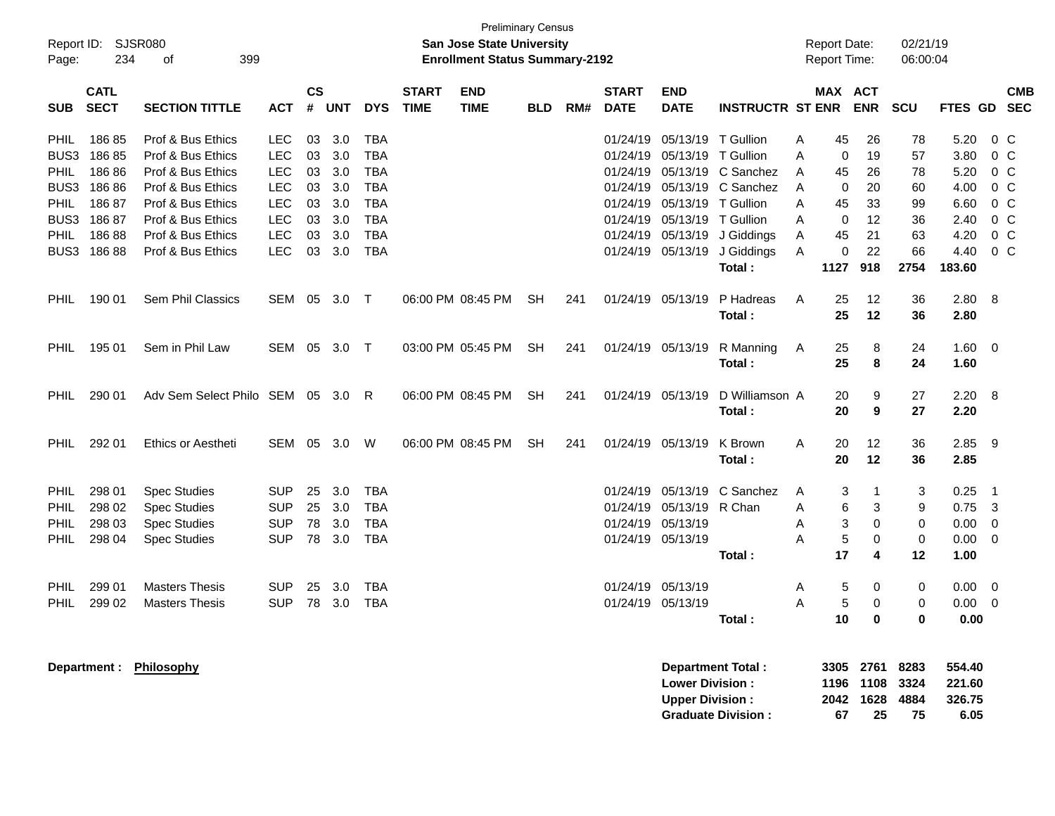| Page:       | Report ID:<br><b>SJSR080</b><br>234<br>399<br>οf |                                   |            |                | <b>Preliminary Census</b><br>San Jose State University<br><b>Enrollment Status Summary-2192</b> |            |                             |                           |            |     |                             |                                                  |                                                       |   | <b>Report Date:</b><br>Report Time: |                                           | 02/21/19<br>06:00:04       |                                    |                         |            |
|-------------|--------------------------------------------------|-----------------------------------|------------|----------------|-------------------------------------------------------------------------------------------------|------------|-----------------------------|---------------------------|------------|-----|-----------------------------|--------------------------------------------------|-------------------------------------------------------|---|-------------------------------------|-------------------------------------------|----------------------------|------------------------------------|-------------------------|------------|
| <b>SUB</b>  | <b>CATL</b><br><b>SECT</b>                       | <b>SECTION TITTLE</b>             | <b>ACT</b> | <b>CS</b><br># | <b>UNT</b>                                                                                      | <b>DYS</b> | <b>START</b><br><b>TIME</b> | <b>END</b><br><b>TIME</b> | <b>BLD</b> | RM# | <b>START</b><br><b>DATE</b> | <b>END</b><br><b>DATE</b>                        | <b>INSTRUCTR ST ENR</b>                               |   | MAX ACT                             | <b>ENR</b>                                | <b>SCU</b>                 | FTES GD SEC                        |                         | <b>CMB</b> |
| PHIL        | 18685                                            | Prof & Bus Ethics                 | LEC        | 03             | 3.0                                                                                             | <b>TBA</b> |                             |                           |            |     | 01/24/19                    | 05/13/19 T Gullion                               |                                                       | Α | 45                                  | 26                                        | 78                         | 5.20                               | $0\,$ C                 |            |
| BUS3        | 18685                                            | Prof & Bus Ethics                 | <b>LEC</b> | 03             | 3.0                                                                                             | <b>TBA</b> |                             |                           |            |     |                             | 01/24/19 05/13/19                                | T Gullion                                             | A | 0                                   | 19                                        | 57                         | 3.80                               | $0\,C$                  |            |
| PHIL        | 18686                                            | Prof & Bus Ethics                 | <b>LEC</b> | 03             | 3.0                                                                                             | <b>TBA</b> |                             |                           |            |     | 01/24/19                    | 05/13/19                                         | C Sanchez                                             | Α | 45                                  | 26                                        | 78                         | 5.20                               | 0 <sup>o</sup>          |            |
| BUS3        | 18686                                            | Prof & Bus Ethics                 | <b>LEC</b> | 03             | 3.0                                                                                             | <b>TBA</b> |                             |                           |            |     | 01/24/19                    |                                                  | 05/13/19 C Sanchez                                    | Α | 0                                   | 20                                        | 60                         | 4.00                               | $0\,C$                  |            |
| PHIL        | 18687                                            | Prof & Bus Ethics                 | <b>LEC</b> | 03             | 3.0                                                                                             | <b>TBA</b> |                             |                           |            |     | 01/24/19                    | 05/13/19 T Gullion                               |                                                       | A | 45                                  | 33                                        | 99                         | 6.60                               | $0\,C$                  |            |
| BUS3        | 18687                                            | Prof & Bus Ethics                 | <b>LEC</b> | 03             | 3.0                                                                                             | <b>TBA</b> |                             |                           |            |     | 01/24/19                    | 05/13/19 T Gullion                               |                                                       | A | 0                                   | 12                                        | 36                         | 2.40                               | $0\,C$                  |            |
| PHIL        | 18688                                            | Prof & Bus Ethics                 | <b>LEC</b> | 03             | 3.0                                                                                             | <b>TBA</b> |                             |                           |            |     | 01/24/19                    | 05/13/19                                         | J Giddings                                            | Α | 45                                  | 21                                        | 63                         | 4.20                               | 0 <sup>o</sup>          |            |
| BUS3        | 18688                                            | Prof & Bus Ethics                 | <b>LEC</b> | 03             | 3.0                                                                                             | <b>TBA</b> |                             |                           |            |     |                             | 01/24/19 05/13/19                                | J Giddings                                            | A | 0                                   | 22                                        | 66                         | 4.40                               | $0\,C$                  |            |
|             |                                                  |                                   |            |                |                                                                                                 |            |                             |                           |            |     |                             |                                                  | Total:                                                |   | 1127                                | 918                                       | 2754                       | 183.60                             |                         |            |
| PHIL        | 190 01                                           | Sem Phil Classics                 | SEM 05 3.0 |                |                                                                                                 | $\top$     |                             | 06:00 PM 08:45 PM         | <b>SH</b>  | 241 |                             | 01/24/19 05/13/19                                | P Hadreas<br>Total:                                   | Α | 25<br>25                            | 12<br>12                                  | 36<br>36                   | 2.80<br>2.80                       | 8                       |            |
| PHIL        | 195 01                                           | Sem in Phil Law                   | SEM 05 3.0 |                |                                                                                                 | $\top$     |                             | 03:00 PM 05:45 PM         | <b>SH</b>  | 241 |                             | 01/24/19 05/13/19                                | R Manning<br>Total:                                   | A | 25<br>25                            | 8<br>8                                    | 24<br>24                   | 1.60<br>1.60                       | $\overline{\mathbf{0}}$ |            |
| PHIL        | 290 01                                           | Adv Sem Select Philo SEM 05 3.0 R |            |                |                                                                                                 |            |                             | 06:00 PM 08:45 PM         | <b>SH</b>  | 241 |                             | 01/24/19 05/13/19                                | D Williamson A<br>Total:                              |   | 20<br>20                            | 9<br>9                                    | 27<br>27                   | 2.20<br>2.20                       | 8                       |            |
| <b>PHIL</b> | 292 01                                           | <b>Ethics or Aestheti</b>         | SEM 05 3.0 |                |                                                                                                 | W          |                             | 06:00 PM 08:45 PM         | <b>SH</b>  | 241 |                             | 01/24/19 05/13/19                                | K Brown<br>Total:                                     | A | 20<br>20                            | 12<br>12                                  | 36<br>36                   | 2.85<br>2.85                       | - 9                     |            |
|             |                                                  |                                   |            |                |                                                                                                 |            |                             |                           |            |     |                             |                                                  |                                                       |   |                                     |                                           |                            |                                    |                         |            |
| PHIL        | 298 01                                           | <b>Spec Studies</b>               | <b>SUP</b> | 25             | 3.0                                                                                             | <b>TBA</b> |                             |                           |            |     |                             | 01/24/19 05/13/19                                | C Sanchez                                             | A | 3                                   |                                           | 3                          | 0.25                               | - 1                     |            |
| PHIL        | 298 02                                           | <b>Spec Studies</b>               | <b>SUP</b> | 25             | 3.0                                                                                             | <b>TBA</b> |                             |                           |            |     |                             | 01/24/19 05/13/19                                | R Chan                                                | Α | 6                                   | 3                                         | 9                          | 0.75                               | $\overline{\mathbf{3}}$ |            |
| PHIL        | 298 03                                           | <b>Spec Studies</b>               | <b>SUP</b> | 78             | 3.0                                                                                             | <b>TBA</b> |                             |                           |            |     |                             | 01/24/19 05/13/19                                |                                                       | Α | 3                                   | 0                                         | 0                          | 0.00                               | $\mathbf 0$             |            |
| PHIL        | 298 04                                           | <b>Spec Studies</b>               | <b>SUP</b> | 78             | 3.0                                                                                             | <b>TBA</b> |                             |                           |            |     |                             | 01/24/19 05/13/19                                | Total:                                                | A | 5<br>17                             | 0<br>4                                    | 0<br>12                    | 0.00<br>1.00                       | $\mathbf 0$             |            |
|             |                                                  |                                   |            |                |                                                                                                 |            |                             |                           |            |     |                             |                                                  |                                                       |   |                                     |                                           |                            |                                    |                         |            |
| PHIL        | 299 01                                           | <b>Masters Thesis</b>             | <b>SUP</b> | 25             | 3.0                                                                                             | <b>TBA</b> |                             |                           |            |     |                             | 01/24/19 05/13/19                                |                                                       | Α | 5                                   | 0                                         | 0                          | 0.00                               | $\overline{\mathbf{0}}$ |            |
| <b>PHIL</b> | 299 02                                           | <b>Masters Thesis</b>             | <b>SUP</b> | 78             | 3.0                                                                                             | <b>TBA</b> |                             |                           |            |     |                             | 01/24/19 05/13/19                                |                                                       | A | 5                                   | 0                                         | 0                          | 0.00                               | $\overline{0}$          |            |
|             |                                                  |                                   |            |                |                                                                                                 |            |                             |                           |            |     |                             |                                                  | Total:                                                |   | 10                                  | 0                                         | 0                          | 0.00                               |                         |            |
|             | Department :                                     | Philosophy                        |            |                |                                                                                                 |            |                             |                           |            |     |                             | <b>Lower Division:</b><br><b>Upper Division:</b> | <b>Department Total:</b><br><b>Graduate Division:</b> |   | 67                                  | 3305 2761<br>1196 1108<br>2042 1628<br>25 | 8283<br>3324<br>4884<br>75 | 554.40<br>221.60<br>326.75<br>6.05 |                         |            |